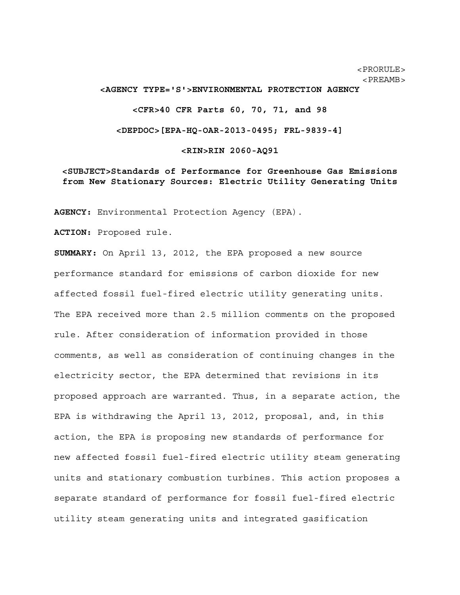<PRORULE>  $<$ PREAMB $>$ 

#### **<AGENCY TYPE='S'>ENVIRONMENTAL PROTECTION AGENCY**

**<CFR>40 CFR Parts 60, 70, 71, and 98** 

**<DEPDOC>[EPA-HQ-OAR-2013-0495; FRL-9839-4]** 

**<RIN>RIN 2060-AQ91** 

**<SUBJECT>Standards of Performance for Greenhouse Gas Emissions from New Stationary Sources: Electric Utility Generating Units**

**AGENCY:** Environmental Protection Agency (EPA).

**ACTION:** Proposed rule.

**SUMMARY:** On April 13, 2012, the EPA proposed a new source performance standard for emissions of carbon dioxide for new affected fossil fuel-fired electric utility generating units. The EPA received more than 2.5 million comments on the proposed rule. After consideration of information provided in those comments, as well as consideration of continuing changes in the electricity sector, the EPA determined that revisions in its proposed approach are warranted. Thus, in a separate action, the EPA is withdrawing the April 13, 2012, proposal, and, in this action, the EPA is proposing new standards of performance for new affected fossil fuel-fired electric utility steam generating units and stationary combustion turbines. This action proposes a separate standard of performance for fossil fuel-fired electric utility steam generating units and integrated gasification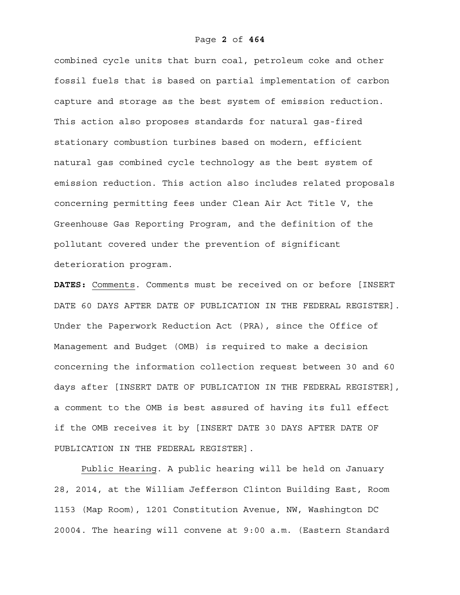combined cycle units that burn coal, petroleum coke and other fossil fuels that is based on partial implementation of carbon capture and storage as the best system of emission reduction. This action also proposes standards for natural gas-fired stationary combustion turbines based on modern, efficient natural gas combined cycle technology as the best system of emission reduction. This action also includes related proposals concerning permitting fees under Clean Air Act Title V, the Greenhouse Gas Reporting Program, and the definition of the pollutant covered under the prevention of significant deterioration program.

**DATES:** Comments. Comments must be received on or before [INSERT DATE 60 DAYS AFTER DATE OF PUBLICATION IN THE FEDERAL REGISTER]. Under the Paperwork Reduction Act (PRA), since the Office of Management and Budget (OMB) is required to make a decision concerning the information collection request between 30 and 60 days after [INSERT DATE OF PUBLICATION IN THE FEDERAL REGISTER], a comment to the OMB is best assured of having its full effect if the OMB receives it by [INSERT DATE 30 DAYS AFTER DATE OF PUBLICATION IN THE FEDERAL REGISTER].

 Public Hearing. A public hearing will be held on January 28, 2014, at the William Jefferson Clinton Building East, Room 1153 (Map Room), 1201 Constitution Avenue, NW, Washington DC 20004. The hearing will convene at 9:00 a.m. (Eastern Standard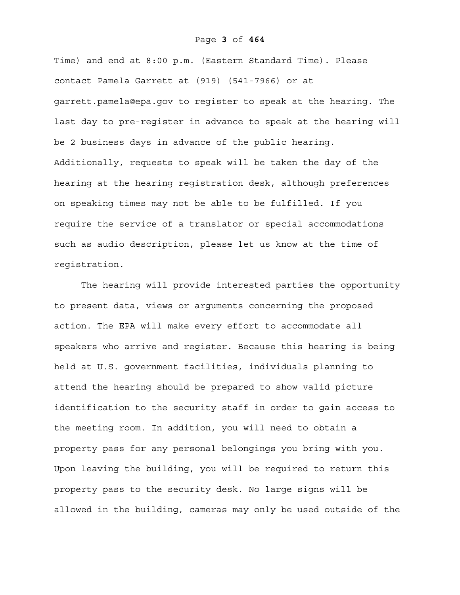### Page **3** of **464**

Time) and end at 8:00 p.m. (Eastern Standard Time). Please contact Pamela Garrett at (919) (541-7966) or at

garrett.pamela@epa.gov to register to speak at the hearing. The last day to pre-register in advance to speak at the hearing will be 2 business days in advance of the public hearing. Additionally, requests to speak will be taken the day of the hearing at the hearing registration desk, although preferences on speaking times may not be able to be fulfilled. If you require the service of a translator or special accommodations such as audio description, please let us know at the time of registration.

The hearing will provide interested parties the opportunity to present data, views or arguments concerning the proposed action. The EPA will make every effort to accommodate all speakers who arrive and register. Because this hearing is being held at U.S. government facilities, individuals planning to attend the hearing should be prepared to show valid picture identification to the security staff in order to gain access to the meeting room. In addition, you will need to obtain a property pass for any personal belongings you bring with you. Upon leaving the building, you will be required to return this property pass to the security desk. No large signs will be allowed in the building, cameras may only be used outside of the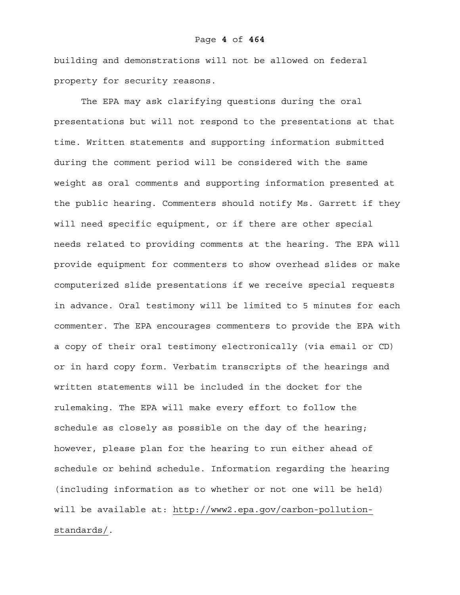building and demonstrations will not be allowed on federal property for security reasons.

The EPA may ask clarifying questions during the oral presentations but will not respond to the presentations at that time. Written statements and supporting information submitted during the comment period will be considered with the same weight as oral comments and supporting information presented at the public hearing. Commenters should notify Ms. Garrett if they will need specific equipment, or if there are other special needs related to providing comments at the hearing. The EPA will provide equipment for commenters to show overhead slides or make computerized slide presentations if we receive special requests in advance. Oral testimony will be limited to 5 minutes for each commenter. The EPA encourages commenters to provide the EPA with a copy of their oral testimony electronically (via email or CD) or in hard copy form. Verbatim transcripts of the hearings and written statements will be included in the docket for the rulemaking. The EPA will make every effort to follow the schedule as closely as possible on the day of the hearing; however, please plan for the hearing to run either ahead of schedule or behind schedule. Information regarding the hearing (including information as to whether or not one will be held) will be available at: http://www2.epa.gov/carbon-pollutionstandards/.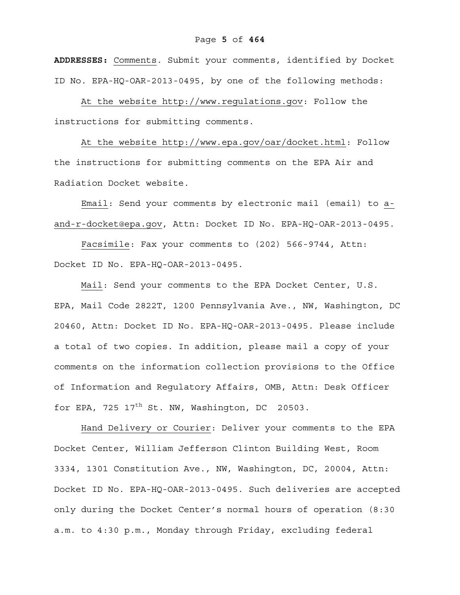**ADDRESSES:** Comments. Submit your comments, identified by Docket ID No. EPA-HQ-OAR-2013-0495, by one of the following methods:

At the website http://www.regulations.gov: Follow the instructions for submitting comments.

At the website http://www.epa.gov/oar/docket.html: Follow the instructions for submitting comments on the EPA Air and Radiation Docket website.

Email: Send your comments by electronic mail (email) to aand-r-docket@epa.gov, Attn: Docket ID No. EPA-HQ-OAR-2013-0495.

Facsimile: Fax your comments to (202) 566-9744, Attn: Docket ID No. EPA-HQ-OAR-2013-0495.

Mail: Send your comments to the EPA Docket Center, U.S. EPA, Mail Code 2822T, 1200 Pennsylvania Ave., NW, Washington, DC 20460, Attn: Docket ID No. EPA-HQ-OAR-2013-0495. Please include a total of two copies. In addition, please mail a copy of your comments on the information collection provisions to the Office of Information and Regulatory Affairs, OMB, Attn: Desk Officer for EPA, 725  $17<sup>th</sup>$  St. NW, Washington, DC 20503.

Hand Delivery or Courier: Deliver your comments to the EPA Docket Center, William Jefferson Clinton Building West, Room 3334, 1301 Constitution Ave., NW, Washington, DC, 20004, Attn: Docket ID No. EPA-HQ-OAR-2013-0495. Such deliveries are accepted only during the Docket Center's normal hours of operation (8:30 a.m. to 4:30 p.m., Monday through Friday, excluding federal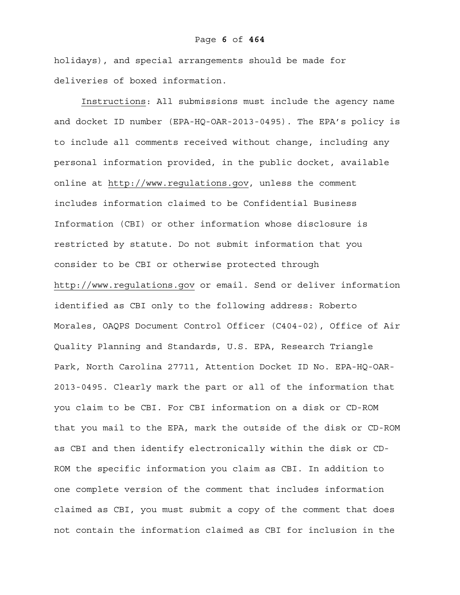holidays), and special arrangements should be made for deliveries of boxed information.

 Instructions: All submissions must include the agency name and docket ID number (EPA-HQ-OAR-2013-0495). The EPA's policy is to include all comments received without change, including any personal information provided, in the public docket, available online at http://www.regulations.gov, unless the comment includes information claimed to be Confidential Business Information (CBI) or other information whose disclosure is restricted by statute. Do not submit information that you consider to be CBI or otherwise protected through http://www.regulations.gov or email. Send or deliver information identified as CBI only to the following address: Roberto Morales, OAQPS Document Control Officer (C404-02), Office of Air Quality Planning and Standards, U.S. EPA, Research Triangle Park, North Carolina 27711, Attention Docket ID No. EPA-HQ-OAR-2013-0495. Clearly mark the part or all of the information that you claim to be CBI. For CBI information on a disk or CD-ROM that you mail to the EPA, mark the outside of the disk or CD-ROM as CBI and then identify electronically within the disk or CD-ROM the specific information you claim as CBI. In addition to one complete version of the comment that includes information claimed as CBI, you must submit a copy of the comment that does not contain the information claimed as CBI for inclusion in the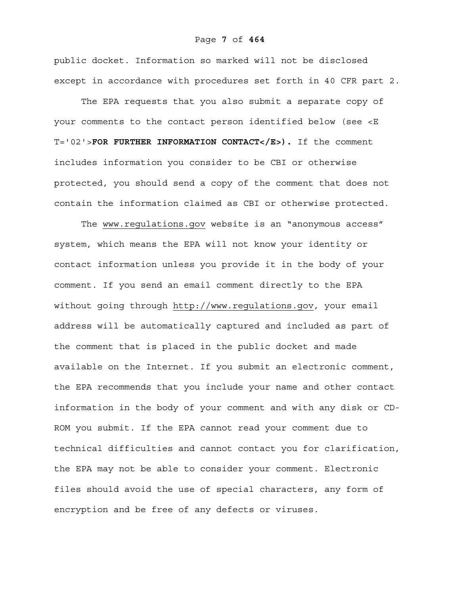#### Page **7** of **464**

public docket. Information so marked will not be disclosed except in accordance with procedures set forth in 40 CFR part 2.

 The EPA requests that you also submit a separate copy of your comments to the contact person identified below (see <E T='02'>**FOR FURTHER INFORMATION CONTACT</E>).** If the comment includes information you consider to be CBI or otherwise protected, you should send a copy of the comment that does not contain the information claimed as CBI or otherwise protected.

 The www.regulations.gov website is an "anonymous access" system, which means the EPA will not know your identity or contact information unless you provide it in the body of your comment. If you send an email comment directly to the EPA without going through http://www.regulations.gov, your email address will be automatically captured and included as part of the comment that is placed in the public docket and made available on the Internet. If you submit an electronic comment, the EPA recommends that you include your name and other contact information in the body of your comment and with any disk or CD-ROM you submit. If the EPA cannot read your comment due to technical difficulties and cannot contact you for clarification, the EPA may not be able to consider your comment. Electronic files should avoid the use of special characters, any form of encryption and be free of any defects or viruses.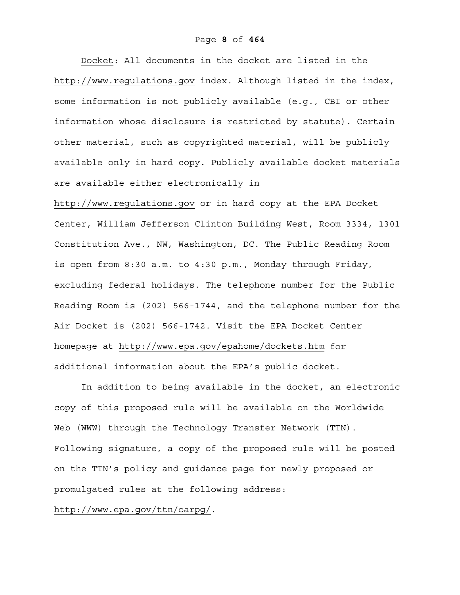Docket: All documents in the docket are listed in the http://www.regulations.gov index. Although listed in the index, some information is not publicly available (e.g., CBI or other information whose disclosure is restricted by statute). Certain other material, such as copyrighted material, will be publicly available only in hard copy. Publicly available docket materials are available either electronically in

http://www.regulations.gov or in hard copy at the EPA Docket Center, William Jefferson Clinton Building West, Room 3334, 1301 Constitution Ave., NW, Washington, DC. The Public Reading Room is open from 8:30 a.m. to 4:30 p.m., Monday through Friday, excluding federal holidays. The telephone number for the Public Reading Room is (202) 566-1744, and the telephone number for the Air Docket is (202) 566-1742. Visit the EPA Docket Center homepage at http://www.epa.gov/epahome/dockets.htm for additional information about the EPA's public docket.

 In addition to being available in the docket, an electronic copy of this proposed rule will be available on the Worldwide Web (WWW) through the Technology Transfer Network (TTN). Following signature, a copy of the proposed rule will be posted on the TTN's policy and guidance page for newly proposed or promulgated rules at the following address:

http://www.epa.gov/ttn/oarpg/.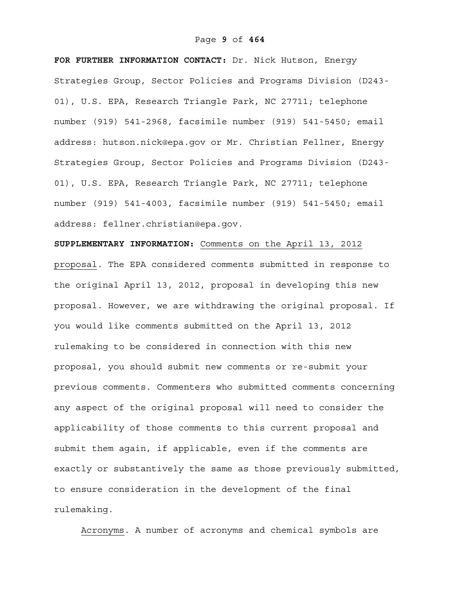# Page **9** of **464**

**FOR FURTHER INFORMATION CONTACT:** Dr. Nick Hutson, Energy Strategies Group, Sector Policies and Programs Division (D243- 01), U.S. EPA, Research Triangle Park, NC 27711; telephone number (919) 541-2968, facsimile number (919) 541-5450; email address: hutson.nick@epa.gov or Mr. Christian Fellner, Energy Strategies Group, Sector Policies and Programs Division (D243- 01), U.S. EPA, Research Triangle Park, NC 27711; telephone number (919) 541-4003, facsimile number (919) 541-5450; email address: fellner.christian@epa.gov.

**SUPPLEMENTARY INFORMATION:** Comments on the April 13, 2012 proposal. The EPA considered comments submitted in response to the original April 13, 2012, proposal in developing this new proposal. However, we are withdrawing the original proposal. If you would like comments submitted on the April 13, 2012 rulemaking to be considered in connection with this new proposal, you should submit new comments or re-submit your previous comments. Commenters who submitted comments concerning any aspect of the original proposal will need to consider the applicability of those comments to this current proposal and submit them again, if applicable, even if the comments are exactly or substantively the same as those previously submitted, to ensure consideration in the development of the final rulemaking.

Acronyms. A number of acronyms and chemical symbols are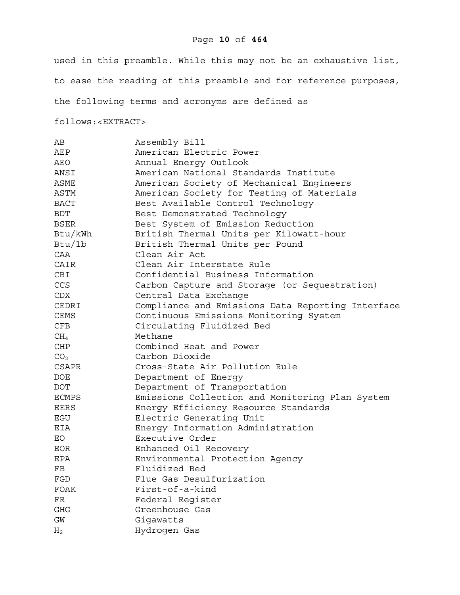# Page **10** of **464**

used in this preamble. While this may not be an exhaustive list, to ease the reading of this preamble and for reference purposes, the following terms and acronyms are defined as

follows:<EXTRACT>

| AВ              | Assembly Bill                                     |
|-----------------|---------------------------------------------------|
| AEP             | American Electric Power                           |
| AEO             | Annual Energy Outlook                             |
| ANSI            | American National Standards Institute             |
| ASME            | American Society of Mechanical Engineers          |
| <b>ASTM</b>     | American Society for Testing of Materials         |
| <b>BACT</b>     | Best Available Control Technology                 |
| BDT             | Best Demonstrated Technology                      |
| <b>BSER</b>     | Best System of Emission Reduction                 |
| Btu/kWh         | British Thermal Units per Kilowatt-hour           |
| Btu/1b          | British Thermal Units per Pound                   |
| CAA             | Clean Air Act                                     |
| CAIR            | Clean Air Interstate Rule                         |
| CBI             | Confidential Business Information                 |
| CCS             | Carbon Capture and Storage (or Sequestration)     |
| CDX             | Central Data Exchange                             |
| CEDRI           | Compliance and Emissions Data Reporting Interface |
| <b>CEMS</b>     | Continuous Emissions Monitoring System            |
| CFB             | Circulating Fluidized Bed                         |
| $\rm CH_4$      | Methane                                           |
| CHP             | Combined Heat and Power                           |
| CO <sub>2</sub> | Carbon Dioxide                                    |
| CSAPR           | Cross-State Air Pollution Rule                    |
| <b>DOE</b>      | Department of Energy                              |
| <b>DOT</b>      | Department of Transportation                      |
| <b>ECMPS</b>    | Emissions Collection and Monitoring Plan System   |
| <b>EERS</b>     | Energy Efficiency Resource Standards              |
| EGU             | Electric Generating Unit                          |
| EIA             | Energy Information Administration                 |
| EO              | Executive Order                                   |
| EOR             | Enhanced Oil Recovery                             |
| EPA             | Environmental Protection Agency                   |
| FB              | Fluidized Bed                                     |
| FGD             | Flue Gas Desulfurization                          |
| <b>FOAK</b>     | First-of-a-kind                                   |
| FR              | Federal Register                                  |
| GHG             | Greenhouse Gas                                    |
| GM              | Gigawatts                                         |
| H <sub>2</sub>  | Hydrogen Gas                                      |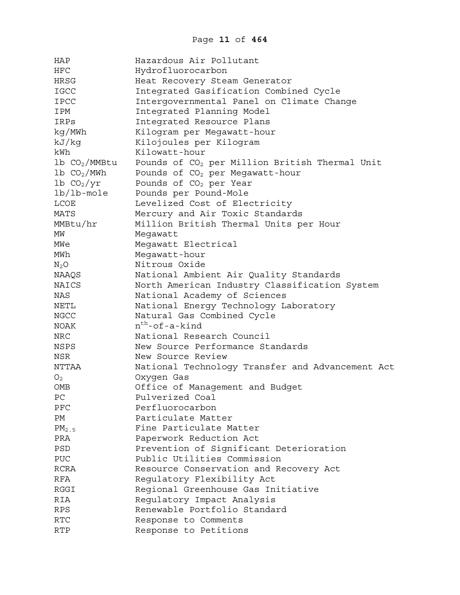| HAP                       | Hazardous Air Pollutant                                    |
|---------------------------|------------------------------------------------------------|
| <b>HFC</b>                | Hydrofluorocarbon                                          |
| HRSG                      | Heat Recovery Steam Generator                              |
| IGCC                      | Integrated Gasification Combined Cycle                     |
| <b>IPCC</b>               | Intergovernmental Panel on Climate Change                  |
| IPM                       | Integrated Planning Model                                  |
| IRPs                      | Integrated Resource Plans                                  |
| kg/MWh                    | Kilogram per Megawatt-hour                                 |
| kJ/kg                     | Kilojoules per Kilogram                                    |
| kWh                       | Kilowatt-hour                                              |
| $1b$ $CO2/MMEtu$          | Pounds of CO <sub>2</sub> per Million British Thermal Unit |
| $1b$ CO <sub>2</sub> /MWh | Pounds of CO <sub>2</sub> per Megawatt-hour                |
| $1b$ $CO2/yr$             | Pounds of CO <sub>2</sub> per Year                         |
| $lb/lb$ -mole             | Pounds per Pound-Mole                                      |
| <b>LCOE</b>               | Levelized Cost of Electricity                              |
| <b>MATS</b>               | Mercury and Air Toxic Standards                            |
| MMBtu/hr                  | Million British Thermal Units per Hour                     |
| MW                        | Megawatt                                                   |
| MWe                       | Megawatt Electrical                                        |
| MWh                       | Megawatt-hour                                              |
| $N_2O$                    | Nitrous Oxide                                              |
| NAAQS                     | National Ambient Air Quality Standards                     |
| NAICS                     | North American Industry Classification System              |
| NAS                       | National Academy of Sciences                               |
| NETL                      | National Energy Technology Laboratory                      |
| <b>NGCC</b>               | Natural Gas Combined Cycle                                 |
| <b>NOAK</b>               | $n^{th}$ -of-a-kind                                        |
| <b>NRC</b>                | National Research Council                                  |
| NSPS                      | New Source Performance Standards                           |
| <b>NSR</b>                | New Source Review                                          |
| NTTAA                     | National Technology Transfer and Advancement Act           |
| O <sub>2</sub>            | Oxygen Gas                                                 |
| OMB                       | Office of Management and Budget                            |
| РC                        | Pulverized Coal                                            |
| PFC                       | Perfluorocarbon                                            |
| РM                        | Particulate Matter                                         |
| $PM_{2.5}$                | Fine Particulate Matter                                    |
| PRA                       | Paperwork Reduction Act                                    |
| PSD                       | Prevention of Significant Deterioration                    |
| PUC                       | Public Utilities Commission                                |
| <b>RCRA</b>               | Resource Conservation and Recovery Act                     |
| RFA                       | Regulatory Flexibility Act                                 |
| RGGI                      | Regional Greenhouse Gas Initiative                         |
| <b>RIA</b>                | Regulatory Impact Analysis                                 |
| <b>RPS</b>                | Renewable Portfolio Standard                               |
| RTC                       | Response to Comments                                       |
| <b>RTP</b>                | Response to Petitions                                      |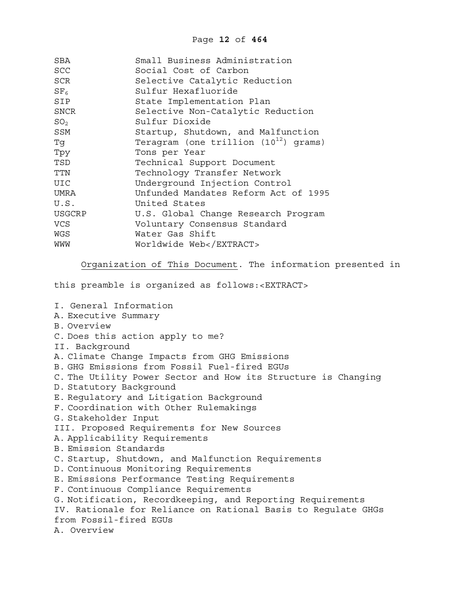| SBA             | Small Business Administration             |
|-----------------|-------------------------------------------|
| <b>SCC</b>      | Social Cost of Carbon                     |
| SCR             | Selective Catalytic Reduction             |
| SF <sub>6</sub> | Sulfur Hexafluoride                       |
| SIP             | State Implementation Plan                 |
| SNCR            | Selective Non-Catalytic Reduction         |
| SO <sub>2</sub> | Sulfur Dioxide                            |
| SSM             | Startup, Shutdown, and Malfunction        |
| Tg              | Teragram (one trillion $(10^{12})$ grams) |
| Tpy             | Tons per Year                             |
| TSD             | Technical Support Document                |
| <b>TTN</b>      | Technology Transfer Network               |
| UIC             | Underground Injection Control             |
| UMRA            | Unfunded Mandates Reform Act of 1995      |
| U.S.            | United States                             |
| <b>USGCRP</b>   | U.S. Global Change Research Program       |
| <b>VCS</b>      | Voluntary Consensus Standard              |
| WGS             | Water Gas Shift                           |
| WWM             | Worldwide Web                             |

Organization of This Document. The information presented in

this preamble is organized as follows:<EXTRACT>

I. General Information A. Executive Summary B. Overview C. Does this action apply to me? II. Background A. Climate Change Impacts from GHG Emissions B. GHG Emissions from Fossil Fuel-fired EGUs C. The Utility Power Sector and How its Structure is Changing D. Statutory Background E. Regulatory and Litigation Background F. Coordination with Other Rulemakings G. Stakeholder Input III. Proposed Requirements for New Sources A. Applicability Requirements B. Emission Standards C. Startup, Shutdown, and Malfunction Requirements D. Continuous Monitoring Requirements E. Emissions Performance Testing Requirements F. Continuous Compliance Requirements G. Notification, Recordkeeping, and Reporting Requirements IV. Rationale for Reliance on Rational Basis to Regulate GHGs from Fossil-fired EGUs A. Overview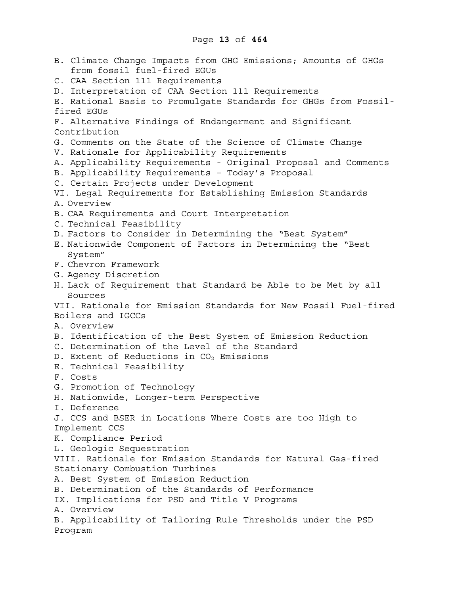B. Climate Change Impacts from GHG Emissions; Amounts of GHGs from fossil fuel-fired EGUs C. CAA Section 111 Requirements D. Interpretation of CAA Section 111 Requirements E. Rational Basis to Promulgate Standards for GHGs from Fossilfired EGUs F. Alternative Findings of Endangerment and Significant Contribution G. Comments on the State of the Science of Climate Change V. Rationale for Applicability Requirements A. Applicability Requirements - Original Proposal and Comments B. Applicability Requirements – Today's Proposal C. Certain Projects under Development VI. Legal Requirements for Establishing Emission Standards A. Overview B. CAA Requirements and Court Interpretation C. Technical Feasibility D. Factors to Consider in Determining the "Best System" E. Nationwide Component of Factors in Determining the "Best System" F. Chevron Framework G. Agency Discretion H. Lack of Requirement that Standard be Able to be Met by all Sources VII. Rationale for Emission Standards for New Fossil Fuel-fired Boilers and IGCCs A. Overview B. Identification of the Best System of Emission Reduction C. Determination of the Level of the Standard D. Extent of Reductions in  $CO<sub>2</sub>$  Emissions E. Technical Feasibility F. Costs G. Promotion of Technology H. Nationwide, Longer-term Perspective I. Deference J. CCS and BSER in Locations Where Costs are too High to Implement CCS K. Compliance Period L. Geologic Sequestration VIII. Rationale for Emission Standards for Natural Gas-fired Stationary Combustion Turbines A. Best System of Emission Reduction B. Determination of the Standards of Performance IX. Implications for PSD and Title V Programs A. Overview B. Applicability of Tailoring Rule Thresholds under the PSD Program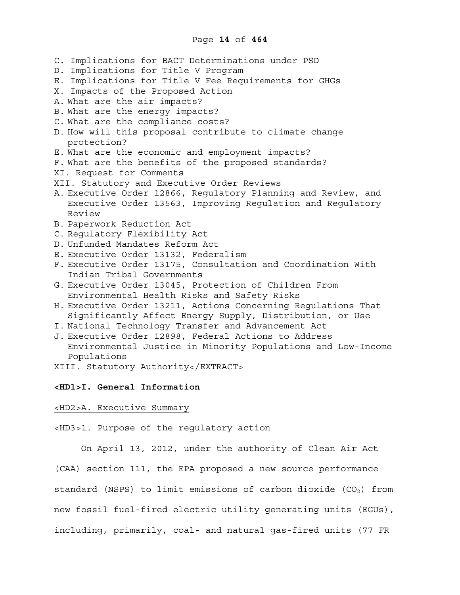C. Implications for BACT Determinations under PSD D. Implications for Title V Program E. Implications for Title V Fee Requirements for GHGs X. Impacts of the Proposed Action A. What are the air impacts? B. What are the energy impacts? C. What are the compliance costs? D. How will this proposal contribute to climate change protection? E. What are the economic and employment impacts? F. What are the benefits of the proposed standards? XI. Request for Comments XII. Statutory and Executive Order Reviews A. Executive Order 12866, Regulatory Planning and Review, and Executive Order 13563, Improving Regulation and Regulatory Review B. Paperwork Reduction Act C. Regulatory Flexibility Act D. Unfunded Mandates Reform Act E. Executive Order 13132, Federalism F. Executive Order 13175, Consultation and Coordination With Indian Tribal Governments G. Executive Order 13045, Protection of Children From Environmental Health Risks and Safety Risks H. Executive Order 13211, Actions Concerning Regulations That Significantly Affect Energy Supply, Distribution, or Use I. National Technology Transfer and Advancement Act J. Executive Order 12898, Federal Actions to Address Environmental Justice in Minority Populations and Low-Income Populations XIII. Statutory Authority</EXTRACT> **<HD1>I. General Information**  <HD2>A. Executive Summary

<HD3>1. Purpose of the regulatory action

On April 13, 2012, under the authority of Clean Air Act (CAA) section 111, the EPA proposed a new source performance standard (NSPS) to limit emissions of carbon dioxide ( $CO<sub>2</sub>$ ) from new fossil fuel-fired electric utility generating units (EGUs), including, primarily, coal- and natural gas-fired units (77 FR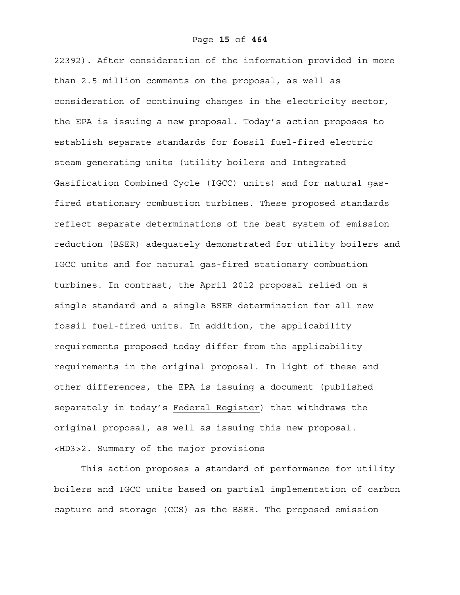22392). After consideration of the information provided in more than 2.5 million comments on the proposal, as well as consideration of continuing changes in the electricity sector, the EPA is issuing a new proposal. Today's action proposes to establish separate standards for fossil fuel-fired electric steam generating units (utility boilers and Integrated Gasification Combined Cycle (IGCC) units) and for natural gasfired stationary combustion turbines. These proposed standards reflect separate determinations of the best system of emission reduction (BSER) adequately demonstrated for utility boilers and IGCC units and for natural gas-fired stationary combustion turbines. In contrast, the April 2012 proposal relied on a single standard and a single BSER determination for all new fossil fuel-fired units. In addition, the applicability requirements proposed today differ from the applicability requirements in the original proposal. In light of these and other differences, the EPA is issuing a document (published separately in today's Federal Register) that withdraws the original proposal, as well as issuing this new proposal. <HD3>2. Summary of the major provisions

This action proposes a standard of performance for utility boilers and IGCC units based on partial implementation of carbon capture and storage (CCS) as the BSER. The proposed emission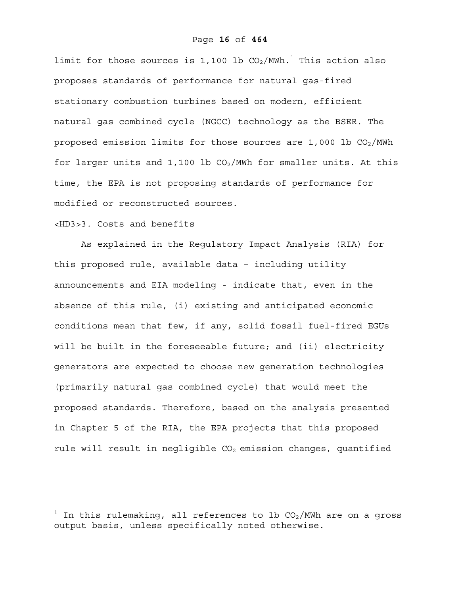limit for those sources is 1,100 lb  $\rm CO_2/$ MWh. $^1$  This action also proposes standards of performance for natural gas-fired stationary combustion turbines based on modern, efficient natural gas combined cycle (NGCC) technology as the BSER. The proposed emission limits for those sources are  $1,000$  lb  $CO<sub>2</sub>/MWh$ for larger units and 1,100 lb  $CO<sub>2</sub>/MWh$  for smaller units. At this time, the EPA is not proposing standards of performance for modified or reconstructed sources.

# <HD3>3. Costs and benefits

 $\overline{a}$ 

As explained in the Regulatory Impact Analysis (RIA) for this proposed rule, available data – including utility announcements and EIA modeling - indicate that, even in the absence of this rule, (i) existing and anticipated economic conditions mean that few, if any, solid fossil fuel-fired EGUs will be built in the foreseeable future; and (ii) electricity generators are expected to choose new generation technologies (primarily natural gas combined cycle) that would meet the proposed standards. Therefore, based on the analysis presented in Chapter 5 of the RIA, the EPA projects that this proposed rule will result in negligible  $CO<sub>2</sub>$  emission changes, quantified

<sup>1</sup> In this rulemaking, all references to lb  $CO<sub>2</sub>/MWh$  are on a gross output basis, unless specifically noted otherwise.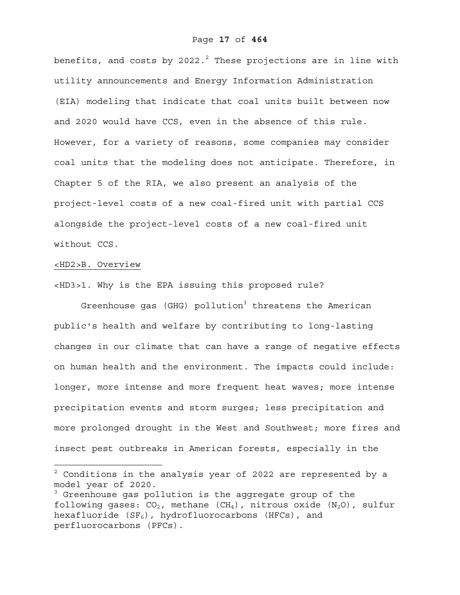benefits, and costs by 2022. $^2$  These projections are in line with utility announcements and Energy Information Administration (EIA) modeling that indicate that coal units built between now and 2020 would have CCS, even in the absence of this rule. However, for a variety of reasons, some companies may consider coal units that the modeling does not anticipate. Therefore, in Chapter 5 of the RIA, we also present an analysis of the project-level costs of a new coal-fired unit with partial CCS alongside the project-level costs of a new coal-fired unit without CCS.

# <HD2>B. Overview

 $\overline{a}$ 

<HD3>1. Why is the EPA issuing this proposed rule?

Greenhouse gas (GHG) pollution<sup>3</sup> threatens the American public's health and welfare by contributing to long-lasting changes in our climate that can have a range of negative effects on human health and the environment. The impacts could include: longer, more intense and more frequent heat waves; more intense precipitation events and storm surges; less precipitation and more prolonged drought in the West and Southwest; more fires and insect pest outbreaks in American forests, especially in the

 $^2$  Conditions in the analysis year of 2022 are represented by a model year of 2020.

<sup>&</sup>lt;sup>3</sup> Greenhouse gas pollution is the aggregate group of the following gases:  $CO<sub>2</sub>$ , methane (CH<sub>4</sub>), nitrous oxide (N<sub>2</sub>O), sulfur hexafluoride  $(SF_6)$ , hydrofluorocarbons (HFCs), and perfluorocarbons (PFCs).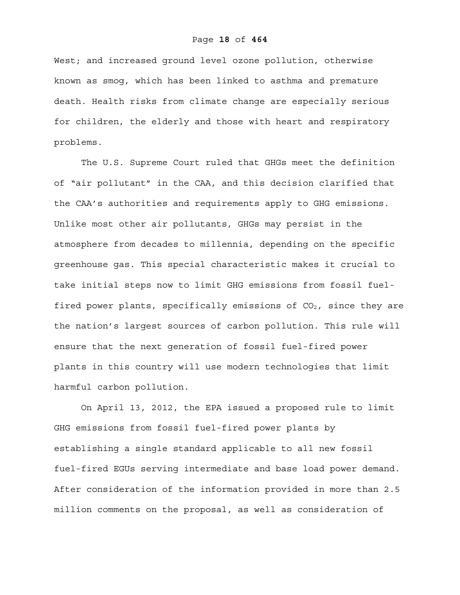## Page **18** of **464**

West; and increased ground level ozone pollution, otherwise known as smog, which has been linked to asthma and premature death. Health risks from climate change are especially serious for children, the elderly and those with heart and respiratory problems.

The U.S. Supreme Court ruled that GHGs meet the definition of "air pollutant" in the CAA, and this decision clarified that the CAA's authorities and requirements apply to GHG emissions. Unlike most other air pollutants, GHGs may persist in the atmosphere from decades to millennia, depending on the specific greenhouse gas. This special characteristic makes it crucial to take initial steps now to limit GHG emissions from fossil fuelfired power plants, specifically emissions of  $CO<sub>2</sub>$ , since they are the nation's largest sources of carbon pollution. This rule will ensure that the next generation of fossil fuel-fired power plants in this country will use modern technologies that limit harmful carbon pollution.

On April 13, 2012, the EPA issued a proposed rule to limit GHG emissions from fossil fuel-fired power plants by establishing a single standard applicable to all new fossil fuel-fired EGUs serving intermediate and base load power demand. After consideration of the information provided in more than 2.5 million comments on the proposal, as well as consideration of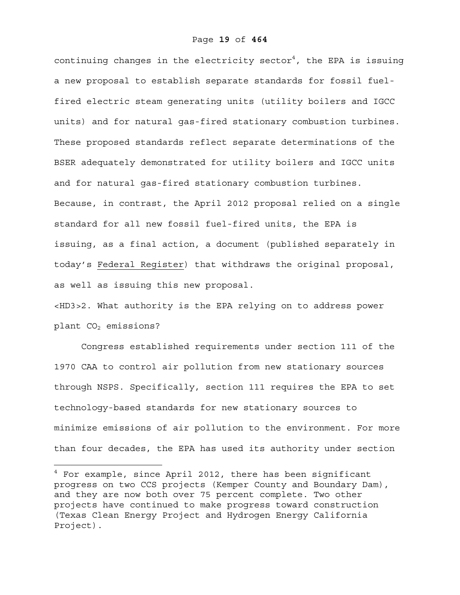continuing changes in the electricity sector $^4$ , the EPA is issuing a new proposal to establish separate standards for fossil fuelfired electric steam generating units (utility boilers and IGCC units) and for natural gas-fired stationary combustion turbines. These proposed standards reflect separate determinations of the BSER adequately demonstrated for utility boilers and IGCC units and for natural gas-fired stationary combustion turbines. Because, in contrast, the April 2012 proposal relied on a single standard for all new fossil fuel-fired units, the EPA is issuing, as a final action, a document (published separately in today's Federal Register) that withdraws the original proposal, as well as issuing this new proposal.

<HD3>2. What authority is the EPA relying on to address power plant CO<sub>2</sub> emissions?

Congress established requirements under section 111 of the 1970 CAA to control air pollution from new stationary sources through NSPS. Specifically, section 111 requires the EPA to set technology-based standards for new stationary sources to minimize emissions of air pollution to the environment. For more than four decades, the EPA has used its authority under section

1

 $^4$  For example, since April 2012, there has been significant progress on two CCS projects (Kemper County and Boundary Dam), and they are now both over 75 percent complete. Two other projects have continued to make progress toward construction (Texas Clean Energy Project and Hydrogen Energy California Project).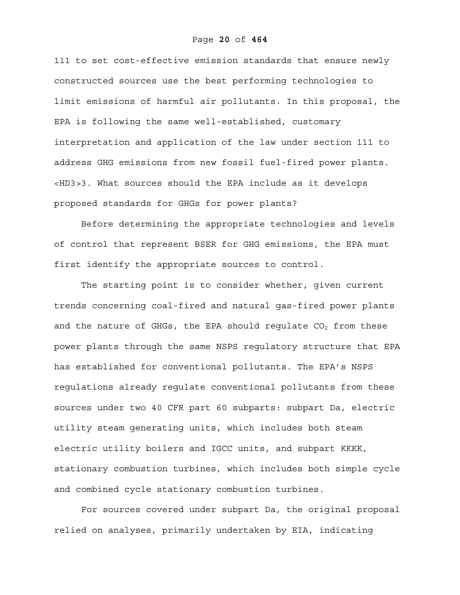111 to set cost-effective emission standards that ensure newly constructed sources use the best performing technologies to limit emissions of harmful air pollutants. In this proposal, the EPA is following the same well-established, customary interpretation and application of the law under section 111 to address GHG emissions from new fossil fuel-fired power plants. <HD3>3. What sources should the EPA include as it develops proposed standards for GHGs for power plants?

Before determining the appropriate technologies and levels of control that represent BSER for GHG emissions, the EPA must first identify the appropriate sources to control.

The starting point is to consider whether, given current trends concerning coal-fired and natural gas-fired power plants and the nature of GHGs, the EPA should requlate  $CO<sub>2</sub>$  from these power plants through the same NSPS regulatory structure that EPA has established for conventional pollutants. The EPA's NSPS regulations already regulate conventional pollutants from these sources under two 40 CFR part 60 subparts: subpart Da, electric utility steam generating units, which includes both steam electric utility boilers and IGCC units, and subpart KKKK, stationary combustion turbines, which includes both simple cycle and combined cycle stationary combustion turbines.

For sources covered under subpart Da, the original proposal relied on analyses, primarily undertaken by EIA, indicating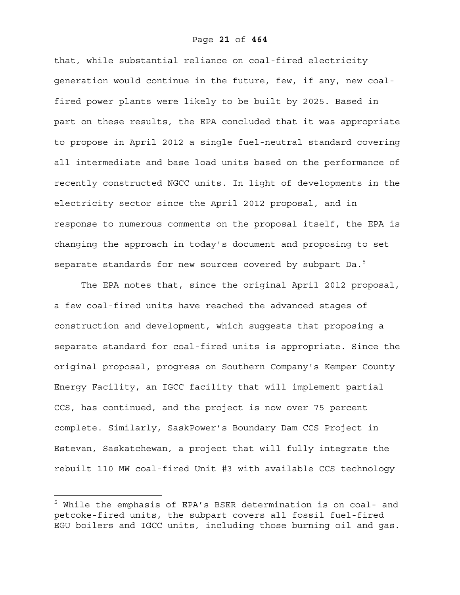that, while substantial reliance on coal-fired electricity generation would continue in the future, few, if any, new coalfired power plants were likely to be built by 2025. Based in part on these results, the EPA concluded that it was appropriate to propose in April 2012 a single fuel-neutral standard covering all intermediate and base load units based on the performance of recently constructed NGCC units. In light of developments in the electricity sector since the April 2012 proposal, and in response to numerous comments on the proposal itself, the EPA is changing the approach in today's document and proposing to set separate standards for new sources covered by subpart Da.<sup>5</sup>

The EPA notes that, since the original April 2012 proposal, a few coal-fired units have reached the advanced stages of construction and development, which suggests that proposing a separate standard for coal-fired units is appropriate. Since the original proposal, progress on Southern Company's Kemper County Energy Facility, an IGCC facility that will implement partial CCS, has continued, and the project is now over 75 percent complete. Similarly, SaskPower's Boundary Dam CCS Project in Estevan, Saskatchewan, a project that will fully integrate the rebuilt 110 MW coal-fired Unit #3 with available CCS technology

<sup>5</sup> While the emphasis of EPA's BSER determination is on coal- and petcoke-fired units, the subpart covers all fossil fuel-fired EGU boilers and IGCC units, including those burning oil and gas.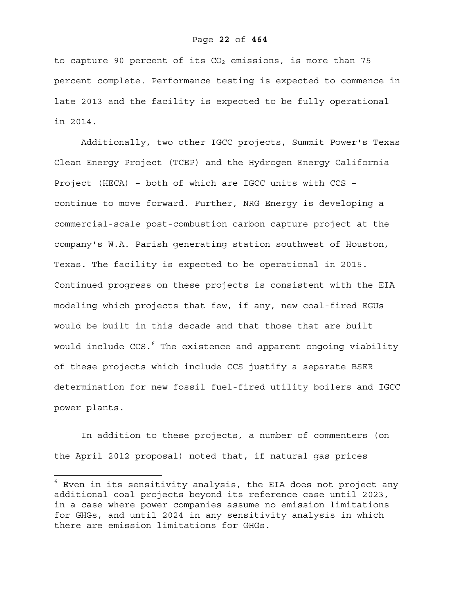## Page **22** of **464**

to capture 90 percent of its  $CO<sub>2</sub>$  emissions, is more than 75 percent complete. Performance testing is expected to commence in late 2013 and the facility is expected to be fully operational in 2014.

Additionally, two other IGCC projects, Summit Power's Texas Clean Energy Project (TCEP) and the Hydrogen Energy California Project (HECA) – both of which are IGCC units with CCS – continue to move forward. Further, NRG Energy is developing a commercial-scale post-combustion carbon capture project at the company's W.A. Parish generating station southwest of Houston, Texas. The facility is expected to be operational in 2015. Continued progress on these projects is consistent with the EIA modeling which projects that few, if any, new coal-fired EGUs would be built in this decade and that those that are built would include CCS.<sup>6</sup> The existence and apparent ongoing viability of these projects which include CCS justify a separate BSER determination for new fossil fuel-fired utility boilers and IGCC power plants.

In addition to these projects, a number of commenters (on the April 2012 proposal) noted that, if natural gas prices

 $^6$  Even in its sensitivity analysis, the EIA does not project any additional coal projects beyond its reference case until 2023, in a case where power companies assume no emission limitations for GHGs, and until 2024 in any sensitivity analysis in which there are emission limitations for GHGs.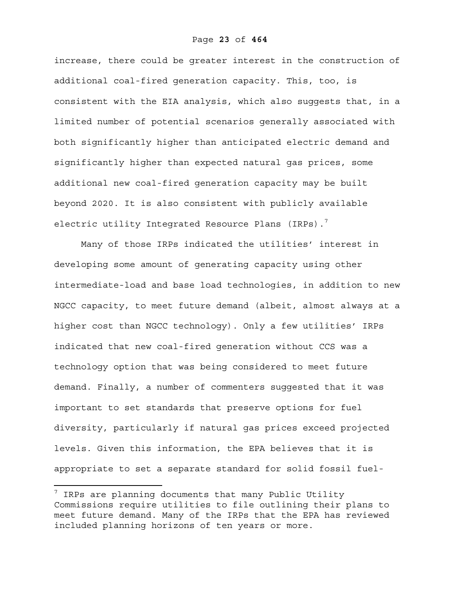increase, there could be greater interest in the construction of additional coal-fired generation capacity. This, too, is consistent with the EIA analysis, which also suggests that, in a limited number of potential scenarios generally associated with both significantly higher than anticipated electric demand and significantly higher than expected natural gas prices, some additional new coal-fired generation capacity may be built beyond 2020. It is also consistent with publicly available electric utility Integrated Resource Plans (IRPs).<sup>7</sup>

Many of those IRPs indicated the utilities' interest in developing some amount of generating capacity using other intermediate-load and base load technologies, in addition to new NGCC capacity, to meet future demand (albeit, almost always at a higher cost than NGCC technology). Only a few utilities' IRPs indicated that new coal-fired generation without CCS was a technology option that was being considered to meet future demand. Finally, a number of commenters suggested that it was important to set standards that preserve options for fuel diversity, particularly if natural gas prices exceed projected levels. Given this information, the EPA believes that it is appropriate to set a separate standard for solid fossil fuel-

 $^7$  IRPs are planning documents that many Public Utility Commissions require utilities to file outlining their plans to meet future demand. Many of the IRPs that the EPA has reviewed included planning horizons of ten years or more.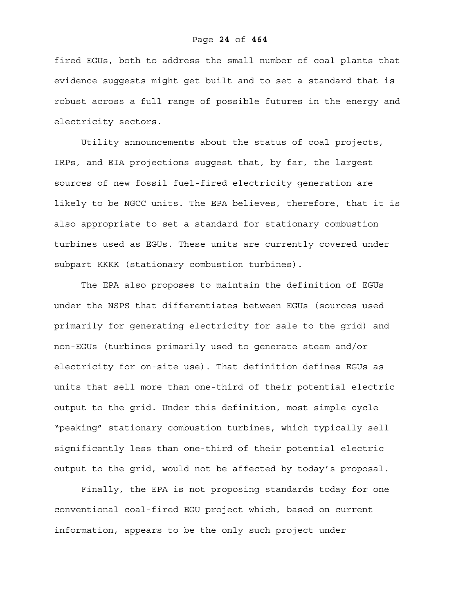fired EGUs, both to address the small number of coal plants that evidence suggests might get built and to set a standard that is robust across a full range of possible futures in the energy and electricity sectors.

Utility announcements about the status of coal projects, IRPs, and EIA projections suggest that, by far, the largest sources of new fossil fuel-fired electricity generation are likely to be NGCC units. The EPA believes, therefore, that it is also appropriate to set a standard for stationary combustion turbines used as EGUs. These units are currently covered under subpart KKKK (stationary combustion turbines).

The EPA also proposes to maintain the definition of EGUs under the NSPS that differentiates between EGUs (sources used primarily for generating electricity for sale to the grid) and non-EGUs (turbines primarily used to generate steam and/or electricity for on-site use). That definition defines EGUs as units that sell more than one-third of their potential electric output to the grid. Under this definition, most simple cycle "peaking" stationary combustion turbines, which typically sell significantly less than one-third of their potential electric output to the grid, would not be affected by today's proposal.

Finally, the EPA is not proposing standards today for one conventional coal-fired EGU project which, based on current information, appears to be the only such project under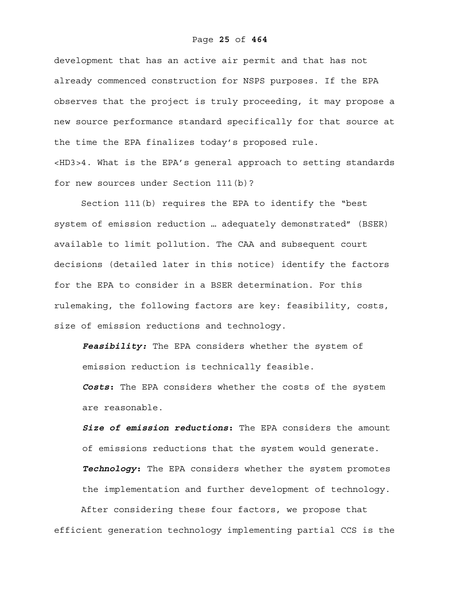development that has an active air permit and that has not already commenced construction for NSPS purposes. If the EPA observes that the project is truly proceeding, it may propose a new source performance standard specifically for that source at the time the EPA finalizes today's proposed rule. <HD3>4. What is the EPA's general approach to setting standards for new sources under Section 111(b)?

Section 111(b) requires the EPA to identify the "best system of emission reduction … adequately demonstrated" (BSER) available to limit pollution. The CAA and subsequent court decisions (detailed later in this notice) identify the factors for the EPA to consider in a BSER determination. For this rulemaking, the following factors are key: feasibility, costs, size of emission reductions and technology.

*Feasibility:* The EPA considers whether the system of emission reduction is technically feasible. *Costs***:** The EPA considers whether the costs of the system are reasonable.

*Size of emission reductions***:** The EPA considers the amount of emissions reductions that the system would generate. *Technology***:** The EPA considers whether the system promotes the implementation and further development of technology. After considering these four factors, we propose that

efficient generation technology implementing partial CCS is the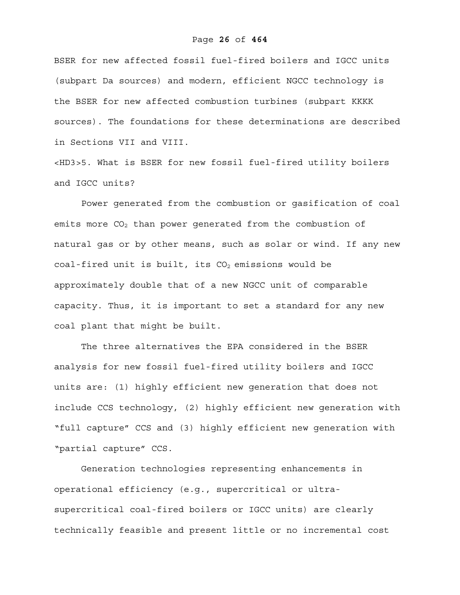## Page **26** of **464**

BSER for new affected fossil fuel-fired boilers and IGCC units (subpart Da sources) and modern, efficient NGCC technology is the BSER for new affected combustion turbines (subpart KKKK sources). The foundations for these determinations are described in Sections VII and VIII.

<HD3>5. What is BSER for new fossil fuel-fired utility boilers and IGCC units?

Power generated from the combustion or gasification of coal emits more  $CO<sub>2</sub>$  than power generated from the combustion of natural gas or by other means, such as solar or wind. If any new coal-fired unit is built, its  $CO<sub>2</sub>$  emissions would be approximately double that of a new NGCC unit of comparable capacity. Thus, it is important to set a standard for any new coal plant that might be built.

The three alternatives the EPA considered in the BSER analysis for new fossil fuel-fired utility boilers and IGCC units are: (1) highly efficient new generation that does not include CCS technology, (2) highly efficient new generation with "full capture" CCS and (3) highly efficient new generation with "partial capture" CCS.

Generation technologies representing enhancements in operational efficiency (e.g., supercritical or ultrasupercritical coal-fired boilers or IGCC units) are clearly technically feasible and present little or no incremental cost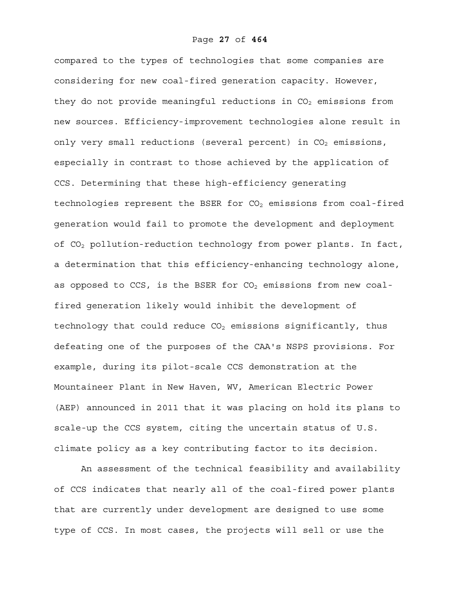compared to the types of technologies that some companies are considering for new coal-fired generation capacity. However, they do not provide meaningful reductions in  $CO<sub>2</sub>$  emissions from new sources. Efficiency-improvement technologies alone result in only very small reductions (several percent) in  $CO<sub>2</sub>$  emissions, especially in contrast to those achieved by the application of CCS. Determining that these high-efficiency generating technologies represent the BSER for  $CO<sub>2</sub>$  emissions from coal-fired generation would fail to promote the development and deployment of CO<sub>2</sub> pollution-reduction technology from power plants. In fact, a determination that this efficiency-enhancing technology alone, as opposed to CCS, is the BSER for  $CO<sub>2</sub>$  emissions from new coalfired generation likely would inhibit the development of technology that could reduce  $CO<sub>2</sub>$  emissions significantly, thus defeating one of the purposes of the CAA's NSPS provisions. For example, during its pilot-scale CCS demonstration at the Mountaineer Plant in New Haven, WV, American Electric Power (AEP) announced in 2011 that it was placing on hold its plans to scale-up the CCS system, citing the uncertain status of U.S. climate policy as a key contributing factor to its decision.

An assessment of the technical feasibility and availability of CCS indicates that nearly all of the coal-fired power plants that are currently under development are designed to use some type of CCS. In most cases, the projects will sell or use the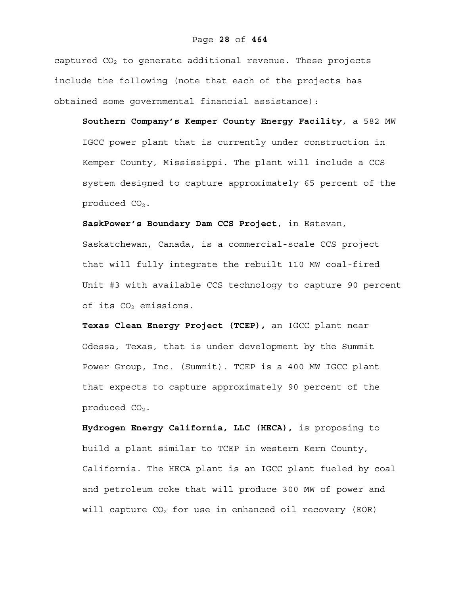captured  $CO<sub>2</sub>$  to generate additional revenue. These projects include the following (note that each of the projects has obtained some governmental financial assistance):

**Southern Company's Kemper County Energy Facility**, a 582 MW IGCC power plant that is currently under construction in Kemper County, Mississippi. The plant will include a CCS system designed to capture approximately 65 percent of the produced  $CO<sub>2</sub>$ .

**SaskPower's Boundary Dam CCS Project**, in Estevan, Saskatchewan, Canada, is a commercial-scale CCS project that will fully integrate the rebuilt 110 MW coal-fired Unit #3 with available CCS technology to capture 90 percent of its  $CO<sub>2</sub>$  emissions.

**Texas Clean Energy Project (TCEP),** an IGCC plant near Odessa, Texas, that is under development by the Summit Power Group, Inc. (Summit). TCEP is a 400 MW IGCC plant that expects to capture approximately 90 percent of the produced  $CO<sub>2</sub>$ .

**Hydrogen Energy California, LLC (HECA),** is proposing to build a plant similar to TCEP in western Kern County, California. The HECA plant is an IGCC plant fueled by coal and petroleum coke that will produce 300 MW of power and will capture  $CO<sub>2</sub>$  for use in enhanced oil recovery (EOR)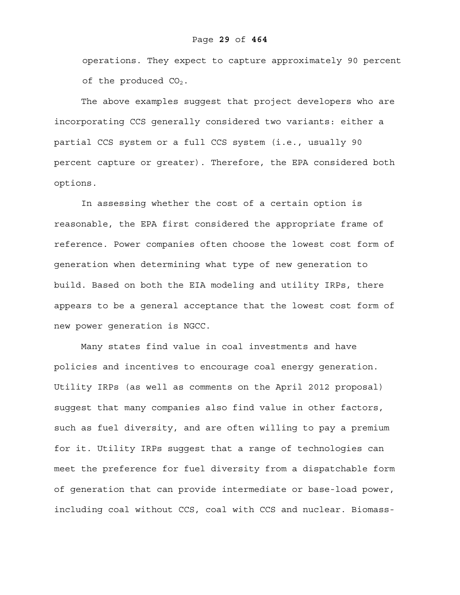operations. They expect to capture approximately 90 percent of the produced  $CO<sub>2</sub>$ .

The above examples suggest that project developers who are incorporating CCS generally considered two variants: either a partial CCS system or a full CCS system (i.e., usually 90 percent capture or greater). Therefore, the EPA considered both options.

In assessing whether the cost of a certain option is reasonable, the EPA first considered the appropriate frame of reference. Power companies often choose the lowest cost form of generation when determining what type of new generation to build. Based on both the EIA modeling and utility IRPs, there appears to be a general acceptance that the lowest cost form of new power generation is NGCC.

Many states find value in coal investments and have policies and incentives to encourage coal energy generation. Utility IRPs (as well as comments on the April 2012 proposal) suggest that many companies also find value in other factors, such as fuel diversity, and are often willing to pay a premium for it. Utility IRPs suggest that a range of technologies can meet the preference for fuel diversity from a dispatchable form of generation that can provide intermediate or base-load power, including coal without CCS, coal with CCS and nuclear. Biomass-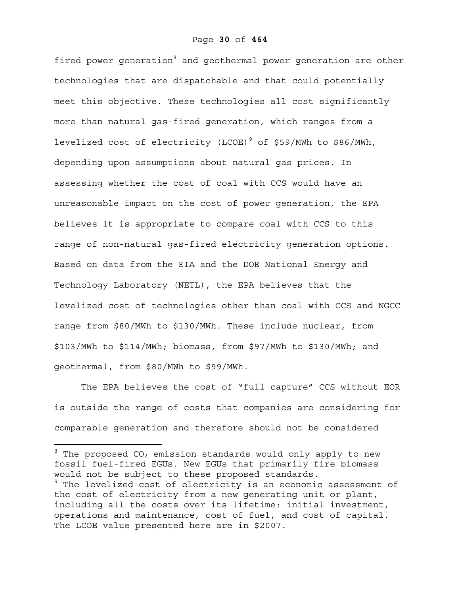fired power generation<sup>8</sup> and geothermal power generation are other technologies that are dispatchable and that could potentially meet this objective. These technologies all cost significantly more than natural gas-fired generation, which ranges from a levelized cost of electricity (LCOE)<sup>9</sup> of \$59/MWh to \$86/MWh, depending upon assumptions about natural gas prices. In assessing whether the cost of coal with CCS would have an unreasonable impact on the cost of power generation, the EPA believes it is appropriate to compare coal with CCS to this range of non-natural gas-fired electricity generation options. Based on data from the EIA and the DOE National Energy and Technology Laboratory (NETL), the EPA believes that the levelized cost of technologies other than coal with CCS and NGCC range from \$80/MWh to \$130/MWh. These include nuclear, from \$103/MWh to \$114/MWh; biomass, from \$97/MWh to \$130/MWh; and geothermal, from \$80/MWh to \$99/MWh.

The EPA believes the cost of "full capture" CCS without EOR is outside the range of costs that companies are considering for comparable generation and therefore should not be considered

 $^{\text{\tiny{8}}}$  The proposed CO<sub>2</sub> emission standards would only apply to new fossil fuel-fired EGUs. New EGUs that primarily fire biomass would not be subject to these proposed standards.

<sup>9</sup> The levelized cost of electricity is an economic assessment of the cost of electricity from a new generating unit or plant, including all the costs over its lifetime: initial investment, operations and maintenance, cost of fuel, and cost of capital. The LCOE value presented here are in \$2007.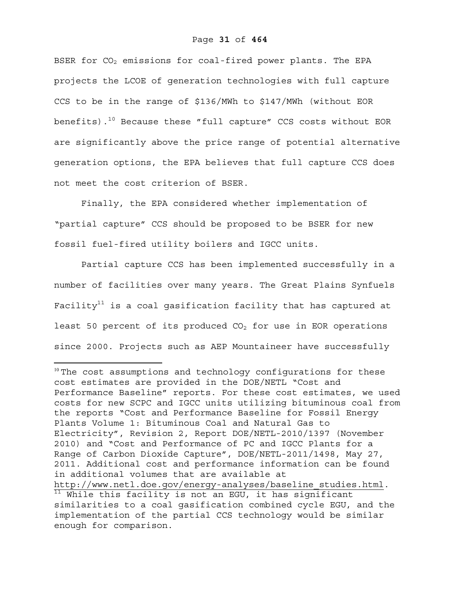BSER for CO<sub>2</sub> emissions for coal-fired power plants. The EPA projects the LCOE of generation technologies with full capture CCS to be in the range of \$136/MWh to \$147/MWh (without EOR benefits).<sup>10</sup> Because these "full capture" CCS costs without EOR are significantly above the price range of potential alternative generation options, the EPA believes that full capture CCS does not meet the cost criterion of BSER.

Finally, the EPA considered whether implementation of "partial capture" CCS should be proposed to be BSER for new fossil fuel-fired utility boilers and IGCC units.

Partial capture CCS has been implemented successfully in a number of facilities over many years. The Great Plains Synfuels Facility<sup>11</sup> is a coal gasification facility that has captured at least 50 percent of its produced  $CO<sub>2</sub>$  for use in EOR operations since 2000. Projects such as AEP Mountaineer have successfully

 $10$  The cost assumptions and technology configurations for these cost estimates are provided in the DOE/NETL "Cost and Performance Baseline" reports. For these cost estimates, we used costs for new SCPC and IGCC units utilizing bituminous coal from the reports "Cost and Performance Baseline for Fossil Energy Plants Volume 1: Bituminous Coal and Natural Gas to Electricity", Revision 2, Report DOE/NETL-2010/1397 (November 2010) and "Cost and Performance of PC and IGCC Plants for a Range of Carbon Dioxide Capture", DOE/NETL-2011/1498, May 27, 2011. Additional cost and performance information can be found in additional volumes that are available at http://www.netl.doe.gov/energy-analyses/baseline\_studies.html.<br><sup>11</sup> While this facility is not an EGU, it has significant similarities to a coal gasification combined cycle EGU, and the implementation of the partial CCS technology would be similar enough for comparison.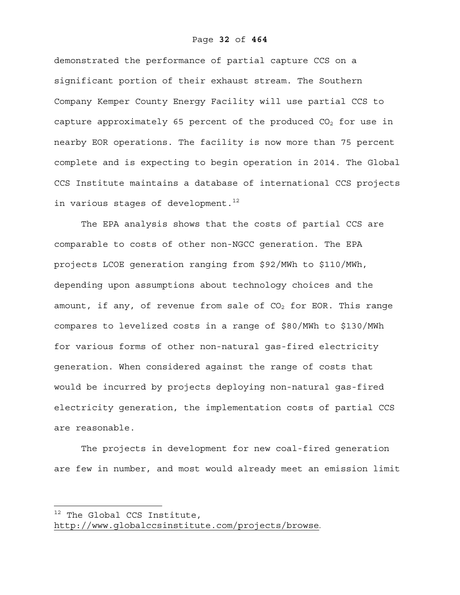demonstrated the performance of partial capture CCS on a significant portion of their exhaust stream. The Southern Company Kemper County Energy Facility will use partial CCS to capture approximately 65 percent of the produced  $CO<sub>2</sub>$  for use in nearby EOR operations. The facility is now more than 75 percent complete and is expecting to begin operation in 2014. The Global CCS Institute maintains a database of international CCS projects in various stages of development. $^{12}$ 

The EPA analysis shows that the costs of partial CCS are comparable to costs of other non-NGCC generation. The EPA projects LCOE generation ranging from \$92/MWh to \$110/MWh, depending upon assumptions about technology choices and the amount, if any, of revenue from sale of  $CO<sub>2</sub>$  for EOR. This range compares to levelized costs in a range of \$80/MWh to \$130/MWh for various forms of other non-natural gas-fired electricity generation. When considered against the range of costs that would be incurred by projects deploying non-natural gas-fired electricity generation, the implementation costs of partial CCS are reasonable.

The projects in development for new coal-fired generation are few in number, and most would already meet an emission limit

The Global CCS Institute,

http://www.globalccsinstitute.com/projects/browse.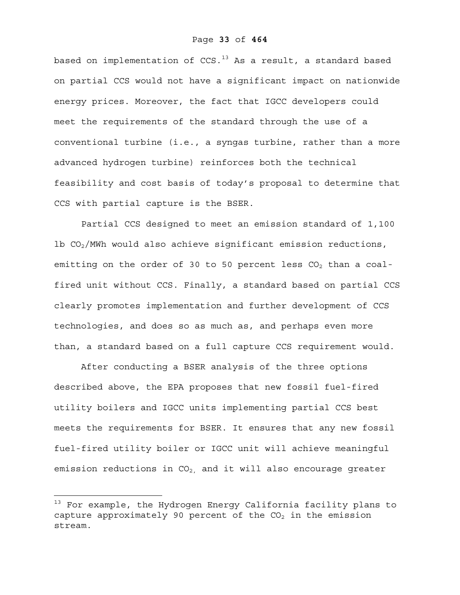based on implementation of  $CCS$ .<sup>13</sup> As a result, a standard based on partial CCS would not have a significant impact on nationwide energy prices. Moreover, the fact that IGCC developers could meet the requirements of the standard through the use of a conventional turbine (i.e., a syngas turbine, rather than a more advanced hydrogen turbine) reinforces both the technical feasibility and cost basis of today's proposal to determine that CCS with partial capture is the BSER.

Partial CCS designed to meet an emission standard of 1,100 1b  $CO<sub>2</sub>/MWh$  would also achieve significant emission reductions, emitting on the order of 30 to 50 percent less  $CO<sub>2</sub>$  than a coalfired unit without CCS. Finally, a standard based on partial CCS clearly promotes implementation and further development of CCS technologies, and does so as much as, and perhaps even more than, a standard based on a full capture CCS requirement would.

After conducting a BSER analysis of the three options described above, the EPA proposes that new fossil fuel-fired utility boilers and IGCC units implementing partial CCS best meets the requirements for BSER. It ensures that any new fossil fuel-fired utility boiler or IGCC unit will achieve meaningful emission reductions in  $CO<sub>2</sub>$ , and it will also encourage greater

 $^\text{13}$  For example, the Hydrogen Energy California facility plans to capture approximately 90 percent of the  $CO<sub>2</sub>$  in the emission stream.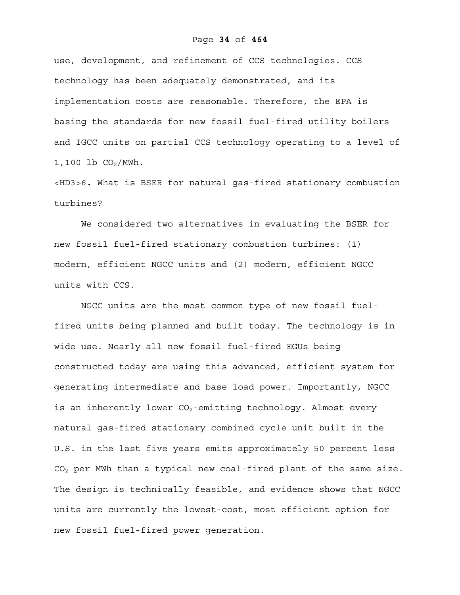## Page **34** of **464**

use, development, and refinement of CCS technologies. CCS technology has been adequately demonstrated, and its implementation costs are reasonable. Therefore, the EPA is basing the standards for new fossil fuel-fired utility boilers and IGCC units on partial CCS technology operating to a level of  $1,100$  lb  $CO<sub>2</sub>/MWh$ .

<HD3>6**.** What is BSER for natural gas-fired stationary combustion turbines?

We considered two alternatives in evaluating the BSER for new fossil fuel-fired stationary combustion turbines: (1) modern, efficient NGCC units and (2) modern, efficient NGCC units with CCS.

NGCC units are the most common type of new fossil fuelfired units being planned and built today. The technology is in wide use. Nearly all new fossil fuel-fired EGUs being constructed today are using this advanced, efficient system for generating intermediate and base load power. Importantly, NGCC is an inherently lower  $CO_2$ -emitting technology. Almost every natural gas-fired stationary combined cycle unit built in the U.S. in the last five years emits approximately 50 percent less  $CO<sub>2</sub>$  per MWh than a typical new coal-fired plant of the same size. The design is technically feasible, and evidence shows that NGCC units are currently the lowest-cost, most efficient option for new fossil fuel-fired power generation.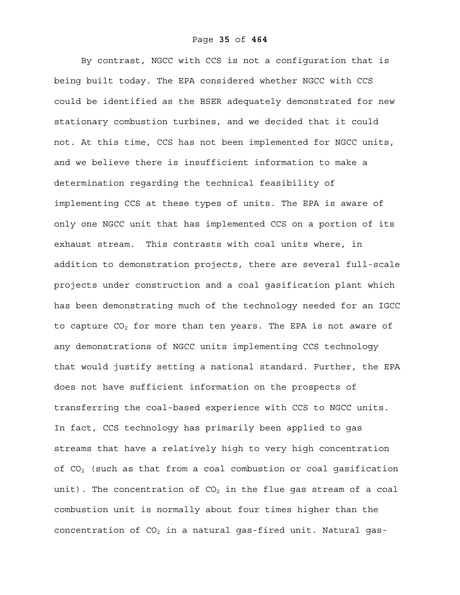By contrast, NGCC with CCS is not a configuration that is being built today. The EPA considered whether NGCC with CCS could be identified as the BSER adequately demonstrated for new stationary combustion turbines, and we decided that it could not. At this time, CCS has not been implemented for NGCC units, and we believe there is insufficient information to make a determination regarding the technical feasibility of implementing CCS at these types of units. The EPA is aware of only one NGCC unit that has implemented CCS on a portion of its exhaust stream. This contrasts with coal units where, in addition to demonstration projects, there are several full-scale projects under construction and a coal gasification plant which has been demonstrating much of the technology needed for an IGCC to capture  $CO<sub>2</sub>$  for more than ten years. The EPA is not aware of any demonstrations of NGCC units implementing CCS technology that would justify setting a national standard. Further, the EPA does not have sufficient information on the prospects of transferring the coal-based experience with CCS to NGCC units. In fact, CCS technology has primarily been applied to gas streams that have a relatively high to very high concentration of  $CO<sub>2</sub>$  (such as that from a coal combustion or coal gasification unit). The concentration of  $CO<sub>2</sub>$  in the flue gas stream of a coal combustion unit is normally about four times higher than the concentration of  $CO<sub>2</sub>$  in a natural gas-fired unit. Natural gas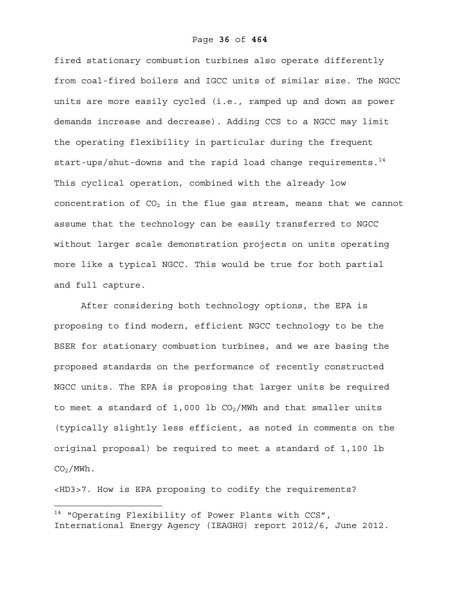fired stationary combustion turbines also operate differently from coal-fired boilers and IGCC units of similar size. The NGCC units are more easily cycled (i.e., ramped up and down as power demands increase and decrease). Adding CCS to a NGCC may limit the operating flexibility in particular during the frequent start-ups/shut-downs and the rapid load change requirements. $14$ This cyclical operation, combined with the already low concentration of  $CO<sub>2</sub>$  in the flue gas stream, means that we cannot assume that the technology can be easily transferred to NGCC without larger scale demonstration projects on units operating more like a typical NGCC. This would be true for both partial and full capture.

After considering both technology options, the EPA is proposing to find modern, efficient NGCC technology to be the BSER for stationary combustion turbines, and we are basing the proposed standards on the performance of recently constructed NGCC units. The EPA is proposing that larger units be required to meet a standard of 1,000 lb  $CO<sub>2</sub>/MWh$  and that smaller units (typically slightly less efficient, as noted in comments on the original proposal) be required to meet a standard of 1,100 lb  $CO<sub>2</sub>/MWh$ .

<HD3>7. How is EPA proposing to codify the requirements?

<sup>&</sup>lt;sup>14</sup> "Operating Flexibility of Power Plants with CCS", International Energy Agency (IEAGHG) report 2012/6, June 2012.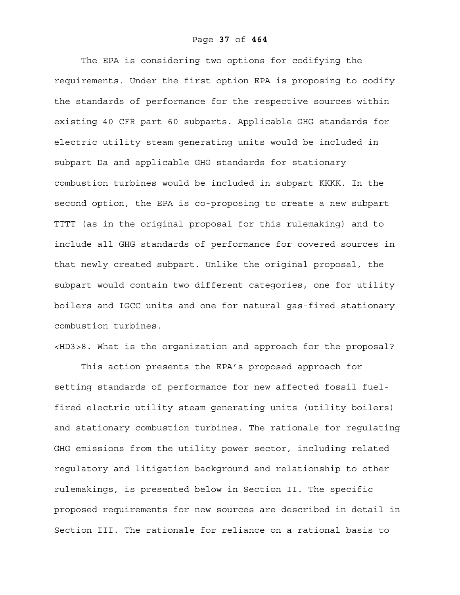The EPA is considering two options for codifying the requirements. Under the first option EPA is proposing to codify the standards of performance for the respective sources within existing 40 CFR part 60 subparts. Applicable GHG standards for electric utility steam generating units would be included in subpart Da and applicable GHG standards for stationary combustion turbines would be included in subpart KKKK. In the second option, the EPA is co-proposing to create a new subpart TTTT (as in the original proposal for this rulemaking) and to include all GHG standards of performance for covered sources in that newly created subpart. Unlike the original proposal, the subpart would contain two different categories, one for utility boilers and IGCC units and one for natural gas-fired stationary combustion turbines.

<HD3>8. What is the organization and approach for the proposal?

 This action presents the EPA's proposed approach for setting standards of performance for new affected fossil fuelfired electric utility steam generating units (utility boilers) and stationary combustion turbines. The rationale for regulating GHG emissions from the utility power sector, including related regulatory and litigation background and relationship to other rulemakings, is presented below in Section II. The specific proposed requirements for new sources are described in detail in Section III. The rationale for reliance on a rational basis to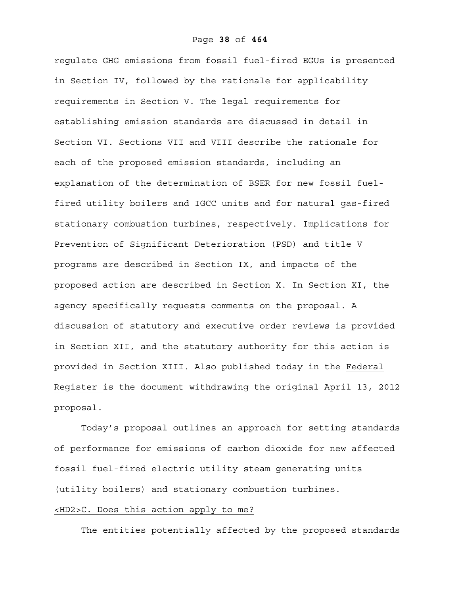regulate GHG emissions from fossil fuel-fired EGUs is presented in Section IV, followed by the rationale for applicability requirements in Section V. The legal requirements for establishing emission standards are discussed in detail in Section VI. Sections VII and VIII describe the rationale for each of the proposed emission standards, including an explanation of the determination of BSER for new fossil fuelfired utility boilers and IGCC units and for natural gas-fired stationary combustion turbines, respectively. Implications for Prevention of Significant Deterioration (PSD) and title V programs are described in Section IX, and impacts of the proposed action are described in Section X. In Section XI, the agency specifically requests comments on the proposal. A discussion of statutory and executive order reviews is provided in Section XII, and the statutory authority for this action is provided in Section XIII. Also published today in the Federal Register is the document withdrawing the original April 13, 2012 proposal.

Today's proposal outlines an approach for setting standards of performance for emissions of carbon dioxide for new affected fossil fuel-fired electric utility steam generating units (utility boilers) and stationary combustion turbines.

## <HD2>C. Does this action apply to me?

The entities potentially affected by the proposed standards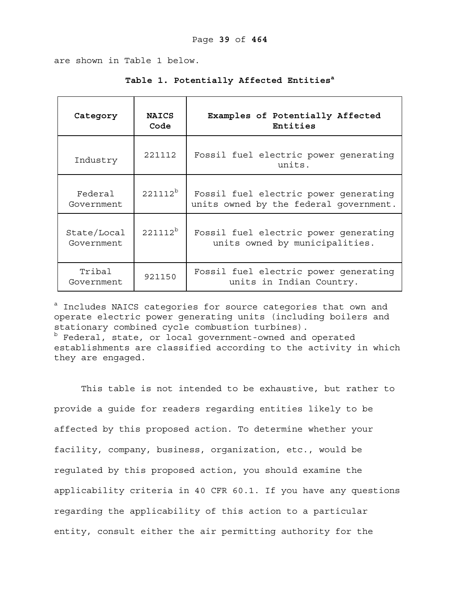are shown in Table 1 below.

| Category                  | <b>NAICS</b><br>Code | Examples of Potentially Affected<br>Entities                                    |
|---------------------------|----------------------|---------------------------------------------------------------------------------|
| Industry                  | 221112               | Fossil fuel electric power generating<br>units.                                 |
| Federal<br>Government     | $221112^b$           | Fossil fuel electric power generating<br>units owned by the federal government. |
| State/Local<br>Government | $221112^b$           | Fossil fuel electric power generating<br>units owned by municipalities.         |
| Tribal<br>Government      | 921150               | Fossil fuel electric power generating<br>units in Indian Country.               |

Table 1. Potentially Affected Entities<sup>a</sup>

<sup>a</sup> Includes NAICS categories for source categories that own and operate electric power generating units (including boilers and stationary combined cycle combustion turbines). b Federal, state, or local government-owned and operated establishments are classified according to the activity in which they are engaged.

This table is not intended to be exhaustive, but rather to provide a guide for readers regarding entities likely to be affected by this proposed action. To determine whether your facility, company, business, organization, etc., would be regulated by this proposed action, you should examine the applicability criteria in 40 CFR 60.1. If you have any questions regarding the applicability of this action to a particular entity, consult either the air permitting authority for the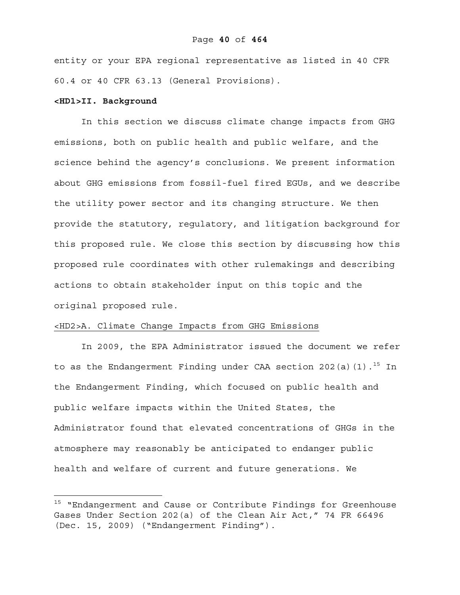entity or your EPA regional representative as listed in 40 CFR 60.4 or 40 CFR 63.13 (General Provisions).

### **<HD1>II. Background**

1

In this section we discuss climate change impacts from GHG emissions, both on public health and public welfare, and the science behind the agency's conclusions. We present information about GHG emissions from fossil-fuel fired EGUs, and we describe the utility power sector and its changing structure. We then provide the statutory, regulatory, and litigation background for this proposed rule. We close this section by discussing how this proposed rule coordinates with other rulemakings and describing actions to obtain stakeholder input on this topic and the original proposed rule.

## <HD2>A. Climate Change Impacts from GHG Emissions

In 2009, the EPA Administrator issued the document we refer to as the Endangerment Finding under CAA section 202(a)(1).<sup>15</sup> In the Endangerment Finding, which focused on public health and public welfare impacts within the United States, the Administrator found that elevated concentrations of GHGs in the atmosphere may reasonably be anticipated to endanger public health and welfare of current and future generations. We

<sup>&</sup>lt;sup>15</sup> "Endangerment and Cause or Contribute Findings for Greenhouse Gases Under Section 202(a) of the Clean Air Act," 74 FR 66496 (Dec. 15, 2009) ("Endangerment Finding").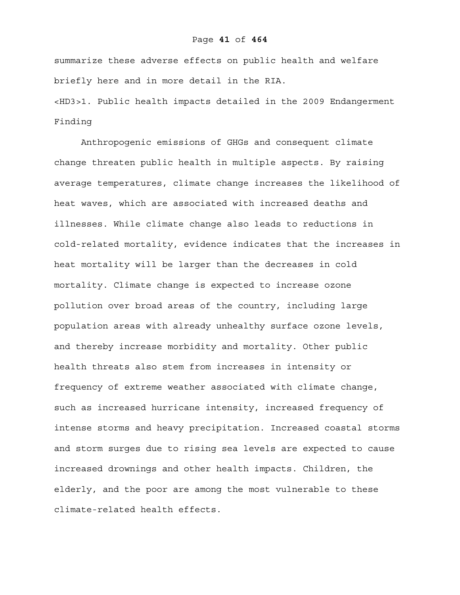summarize these adverse effects on public health and welfare briefly here and in more detail in the RIA.

<HD3>1. Public health impacts detailed in the 2009 Endangerment Finding

Anthropogenic emissions of GHGs and consequent climate change threaten public health in multiple aspects. By raising average temperatures, climate change increases the likelihood of heat waves, which are associated with increased deaths and illnesses. While climate change also leads to reductions in cold-related mortality, evidence indicates that the increases in heat mortality will be larger than the decreases in cold mortality. Climate change is expected to increase ozone pollution over broad areas of the country, including large population areas with already unhealthy surface ozone levels, and thereby increase morbidity and mortality. Other public health threats also stem from increases in intensity or frequency of extreme weather associated with climate change, such as increased hurricane intensity, increased frequency of intense storms and heavy precipitation. Increased coastal storms and storm surges due to rising sea levels are expected to cause increased drownings and other health impacts. Children, the elderly, and the poor are among the most vulnerable to these climate-related health effects.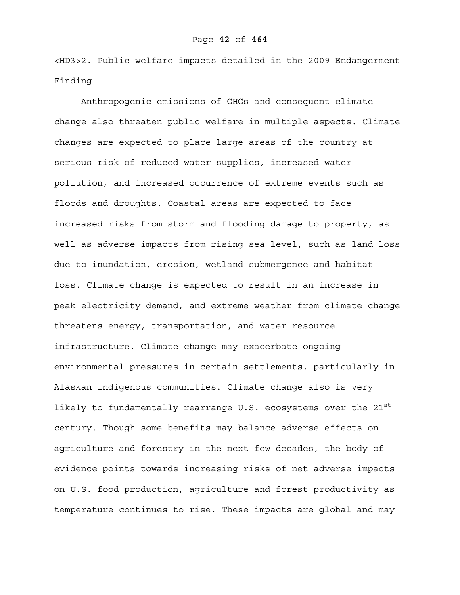<HD3>2. Public welfare impacts detailed in the 2009 Endangerment Finding

Anthropogenic emissions of GHGs and consequent climate change also threaten public welfare in multiple aspects. Climate changes are expected to place large areas of the country at serious risk of reduced water supplies, increased water pollution, and increased occurrence of extreme events such as floods and droughts. Coastal areas are expected to face increased risks from storm and flooding damage to property, as well as adverse impacts from rising sea level, such as land loss due to inundation, erosion, wetland submergence and habitat loss. Climate change is expected to result in an increase in peak electricity demand, and extreme weather from climate change threatens energy, transportation, and water resource infrastructure. Climate change may exacerbate ongoing environmental pressures in certain settlements, particularly in Alaskan indigenous communities. Climate change also is very likely to fundamentally rearrange U.S. ecosystems over the  $21^{st}$ century. Though some benefits may balance adverse effects on agriculture and forestry in the next few decades, the body of evidence points towards increasing risks of net adverse impacts on U.S. food production, agriculture and forest productivity as temperature continues to rise. These impacts are global and may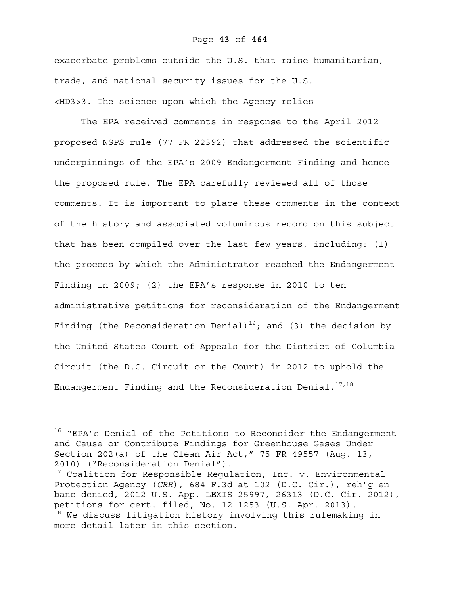### Page **43** of **464**

exacerbate problems outside the U.S. that raise humanitarian, trade, and national security issues for the U.S. <HD3>3. The science upon which the Agency relies

The EPA received comments in response to the April 2012 proposed NSPS rule (77 FR 22392) that addressed the scientific underpinnings of the EPA's 2009 Endangerment Finding and hence the proposed rule. The EPA carefully reviewed all of those comments. It is important to place these comments in the context of the history and associated voluminous record on this subject that has been compiled over the last few years, including: (1) the process by which the Administrator reached the Endangerment Finding in 2009; (2) the EPA's response in 2010 to ten administrative petitions for reconsideration of the Endangerment Finding (the Reconsideration Denial)<sup>16</sup>; and (3) the decision by the United States Court of Appeals for the District of Columbia Circuit (the D.C. Circuit or the Court) in 2012 to uphold the Endangerment Finding and the Reconsideration Denial.<sup>17,18</sup>

1

<sup>&</sup>lt;sup>16</sup> "EPA's Denial of the Petitions to Reconsider the Endangerment and Cause or Contribute Findings for Greenhouse Gases Under Section 202(a) of the Clean Air Act," 75 FR 49557 (Aug. 13, 2010) ("Reconsideration Denial").

<sup>&</sup>lt;sup>17</sup> Coalition for Responsible Regulation, Inc. v. Environmental Protection Agency (*CRR*), 684 F.3d at 102 (D.C. Cir.), reh'g en banc denied, 2012 U.S. App. LEXIS 25997, 26313 (D.C. Cir. 2012), petitions for cert. filed, No. 12-1253 (U.S. Apr. 2013). <sup>18</sup> We discuss litigation history involving this rulemaking in more detail later in this section.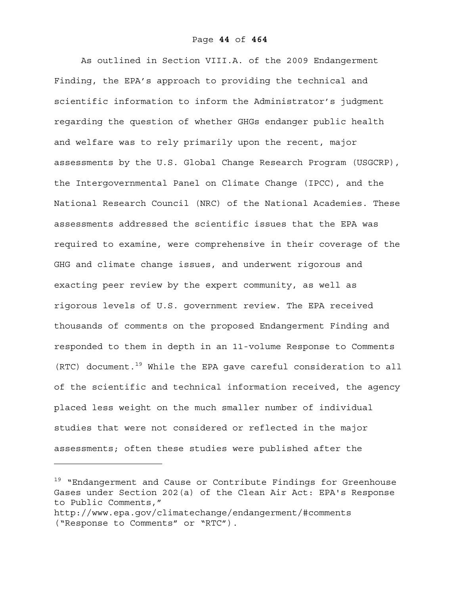As outlined in Section VIII.A. of the 2009 Endangerment Finding, the EPA's approach to providing the technical and scientific information to inform the Administrator's judgment regarding the question of whether GHGs endanger public health and welfare was to rely primarily upon the recent, major assessments by the U.S. Global Change Research Program (USGCRP), the Intergovernmental Panel on Climate Change (IPCC), and the National Research Council (NRC) of the National Academies. These assessments addressed the scientific issues that the EPA was required to examine, were comprehensive in their coverage of the GHG and climate change issues, and underwent rigorous and exacting peer review by the expert community, as well as rigorous levels of U.S. government review. The EPA received thousands of comments on the proposed Endangerment Finding and responded to them in depth in an 11-volume Response to Comments  $(RTC)$  document.<sup>19</sup> While the EPA gave careful consideration to all of the scientific and technical information received, the agency placed less weight on the much smaller number of individual studies that were not considered or reflected in the major assessments; often these studies were published after the

<sup>&</sup>lt;sup>19</sup> "Endangerment and Cause or Contribute Findings for Greenhouse Gases under Section 202(a) of the Clean Air Act: EPA's Response to Public Comments,"

http://www.epa.gov/climatechange/endangerment/#comments ("Response to Comments" or "RTC").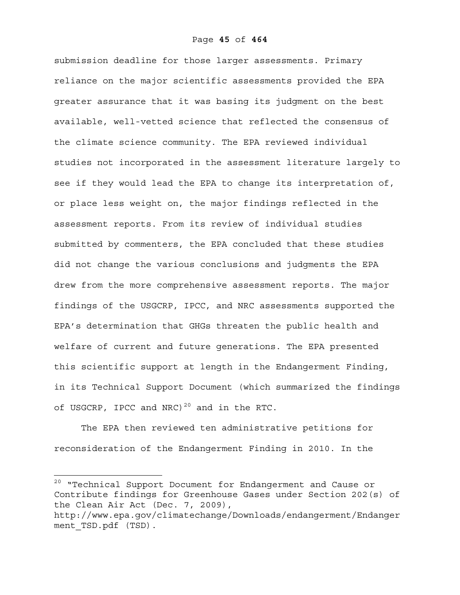submission deadline for those larger assessments. Primary reliance on the major scientific assessments provided the EPA greater assurance that it was basing its judgment on the best available, well-vetted science that reflected the consensus of the climate science community. The EPA reviewed individual studies not incorporated in the assessment literature largely to see if they would lead the EPA to change its interpretation of, or place less weight on, the major findings reflected in the assessment reports. From its review of individual studies submitted by commenters, the EPA concluded that these studies did not change the various conclusions and judgments the EPA drew from the more comprehensive assessment reports. The major findings of the USGCRP, IPCC, and NRC assessments supported the EPA's determination that GHGs threaten the public health and welfare of current and future generations. The EPA presented this scientific support at length in the Endangerment Finding, in its Technical Support Document (which summarized the findings of USGCRP, IPCC and NRC)<sup>20</sup> and in the RTC.

The EPA then reviewed ten administrative petitions for reconsideration of the Endangerment Finding in 2010. In the

 $^{20}$  "Technical Support Document for Endangerment and Cause or Contribute findings for Greenhouse Gases under Section 202(s) of the Clean Air Act (Dec. 7, 2009),

http://www.epa.gov/climatechange/Downloads/endangerment/Endanger ment TSD.pdf (TSD).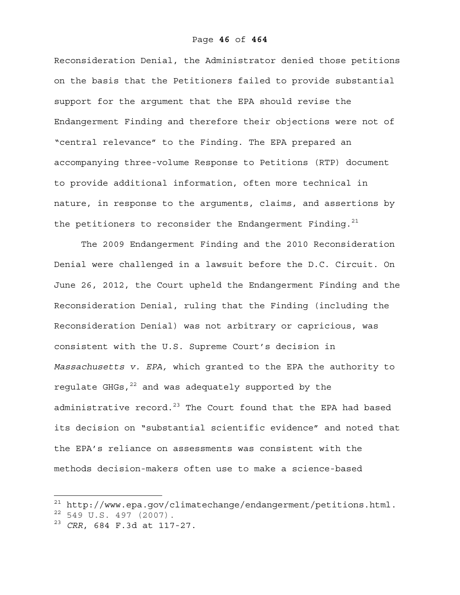Reconsideration Denial, the Administrator denied those petitions on the basis that the Petitioners failed to provide substantial support for the argument that the EPA should revise the Endangerment Finding and therefore their objections were not of "central relevance" to the Finding. The EPA prepared an accompanying three-volume Response to Petitions (RTP) document to provide additional information, often more technical in nature, in response to the arguments, claims, and assertions by the petitioners to reconsider the Endangerment Finding.<sup>21</sup>

The 2009 Endangerment Finding and the 2010 Reconsideration Denial were challenged in a lawsuit before the D.C. Circuit. On June 26, 2012, the Court upheld the Endangerment Finding and the Reconsideration Denial, ruling that the Finding (including the Reconsideration Denial) was not arbitrary or capricious, was consistent with the U.S. Supreme Court's decision in *Massachusetts v. EPA,* which granted to the EPA the authority to requlate  $GHGs$ ,  $^{22}$  and was adequately supported by the administrative record. $^{23}$  The Court found that the EPA had based its decision on "substantial scientific evidence" and noted that the EPA's reliance on assessments was consistent with the methods decision-makers often use to make a science-based

 $^{21}$  http://www.epa.gov/climatechange/endangerment/petitions.html.

 $22$  549 U.S. 497 (2007).

<sup>23</sup> *CRR*, 684 F.3d at 117-27.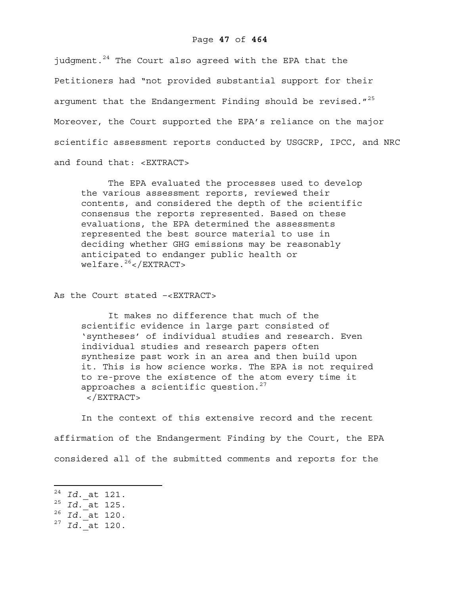## Page **47** of **464**

judqment.<sup>24</sup> The Court also agreed with the EPA that the Petitioners had "not provided substantial support for their argument that the Endangerment Finding should be revised."<sup>25</sup> Moreover, the Court supported the EPA's reliance on the major scientific assessment reports conducted by USGCRP, IPCC, and NRC and found that: <EXTRACT>

The EPA evaluated the processes used to develop the various assessment reports, reviewed their contents, and considered the depth of the scientific consensus the reports represented. Based on these evaluations, the EPA determined the assessments represented the best source material to use in deciding whether GHG emissions may be reasonably anticipated to endanger public health or  $wellfare.^{26}$ </EXTRACT>

As the Court stated –<EXTRACT>

It makes no difference that much of the scientific evidence in large part consisted of 'syntheses' of individual studies and research. Even individual studies and research papers often synthesize past work in an area and then build upon it. This is how science works. The EPA is not required to re-prove the existence of the atom every time it approaches a scientific question. $27$  $<$ /EXTRACT>

In the context of this extensive record and the recent affirmation of the Endangerment Finding by the Court, the EPA considered all of the submitted comments and reports for the

<sup>24</sup> *Id.* at 121.

<sup>25</sup> *Id.* at 125.

<sup>26</sup> *Id.* at 120.

<sup>27</sup> *Id.* at 120.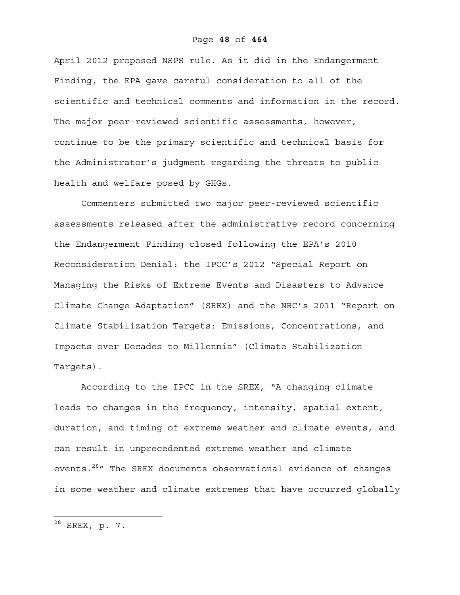April 2012 proposed NSPS rule. As it did in the Endangerment Finding, the EPA gave careful consideration to all of the scientific and technical comments and information in the record. The major peer-reviewed scientific assessments, however, continue to be the primary scientific and technical basis for the Administrator's judgment regarding the threats to public health and welfare posed by GHGs.

Commenters submitted two major peer-reviewed scientific assessments released after the administrative record concerning the Endangerment Finding closed following the EPA's 2010 Reconsideration Denial: the IPCC's 2012 "Special Report on Managing the Risks of Extreme Events and Disasters to Advance Climate Change Adaptation" (SREX) and the NRC's 2011 "Report on Climate Stabilization Targets: Emissions, Concentrations, and Impacts over Decades to Millennia" (Climate Stabilization Targets).

According to the IPCC in the SREX, "A changing climate leads to changes in the frequency, intensity, spatial extent, duration, and timing of extreme weather and climate events, and can result in unprecedented extreme weather and climate events.<sup>28</sup>" The SREX documents observational evidence of changes in some weather and climate extremes that have occurred globally

 $^{28}$  SREX, p. 7.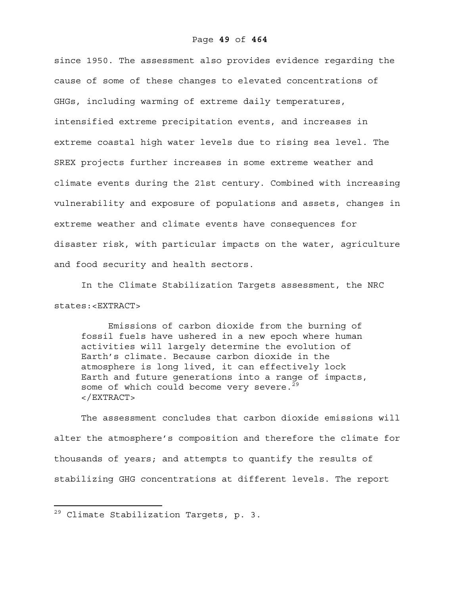since 1950. The assessment also provides evidence regarding the cause of some of these changes to elevated concentrations of GHGs, including warming of extreme daily temperatures, intensified extreme precipitation events, and increases in extreme coastal high water levels due to rising sea level. The SREX projects further increases in some extreme weather and climate events during the 21st century. Combined with increasing vulnerability and exposure of populations and assets, changes in extreme weather and climate events have consequences for disaster risk, with particular impacts on the water, agriculture and food security and health sectors.

In the Climate Stabilization Targets assessment, the NRC states:<EXTRACT>

Emissions of carbon dioxide from the burning of fossil fuels have ushered in a new epoch where human activities will largely determine the evolution of Earth's climate. Because carbon dioxide in the atmosphere is long lived, it can effectively lock Earth and future generations into a range of impacts, some of which could become very severe. $29$ </EXTRACT>

The assessment concludes that carbon dioxide emissions will alter the atmosphere's composition and therefore the climate for thousands of years; and attempts to quantify the results of stabilizing GHG concentrations at different levels. The report

1

<sup>29</sup> Climate Stabilization Targets, p. 3.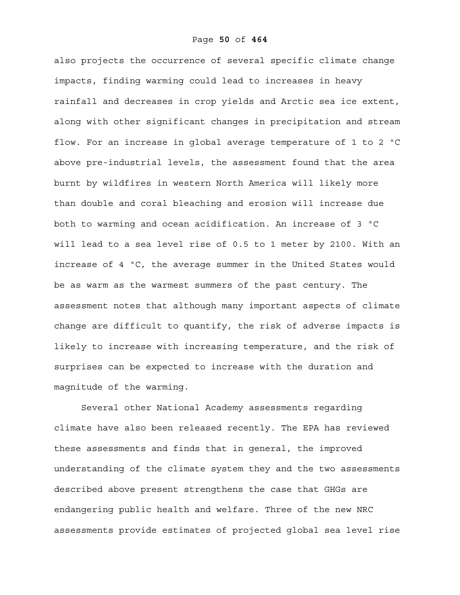also projects the occurrence of several specific climate change impacts, finding warming could lead to increases in heavy rainfall and decreases in crop yields and Arctic sea ice extent, along with other significant changes in precipitation and stream flow. For an increase in global average temperature of 1 to 2 ºC above pre-industrial levels, the assessment found that the area burnt by wildfires in western North America will likely more than double and coral bleaching and erosion will increase due both to warming and ocean acidification. An increase of 3 ºC will lead to a sea level rise of 0.5 to 1 meter by 2100. With an increase of 4 ºC, the average summer in the United States would be as warm as the warmest summers of the past century. The assessment notes that although many important aspects of climate change are difficult to quantify, the risk of adverse impacts is likely to increase with increasing temperature, and the risk of surprises can be expected to increase with the duration and magnitude of the warming.

Several other National Academy assessments regarding climate have also been released recently. The EPA has reviewed these assessments and finds that in general, the improved understanding of the climate system they and the two assessments described above present strengthens the case that GHGs are endangering public health and welfare. Three of the new NRC assessments provide estimates of projected global sea level rise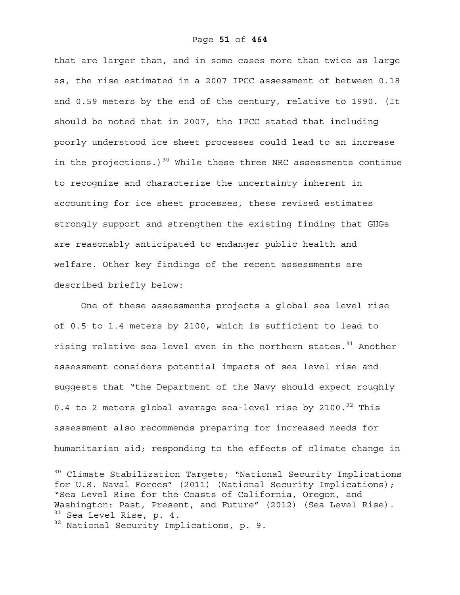that are larger than, and in some cases more than twice as large as, the rise estimated in a 2007 IPCC assessment of between 0.18 and 0.59 meters by the end of the century, relative to 1990. (It should be noted that in 2007, the IPCC stated that including poorly understood ice sheet processes could lead to an increase in the projections.)<sup>30</sup> While these three NRC assessments continue to recognize and characterize the uncertainty inherent in accounting for ice sheet processes, these revised estimates strongly support and strengthen the existing finding that GHGs are reasonably anticipated to endanger public health and welfare. Other key findings of the recent assessments are described briefly below:

One of these assessments projects a global sea level rise of 0.5 to 1.4 meters by 2100, which is sufficient to lead to rising relative sea level even in the northern states.<sup>31</sup> Another assessment considers potential impacts of sea level rise and suggests that "the Department of the Navy should expect roughly 0.4 to 2 meters global average sea-level rise by 2100. $^{32}$  This assessment also recommends preparing for increased needs for humanitarian aid; responding to the effects of climate change in

1

<sup>&</sup>lt;sup>30</sup> Climate Stabilization Targets; "National Security Implications for U.S. Naval Forces" (2011) (National Security Implications); "Sea Level Rise for the Coasts of California, Oregon, and Washington: Past, Present, and Future" (2012) (Sea Level Rise).  $31$  Sea Level Rise, p. 4.

<sup>&</sup>lt;sup>32</sup> National Security Implications, p. 9.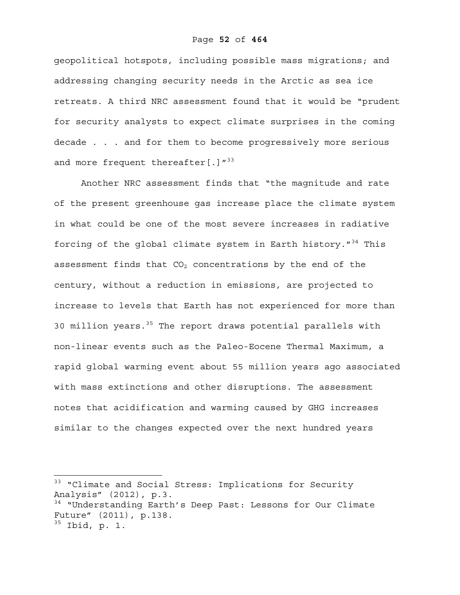geopolitical hotspots, including possible mass migrations; and addressing changing security needs in the Arctic as sea ice retreats. A third NRC assessment found that it would be "prudent for security analysts to expect climate surprises in the coming decade . . . and for them to become progressively more serious and more frequent thereafter  $[.]^{n^{33}}$ 

Another NRC assessment finds that "the magnitude and rate of the present greenhouse gas increase place the climate system in what could be one of the most severe increases in radiative forcing of the global climate system in Earth history.  $134$  This assessment finds that  $CO<sub>2</sub>$  concentrations by the end of the century, without a reduction in emissions, are projected to increase to levels that Earth has not experienced for more than 30 million years.<sup>35</sup> The report draws potential parallels with non-linear events such as the Paleo-Eocene Thermal Maximum, a rapid global warming event about 55 million years ago associated with mass extinctions and other disruptions. The assessment notes that acidification and warming caused by GHG increases similar to the changes expected over the next hundred years

<sup>&</sup>lt;sup>33</sup> "Climate and Social Stress: Implications for Security Analysis" (2012), p.3. <sup>34</sup> "Understanding Earth's Deep Past: Lessons for Our Climate Future" (2011), p.138.  $35$  Ibid, p. 1.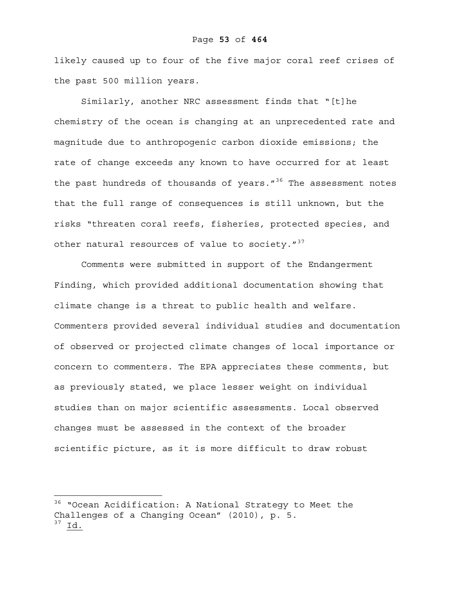likely caused up to four of the five major coral reef crises of the past 500 million years.

Similarly, another NRC assessment finds that "[t]he chemistry of the ocean is changing at an unprecedented rate and magnitude due to anthropogenic carbon dioxide emissions; the rate of change exceeds any known to have occurred for at least the past hundreds of thousands of years. $1^{36}$  The assessment notes that the full range of consequences is still unknown, but the risks "threaten coral reefs, fisheries, protected species, and other natural resources of value to society. $1^{37}$ 

Comments were submitted in support of the Endangerment Finding, which provided additional documentation showing that climate change is a threat to public health and welfare. Commenters provided several individual studies and documentation of observed or projected climate changes of local importance or concern to commenters. The EPA appreciates these comments, but as previously stated, we place lesser weight on individual studies than on major scientific assessments. Local observed changes must be assessed in the context of the broader scientific picture, as it is more difficult to draw robust

<sup>&</sup>lt;sup>36</sup> "Ocean Acidification: A National Strategy to Meet the Challenges of a Changing Ocean" (2010), p. 5. 37 Id.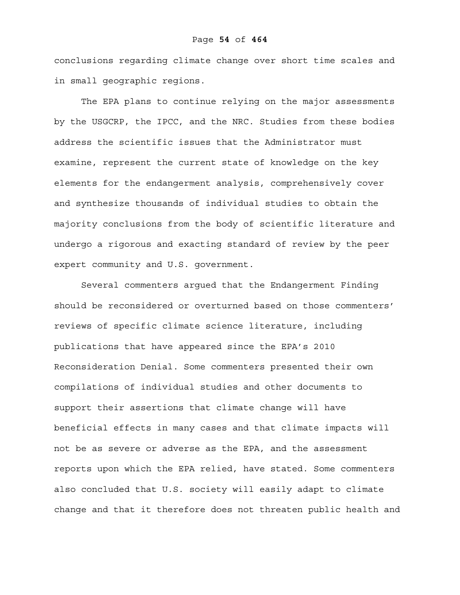conclusions regarding climate change over short time scales and in small geographic regions.

The EPA plans to continue relying on the major assessments by the USGCRP, the IPCC, and the NRC. Studies from these bodies address the scientific issues that the Administrator must examine, represent the current state of knowledge on the key elements for the endangerment analysis, comprehensively cover and synthesize thousands of individual studies to obtain the majority conclusions from the body of scientific literature and undergo a rigorous and exacting standard of review by the peer expert community and U.S. government.

Several commenters argued that the Endangerment Finding should be reconsidered or overturned based on those commenters' reviews of specific climate science literature, including publications that have appeared since the EPA's 2010 Reconsideration Denial. Some commenters presented their own compilations of individual studies and other documents to support their assertions that climate change will have beneficial effects in many cases and that climate impacts will not be as severe or adverse as the EPA, and the assessment reports upon which the EPA relied, have stated. Some commenters also concluded that U.S. society will easily adapt to climate change and that it therefore does not threaten public health and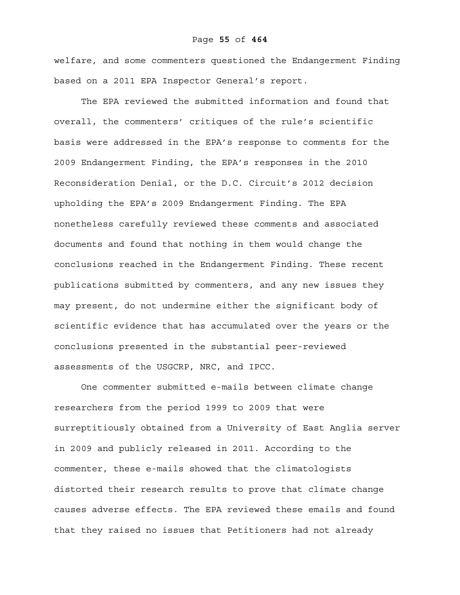#### Page **55** of **464**

welfare, and some commenters questioned the Endangerment Finding based on a 2011 EPA Inspector General's report.

The EPA reviewed the submitted information and found that overall, the commenters' critiques of the rule's scientific basis were addressed in the EPA's response to comments for the 2009 Endangerment Finding, the EPA's responses in the 2010 Reconsideration Denial, or the D.C. Circuit's 2012 decision upholding the EPA's 2009 Endangerment Finding. The EPA nonetheless carefully reviewed these comments and associated documents and found that nothing in them would change the conclusions reached in the Endangerment Finding. These recent publications submitted by commenters, and any new issues they may present, do not undermine either the significant body of scientific evidence that has accumulated over the years or the conclusions presented in the substantial peer-reviewed assessments of the USGCRP, NRC, and IPCC.

One commenter submitted e-mails between climate change researchers from the period 1999 to 2009 that were surreptitiously obtained from a University of East Anglia server in 2009 and publicly released in 2011. According to the commenter, these e-mails showed that the climatologists distorted their research results to prove that climate change causes adverse effects. The EPA reviewed these emails and found that they raised no issues that Petitioners had not already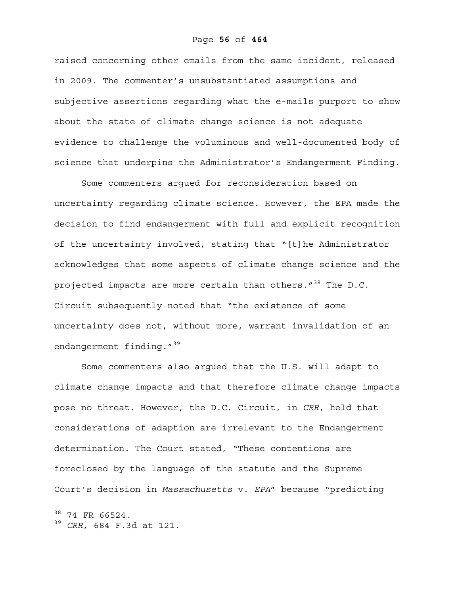raised concerning other emails from the same incident, released in 2009. The commenter's unsubstantiated assumptions and subjective assertions regarding what the e-mails purport to show about the state of climate change science is not adequate evidence to challenge the voluminous and well-documented body of science that underpins the Administrator's Endangerment Finding.

Some commenters argued for reconsideration based on uncertainty regarding climate science. However, the EPA made the decision to find endangerment with full and explicit recognition of the uncertainty involved, stating that "[t]he Administrator acknowledges that some aspects of climate change science and the projected impacts are more certain than others."<sup>38</sup> The D.C. Circuit subsequently noted that "the existence of some uncertainty does not, without more, warrant invalidation of an endangerment finding."<sup>39</sup>

Some commenters also argued that the U.S. will adapt to climate change impacts and that therefore climate change impacts pose no threat. However, the D.C. Circuit, in *CRR*, held that considerations of adaption are irrelevant to the Endangerment determination. The Court stated, "These contentions are foreclosed by the language of the statute and the Supreme Court's decision in *Massachusetts* v. *EPA*" because "predicting

 $38$  74 FR 66524.

<sup>39</sup> *CRR*, 684 F.3d at 121.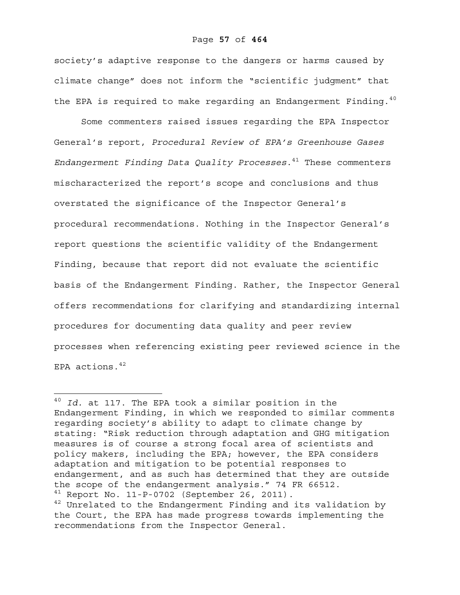society's adaptive response to the dangers or harms caused by climate change" does not inform the "scientific judgment" that the EPA is required to make regarding an Endangerment Finding.<sup>40</sup>

Some commenters raised issues regarding the EPA Inspector General's report, *Procedural Review of EPA's Greenhouse Gases Endangerment Finding Data Quality Processes*.41 These commenters mischaracterized the report's scope and conclusions and thus overstated the significance of the Inspector General's procedural recommendations. Nothing in the Inspector General's report questions the scientific validity of the Endangerment Finding, because that report did not evaluate the scientific basis of the Endangerment Finding. Rather, the Inspector General offers recommendations for clarifying and standardizing internal procedures for documenting data quality and peer review processes when referencing existing peer reviewed science in the EPA actions.  $42$ 

<sup>40</sup> *Id.* at 117. The EPA took a similar position in the Endangerment Finding, in which we responded to similar comments regarding society's ability to adapt to climate change by stating: "Risk reduction through adaptation and GHG mitigation measures is of course a strong focal area of scientists and policy makers, including the EPA; however, the EPA considers adaptation and mitigation to be potential responses to endangerment, and as such has determined that they are outside the scope of the endangerment analysis." 74 FR 66512.  $41$  Report No. 11-P-0702 (September 26, 2011).  $42$  Unrelated to the Endangerment Finding and its validation by the Court, the EPA has made progress towards implementing the recommendations from the Inspector General.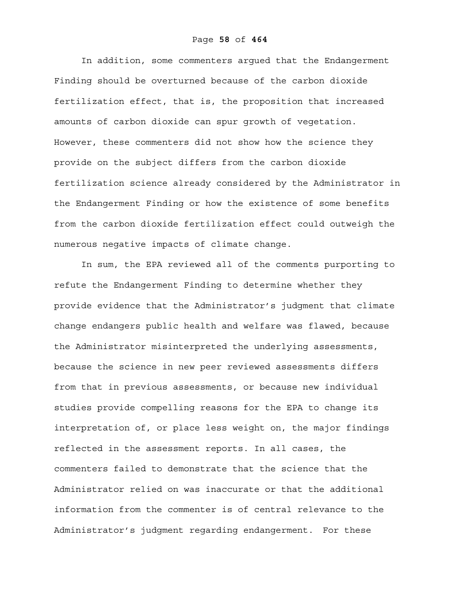In addition, some commenters argued that the Endangerment Finding should be overturned because of the carbon dioxide fertilization effect, that is, the proposition that increased amounts of carbon dioxide can spur growth of vegetation. However, these commenters did not show how the science they provide on the subject differs from the carbon dioxide fertilization science already considered by the Administrator in the Endangerment Finding or how the existence of some benefits from the carbon dioxide fertilization effect could outweigh the numerous negative impacts of climate change.

In sum, the EPA reviewed all of the comments purporting to refute the Endangerment Finding to determine whether they provide evidence that the Administrator's judgment that climate change endangers public health and welfare was flawed, because the Administrator misinterpreted the underlying assessments, because the science in new peer reviewed assessments differs from that in previous assessments, or because new individual studies provide compelling reasons for the EPA to change its interpretation of, or place less weight on, the major findings reflected in the assessment reports. In all cases, the commenters failed to demonstrate that the science that the Administrator relied on was inaccurate or that the additional information from the commenter is of central relevance to the Administrator's judgment regarding endangerment. For these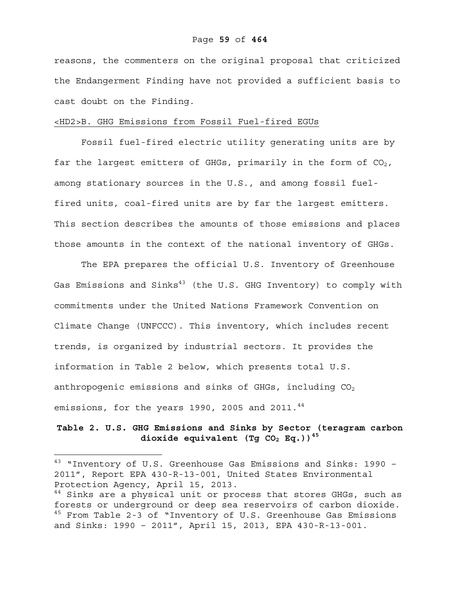reasons, the commenters on the original proposal that criticized the Endangerment Finding have not provided a sufficient basis to cast doubt on the Finding.

## <HD2>B. GHG Emissions from Fossil Fuel-fired EGUs

Fossil fuel-fired electric utility generating units are by far the largest emitters of GHGs, primarily in the form of  $CO<sub>2</sub>$ , among stationary sources in the U.S., and among fossil fuelfired units, coal-fired units are by far the largest emitters. This section describes the amounts of those emissions and places those amounts in the context of the national inventory of GHGs.

The EPA prepares the official U.S. Inventory of Greenhouse Gas Emissions and Sinks<sup>43</sup> (the U.S. GHG Inventory) to comply with commitments under the United Nations Framework Convention on Climate Change (UNFCCC). This inventory, which includes recent trends, is organized by industrial sectors. It provides the information in Table 2 below, which presents total U.S. anthropogenic emissions and sinks of GHGs, including  $CO<sub>2</sub>$ emissions, for the years 1990, 2005 and 2011. $44$ 

## **Table 2. U.S. GHG Emissions and Sinks by Sector (teragram carbon**  dioxide equivalent (Tg CO<sub>2</sub> Eq.))<sup>45</sup>

<sup>43</sup> "Inventory of U.S. Greenhouse Gas Emissions and Sinks: 1990 -2011", Report EPA 430-R-13-001, United States Environmental Protection Agency, April 15, 2013.

<sup>&</sup>lt;sup>44</sup> Sinks are a physical unit or process that stores GHGs, such as forests or underground or deep sea reservoirs of carbon dioxide. <sup>45</sup> From Table 2-3 of "Inventory of U.S. Greenhouse Gas Emissions and Sinks: 1990 – 2011", April 15, 2013, EPA 430-R-13-001.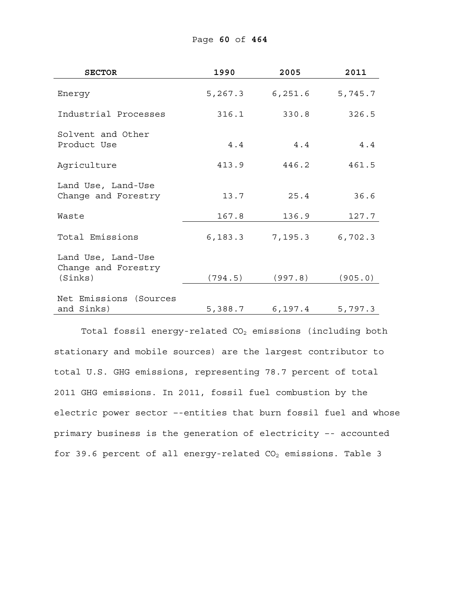| <b>SECTOR</b>                                        | 1990    | 2005            | 2011    |
|------------------------------------------------------|---------|-----------------|---------|
| Energy                                               | 5,267.3 | 6, 251.6        | 5,745.7 |
| Industrial Processes                                 | 316.1   | 330.8           | 326.5   |
| Solvent and Other<br>Product Use                     | 4.4     | 4.4             | 4.4     |
| Agriculture                                          | 413.9   | 446.2           | 461.5   |
| Land Use, Land-Use<br>Change and Forestry            | 13.7    | 25.4            | 36.6    |
| Waste                                                | 167.8   | 136.9           | 127.7   |
| Total Emissions                                      | 6,183.3 | 7,195.3         | 6,702.3 |
| Land Use, Land-Use<br>Change and Forestry<br>(Sinks) | (794.5) | (997.8)         | (905.0) |
| Net Emissions<br>(Sources<br>and Sinks)              |         | 5,388.7 6,197.4 | 5,797.3 |

Total fossil energy-related  $CO<sub>2</sub>$  emissions (including both stationary and mobile sources) are the largest contributor to total U.S. GHG emissions, representing 78.7 percent of total 2011 GHG emissions. In 2011, fossil fuel combustion by the electric power sector –-entities that burn fossil fuel and whose primary business is the generation of electricity –- accounted for 39.6 percent of all energy-related  $CO<sub>2</sub>$  emissions. Table 3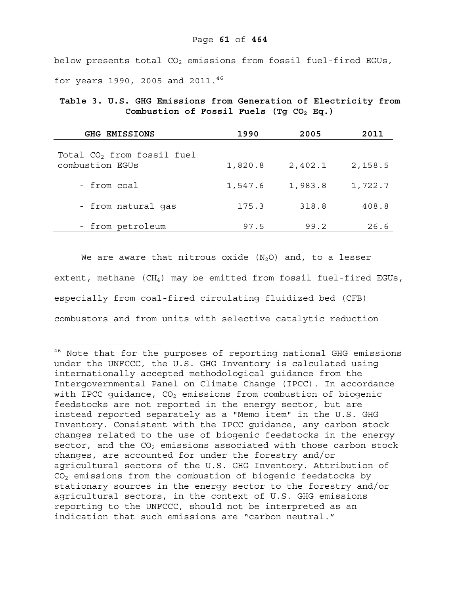below presents total  $CO<sub>2</sub>$  emissions from fossil fuel-fired EGUs, for years 1990, 2005 and 2011.<sup>46</sup>

**Table 3. U.S. GHG Emissions from Generation of Electricity from**  Combustion of Fossil Fuels (Tg CO<sub>2</sub> Eq.)

| <b>GHG EMISSIONS</b>                            | 1990    | 2005    | 2011    |
|-------------------------------------------------|---------|---------|---------|
| Total $CO2$ from fossil fuel<br>combustion EGUs | 1,820.8 | 2,402.1 | 2,158.5 |
| - from coal                                     | 1,547.6 | 1,983.8 | 1,722.7 |
| - from natural gas                              | 175.3   | 318.8   | 408.8   |
| - from petroleum                                | 97.5    | 99.2    | 26.6    |

We are aware that nitrous oxide  $(N_2O)$  and, to a lesser extent, methane  $(CH_4)$  may be emitted from fossil fuel-fired EGUs, especially from coal-fired circulating fluidized bed (CFB) combustors and from units with selective catalytic reduction

 $^{46}$  Note that for the purposes of reporting national GHG emissions under the UNFCCC, the U.S. GHG Inventory is calculated using internationally accepted methodological guidance from the Intergovernmental Panel on Climate Change (IPCC). In accordance with IPCC quidance,  $CO<sub>2</sub>$  emissions from combustion of biogenic feedstocks are not reported in the energy sector, but are instead reported separately as a "Memo item" in the U.S. GHG Inventory. Consistent with the IPCC guidance, any carbon stock changes related to the use of biogenic feedstocks in the energy sector, and the  $CO<sub>2</sub>$  emissions associated with those carbon stock changes, are accounted for under the forestry and/or agricultural sectors of the U.S. GHG Inventory. Attribution of  $CO<sub>2</sub>$  emissions from the combustion of biogenic feedstocks by stationary sources in the energy sector to the forestry and/or agricultural sectors, in the context of U.S. GHG emissions reporting to the UNFCCC, should not be interpreted as an indication that such emissions are "carbon neutral."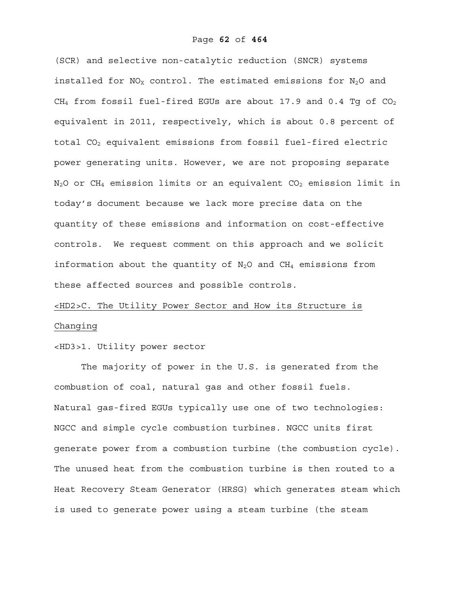(SCR) and selective non-catalytic reduction (SNCR) systems installed for  $NO<sub>X</sub>$  control. The estimated emissions for  $N<sub>2</sub>O$  and CH<sub>4</sub> from fossil fuel-fired EGUs are about 17.9 and 0.4 Tq of CO<sub>2</sub> equivalent in 2011, respectively, which is about 0.8 percent of total  $CO<sub>2</sub>$  equivalent emissions from fossil fuel-fired electric power generating units. However, we are not proposing separate  $N_2$ O or CH<sub>4</sub> emission limits or an equivalent CO<sub>2</sub> emission limit in today's document because we lack more precise data on the quantity of these emissions and information on cost-effective controls. We request comment on this approach and we solicit information about the quantity of  $N_2O$  and  $CH_4$  emissions from these affected sources and possible controls.

# <HD2>C. The Utility Power Sector and How its Structure is Changing

## <HD3>1. Utility power sector

The majority of power in the U.S. is generated from the combustion of coal, natural gas and other fossil fuels. Natural gas-fired EGUs typically use one of two technologies: NGCC and simple cycle combustion turbines. NGCC units first generate power from a combustion turbine (the combustion cycle). The unused heat from the combustion turbine is then routed to a Heat Recovery Steam Generator (HRSG) which generates steam which is used to generate power using a steam turbine (the steam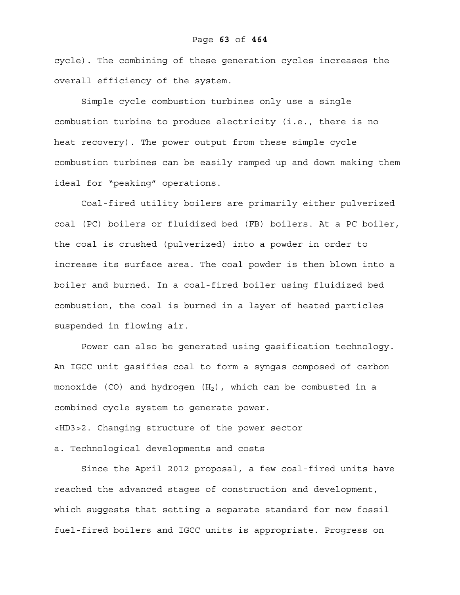cycle). The combining of these generation cycles increases the overall efficiency of the system.

Simple cycle combustion turbines only use a single combustion turbine to produce electricity (i.e., there is no heat recovery). The power output from these simple cycle combustion turbines can be easily ramped up and down making them ideal for "peaking" operations.

Coal-fired utility boilers are primarily either pulverized coal (PC) boilers or fluidized bed (FB) boilers. At a PC boiler, the coal is crushed (pulverized) into a powder in order to increase its surface area. The coal powder is then blown into a boiler and burned. In a coal-fired boiler using fluidized bed combustion, the coal is burned in a layer of heated particles suspended in flowing air.

Power can also be generated using gasification technology. An IGCC unit gasifies coal to form a syngas composed of carbon monoxide (CO) and hydrogen  $(H_2)$ , which can be combusted in a combined cycle system to generate power. <HD3>2. Changing structure of the power sector a. Technological developments and costs

Since the April 2012 proposal, a few coal-fired units have reached the advanced stages of construction and development, which suggests that setting a separate standard for new fossil fuel-fired boilers and IGCC units is appropriate. Progress on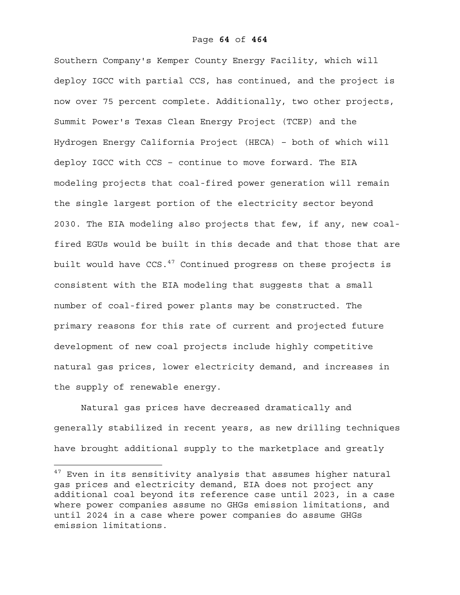Southern Company's Kemper County Energy Facility, which will deploy IGCC with partial CCS, has continued, and the project is now over 75 percent complete. Additionally, two other projects, Summit Power's Texas Clean Energy Project (TCEP) and the Hydrogen Energy California Project (HECA) – both of which will deploy IGCC with CCS – continue to move forward. The EIA modeling projects that coal-fired power generation will remain the single largest portion of the electricity sector beyond 2030. The EIA modeling also projects that few, if any, new coalfired EGUs would be built in this decade and that those that are built would have  $CCS.$ <sup>47</sup> Continued progress on these projects is consistent with the EIA modeling that suggests that a small number of coal-fired power plants may be constructed. The primary reasons for this rate of current and projected future development of new coal projects include highly competitive natural gas prices, lower electricity demand, and increases in the supply of renewable energy.

Natural gas prices have decreased dramatically and generally stabilized in recent years, as new drilling techniques have brought additional supply to the marketplace and greatly

 $47$  Even in its sensitivity analysis that assumes higher natural gas prices and electricity demand, EIA does not project any additional coal beyond its reference case until 2023, in a case where power companies assume no GHGs emission limitations, and until 2024 in a case where power companies do assume GHGs emission limitations.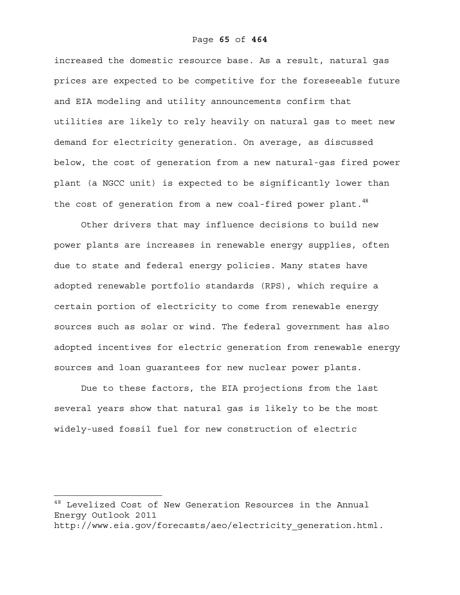increased the domestic resource base. As a result, natural gas prices are expected to be competitive for the foreseeable future and EIA modeling and utility announcements confirm that utilities are likely to rely heavily on natural gas to meet new demand for electricity generation. On average, as discussed below, the cost of generation from a new natural-gas fired power plant (a NGCC unit) is expected to be significantly lower than the cost of generation from a new coal-fired power plant. $48$ 

Other drivers that may influence decisions to build new power plants are increases in renewable energy supplies, often due to state and federal energy policies. Many states have adopted renewable portfolio standards (RPS), which require a certain portion of electricity to come from renewable energy sources such as solar or wind. The federal government has also adopted incentives for electric generation from renewable energy sources and loan guarantees for new nuclear power plants.

Due to these factors, the EIA projections from the last several years show that natural gas is likely to be the most widely-used fossil fuel for new construction of electric

 $^{48}$  Levelized Cost of New Generation Resources in the Annual Energy Outlook 2011

http://www.eia.gov/forecasts/aeo/electricity\_generation.html.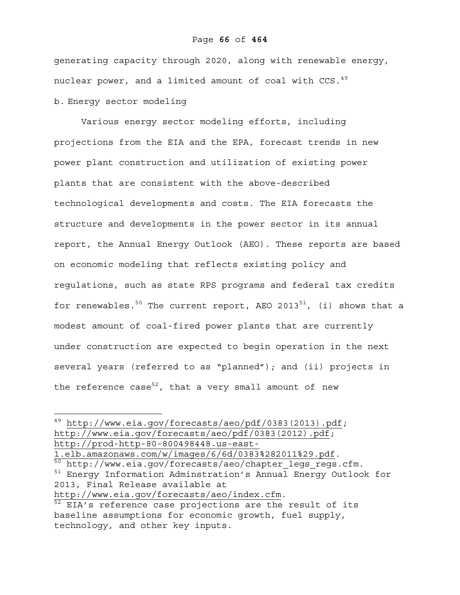generating capacity through 2020, along with renewable energy, nuclear power, and a limited amount of coal with CCS.<sup>49</sup> b. Energy sector modeling

Various energy sector modeling efforts, including projections from the EIA and the EPA, forecast trends in new power plant construction and utilization of existing power plants that are consistent with the above-described technological developments and costs. The EIA forecasts the structure and developments in the power sector in its annual report, the Annual Energy Outlook (AEO). These reports are based on economic modeling that reflects existing policy and regulations, such as state RPS programs and federal tax credits for renewables.<sup>50</sup> The current report, AEO 2013<sup>51</sup>, (i) shows that a modest amount of coal-fired power plants that are currently under construction are expected to begin operation in the next several years (referred to as "planned"); and (ii) projects in the reference case<sup>52</sup>, that a very small amount of new

 $^{49}$  http://www.eia.gov/forecasts/aeo/pdf/0383(2013).pdf; http://www.eia.gov/forecasts/aeo/pdf/0383(2012).pdf; http://prod-http-80-800498448.us-east-

<sup>1.</sup>elb.amazonaws.com/w/images/6/6d/0383%282011%29.pdf.<br><sup>50</sup> http://www.eia.gov/forecasts/aeo/chapter\_legs\_regs.cfm.

<sup>&</sup>lt;sup>51</sup> Energy Information Adminstration's Annual Energy Outlook for 2013, Final Release available at

http://www.eia.gov/forecasts/aeo/index.cfm.<br><sup>52</sup> EIA's reference case projections are the result of its baseline assumptions for economic growth, fuel supply, technology, and other key inputs.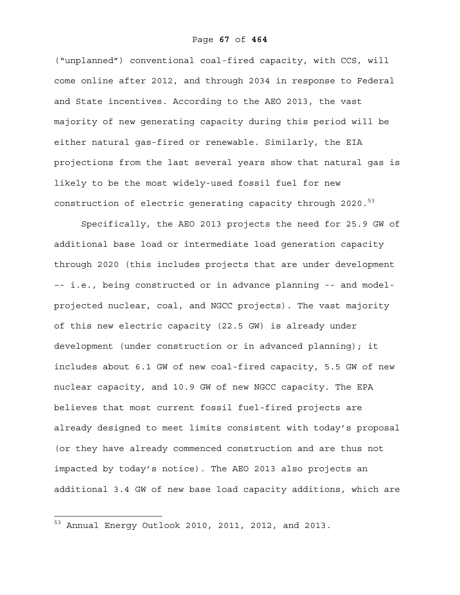("unplanned") conventional coal-fired capacity, with CCS, will come online after 2012, and through 2034 in response to Federal and State incentives. According to the AEO 2013, the vast majority of new generating capacity during this period will be either natural gas-fired or renewable. Similarly, the EIA projections from the last several years show that natural gas is likely to be the most widely-used fossil fuel for new construction of electric generating capacity through 2020.<sup>53</sup>

Specifically, the AEO 2013 projects the need for 25.9 GW of additional base load or intermediate load generation capacity through 2020 (this includes projects that are under development –- i.e., being constructed or in advance planning -- and modelprojected nuclear, coal, and NGCC projects). The vast majority of this new electric capacity (22.5 GW) is already under development (under construction or in advanced planning); it includes about 6.1 GW of new coal-fired capacity, 5.5 GW of new nuclear capacity, and 10.9 GW of new NGCC capacity. The EPA believes that most current fossil fuel-fired projects are already designed to meet limits consistent with today's proposal (or they have already commenced construction and are thus not impacted by today's notice). The AEO 2013 also projects an additional 3.4 GW of new base load capacity additions, which are

<sup>53</sup> Annual Energy Outlook 2010, 2011, 2012, and 2013.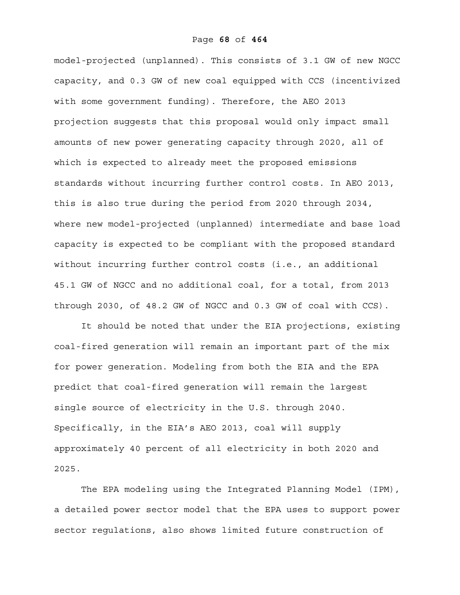model-projected (unplanned). This consists of 3.1 GW of new NGCC capacity, and 0.3 GW of new coal equipped with CCS (incentivized with some government funding). Therefore, the AEO 2013 projection suggests that this proposal would only impact small amounts of new power generating capacity through 2020, all of which is expected to already meet the proposed emissions standards without incurring further control costs. In AEO 2013, this is also true during the period from 2020 through 2034, where new model-projected (unplanned) intermediate and base load capacity is expected to be compliant with the proposed standard without incurring further control costs (i.e., an additional 45.1 GW of NGCC and no additional coal, for a total, from 2013 through 2030, of 48.2 GW of NGCC and 0.3 GW of coal with CCS).

It should be noted that under the EIA projections, existing coal-fired generation will remain an important part of the mix for power generation. Modeling from both the EIA and the EPA predict that coal-fired generation will remain the largest single source of electricity in the U.S. through 2040. Specifically, in the EIA's AEO 2013, coal will supply approximately 40 percent of all electricity in both 2020 and 2025.

The EPA modeling using the Integrated Planning Model (IPM), a detailed power sector model that the EPA uses to support power sector regulations, also shows limited future construction of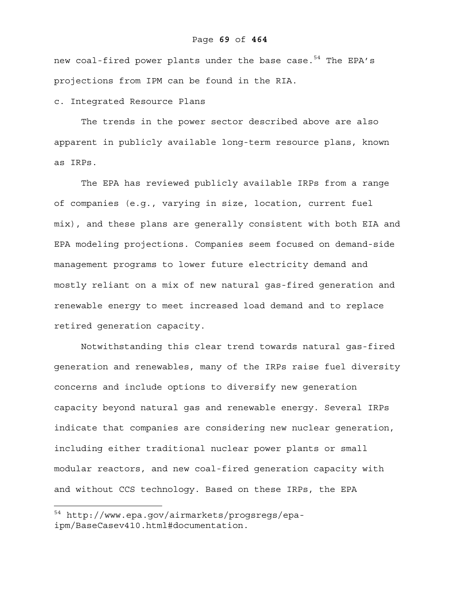### Page **69** of **464**

new coal-fired power plants under the base case.<sup>54</sup> The EPA's projections from IPM can be found in the RIA.

## c. Integrated Resource Plans

The trends in the power sector described above are also apparent in publicly available long-term resource plans, known as IRPs.

The EPA has reviewed publicly available IRPs from a range of companies (e.g., varying in size, location, current fuel mix), and these plans are generally consistent with both EIA and EPA modeling projections. Companies seem focused on demand-side management programs to lower future electricity demand and mostly reliant on a mix of new natural gas-fired generation and renewable energy to meet increased load demand and to replace retired generation capacity.

Notwithstanding this clear trend towards natural gas-fired generation and renewables, many of the IRPs raise fuel diversity concerns and include options to diversify new generation capacity beyond natural gas and renewable energy. Several IRPs indicate that companies are considering new nuclear generation, including either traditional nuclear power plants or small modular reactors, and new coal-fired generation capacity with and without CCS technology. Based on these IRPs, the EPA

<sup>54</sup> http://www.epa.gov/airmarkets/progsregs/epaipm/BaseCasev410.html#documentation.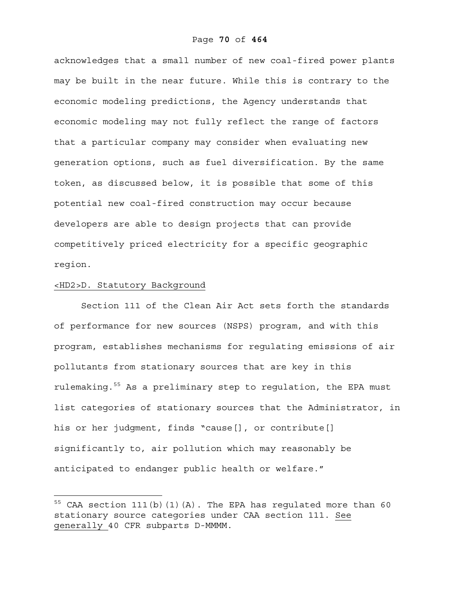acknowledges that a small number of new coal-fired power plants may be built in the near future. While this is contrary to the economic modeling predictions, the Agency understands that economic modeling may not fully reflect the range of factors that a particular company may consider when evaluating new generation options, such as fuel diversification. By the same token, as discussed below, it is possible that some of this potential new coal-fired construction may occur because developers are able to design projects that can provide competitively priced electricity for a specific geographic region.

## <HD2>D. Statutory Background

 $\overline{a}$ 

Section 111 of the Clean Air Act sets forth the standards of performance for new sources (NSPS) program, and with this program, establishes mechanisms for regulating emissions of air pollutants from stationary sources that are key in this rulemaking.<sup>55</sup> As a preliminary step to regulation, the EPA must list categories of stationary sources that the Administrator, in his or her judgment, finds "cause[], or contribute[] significantly to, air pollution which may reasonably be anticipated to endanger public health or welfare."

 $^{55}$  CAA section 111(b)(1)(A). The EPA has regulated more than 60 stationary source categories under CAA section 111. See generally 40 CFR subparts D-MMMM.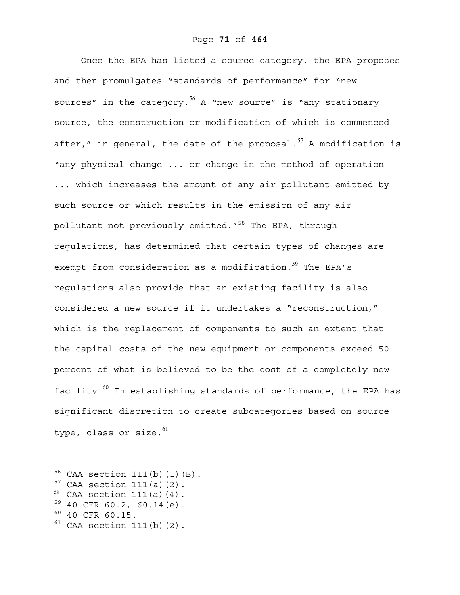Once the EPA has listed a source category, the EPA proposes and then promulgates "standards of performance" for "new sources" in the category.<sup>56</sup> A "new source" is "any stationary source, the construction or modification of which is commenced after," in general, the date of the proposal. $^{57}$  A modification is "any physical change ... or change in the method of operation ... which increases the amount of any air pollutant emitted by such source or which results in the emission of any air pollutant not previously emitted."<sup>58</sup> The EPA, through regulations, has determined that certain types of changes are exempt from consideration as a modification. $^{59}$  The EPA's regulations also provide that an existing facility is also considered a new source if it undertakes a "reconstruction," which is the replacement of components to such an extent that the capital costs of the new equipment or components exceed 50 percent of what is believed to be the cost of a completely new facility. $^{60}$  In establishing standards of performance, the EPA has significant discretion to create subcategories based on source type, class or size. $^{61}$ 

- $57$  CAA section 111(a)(2).
- $58$  CAA section 111(a)(4).
- $59$  40 CFR 60.2, 60.14 (e).
- $60 40$  CFR 60.15.

1

 $61$  CAA section 111(b)(2).

 $56$  CAA section 111(b)(1)(B).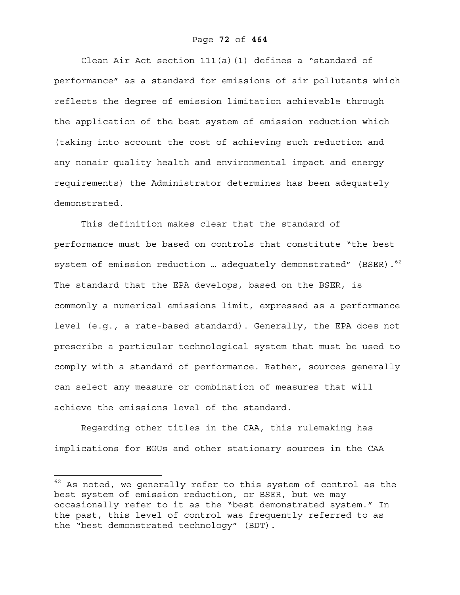Clean Air Act section  $111(a)(1)$  defines a "standard of performance" as a standard for emissions of air pollutants which reflects the degree of emission limitation achievable through the application of the best system of emission reduction which (taking into account the cost of achieving such reduction and any nonair quality health and environmental impact and energy requirements) the Administrator determines has been adequately demonstrated.

This definition makes clear that the standard of performance must be based on controls that constitute "the best system of emission reduction ... adequately demonstrated" (BSER).  $62$ The standard that the EPA develops, based on the BSER, is commonly a numerical emissions limit, expressed as a performance level (e.g., a rate-based standard). Generally, the EPA does not prescribe a particular technological system that must be used to comply with a standard of performance. Rather, sources generally can select any measure or combination of measures that will achieve the emissions level of the standard.

Regarding other titles in the CAA, this rulemaking has implications for EGUs and other stationary sources in the CAA

 $62$  As noted, we generally refer to this system of control as the best system of emission reduction, or BSER, but we may occasionally refer to it as the "best demonstrated system." In the past, this level of control was frequently referred to as the "best demonstrated technology" (BDT).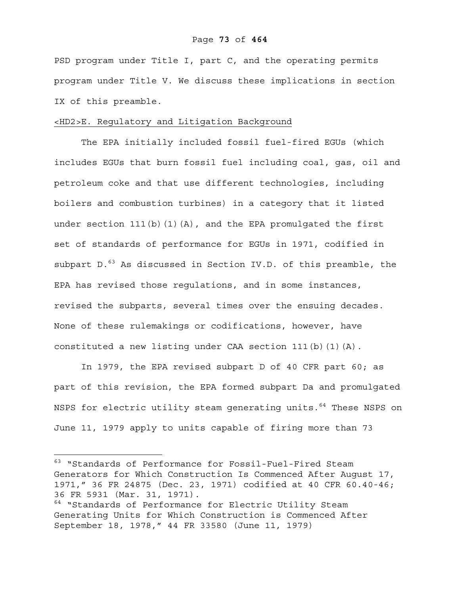PSD program under Title I, part C, and the operating permits program under Title V. We discuss these implications in section IX of this preamble.

### <HD2>E. Regulatory and Litigation Background

The EPA initially included fossil fuel-fired EGUs (which includes EGUs that burn fossil fuel including coal, gas, oil and petroleum coke and that use different technologies, including boilers and combustion turbines) in a category that it listed under section  $111(b)(1)(A)$ , and the EPA promulgated the first set of standards of performance for EGUs in 1971, codified in subpart D.<sup>63</sup> As discussed in Section IV.D. of this preamble, the EPA has revised those regulations, and in some instances, revised the subparts, several times over the ensuing decades. None of these rulemakings or codifications, however, have constituted a new listing under CAA section 111(b)(1)(A).

In 1979, the EPA revised subpart D of 40 CFR part 60; as part of this revision, the EPA formed subpart Da and promulgated NSPS for electric utility steam generating units.<sup>64</sup> These NSPS on June 11, 1979 apply to units capable of firing more than 73

1

<sup>63 &</sup>quot;Standards of Performance for Fossil-Fuel-Fired Steam Generators for Which Construction Is Commenced After August 17, 1971," 36 FR 24875 (Dec. 23, 1971) codified at 40 CFR 60.40-46; 36 FR 5931 (Mar. 31, 1971). <sup>64</sup> "Standards of Performance for Electric Utility Steam

Generating Units for Which Construction is Commenced After September 18, 1978," 44 FR 33580 (June 11, 1979)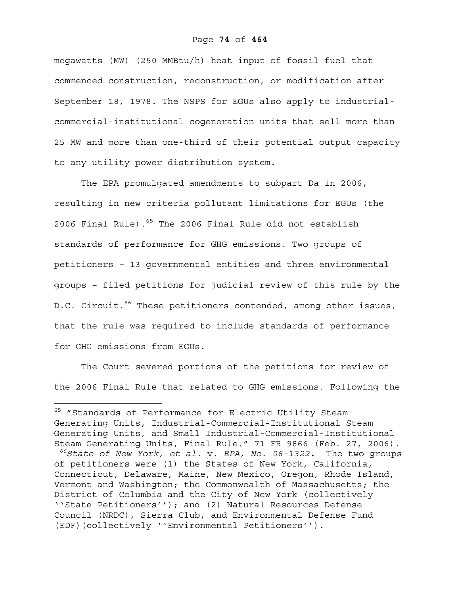megawatts (MW) (250 MMBtu/h) heat input of fossil fuel that commenced construction, reconstruction, or modification after September 18, 1978. The NSPS for EGUs also apply to industrialcommercial-institutional cogeneration units that sell more than 25 MW and more than one-third of their potential output capacity to any utility power distribution system.

The EPA promulgated amendments to subpart Da in 2006, resulting in new criteria pollutant limitations for EGUs (the 2006 Final Rule).<sup>65</sup> The 2006 Final Rule did not establish standards of performance for GHG emissions. Two groups of petitioners – 13 governmental entities and three environmental groups – filed petitions for judicial review of this rule by the D.C. Circuit.66 These petitioners contended, among other issues*,*  that the rule was required to include standards of performance for GHG emissions from EGUs.

The Court severed portions of the petitions for review of the 2006 Final Rule that related to GHG emissions. Following the

<u>.</u>

<sup>&</sup>lt;sup>65</sup> "Standards of Performance for Electric Utility Steam Generating Units, Industrial-Commercial-Institutional Steam Generating Units, and Small Industrial-Commercial-Institutional Steam Generating Units, Final Rule." 71 FR 9866 (Feb. 27, 2006).

*<sup>66</sup>State of New York, et al.* v. *EPA, No. 06–1322***.** The two groups of petitioners were (1) the States of New York, California, Connecticut, Delaware, Maine, New Mexico, Oregon, Rhode Island, Vermont and Washington; the Commonwealth of Massachusetts; the District of Columbia and the City of New York (collectively ''State Petitioners''); and (2) Natural Resources Defense Council (NRDC), Sierra Club, and Environmental Defense Fund (EDF)(collectively ''Environmental Petitioners'').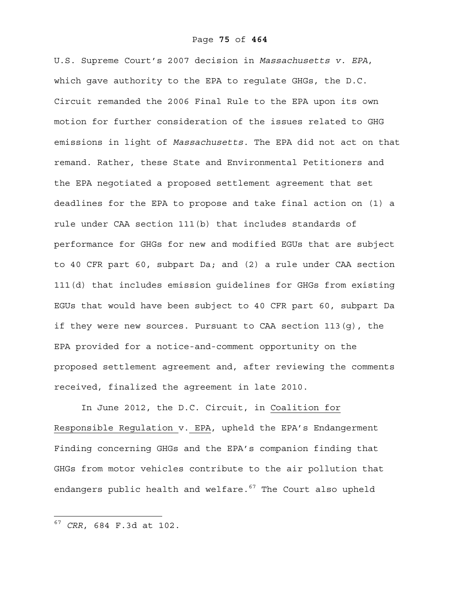U.S. Supreme Court's 2007 decision in *Massachusetts v. EPA*, which gave authority to the EPA to regulate GHGs, the D.C. Circuit remanded the 2006 Final Rule to the EPA upon its own motion for further consideration of the issues related to GHG emissions in light of *Massachusetts.* The EPA did not act on that remand. Rather, these State and Environmental Petitioners and the EPA negotiated a proposed settlement agreement that set deadlines for the EPA to propose and take final action on (1) a rule under CAA section 111(b) that includes standards of performance for GHGs for new and modified EGUs that are subject to 40 CFR part 60, subpart Da; and (2) a rule under CAA section 111(d) that includes emission guidelines for GHGs from existing EGUs that would have been subject to 40 CFR part 60, subpart Da if they were new sources. Pursuant to CAA section 113(g), the EPA provided for a notice-and-comment opportunity on the proposed settlement agreement and, after reviewing the comments received, finalized the agreement in late 2010.

In June 2012, the D.C. Circuit, in Coalition for Responsible Regulation v. EPA, upheld the EPA's Endangerment Finding concerning GHGs and the EPA's companion finding that GHGs from motor vehicles contribute to the air pollution that endangers public health and welfare. $67$  The Court also upheld

 $\overline{a}$ 

<sup>67</sup> *CRR*, 684 F.3d at 102.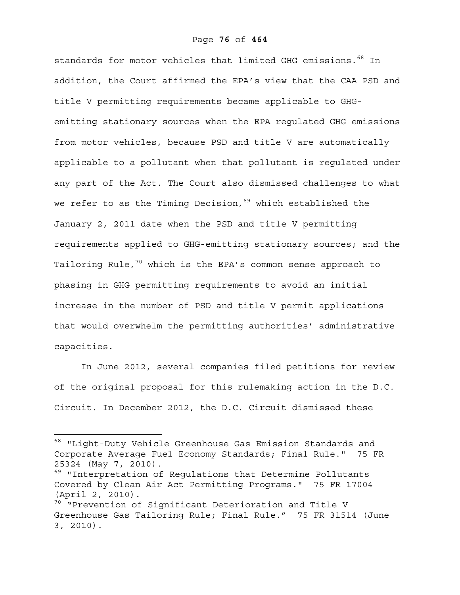standards for motor vehicles that limited GHG emissions.<sup>68</sup> In addition, the Court affirmed the EPA's view that the CAA PSD and title V permitting requirements became applicable to GHGemitting stationary sources when the EPA regulated GHG emissions from motor vehicles, because PSD and title V are automatically applicable to a pollutant when that pollutant is regulated under any part of the Act. The Court also dismissed challenges to what we refer to as the Timing Decision,  $69$  which established the January 2, 2011 date when the PSD and title V permitting requirements applied to GHG-emitting stationary sources; and the Tailoring Rule, $70$  which is the EPA's common sense approach to phasing in GHG permitting requirements to avoid an initial increase in the number of PSD and title V permit applications that would overwhelm the permitting authorities' administrative capacities.

In June 2012, several companies filed petitions for review of the original proposal for this rulemaking action in the D.C. Circuit. In December 2012, the D.C. Circuit dismissed these

 $\overline{a}$ 

<sup>68 &</sup>quot;Light-Duty Vehicle Greenhouse Gas Emission Standards and Corporate Average Fuel Economy Standards; Final Rule." 75 FR 25324 (May 7, 2010).

<sup>&</sup>lt;sup>69</sup> "Interpretation of Regulations that Determine Pollutants Covered by Clean Air Act Permitting Programs." 75 FR 17004 (April 2, 2010).

<sup>&</sup>lt;sup>70</sup> "Prevention of Significant Deterioration and Title V Greenhouse Gas Tailoring Rule; Final Rule." 75 FR 31514 (June 3, 2010).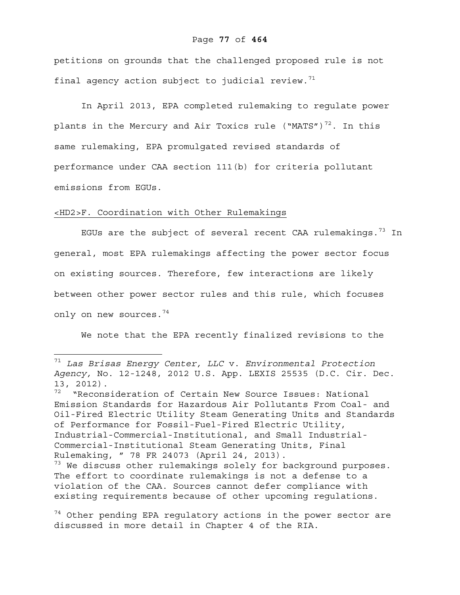### Page **77** of **464**

petitions on grounds that the challenged proposed rule is not final agency action subject to judicial review. $71$ 

In April 2013, EPA completed rulemaking to regulate power plants in the Mercury and Air Toxics rule ("MATS") $^{72}$ . In this same rulemaking, EPA promulgated revised standards of performance under CAA section 111(b) for criteria pollutant emissions from EGUs.

### <HD2>F. Coordination with Other Rulemakings

 $\overline{a}$ 

EGUs are the subject of several recent CAA rulemakings.<sup>73</sup> In general, most EPA rulemakings affecting the power sector focus on existing sources. Therefore, few interactions are likely between other power sector rules and this rule, which focuses only on new sources.<sup>74</sup>

We note that the EPA recently finalized revisions to the

<sup>71</sup> *Las Brisas Energy Center, LLC* v. *Environmental Protection Agency,* No. 12-1248, 2012 U.S. App. LEXIS 25535 (D.C. Cir. Dec. 13, 2012).

 $72$  "Reconsideration of Certain New Source Issues: National Emission Standards for Hazardous Air Pollutants From Coal- and Oil-Fired Electric Utility Steam Generating Units and Standards of Performance for Fossil-Fuel-Fired Electric Utility, Industrial-Commercial-Institutional, and Small Industrial-Commercial-Institutional Steam Generating Units, Final Rulemaking, " 78 FR 24073 (April 24, 2013).

 $73$  We discuss other rulemakings solely for background purposes. The effort to coordinate rulemakings is not a defense to a violation of the CAA. Sources cannot defer compliance with existing requirements because of other upcoming regulations.

 $74$  Other pending EPA regulatory actions in the power sector are discussed in more detail in Chapter 4 of the RIA.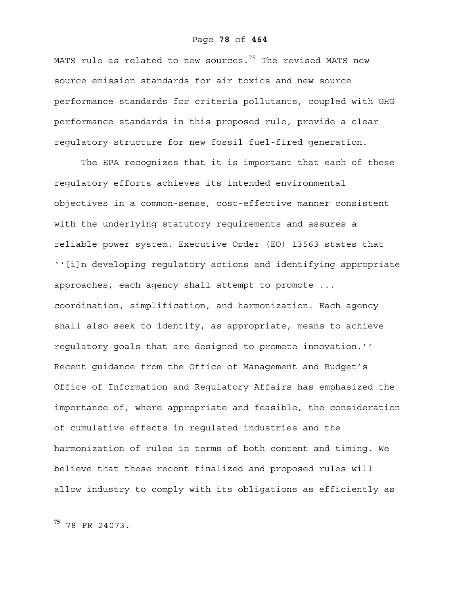## Page **78** of **464**

MATS rule as related to new sources. $75$  The revised MATS new source emission standards for air toxics and new source performance standards for criteria pollutants, coupled with GHG performance standards in this proposed rule, provide a clear regulatory structure for new fossil fuel-fired generation.

The EPA recognizes that it is important that each of these regulatory efforts achieves its intended environmental objectives in a common-sense, cost-effective manner consistent with the underlying statutory requirements and assures a reliable power system. Executive Order (EO) 13563 states that ''[i]n developing regulatory actions and identifying appropriate approaches, each agency shall attempt to promote ... coordination, simplification, and harmonization. Each agency shall also seek to identify, as appropriate, means to achieve regulatory goals that are designed to promote innovation.'' Recent guidance from the Office of Management and Budget's Office of Information and Regulatory Affairs has emphasized the importance of, where appropriate and feasible, the consideration of cumulative effects in regulated industries and the harmonization of rules in terms of both content and timing. We believe that these recent finalized and proposed rules will allow industry to comply with its obligations as efficiently as

 $\overline{a}$ 

**<sup>75</sup>** 78 FR 24073.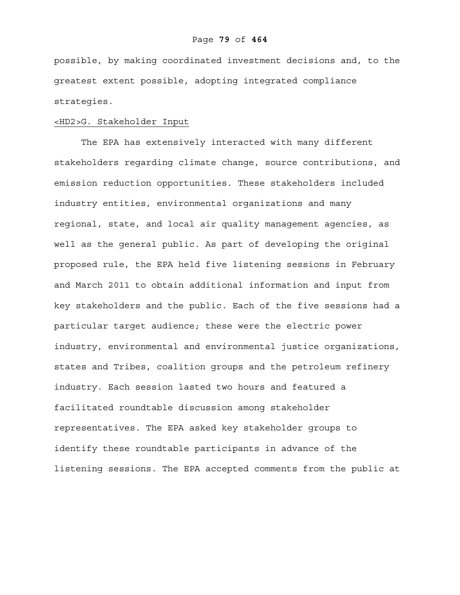possible, by making coordinated investment decisions and, to the greatest extent possible, adopting integrated compliance strategies.

### <HD2>G. Stakeholder Input

The EPA has extensively interacted with many different stakeholders regarding climate change, source contributions, and emission reduction opportunities. These stakeholders included industry entities, environmental organizations and many regional, state, and local air quality management agencies, as well as the general public. As part of developing the original proposed rule, the EPA held five listening sessions in February and March 2011 to obtain additional information and input from key stakeholders and the public. Each of the five sessions had a particular target audience; these were the electric power industry, environmental and environmental justice organizations, states and Tribes, coalition groups and the petroleum refinery industry. Each session lasted two hours and featured a facilitated roundtable discussion among stakeholder representatives. The EPA asked key stakeholder groups to identify these roundtable participants in advance of the listening sessions. The EPA accepted comments from the public at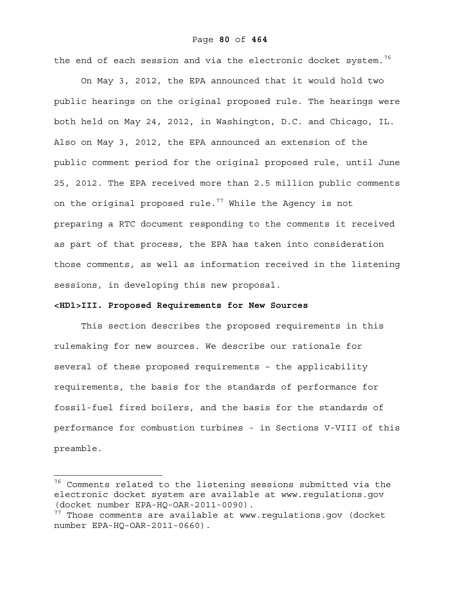the end of each session and via the electronic docket system.<sup>76</sup>

On May 3, 2012, the EPA announced that it would hold two public hearings on the original proposed rule. The hearings were both held on May 24, 2012, in Washington, D.C. and Chicago, IL. Also on May 3, 2012, the EPA announced an extension of the public comment period for the original proposed rule, until June 25, 2012. The EPA received more than 2.5 million public comments on the original proposed rule.<sup>77</sup> While the Agency is not preparing a RTC document responding to the comments it received as part of that process, the EPA has taken into consideration those comments, as well as information received in the listening sessions, in developing this new proposal.

### **<HD1>III. Proposed Requirements for New Sources**

 $\overline{a}$ 

This section describes the proposed requirements in this rulemaking for new sources. We describe our rationale for several of these proposed requirements – the applicability requirements, the basis for the standards of performance for fossil-fuel fired boilers, and the basis for the standards of performance for combustion turbines - in Sections V-VIII of this preamble.

<sup>&</sup>lt;sup>76</sup> Comments related to the listening sessions submitted via the electronic docket system are available at www.regulations.gov (docket number EPA-HQ-OAR-2011-0090).

 $77$  Those comments are available at www.regulations.gov (docket number EPA-HQ-OAR-2011-0660).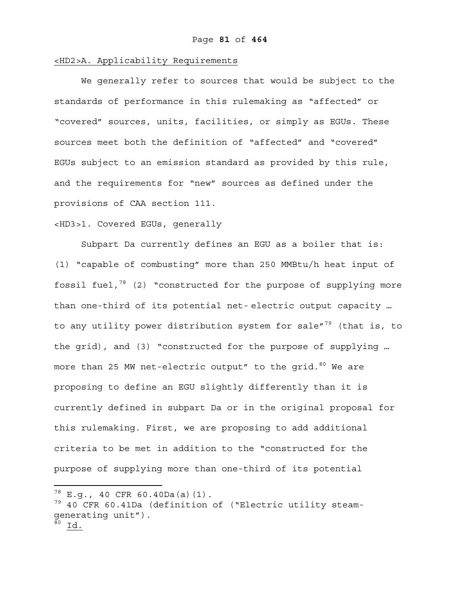## <HD2>A. Applicability Requirements

We generally refer to sources that would be subject to the standards of performance in this rulemaking as "affected" or "covered" sources, units, facilities, or simply as EGUs. These sources meet both the definition of "affected" and "covered" EGUs subject to an emission standard as provided by this rule, and the requirements for "new" sources as defined under the provisions of CAA section 111.

### <HD3>1. Covered EGUs, generally

Subpart Da currently defines an EGU as a boiler that is: (1) "capable of combusting" more than 250 MMBtu/h heat input of fossil fuel, $78$  (2) "constructed for the purpose of supplying more than one-third of its potential net- electric output capacity … to any utility power distribution system for sale"<sup>79</sup> (that is, to the grid), and (3) "constructed for the purpose of supplying … more than 25 MW net-electric output" to the grid.  $80$  We are proposing to define an EGU slightly differently than it is currently defined in subpart Da or in the original proposal for this rulemaking. First, we are proposing to add additional criteria to be met in addition to the "constructed for the purpose of supplying more than one-third of its potential

<u>.</u>

 $78$  E.q., 40 CFR 60.40Da(a)(1).

<sup>&</sup>lt;sup>79</sup> 40 CFR 60.41Da (definition of ("Electric utility steamgenerating unit").  $^{\overline{80}}$  Id.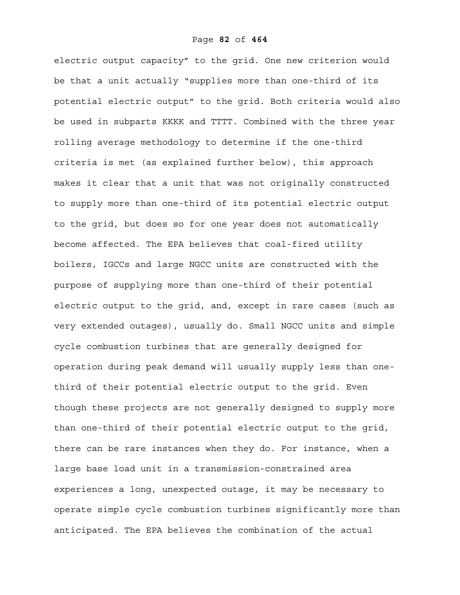electric output capacity" to the grid. One new criterion would be that a unit actually "supplies more than one-third of its potential electric output" to the grid. Both criteria would also be used in subparts KKKK and TTTT. Combined with the three year rolling average methodology to determine if the one-third criteria is met (as explained further below), this approach makes it clear that a unit that was not originally constructed to supply more than one-third of its potential electric output to the grid, but does so for one year does not automatically become affected. The EPA believes that coal-fired utility boilers, IGCCs and large NGCC units are constructed with the purpose of supplying more than one-third of their potential electric output to the grid, and, except in rare cases (such as very extended outages), usually do. Small NGCC units and simple cycle combustion turbines that are generally designed for operation during peak demand will usually supply less than onethird of their potential electric output to the grid. Even though these projects are not generally designed to supply more than one-third of their potential electric output to the grid, there can be rare instances when they do. For instance, when a large base load unit in a transmission-constrained area experiences a long, unexpected outage, it may be necessary to operate simple cycle combustion turbines significantly more than anticipated. The EPA believes the combination of the actual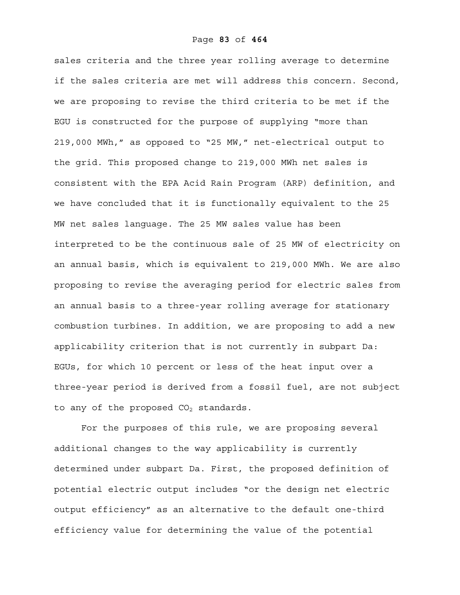sales criteria and the three year rolling average to determine if the sales criteria are met will address this concern. Second, we are proposing to revise the third criteria to be met if the EGU is constructed for the purpose of supplying "more than 219,000 MWh," as opposed to "25 MW," net-electrical output to the grid. This proposed change to 219,000 MWh net sales is consistent with the EPA Acid Rain Program (ARP) definition, and we have concluded that it is functionally equivalent to the 25 MW net sales language. The 25 MW sales value has been interpreted to be the continuous sale of 25 MW of electricity on an annual basis, which is equivalent to 219,000 MWh. We are also proposing to revise the averaging period for electric sales from an annual basis to a three-year rolling average for stationary combustion turbines. In addition, we are proposing to add a new applicability criterion that is not currently in subpart Da: EGUs, for which 10 percent or less of the heat input over a three-year period is derived from a fossil fuel, are not subject to any of the proposed  $CO<sub>2</sub>$  standards.

For the purposes of this rule, we are proposing several additional changes to the way applicability is currently determined under subpart Da. First, the proposed definition of potential electric output includes "or the design net electric output efficiency" as an alternative to the default one-third efficiency value for determining the value of the potential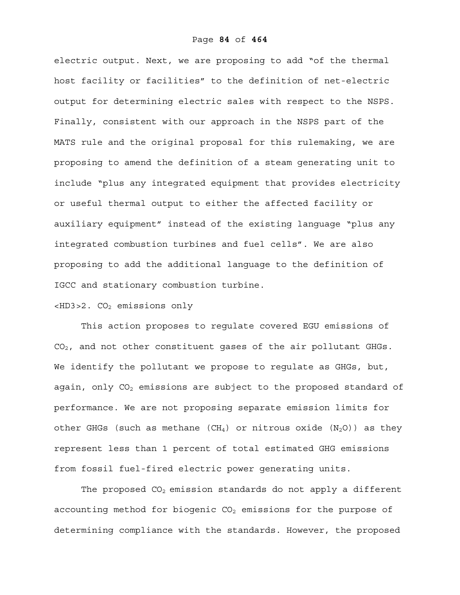electric output. Next, we are proposing to add "of the thermal host facility or facilities" to the definition of net-electric output for determining electric sales with respect to the NSPS. Finally, consistent with our approach in the NSPS part of the MATS rule and the original proposal for this rulemaking, we are proposing to amend the definition of a steam generating unit to include "plus any integrated equipment that provides electricity or useful thermal output to either the affected facility or auxiliary equipment" instead of the existing language "plus any integrated combustion turbines and fuel cells". We are also proposing to add the additional language to the definition of IGCC and stationary combustion turbine.

## $$\texttt{2. CO}_2$$  emissions only

This action proposes to regulate covered EGU emissions of CO2, and not other constituent gases of the air pollutant GHGs. We identify the pollutant we propose to regulate as GHGs, but, again, only  $CO<sub>2</sub>$  emissions are subject to the proposed standard of performance. We are not proposing separate emission limits for other GHGs (such as methane (CH<sub>4</sub>) or nitrous oxide  $(N_2O)$ ) as they represent less than 1 percent of total estimated GHG emissions from fossil fuel-fired electric power generating units.

The proposed  $CO<sub>2</sub>$  emission standards do not apply a different accounting method for biogenic  $CO<sub>2</sub>$  emissions for the purpose of determining compliance with the standards. However, the proposed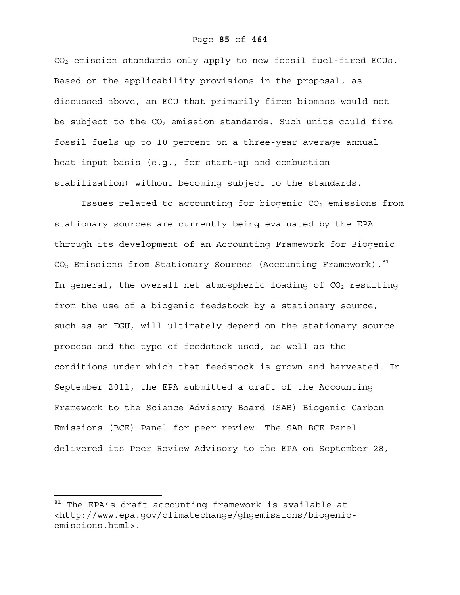CO2 emission standards only apply to new fossil fuel-fired EGUs. Based on the applicability provisions in the proposal, as discussed above, an EGU that primarily fires biomass would not be subject to the  $CO<sub>2</sub>$  emission standards. Such units could fire fossil fuels up to 10 percent on a three-year average annual heat input basis (e.g., for start-up and combustion stabilization) without becoming subject to the standards.

Issues related to accounting for biogenic  $CO<sub>2</sub>$  emissions from stationary sources are currently being evaluated by the EPA through its development of an Accounting Framework for Biogenic  $CO<sub>2</sub>$  Emissions from Stationary Sources (Accounting Framework).<sup>81</sup> In general, the overall net atmospheric loading of  $CO<sub>2</sub>$  resulting from the use of a biogenic feedstock by a stationary source, such as an EGU, will ultimately depend on the stationary source process and the type of feedstock used, as well as the conditions under which that feedstock is grown and harvested. In September 2011, the EPA submitted a draft of the Accounting Framework to the Science Advisory Board (SAB) Biogenic Carbon Emissions (BCE) Panel for peer review. The SAB BCE Panel delivered its Peer Review Advisory to the EPA on September 28,

1

 $81$  The EPA's draft accounting framework is available at <http://www.epa.gov/climatechange/ghgemissions/biogenicemissions.html>.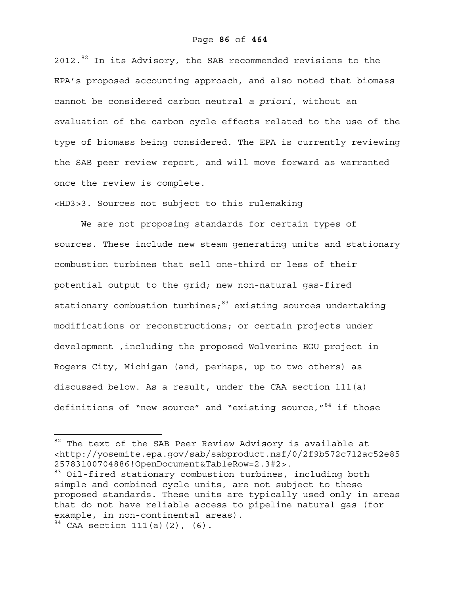2012.<sup>82</sup> In its Advisory, the SAB recommended revisions to the EPA's proposed accounting approach, and also noted that biomass cannot be considered carbon neutral *a priori*, without an evaluation of the carbon cycle effects related to the use of the type of biomass being considered. The EPA is currently reviewing the SAB peer review report, and will move forward as warranted once the review is complete.

<HD3>3. Sources not subject to this rulemaking

We are not proposing standards for certain types of sources. These include new steam generating units and stationary combustion turbines that sell one-third or less of their potential output to the grid; new non-natural gas-fired stationary combustion turbines; $83$  existing sources undertaking modifications or reconstructions; or certain projects under development ,including the proposed Wolverine EGU project in Rogers City, Michigan (and, perhaps, up to two others) as discussed below. As a result, under the CAA section 111(a) definitions of "new source" and "existing source,  $^{\prime\prime}$  84 if those

 $\overline{a}$ 

 $82$  The text of the SAB Peer Review Advisory is available at <http://yosemite.epa.gov/sab/sabproduct.nsf/0/2f9b572c712ac52e85 25783100704886!OpenDocument&TableRow=2.3#2>.

<sup>&</sup>lt;sup>83</sup> Oil-fired stationary combustion turbines, including both simple and combined cycle units, are not subject to these proposed standards. These units are typically used only in areas that do not have reliable access to pipeline natural gas (for example, in non-continental areas).

 $84$  CAA section 111(a)(2), (6).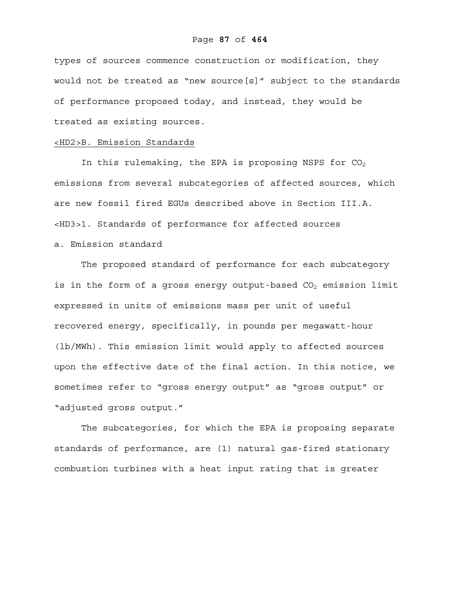types of sources commence construction or modification, they would not be treated as "new source[s]" subject to the standards of performance proposed today, and instead, they would be treated as existing sources.

### <HD2>B. Emission Standards

In this rulemaking, the EPA is proposing NSPS for  $CO<sub>2</sub>$ emissions from several subcategories of affected sources, which are new fossil fired EGUs described above in Section III.A. <HD3>1. Standards of performance for affected sources a. Emission standard

The proposed standard of performance for each subcategory is in the form of a gross energy output-based  $CO<sub>2</sub>$  emission limit expressed in units of emissions mass per unit of useful recovered energy, specifically, in pounds per megawatt-hour (lb/MWh). This emission limit would apply to affected sources upon the effective date of the final action. In this notice, we sometimes refer to "gross energy output" as "gross output" or "adjusted gross output."

The subcategories, for which the EPA is proposing separate standards of performance, are (1) natural gas-fired stationary combustion turbines with a heat input rating that is greater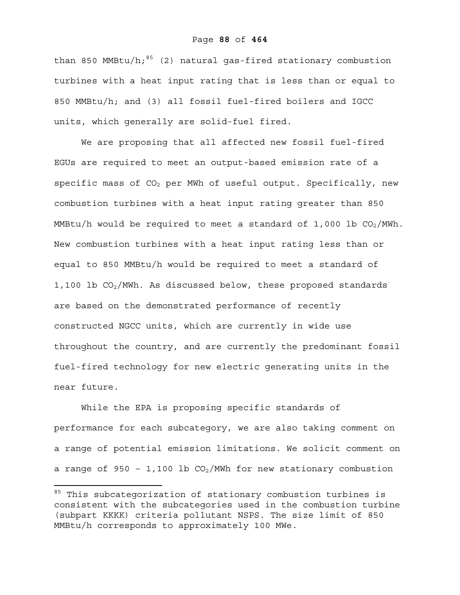than 850 MMBtu/h; $^{85}$  (2) natural gas-fired stationary combustion turbines with a heat input rating that is less than or equal to 850 MMBtu/h; and (3) all fossil fuel-fired boilers and IGCC units, which generally are solid-fuel fired.

We are proposing that all affected new fossil fuel-fired EGUs are required to meet an output-based emission rate of a specific mass of  $CO<sub>2</sub>$  per MWh of useful output. Specifically, new combustion turbines with a heat input rating greater than 850 MMBtu/h would be required to meet a standard of 1,000 lb  $CO<sub>2</sub>/MWh$ . New combustion turbines with a heat input rating less than or equal to 850 MMBtu/h would be required to meet a standard of 1,100 lb  $CO<sub>2</sub>/MWh$ . As discussed below, these proposed standards are based on the demonstrated performance of recently constructed NGCC units, which are currently in wide use throughout the country, and are currently the predominant fossil fuel-fired technology for new electric generating units in the near future.

While the EPA is proposing specific standards of performance for each subcategory, we are also taking comment on a range of potential emission limitations. We solicit comment on a range of 950 - 1,100 lb  $CO<sub>2</sub>/MWh$  for new stationary combustion

<u>.</u>

 $85$  This subcategorization of stationary combustion turbines is consistent with the subcategories used in the combustion turbine (subpart KKKK) criteria pollutant NSPS. The size limit of 850 MMBtu/h corresponds to approximately 100 MWe.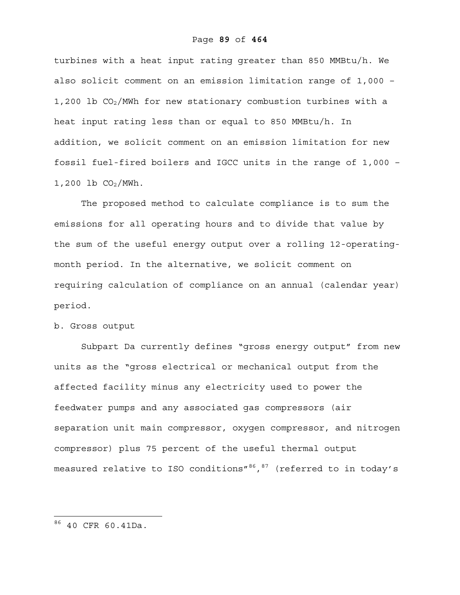turbines with a heat input rating greater than 850 MMBtu/h. We also solicit comment on an emission limitation range of 1,000 – 1,200 lb  $CO_2/$ MWh for new stationary combustion turbines with a heat input rating less than or equal to 850 MMBtu/h. In addition, we solicit comment on an emission limitation for new fossil fuel-fired boilers and IGCC units in the range of 1,000 –  $1,200$  lb  $CO<sub>2</sub>/MWh$ .

The proposed method to calculate compliance is to sum the emissions for all operating hours and to divide that value by the sum of the useful energy output over a rolling 12-operatingmonth period. In the alternative, we solicit comment on requiring calculation of compliance on an annual (calendar year) period.

## b. Gross output

Subpart Da currently defines "gross energy output" from new units as the "gross electrical or mechanical output from the affected facility minus any electricity used to power the feedwater pumps and any associated gas compressors (air separation unit main compressor, oxygen compressor, and nitrogen compressor) plus 75 percent of the useful thermal output measured relative to ISO conditions"<sup>86</sup>, 87 (referred to in today's

 $\overline{a}$ 

<sup>86 40</sup> CFR 60.41Da.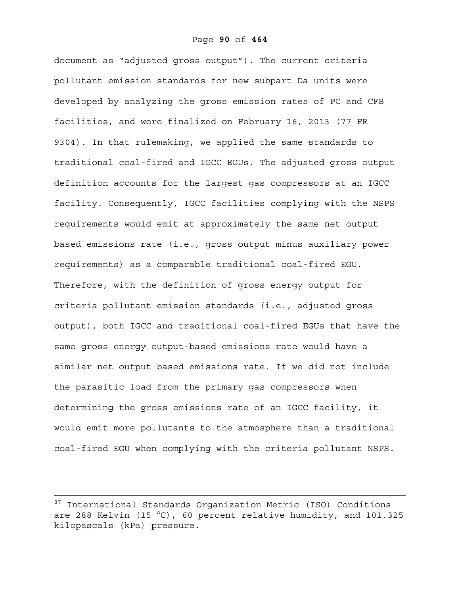document as "adjusted gross output"). The current criteria pollutant emission standards for new subpart Da units were developed by analyzing the gross emission rates of PC and CFB facilities, and were finalized on February 16, 2013 (77 FR 9304). In that rulemaking, we applied the same standards to traditional coal-fired and IGCC EGUs. The adjusted gross output definition accounts for the largest gas compressors at an IGCC facility. Consequently, IGCC facilities complying with the NSPS requirements would emit at approximately the same net output based emissions rate (i.e., gross output minus auxiliary power requirements) as a comparable traditional coal-fired EGU. Therefore, with the definition of gross energy output for criteria pollutant emission standards (i.e., adjusted gross output), both IGCC and traditional coal-fired EGUs that have the same gross energy output-based emissions rate would have a similar net output-based emissions rate. If we did not include the parasitic load from the primary gas compressors when determining the gross emissions rate of an IGCC facility, it would emit more pollutants to the atmosphere than a traditional coal-fired EGU when complying with the criteria pollutant NSPS.

<sup>87</sup> International Standards Organization Metric (ISO) Conditions are 288 Kelvin (15 °C), 60 percent relative humidity, and 101.325 kilopascals (kPa) pressure.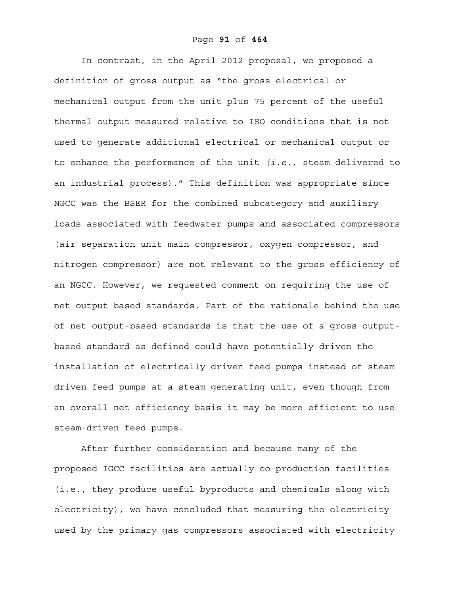In contrast, in the April 2012 proposal, we proposed a definition of gross output as "the gross electrical or mechanical output from the unit plus 75 percent of the useful thermal output measured relative to ISO conditions that is not used to generate additional electrical or mechanical output or to enhance the performance of the unit *(i.e.,* steam delivered to an industrial process)." This definition was appropriate since NGCC was the BSER for the combined subcategory and auxiliary loads associated with feedwater pumps and associated compressors (air separation unit main compressor, oxygen compressor, and nitrogen compressor) are not relevant to the gross efficiency of an NGCC. However, we requested comment on requiring the use of net output based standards. Part of the rationale behind the use of net output-based standards is that the use of a gross outputbased standard as defined could have potentially driven the installation of electrically driven feed pumps instead of steam driven feed pumps at a steam generating unit, even though from an overall net efficiency basis it may be more efficient to use steam-driven feed pumps.

After further consideration and because many of the proposed IGCC facilities are actually co-production facilities (i.e., they produce useful byproducts and chemicals along with electricity), we have concluded that measuring the electricity used by the primary gas compressors associated with electricity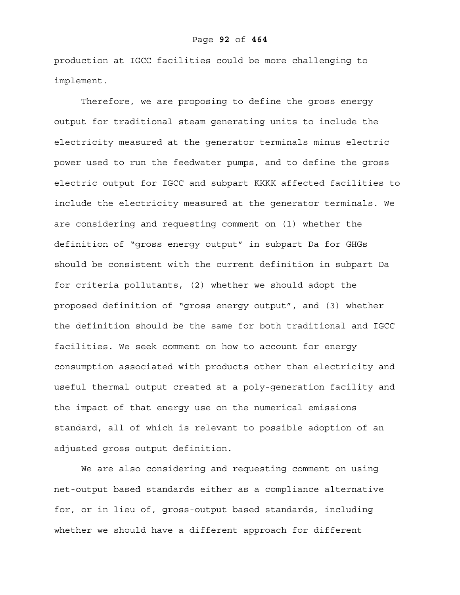production at IGCC facilities could be more challenging to implement.

Therefore, we are proposing to define the gross energy output for traditional steam generating units to include the electricity measured at the generator terminals minus electric power used to run the feedwater pumps, and to define the gross electric output for IGCC and subpart KKKK affected facilities to include the electricity measured at the generator terminals. We are considering and requesting comment on (1) whether the definition of "gross energy output" in subpart Da for GHGs should be consistent with the current definition in subpart Da for criteria pollutants, (2) whether we should adopt the proposed definition of "gross energy output", and (3) whether the definition should be the same for both traditional and IGCC facilities. We seek comment on how to account for energy consumption associated with products other than electricity and useful thermal output created at a poly-generation facility and the impact of that energy use on the numerical emissions standard, all of which is relevant to possible adoption of an adjusted gross output definition.

We are also considering and requesting comment on using net-output based standards either as a compliance alternative for, or in lieu of, gross-output based standards, including whether we should have a different approach for different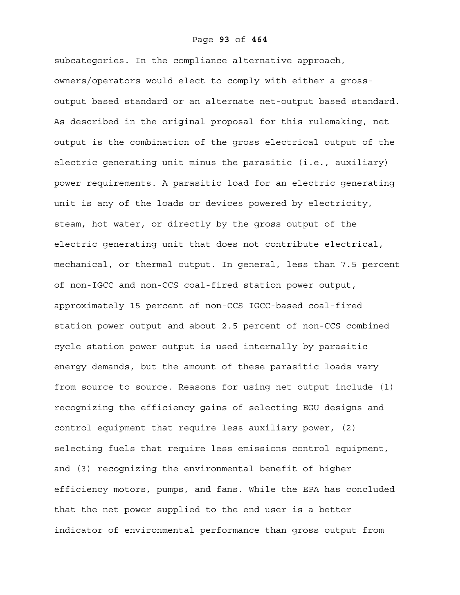subcategories. In the compliance alternative approach, owners/operators would elect to comply with either a grossoutput based standard or an alternate net-output based standard. As described in the original proposal for this rulemaking, net output is the combination of the gross electrical output of the electric generating unit minus the parasitic (i.e., auxiliary) power requirements. A parasitic load for an electric generating unit is any of the loads or devices powered by electricity, steam, hot water, or directly by the gross output of the electric generating unit that does not contribute electrical, mechanical, or thermal output. In general, less than 7.5 percent of non-IGCC and non-CCS coal-fired station power output, approximately 15 percent of non-CCS IGCC-based coal-fired station power output and about 2.5 percent of non-CCS combined cycle station power output is used internally by parasitic energy demands, but the amount of these parasitic loads vary from source to source. Reasons for using net output include (1) recognizing the efficiency gains of selecting EGU designs and control equipment that require less auxiliary power, (2) selecting fuels that require less emissions control equipment, and (3) recognizing the environmental benefit of higher efficiency motors, pumps, and fans. While the EPA has concluded that the net power supplied to the end user is a better indicator of environmental performance than gross output from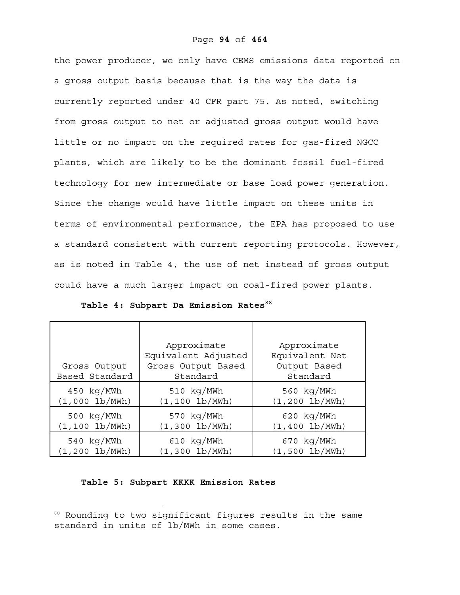the power producer, we only have CEMS emissions data reported on a gross output basis because that is the way the data is currently reported under 40 CFR part 75. As noted, switching from gross output to net or adjusted gross output would have little or no impact on the required rates for gas-fired NGCC plants, which are likely to be the dominant fossil fuel-fired technology for new intermediate or base load power generation. Since the change would have little impact on these units in terms of environmental performance, the EPA has proposed to use a standard consistent with current reporting protocols. However, as is noted in Table 4, the use of net instead of gross output could have a much larger impact on coal-fired power plants.

| Gross Output<br>Based Standard | Approximate<br>Equivalent Adjusted<br>Gross Output Based<br>Standard | Approximate<br>Equivalent Net<br>Output Based<br>Standard |
|--------------------------------|----------------------------------------------------------------------|-----------------------------------------------------------|
| $450 \text{ kg/MWh}$           | 510 kg/MWh                                                           | 560 kg/MWh                                                |
| $(1,000 \, lb/MWh)$            | $(1, 100 \, lb/MWh)$                                                 | $(1, 200 \, lb/MWh)$                                      |
| $500 \text{ kg}/\text{MWh}$    | 570 kg/MWh                                                           | $620 \text{ kg/MWh}$                                      |
| $(1, 100 \, lb/MWh)$           | $(1,300 \, lb/MWh)$                                                  | $(1,400 \, lb/MWh)$                                       |
| $540 \text{ kg/MWh}$           | $610 \text{ kg/MWh}$                                                 | $670 \text{ kg/MWh}$                                      |
| $(1, 200 \, lb/MWh)$           | $(1,300 \, lb/MWh)$                                                  | (1,500 lb/MWh)                                            |

Table 4: Subpart Da Emission Rates<sup>88</sup>

## **Table 5: Subpart KKKK Emission Rates**

 $\overline{a}$ 

<sup>88</sup> Rounding to two significant figures results in the same standard in units of lb/MWh in some cases.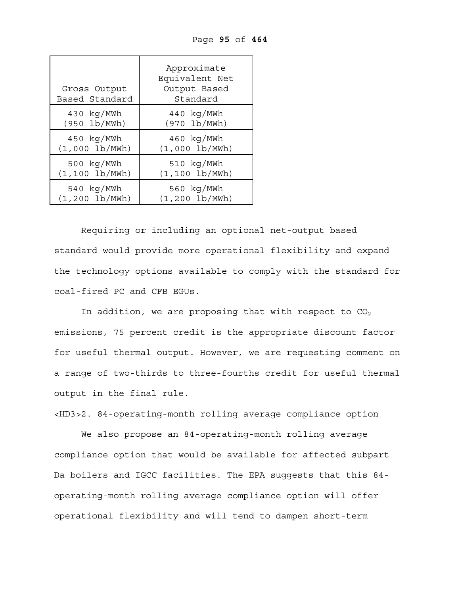| Gross Output<br>Based Standard | Approximate<br>Equivalent Net<br>Output Based<br>Standard |
|--------------------------------|-----------------------------------------------------------|
| $430 \text{ kg/MWh}$           | $440\;kg/MWh$                                             |
| (950 lb/MWh)                   | (970 lb/MWh)                                              |
| $450 \text{ kg/MWh}$           | $460 \text{ kg/MWh}$                                      |
| (1,000 lb/MWh)                 | (1,000 lb/MWh)                                            |
| $500 \text{ kg} / \text{MWh}$  | $510 \text{ kg} / \text{MWh}$                             |
| $(1, 100 \, lb/MWh)$           | $(1, 100 \, lb/MWh)$                                      |
| 540 kg/MWh                     | 560 kg/MWh                                                |
| $(1, 200 \, lb/MWh)$           | $(1, 200 \, lb/MWh)$                                      |

Page **95** of **464**

Requiring or including an optional net-output based standard would provide more operational flexibility and expand the technology options available to comply with the standard for coal-fired PC and CFB EGUs.

In addition, we are proposing that with respect to  $CO<sub>2</sub>$ emissions, 75 percent credit is the appropriate discount factor for useful thermal output. However, we are requesting comment on a range of two-thirds to three-fourths credit for useful thermal output in the final rule.

<HD3>2. 84-operating-month rolling average compliance option

We also propose an 84-operating-month rolling average compliance option that would be available for affected subpart Da boilers and IGCC facilities. The EPA suggests that this 84 operating-month rolling average compliance option will offer operational flexibility and will tend to dampen short-term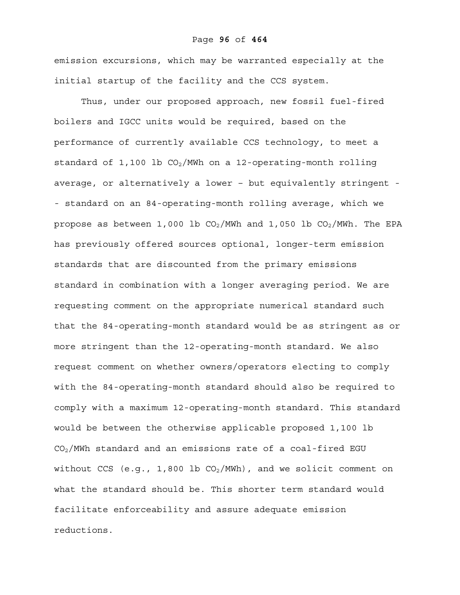### Page **96** of **464**

emission excursions, which may be warranted especially at the initial startup of the facility and the CCS system.

Thus, under our proposed approach, new fossil fuel-fired boilers and IGCC units would be required, based on the performance of currently available CCS technology, to meet a standard of 1,100 lb  $CO<sub>2</sub>/MWh$  on a 12-operating-month rolling average, or alternatively a lower – but equivalently stringent - - standard on an 84-operating-month rolling average, which we propose as between 1,000 lb  $CO<sub>2</sub>/MWh$  and 1,050 lb  $CO<sub>2</sub>/MWh$ . The EPA has previously offered sources optional, longer-term emission standards that are discounted from the primary emissions standard in combination with a longer averaging period. We are requesting comment on the appropriate numerical standard such that the 84-operating-month standard would be as stringent as or more stringent than the 12-operating-month standard. We also request comment on whether owners/operators electing to comply with the 84-operating-month standard should also be required to comply with a maximum 12-operating-month standard. This standard would be between the otherwise applicable proposed 1,100 lb  $CO<sub>2</sub>/MWh$  standard and an emissions rate of a coal-fired EGU without CCS (e.g., 1,800 lb  $CO<sub>2</sub>/MWh$ ), and we solicit comment on what the standard should be. This shorter term standard would facilitate enforceability and assure adequate emission reductions.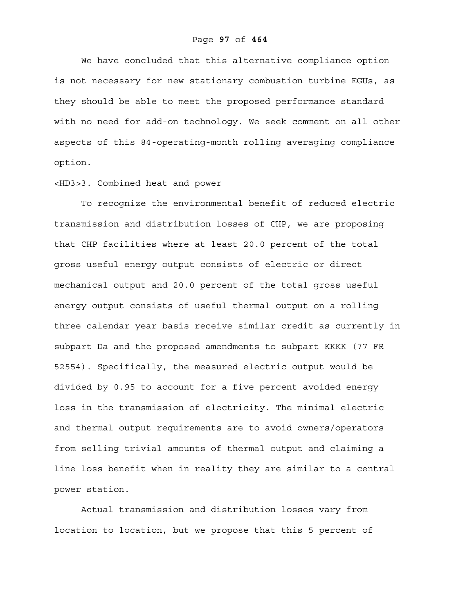We have concluded that this alternative compliance option is not necessary for new stationary combustion turbine EGUs, as they should be able to meet the proposed performance standard with no need for add-on technology. We seek comment on all other aspects of this 84-operating-month rolling averaging compliance option.

## <HD3>3. Combined heat and power

To recognize the environmental benefit of reduced electric transmission and distribution losses of CHP, we are proposing that CHP facilities where at least 20.0 percent of the total gross useful energy output consists of electric or direct mechanical output and 20.0 percent of the total gross useful energy output consists of useful thermal output on a rolling three calendar year basis receive similar credit as currently in subpart Da and the proposed amendments to subpart KKKK (77 FR 52554). Specifically, the measured electric output would be divided by 0.95 to account for a five percent avoided energy loss in the transmission of electricity. The minimal electric and thermal output requirements are to avoid owners/operators from selling trivial amounts of thermal output and claiming a line loss benefit when in reality they are similar to a central power station.

Actual transmission and distribution losses vary from location to location, but we propose that this 5 percent of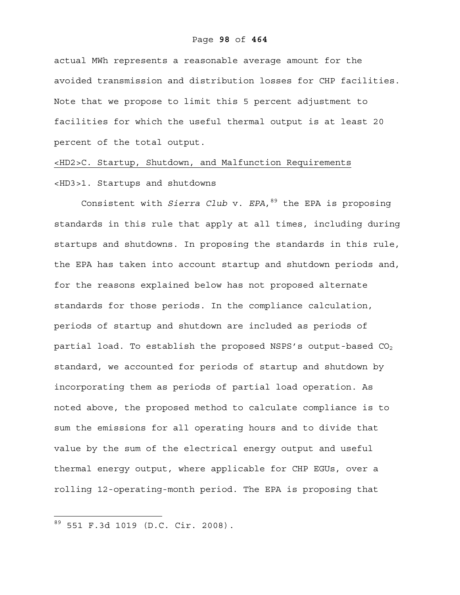#### Page **98** of **464**

actual MWh represents a reasonable average amount for the avoided transmission and distribution losses for CHP facilities. Note that we propose to limit this 5 percent adjustment to facilities for which the useful thermal output is at least 20 percent of the total output.

<HD2>C. Startup, Shutdown, and Malfunction Requirements <HD3>1. Startups and shutdowns

Consistent with *Sierra Club* v. *EPA*, <sup>89</sup> the EPA is proposing standards in this rule that apply at all times, including during startups and shutdowns. In proposing the standards in this rule, the EPA has taken into account startup and shutdown periods and, for the reasons explained below has not proposed alternate standards for those periods. In the compliance calculation, periods of startup and shutdown are included as periods of partial load. To establish the proposed NSPS's output-based  $CO<sub>2</sub>$ standard, we accounted for periods of startup and shutdown by incorporating them as periods of partial load operation. As noted above, the proposed method to calculate compliance is to sum the emissions for all operating hours and to divide that value by the sum of the electrical energy output and useful thermal energy output, where applicable for CHP EGUs, over a rolling 12-operating-month period. The EPA is proposing that

 $\overline{a}$ 

<sup>89 551</sup> F.3d 1019 (D.C. Cir. 2008).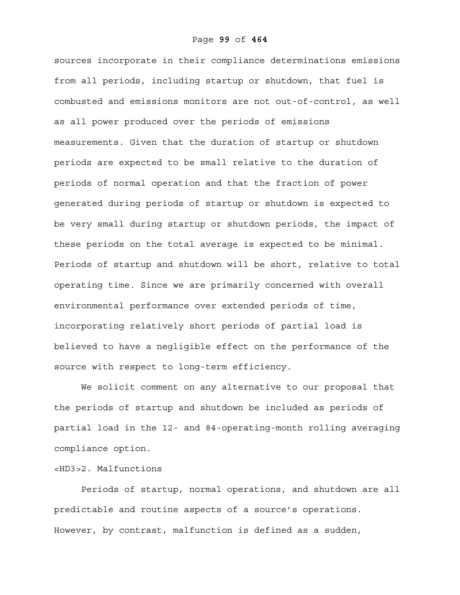sources incorporate in their compliance determinations emissions from all periods, including startup or shutdown, that fuel is combusted and emissions monitors are not out-of-control, as well as all power produced over the periods of emissions measurements. Given that the duration of startup or shutdown periods are expected to be small relative to the duration of periods of normal operation and that the fraction of power generated during periods of startup or shutdown is expected to be very small during startup or shutdown periods, the impact of these periods on the total average is expected to be minimal. Periods of startup and shutdown will be short, relative to total operating time. Since we are primarily concerned with overall environmental performance over extended periods of time, incorporating relatively short periods of partial load is believed to have a negligible effect on the performance of the source with respect to long-term efficiency.

We solicit comment on any alternative to our proposal that the periods of startup and shutdown be included as periods of partial load in the 12- and 84-operating-month rolling averaging compliance option.

# <HD3>2. Malfunctions

Periods of startup, normal operations, and shutdown are all predictable and routine aspects of a source's operations. However, by contrast, malfunction is defined as a sudden,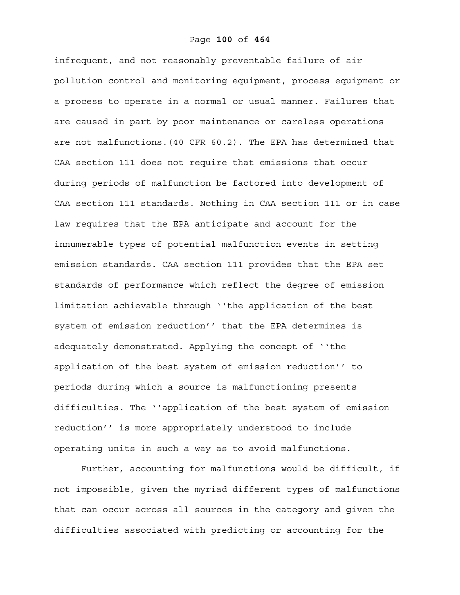infrequent, and not reasonably preventable failure of air pollution control and monitoring equipment, process equipment or a process to operate in a normal or usual manner. Failures that are caused in part by poor maintenance or careless operations are not malfunctions.(40 CFR 60.2). The EPA has determined that CAA section 111 does not require that emissions that occur during periods of malfunction be factored into development of CAA section 111 standards. Nothing in CAA section 111 or in case law requires that the EPA anticipate and account for the innumerable types of potential malfunction events in setting emission standards. CAA section 111 provides that the EPA set standards of performance which reflect the degree of emission limitation achievable through ''the application of the best system of emission reduction'' that the EPA determines is adequately demonstrated. Applying the concept of ''the application of the best system of emission reduction'' to periods during which a source is malfunctioning presents difficulties. The ''application of the best system of emission reduction'' is more appropriately understood to include operating units in such a way as to avoid malfunctions.

Further, accounting for malfunctions would be difficult, if not impossible, given the myriad different types of malfunctions that can occur across all sources in the category and given the difficulties associated with predicting or accounting for the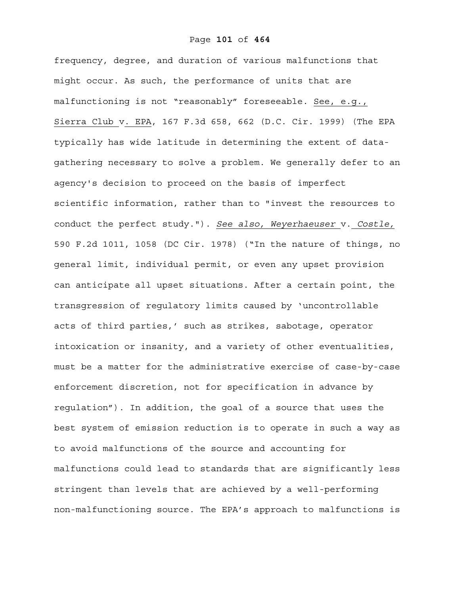frequency, degree, and duration of various malfunctions that might occur. As such, the performance of units that are malfunctioning is not "reasonably" foreseeable. See, e.g., Sierra Club v. EPA, 167 F.3d 658, 662 (D.C. Cir. 1999) (The EPA typically has wide latitude in determining the extent of datagathering necessary to solve a problem. We generally defer to an agency's decision to proceed on the basis of imperfect scientific information, rather than to "invest the resources to conduct the perfect study."). *See also, Weyerhaeuser* v. *Costle,* 590 F.2d 1011, 1058 (DC Cir. 1978) ("In the nature of things, no general limit, individual permit, or even any upset provision can anticipate all upset situations. After a certain point, the transgression of regulatory limits caused by 'uncontrollable acts of third parties,' such as strikes, sabotage, operator intoxication or insanity, and a variety of other eventualities, must be a matter for the administrative exercise of case-by-case enforcement discretion, not for specification in advance by regulation"). In addition, the goal of a source that uses the best system of emission reduction is to operate in such a way as to avoid malfunctions of the source and accounting for malfunctions could lead to standards that are significantly less stringent than levels that are achieved by a well-performing non-malfunctioning source. The EPA's approach to malfunctions is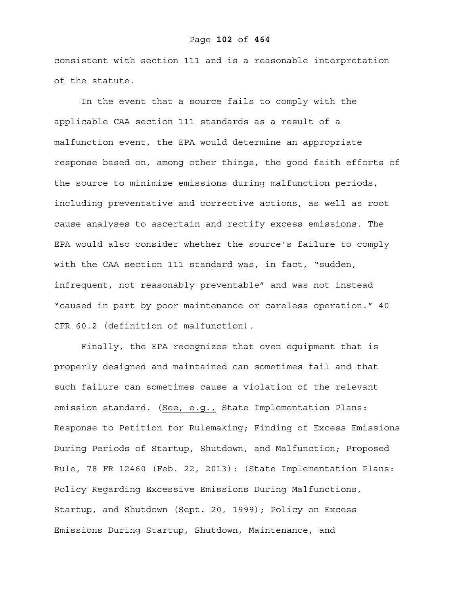### Page **102** of **464**

consistent with section 111 and is a reasonable interpretation of the statute.

In the event that a source fails to comply with the applicable CAA section 111 standards as a result of a malfunction event, the EPA would determine an appropriate response based on, among other things, the good faith efforts of the source to minimize emissions during malfunction periods, including preventative and corrective actions, as well as root cause analyses to ascertain and rectify excess emissions. The EPA would also consider whether the source's failure to comply with the CAA section 111 standard was, in fact, "sudden, infrequent, not reasonably preventable" and was not instead "caused in part by poor maintenance or careless operation." 40 CFR 60.2 (definition of malfunction).

Finally, the EPA recognizes that even equipment that is properly designed and maintained can sometimes fail and that such failure can sometimes cause a violation of the relevant emission standard. (See, e.g., State Implementation Plans: Response to Petition for Rulemaking; Finding of Excess Emissions During Periods of Startup, Shutdown, and Malfunction; Proposed Rule, 78 FR 12460 (Feb. 22, 2013): (State Implementation Plans: Policy Regarding Excessive Emissions During Malfunctions, Startup, and Shutdown (Sept. 20, 1999); Policy on Excess Emissions During Startup, Shutdown, Maintenance, and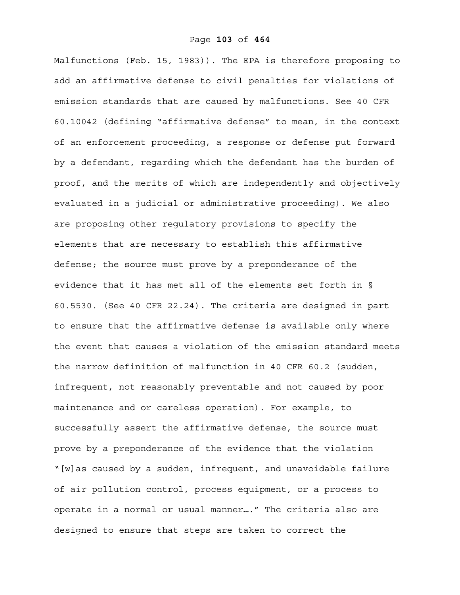Malfunctions (Feb. 15, 1983)). The EPA is therefore proposing to add an affirmative defense to civil penalties for violations of emission standards that are caused by malfunctions. See 40 CFR 60.10042 (defining "affirmative defense" to mean, in the context of an enforcement proceeding, a response or defense put forward by a defendant, regarding which the defendant has the burden of proof, and the merits of which are independently and objectively evaluated in a judicial or administrative proceeding). We also are proposing other regulatory provisions to specify the elements that are necessary to establish this affirmative defense; the source must prove by a preponderance of the evidence that it has met all of the elements set forth in § 60.5530. (See 40 CFR 22.24). The criteria are designed in part to ensure that the affirmative defense is available only where the event that causes a violation of the emission standard meets the narrow definition of malfunction in 40 CFR 60.2 (sudden, infrequent, not reasonably preventable and not caused by poor maintenance and or careless operation). For example, to successfully assert the affirmative defense, the source must prove by a preponderance of the evidence that the violation "[w]as caused by a sudden, infrequent, and unavoidable failure of air pollution control, process equipment, or a process to operate in a normal or usual manner…." The criteria also are designed to ensure that steps are taken to correct the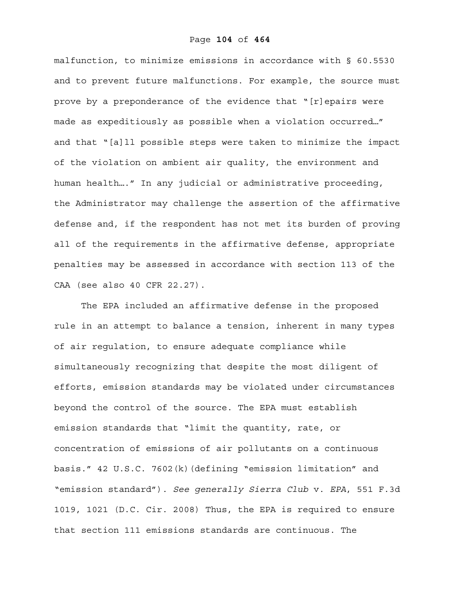malfunction, to minimize emissions in accordance with § 60.5530 and to prevent future malfunctions. For example, the source must prove by a preponderance of the evidence that "[r]epairs were made as expeditiously as possible when a violation occurred…" and that "[a]ll possible steps were taken to minimize the impact of the violation on ambient air quality, the environment and human health…." In any judicial or administrative proceeding, the Administrator may challenge the assertion of the affirmative defense and, if the respondent has not met its burden of proving all of the requirements in the affirmative defense, appropriate penalties may be assessed in accordance with section 113 of the CAA (see also 40 CFR 22.27).

The EPA included an affirmative defense in the proposed rule in an attempt to balance a tension, inherent in many types of air regulation, to ensure adequate compliance while simultaneously recognizing that despite the most diligent of efforts, emission standards may be violated under circumstances beyond the control of the source. The EPA must establish emission standards that "limit the quantity, rate, or concentration of emissions of air pollutants on a continuous basis." 42 U.S.C. 7602(k)(defining "emission limitation" and "emission standard"). *See generally Sierra Club* v. *EPA*, 551 F.3d 1019, 1021 (D.C. Cir. 2008) Thus, the EPA is required to ensure that section 111 emissions standards are continuous. The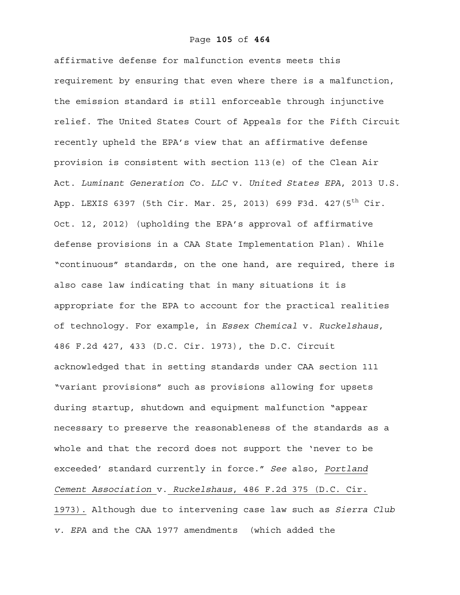#### Page **105** of **464**

affirmative defense for malfunction events meets this requirement by ensuring that even where there is a malfunction, the emission standard is still enforceable through injunctive relief. The United States Court of Appeals for the Fifth Circuit recently upheld the EPA's view that an affirmative defense provision is consistent with section 113(e) of the Clean Air Act. *Luminant Generation Co. LLC* v. *United States EPA*, 2013 U.S. App. LEXIS 6397 (5th Cir. Mar. 25, 2013) 699 F3d. 427(5<sup>th</sup> Cir. Oct. 12, 2012) (upholding the EPA's approval of affirmative defense provisions in a CAA State Implementation Plan). While "continuous" standards, on the one hand, are required, there is also case law indicating that in many situations it is appropriate for the EPA to account for the practical realities of technology. For example, in *Essex Chemical* v. *Ruckelshaus*, 486 F.2d 427, 433 (D.C. Cir. 1973), the D.C. Circuit acknowledged that in setting standards under CAA section 111 "variant provisions" such as provisions allowing for upsets during startup, shutdown and equipment malfunction "appear necessary to preserve the reasonableness of the standards as a whole and that the record does not support the 'never to be exceeded' standard currently in force." *See* also, *Portland Cement Association* v. *Ruckelshaus*, 486 F.2d 375 (D.C. Cir. 1973). Although due to intervening case law such as *Sierra Club v. EPA* and the CAA 1977 amendments (which added the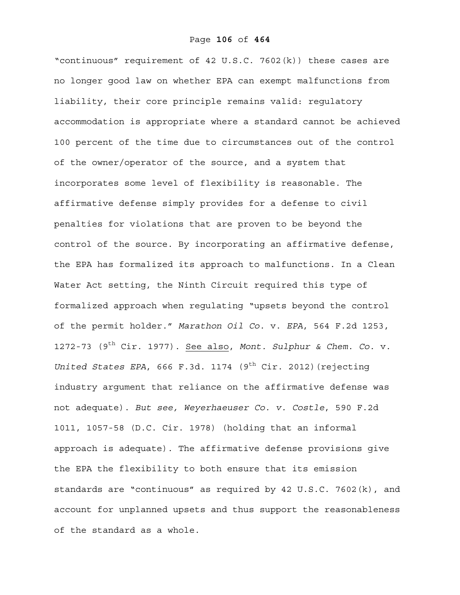"continuous" requirement of 42 U.S.C. 7602(k)) these cases are no longer good law on whether EPA can exempt malfunctions from liability, their core principle remains valid: regulatory accommodation is appropriate where a standard cannot be achieved 100 percent of the time due to circumstances out of the control of the owner/operator of the source, and a system that incorporates some level of flexibility is reasonable. The affirmative defense simply provides for a defense to civil penalties for violations that are proven to be beyond the control of the source. By incorporating an affirmative defense, the EPA has formalized its approach to malfunctions. In a Clean Water Act setting, the Ninth Circuit required this type of formalized approach when regulating "upsets beyond the control of the permit holder." *Marathon Oil Co.* v. *EPA*, 564 F.2d 1253, 1272-73 (9th Cir. 1977). See also, *Mont. Sulphur & Chem. Co.* v. *United States EPA,* 666 F.3d. 1174 (9<sup>th</sup> Cir. 2012) (rejecting industry argument that reliance on the affirmative defense was not adequate). *But see, Weyerhaeuser Co. v. Costle*, 590 F.2d 1011, 1057-58 (D.C. Cir. 1978) (holding that an informal approach is adequate). The affirmative defense provisions give the EPA the flexibility to both ensure that its emission standards are "continuous" as required by 42 U.S.C. 7602(k), and account for unplanned upsets and thus support the reasonableness of the standard as a whole.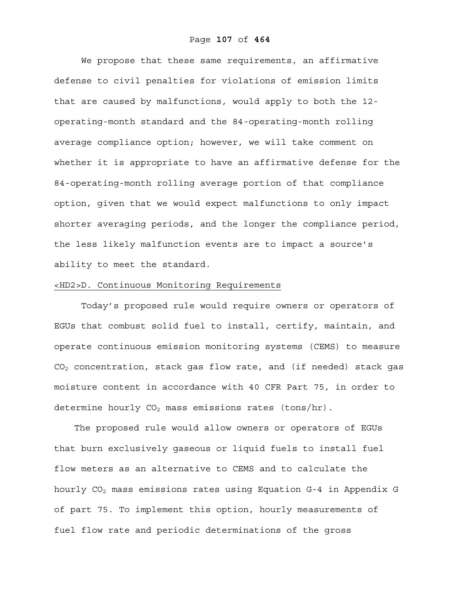We propose that these same requirements, an affirmative defense to civil penalties for violations of emission limits that are caused by malfunctions, would apply to both the 12 operating-month standard and the 84-operating-month rolling average compliance option; however, we will take comment on whether it is appropriate to have an affirmative defense for the 84-operating-month rolling average portion of that compliance option, given that we would expect malfunctions to only impact shorter averaging periods, and the longer the compliance period, the less likely malfunction events are to impact a source's ability to meet the standard.

## <HD2>D. Continuous Monitoring Requirements

Today's proposed rule would require owners or operators of EGUs that combust solid fuel to install, certify, maintain, and operate continuous emission monitoring systems (CEMS) to measure CO2 concentration, stack gas flow rate, and (if needed) stack gas moisture content in accordance with 40 CFR Part 75, in order to determine hourly  $CO<sub>2</sub>$  mass emissions rates (tons/hr).

 The proposed rule would allow owners or operators of EGUs that burn exclusively gaseous or liquid fuels to install fuel flow meters as an alternative to CEMS and to calculate the hourly  $CO<sub>2</sub>$  mass emissions rates using Equation G-4 in Appendix G of part 75. To implement this option, hourly measurements of fuel flow rate and periodic determinations of the gross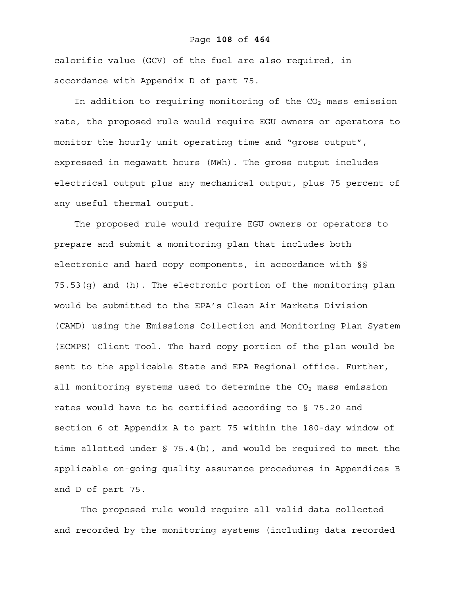### Page **108** of **464**

calorific value (GCV) of the fuel are also required, in accordance with Appendix D of part 75.

In addition to requiring monitoring of the  $CO<sub>2</sub>$  mass emission rate, the proposed rule would require EGU owners or operators to monitor the hourly unit operating time and "gross output", expressed in megawatt hours (MWh). The gross output includes electrical output plus any mechanical output, plus 75 percent of any useful thermal output.

 The proposed rule would require EGU owners or operators to prepare and submit a monitoring plan that includes both electronic and hard copy components, in accordance with §§ 75.53(g) and (h). The electronic portion of the monitoring plan would be submitted to the EPA's Clean Air Markets Division (CAMD) using the Emissions Collection and Monitoring Plan System (ECMPS) Client Tool. The hard copy portion of the plan would be sent to the applicable State and EPA Regional office. Further, all monitoring systems used to determine the  $CO<sub>2</sub>$  mass emission rates would have to be certified according to § 75.20 and section 6 of Appendix A to part 75 within the 180-day window of time allotted under § 75.4(b), and would be required to meet the applicable on-going quality assurance procedures in Appendices B and D of part 75.

The proposed rule would require all valid data collected and recorded by the monitoring systems (including data recorded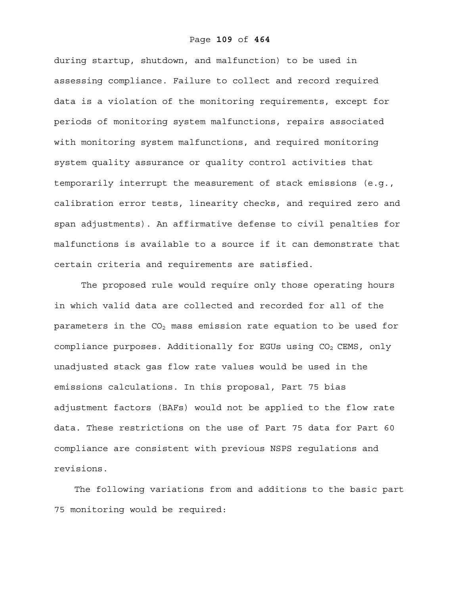during startup, shutdown, and malfunction) to be used in assessing compliance. Failure to collect and record required data is a violation of the monitoring requirements, except for periods of monitoring system malfunctions, repairs associated with monitoring system malfunctions, and required monitoring system quality assurance or quality control activities that temporarily interrupt the measurement of stack emissions (e.g., calibration error tests, linearity checks, and required zero and span adjustments). An affirmative defense to civil penalties for malfunctions is available to a source if it can demonstrate that certain criteria and requirements are satisfied.

The proposed rule would require only those operating hours in which valid data are collected and recorded for all of the parameters in the  $CO<sub>2</sub>$  mass emission rate equation to be used for compliance purposes. Additionally for EGUs using  $CO<sub>2</sub>$  CEMS, only unadjusted stack gas flow rate values would be used in the emissions calculations. In this proposal, Part 75 bias adjustment factors (BAFs) would not be applied to the flow rate data. These restrictions on the use of Part 75 data for Part 60 compliance are consistent with previous NSPS regulations and revisions.

 The following variations from and additions to the basic part 75 monitoring would be required: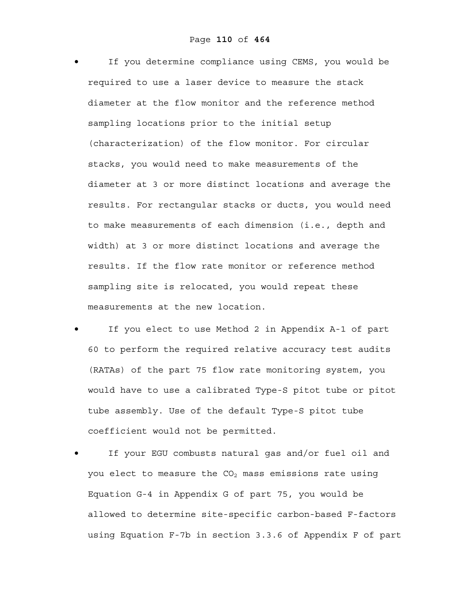If you determine compliance using CEMS, you would be required to use a laser device to measure the stack diameter at the flow monitor and the reference method sampling locations prior to the initial setup (characterization) of the flow monitor. For circular stacks, you would need to make measurements of the diameter at 3 or more distinct locations and average the results. For rectangular stacks or ducts, you would need to make measurements of each dimension (i.e., depth and width) at 3 or more distinct locations and average the results. If the flow rate monitor or reference method sampling site is relocated, you would repeat these measurements at the new location.

- If you elect to use Method 2 in Appendix A-1 of part 60 to perform the required relative accuracy test audits (RATAs) of the part 75 flow rate monitoring system, you would have to use a calibrated Type-S pitot tube or pitot tube assembly. Use of the default Type-S pitot tube coefficient would not be permitted.
- If your EGU combusts natural gas and/or fuel oil and you elect to measure the  $CO<sub>2</sub>$  mass emissions rate using Equation G-4 in Appendix G of part 75, you would be allowed to determine site-specific carbon-based F-factors using Equation F-7b in section 3.3.6 of Appendix F of part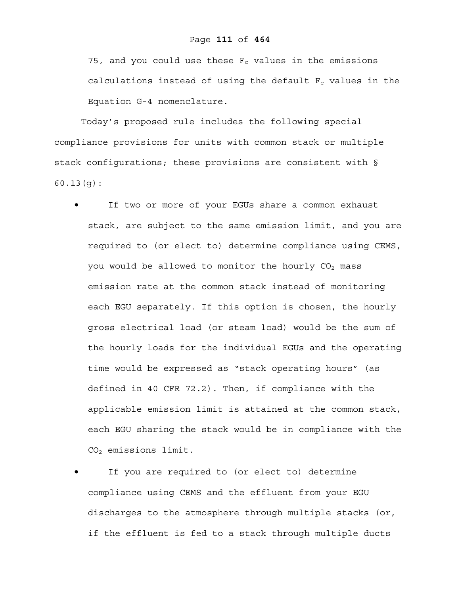75, and you could use these  $F_c$  values in the emissions calculations instead of using the default  $F_c$  values in the Equation G-4 nomenclature.

Today's proposed rule includes the following special compliance provisions for units with common stack or multiple stack configurations; these provisions are consistent with § 60.13(g):

- If two or more of your EGUs share a common exhaust stack, are subject to the same emission limit, and you are required to (or elect to) determine compliance using CEMS, you would be allowed to monitor the hourly  $CO<sub>2</sub>$  mass emission rate at the common stack instead of monitoring each EGU separately. If this option is chosen, the hourly gross electrical load (or steam load) would be the sum of the hourly loads for the individual EGUs and the operating time would be expressed as "stack operating hours" (as defined in 40 CFR 72.2). Then, if compliance with the applicable emission limit is attained at the common stack, each EGU sharing the stack would be in compliance with the CO2 emissions limit.
- If you are required to (or elect to) determine compliance using CEMS and the effluent from your EGU discharges to the atmosphere through multiple stacks (or, if the effluent is fed to a stack through multiple ducts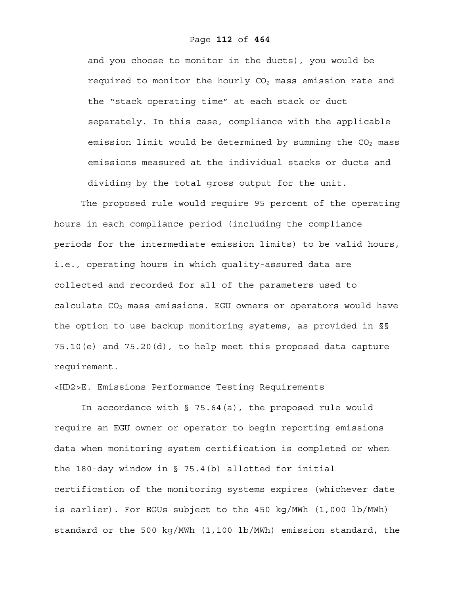and you choose to monitor in the ducts), you would be required to monitor the hourly  $CO<sub>2</sub>$  mass emission rate and the "stack operating time" at each stack or duct separately. In this case, compliance with the applicable emission limit would be determined by summing the  $CO<sub>2</sub>$  mass emissions measured at the individual stacks or ducts and dividing by the total gross output for the unit.

The proposed rule would require 95 percent of the operating hours in each compliance period (including the compliance periods for the intermediate emission limits) to be valid hours, i.e., operating hours in which quality-assured data are collected and recorded for all of the parameters used to calculate  $CO<sub>2</sub>$  mass emissions. EGU owners or operators would have the option to use backup monitoring systems, as provided in §§ 75.10(e) and 75.20(d), to help meet this proposed data capture requirement.

### <HD2>E. Emissions Performance Testing Requirements

In accordance with § 75.64(a), the proposed rule would require an EGU owner or operator to begin reporting emissions data when monitoring system certification is completed or when the 180-day window in § 75.4(b) allotted for initial certification of the monitoring systems expires (whichever date is earlier). For EGUs subject to the 450 kg/MWh (1,000 lb/MWh) standard or the 500 kg/MWh (1,100 lb/MWh) emission standard, the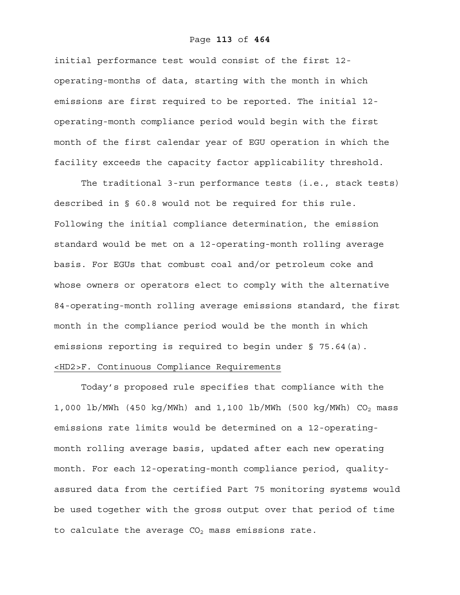### Page **113** of **464**

initial performance test would consist of the first 12 operating-months of data, starting with the month in which emissions are first required to be reported. The initial 12 operating-month compliance period would begin with the first month of the first calendar year of EGU operation in which the facility exceeds the capacity factor applicability threshold.

The traditional 3-run performance tests (i.e., stack tests) described in § 60.8 would not be required for this rule. Following the initial compliance determination, the emission standard would be met on a 12-operating-month rolling average basis. For EGUs that combust coal and/or petroleum coke and whose owners or operators elect to comply with the alternative 84-operating-month rolling average emissions standard, the first month in the compliance period would be the month in which emissions reporting is required to begin under § 75.64(a).

# <HD2>F. Continuous Compliance Requirements

Today's proposed rule specifies that compliance with the 1,000 lb/MWh (450 kg/MWh) and 1,100 lb/MWh (500 kg/MWh)  $CO<sub>2</sub>$  mass emissions rate limits would be determined on a 12-operatingmonth rolling average basis, updated after each new operating month. For each 12-operating-month compliance period, qualityassured data from the certified Part 75 monitoring systems would be used together with the gross output over that period of time to calculate the average  $CO<sub>2</sub>$  mass emissions rate.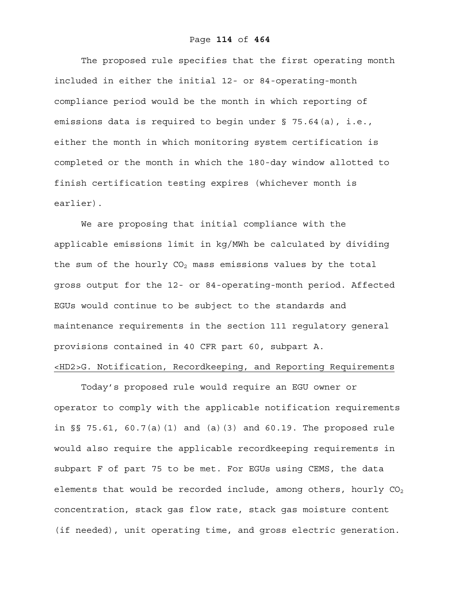The proposed rule specifies that the first operating month included in either the initial 12- or 84-operating-month compliance period would be the month in which reporting of emissions data is required to begin under § 75.64(a), i.e., either the month in which monitoring system certification is completed or the month in which the 180-day window allotted to finish certification testing expires (whichever month is earlier).

We are proposing that initial compliance with the applicable emissions limit in kg/MWh be calculated by dividing the sum of the hourly  $CO<sub>2</sub>$  mass emissions values by the total gross output for the 12- or 84-operating-month period. Affected EGUs would continue to be subject to the standards and maintenance requirements in the section 111 regulatory general provisions contained in 40 CFR part 60, subpart A. <HD2>G. Notification, Recordkeeping, and Reporting Requirements

Today's proposed rule would require an EGU owner or operator to comply with the applicable notification requirements in §§ 75.61, 60.7(a)(1) and (a)(3) and 60.19. The proposed rule would also require the applicable recordkeeping requirements in subpart F of part 75 to be met. For EGUs using CEMS, the data elements that would be recorded include, among others, hourly  $CO<sub>2</sub>$ concentration, stack gas flow rate, stack gas moisture content (if needed), unit operating time, and gross electric generation.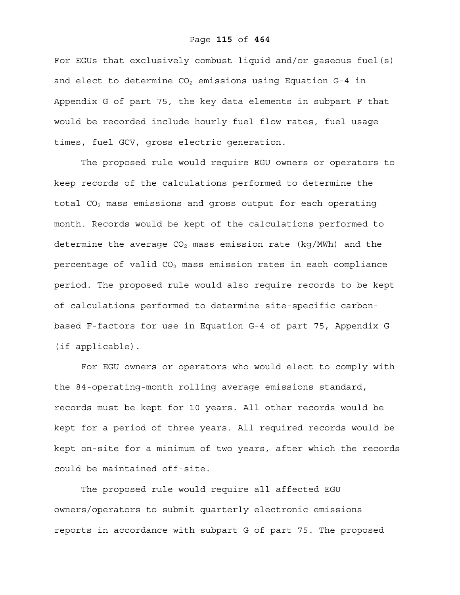### Page **115** of **464**

For EGUs that exclusively combust liquid and/or gaseous fuel(s) and elect to determine  $CO<sub>2</sub>$  emissions using Equation G-4 in Appendix G of part 75, the key data elements in subpart F that would be recorded include hourly fuel flow rates, fuel usage times, fuel GCV, gross electric generation.

The proposed rule would require EGU owners or operators to keep records of the calculations performed to determine the total  $CO<sub>2</sub>$  mass emissions and gross output for each operating month. Records would be kept of the calculations performed to determine the average  $CO<sub>2</sub>$  mass emission rate (kg/MWh) and the percentage of valid  $CO<sub>2</sub>$  mass emission rates in each compliance period. The proposed rule would also require records to be kept of calculations performed to determine site-specific carbonbased F-factors for use in Equation G-4 of part 75, Appendix G (if applicable).

For EGU owners or operators who would elect to comply with the 84-operating-month rolling average emissions standard, records must be kept for 10 years. All other records would be kept for a period of three years. All required records would be kept on-site for a minimum of two years, after which the records could be maintained off-site.

The proposed rule would require all affected EGU owners/operators to submit quarterly electronic emissions reports in accordance with subpart G of part 75. The proposed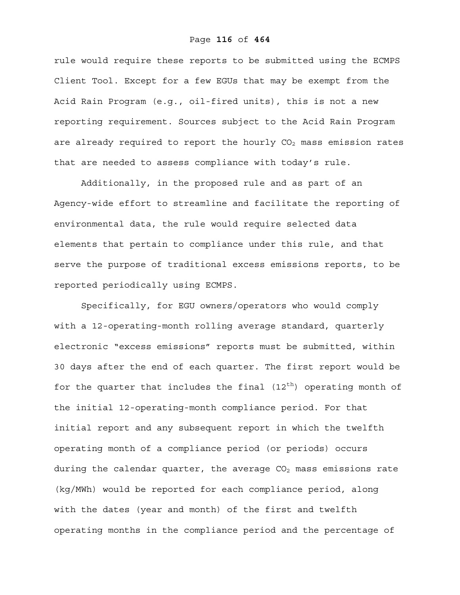rule would require these reports to be submitted using the ECMPS Client Tool. Except for a few EGUs that may be exempt from the Acid Rain Program (e.g., oil-fired units), this is not a new reporting requirement. Sources subject to the Acid Rain Program are already required to report the hourly  $CO<sub>2</sub>$  mass emission rates that are needed to assess compliance with today's rule.

Additionally, in the proposed rule and as part of an Agency-wide effort to streamline and facilitate the reporting of environmental data, the rule would require selected data elements that pertain to compliance under this rule, and that serve the purpose of traditional excess emissions reports, to be reported periodically using ECMPS.

Specifically, for EGU owners/operators who would comply with a 12-operating-month rolling average standard, quarterly electronic "excess emissions" reports must be submitted, within 30 days after the end of each quarter. The first report would be for the quarter that includes the final  $(12<sup>th</sup>)$  operating month of the initial 12-operating-month compliance period. For that initial report and any subsequent report in which the twelfth operating month of a compliance period (or periods) occurs during the calendar quarter, the average  $CO<sub>2</sub>$  mass emissions rate (kg/MWh) would be reported for each compliance period, along with the dates (year and month) of the first and twelfth operating months in the compliance period and the percentage of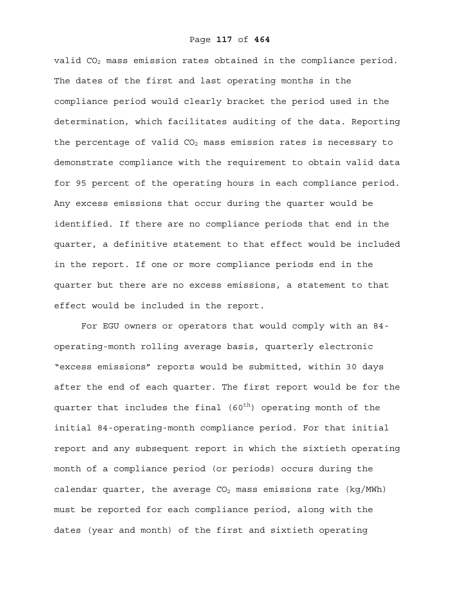valid CO<sub>2</sub> mass emission rates obtained in the compliance period. The dates of the first and last operating months in the compliance period would clearly bracket the period used in the determination, which facilitates auditing of the data. Reporting the percentage of valid  $CO<sub>2</sub>$  mass emission rates is necessary to demonstrate compliance with the requirement to obtain valid data for 95 percent of the operating hours in each compliance period. Any excess emissions that occur during the quarter would be identified. If there are no compliance periods that end in the quarter, a definitive statement to that effect would be included in the report. If one or more compliance periods end in the quarter but there are no excess emissions, a statement to that effect would be included in the report.

For EGU owners or operators that would comply with an 84 operating-month rolling average basis, quarterly electronic "excess emissions" reports would be submitted, within 30 days after the end of each quarter. The first report would be for the quarter that includes the final  $(60<sup>th</sup>)$  operating month of the initial 84-operating-month compliance period. For that initial report and any subsequent report in which the sixtieth operating month of a compliance period (or periods) occurs during the calendar quarter, the average  $CO<sub>2</sub>$  mass emissions rate (kg/MWh) must be reported for each compliance period, along with the dates (year and month) of the first and sixtieth operating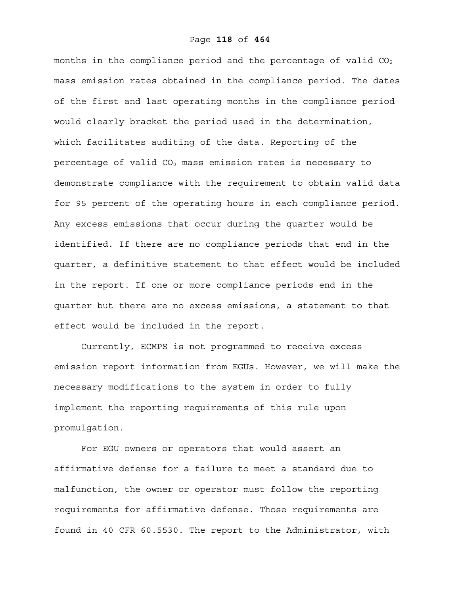months in the compliance period and the percentage of valid  $CO<sub>2</sub>$ mass emission rates obtained in the compliance period. The dates of the first and last operating months in the compliance period would clearly bracket the period used in the determination, which facilitates auditing of the data. Reporting of the percentage of valid  $CO<sub>2</sub>$  mass emission rates is necessary to demonstrate compliance with the requirement to obtain valid data for 95 percent of the operating hours in each compliance period. Any excess emissions that occur during the quarter would be identified. If there are no compliance periods that end in the quarter, a definitive statement to that effect would be included in the report. If one or more compliance periods end in the quarter but there are no excess emissions, a statement to that effect would be included in the report.

Currently, ECMPS is not programmed to receive excess emission report information from EGUs. However, we will make the necessary modifications to the system in order to fully implement the reporting requirements of this rule upon promulgation.

For EGU owners or operators that would assert an affirmative defense for a failure to meet a standard due to malfunction, the owner or operator must follow the reporting requirements for affirmative defense. Those requirements are found in 40 CFR 60.5530. The report to the Administrator, with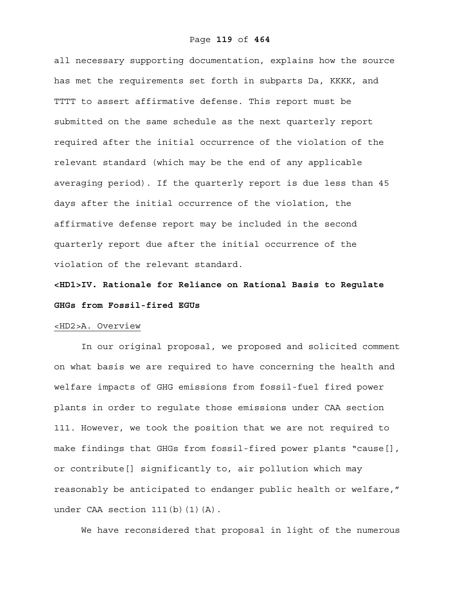all necessary supporting documentation, explains how the source has met the requirements set forth in subparts Da, KKKK, and TTTT to assert affirmative defense. This report must be submitted on the same schedule as the next quarterly report required after the initial occurrence of the violation of the relevant standard (which may be the end of any applicable averaging period). If the quarterly report is due less than 45 days after the initial occurrence of the violation, the affirmative defense report may be included in the second quarterly report due after the initial occurrence of the violation of the relevant standard.

**<HD1>IV. Rationale for Reliance on Rational Basis to Regulate GHGs from Fossil-fired EGUs**

### <HD2>A. Overview

In our original proposal, we proposed and solicited comment on what basis we are required to have concerning the health and welfare impacts of GHG emissions from fossil-fuel fired power plants in order to regulate those emissions under CAA section 111. However, we took the position that we are not required to make findings that GHGs from fossil-fired power plants "cause[], or contribute[] significantly to, air pollution which may reasonably be anticipated to endanger public health or welfare," under CAA section 111(b)(1)(A).

We have reconsidered that proposal in light of the numerous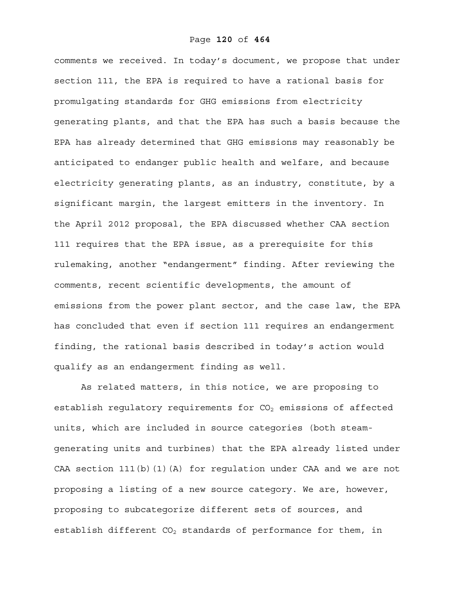comments we received. In today's document, we propose that under section 111, the EPA is required to have a rational basis for promulgating standards for GHG emissions from electricity generating plants, and that the EPA has such a basis because the EPA has already determined that GHG emissions may reasonably be anticipated to endanger public health and welfare, and because electricity generating plants, as an industry, constitute, by a significant margin, the largest emitters in the inventory. In the April 2012 proposal, the EPA discussed whether CAA section 111 requires that the EPA issue, as a prerequisite for this rulemaking, another "endangerment" finding. After reviewing the comments, recent scientific developments, the amount of emissions from the power plant sector, and the case law, the EPA has concluded that even if section 111 requires an endangerment finding, the rational basis described in today's action would qualify as an endangerment finding as well.

As related matters, in this notice, we are proposing to establish regulatory requirements for  $CO<sub>2</sub>$  emissions of affected units, which are included in source categories (both steamgenerating units and turbines) that the EPA already listed under CAA section 111(b)(1)(A) for regulation under CAA and we are not proposing a listing of a new source category. We are, however, proposing to subcategorize different sets of sources, and establish different  $CO<sub>2</sub>$  standards of performance for them, in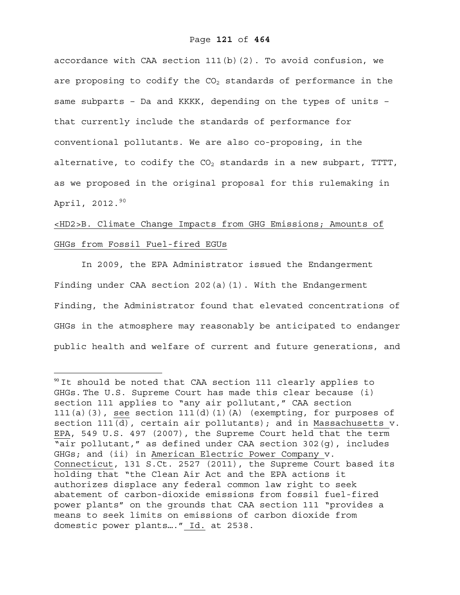accordance with CAA section  $111(b)(2)$ . To avoid confusion, we are proposing to codify the  $CO<sub>2</sub>$  standards of performance in the same subparts – Da and KKKK, depending on the types of units – that currently include the standards of performance for conventional pollutants. We are also co-proposing, in the alternative, to codify the  $CO<sub>2</sub>$  standards in a new subpart, TTTT, as we proposed in the original proposal for this rulemaking in April, 2012.<sup>90</sup>

## <HD2>B. Climate Change Impacts from GHG Emissions; Amounts of GHGs from Fossil Fuel-fired EGUs

In 2009, the EPA Administrator issued the Endangerment Finding under CAA section 202(a)(1). With the Endangerment Finding, the Administrator found that elevated concentrations of GHGs in the atmosphere may reasonably be anticipated to endanger public health and welfare of current and future generations, and

1

 $90$  It should be noted that CAA section 111 clearly applies to GHGs. The U.S. Supreme Court has made this clear because (i) section 111 applies to "any air pollutant," CAA section 111(a)(3), see section 111(d)(1)(A) (exempting, for purposes of section 111(d), certain air pollutants); and in Massachusetts v. EPA, 549 U.S. 497 (2007), the Supreme Court held that the term "air pollutant," as defined under CAA section 302(g), includes GHGs; and (ii) in American Electric Power Company v. Connecticut, 131 S.Ct. 2527 (2011), the Supreme Court based its holding that "the Clean Air Act and the EPA actions it authorizes displace any federal common law right to seek abatement of carbon-dioxide emissions from fossil fuel-fired power plants" on the grounds that CAA section 111 "provides a means to seek limits on emissions of carbon dioxide from domestic power plants…." Id. at 2538.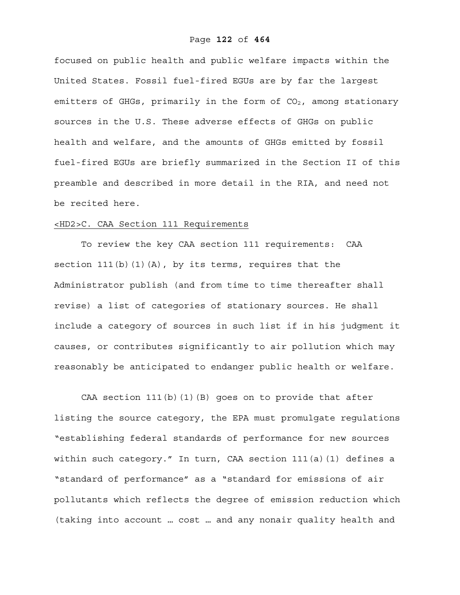focused on public health and public welfare impacts within the United States. Fossil fuel-fired EGUs are by far the largest emitters of GHGs, primarily in the form of  $CO<sub>2</sub>$ , among stationary sources in the U.S. These adverse effects of GHGs on public health and welfare, and the amounts of GHGs emitted by fossil fuel-fired EGUs are briefly summarized in the Section II of this preamble and described in more detail in the RIA, and need not be recited here.

### <HD2>C. CAA Section 111 Requirements

To review the key CAA section 111 requirements: CAA section  $111(b)$  (1)(A), by its terms, requires that the Administrator publish (and from time to time thereafter shall revise) a list of categories of stationary sources. He shall include a category of sources in such list if in his judgment it causes, or contributes significantly to air pollution which may reasonably be anticipated to endanger public health or welfare.

CAA section 111(b)(1)(B) goes on to provide that after listing the source category, the EPA must promulgate regulations "establishing federal standards of performance for new sources within such category." In turn, CAA section 111(a)(1) defines a "standard of performance" as a "standard for emissions of air pollutants which reflects the degree of emission reduction which (taking into account … cost … and any nonair quality health and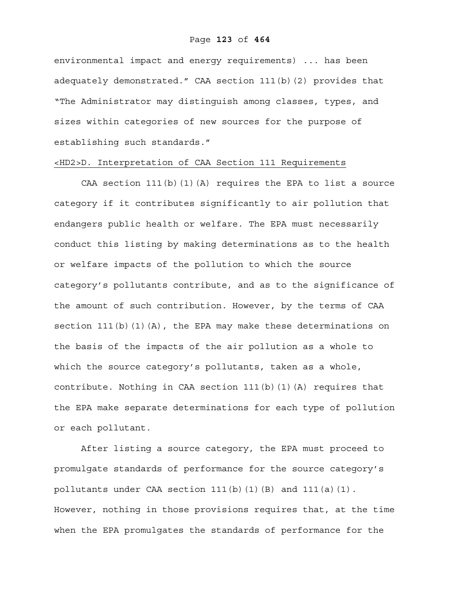### Page **123** of **464**

environmental impact and energy requirements) ... has been adequately demonstrated." CAA section 111(b)(2) provides that "The Administrator may distinguish among classes, types, and sizes within categories of new sources for the purpose of establishing such standards."

### <HD2>D. Interpretation of CAA Section 111 Requirements

CAA section  $111(b)(1)(A)$  requires the EPA to list a source category if it contributes significantly to air pollution that endangers public health or welfare. The EPA must necessarily conduct this listing by making determinations as to the health or welfare impacts of the pollution to which the source category's pollutants contribute, and as to the significance of the amount of such contribution. However, by the terms of CAA section 111(b)(1)(A), the EPA may make these determinations on the basis of the impacts of the air pollution as a whole to which the source category's pollutants, taken as a whole, contribute. Nothing in CAA section  $111(b)$  (1)(A) requires that the EPA make separate determinations for each type of pollution or each pollutant.

After listing a source category, the EPA must proceed to promulgate standards of performance for the source category's pollutants under CAA section  $111(b)(1)(B)$  and  $111(a)(1)$ . However, nothing in those provisions requires that, at the time when the EPA promulgates the standards of performance for the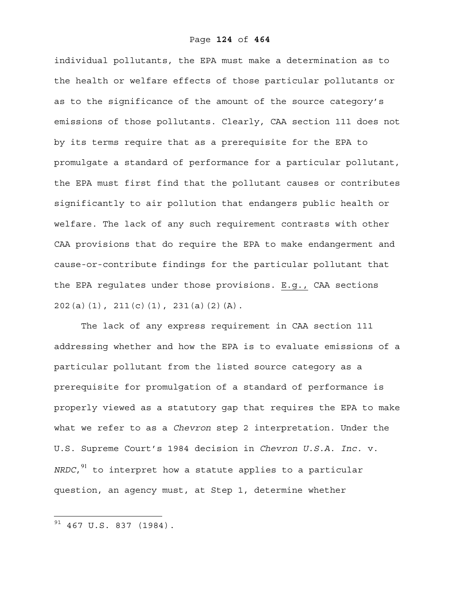individual pollutants, the EPA must make a determination as to the health or welfare effects of those particular pollutants or as to the significance of the amount of the source category's emissions of those pollutants. Clearly, CAA section 111 does not by its terms require that as a prerequisite for the EPA to promulgate a standard of performance for a particular pollutant, the EPA must first find that the pollutant causes or contributes significantly to air pollution that endangers public health or welfare. The lack of any such requirement contrasts with other CAA provisions that do require the EPA to make endangerment and cause-or-contribute findings for the particular pollutant that the EPA regulates under those provisions. E.g., CAA sections 202(a)(1), 211(c)(1), 231(a)(2)(A).

The lack of any express requirement in CAA section 111 addressing whether and how the EPA is to evaluate emissions of a particular pollutant from the listed source category as a prerequisite for promulgation of a standard of performance is properly viewed as a statutory gap that requires the EPA to make what we refer to as a *Chevron* step 2 interpretation. Under the U.S. Supreme Court's 1984 decision in *Chevron U.S.A. Inc.* v. *NRDC*,<sup>91</sup> to interpret how a statute applies to a particular question, an agency must, at Step 1, determine whether

 $91$  467 U.S. 837 (1984).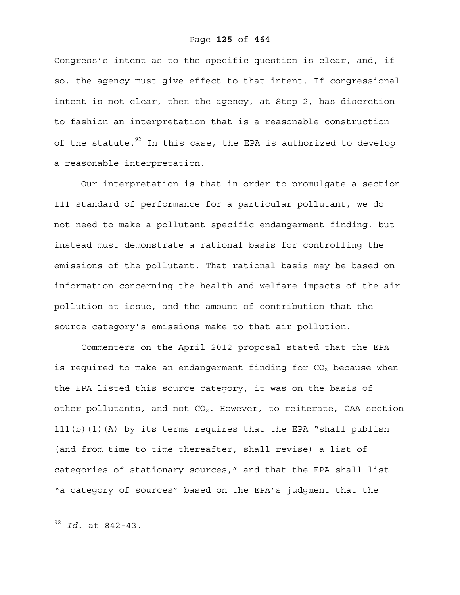Congress's intent as to the specific question is clear, and, if so, the agency must give effect to that intent. If congressional intent is not clear, then the agency, at Step 2, has discretion to fashion an interpretation that is a reasonable construction of the statute. $92$  In this case, the EPA is authorized to develop a reasonable interpretation.

Our interpretation is that in order to promulgate a section 111 standard of performance for a particular pollutant, we do not need to make a pollutant-specific endangerment finding, but instead must demonstrate a rational basis for controlling the emissions of the pollutant. That rational basis may be based on information concerning the health and welfare impacts of the air pollution at issue, and the amount of contribution that the source category's emissions make to that air pollution.

Commenters on the April 2012 proposal stated that the EPA is required to make an endangerment finding for  $CO<sub>2</sub>$  because when the EPA listed this source category, it was on the basis of other pollutants, and not  $CO<sub>2</sub>$ . However, to reiterate, CAA section 111(b)(1)(A) by its terms requires that the EPA "shall publish (and from time to time thereafter, shall revise) a list of categories of stationary sources," and that the EPA shall list "a category of sources" based on the EPA's judgment that the

1

<sup>92</sup> *Id.* at 842-43.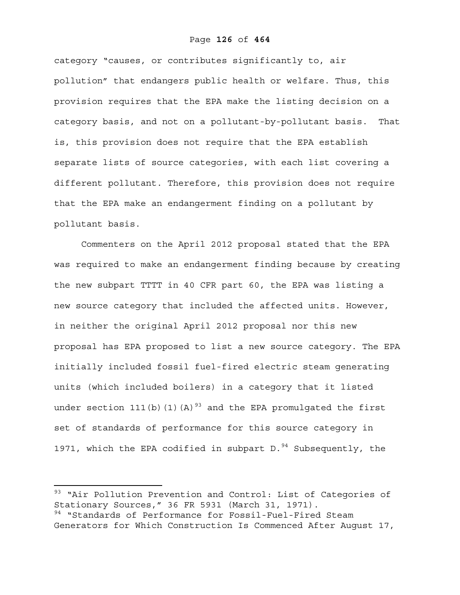### Page **126** of **464**

category "causes, or contributes significantly to, air pollution" that endangers public health or welfare. Thus, this provision requires that the EPA make the listing decision on a category basis, and not on a pollutant-by-pollutant basis. That is, this provision does not require that the EPA establish separate lists of source categories, with each list covering a different pollutant. Therefore, this provision does not require that the EPA make an endangerment finding on a pollutant by pollutant basis.

Commenters on the April 2012 proposal stated that the EPA was required to make an endangerment finding because by creating the new subpart TTTT in 40 CFR part 60, the EPA was listing a new source category that included the affected units. However, in neither the original April 2012 proposal nor this new proposal has EPA proposed to list a new source category. The EPA initially included fossil fuel-fired electric steam generating units (which included boilers) in a category that it listed under section 111(b)(1)(A)<sup>93</sup> and the EPA promulgated the first set of standards of performance for this source category in 1971, which the EPA codified in subpart D. $94$  Subsequently, the

<sup>&</sup>lt;sup>93</sup> "Air Pollution Prevention and Control: List of Categories of Stationary Sources," 36 FR 5931 (March 31, 1971). <sup>94</sup> "Standards of Performance for Fossil-Fuel-Fired Steam Generators for Which Construction Is Commenced After August 17,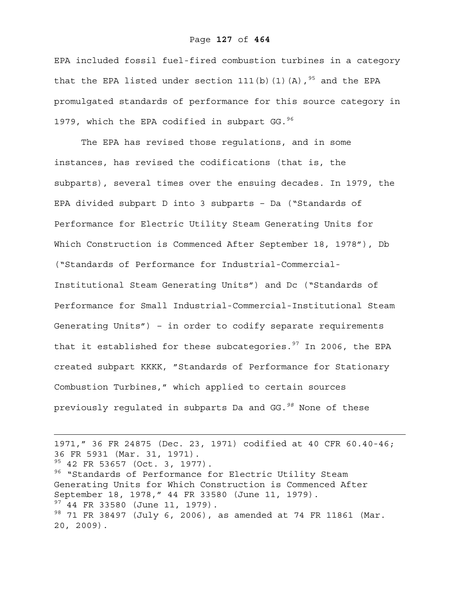### Page **127** of **464**

EPA included fossil fuel-fired combustion turbines in a category that the EPA listed under section 111(b)(1)(A),  $95$  and the EPA promulgated standards of performance for this source category in 1979, which the EPA codified in subpart GG.  $96$ 

The EPA has revised those regulations, and in some instances, has revised the codifications (that is, the subparts), several times over the ensuing decades. In 1979, the EPA divided subpart D into 3 subparts – Da ("Standards of Performance for Electric Utility Steam Generating Units for Which Construction is Commenced After September 18, 1978"), Db ("Standards of Performance for Industrial-Commercial-Institutional Steam Generating Units") and Dc ("Standards of Performance for Small Industrial-Commercial-Institutional Steam Generating Units") – in order to codify separate requirements that it established for these subcategories. $97$  In 2006, the EPA created subpart KKKK, "Standards of Performance for Stationary Combustion Turbines," which applied to certain sources previously regulated in subparts Da and GG*.98* None of these

1971," 36 FR 24875 (Dec. 23, 1971) codified at 40 CFR 60.40-46; 36 FR 5931 (Mar. 31, 1971). <sup>95</sup> 42 FR 53657 (Oct. 3, 1977). <sup>96</sup> "Standards of Performance for Electric Utility Steam Generating Units for Which Construction is Commenced After September 18, 1978," 44 FR 33580 (June 11, 1979).  $97$  44 FR 33580 (June 11, 1979). 98 71 FR 38497 (July 6, 2006), as amended at 74 FR 11861 (Mar. 20, 2009).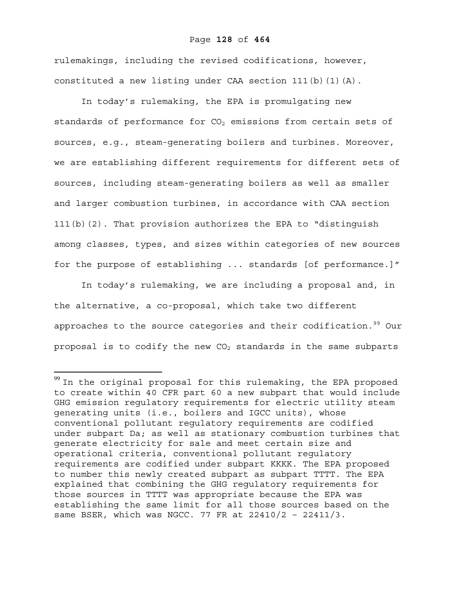### Page **128** of **464**

rulemakings, including the revised codifications, however, constituted a new listing under CAA section  $111(b)(1)(A)$ .

In today's rulemaking, the EPA is promulgating new standards of performance for  $CO<sub>2</sub>$  emissions from certain sets of sources, e.g., steam-generating boilers and turbines. Moreover, we are establishing different requirements for different sets of sources, including steam-generating boilers as well as smaller and larger combustion turbines, in accordance with CAA section 111(b)(2). That provision authorizes the EPA to "distinguish among classes, types, and sizes within categories of new sources for the purpose of establishing ... standards [of performance.]"

In today's rulemaking, we are including a proposal and, in the alternative, a co-proposal, which take two different approaches to the source categories and their codification.<sup>99</sup> Our proposal is to codify the new  $CO<sub>2</sub>$  standards in the same subparts

 $99$  In the original proposal for this rulemaking, the EPA proposed to create within 40 CFR part 60 a new subpart that would include GHG emission regulatory requirements for electric utility steam generating units (i.e., boilers and IGCC units), whose conventional pollutant regulatory requirements are codified under subpart Da; as well as stationary combustion turbines that generate electricity for sale and meet certain size and operational criteria, conventional pollutant regulatory requirements are codified under subpart KKKK. The EPA proposed to number this newly created subpart as subpart TTTT. The EPA explained that combining the GHG regulatory requirements for those sources in TTTT was appropriate because the EPA was establishing the same limit for all those sources based on the same BSER, which was NGCC. 77 FR at 22410/2 – 22411/3.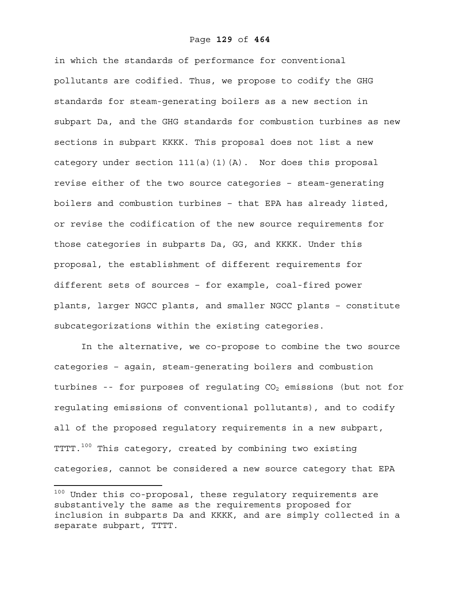### Page **129** of **464**

in which the standards of performance for conventional pollutants are codified. Thus, we propose to codify the GHG standards for steam-generating boilers as a new section in subpart Da, and the GHG standards for combustion turbines as new sections in subpart KKKK. This proposal does not list a new category under section 111(a)(1)(A). Nor does this proposal revise either of the two source categories – steam-generating boilers and combustion turbines – that EPA has already listed, or revise the codification of the new source requirements for those categories in subparts Da, GG, and KKKK. Under this proposal, the establishment of different requirements for different sets of sources – for example, coal-fired power plants, larger NGCC plants, and smaller NGCC plants – constitute subcategorizations within the existing categories.

In the alternative, we co-propose to combine the two source categories – again, steam-generating boilers and combustion turbines -- for purposes of regulating  $CO<sub>2</sub>$  emissions (but not for regulating emissions of conventional pollutants), and to codify all of the proposed regulatory requirements in a new subpart, TTTT.<sup>100</sup> This category, created by combining two existing categories, cannot be considered a new source category that EPA

 $100$  Under this co-proposal, these regulatory requirements are substantively the same as the requirements proposed for inclusion in subparts Da and KKKK, and are simply collected in a separate subpart, TTTT.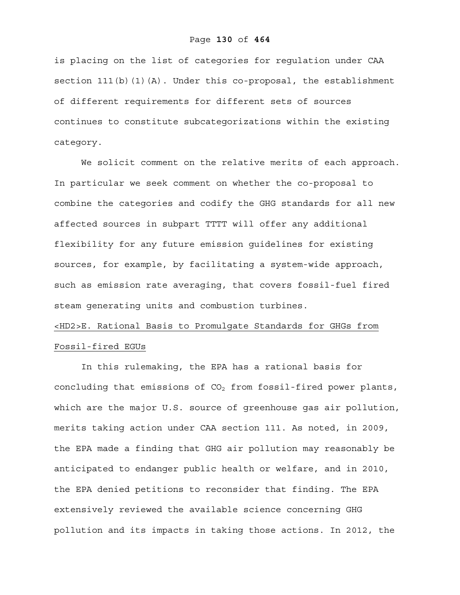### Page **130** of **464**

is placing on the list of categories for regulation under CAA section  $111(b)(1)(A)$ . Under this co-proposal, the establishment of different requirements for different sets of sources continues to constitute subcategorizations within the existing category.

We solicit comment on the relative merits of each approach. In particular we seek comment on whether the co-proposal to combine the categories and codify the GHG standards for all new affected sources in subpart TTTT will offer any additional flexibility for any future emission guidelines for existing sources, for example, by facilitating a system-wide approach, such as emission rate averaging, that covers fossil-fuel fired steam generating units and combustion turbines.

## <HD2>E. Rational Basis to Promulgate Standards for GHGs from Fossil-fired EGUs

In this rulemaking, the EPA has a rational basis for concluding that emissions of  $CO<sub>2</sub>$  from fossil-fired power plants, which are the major U.S. source of greenhouse gas air pollution, merits taking action under CAA section 111. As noted, in 2009, the EPA made a finding that GHG air pollution may reasonably be anticipated to endanger public health or welfare, and in 2010, the EPA denied petitions to reconsider that finding. The EPA extensively reviewed the available science concerning GHG pollution and its impacts in taking those actions. In 2012, the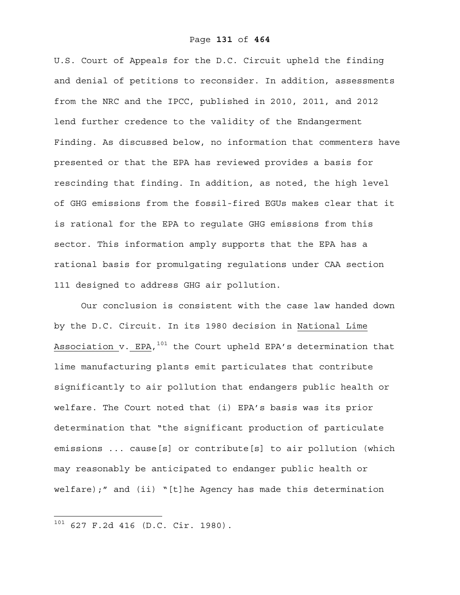U.S. Court of Appeals for the D.C. Circuit upheld the finding and denial of petitions to reconsider. In addition, assessments from the NRC and the IPCC, published in 2010, 2011, and 2012 lend further credence to the validity of the Endangerment Finding. As discussed below, no information that commenters have presented or that the EPA has reviewed provides a basis for rescinding that finding. In addition, as noted, the high level of GHG emissions from the fossil-fired EGUs makes clear that it is rational for the EPA to regulate GHG emissions from this sector. This information amply supports that the EPA has a rational basis for promulgating regulations under CAA section 111 designed to address GHG air pollution.

Our conclusion is consistent with the case law handed down by the D.C. Circuit. In its 1980 decision in National Lime Association v. EPA,  $101$  the Court upheld EPA's determination that lime manufacturing plants emit particulates that contribute significantly to air pollution that endangers public health or welfare. The Court noted that (i) EPA's basis was its prior determination that "the significant production of particulate emissions ... cause[s] or contribute[s] to air pollution (which may reasonably be anticipated to endanger public health or welfare);" and (ii) "[t]he Agency has made this determination

1

 $101$  627 F.2d 416 (D.C. Cir. 1980).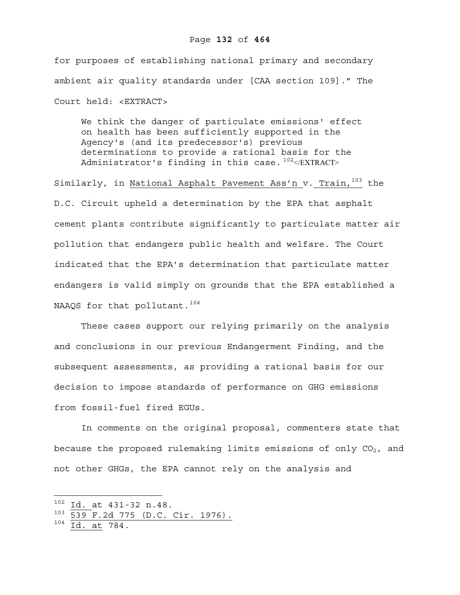### Page **132** of **464**

for purposes of establishing national primary and secondary ambient air quality standards under [CAA section 109]." The Court held: <EXTRACT>

We think the danger of particulate emissions' effect on health has been sufficiently supported in the Agency's (and its predecessor's) previous determinations to provide a rational basis for the Administrator's finding in this case.  $102$ </EXTRACT>

Similarly, in National Asphalt Pavement Ass'n v. Train, 103 the D.C. Circuit upheld a determination by the EPA that asphalt cement plants contribute significantly to particulate matter air pollution that endangers public health and welfare. The Court indicated that the EPA's determination that particulate matter endangers is valid simply on grounds that the EPA established a NAAQS for that pollutant.*<sup>104</sup>*

These cases support our relying primarily on the analysis and conclusions in our previous Endangerment Finding, and the subsequent assessments, as providing a rational basis for our decision to impose standards of performance on GHG emissions from fossil-fuel fired EGUs.

In comments on the original proposal, commenters state that because the proposed rulemaking limits emissions of only  $CO<sub>2</sub>$ , and not other GHGs, the EPA cannot rely on the analysis and

1

 $102$  Id. at 431-32 n.48.

<sup>103 539</sup> F.2d 775 (D.C. Cir. 1976).

 $104 \overline{Id.}$  at 784.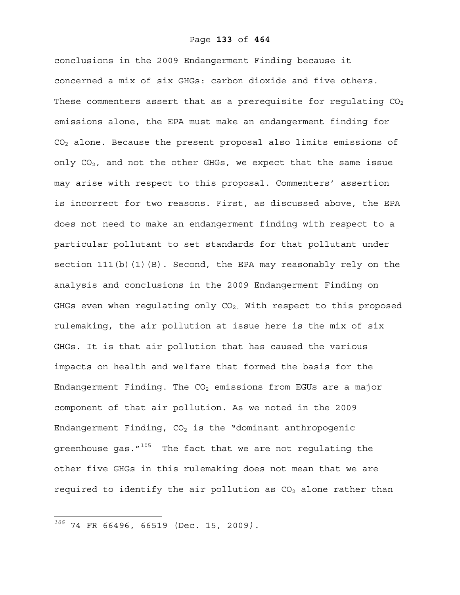conclusions in the 2009 Endangerment Finding because it concerned a mix of six GHGs: carbon dioxide and five others. These commenters assert that as a prerequisite for requlating  $CO<sub>2</sub>$ emissions alone, the EPA must make an endangerment finding for CO2 alone. Because the present proposal also limits emissions of only  $CO<sub>2</sub>$ , and not the other GHGs, we expect that the same issue may arise with respect to this proposal. Commenters' assertion is incorrect for two reasons. First, as discussed above, the EPA does not need to make an endangerment finding with respect to a particular pollutant to set standards for that pollutant under section 111(b)(1)(B). Second, the EPA may reasonably rely on the analysis and conclusions in the 2009 Endangerment Finding on GHGs even when regulating only  $CO<sub>2</sub>$ . With respect to this proposed rulemaking, the air pollution at issue here is the mix of six GHGs. It is that air pollution that has caused the various impacts on health and welfare that formed the basis for the Endangerment Finding. The  $CO<sub>2</sub>$  emissions from EGUs are a major component of that air pollution. As we noted in the 2009 Endangerment Finding,  $CO<sub>2</sub>$  is the "dominant anthropogenic greenhouse gas. $''^{105}$  The fact that we are not regulating the other five GHGs in this rulemaking does not mean that we are required to identify the air pollution as  $CO<sub>2</sub>$  alone rather than

*<sup>105</sup>* 74 FR 66496, 66519 (Dec. 15, 2009*).*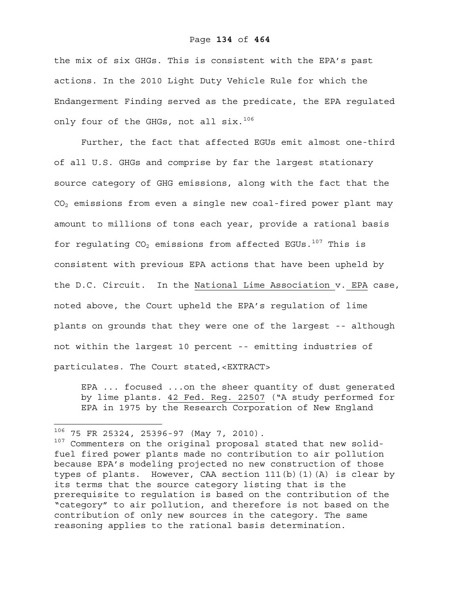### Page **134** of **464**

the mix of six GHGs. This is consistent with the EPA's past actions. In the 2010 Light Duty Vehicle Rule for which the Endangerment Finding served as the predicate, the EPA regulated only four of the GHGs, not all six.<sup>106</sup>

Further, the fact that affected EGUs emit almost one-third of all U.S. GHGs and comprise by far the largest stationary source category of GHG emissions, along with the fact that the  $CO<sub>2</sub>$  emissions from even a single new coal-fired power plant may amount to millions of tons each year, provide a rational basis for regulating  $CO<sub>2</sub>$  emissions from affected EGUs.<sup>107</sup> This is consistent with previous EPA actions that have been upheld by the D.C. Circuit. In the National Lime Association v. EPA case, noted above, the Court upheld the EPA's regulation of lime plants on grounds that they were one of the largest -- although not within the largest 10 percent -- emitting industries of particulates. The Court stated,<EXTRACT>

EPA ... focused ...on the sheer quantity of dust generated by lime plants. 42 Fed. Reg. 22507 ("A study performed for EPA in 1975 by the Research Corporation of New England

 $^{106}$  75 FR 25324, 25396-97 (May 7, 2010).

 $107$  Commenters on the original proposal stated that new solidfuel fired power plants made no contribution to air pollution because EPA's modeling projected no new construction of those types of plants. However, CAA section 111(b)(1)(A) is clear by its terms that the source category listing that is the prerequisite to regulation is based on the contribution of the "category" to air pollution, and therefore is not based on the contribution of only new sources in the category. The same reasoning applies to the rational basis determination.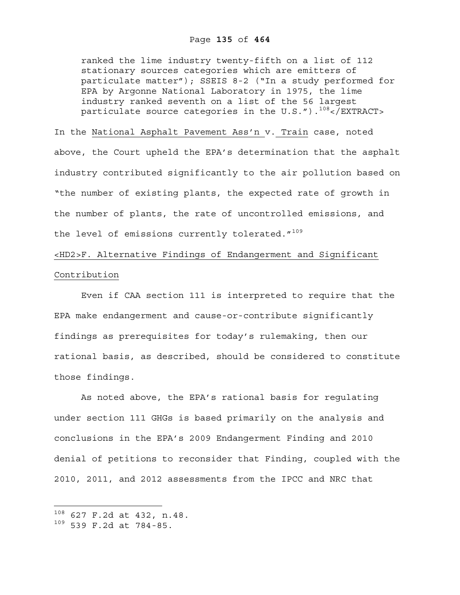ranked the lime industry twenty-fifth on a list of 112 stationary sources categories which are emitters of particulate matter"); SSEIS 8-2 ("In a study performed for EPA by Argonne National Laboratory in 1975, the lime industry ranked seventh on a list of the 56 largest particulate source categories in the  $U.S.''.$ ).<sup>108</sup></EXTRACT>

### In the National Asphalt Pavement Ass'n v. Train case, noted

above, the Court upheld the EPA's determination that the asphalt industry contributed significantly to the air pollution based on "the number of existing plants, the expected rate of growth in the number of plants, the rate of uncontrolled emissions, and the level of emissions currently tolerated."<sup>109</sup>

### <HD2>F. Alternative Findings of Endangerment and Significant Contribution

Even if CAA section 111 is interpreted to require that the EPA make endangerment and cause-or-contribute significantly findings as prerequisites for today's rulemaking, then our rational basis, as described, should be considered to constitute those findings.

As noted above, the EPA's rational basis for regulating under section 111 GHGs is based primarily on the analysis and conclusions in the EPA's 2009 Endangerment Finding and 2010 denial of petitions to reconsider that Finding, coupled with the 2010, 2011, and 2012 assessments from the IPCC and NRC that

<sup>108 627</sup> F.2d at 432, n.48.

<sup>109 539</sup> F.2d at 784-85.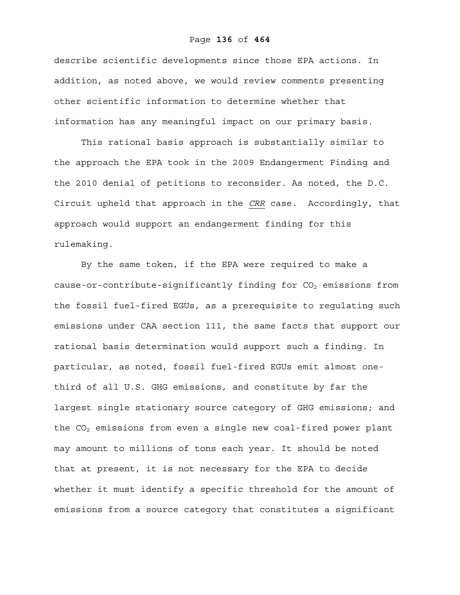### Page **136** of **464**

describe scientific developments since those EPA actions. In addition, as noted above, we would review comments presenting other scientific information to determine whether that information has any meaningful impact on our primary basis.

This rational basis approach is substantially similar to the approach the EPA took in the 2009 Endangerment Finding and the 2010 denial of petitions to reconsider. As noted, the D.C. Circuit upheld that approach in the *CRR* case. Accordingly, that approach would support an endangerment finding for this rulemaking.

By the same token, if the EPA were required to make a cause-or-contribute-significantly finding for  $CO<sub>2</sub>$  emissions from the fossil fuel-fired EGUs, as a prerequisite to regulating such emissions under CAA section 111, the same facts that support our rational basis determination would support such a finding. In particular, as noted, fossil fuel-fired EGUs emit almost onethird of all U.S. GHG emissions, and constitute by far the largest single stationary source category of GHG emissions; and the  $CO<sub>2</sub>$  emissions from even a single new coal-fired power plant may amount to millions of tons each year. It should be noted that at present, it is not necessary for the EPA to decide whether it must identify a specific threshold for the amount of emissions from a source category that constitutes a significant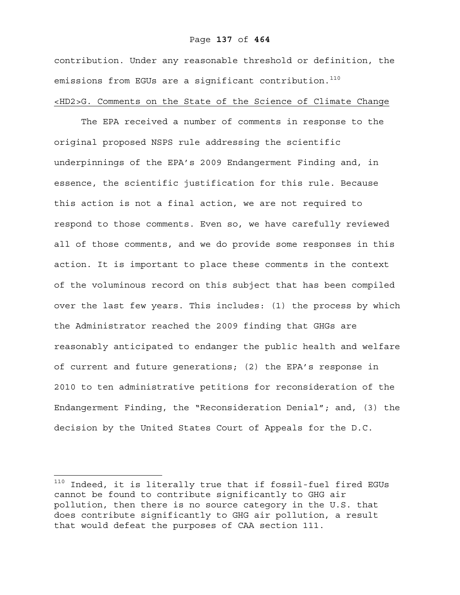### Page **137** of **464**

contribution. Under any reasonable threshold or definition, the emissions from EGUs are a significant contribution.<sup>110</sup> <HD2>G. Comments on the State of the Science of Climate Change

The EPA received a number of comments in response to the original proposed NSPS rule addressing the scientific underpinnings of the EPA's 2009 Endangerment Finding and, in essence, the scientific justification for this rule. Because this action is not a final action, we are not required to respond to those comments. Even so, we have carefully reviewed all of those comments, and we do provide some responses in this action. It is important to place these comments in the context of the voluminous record on this subject that has been compiled over the last few years. This includes: (1) the process by which the Administrator reached the 2009 finding that GHGs are reasonably anticipated to endanger the public health and welfare of current and future generations; (2) the EPA's response in 2010 to ten administrative petitions for reconsideration of the Endangerment Finding, the "Reconsideration Denial"; and, (3) the decision by the United States Court of Appeals for the D.C.

 $^{110}$  Indeed, it is literally true that if fossil-fuel fired EGUs cannot be found to contribute significantly to GHG air pollution, then there is no source category in the U.S. that does contribute significantly to GHG air pollution, a result that would defeat the purposes of CAA section 111.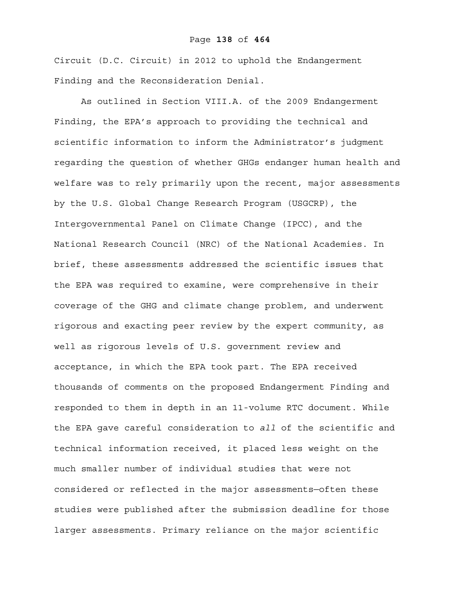### Page **138** of **464**

Circuit (D.C. Circuit) in 2012 to uphold the Endangerment Finding and the Reconsideration Denial.

As outlined in Section VIII.A. of the 2009 Endangerment Finding, the EPA's approach to providing the technical and scientific information to inform the Administrator's judgment regarding the question of whether GHGs endanger human health and welfare was to rely primarily upon the recent, major assessments by the U.S. Global Change Research Program (USGCRP), the Intergovernmental Panel on Climate Change (IPCC), and the National Research Council (NRC) of the National Academies. In brief, these assessments addressed the scientific issues that the EPA was required to examine, were comprehensive in their coverage of the GHG and climate change problem, and underwent rigorous and exacting peer review by the expert community, as well as rigorous levels of U.S. government review and acceptance, in which the EPA took part. The EPA received thousands of comments on the proposed Endangerment Finding and responded to them in depth in an 11-volume RTC document. While the EPA gave careful consideration to *all* of the scientific and technical information received, it placed less weight on the much smaller number of individual studies that were not considered or reflected in the major assessments—often these studies were published after the submission deadline for those larger assessments. Primary reliance on the major scientific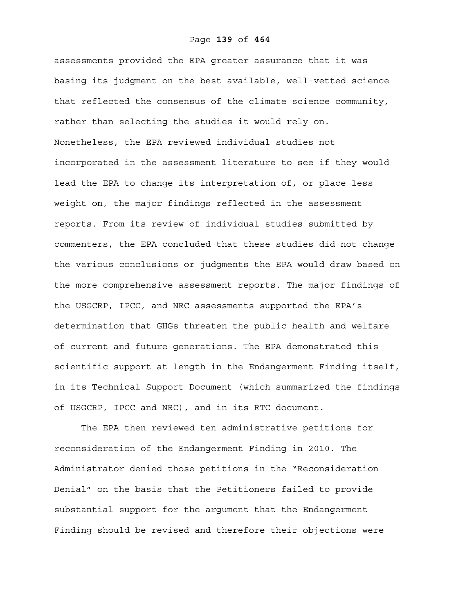assessments provided the EPA greater assurance that it was basing its judgment on the best available, well-vetted science that reflected the consensus of the climate science community, rather than selecting the studies it would rely on. Nonetheless, the EPA reviewed individual studies not incorporated in the assessment literature to see if they would lead the EPA to change its interpretation of, or place less weight on, the major findings reflected in the assessment reports. From its review of individual studies submitted by commenters, the EPA concluded that these studies did not change the various conclusions or judgments the EPA would draw based on the more comprehensive assessment reports. The major findings of the USGCRP, IPCC, and NRC assessments supported the EPA's determination that GHGs threaten the public health and welfare of current and future generations. The EPA demonstrated this scientific support at length in the Endangerment Finding itself, in its Technical Support Document (which summarized the findings of USGCRP, IPCC and NRC), and in its RTC document.

The EPA then reviewed ten administrative petitions for reconsideration of the Endangerment Finding in 2010. The Administrator denied those petitions in the "Reconsideration Denial" on the basis that the Petitioners failed to provide substantial support for the argument that the Endangerment Finding should be revised and therefore their objections were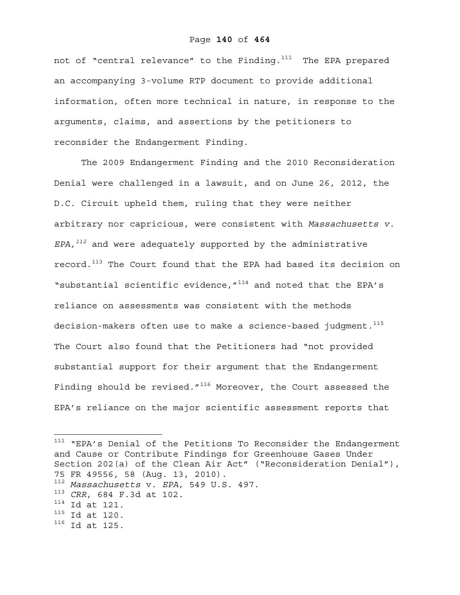### Page **140** of **464**

not of "central relevance" to the Finding.<sup>111</sup> The EPA prepared an accompanying 3-volume RTP document to provide additional information, often more technical in nature, in response to the arguments, claims, and assertions by the petitioners to reconsider the Endangerment Finding.

The 2009 Endangerment Finding and the 2010 Reconsideration Denial were challenged in a lawsuit, and on June 26, 2012, the D.C. Circuit upheld them, ruling that they were neither arbitrary nor capricious, were consistent with *Massachusetts v. EPA,<sup>112</sup>* and were adequately supported by the administrative record.<sup>113</sup> The Court found that the EPA had based its decision on "substantial scientific evidence, "<sup>114</sup> and noted that the EPA's reliance on assessments was consistent with the methods decision-makers often use to make a science-based judgment.<sup>115</sup> The Court also found that the Petitioners had "not provided substantial support for their argument that the Endangerment Finding should be revised." $116$  Moreover, the Court assessed the EPA's reliance on the major scientific assessment reports that

<sup>111</sup> "EPA's Denial of the Petitions To Reconsider the Endangerment and Cause or Contribute Findings for Greenhouse Gases Under Section 202(a) of the Clean Air Act" ("Reconsideration Denial"), 75 FR 49556, 58 (Aug. 13, 2010). <sup>112</sup> *Massachusetts* v. *EPA*, 549 U.S. 497. <sup>113</sup> *CRR*, 684 F.3d at 102.  $114$  Id at 121.  $115$  Id at 120. 116 Id at 125.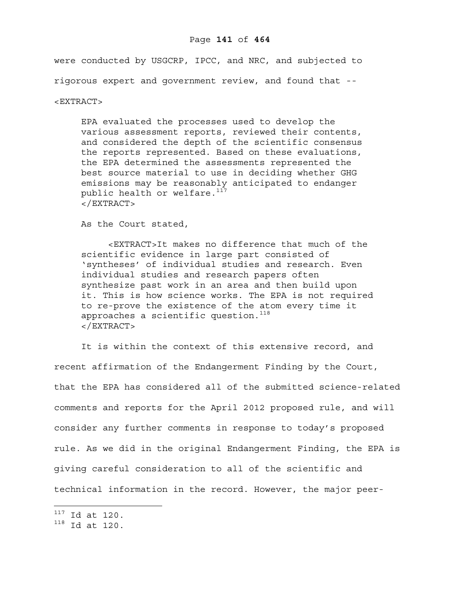### Page **141** of **464**

were conducted by USGCRP, IPCC, and NRC, and subjected to rigorous expert and government review, and found that --

#### <EXTRACT>

EPA evaluated the processes used to develop the various assessment reports, reviewed their contents, and considered the depth of the scientific consensus the reports represented. Based on these evaluations, the EPA determined the assessments represented the best source material to use in deciding whether GHG emissions may be reasonably anticipated to endanger public health or welfare.<sup>117</sup> </EXTRACT>

As the Court stated,

<EXTRACT>It makes no difference that much of the scientific evidence in large part consisted of 'syntheses' of individual studies and research. Even individual studies and research papers often synthesize past work in an area and then build upon it. This is how science works. The EPA is not required to re-prove the existence of the atom every time it approaches a scientific question.<sup>118</sup> </EXTRACT>

It is within the context of this extensive record, and recent affirmation of the Endangerment Finding by the Court, that the EPA has considered all of the submitted science-related comments and reports for the April 2012 proposed rule, and will consider any further comments in response to today's proposed rule. As we did in the original Endangerment Finding, the EPA is giving careful consideration to all of the scientific and technical information in the record. However, the major peer-

 $117$  Id at 120.

<sup>118</sup> Id at 120.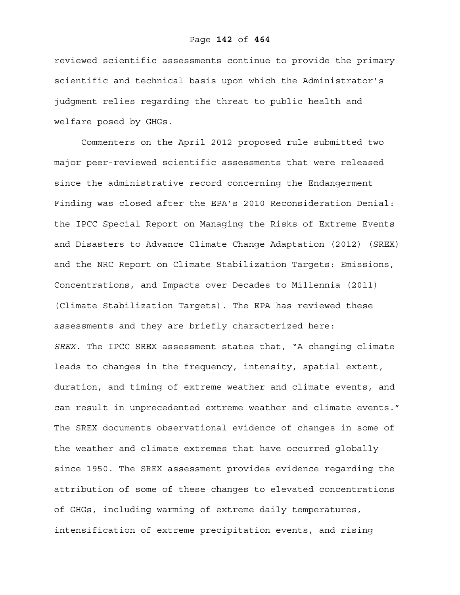### Page **142** of **464**

reviewed scientific assessments continue to provide the primary scientific and technical basis upon which the Administrator's judgment relies regarding the threat to public health and welfare posed by GHGs.

Commenters on the April 2012 proposed rule submitted two major peer-reviewed scientific assessments that were released since the administrative record concerning the Endangerment Finding was closed after the EPA's 2010 Reconsideration Denial: the IPCC Special Report on Managing the Risks of Extreme Events and Disasters to Advance Climate Change Adaptation (2012) (SREX) and the NRC Report on Climate Stabilization Targets: Emissions, Concentrations, and Impacts over Decades to Millennia (2011) (Climate Stabilization Targets). The EPA has reviewed these assessments and they are briefly characterized here: *SREX.* The IPCC SREX assessment states that, "A changing climate leads to changes in the frequency, intensity, spatial extent, duration, and timing of extreme weather and climate events, and can result in unprecedented extreme weather and climate events." The SREX documents observational evidence of changes in some of the weather and climate extremes that have occurred globally since 1950. The SREX assessment provides evidence regarding the attribution of some of these changes to elevated concentrations of GHGs, including warming of extreme daily temperatures, intensification of extreme precipitation events, and rising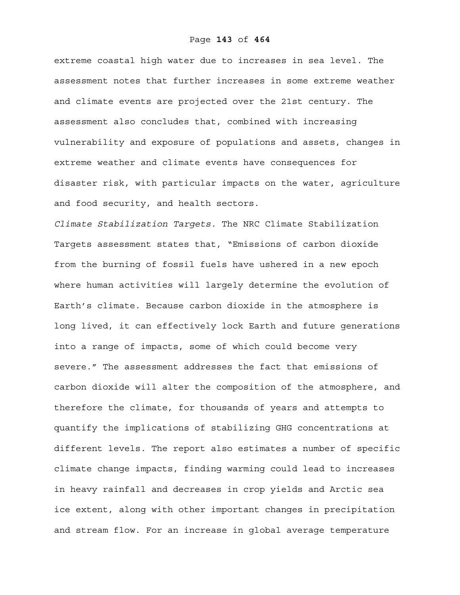extreme coastal high water due to increases in sea level. The assessment notes that further increases in some extreme weather and climate events are projected over the 21st century. The assessment also concludes that, combined with increasing vulnerability and exposure of populations and assets, changes in extreme weather and climate events have consequences for disaster risk, with particular impacts on the water, agriculture and food security, and health sectors.

*Climate Stabilization Targets.* The NRC Climate Stabilization Targets assessment states that, "Emissions of carbon dioxide from the burning of fossil fuels have ushered in a new epoch where human activities will largely determine the evolution of Earth's climate. Because carbon dioxide in the atmosphere is long lived, it can effectively lock Earth and future generations into a range of impacts, some of which could become very severe." The assessment addresses the fact that emissions of carbon dioxide will alter the composition of the atmosphere, and therefore the climate, for thousands of years and attempts to quantify the implications of stabilizing GHG concentrations at different levels. The report also estimates a number of specific climate change impacts, finding warming could lead to increases in heavy rainfall and decreases in crop yields and Arctic sea ice extent, along with other important changes in precipitation and stream flow. For an increase in global average temperature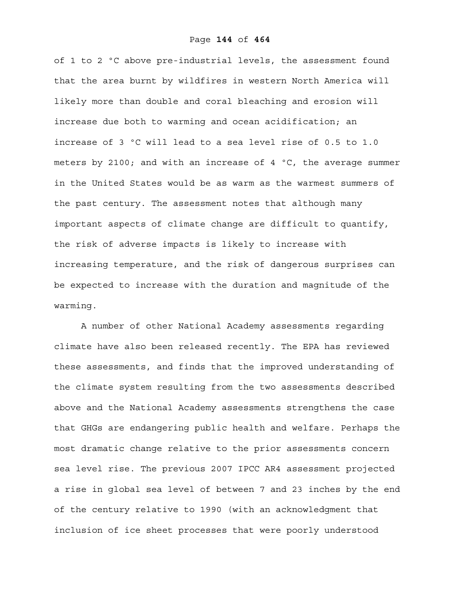of 1 to 2 ºC above pre-industrial levels, the assessment found that the area burnt by wildfires in western North America will likely more than double and coral bleaching and erosion will increase due both to warming and ocean acidification; an increase of 3 ºC will lead to a sea level rise of 0.5 to 1.0 meters by 2100; and with an increase of 4 ºC, the average summer in the United States would be as warm as the warmest summers of the past century. The assessment notes that although many important aspects of climate change are difficult to quantify, the risk of adverse impacts is likely to increase with increasing temperature, and the risk of dangerous surprises can be expected to increase with the duration and magnitude of the warming.

A number of other National Academy assessments regarding climate have also been released recently. The EPA has reviewed these assessments, and finds that the improved understanding of the climate system resulting from the two assessments described above and the National Academy assessments strengthens the case that GHGs are endangering public health and welfare. Perhaps the most dramatic change relative to the prior assessments concern sea level rise. The previous 2007 IPCC AR4 assessment projected a rise in global sea level of between 7 and 23 inches by the end of the century relative to 1990 (with an acknowledgment that inclusion of ice sheet processes that were poorly understood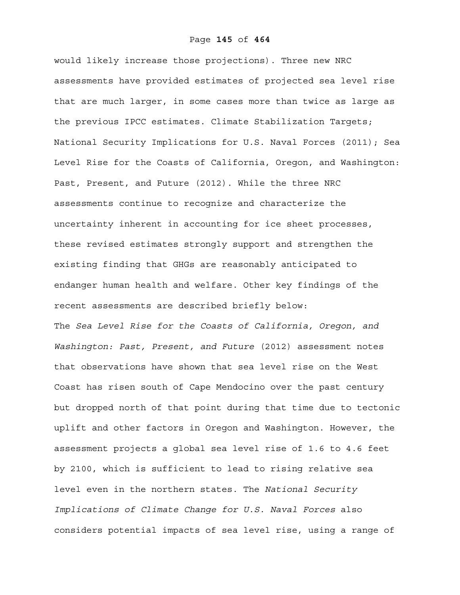would likely increase those projections). Three new NRC assessments have provided estimates of projected sea level rise that are much larger, in some cases more than twice as large as the previous IPCC estimates. Climate Stabilization Targets; National Security Implications for U.S. Naval Forces (2011); Sea Level Rise for the Coasts of California, Oregon, and Washington: Past, Present, and Future (2012). While the three NRC assessments continue to recognize and characterize the uncertainty inherent in accounting for ice sheet processes, these revised estimates strongly support and strengthen the existing finding that GHGs are reasonably anticipated to endanger human health and welfare. Other key findings of the recent assessments are described briefly below: The *Sea Level Rise for the Coasts of California, Oregon, and Washington: Past, Present, and Future* (2012) assessment notes that observations have shown that sea level rise on the West Coast has risen south of Cape Mendocino over the past century but dropped north of that point during that time due to tectonic uplift and other factors in Oregon and Washington. However, the assessment projects a global sea level rise of 1.6 to 4.6 feet by 2100, which is sufficient to lead to rising relative sea level even in the northern states. The *National Security Implications of Climate Change for U.S. Naval Forces* also considers potential impacts of sea level rise, using a range of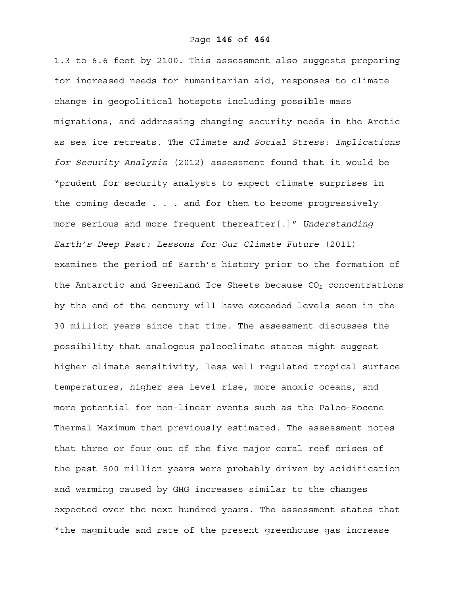1.3 to 6.6 feet by 2100. This assessment also suggests preparing for increased needs for humanitarian aid, responses to climate change in geopolitical hotspots including possible mass migrations, and addressing changing security needs in the Arctic as sea ice retreats. The *Climate and Social Stress: Implications for Security Analysis* (2012) assessment found that it would be "prudent for security analysts to expect climate surprises in the coming decade . . . and for them to become progressively more serious and more frequent thereafter[.]" *Understanding Earth's Deep Past: Lessons for Our Climate Future* (2011) examines the period of Earth's history prior to the formation of the Antarctic and Greenland Ice Sheets because  $CO<sub>2</sub>$  concentrations by the end of the century will have exceeded levels seen in the 30 million years since that time. The assessment discusses the possibility that analogous paleoclimate states might suggest higher climate sensitivity, less well regulated tropical surface temperatures, higher sea level rise, more anoxic oceans, and more potential for non-linear events such as the Paleo-Eocene Thermal Maximum than previously estimated. The assessment notes that three or four out of the five major coral reef crises of the past 500 million years were probably driven by acidification and warming caused by GHG increases similar to the changes expected over the next hundred years. The assessment states that "the magnitude and rate of the present greenhouse gas increase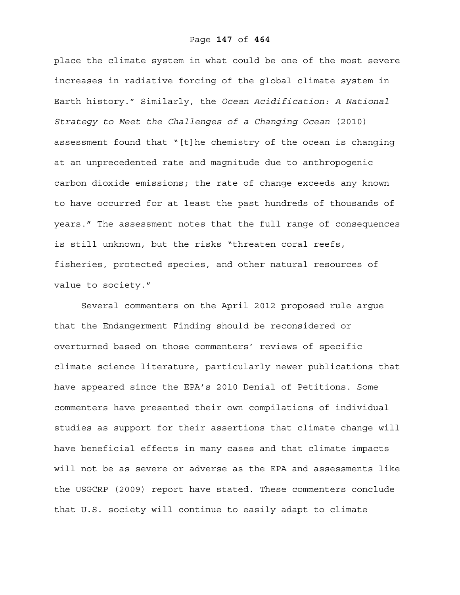place the climate system in what could be one of the most severe increases in radiative forcing of the global climate system in Earth history." Similarly, the *Ocean Acidification: A National Strategy to Meet the Challenges of a Changing Ocean* (2010) assessment found that "[t]he chemistry of the ocean is changing at an unprecedented rate and magnitude due to anthropogenic carbon dioxide emissions; the rate of change exceeds any known to have occurred for at least the past hundreds of thousands of years." The assessment notes that the full range of consequences is still unknown, but the risks "threaten coral reefs, fisheries, protected species, and other natural resources of value to society."

Several commenters on the April 2012 proposed rule argue that the Endangerment Finding should be reconsidered or overturned based on those commenters' reviews of specific climate science literature, particularly newer publications that have appeared since the EPA's 2010 Denial of Petitions. Some commenters have presented their own compilations of individual studies as support for their assertions that climate change will have beneficial effects in many cases and that climate impacts will not be as severe or adverse as the EPA and assessments like the USGCRP (2009) report have stated. These commenters conclude that U.S. society will continue to easily adapt to climate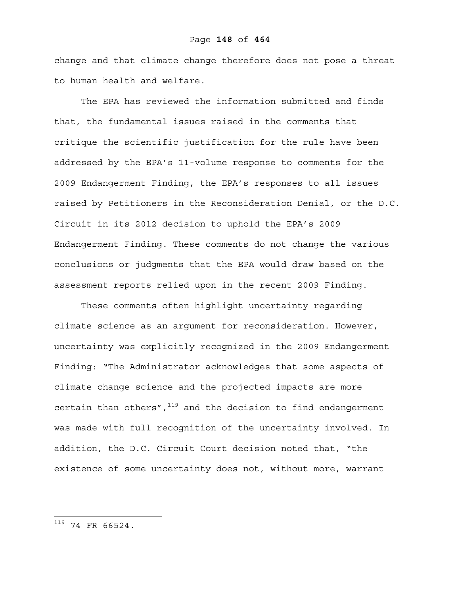change and that climate change therefore does not pose a threat to human health and welfare.

The EPA has reviewed the information submitted and finds that, the fundamental issues raised in the comments that critique the scientific justification for the rule have been addressed by the EPA's 11-volume response to comments for the 2009 Endangerment Finding, the EPA's responses to all issues raised by Petitioners in the Reconsideration Denial, or the D.C. Circuit in its 2012 decision to uphold the EPA's 2009 Endangerment Finding. These comments do not change the various conclusions or judgments that the EPA would draw based on the assessment reports relied upon in the recent 2009 Finding.

These comments often highlight uncertainty regarding climate science as an argument for reconsideration. However, uncertainty was explicitly recognized in the 2009 Endangerment Finding: "The Administrator acknowledges that some aspects of climate change science and the projected impacts are more certain than others", $119$  and the decision to find endangerment was made with full recognition of the uncertainty involved. In addition, the D.C. Circuit Court decision noted that, "the existence of some uncertainty does not, without more, warrant

 $^{119}$  74 FR 66524.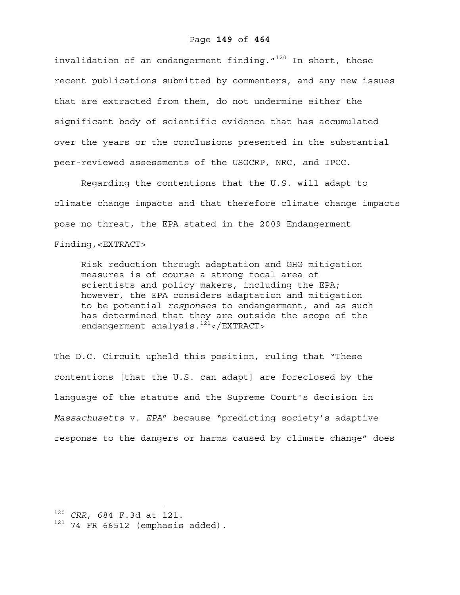#### Page **149** of **464**

invalidation of an endangerment finding. $1^{120}$  In short, these recent publications submitted by commenters, and any new issues that are extracted from them, do not undermine either the significant body of scientific evidence that has accumulated over the years or the conclusions presented in the substantial peer-reviewed assessments of the USGCRP, NRC, and IPCC.

Regarding the contentions that the U.S. will adapt to climate change impacts and that therefore climate change impacts pose no threat, the EPA stated in the 2009 Endangerment Finding,<EXTRACT>

Risk reduction through adaptation and GHG mitigation measures is of course a strong focal area of scientists and policy makers, including the EPA; however, the EPA considers adaptation and mitigation to be potential *responses* to endangerment, and as such has determined that they are outside the scope of the endangerment analysis.<sup>121</sup></EXTRACT>

The D.C. Circuit upheld this position, ruling that "These contentions [that the U.S. can adapt] are foreclosed by the language of the statute and the Supreme Court's decision in *Massachusetts* v. *EPA*" because "predicting society's adaptive response to the dangers or harms caused by climate change" does

<sup>120</sup> *CRR*, 684 F.3d at 121.

 $121$  74 FR 66512 (emphasis added).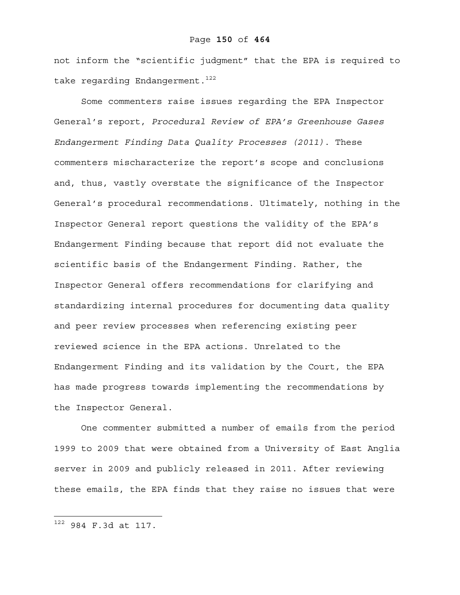not inform the "scientific judgment" that the EPA is required to take regarding Endangerment.<sup>122</sup>

Some commenters raise issues regarding the EPA Inspector General's report, *Procedural Review of EPA's Greenhouse Gases Endangerment Finding Data Quality Processes (2011)*. These commenters mischaracterize the report's scope and conclusions and, thus, vastly overstate the significance of the Inspector General's procedural recommendations. Ultimately, nothing in the Inspector General report questions the validity of the EPA's Endangerment Finding because that report did not evaluate the scientific basis of the Endangerment Finding. Rather, the Inspector General offers recommendations for clarifying and standardizing internal procedures for documenting data quality and peer review processes when referencing existing peer reviewed science in the EPA actions. Unrelated to the Endangerment Finding and its validation by the Court, the EPA has made progress towards implementing the recommendations by the Inspector General.

One commenter submitted a number of emails from the period 1999 to 2009 that were obtained from a University of East Anglia server in 2009 and publicly released in 2011. After reviewing these emails, the EPA finds that they raise no issues that were

 $122$  984 F.3d at 117.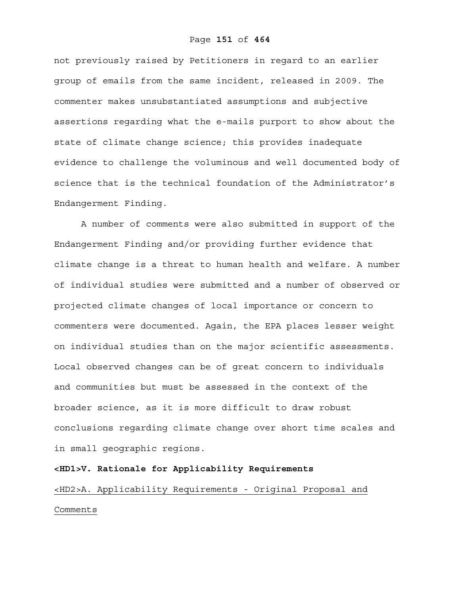not previously raised by Petitioners in regard to an earlier group of emails from the same incident, released in 2009. The commenter makes unsubstantiated assumptions and subjective assertions regarding what the e-mails purport to show about the state of climate change science; this provides inadequate evidence to challenge the voluminous and well documented body of science that is the technical foundation of the Administrator's Endangerment Finding.

A number of comments were also submitted in support of the Endangerment Finding and/or providing further evidence that climate change is a threat to human health and welfare. A number of individual studies were submitted and a number of observed or projected climate changes of local importance or concern to commenters were documented. Again, the EPA places lesser weight on individual studies than on the major scientific assessments. Local observed changes can be of great concern to individuals and communities but must be assessed in the context of the broader science, as it is more difficult to draw robust conclusions regarding climate change over short time scales and in small geographic regions.

**<HD1>V. Rationale for Applicability Requirements**  <HD2>A. Applicability Requirements - Original Proposal and Comments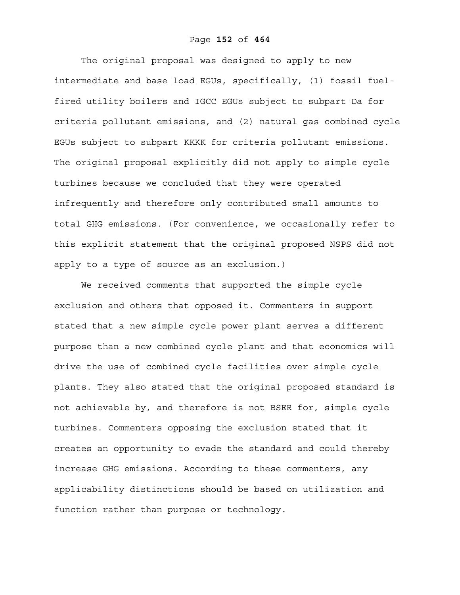# Page **152** of **464**

The original proposal was designed to apply to new intermediate and base load EGUs, specifically, (1) fossil fuelfired utility boilers and IGCC EGUs subject to subpart Da for criteria pollutant emissions, and (2) natural gas combined cycle EGUs subject to subpart KKKK for criteria pollutant emissions. The original proposal explicitly did not apply to simple cycle turbines because we concluded that they were operated infrequently and therefore only contributed small amounts to total GHG emissions. (For convenience, we occasionally refer to this explicit statement that the original proposed NSPS did not apply to a type of source as an exclusion.)

We received comments that supported the simple cycle exclusion and others that opposed it. Commenters in support stated that a new simple cycle power plant serves a different purpose than a new combined cycle plant and that economics will drive the use of combined cycle facilities over simple cycle plants. They also stated that the original proposed standard is not achievable by, and therefore is not BSER for, simple cycle turbines. Commenters opposing the exclusion stated that it creates an opportunity to evade the standard and could thereby increase GHG emissions. According to these commenters, any applicability distinctions should be based on utilization and function rather than purpose or technology.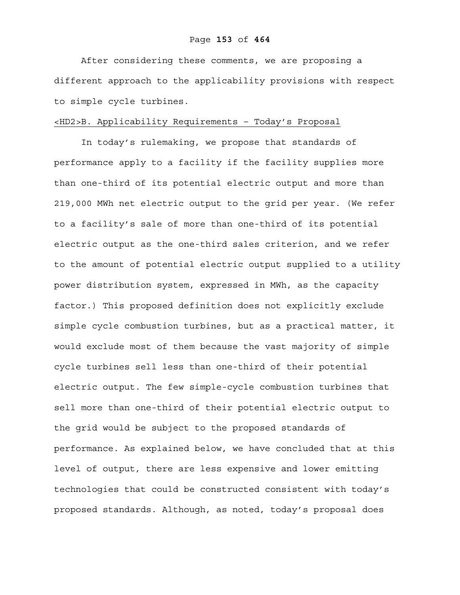After considering these comments, we are proposing a different approach to the applicability provisions with respect to simple cycle turbines.

# <HD2>B. Applicability Requirements – Today's Proposal

In today's rulemaking, we propose that standards of performance apply to a facility if the facility supplies more than one-third of its potential electric output and more than 219,000 MWh net electric output to the grid per year. (We refer to a facility's sale of more than one-third of its potential electric output as the one-third sales criterion, and we refer to the amount of potential electric output supplied to a utility power distribution system, expressed in MWh, as the capacity factor.) This proposed definition does not explicitly exclude simple cycle combustion turbines, but as a practical matter, it would exclude most of them because the vast majority of simple cycle turbines sell less than one-third of their potential electric output. The few simple-cycle combustion turbines that sell more than one-third of their potential electric output to the grid would be subject to the proposed standards of performance. As explained below, we have concluded that at this level of output, there are less expensive and lower emitting technologies that could be constructed consistent with today's proposed standards. Although, as noted, today's proposal does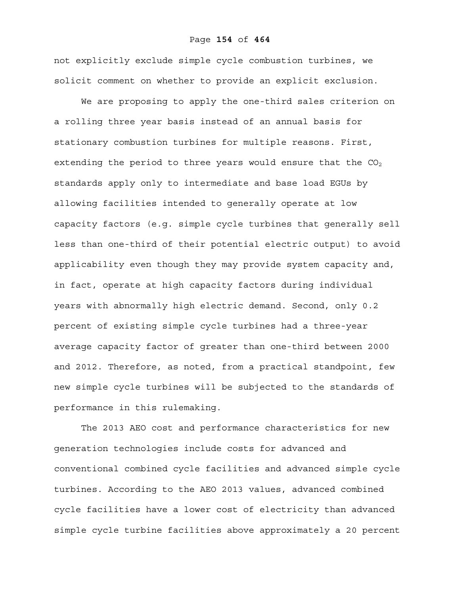not explicitly exclude simple cycle combustion turbines, we solicit comment on whether to provide an explicit exclusion.

We are proposing to apply the one-third sales criterion on a rolling three year basis instead of an annual basis for stationary combustion turbines for multiple reasons. First, extending the period to three years would ensure that the  $CO<sub>2</sub>$ standards apply only to intermediate and base load EGUs by allowing facilities intended to generally operate at low capacity factors (e.g. simple cycle turbines that generally sell less than one-third of their potential electric output) to avoid applicability even though they may provide system capacity and, in fact, operate at high capacity factors during individual years with abnormally high electric demand. Second, only 0.2 percent of existing simple cycle turbines had a three-year average capacity factor of greater than one-third between 2000 and 2012. Therefore, as noted, from a practical standpoint, few new simple cycle turbines will be subjected to the standards of performance in this rulemaking.

The 2013 AEO cost and performance characteristics for new generation technologies include costs for advanced and conventional combined cycle facilities and advanced simple cycle turbines. According to the AEO 2013 values, advanced combined cycle facilities have a lower cost of electricity than advanced simple cycle turbine facilities above approximately a 20 percent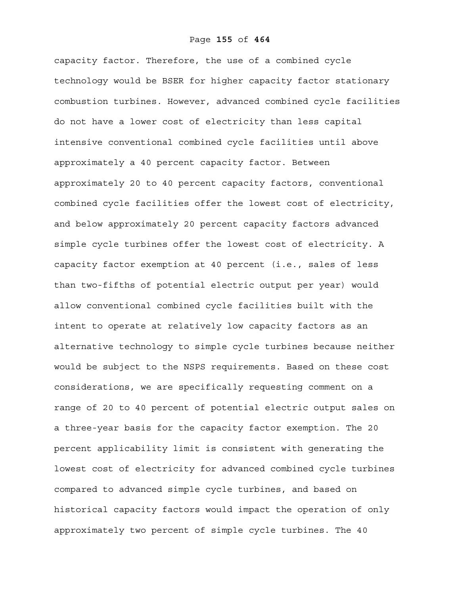capacity factor. Therefore, the use of a combined cycle technology would be BSER for higher capacity factor stationary combustion turbines. However, advanced combined cycle facilities do not have a lower cost of electricity than less capital intensive conventional combined cycle facilities until above approximately a 40 percent capacity factor. Between approximately 20 to 40 percent capacity factors, conventional combined cycle facilities offer the lowest cost of electricity, and below approximately 20 percent capacity factors advanced simple cycle turbines offer the lowest cost of electricity. A capacity factor exemption at 40 percent (i.e., sales of less than two-fifths of potential electric output per year) would allow conventional combined cycle facilities built with the intent to operate at relatively low capacity factors as an alternative technology to simple cycle turbines because neither would be subject to the NSPS requirements. Based on these cost considerations, we are specifically requesting comment on a range of 20 to 40 percent of potential electric output sales on a three-year basis for the capacity factor exemption. The 20 percent applicability limit is consistent with generating the lowest cost of electricity for advanced combined cycle turbines compared to advanced simple cycle turbines, and based on historical capacity factors would impact the operation of only approximately two percent of simple cycle turbines. The 40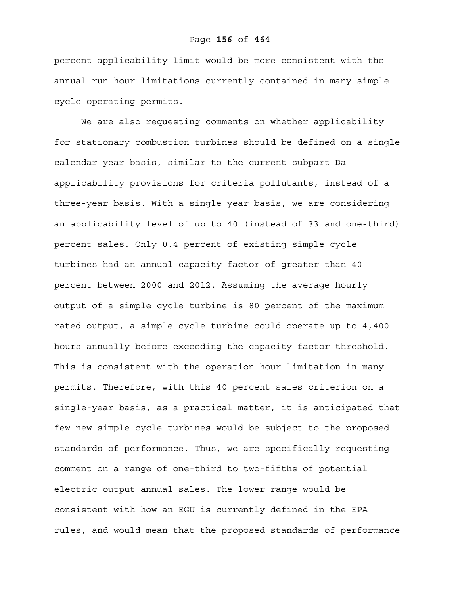percent applicability limit would be more consistent with the annual run hour limitations currently contained in many simple cycle operating permits.

We are also requesting comments on whether applicability for stationary combustion turbines should be defined on a single calendar year basis, similar to the current subpart Da applicability provisions for criteria pollutants, instead of a three-year basis. With a single year basis, we are considering an applicability level of up to 40 (instead of 33 and one-third) percent sales. Only 0.4 percent of existing simple cycle turbines had an annual capacity factor of greater than 40 percent between 2000 and 2012. Assuming the average hourly output of a simple cycle turbine is 80 percent of the maximum rated output, a simple cycle turbine could operate up to 4,400 hours annually before exceeding the capacity factor threshold. This is consistent with the operation hour limitation in many permits. Therefore, with this 40 percent sales criterion on a single-year basis, as a practical matter, it is anticipated that few new simple cycle turbines would be subject to the proposed standards of performance. Thus, we are specifically requesting comment on a range of one-third to two-fifths of potential electric output annual sales. The lower range would be consistent with how an EGU is currently defined in the EPA rules, and would mean that the proposed standards of performance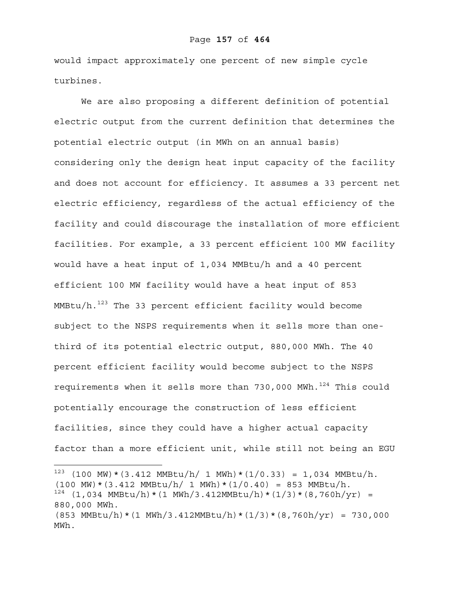would impact approximately one percent of new simple cycle turbines.

We are also proposing a different definition of potential electric output from the current definition that determines the potential electric output (in MWh on an annual basis) considering only the design heat input capacity of the facility and does not account for efficiency. It assumes a 33 percent net electric efficiency, regardless of the actual efficiency of the facility and could discourage the installation of more efficient facilities. For example, a 33 percent efficient 100 MW facility would have a heat input of 1,034 MMBtu/h and a 40 percent efficient 100 MW facility would have a heat input of 853  $MMBtu/h.<sup>123</sup>$  The 33 percent efficient facility would become subject to the NSPS requirements when it sells more than onethird of its potential electric output, 880,000 MWh. The 40 percent efficient facility would become subject to the NSPS requirements when it sells more than  $730,000$  MWh.<sup>124</sup> This could potentially encourage the construction of less efficient facilities, since they could have a higher actual capacity factor than a more efficient unit, while still not being an EGU

 $123$  (100 MW) \* (3.412 MMBtu/h/ 1 MWh) \* (1/0.33) = 1,034 MMBtu/h.  $(100 \text{ MW}) * (3.412 \text{ MMBtu/h} / 1 \text{ MWh} * (1/0.40) = 853 \text{ MMBtu/h}.$  $124$  (1,034 MMBtu/h) \* (1 MWh/3.412MMBtu/h) \* (1/3) \* (8,760h/yr) = 880,000 MWh.  $(853 \text{ MMBtu/h} * (1 \text{ MWh}/3.412 \text{ MMBtu/h} * (1/3) * (8,760 \text{h/yr}) = 730,000$ MWh.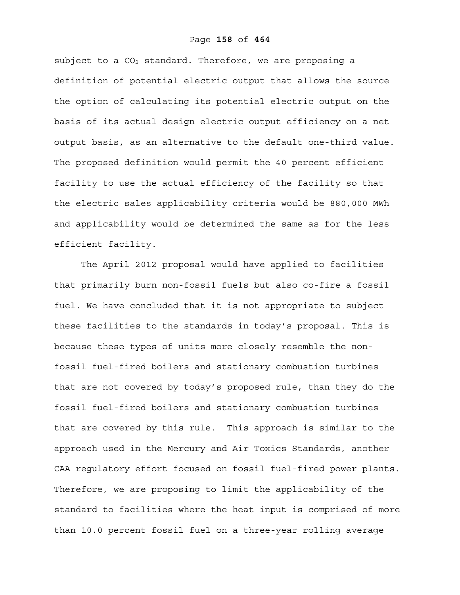#### Page **158** of **464**

subject to a  $CO<sub>2</sub>$  standard. Therefore, we are proposing a definition of potential electric output that allows the source the option of calculating its potential electric output on the basis of its actual design electric output efficiency on a net output basis, as an alternative to the default one-third value. The proposed definition would permit the 40 percent efficient facility to use the actual efficiency of the facility so that the electric sales applicability criteria would be 880,000 MWh and applicability would be determined the same as for the less efficient facility.

The April 2012 proposal would have applied to facilities that primarily burn non-fossil fuels but also co-fire a fossil fuel. We have concluded that it is not appropriate to subject these facilities to the standards in today's proposal. This is because these types of units more closely resemble the nonfossil fuel-fired boilers and stationary combustion turbines that are not covered by today's proposed rule, than they do the fossil fuel-fired boilers and stationary combustion turbines that are covered by this rule. This approach is similar to the approach used in the Mercury and Air Toxics Standards, another CAA regulatory effort focused on fossil fuel-fired power plants. Therefore, we are proposing to limit the applicability of the standard to facilities where the heat input is comprised of more than 10.0 percent fossil fuel on a three-year rolling average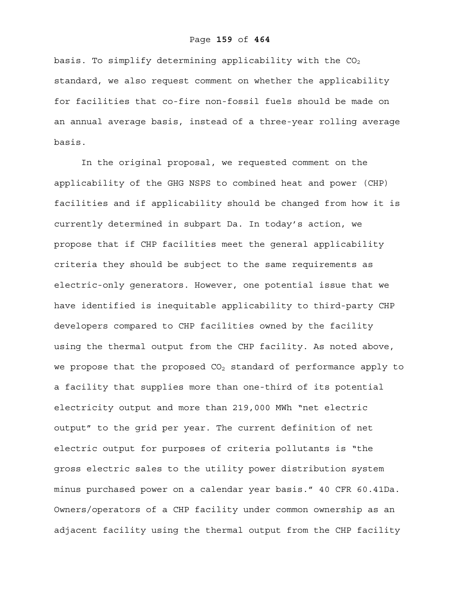#### Page **159** of **464**

basis. To simplify determining applicability with the  $CO<sub>2</sub>$ standard, we also request comment on whether the applicability for facilities that co-fire non-fossil fuels should be made on an annual average basis, instead of a three-year rolling average basis.

In the original proposal, we requested comment on the applicability of the GHG NSPS to combined heat and power (CHP) facilities and if applicability should be changed from how it is currently determined in subpart Da. In today's action, we propose that if CHP facilities meet the general applicability criteria they should be subject to the same requirements as electric-only generators. However, one potential issue that we have identified is inequitable applicability to third-party CHP developers compared to CHP facilities owned by the facility using the thermal output from the CHP facility. As noted above, we propose that the proposed  $CO<sub>2</sub>$  standard of performance apply to a facility that supplies more than one-third of its potential electricity output and more than 219,000 MWh "net electric output" to the grid per year. The current definition of net electric output for purposes of criteria pollutants is "the gross electric sales to the utility power distribution system minus purchased power on a calendar year basis." 40 CFR 60.41Da. Owners/operators of a CHP facility under common ownership as an adjacent facility using the thermal output from the CHP facility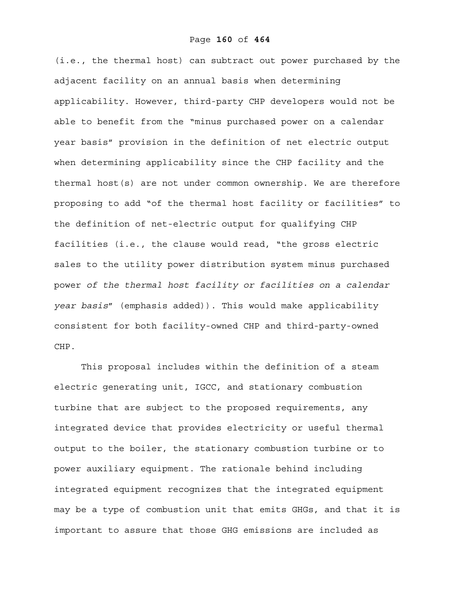(i.e., the thermal host) can subtract out power purchased by the adjacent facility on an annual basis when determining applicability. However, third-party CHP developers would not be able to benefit from the "minus purchased power on a calendar year basis" provision in the definition of net electric output when determining applicability since the CHP facility and the thermal host(s) are not under common ownership. We are therefore proposing to add "of the thermal host facility or facilities" to the definition of net-electric output for qualifying CHP facilities (i.e., the clause would read, "the gross electric sales to the utility power distribution system minus purchased power *of the thermal host facility or facilities on a calendar year basis*" (emphasis added)). This would make applicability consistent for both facility-owned CHP and third-party-owned CHP.

This proposal includes within the definition of a steam electric generating unit, IGCC, and stationary combustion turbine that are subject to the proposed requirements, any integrated device that provides electricity or useful thermal output to the boiler, the stationary combustion turbine or to power auxiliary equipment. The rationale behind including integrated equipment recognizes that the integrated equipment may be a type of combustion unit that emits GHGs, and that it is important to assure that those GHG emissions are included as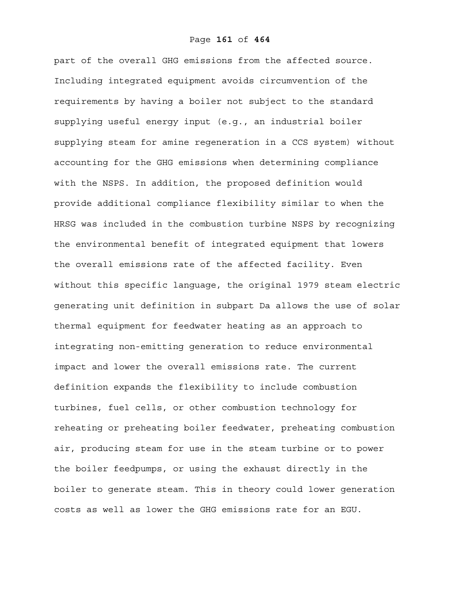part of the overall GHG emissions from the affected source. Including integrated equipment avoids circumvention of the requirements by having a boiler not subject to the standard supplying useful energy input (e.g., an industrial boiler supplying steam for amine regeneration in a CCS system) without accounting for the GHG emissions when determining compliance with the NSPS. In addition, the proposed definition would provide additional compliance flexibility similar to when the HRSG was included in the combustion turbine NSPS by recognizing the environmental benefit of integrated equipment that lowers the overall emissions rate of the affected facility. Even without this specific language, the original 1979 steam electric generating unit definition in subpart Da allows the use of solar thermal equipment for feedwater heating as an approach to integrating non-emitting generation to reduce environmental impact and lower the overall emissions rate. The current definition expands the flexibility to include combustion turbines, fuel cells, or other combustion technology for reheating or preheating boiler feedwater, preheating combustion air, producing steam for use in the steam turbine or to power the boiler feedpumps, or using the exhaust directly in the boiler to generate steam. This in theory could lower generation costs as well as lower the GHG emissions rate for an EGU.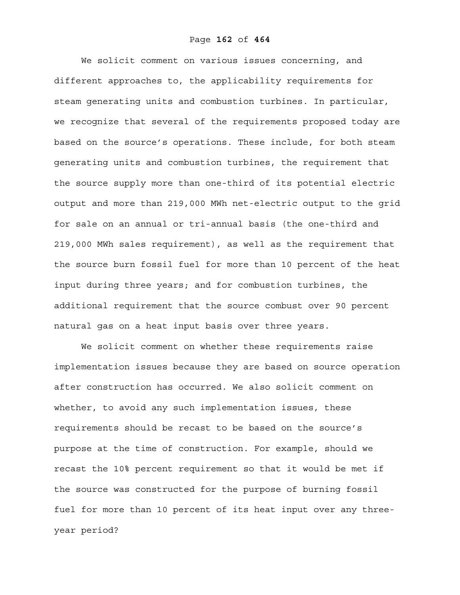We solicit comment on various issues concerning, and different approaches to, the applicability requirements for steam generating units and combustion turbines. In particular, we recognize that several of the requirements proposed today are based on the source's operations. These include, for both steam generating units and combustion turbines, the requirement that the source supply more than one-third of its potential electric output and more than 219,000 MWh net-electric output to the grid for sale on an annual or tri-annual basis (the one-third and 219,000 MWh sales requirement), as well as the requirement that the source burn fossil fuel for more than 10 percent of the heat input during three years; and for combustion turbines, the additional requirement that the source combust over 90 percent natural gas on a heat input basis over three years.

We solicit comment on whether these requirements raise implementation issues because they are based on source operation after construction has occurred. We also solicit comment on whether, to avoid any such implementation issues, these requirements should be recast to be based on the source's purpose at the time of construction. For example, should we recast the 10% percent requirement so that it would be met if the source was constructed for the purpose of burning fossil fuel for more than 10 percent of its heat input over any threeyear period?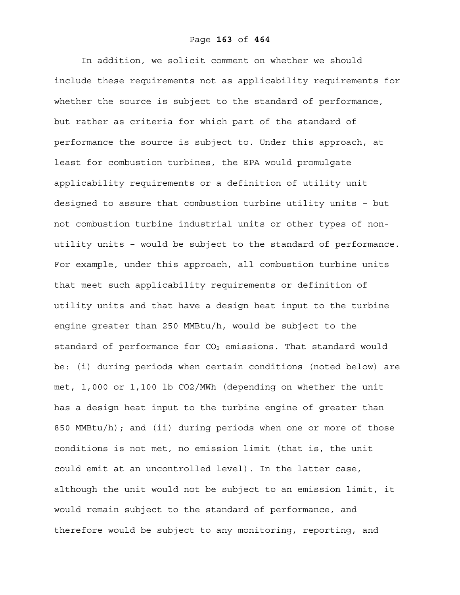In addition, we solicit comment on whether we should include these requirements not as applicability requirements for whether the source is subject to the standard of performance, but rather as criteria for which part of the standard of performance the source is subject to. Under this approach, at least for combustion turbines, the EPA would promulgate applicability requirements or a definition of utility unit designed to assure that combustion turbine utility units – but not combustion turbine industrial units or other types of nonutility units – would be subject to the standard of performance. For example, under this approach, all combustion turbine units that meet such applicability requirements or definition of utility units and that have a design heat input to the turbine engine greater than 250 MMBtu/h, would be subject to the standard of performance for  $CO<sub>2</sub>$  emissions. That standard would be: (i) during periods when certain conditions (noted below) are met, 1,000 or 1,100 lb CO2/MWh (depending on whether the unit has a design heat input to the turbine engine of greater than 850 MMBtu/h); and (ii) during periods when one or more of those conditions is not met, no emission limit (that is, the unit could emit at an uncontrolled level). In the latter case, although the unit would not be subject to an emission limit, it would remain subject to the standard of performance, and therefore would be subject to any monitoring, reporting, and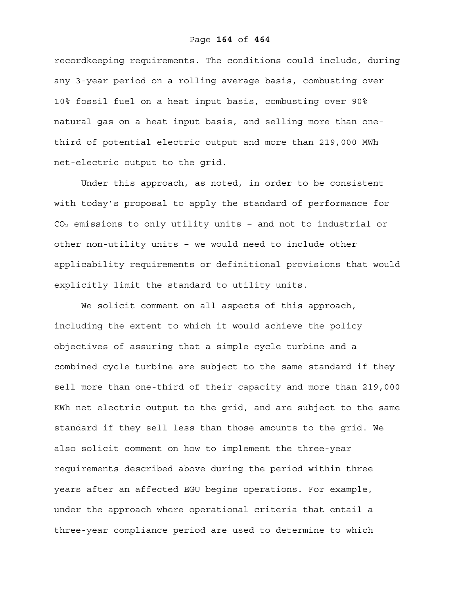recordkeeping requirements. The conditions could include, during any 3-year period on a rolling average basis, combusting over 10% fossil fuel on a heat input basis, combusting over 90% natural gas on a heat input basis, and selling more than onethird of potential electric output and more than 219,000 MWh net-electric output to the grid.

Under this approach, as noted, in order to be consistent with today's proposal to apply the standard of performance for  $CO<sub>2</sub>$  emissions to only utility units - and not to industrial or other non-utility units – we would need to include other applicability requirements or definitional provisions that would explicitly limit the standard to utility units.

We solicit comment on all aspects of this approach, including the extent to which it would achieve the policy objectives of assuring that a simple cycle turbine and a combined cycle turbine are subject to the same standard if they sell more than one-third of their capacity and more than 219,000 KWh net electric output to the grid, and are subject to the same standard if they sell less than those amounts to the grid. We also solicit comment on how to implement the three-year requirements described above during the period within three years after an affected EGU begins operations. For example, under the approach where operational criteria that entail a three-year compliance period are used to determine to which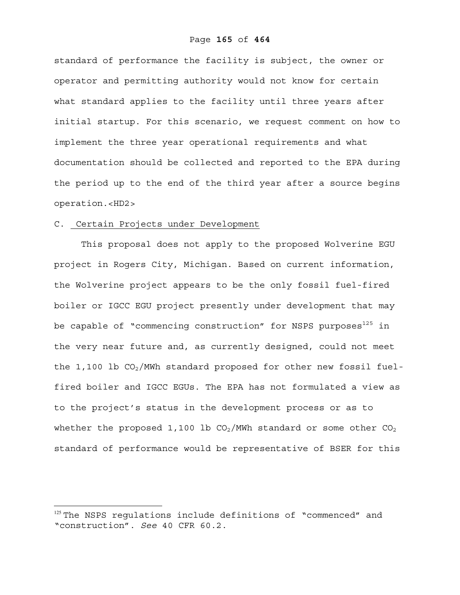standard of performance the facility is subject, the owner or operator and permitting authority would not know for certain what standard applies to the facility until three years after initial startup. For this scenario, we request comment on how to implement the three year operational requirements and what documentation should be collected and reported to the EPA during the period up to the end of the third year after a source begins operation.<HD2>

#### C. Certain Projects under Development

1

This proposal does not apply to the proposed Wolverine EGU project in Rogers City, Michigan. Based on current information, the Wolverine project appears to be the only fossil fuel-fired boiler or IGCC EGU project presently under development that may be capable of "commencing construction" for NSPS purposes<sup>125</sup> in the very near future and, as currently designed, could not meet the 1,100 lb  $CO_2/$ MWh standard proposed for other new fossil fuelfired boiler and IGCC EGUs. The EPA has not formulated a view as to the project's status in the development process or as to whether the proposed 1,100 lb  $CO<sub>2</sub>/MWh$  standard or some other  $CO<sub>2</sub>$ standard of performance would be representative of BSER for this

<sup>&</sup>lt;sup>125</sup> The NSPS regulations include definitions of "commenced" and "construction". *See* 40 CFR 60.2.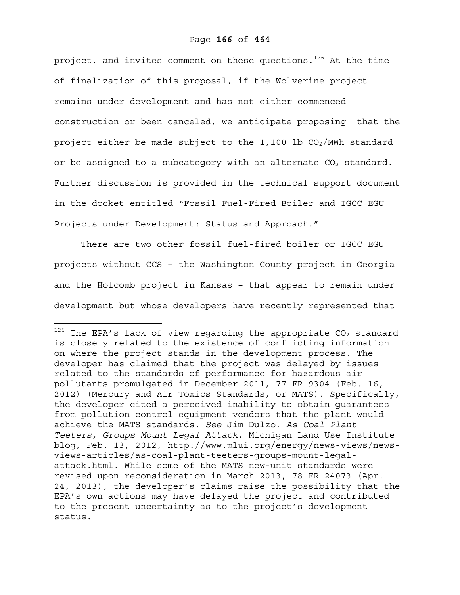project, and invites comment on these questions. $126$  At the time of finalization of this proposal, if the Wolverine project remains under development and has not either commenced construction or been canceled, we anticipate proposing that the project either be made subject to the 1,100 lb  $CO<sub>2</sub>/MWh$  standard or be assigned to a subcategory with an alternate  $CO<sub>2</sub>$  standard. Further discussion is provided in the technical support document in the docket entitled "Fossil Fuel-Fired Boiler and IGCC EGU Projects under Development: Status and Approach."

There are two other fossil fuel-fired boiler or IGCC EGU projects without CCS – the Washington County project in Georgia and the Holcomb project in Kansas – that appear to remain under development but whose developers have recently represented that

 $126$  The EPA's lack of view regarding the appropriate CO<sub>2</sub> standard is closely related to the existence of conflicting information on where the project stands in the development process. The developer has claimed that the project was delayed by issues related to the standards of performance for hazardous air pollutants promulgated in December 2011, 77 FR 9304 (Feb. 16, 2012) (Mercury and Air Toxics Standards, or MATS). Specifically, the developer cited a perceived inability to obtain guarantees from pollution control equipment vendors that the plant would achieve the MATS standards. *See* Jim Dulzo, *As Coal Plant Teeters, Groups Mount Legal Attack*, Michigan Land Use Institute blog, Feb. 13, 2012, http://www.mlui.org/energy/news-views/newsviews-articles/as-coal-plant-teeters-groups-mount-legalattack.html. While some of the MATS new-unit standards were revised upon reconsideration in March 2013, 78 FR 24073 (Apr. 24, 2013), the developer's claims raise the possibility that the EPA's own actions may have delayed the project and contributed to the present uncertainty as to the project's development status.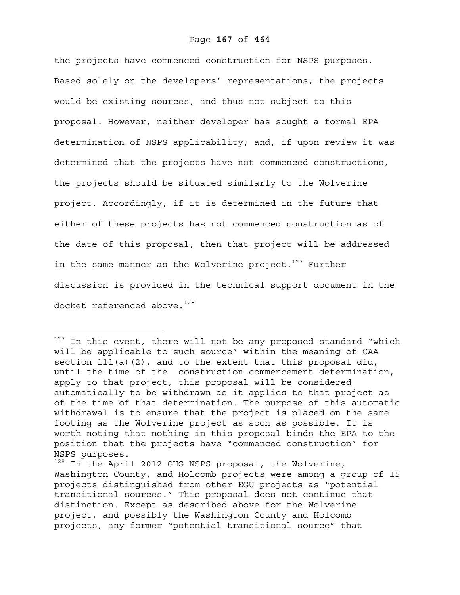the projects have commenced construction for NSPS purposes. Based solely on the developers' representations, the projects would be existing sources, and thus not subject to this proposal. However, neither developer has sought a formal EPA determination of NSPS applicability; and, if upon review it was determined that the projects have not commenced constructions, the projects should be situated similarly to the Wolverine project. Accordingly, if it is determined in the future that either of these projects has not commenced construction as of the date of this proposal, then that project will be addressed in the same manner as the Wolverine project.<sup>127</sup> Further discussion is provided in the technical support document in the docket referenced above.<sup>128</sup>

 $127$  In this event, there will not be any proposed standard "which will be applicable to such source" within the meaning of CAA section  $111(a)(2)$ , and to the extent that this proposal did, until the time of the construction commencement determination, apply to that project, this proposal will be considered automatically to be withdrawn as it applies to that project as of the time of that determination. The purpose of this automatic withdrawal is to ensure that the project is placed on the same footing as the Wolverine project as soon as possible. It is worth noting that nothing in this proposal binds the EPA to the position that the projects have "commenced construction" for NSPS purposes.

<sup>128</sup> In the April 2012 GHG NSPS proposal, the Wolverine, Washington County, and Holcomb projects were among a group of 15 projects distinguished from other EGU projects as "potential transitional sources." This proposal does not continue that distinction. Except as described above for the Wolverine project, and possibly the Washington County and Holcomb projects, any former "potential transitional source" that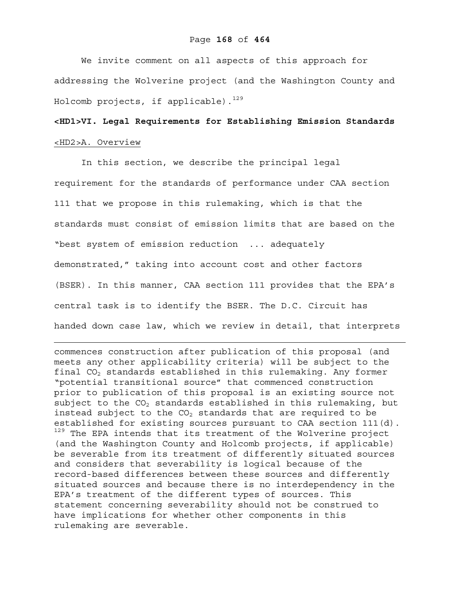# Page **168** of **464**

We invite comment on all aspects of this approach for addressing the Wolverine project (and the Washington County and Holcomb projects, if applicable). $^{129}$ 

# **<HD1>VI. Legal Requirements for Establishing Emission Standards**  <HD2>A. Overview

In this section, we describe the principal legal requirement for the standards of performance under CAA section 111 that we propose in this rulemaking, which is that the standards must consist of emission limits that are based on the "best system of emission reduction ... adequately demonstrated," taking into account cost and other factors (BSER). In this manner, CAA section 111 provides that the EPA's central task is to identify the BSER. The D.C. Circuit has handed down case law, which we review in detail, that interprets

1

commences construction after publication of this proposal (and meets any other applicability criteria) will be subject to the final  $CO<sub>2</sub>$  standards established in this rulemaking. Any former "potential transitional source" that commenced construction prior to publication of this proposal is an existing source not subject to the  $CO<sub>2</sub>$  standards established in this rulemaking, but instead subject to the  $CO<sub>2</sub>$  standards that are required to be established for existing sources pursuant to CAA section 111(d). <sup>129</sup> The EPA intends that its treatment of the Wolverine project (and the Washington County and Holcomb projects, if applicable) be severable from its treatment of differently situated sources and considers that severability is logical because of the record-based differences between these sources and differently situated sources and because there is no interdependency in the EPA's treatment of the different types of sources. This statement concerning severability should not be construed to have implications for whether other components in this rulemaking are severable.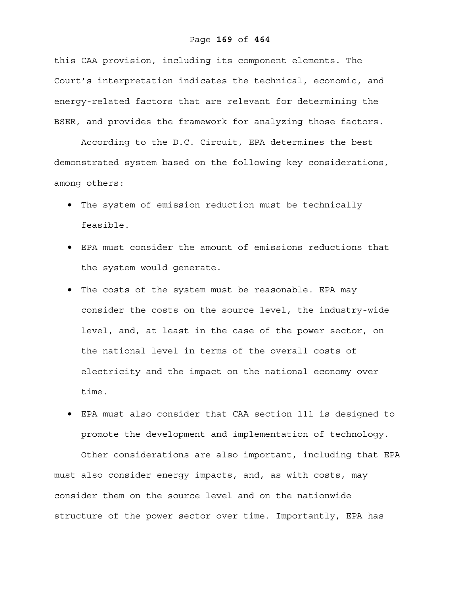# Page **169** of **464**

this CAA provision, including its component elements. The Court's interpretation indicates the technical, economic, and energy-related factors that are relevant for determining the BSER, and provides the framework for analyzing those factors.

According to the D.C. Circuit, EPA determines the best demonstrated system based on the following key considerations, among others:

- The system of emission reduction must be technically feasible.
- EPA must consider the amount of emissions reductions that the system would generate.
- The costs of the system must be reasonable. EPA may consider the costs on the source level, the industry-wide level, and, at least in the case of the power sector, on the national level in terms of the overall costs of electricity and the impact on the national economy over time.
- EPA must also consider that CAA section 111 is designed to promote the development and implementation of technology.

Other considerations are also important, including that EPA must also consider energy impacts, and, as with costs, may consider them on the source level and on the nationwide structure of the power sector over time. Importantly, EPA has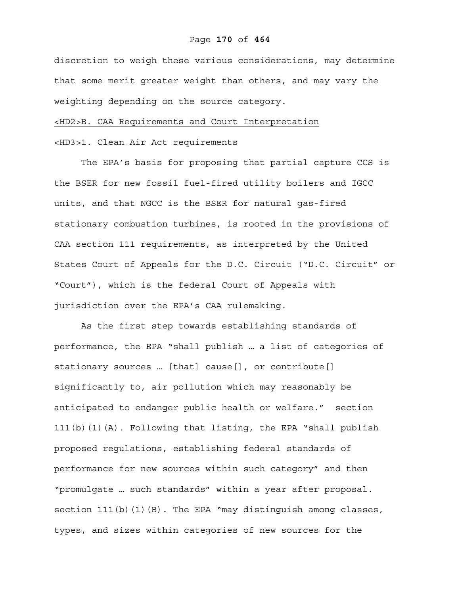# Page **170** of **464**

discretion to weigh these various considerations, may determine that some merit greater weight than others, and may vary the weighting depending on the source category.

# <HD2>B. CAA Requirements and Court Interpretation

<HD3>1. Clean Air Act requirements

The EPA's basis for proposing that partial capture CCS is the BSER for new fossil fuel-fired utility boilers and IGCC units, and that NGCC is the BSER for natural gas-fired stationary combustion turbines, is rooted in the provisions of CAA section 111 requirements, as interpreted by the United States Court of Appeals for the D.C. Circuit ("D.C. Circuit" or "Court"), which is the federal Court of Appeals with jurisdiction over the EPA's CAA rulemaking.

As the first step towards establishing standards of performance, the EPA "shall publish … a list of categories of stationary sources … [that] cause[], or contribute[] significantly to, air pollution which may reasonably be anticipated to endanger public health or welfare." section 111(b)(1)(A). Following that listing, the EPA "shall publish proposed regulations, establishing federal standards of performance for new sources within such category" and then "promulgate … such standards" within a year after proposal. section  $111(b)(1)(B)$ . The EPA "may distinguish among classes, types, and sizes within categories of new sources for the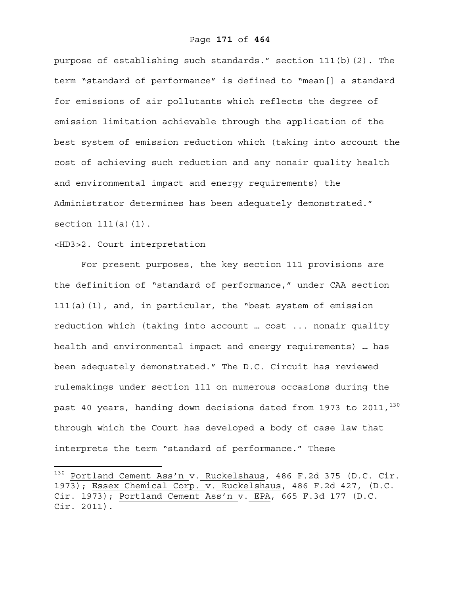purpose of establishing such standards." section 111(b)(2). The term "standard of performance" is defined to "mean[] a standard for emissions of air pollutants which reflects the degree of emission limitation achievable through the application of the best system of emission reduction which (taking into account the cost of achieving such reduction and any nonair quality health and environmental impact and energy requirements) the Administrator determines has been adequately demonstrated." section  $111(a)(1)$ .

# <HD3>2. Court interpretation

1

For present purposes, the key section 111 provisions are the definition of "standard of performance," under CAA section 111(a)(1), and, in particular, the "best system of emission reduction which (taking into account … cost ... nonair quality health and environmental impact and energy requirements) … has been adequately demonstrated." The D.C. Circuit has reviewed rulemakings under section 111 on numerous occasions during the past 40 years, handing down decisions dated from 1973 to 2011,  $130$ through which the Court has developed a body of case law that interprets the term "standard of performance." These

<sup>130</sup> Portland Cement Ass'n v. Ruckelshaus, 486 F.2d 375 (D.C. Cir. 1973); Essex Chemical Corp. v. Ruckelshaus, 486 F.2d 427, (D.C. Cir. 1973); Portland Cement Ass'n v. EPA, 665 F.3d 177 (D.C. Cir. 2011).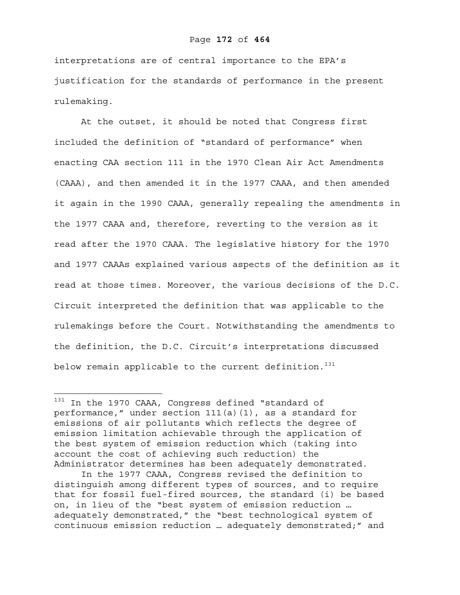#### Page **172** of **464**

interpretations are of central importance to the EPA's justification for the standards of performance in the present rulemaking.

At the outset, it should be noted that Congress first included the definition of "standard of performance" when enacting CAA section 111 in the 1970 Clean Air Act Amendments (CAAA), and then amended it in the 1977 CAAA, and then amended it again in the 1990 CAAA, generally repealing the amendments in the 1977 CAAA and, therefore, reverting to the version as it read after the 1970 CAAA. The legislative history for the 1970 and 1977 CAAAs explained various aspects of the definition as it read at those times. Moreover, the various decisions of the D.C. Circuit interpreted the definition that was applicable to the rulemakings before the Court. Notwithstanding the amendments to the definition, the D.C. Circuit's interpretations discussed below remain applicable to the current definition.<sup>131</sup>

1

<sup>131</sup> In the 1970 CAAA, Congress defined "standard of performance," under section 111(a)(1), as a standard for emissions of air pollutants which reflects the degree of emission limitation achievable through the application of the best system of emission reduction which (taking into account the cost of achieving such reduction) the Administrator determines has been adequately demonstrated.

In the 1977 CAAA, Congress revised the definition to distinguish among different types of sources, and to require that for fossil fuel-fired sources, the standard (i) be based on, in lieu of the "best system of emission reduction … adequately demonstrated," the "best technological system of continuous emission reduction … adequately demonstrated;" and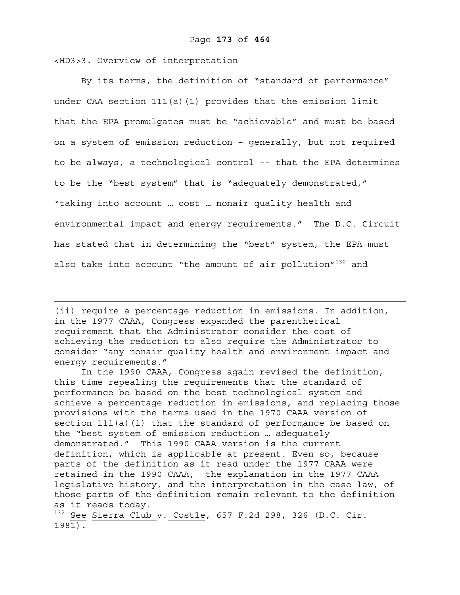<HD3>3. Overview of interpretation

1

By its terms, the definition of "standard of performance" under CAA section  $111(a)$  (1) provides that the emission limit that the EPA promulgates must be "achievable" and must be based on a system of emission reduction – generally, but not required to be always, a technological control -- that the EPA determines to be the "best system" that is "adequately demonstrated," "taking into account … cost … nonair quality health and environmental impact and energy requirements." The D.C. Circuit has stated that in determining the "best" system, the EPA must also take into account "the amount of air pollution"<sup>132</sup> and

(ii) require a percentage reduction in emissions. In addition, in the 1977 CAAA, Congress expanded the parenthetical requirement that the Administrator consider the cost of achieving the reduction to also require the Administrator to consider "any nonair quality health and environment impact and energy requirements."

In the 1990 CAAA, Congress again revised the definition, this time repealing the requirements that the standard of performance be based on the best technological system and achieve a percentage reduction in emissions, and replacing those provisions with the terms used in the 1970 CAAA version of section  $111(a)(1)$  that the standard of performance be based on the "best system of emission reduction … adequately demonstrated." This 1990 CAAA version is the current definition, which is applicable at present. Even so, because parts of the definition as it read under the 1977 CAAA were retained in the 1990 CAAA, the explanation in the 1977 CAAA legislative history, and the interpretation in the case law, of those parts of the definition remain relevant to the definition as it reads today.

 $132$  See Sierra Club v. Costle, 657 F.2d 298, 326 (D.C. Cir. 1981).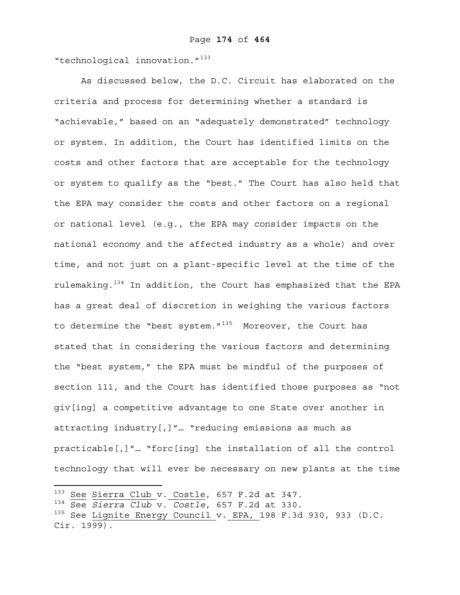"technological innovation."<sup>133</sup>

 As discussed below, the D.C. Circuit has elaborated on the criteria and process for determining whether a standard is "achievable," based on an "adequately demonstrated" technology or system. In addition, the Court has identified limits on the costs and other factors that are acceptable for the technology or system to qualify as the "best." The Court has also held that the EPA may consider the costs and other factors on a regional or national level (e.g., the EPA may consider impacts on the national economy and the affected industry as a whole) and over time, and not just on a plant-specific level at the time of the rulemaking.134 In addition, the Court has emphasized that the EPA has a great deal of discretion in weighing the various factors to determine the "best system. $''^{135}$  Moreover, the Court has stated that in considering the various factors and determining the "best system," the EPA must be mindful of the purposes of section 111, and the Court has identified those purposes as "not giv[ing] a competitive advantage to one State over another in attracting industry[,]"… "reducing emissions as much as practicable[,]"… "forc[ing] the installation of all the control technology that will ever be necessary on new plants at the time

<sup>133</sup> See Sierra Club v. Costle, 657 F.2d at 347.

<sup>134</sup> See *Sierra Club* v. *Costle*, 657 F.2d at 330.

<sup>&</sup>lt;sup>135</sup> See Lignite Energy Council v. EPA, 198 F.3d 930, 933 (D.C. Cir. 1999).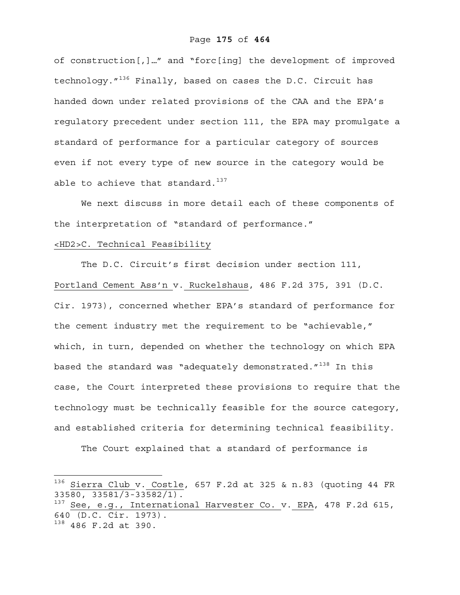of construction[,]…" and "forc[ing] the development of improved technology."136 Finally, based on cases the D.C. Circuit has handed down under related provisions of the CAA and the EPA's regulatory precedent under section 111, the EPA may promulgate a standard of performance for a particular category of sources even if not every type of new source in the category would be able to achieve that standard. $137$ 

We next discuss in more detail each of these components of the interpretation of "standard of performance."

# <HD2>C. Technical Feasibility

The D.C. Circuit's first decision under section 111, Portland Cement Ass'n v. Ruckelshaus, 486 F.2d 375, 391 (D.C. Cir. 1973), concerned whether EPA's standard of performance for the cement industry met the requirement to be "achievable," which, in turn, depended on whether the technology on which EPA based the standard was "adequately demonstrated." $138$  In this case, the Court interpreted these provisions to require that the technology must be technically feasible for the source category, and established criteria for determining technical feasibility.

The Court explained that a standard of performance is

 $^{136}$  Sierra Club v. Costle, 657 F.2d at 325 & n.83 (quoting 44 FR 33580, 33581/3-33582/1).

 $137$  See, e.g., International Harvester Co. v. EPA, 478 F.2d 615, 640 (D.C. Cir. 1973).

<sup>138 486</sup> F.2d at 390.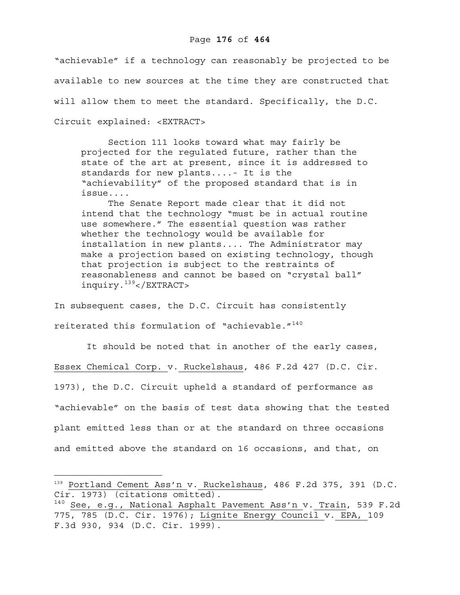"achievable" if a technology can reasonably be projected to be available to new sources at the time they are constructed that will allow them to meet the standard. Specifically, the D.C. Circuit explained: <EXTRACT>

Section 111 looks toward what may fairly be projected for the regulated future, rather than the state of the art at present, since it is addressed to standards for new plants....- It is the "achievability" of the proposed standard that is in issue....

The Senate Report made clear that it did not intend that the technology "must be in actual routine use somewhere." The essential question was rather whether the technology would be available for installation in new plants.... The Administrator may make a projection based on existing technology, though that projection is subject to the restraints of reasonableness and cannot be based on "crystal ball" inquiry.139</EXTRACT>

In subsequent cases, the D.C. Circuit has consistently reiterated this formulation of "achievable. $140$ 

 It should be noted that in another of the early cases, Essex Chemical Corp. v. Ruckelshaus, 486 F.2d 427 (D.C. Cir. 1973), the D.C. Circuit upheld a standard of performance as "achievable" on the basis of test data showing that the tested plant emitted less than or at the standard on three occasions and emitted above the standard on 16 occasions, and that, on

<sup>139</sup> Portland Cement Ass'n v. Ruckelshaus, 486 F.2d 375, 391 (D.C. Cir. 1973) (citations omitted).

<sup>&</sup>lt;sup>140</sup> See, e.g., National Asphalt Pavement Ass'n v. Train, 539 F.2d 775, 785 (D.C. Cir. 1976); Lignite Energy Council v. EPA, 109 F.3d 930, 934 (D.C. Cir. 1999).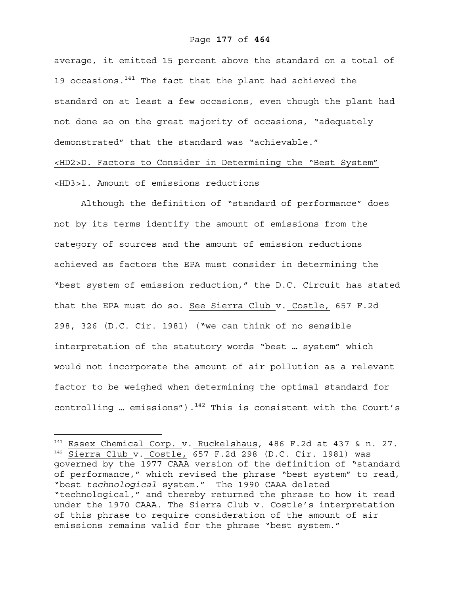# Page **177** of **464**

average, it emitted 15 percent above the standard on a total of 19 occasions. $141$  The fact that the plant had achieved the standard on at least a few occasions, even though the plant had not done so on the great majority of occasions, "adequately demonstrated" that the standard was "achievable." <HD2>D. Factors to Consider in Determining the "Best System" <HD3>1. Amount of emissions reductions

 Although the definition of "standard of performance" does not by its terms identify the amount of emissions from the category of sources and the amount of emission reductions achieved as factors the EPA must consider in determining the "best system of emission reduction," the D.C. Circuit has stated that the EPA must do so. See Sierra Club v. Costle, 657 F.2d 298, 326 (D.C. Cir. 1981) ("we can think of no sensible interpretation of the statutory words "best … system" which would not incorporate the amount of air pollution as a relevant factor to be weighed when determining the optimal standard for controlling ... emissions").<sup>142</sup> This is consistent with the Court's

<sup>&</sup>lt;sup>141</sup> Essex Chemical Corp. v. Ruckelshaus, 486 F.2d at 437 & n. 27.<br><sup>142</sup> Sierra Club v. Costle, 657 F.2d 298 (D.C. Cir. 1981) was governed by the 1977 CAAA version of the definition of "standard of performance," which revised the phrase "best system" to read, "best *technological* system." The 1990 CAAA deleted "technological," and thereby returned the phrase to how it read under the 1970 CAAA. The Sierra Club v. Costle's interpretation of this phrase to require consideration of the amount of air emissions remains valid for the phrase "best system."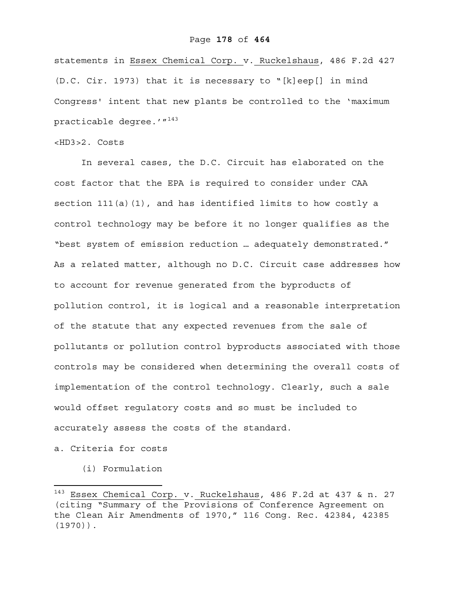#### Page **178** of **464**

statements in Essex Chemical Corp. v. Ruckelshaus, 486 F.2d 427 (D.C. Cir. 1973) that it is necessary to "[k]eep[] in mind Congress' intent that new plants be controlled to the 'maximum practicable degree.'"<sup>143</sup>

# <HD3>2. Costs

In several cases, the D.C. Circuit has elaborated on the cost factor that the EPA is required to consider under CAA section  $111(a)(1)$ , and has identified limits to how costly a control technology may be before it no longer qualifies as the "best system of emission reduction … adequately demonstrated." As a related matter, although no D.C. Circuit case addresses how to account for revenue generated from the byproducts of pollution control, it is logical and a reasonable interpretation of the statute that any expected revenues from the sale of pollutants or pollution control byproducts associated with those controls may be considered when determining the overall costs of implementation of the control technology. Clearly, such a sale would offset regulatory costs and so must be included to accurately assess the costs of the standard.

# a. Criteria for costs

 $\overline{a}$ 

(i) Formulation

Essex Chemical Corp. v. Ruckelshaus, 486 F.2d at 437 & n. 27 (citing "Summary of the Provisions of Conference Agreement on the Clean Air Amendments of 1970," 116 Cong. Rec. 42384, 42385 (1970)).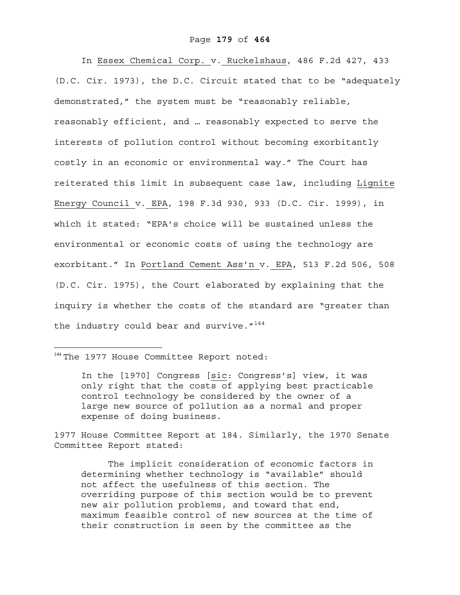#### Page **179** of **464**

In Essex Chemical Corp. v. Ruckelshaus, 486 F.2d 427, 433 (D.C. Cir. 1973), the D.C. Circuit stated that to be "adequately demonstrated," the system must be "reasonably reliable, reasonably efficient, and … reasonably expected to serve the interests of pollution control without becoming exorbitantly costly in an economic or environmental way." The Court has reiterated this limit in subsequent case law, including Lignite Energy Council v. EPA, 198 F.3d 930, 933 (D.C. Cir. 1999), in which it stated: "EPA's choice will be sustained unless the environmental or economic costs of using the technology are exorbitant." In Portland Cement Ass'n v. EPA, 513 F.2d 506, 508 (D.C. Cir. 1975), the Court elaborated by explaining that the inquiry is whether the costs of the standard are "greater than the industry could bear and survive.  $144$ 

# <sup>144</sup> The 1977 House Committee Report noted:

 $\overline{a}$ 

In the [1970] Congress [sic: Congress's] view, it was only right that the costs of applying best practicable control technology be considered by the owner of a large new source of pollution as a normal and proper expense of doing business.

1977 House Committee Report at 184. Similarly, the 1970 Senate Committee Report stated:

The implicit consideration of economic factors in determining whether technology is "available" should not affect the usefulness of this section. The overriding purpose of this section would be to prevent new air pollution problems, and toward that end, maximum feasible control of new sources at the time of their construction is seen by the committee as the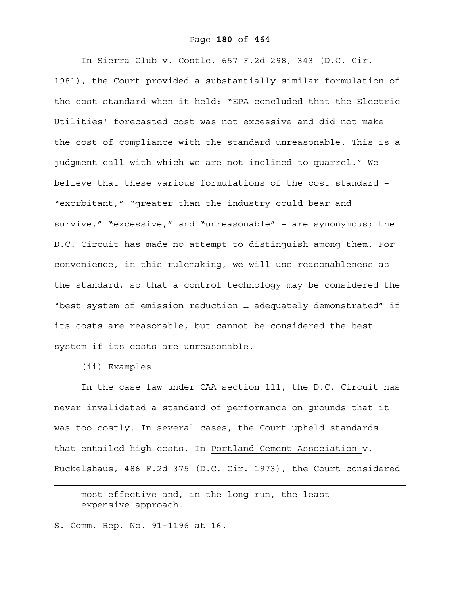#### Page **180** of **464**

In Sierra Club v. Costle, 657 F.2d 298, 343 (D.C. Cir. 1981), the Court provided a substantially similar formulation of the cost standard when it held: "EPA concluded that the Electric Utilities' forecasted cost was not excessive and did not make the cost of compliance with the standard unreasonable. This is a judgment call with which we are not inclined to quarrel." We believe that these various formulations of the cost standard – "exorbitant," "greater than the industry could bear and survive," "excessive," and "unreasonable" – are synonymous; the D.C. Circuit has made no attempt to distinguish among them. For convenience, in this rulemaking, we will use reasonableness as the standard, so that a control technology may be considered the "best system of emission reduction … adequately demonstrated" if its costs are reasonable, but cannot be considered the best system if its costs are unreasonable.

(ii) Examples

 $\overline{a}$ 

In the case law under CAA section 111, the D.C. Circuit has never invalidated a standard of performance on grounds that it was too costly. In several cases, the Court upheld standards that entailed high costs. In Portland Cement Association v. Ruckelshaus, 486 F.2d 375 (D.C. Cir. 1973), the Court considered

most effective and, in the long run, the least expensive approach.

S. Comm. Rep. No. 91-1196 at 16.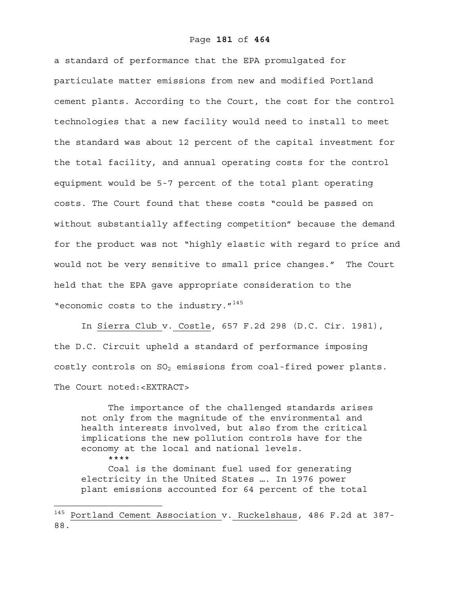## Page **181** of **464**

a standard of performance that the EPA promulgated for particulate matter emissions from new and modified Portland cement plants. According to the Court, the cost for the control technologies that a new facility would need to install to meet the standard was about 12 percent of the capital investment for the total facility, and annual operating costs for the control equipment would be 5-7 percent of the total plant operating costs. The Court found that these costs "could be passed on without substantially affecting competition" because the demand for the product was not "highly elastic with regard to price and would not be very sensitive to small price changes." The Court held that the EPA gave appropriate consideration to the "economic costs to the industry."<sup>145</sup>

 In Sierra Club v. Costle, 657 F.2d 298 (D.C. Cir. 1981), the D.C. Circuit upheld a standard of performance imposing costly controls on SO<sub>2</sub> emissions from coal-fired power plants. The Court noted:<EXTRACT>

The importance of the challenged standards arises not only from the magnitude of the environmental and health interests involved, but also from the critical implications the new pollution controls have for the economy at the local and national levels. \*\*\*\*

Coal is the dominant fuel used for generating electricity in the United States …. In 1976 power plant emissions accounted for 64 percent of the total

<sup>145</sup> Portland Cement Association v. Ruckelshaus, 486 F.2d at 387- 88.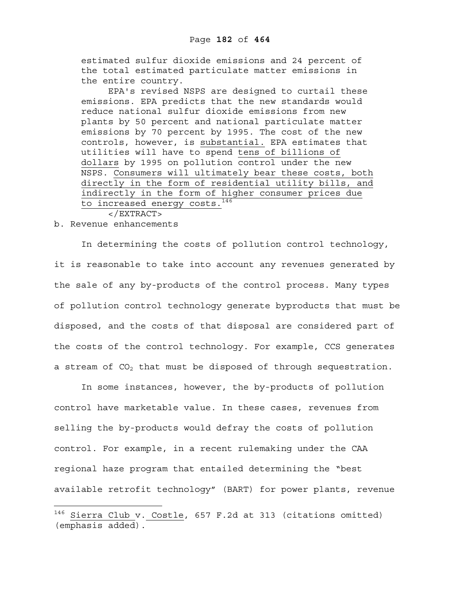estimated sulfur dioxide emissions and 24 percent of the total estimated particulate matter emissions in the entire country.

EPA's revised NSPS are designed to curtail these emissions. EPA predicts that the new standards would reduce national sulfur dioxide emissions from new plants by 50 percent and national particulate matter emissions by 70 percent by 1995. The cost of the new controls, however, is substantial. EPA estimates that utilities will have to spend tens of billions of dollars by 1995 on pollution control under the new NSPS. Consumers will ultimately bear these costs, both directly in the form of residential utility bills, and indirectly in the form of higher consumer prices due to increased energy costs.<sup>146</sup>

</EXTRACT>

b. Revenue enhancements

 $\overline{a}$ 

In determining the costs of pollution control technology, it is reasonable to take into account any revenues generated by the sale of any by-products of the control process. Many types of pollution control technology generate byproducts that must be disposed, and the costs of that disposal are considered part of the costs of the control technology. For example, CCS generates a stream of  $CO<sub>2</sub>$  that must be disposed of through sequestration.

In some instances, however, the by-products of pollution control have marketable value. In these cases, revenues from selling the by-products would defray the costs of pollution control. For example, in a recent rulemaking under the CAA regional haze program that entailed determining the "best available retrofit technology" (BART) for power plants, revenue

<sup>&</sup>lt;sup>146</sup> Sierra Club v. Costle, 657 F.2d at 313 (citations omitted) (emphasis added).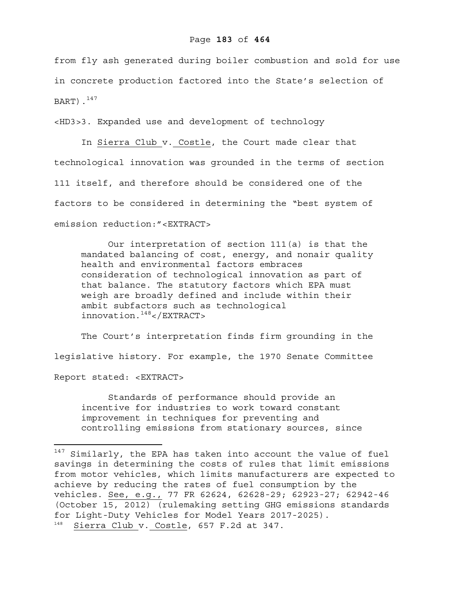from fly ash generated during boiler combustion and sold for use in concrete production factored into the State's selection of BART). $^{147}$ 

<HD3>3. Expanded use and development of technology

In Sierra Club v. Costle, the Court made clear that technological innovation was grounded in the terms of section 111 itself, and therefore should be considered one of the factors to be considered in determining the "best system of emission reduction:"<EXTRACT>

Our interpretation of section 111(a) is that the mandated balancing of cost, energy, and nonair quality health and environmental factors embraces consideration of technological innovation as part of that balance. The statutory factors which EPA must weigh are broadly defined and include within their ambit subfactors such as technological innovation.148</EXTRACT>

The Court's interpretation finds firm grounding in the legislative history. For example, the 1970 Senate Committee Report stated: <EXTRACT>

Standards of performance should provide an incentive for industries to work toward constant improvement in techniques for preventing and controlling emissions from stationary sources, since

 $147$  Similarly, the EPA has taken into account the value of fuel savings in determining the costs of rules that limit emissions from motor vehicles, which limits manufacturers are expected to achieve by reducing the rates of fuel consumption by the vehicles. See, e.g., 77 FR 62624, 62628-29; 62923-27; 62942-46 (October 15, 2012) (rulemaking setting GHG emissions standards for Light-Duty Vehicles for Model Years 2017-2025). 148 Sierra Club v. Costle, 657 F.2d at 347.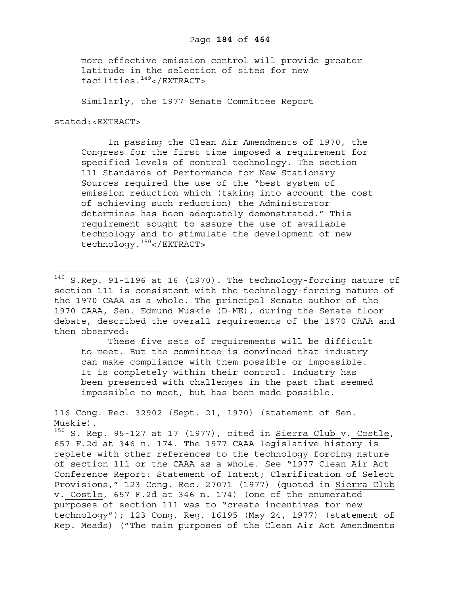more effective emission control will provide greater latitude in the selection of sites for new facilities.149</EXTRACT>

Similarly, the 1977 Senate Committee Report

stated:<EXTRACT>

 $\overline{a}$ 

 In passing the Clean Air Amendments of 1970, the Congress for the first time imposed a requirement for specified levels of control technology. The section 111 Standards of Performance for New Stationary Sources required the use of the "best system of emission reduction which (taking into account the cost of achieving such reduction) the Administrator determines has been adequately demonstrated." This requirement sought to assure the use of available technology and to stimulate the development of new technology.150</EXTRACT>

These five sets of requirements will be difficult to meet. But the committee is convinced that industry can make compliance with them possible or impossible. It is completely within their control. Industry has been presented with challenges in the past that seemed impossible to meet, but has been made possible.

116 Cong. Rec. 32902 (Sept. 21, 1970) (statement of Sen. Muskie).

 $150$  S. Rep. 95-127 at 17 (1977), cited in Sierra Club v. Costle, 657 F.2d at 346 n. 174. The 1977 CAAA legislative history is replete with other references to the technology forcing nature of section 111 or the CAAA as a whole. See "1977 Clean Air Act Conference Report: Statement of Intent; Clarification of Select Provisions," 123 Cong. Rec. 27071 (1977) (quoted in Sierra Club v. Costle, 657 F.2d at 346 n. 174) (one of the enumerated purposes of section 111 was to "create incentives for new technology"); 123 Cong. Reg. 16195 (May 24, 1977) (statement of Rep. Meads) ("The main purposes of the Clean Air Act Amendments

<sup>&</sup>lt;sup>149</sup> S.Rep. 91-1196 at 16 (1970). The technology-forcing nature of section 111 is consistent with the technology-forcing nature of the 1970 CAAA as a whole. The principal Senate author of the 1970 CAAA, Sen. Edmund Muskie (D-ME), during the Senate floor debate, described the overall requirements of the 1970 CAAA and then observed: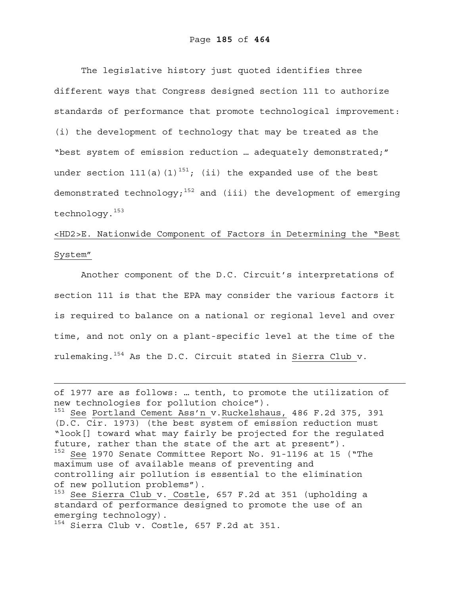The legislative history just quoted identifies three different ways that Congress designed section 111 to authorize standards of performance that promote technological improvement: (i) the development of technology that may be treated as the "best system of emission reduction … adequately demonstrated;" under section 111(a)(1)<sup>151</sup>; (ii) the expanded use of the best demonstrated technology;<sup>152</sup> and (iii) the development of emerging technology.153

# <HD2>E. Nationwide Component of Factors in Determining the "Best System"

Another component of the D.C. Circuit's interpretations of section 111 is that the EPA may consider the various factors it is required to balance on a national or regional level and over time, and not only on a plant-specific level at the time of the rulemaking.154 As the D.C. Circuit stated in Sierra Club v.

 $153$  See Sierra Club\_v. Costle, 657 F.2d at 351 (upholding a standard of performance designed to promote the use of an emerging technology).

154 Sierra Club v. Costle, 657 F.2d at 351.

of 1977 are as follows: … tenth, to promote the utilization of new technologies for pollution choice"). 151 See Portland Cement Ass'n v.Ruckelshaus, 486 F.2d 375, 391 (D.C. Cir. 1973) (the best system of emission reduction must "look[] toward what may fairly be projected for the regulated future, rather than the state of the art at present"). <sup>152</sup> See 1970 Senate Committee Report No. 91-1196 at 15 ("The maximum use of available means of preventing and controlling air pollution is essential to the elimination of new pollution problems").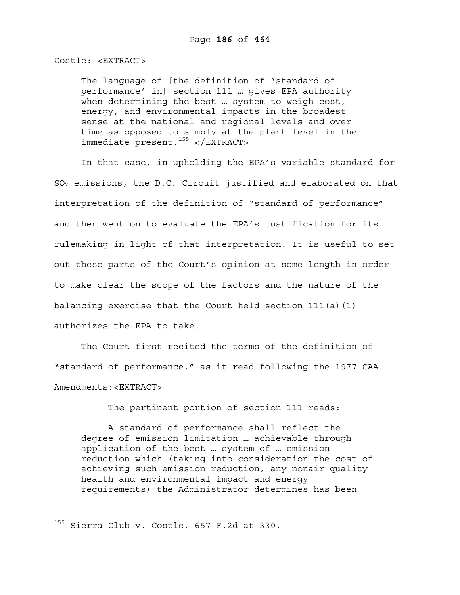# Costle: <EXTRACT>

The language of [the definition of 'standard of performance' in] section 111 … gives EPA authority when determining the best … system to weigh cost, energy, and environmental impacts in the broadest sense at the national and regional levels and over time as opposed to simply at the plant level in the immediate present.<sup>155</sup> </EXTRACT>

In that case, in upholding the EPA's variable standard for SO2 emissions, the D.C. Circuit justified and elaborated on that interpretation of the definition of "standard of performance" and then went on to evaluate the EPA's justification for its rulemaking in light of that interpretation. It is useful to set out these parts of the Court's opinion at some length in order to make clear the scope of the factors and the nature of the balancing exercise that the Court held section  $111(a)(1)$ authorizes the EPA to take.

The Court first recited the terms of the definition of "standard of performance," as it read following the 1977 CAA Amendments:<EXTRACT>

The pertinent portion of section 111 reads:

A standard of performance shall reflect the degree of emission limitation … achievable through application of the best … system of … emission reduction which (taking into consideration the cost of achieving such emission reduction, any nonair quality health and environmental impact and energy requirements) the Administrator determines has been

<sup>&</sup>lt;sup>155</sup> Sierra Club v. Costle, 657 F.2d at 330.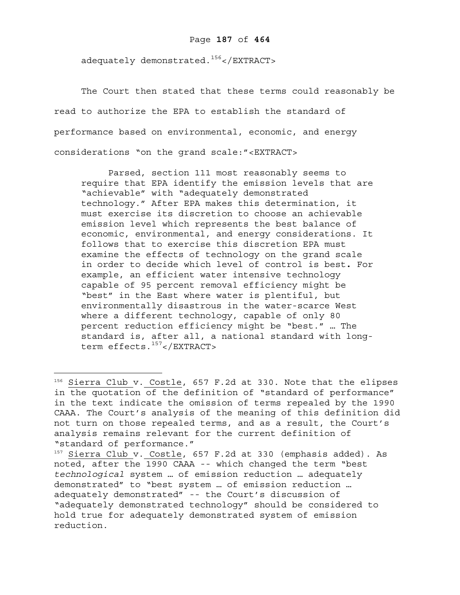adequately demonstrated.<sup>156</sup></EXTRACT>

The Court then stated that these terms could reasonably be read to authorize the EPA to establish the standard of performance based on environmental, economic, and energy considerations "on the grand scale:"<EXTRACT>

Parsed, section 111 most reasonably seems to require that EPA identify the emission levels that are "achievable" with "adequately demonstrated technology." After EPA makes this determination, it must exercise its discretion to choose an achievable emission level which represents the best balance of economic, environmental, and energy considerations. It follows that to exercise this discretion EPA must examine the effects of technology on the grand scale in order to decide which level of control is best**.** For example, an efficient water intensive technology capable of 95 percent removal efficiency might be "best" in the East where water is plentiful, but environmentally disastrous in the water-scarce West where a different technology, capable of only 80 percent reduction efficiency might be "best." … The standard is, after all, a national standard with longterm effects.<sup>157</sup></EXTRACT>

<sup>156</sup> Sierra Club v. Costle, 657 F.2d at 330. Note that the elipses in the quotation of the definition of "standard of performance" in the text indicate the omission of terms repealed by the 1990 CAAA. The Court's analysis of the meaning of this definition did not turn on those repealed terms, and as a result, the Court's analysis remains relevant for the current definition of "standard of performance."

<sup>&</sup>lt;sup>157</sup> Sierra Club v. Costle, 657 F.2d at 330 (emphasis added). As noted, after the 1990 CAAA -- which changed the term "best *technological* system … of emission reduction … adequately demonstrated" to "best system … of emission reduction … adequately demonstrated" -- the Court's discussion of "adequately demonstrated technology" should be considered to hold true for adequately demonstrated system of emission reduction.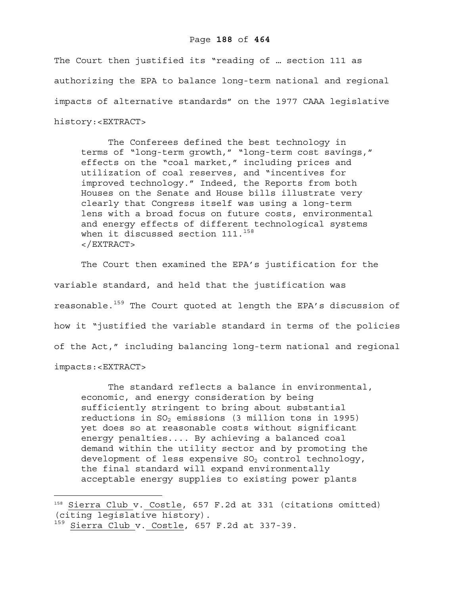# Page **188** of **464**

The Court then justified its "reading of … section 111 as authorizing the EPA to balance long-term national and regional impacts of alternative standards" on the 1977 CAAA legislative history:<EXTRACT>

The Conferees defined the best technology in terms of "long-term growth," "long-term cost savings," effects on the "coal market," including prices and utilization of coal reserves, and "incentives for improved technology." Indeed, the Reports from both Houses on the Senate and House bills illustrate very clearly that Congress itself was using a long-term lens with a broad focus on future costs, environmental and energy effects of different technological systems when it discussed section  $111.^{158}$ </EXTRACT>

The Court then examined the EPA's justification for the variable standard, and held that the justification was reasonable.<sup>159</sup> The Court quoted at length the EPA's discussion of how it "justified the variable standard in terms of the policies of the Act," including balancing long-term national and regional impacts:<EXTRACT>

The standard reflects a balance in environmental, economic, and energy consideration by being sufficiently stringent to bring about substantial reductions in  $SO_2$  emissions (3 million tons in 1995) yet does so at reasonable costs without significant energy penalties.... By achieving a balanced coal demand within the utility sector and by promoting the development of less expensive  $SO<sub>2</sub>$  control technology, the final standard will expand environmentally acceptable energy supplies to existing power plants

<sup>158</sup> Sierra Club v. Costle, 657 F.2d at 331 (citations omitted) (citing legislative history).

 $159$  Sierra Club v. Costle, 657 F.2d at 337-39.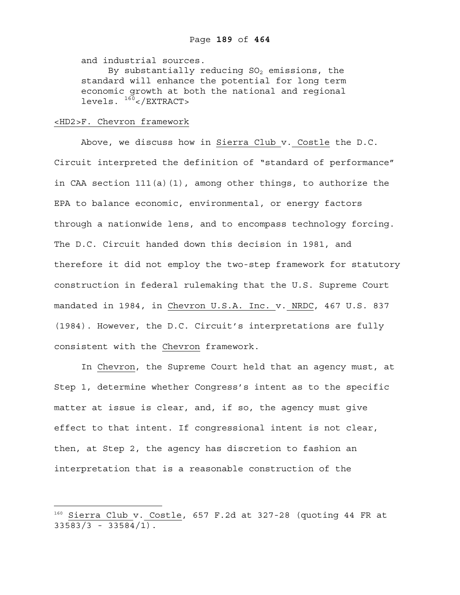and industrial sources.

By substantially reducing  $SO_2$  emissions, the standard will enhance the potential for long term economic growth at both the national and regional levels. 160</EXTRACT>

# <HD2>F. Chevron framework

 $\overline{a}$ 

Above, we discuss how in Sierra Club v. Costle the D.C. Circuit interpreted the definition of "standard of performance" in CAA section 111(a)(1), among other things, to authorize the EPA to balance economic, environmental, or energy factors through a nationwide lens, and to encompass technology forcing. The D.C. Circuit handed down this decision in 1981, and therefore it did not employ the two-step framework for statutory construction in federal rulemaking that the U.S. Supreme Court mandated in 1984, in Chevron U.S.A. Inc. v. NRDC, 467 U.S. 837 (1984). However, the D.C. Circuit's interpretations are fully consistent with the Chevron framework.

In Chevron, the Supreme Court held that an agency must, at Step 1, determine whether Congress's intent as to the specific matter at issue is clear, and, if so, the agency must give effect to that intent. If congressional intent is not clear, then, at Step 2, the agency has discretion to fashion an interpretation that is a reasonable construction of the

<sup>&</sup>lt;sup>160</sup> Sierra Club v. Costle, 657 F.2d at 327-28 (quoting 44 FR at  $33583/3 - 33584/1$ .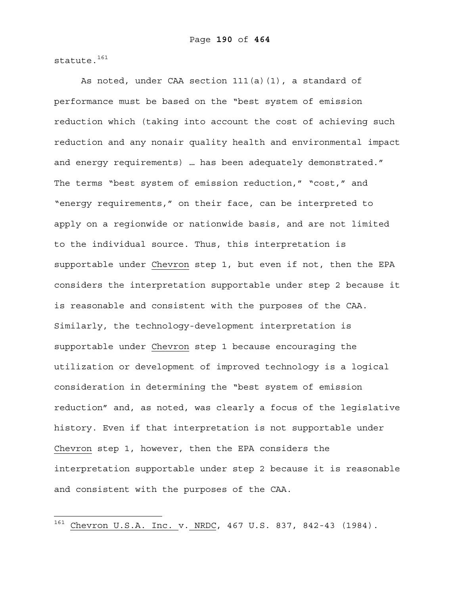statute.<sup>161</sup>

 $\overline{a}$ 

As noted, under CAA section 111(a)(1), a standard of performance must be based on the "best system of emission reduction which (taking into account the cost of achieving such reduction and any nonair quality health and environmental impact and energy requirements) … has been adequately demonstrated." The terms "best system of emission reduction," "cost," and "energy requirements," on their face, can be interpreted to apply on a regionwide or nationwide basis, and are not limited to the individual source. Thus, this interpretation is supportable under Chevron step 1, but even if not, then the EPA considers the interpretation supportable under step 2 because it is reasonable and consistent with the purposes of the CAA. Similarly, the technology-development interpretation is supportable under Chevron step 1 because encouraging the utilization or development of improved technology is a logical consideration in determining the "best system of emission reduction" and, as noted, was clearly a focus of the legislative history. Even if that interpretation is not supportable under Chevron step 1, however, then the EPA considers the interpretation supportable under step 2 because it is reasonable and consistent with the purposes of the CAA.

 $161$  Chevron U.S.A. Inc. v. NRDC, 467 U.S. 837, 842-43 (1984).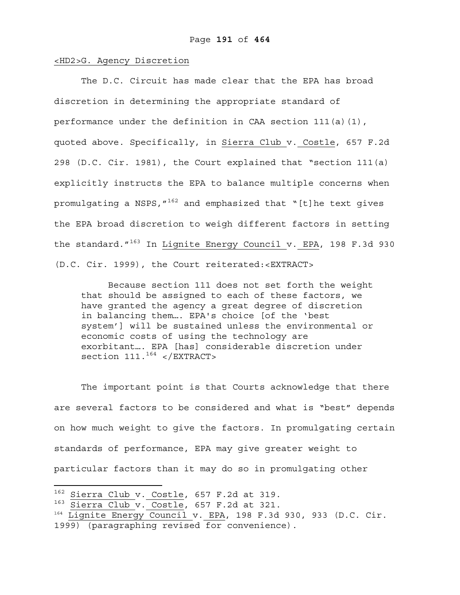# <HD2>G. Agency Discretion

The D.C. Circuit has made clear that the EPA has broad discretion in determining the appropriate standard of performance under the definition in CAA section 111(a)(1), quoted above. Specifically, in Sierra Club v. Costle, 657 F.2d 298 (D.C. Cir. 1981), the Court explained that "section 111(a) explicitly instructs the EPA to balance multiple concerns when promulgating a NSPS,  $''^{162}$  and emphasized that "[t]he text gives the EPA broad discretion to weigh different factors in setting the standard.  $''^{163}$  In Lignite Energy Council v. EPA, 198 F.3d 930 (D.C. Cir. 1999), the Court reiterated:<EXTRACT>

Because section 111 does not set forth the weight that should be assigned to each of these factors, we have granted the agency a great degree of discretion in balancing them…. EPA's choice [of the 'best system'] will be sustained unless the environmental or economic costs of using the technology are exorbitant…. EPA [has] considerable discretion under section  $111.^{164}$  </EXTRACT>

The important point is that Courts acknowledge that there are several factors to be considered and what is "best" depends on how much weight to give the factors. In promulgating certain standards of performance, EPA may give greater weight to particular factors than it may do so in promulgating other

 $162$  Sierra Club v. Costle, 657 F.2d at 319.

 $163$  Sierra Club v. Costle, 657 F.2d at 321.

<sup>164</sup> Lignite Energy Council v. EPA, 198 F.3d 930, 933 (D.C. Cir.

<sup>1999) (</sup>paragraphing revised for convenience).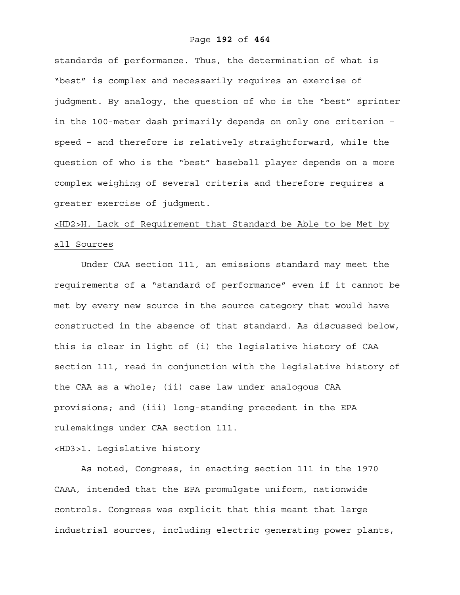## Page **192** of **464**

standards of performance. Thus, the determination of what is "best" is complex and necessarily requires an exercise of judgment. By analogy, the question of who is the "best" sprinter in the 100-meter dash primarily depends on only one criterion – speed – and therefore is relatively straightforward, while the question of who is the "best" baseball player depends on a more complex weighing of several criteria and therefore requires a greater exercise of judgment.

<HD2>H. Lack of Requirement that Standard be Able to be Met by all Sources

 Under CAA section 111, an emissions standard may meet the requirements of a "standard of performance" even if it cannot be met by every new source in the source category that would have constructed in the absence of that standard. As discussed below, this is clear in light of (i) the legislative history of CAA section 111, read in conjunction with the legislative history of the CAA as a whole; (ii) case law under analogous CAA provisions; and (iii) long-standing precedent in the EPA rulemakings under CAA section 111.

# <HD3>1. Legislative history

As noted, Congress, in enacting section 111 in the 1970 CAAA, intended that the EPA promulgate uniform, nationwide controls. Congress was explicit that this meant that large industrial sources, including electric generating power plants,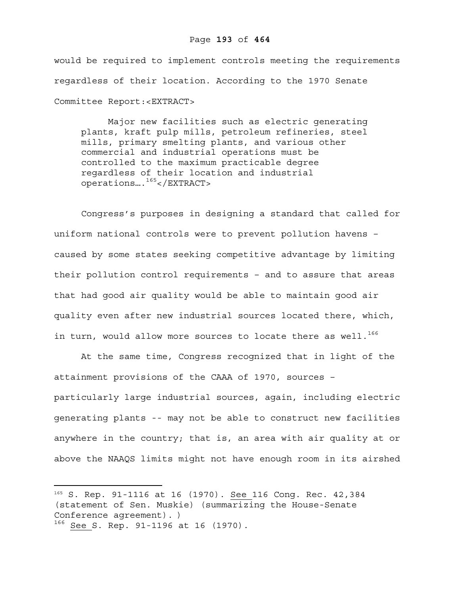would be required to implement controls meeting the requirements regardless of their location. According to the 1970 Senate Committee Report:<EXTRACT>

Major new facilities such as electric generating plants, kraft pulp mills, petroleum refineries, steel mills, primary smelting plants, and various other commercial and industrial operations must be controlled to the maximum practicable degree regardless of their location and industrial operations….165</EXTRACT>

Congress's purposes in designing a standard that called for uniform national controls were to prevent pollution havens – caused by some states seeking competitive advantage by limiting their pollution control requirements – and to assure that areas that had good air quality would be able to maintain good air quality even after new industrial sources located there, which, in turn, would allow more sources to locate there as well.<sup>166</sup>

 At the same time, Congress recognized that in light of the attainment provisions of the CAAA of 1970, sources – particularly large industrial sources, again, including electric generating plants -- may not be able to construct new facilities anywhere in the country; that is, an area with air quality at or above the NAAQS limits might not have enough room in its airshed

<u>.</u>

<sup>165</sup> S. Rep. 91-1116 at 16 (1970). See 116 Cong. Rec. 42,384 (statement of Sen. Muskie) (summarizing the House-Senate Conference agreement). )

<sup>166</sup> See S. Rep. 91-1196 at 16 (1970).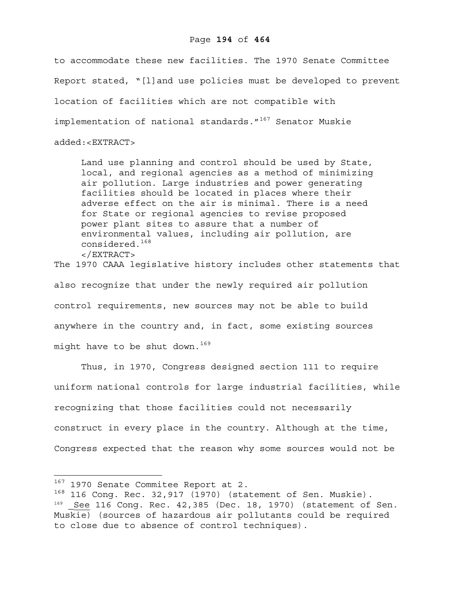# Page **194** of **464**

to accommodate these new facilities. The 1970 Senate Committee Report stated, "[l]and use policies must be developed to prevent location of facilities which are not compatible with implementation of national standards."<sup>167</sup> Senator Muskie added:<EXTRACT>

Land use planning and control should be used by State, local, and regional agencies as a method of minimizing air pollution. Large industries and power generating facilities should be located in places where their adverse effect on the air is minimal. There is a need for State or regional agencies to revise proposed power plant sites to assure that a number of environmental values, including air pollution, are considered.168 </EXTRACT>

The 1970 CAAA legislative history includes other statements that also recognize that under the newly required air pollution control requirements, new sources may not be able to build anywhere in the country and, in fact, some existing sources might have to be shut down.<sup>169</sup>

 Thus, in 1970, Congress designed section 111 to require uniform national controls for large industrial facilities, while recognizing that those facilities could not necessarily construct in every place in the country. Although at the time, Congress expected that the reason why some sources would not be

 $167$  1970 Senate Commitee Report at 2.

 $168$  116 Cong. Rec. 32,917 (1970) (statement of Sen. Muskie).<br><sup>169</sup> See 116 Cong. Rec. 42,385 (Dec. 18, 1970) (statement of Sen. Muskie) (sources of hazardous air pollutants could be required to close due to absence of control techniques).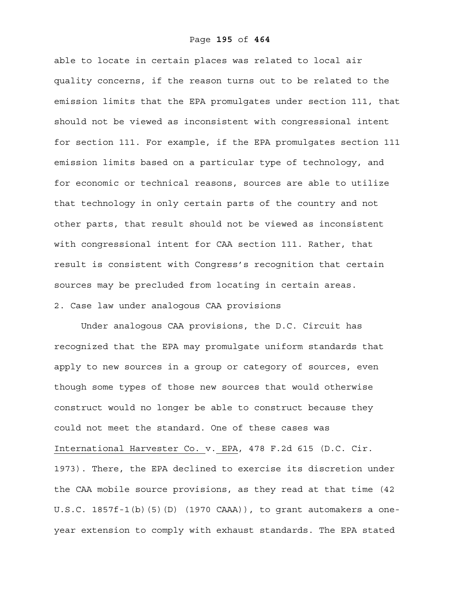## Page **195** of **464**

able to locate in certain places was related to local air quality concerns, if the reason turns out to be related to the emission limits that the EPA promulgates under section 111, that should not be viewed as inconsistent with congressional intent for section 111. For example, if the EPA promulgates section 111 emission limits based on a particular type of technology, and for economic or technical reasons, sources are able to utilize that technology in only certain parts of the country and not other parts, that result should not be viewed as inconsistent with congressional intent for CAA section 111. Rather, that result is consistent with Congress's recognition that certain sources may be precluded from locating in certain areas. 2. Case law under analogous CAA provisions

 Under analogous CAA provisions, the D.C. Circuit has recognized that the EPA may promulgate uniform standards that apply to new sources in a group or category of sources, even though some types of those new sources that would otherwise construct would no longer be able to construct because they could not meet the standard. One of these cases was International Harvester Co. v. EPA, 478 F.2d 615 (D.C. Cir. 1973). There, the EPA declined to exercise its discretion under the CAA mobile source provisions, as they read at that time (42 U.S.C. 1857f-1(b)(5)(D) (1970 CAAA)), to grant automakers a oneyear extension to comply with exhaust standards. The EPA stated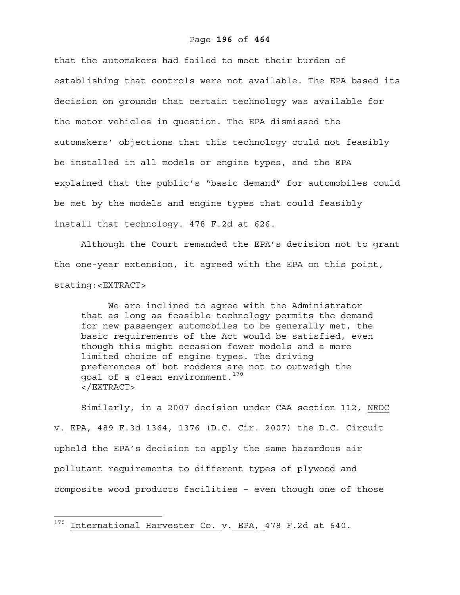## Page **196** of **464**

that the automakers had failed to meet their burden of establishing that controls were not available. The EPA based its decision on grounds that certain technology was available for the motor vehicles in question. The EPA dismissed the automakers' objections that this technology could not feasibly be installed in all models or engine types, and the EPA explained that the public's "basic demand" for automobiles could be met by the models and engine types that could feasibly install that technology. 478 F.2d at 626.

Although the Court remanded the EPA's decision not to grant the one-year extension, it agreed with the EPA on this point, stating:<EXTRACT>

We are inclined to agree with the Administrator that as long as feasible technology permits the demand for new passenger automobiles to be generally met, the basic requirements of the Act would be satisfied, even though this might occasion fewer models and a more limited choice of engine types. The driving preferences of hot rodders are not to outweigh the goal of a clean environment.<sup>170</sup> </EXTRACT>

Similarly, in a 2007 decision under CAA section 112, NRDC v. EPA, 489 F.3d 1364, 1376 (D.C. Cir. 2007) the D.C. Circuit upheld the EPA's decision to apply the same hazardous air pollutant requirements to different types of plywood and composite wood products facilities – even though one of those

 $170$  International Harvester Co. v. EPA, 478 F.2d at 640.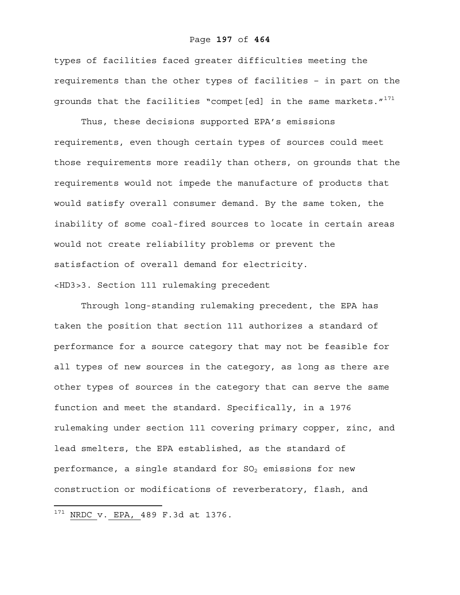## Page **197** of **464**

types of facilities faced greater difficulties meeting the requirements than the other types of facilities – in part on the grounds that the facilities "compet[ed] in the same markets."<sup>171</sup>

Thus, these decisions supported EPA's emissions requirements, even though certain types of sources could meet those requirements more readily than others, on grounds that the requirements would not impede the manufacture of products that would satisfy overall consumer demand. By the same token, the inability of some coal-fired sources to locate in certain areas would not create reliability problems or prevent the satisfaction of overall demand for electricity. <HD3>3. Section 111 rulemaking precedent

 Through long-standing rulemaking precedent, the EPA has taken the position that section 111 authorizes a standard of performance for a source category that may not be feasible for all types of new sources in the category, as long as there are other types of sources in the category that can serve the same function and meet the standard. Specifically, in a 1976 rulemaking under section 111 covering primary copper, zinc, and lead smelters, the EPA established, as the standard of performance, a single standard for  $SO_2$  emissions for new construction or modifications of reverberatory, flash, and

<sup>171</sup> NRDC v. EPA, 489 F.3d at 1376*.*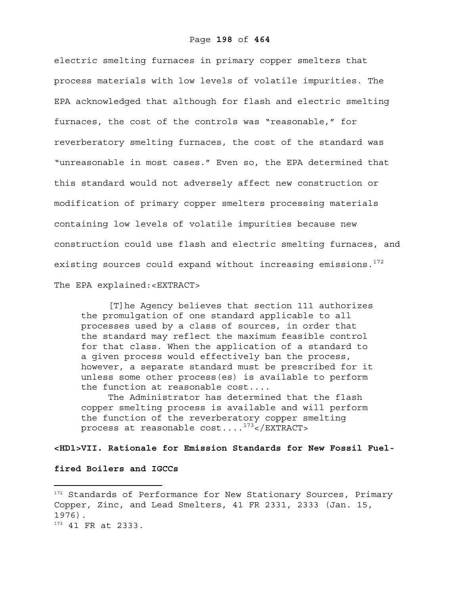electric smelting furnaces in primary copper smelters that process materials with low levels of volatile impurities. The EPA acknowledged that although for flash and electric smelting furnaces, the cost of the controls was "reasonable," for reverberatory smelting furnaces, the cost of the standard was "unreasonable in most cases." Even so, the EPA determined that this standard would not adversely affect new construction or modification of primary copper smelters processing materials containing low levels of volatile impurities because new construction could use flash and electric smelting furnaces, and existing sources could expand without increasing emissions.<sup>172</sup> The EPA explained:<EXTRACT>

[T]he Agency believes that section 111 authorizes the promulgation of one standard applicable to all processes used by a class of sources, in order that the standard may reflect the maximum feasible control for that class. When the application of a standard to a given process would effectively ban the process, however, a separate standard must be prescribed for it unless some other process(es) is available to perform the function at reasonable cost....

The Administrator has determined that the flash copper smelting process is available and will perform the function of the reverberatory copper smelting process at reasonable  $cost...$ <sup>173</sup></EXTRACT>

# **<HD1>VII. Rationale for Emission Standards for New Fossil Fuel-**

**fired Boilers and IGCCs** 

<u>.</u>

<sup>&</sup>lt;sup>172</sup> Standards of Performance for New Stationary Sources, Primary Copper, Zinc, and Lead Smelters, 41 FR 2331, 2333 (Jan. 15, 1976). 173 41 FR at 2333.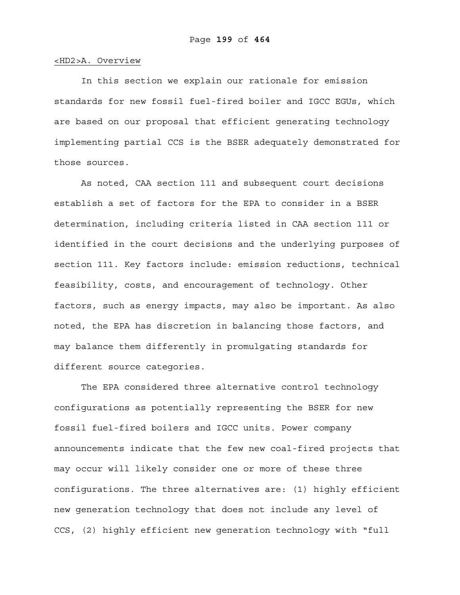## <HD2>A. Overview

In this section we explain our rationale for emission standards for new fossil fuel-fired boiler and IGCC EGUs, which are based on our proposal that efficient generating technology implementing partial CCS is the BSER adequately demonstrated for those sources.

As noted, CAA section 111 and subsequent court decisions establish a set of factors for the EPA to consider in a BSER determination, including criteria listed in CAA section 111 or identified in the court decisions and the underlying purposes of section 111. Key factors include: emission reductions, technical feasibility, costs, and encouragement of technology. Other factors, such as energy impacts, may also be important. As also noted, the EPA has discretion in balancing those factors, and may balance them differently in promulgating standards for different source categories.

The EPA considered three alternative control technology configurations as potentially representing the BSER for new fossil fuel-fired boilers and IGCC units. Power company announcements indicate that the few new coal-fired projects that may occur will likely consider one or more of these three configurations. The three alternatives are: (1) highly efficient new generation technology that does not include any level of CCS, (2) highly efficient new generation technology with "full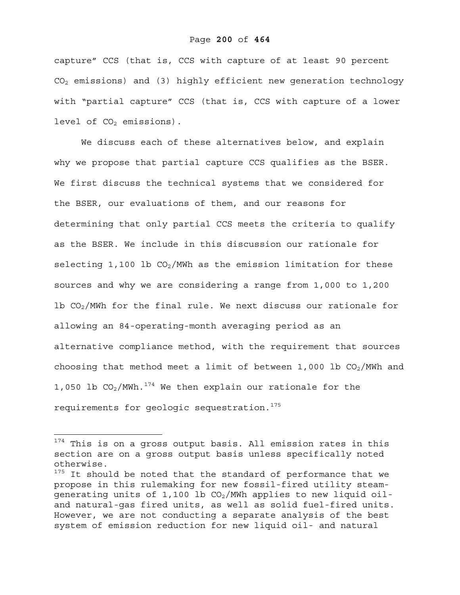# Page **200** of **464**

capture" CCS (that is, CCS with capture of at least 90 percent CO2 emissions) and (3) highly efficient new generation technology with "partial capture" CCS (that is, CCS with capture of a lower level of  $CO<sub>2</sub>$  emissions).

We discuss each of these alternatives below, and explain why we propose that partial capture CCS qualifies as the BSER. We first discuss the technical systems that we considered for the BSER, our evaluations of them, and our reasons for determining that only partial CCS meets the criteria to qualify as the BSER. We include in this discussion our rationale for selecting 1,100 lb  $CO<sub>2</sub>/MWh$  as the emission limitation for these sources and why we are considering a range from 1,000 to 1,200 lb  $CO<sub>2</sub>/MWh$  for the final rule. We next discuss our rationale for allowing an 84-operating-month averaging period as an alternative compliance method, with the requirement that sources choosing that method meet a limit of between 1,000 lb  $CO<sub>2</sub>/MWh$  and 1,050 lb  $CO<sub>2</sub>/MWh.<sup>174</sup>$  We then explain our rationale for the requirements for geologic sequestration.<sup>175</sup>

1

<sup>&</sup>lt;sup>174</sup> This is on a gross output basis. All emission rates in this section are on a gross output basis unless specifically noted otherwise.

<sup>&</sup>lt;sup>175</sup> It should be noted that the standard of performance that we propose in this rulemaking for new fossil-fired utility steamgenerating units of 1,100 lb  $CO<sub>2</sub>/MWh$  applies to new liquid oiland natural-gas fired units, as well as solid fuel-fired units. However, we are not conducting a separate analysis of the best system of emission reduction for new liquid oil- and natural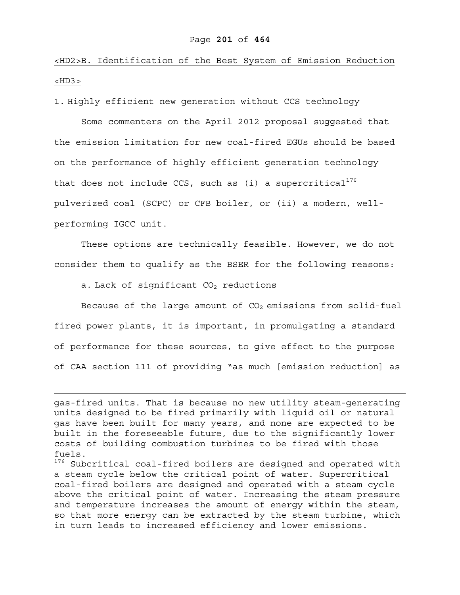# <HD2>B. Identification of the Best System of Emission Reduction  $<$ HD3 $>$

1. Highly efficient new generation without CCS technology

Some commenters on the April 2012 proposal suggested that the emission limitation for new coal-fired EGUs should be based on the performance of highly efficient generation technology that does not include CCS, such as (i) a supercritical<sup>176</sup> pulverized coal (SCPC) or CFB boiler, or (ii) a modern, wellperforming IGCC unit.

These options are technically feasible. However, we do not consider them to qualify as the BSER for the following reasons:

a. Lack of significant  $CO<sub>2</sub>$  reductions

 $\overline{a}$ 

Because of the large amount of  $CO<sub>2</sub>$  emissions from solid-fuel fired power plants, it is important, in promulgating a standard of performance for these sources, to give effect to the purpose of CAA section 111 of providing "as much [emission reduction] as

gas-fired units. That is because no new utility steam-generating units designed to be fired primarily with liquid oil or natural gas have been built for many years, and none are expected to be built in the foreseeable future, due to the significantly lower costs of building combustion turbines to be fired with those fuels.

<sup>176</sup> Subcritical coal-fired boilers are designed and operated with a steam cycle below the critical point of water. Supercritical coal-fired boilers are designed and operated with a steam cycle above the critical point of water. Increasing the steam pressure and temperature increases the amount of energy within the steam, so that more energy can be extracted by the steam turbine, which in turn leads to increased efficiency and lower emissions.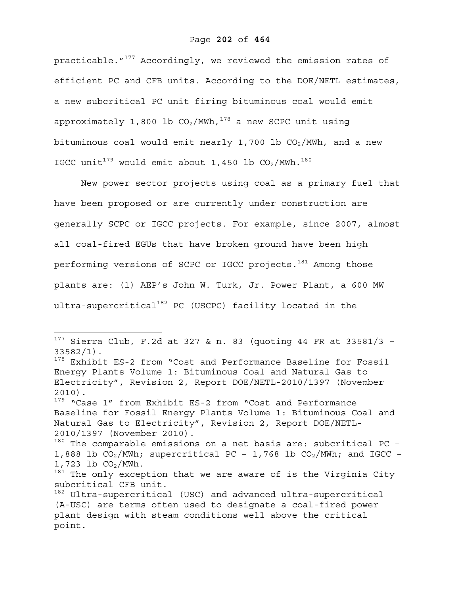# Page **202** of **464**

practicable."<sup>177</sup> Accordingly, we reviewed the emission rates of efficient PC and CFB units. According to the DOE/NETL estimates, a new subcritical PC unit firing bituminous coal would emit approximately 1,800 lb  $CO<sub>2</sub>/MWh, <sup>178</sup>$  a new SCPC unit using bituminous coal would emit nearly 1,700 lb  $CO<sub>2</sub>/MWh$ , and a new IGCC unit<sup>179</sup> would emit about 1,450 lb  $CO_2/MWh.^{180}$ 

New power sector projects using coal as a primary fuel that have been proposed or are currently under construction are generally SCPC or IGCC projects. For example, since 2007, almost all coal-fired EGUs that have broken ground have been high performing versions of SCPC or IGCC projects.<sup>181</sup> Among those plants are: (1) AEP's John W. Turk, Jr. Power Plant, a 600 MW ultra-supercritical<sup>182</sup> PC (USCPC) facility located in the

1

 $1^{177}$  Sierra Club, F.2d at 327 & n. 83 (quoting 44 FR at 33581/3 -33582/1).

<sup>&</sup>lt;sup>178</sup> Exhibit ES-2 from "Cost and Performance Baseline for Fossil Energy Plants Volume 1: Bituminous Coal and Natural Gas to Electricity", Revision 2, Report DOE/NETL-2010/1397 (November 2010).

<sup>&</sup>lt;sup>179</sup> "Case 1" from Exhibit ES-2 from "Cost and Performance Baseline for Fossil Energy Plants Volume 1: Bituminous Coal and Natural Gas to Electricity", Revision 2, Report DOE/NETL-2010/1397 (November 2010).

 $180$  The comparable emissions on a net basis are: subcritical PC -1,888 lb  $CO_2/MWh$ ; supercritical PC - 1,768 lb  $CO_2/MWh$ ; and IGCC - $1,723$  lb  $CO<sub>2</sub>/MWh$ .

 $181$  The only exception that we are aware of is the Virginia City subcritical CFB unit.

<sup>&</sup>lt;sup>182</sup> Ultra-supercritical (USC) and advanced ultra-supercritical (A-USC) are terms often used to designate a coal-fired power plant design with steam conditions well above the critical point.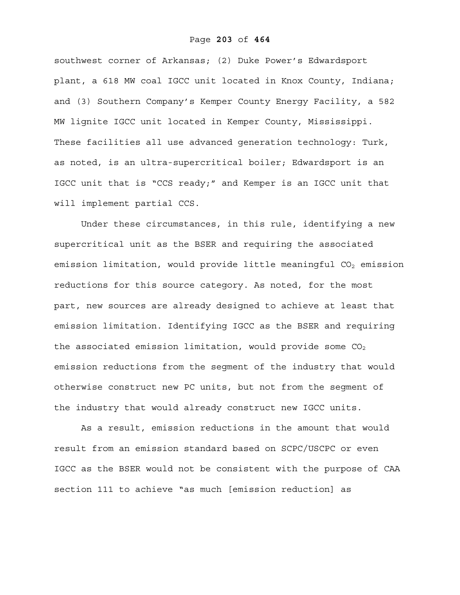## Page **203** of **464**

southwest corner of Arkansas; (2) Duke Power's Edwardsport plant, a 618 MW coal IGCC unit located in Knox County, Indiana; and (3) Southern Company's Kemper County Energy Facility, a 582 MW lignite IGCC unit located in Kemper County, Mississippi. These facilities all use advanced generation technology: Turk, as noted, is an ultra-supercritical boiler; Edwardsport is an IGCC unit that is "CCS ready;" and Kemper is an IGCC unit that will implement partial CCS.

Under these circumstances, in this rule, identifying a new supercritical unit as the BSER and requiring the associated emission limitation, would provide little meaningful  $CO<sub>2</sub>$  emission reductions for this source category. As noted, for the most part, new sources are already designed to achieve at least that emission limitation. Identifying IGCC as the BSER and requiring the associated emission limitation, would provide some  $CO<sub>2</sub>$ emission reductions from the segment of the industry that would otherwise construct new PC units, but not from the segment of the industry that would already construct new IGCC units.

As a result, emission reductions in the amount that would result from an emission standard based on SCPC/USCPC or even IGCC as the BSER would not be consistent with the purpose of CAA section 111 to achieve "as much [emission reduction] as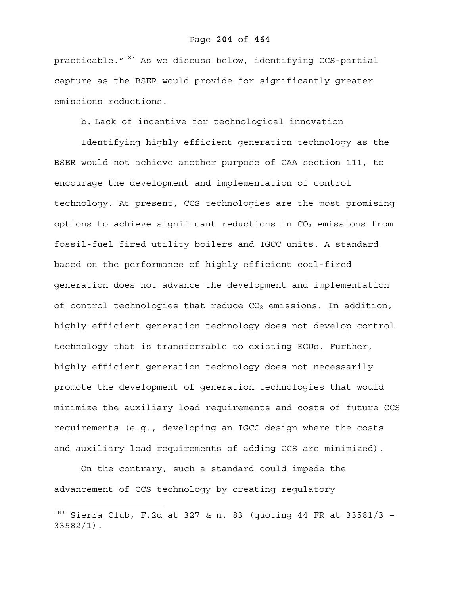practicable. $183$  As we discuss below, identifying CCS-partial capture as the BSER would provide for significantly greater emissions reductions.

b. Lack of incentive for technological innovation

Identifying highly efficient generation technology as the BSER would not achieve another purpose of CAA section 111, to encourage the development and implementation of control technology. At present, CCS technologies are the most promising options to achieve significant reductions in  $CO<sub>2</sub>$  emissions from fossil-fuel fired utility boilers and IGCC units. A standard based on the performance of highly efficient coal-fired generation does not advance the development and implementation of control technologies that reduce  $CO<sub>2</sub>$  emissions. In addition, highly efficient generation technology does not develop control technology that is transferrable to existing EGUs. Further, highly efficient generation technology does not necessarily promote the development of generation technologies that would minimize the auxiliary load requirements and costs of future CCS requirements (e.g., developing an IGCC design where the costs and auxiliary load requirements of adding CCS are minimized).

On the contrary, such a standard could impede the advancement of CCS technology by creating regulatory

1

 $183$  Sierra Club, F.2d at 327 & n. 83 (quoting 44 FR at 33581/3 -33582/1).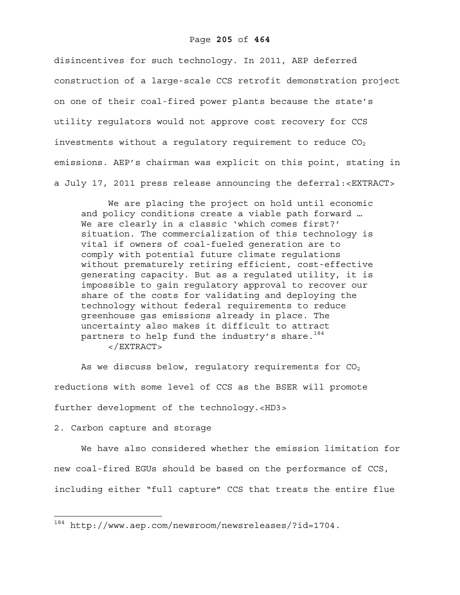disincentives for such technology. In 2011, AEP deferred construction of a large-scale CCS retrofit demonstration project on one of their coal-fired power plants because the state's utility regulators would not approve cost recovery for CCS investments without a regulatory requirement to reduce  $CO<sub>2</sub>$ emissions. AEP's chairman was explicit on this point, stating in a July 17, 2011 press release announcing the deferral:<EXTRACT>

We are placing the project on hold until economic and policy conditions create a viable path forward … We are clearly in a classic 'which comes first?' situation. The commercialization of this technology is vital if owners of coal-fueled generation are to comply with potential future climate regulations without prematurely retiring efficient, cost-effective generating capacity. But as a regulated utility, it is impossible to gain regulatory approval to recover our share of the costs for validating and deploying the technology without federal requirements to reduce greenhouse gas emissions already in place. The uncertainty also makes it difficult to attract partners to help fund the industry's share.  $184$ </EXTRACT>

As we discuss below, regulatory requirements for  $CO<sub>2</sub>$ reductions with some level of CCS as the BSER will promote further development of the technology.<HD3>

### 2. Carbon capture and storage

 $\overline{a}$ 

We have also considered whether the emission limitation for new coal-fired EGUs should be based on the performance of CCS, including either "full capture" CCS that treats the entire flue

<sup>184</sup> http://www.aep.com/newsroom/newsreleases/?id=1704.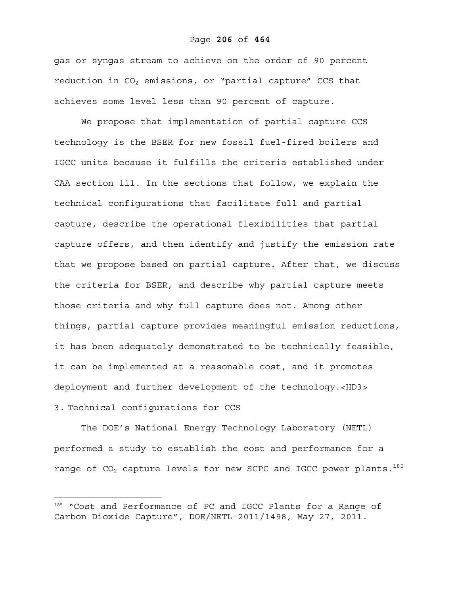## Page **206** of **464**

gas or syngas stream to achieve on the order of 90 percent reduction in  $CO<sub>2</sub>$  emissions, or "partial capture" CCS that achieves some level less than 90 percent of capture.

We propose that implementation of partial capture CCS technology is the BSER for new fossil fuel-fired boilers and IGCC units because it fulfills the criteria established under CAA section 111. In the sections that follow, we explain the technical configurations that facilitate full and partial capture, describe the operational flexibilities that partial capture offers, and then identify and justify the emission rate that we propose based on partial capture. After that, we discuss the criteria for BSER, and describe why partial capture meets those criteria and why full capture does not. Among other things, partial capture provides meaningful emission reductions, it has been adequately demonstrated to be technically feasible, it can be implemented at a reasonable cost, and it promotes deployment and further development of the technology.<HD3> 3. Technical configurations for CCS

The DOE's National Energy Technology Laboratory (NETL) performed a study to establish the cost and performance for a range of  $CO<sub>2</sub>$  capture levels for new SCPC and IGCC power plants.<sup>185</sup>

<sup>185 &</sup>quot;Cost and Performance of PC and IGCC Plants for a Range of Carbon Dioxide Capture", DOE/NETL-2011/1498, May 27, 2011.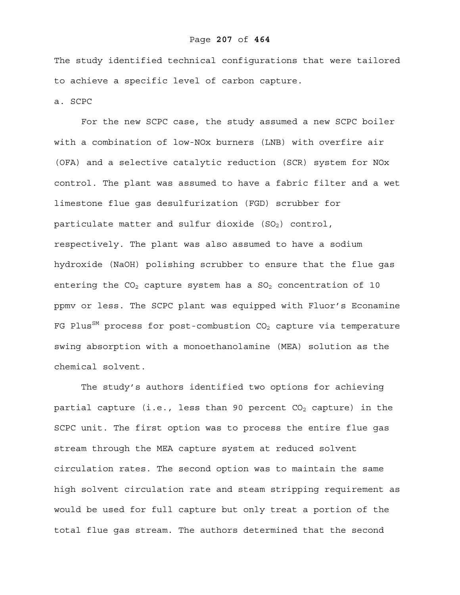## Page **207** of **464**

The study identified technical configurations that were tailored to achieve a specific level of carbon capture.

a. SCPC

For the new SCPC case, the study assumed a new SCPC boiler with a combination of low-NOx burners (LNB) with overfire air (OFA) and a selective catalytic reduction (SCR) system for NOx control. The plant was assumed to have a fabric filter and a wet limestone flue gas desulfurization (FGD) scrubber for particulate matter and sulfur dioxide  $(SO<sub>2</sub>)$  control, respectively. The plant was also assumed to have a sodium hydroxide (NaOH) polishing scrubber to ensure that the flue gas entering the  $CO<sub>2</sub>$  capture system has a  $SO<sub>2</sub>$  concentration of 10 ppmv or less. The SCPC plant was equipped with Fluor's Econamine FG Plus<sup>SM</sup> process for post-combustion  $CO<sub>2</sub>$  capture via temperature swing absorption with a monoethanolamine (MEA) solution as the chemical solvent.

The study's authors identified two options for achieving partial capture (i.e., less than 90 percent  $CO<sub>2</sub>$  capture) in the SCPC unit. The first option was to process the entire flue gas stream through the MEA capture system at reduced solvent circulation rates. The second option was to maintain the same high solvent circulation rate and steam stripping requirement as would be used for full capture but only treat a portion of the total flue gas stream. The authors determined that the second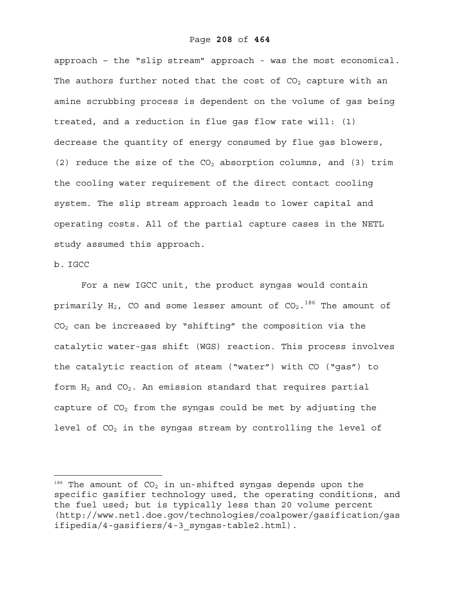approach – the "slip stream" approach - was the most economical. The authors further noted that the cost of  $CO<sub>2</sub>$  capture with an amine scrubbing process is dependent on the volume of gas being treated, and a reduction in flue gas flow rate will: (1) decrease the quantity of energy consumed by flue gas blowers, (2) reduce the size of the  $CO<sub>2</sub>$  absorption columns, and (3) trim the cooling water requirement of the direct contact cooling system. The slip stream approach leads to lower capital and operating costs. All of the partial capture cases in the NETL study assumed this approach.

# b. IGCC

 $\overline{a}$ 

For a new IGCC unit, the product syngas would contain primarily H<sub>2</sub>, CO and some lesser amount of CO<sub>2</sub>.<sup>186</sup> The amount of  $CO<sub>2</sub>$  can be increased by "shifting" the composition via the catalytic water-gas shift (WGS) reaction. This process involves the catalytic reaction of steam ("water") with CO ("gas") to form  $H_2$  and  $CO_2$ . An emission standard that requires partial capture of  $CO<sub>2</sub>$  from the syngas could be met by adjusting the level of  $CO<sub>2</sub>$  in the syngas stream by controlling the level of

 $186$  The amount of CO<sub>2</sub> in un-shifted syngas depends upon the specific gasifier technology used, the operating conditions, and the fuel used; but is typically less than 20 volume percent (http://www.netl.doe.gov/technologies/coalpower/gasification/gas ifipedia/4-gasifiers/4-3\_syngas-table2.html).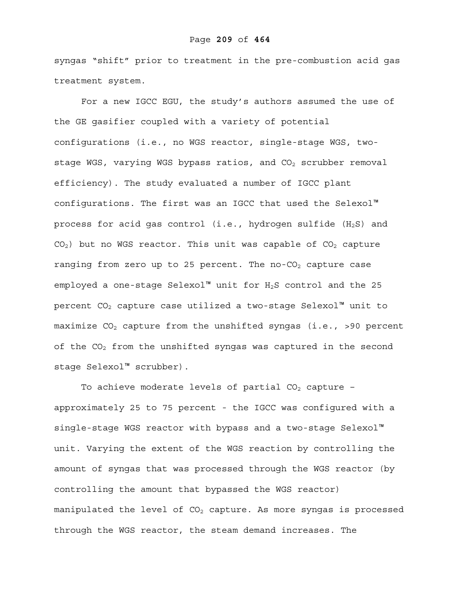#### Page **209** of **464**

syngas "shift" prior to treatment in the pre-combustion acid gas treatment system.

For a new IGCC EGU, the study's authors assumed the use of the GE gasifier coupled with a variety of potential configurations (i.e., no WGS reactor, single-stage WGS, twostage WGS, varying WGS bypass ratios, and  $CO<sub>2</sub>$  scrubber removal efficiency). The study evaluated a number of IGCC plant configurations. The first was an IGCC that used the Selexol™ process for acid gas control (i.e., hydrogen sulfide  $(H_2S)$  and  $CO<sub>2</sub>$ ) but no WGS reactor. This unit was capable of  $CO<sub>2</sub>$  capture ranging from zero up to 25 percent. The no- $CO<sub>2</sub>$  capture case employed a one-stage Selexol<sup>™</sup> unit for H<sub>2</sub>S control and the 25 percent  $CO<sub>2</sub>$  capture case utilized a two-stage Selexol<sup>™</sup> unit to maximize  $CO<sub>2</sub>$  capture from the unshifted syngas (i.e., >90 percent of the  $CO<sub>2</sub>$  from the unshifted syngas was captured in the second stage Selexol™ scrubber).

To achieve moderate levels of partial  $CO<sub>2</sub>$  capture approximately 25 to 75 percent - the IGCC was configured with a single-stage WGS reactor with bypass and a two-stage Selexol™ unit. Varying the extent of the WGS reaction by controlling the amount of syngas that was processed through the WGS reactor (by controlling the amount that bypassed the WGS reactor) manipulated the level of  $CO<sub>2</sub>$  capture. As more syngas is processed through the WGS reactor, the steam demand increases. The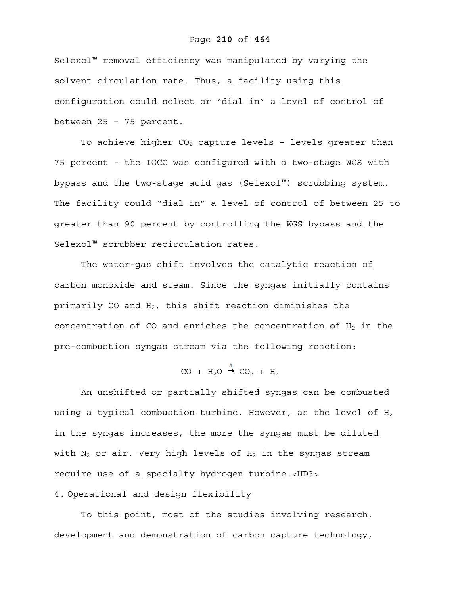# Page **210** of **464**

Selexol™ removal efficiency was manipulated by varying the solvent circulation rate. Thus, a facility using this configuration could select or "dial in" a level of control of between 25 – 75 percent.

To achieve higher  $CO<sub>2</sub>$  capture levels - levels greater than 75 percent - the IGCC was configured with a two-stage WGS with bypass and the two-stage acid gas (Selexol™) scrubbing system. The facility could "dial in" a level of control of between 25 to greater than 90 percent by controlling the WGS bypass and the Selexol™ scrubber recirculation rates.

The water-gas shift involves the catalytic reaction of carbon monoxide and steam. Since the syngas initially contains primarily CO and  $H_2$ , this shift reaction diminishes the concentration of CO and enriches the concentration of  $H_2$  in the pre-combustion syngas stream via the following reaction:

$$
CO + H_2O \stackrel{\Delta}{\rightarrow} CO_2 + H_2
$$

An unshifted or partially shifted syngas can be combusted using a typical combustion turbine. However, as the level of  $H_2$ in the syngas increases, the more the syngas must be diluted with  $N_2$  or air. Very high levels of  $H_2$  in the syngas stream require use of a specialty hydrogen turbine.<HD3> 4. Operational and design flexibility

To this point, most of the studies involving research, development and demonstration of carbon capture technology,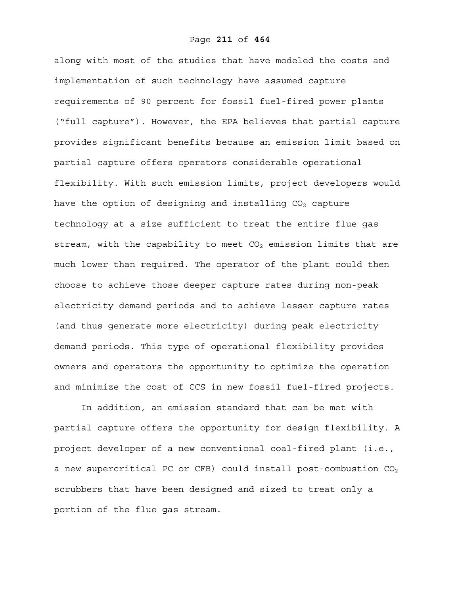along with most of the studies that have modeled the costs and implementation of such technology have assumed capture requirements of 90 percent for fossil fuel-fired power plants ("full capture"). However, the EPA believes that partial capture provides significant benefits because an emission limit based on partial capture offers operators considerable operational flexibility. With such emission limits, project developers would have the option of designing and installing  $CO<sub>2</sub>$  capture technology at a size sufficient to treat the entire flue gas stream, with the capability to meet  $CO<sub>2</sub>$  emission limits that are much lower than required. The operator of the plant could then choose to achieve those deeper capture rates during non-peak electricity demand periods and to achieve lesser capture rates (and thus generate more electricity) during peak electricity demand periods. This type of operational flexibility provides owners and operators the opportunity to optimize the operation and minimize the cost of CCS in new fossil fuel-fired projects.

In addition, an emission standard that can be met with partial capture offers the opportunity for design flexibility. A project developer of a new conventional coal-fired plant (i.e., a new supercritical PC or CFB) could install post-combustion  $CO<sub>2</sub>$ scrubbers that have been designed and sized to treat only a portion of the flue gas stream.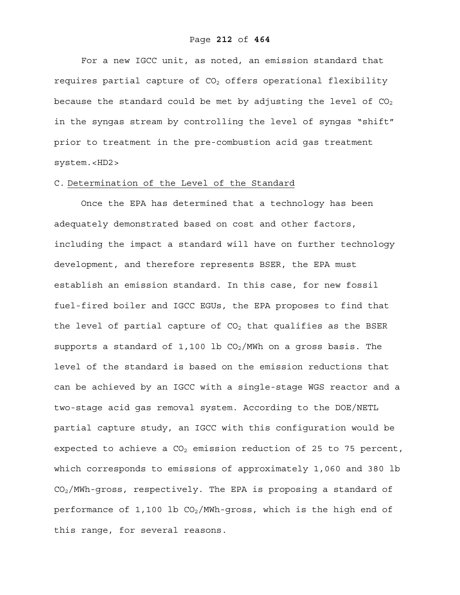For a new IGCC unit, as noted, an emission standard that requires partial capture of  $CO<sub>2</sub>$  offers operational flexibility because the standard could be met by adjusting the level of  $CO<sub>2</sub>$ in the syngas stream by controlling the level of syngas "shift" prior to treatment in the pre-combustion acid gas treatment system.<HD2>

# C. Determination of the Level of the Standard

Once the EPA has determined that a technology has been adequately demonstrated based on cost and other factors, including the impact a standard will have on further technology development, and therefore represents BSER, the EPA must establish an emission standard. In this case, for new fossil fuel-fired boiler and IGCC EGUs, the EPA proposes to find that the level of partial capture of  $CO<sub>2</sub>$  that qualifies as the BSER supports a standard of 1,100 lb  $CO<sub>2</sub>/MWh$  on a gross basis. The level of the standard is based on the emission reductions that can be achieved by an IGCC with a single-stage WGS reactor and a two-stage acid gas removal system. According to the DOE/NETL partial capture study, an IGCC with this configuration would be expected to achieve a  $CO<sub>2</sub>$  emission reduction of 25 to 75 percent, which corresponds to emissions of approximately 1,060 and 380 lb  $CO<sub>2</sub>/MWh-cross$ , respectively. The EPA is proposing a standard of performance of 1,100 lb  $CO<sub>2</sub>/MWh-gross$ , which is the high end of this range, for several reasons.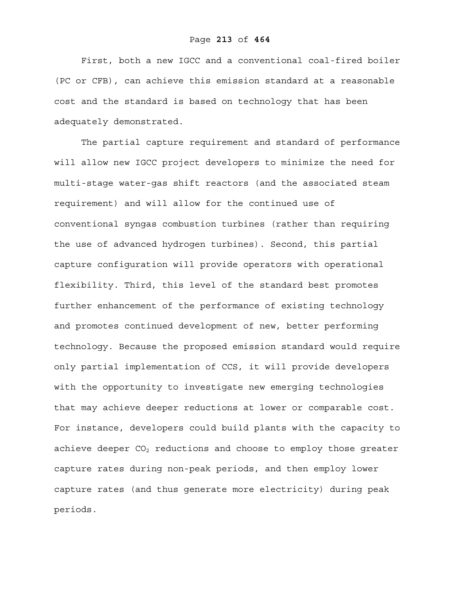First, both a new IGCC and a conventional coal-fired boiler (PC or CFB), can achieve this emission standard at a reasonable cost and the standard is based on technology that has been adequately demonstrated.

The partial capture requirement and standard of performance will allow new IGCC project developers to minimize the need for multi-stage water-gas shift reactors (and the associated steam requirement) and will allow for the continued use of conventional syngas combustion turbines (rather than requiring the use of advanced hydrogen turbines). Second, this partial capture configuration will provide operators with operational flexibility. Third, this level of the standard best promotes further enhancement of the performance of existing technology and promotes continued development of new, better performing technology. Because the proposed emission standard would require only partial implementation of CCS, it will provide developers with the opportunity to investigate new emerging technologies that may achieve deeper reductions at lower or comparable cost. For instance, developers could build plants with the capacity to achieve deeper  $CO<sub>2</sub>$  reductions and choose to employ those greater capture rates during non-peak periods, and then employ lower capture rates (and thus generate more electricity) during peak periods.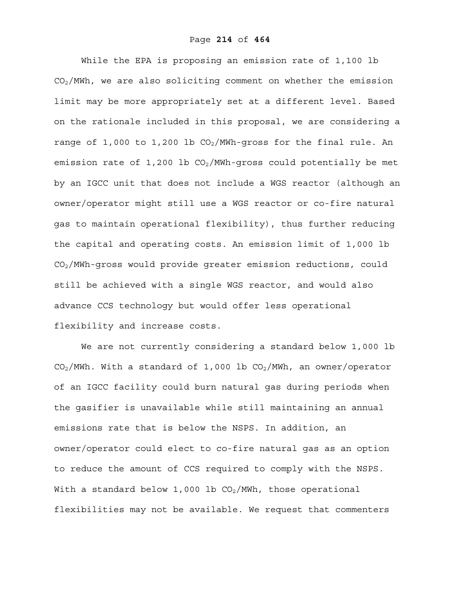While the EPA is proposing an emission rate of 1,100 lb  $CO<sub>2</sub>/MWh$ , we are also soliciting comment on whether the emission limit may be more appropriately set at a different level. Based on the rationale included in this proposal, we are considering a range of 1,000 to 1,200 lb  $CO<sub>2</sub>/MWh-gross$  for the final rule. An emission rate of 1,200 lb  $CO<sub>2</sub>/MWh-qross$  could potentially be met by an IGCC unit that does not include a WGS reactor (although an owner/operator might still use a WGS reactor or co-fire natural gas to maintain operational flexibility), thus further reducing the capital and operating costs. An emission limit of 1,000 lb CO2/MWh-gross would provide greater emission reductions, could still be achieved with a single WGS reactor, and would also advance CCS technology but would offer less operational flexibility and increase costs.

We are not currently considering a standard below 1,000 lb  $CO<sub>2</sub>/MWh$ . With a standard of 1,000 lb  $CO<sub>2</sub>/MWh$ , an owner/operator of an IGCC facility could burn natural gas during periods when the gasifier is unavailable while still maintaining an annual emissions rate that is below the NSPS. In addition, an owner/operator could elect to co-fire natural gas as an option to reduce the amount of CCS required to comply with the NSPS. With a standard below 1,000 lb  $CO<sub>2</sub>/MWh$ , those operational flexibilities may not be available. We request that commenters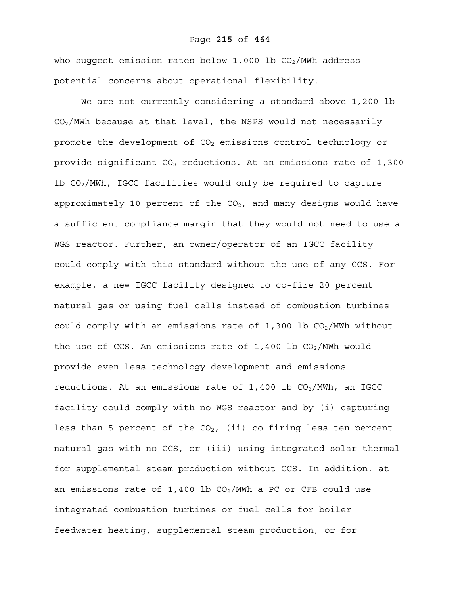## Page **215** of **464**

who suggest emission rates below 1,000 lb  $CO<sub>2</sub>/MWh$  address potential concerns about operational flexibility.

We are not currently considering a standard above 1,200 lb CO2/MWh because at that level, the NSPS would not necessarily promote the development of  $CO<sub>2</sub>$  emissions control technology or provide significant  $CO<sub>2</sub>$  reductions. At an emissions rate of 1,300 lb  $CO_2/MWh$ , IGCC facilities would only be required to capture approximately 10 percent of the  $CO<sub>2</sub>$ , and many designs would have a sufficient compliance margin that they would not need to use a WGS reactor. Further, an owner/operator of an IGCC facility could comply with this standard without the use of any CCS. For example, a new IGCC facility designed to co-fire 20 percent natural gas or using fuel cells instead of combustion turbines could comply with an emissions rate of  $1,300$  lb  $CO<sub>2</sub>/MWh$  without the use of CCS. An emissions rate of  $1,400$  lb CO<sub>2</sub>/MWh would provide even less technology development and emissions reductions. At an emissions rate of  $1,400$  lb  $CO<sub>2</sub>/MWh$ , an IGCC facility could comply with no WGS reactor and by (i) capturing less than 5 percent of the  $CO<sub>2</sub>$ , (ii) co-firing less ten percent natural gas with no CCS, or (iii) using integrated solar thermal for supplemental steam production without CCS. In addition, at an emissions rate of 1,400 lb  $CO<sub>2</sub>/MWh$  a PC or CFB could use integrated combustion turbines or fuel cells for boiler feedwater heating, supplemental steam production, or for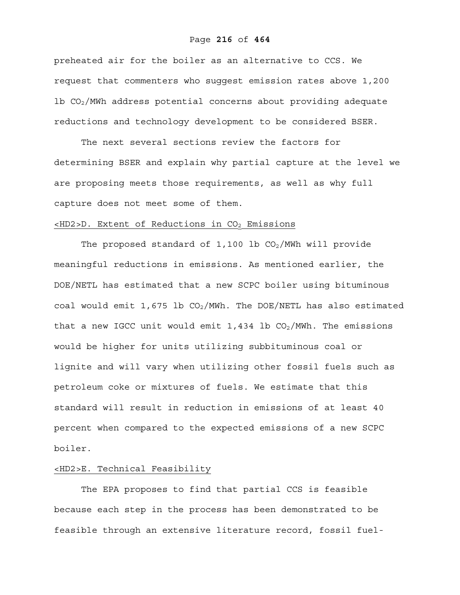## Page **216** of **464**

preheated air for the boiler as an alternative to CCS. We request that commenters who suggest emission rates above 1,200 lb  $CO<sub>2</sub>/MWh$  address potential concerns about providing adequate reductions and technology development to be considered BSER.

The next several sections review the factors for determining BSER and explain why partial capture at the level we are proposing meets those requirements, as well as why full capture does not meet some of them.

# $\lt$ HD2>D. Extent of Reductions in CO<sub>2</sub> Emissions

The proposed standard of 1,100 lb  $CO<sub>2</sub>/MWh$  will provide meaningful reductions in emissions. As mentioned earlier, the DOE/NETL has estimated that a new SCPC boiler using bituminous coal would emit 1,675 lb  $CO<sub>2</sub>/MWh$ . The DOE/NETL has also estimated that a new IGCC unit would emit 1,434 lb  $CO<sub>2</sub>/MWh$ . The emissions would be higher for units utilizing subbituminous coal or lignite and will vary when utilizing other fossil fuels such as petroleum coke or mixtures of fuels. We estimate that this standard will result in reduction in emissions of at least 40 percent when compared to the expected emissions of a new SCPC boiler.

# <HD2>E. Technical Feasibility

 The EPA proposes to find that partial CCS is feasible because each step in the process has been demonstrated to be feasible through an extensive literature record, fossil fuel-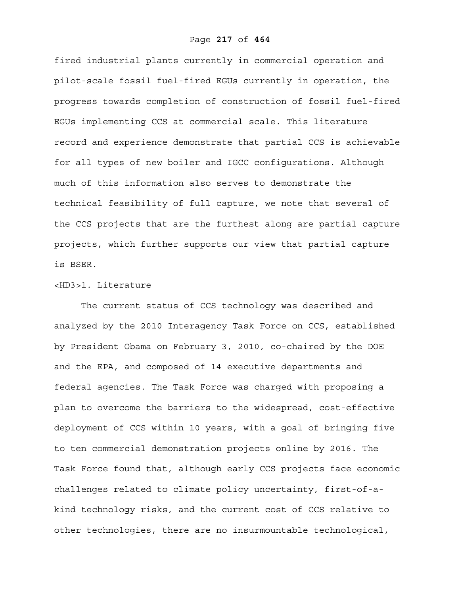fired industrial plants currently in commercial operation and pilot-scale fossil fuel-fired EGUs currently in operation, the progress towards completion of construction of fossil fuel-fired EGUs implementing CCS at commercial scale. This literature record and experience demonstrate that partial CCS is achievable for all types of new boiler and IGCC configurations. Although much of this information also serves to demonstrate the technical feasibility of full capture, we note that several of the CCS projects that are the furthest along are partial capture projects, which further supports our view that partial capture is BSER.

### <HD3>1. Literature

The current status of CCS technology was described and analyzed by the 2010 Interagency Task Force on CCS, established by President Obama on February 3, 2010, co-chaired by the DOE and the EPA, and composed of 14 executive departments and federal agencies. The Task Force was charged with proposing a plan to overcome the barriers to the widespread, cost-effective deployment of CCS within 10 years, with a goal of bringing five to ten commercial demonstration projects online by 2016. The Task Force found that, although early CCS projects face economic challenges related to climate policy uncertainty, first-of-akind technology risks, and the current cost of CCS relative to other technologies, there are no insurmountable technological,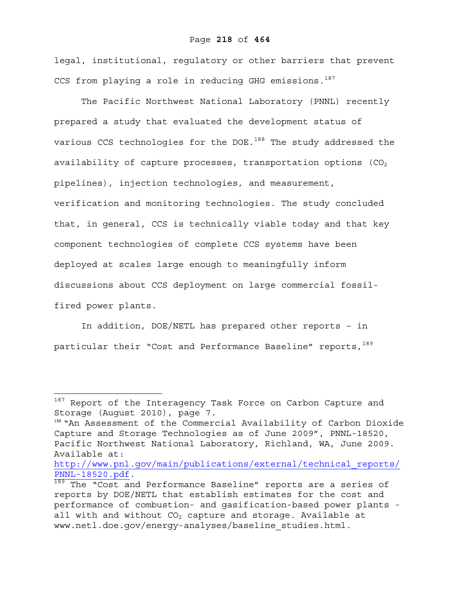#### Page **218** of **464**

legal, institutional, regulatory or other barriers that prevent CCS from playing a role in reducing GHG emissions. $187$ 

The Pacific Northwest National Laboratory (PNNL) recently prepared a study that evaluated the development status of various CCS technologies for the DOE.<sup>188</sup> The study addressed the availability of capture processes, transportation options  $(CO<sub>2</sub>)$ pipelines), injection technologies, and measurement, verification and monitoring technologies. The study concluded that, in general, CCS is technically viable today and that key component technologies of complete CCS systems have been deployed at scales large enough to meaningfully inform discussions about CCS deployment on large commercial fossilfired power plants.

In addition, DOE/NETL has prepared other reports – in particular their "Cost and Performance Baseline" reports, 189

1

http://www.pnl.gov/main/publications/external/technical\_reports/ PNNL-18520.pdf.<br><sup>189</sup> The "Cost and Performance Baseline" reports are a series of

<sup>187</sup> Report of the Interagency Task Force on Carbon Capture and Storage (August 2010), page 7.

<sup>&</sup>lt;sup>188</sup> "An Assessment of the Commercial Availability of Carbon Dioxide Capture and Storage Technologies as of June 2009", PNNL-18520, Pacific Northwest National Laboratory, Richland, WA, June 2009. Available at:

reports by DOE/NETL that establish estimates for the cost and performance of combustion- and gasification-based power plants all with and without  $CO<sub>2</sub>$  capture and storage. Available at www.netl.doe.gov/energy-analyses/baseline\_studies.html.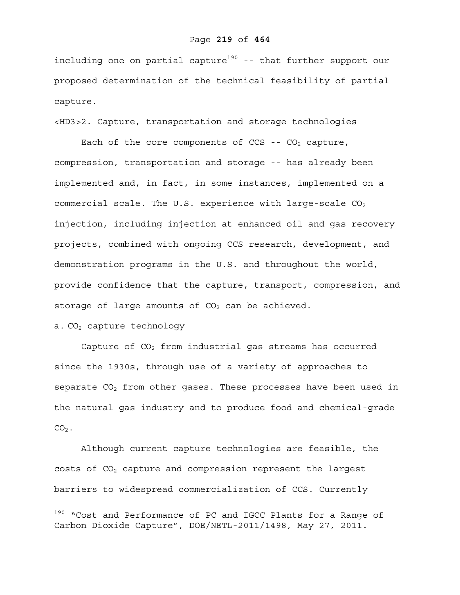#### Page **219** of **464**

including one on partial capture<sup>190</sup> -- that further support our proposed determination of the technical feasibility of partial capture.

<HD3>2. Capture, transportation and storage technologies

Each of the core components of  $CCS$  --  $CO<sub>2</sub>$  capture, compression, transportation and storage -- has already been implemented and, in fact, in some instances, implemented on a commercial scale. The U.S. experience with large-scale  $CO<sub>2</sub>$ injection, including injection at enhanced oil and gas recovery projects, combined with ongoing CCS research, development, and demonstration programs in the U.S. and throughout the world, provide confidence that the capture, transport, compression, and storage of large amounts of  $CO<sub>2</sub>$  can be achieved.

a. CO<sub>2</sub> capture technology

 $\overline{a}$ 

Capture of  $CO<sub>2</sub>$  from industrial gas streams has occurred since the 1930s, through use of a variety of approaches to separate  $CO<sub>2</sub>$  from other gases. These processes have been used in the natural gas industry and to produce food and chemical-grade  $CO<sub>2</sub>$ .

Although current capture technologies are feasible, the costs of  $CO<sub>2</sub>$  capture and compression represent the largest barriers to widespread commercialization of CCS. Currently

<sup>&</sup>lt;sup>190</sup> "Cost and Performance of PC and IGCC Plants for a Range of Carbon Dioxide Capture", DOE/NETL-2011/1498, May 27, 2011.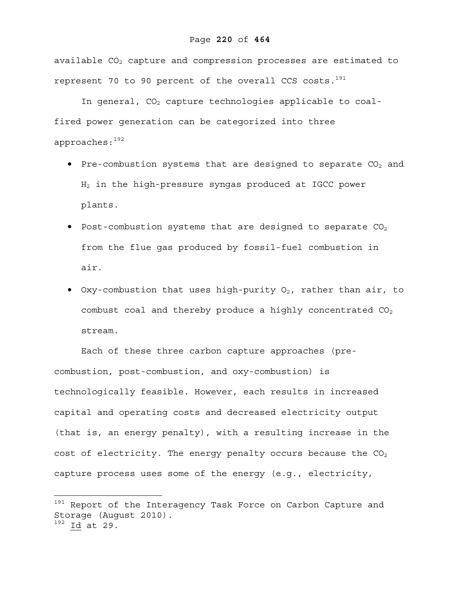available  $CO<sub>2</sub>$  capture and compression processes are estimated to represent 70 to 90 percent of the overall CCS costs. $191$ 

In general,  $CO<sub>2</sub>$  capture technologies applicable to coalfired power generation can be categorized into three approaches:192

- Pre-combustion systems that are designed to separate  $CO<sub>2</sub>$  and H2 in the high-pressure syngas produced at IGCC power plants.
- Post-combustion systems that are designed to separate  $CO<sub>2</sub>$ from the flue gas produced by fossil-fuel combustion in air.
- Oxy-combustion that uses high-purity  $O_2$ , rather than air, to combust coal and thereby produce a highly concentrated  $CO<sub>2</sub>$ stream.

Each of these three carbon capture approaches (precombustion, post-combustion, and oxy-combustion) is technologically feasible. However, each results in increased capital and operating costs and decreased electricity output (that is, an energy penalty), with a resulting increase in the cost of electricity. The energy penalty occurs because the  $CO<sub>2</sub>$ capture process uses some of the energy (e.g., electricity,

1

 $^{191}$  Report of the Interagency Task Force on Carbon Capture and Storage (August 2010). 192 Id at 29.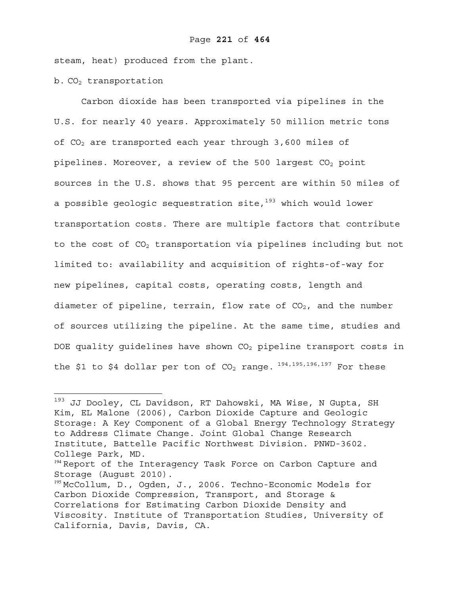steam, heat) produced from the plant.

 $b. CO<sub>2</sub>$  transportation

 $\overline{a}$ 

Carbon dioxide has been transported via pipelines in the U.S. for nearly 40 years. Approximately 50 million metric tons of  $CO<sub>2</sub>$  are transported each year through 3,600 miles of pipelines. Moreover, a review of the 500 largest  $CO<sub>2</sub>$  point sources in the U.S. shows that 95 percent are within 50 miles of a possible geologic sequestration site, $193$  which would lower transportation costs. There are multiple factors that contribute to the cost of  $CO<sub>2</sub>$  transportation via pipelines including but not limited to: availability and acquisition of rights-of-way for new pipelines, capital costs, operating costs, length and diameter of pipeline, terrain, flow rate of  $CO<sub>2</sub>$ , and the number of sources utilizing the pipeline. At the same time, studies and DOE quality guidelines have shown  $CO<sub>2</sub>$  pipeline transport costs in the \$1 to \$4 dollar per ton of  $CO<sub>2</sub>$  range.  $^{194,195,196,197}$  For these

<sup>193</sup> JJ Dooley, CL Davidson, RT Dahowski, MA Wise, N Gupta, SH Kim, EL Malone (2006), Carbon Dioxide Capture and Geologic Storage: A Key Component of a Global Energy Technology Strategy to Address Climate Change. Joint Global Change Research Institute, Battelle Pacific Northwest Division. PNWD-3602. College Park, MD.

<sup>&</sup>lt;sup>194</sup> Report of the Interagency Task Force on Carbon Capture and Storage (August 2010).

<sup>195</sup> McCollum, D., Ogden, J., 2006. Techno-Economic Models for Carbon Dioxide Compression, Transport, and Storage & Correlations for Estimating Carbon Dioxide Density and Viscosity. Institute of Transportation Studies, University of California, Davis, Davis, CA.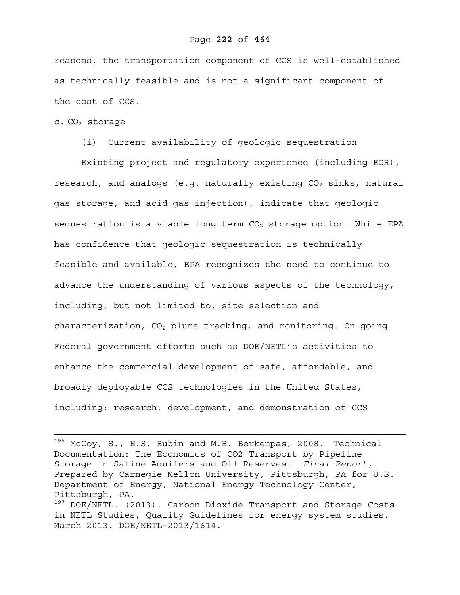reasons, the transportation component of CCS is well-established as technically feasible and is not a significant component of the cost of CCS.

 $c. CO<sub>2</sub>$  storage

(i) Current availability of geologic sequestration

Existing project and regulatory experience (including EOR), research, and analogs (e.g. naturally existing  $CO<sub>2</sub>$  sinks, natural gas storage, and acid gas injection), indicate that geologic sequestration is a viable long term  $CO<sub>2</sub>$  storage option. While EPA has confidence that geologic sequestration is technically feasible and available, EPA recognizes the need to continue to advance the understanding of various aspects of the technology, including, but not limited to, site selection and characterization,  $CO<sub>2</sub>$  plume tracking, and monitoring. On-going Federal government efforts such as DOE/NETL's activities to enhance the commercial development of safe, affordable, and broadly deployable CCS technologies in the United States, including: research, development, and demonstration of CCS

<sup>196</sup> McCoy, S., E.S. Rubin and M.B. Berkenpas, 2008. Technical Documentation: The Economics of CO2 Transport by Pipeline Storage in Saline Aquifers and Oil Reserves. *Final Report*, Prepared by Carnegie Mellon University, Pittsburgh, PA for U.S. Department of Energy, National Energy Technology Center, Pittsburgh, PA.

<sup>&</sup>lt;sup>197</sup> DOE/NETL. (2013). Carbon Dioxide Transport and Storage Costs in NETL Studies, Quality Guidelines for energy system studies. March 2013. DOE/NETL-2013/1614.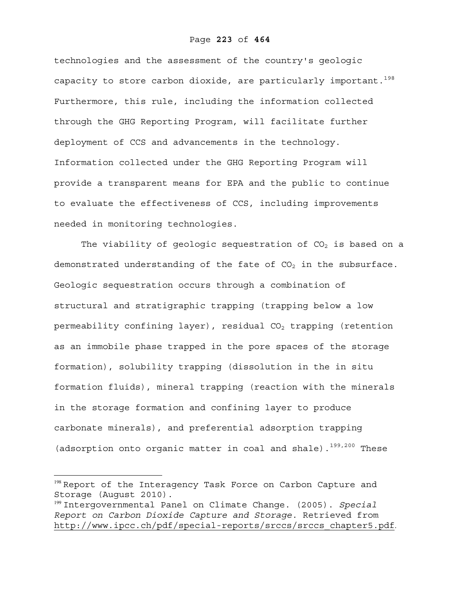technologies and the assessment of the country's geologic capacity to store carbon dioxide, are particularly important.<sup>198</sup> Furthermore, this rule, including the information collected through the GHG Reporting Program, will facilitate further deployment of CCS and advancements in the technology. Information collected under the GHG Reporting Program will provide a transparent means for EPA and the public to continue to evaluate the effectiveness of CCS, including improvements needed in monitoring technologies.

The viability of geologic sequestration of  $CO<sub>2</sub>$  is based on a demonstrated understanding of the fate of  $CO<sub>2</sub>$  in the subsurface. Geologic sequestration occurs through a combination of structural and stratigraphic trapping (trapping below a low permeability confining layer), residual  $CO<sub>2</sub>$  trapping (retention as an immobile phase trapped in the pore spaces of the storage formation), solubility trapping (dissolution in the in situ formation fluids), mineral trapping (reaction with the minerals in the storage formation and confining layer to produce carbonate minerals), and preferential adsorption trapping (adsorption onto organic matter in coal and shale).<sup>199,200</sup> These

1

<sup>&</sup>lt;sup>198</sup> Report of the Interagency Task Force on Carbon Capture and Storage (August 2010).

<sup>199</sup> Intergovernmental Panel on Climate Change. (2005). *Special Report on Carbon Dioxide Capture and Storage.* Retrieved from http://www.ipcc.ch/pdf/special-reports/srccs/srccs\_chapter5.pdf.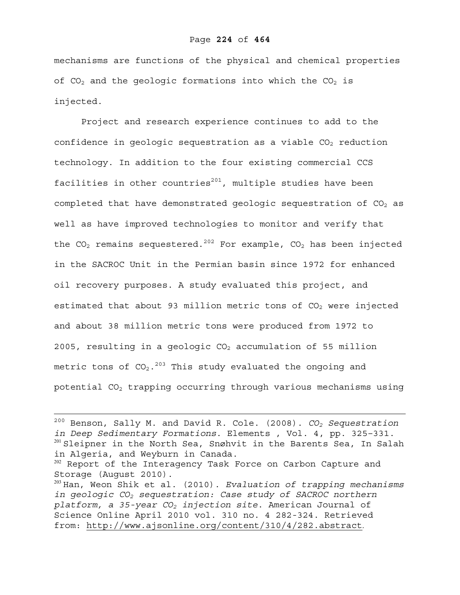mechanisms are functions of the physical and chemical properties of  $CO<sub>2</sub>$  and the geologic formations into which the  $CO<sub>2</sub>$  is injected.

 Project and research experience continues to add to the confidence in geologic sequestration as a viable  $CO<sub>2</sub>$  reduction technology. In addition to the four existing commercial CCS facilities in other countries $^{201}$ , multiple studies have been completed that have demonstrated geologic sequestration of  $CO<sub>2</sub>$  as well as have improved technologies to monitor and verify that the CO<sub>2</sub> remains sequestered.<sup>202</sup> For example, CO<sub>2</sub> has been injected in the SACROC Unit in the Permian basin since 1972 for enhanced oil recovery purposes. A study evaluated this project, and estimated that about 93 million metric tons of  $CO<sub>2</sub>$  were injected and about 38 million metric tons were produced from 1972 to 2005, resulting in a geologic  $CO<sub>2</sub>$  accumulation of 55 million metric tons of  $CO_2$ .<sup>203</sup> This study evaluated the ongoing and potential  $CO<sub>2</sub>$  trapping occurring through various mechanisms using

200 Benson, Sally M. and David R. Cole. (2008). *CO2 Sequestration in Deep Sedimentary Formations*. Elements , Vol. 4, pp. 325–331. <sup>201</sup> Sleipner in the North Sea, Snøhvit in the Barents Sea, In Salah in Algeria, and Weyburn in Canada.

<sup>202</sup> Report of the Interagency Task Force on Carbon Capture and Storage (August 2010).

<sup>203</sup> Han, Weon Shik et al. (2010). *Evaluation of trapping mechanisms in geologic CO2 sequestration: Case study of SACROC northern platform, a 35-year CO2 injection site*. American Journal of Science Online April 2010 vol. 310 no. 4 282-324. Retrieved from: http://www.ajsonline.org/content/310/4/282.abstract.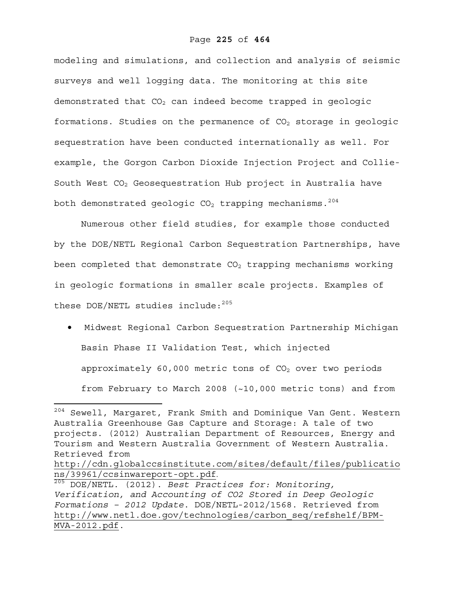modeling and simulations, and collection and analysis of seismic surveys and well logging data. The monitoring at this site demonstrated that  $CO<sub>2</sub>$  can indeed become trapped in geologic formations. Studies on the permanence of  $CO<sub>2</sub>$  storage in geologic sequestration have been conducted internationally as well. For example, the Gorgon Carbon Dioxide Injection Project and Collie-South West CO<sub>2</sub> Geosequestration Hub project in Australia have both demonstrated geologic  $CO<sub>2</sub>$  trapping mechanisms.<sup>204</sup>

Numerous other field studies, for example those conducted by the DOE/NETL Regional Carbon Sequestration Partnerships, have been completed that demonstrate  $CO<sub>2</sub>$  trapping mechanisms working in geologic formations in smaller scale projects. Examples of these DOE/NETL studies include:<sup>205</sup>

• Midwest Regional Carbon Sequestration Partnership Michigan Basin Phase II Validation Test, which injected approximately 60,000 metric tons of  $CO<sub>2</sub>$  over two periods from February to March 2008 (~10,000 metric tons) and from

<u>.</u>

<sup>204</sup> Sewell, Margaret, Frank Smith and Dominique Van Gent. Western Australia Greenhouse Gas Capture and Storage: A tale of two projects. (2012) Australian Department of Resources, Energy and Tourism and Western Australia Government of Western Australia. Retrieved from http://cdn.globalccsinstitute.com/sites/default/files/publicatio

ns/39961/ccsinwareport-opt.pdf. 205 DOE/NETL. (2012). *Best Practices for: Monitoring, Verification, and Accounting of CO2 Stored in Deep Geologic Formations – 2012 Update*. DOE/NETL-2012/1568. Retrieved from http://www.netl.doe.gov/technologies/carbon\_seq/refshelf/BPM-MVA-2012.pdf.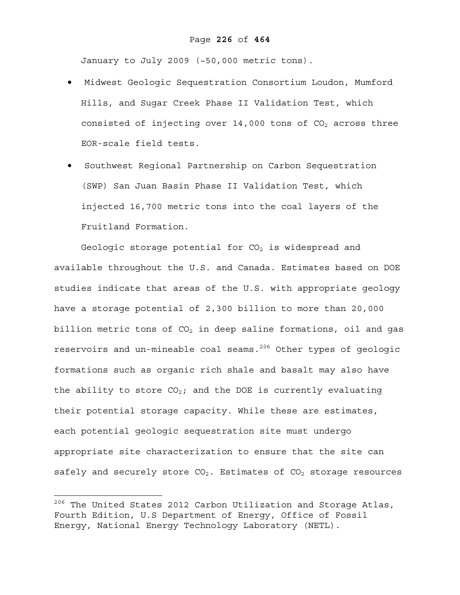January to July 2009 (~50,000 metric tons).

- Midwest Geologic Sequestration Consortium Loudon, Mumford Hills, and Sugar Creek Phase II Validation Test, which consisted of injecting over  $14,000$  tons of  $CO<sub>2</sub>$  across three EOR-scale field tests.
- Southwest Regional Partnership on Carbon Sequestration (SWP) San Juan Basin Phase II Validation Test, which injected 16,700 metric tons into the coal layers of the Fruitland Formation.

Geologic storage potential for  $CO<sub>2</sub>$  is widespread and available throughout the U.S. and Canada. Estimates based on DOE studies indicate that areas of the U.S. with appropriate geology have a storage potential of 2,300 billion to more than 20,000 billion metric tons of  $CO<sub>2</sub>$  in deep saline formations, oil and gas reservoirs and un-mineable coal seams.<sup>206</sup> Other types of geologic formations such as organic rich shale and basalt may also have the ability to store  $CO<sub>2</sub>$ ; and the DOE is currently evaluating their potential storage capacity. While these are estimates, each potential geologic sequestration site must undergo appropriate site characterization to ensure that the site can safely and securely store  $CO_2$ . Estimates of  $CO_2$  storage resources

 $^{206}$  The United States 2012 Carbon Utilization and Storage Atlas, Fourth Edition, U.S Department of Energy, Office of Fossil Energy, National Energy Technology Laboratory (NETL).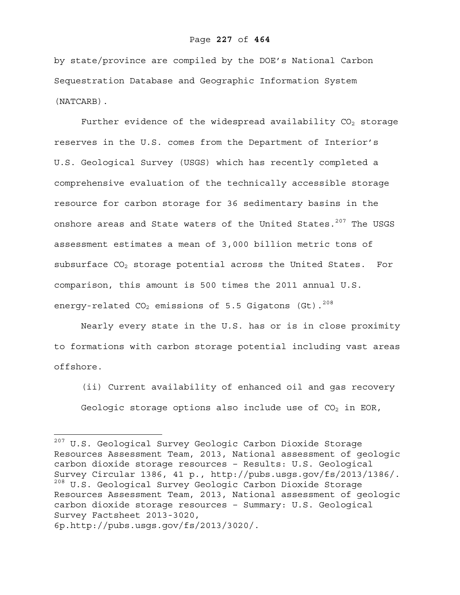by state/province are compiled by the DOE's National Carbon Sequestration Database and Geographic Information System (NATCARB).

Further evidence of the widespread availability  $CO<sub>2</sub>$  storage reserves in the U.S. comes from the Department of Interior's U.S. Geological Survey (USGS) which has recently completed a comprehensive evaluation of the technically accessible storage resource for carbon storage for 36 sedimentary basins in the onshore areas and State waters of the United States.<sup>207</sup> The USGS assessment estimates a mean of 3,000 billion metric tons of subsurface  $CO<sub>2</sub>$  storage potential across the United States. For comparison, this amount is 500 times the 2011 annual U.S. energy-related  $CO<sub>2</sub>$  emissions of 5.5 Gigatons (Gt).<sup>208</sup>

Nearly every state in the U.S. has or is in close proximity to formations with carbon storage potential including vast areas offshore.

(ii) Current availability of enhanced oil and gas recovery Geologic storage options also include use of  $CO<sub>2</sub>$  in EOR,

<sup>&</sup>lt;sup>207</sup> U.S. Geological Survey Geologic Carbon Dioxide Storage Resources Assessment Team, 2013, National assessment of geologic carbon dioxide storage resources – Results: U.S. Geological Survey Circular 1386, 41 p., http://pubs.usgs.gov/fs/2013/1386/. 208 U.S. Geological Survey Geologic Carbon Dioxide Storage Resources Assessment Team, 2013, National assessment of geologic carbon dioxide storage resources – Summary: U.S. Geological Survey Factsheet 2013-3020, 6p.http://pubs.usgs.gov/fs/2013/3020/.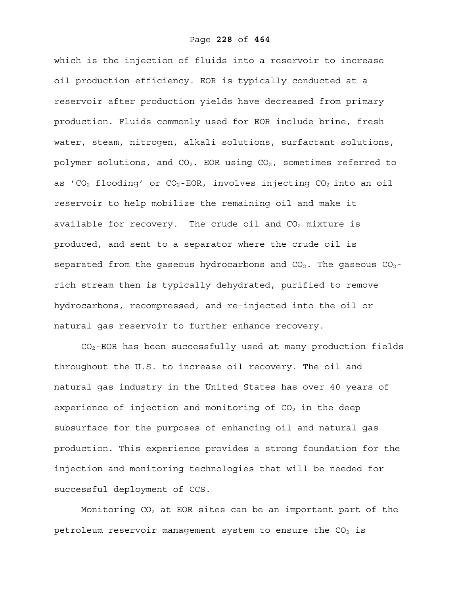which is the injection of fluids into a reservoir to increase oil production efficiency. EOR is typically conducted at a reservoir after production yields have decreased from primary production. Fluids commonly used for EOR include brine, fresh water, steam, nitrogen, alkali solutions, surfactant solutions, polymer solutions, and  $CO<sub>2</sub>$ . EOR using  $CO<sub>2</sub>$ , sometimes referred to as 'CO<sub>2</sub> flooding' or CO<sub>2</sub>-EOR, involves injecting CO<sub>2</sub> into an oil reservoir to help mobilize the remaining oil and make it available for recovery. The crude oil and  $CO<sub>2</sub>$  mixture is produced, and sent to a separator where the crude oil is separated from the gaseous hydrocarbons and  $CO_2$ . The gaseous  $CO_2$ rich stream then is typically dehydrated, purified to remove hydrocarbons, recompressed, and re-injected into the oil or natural gas reservoir to further enhance recovery.

CO2-EOR has been successfully used at many production fields throughout the U.S. to increase oil recovery. The oil and natural gas industry in the United States has over 40 years of experience of injection and monitoring of  $CO<sub>2</sub>$  in the deep subsurface for the purposes of enhancing oil and natural gas production. This experience provides a strong foundation for the injection and monitoring technologies that will be needed for successful deployment of CCS.

Monitoring  $CO<sub>2</sub>$  at EOR sites can be an important part of the petroleum reservoir management system to ensure the  $CO<sub>2</sub>$  is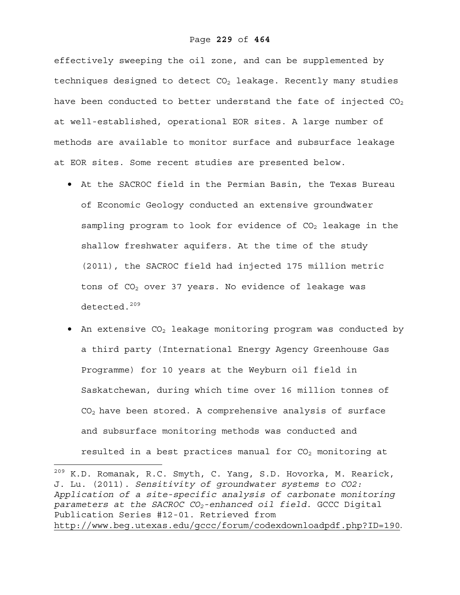effectively sweeping the oil zone, and can be supplemented by techniques designed to detect  $CO<sub>2</sub>$  leakage. Recently many studies have been conducted to better understand the fate of injected  $CO<sub>2</sub>$ at well-established, operational EOR sites. A large number of methods are available to monitor surface and subsurface leakage at EOR sites. Some recent studies are presented below.

- At the SACROC field in the Permian Basin, the Texas Bureau of Economic Geology conducted an extensive groundwater sampling program to look for evidence of  $CO<sub>2</sub>$  leakage in the shallow freshwater aquifers. At the time of the study (2011), the SACROC field had injected 175 million metric tons of  $CO<sub>2</sub>$  over 37 years. No evidence of leakage was detected.<sup>209</sup>
- An extensive  $CO<sub>2</sub>$  leakage monitoring program was conducted by a third party (International Energy Agency Greenhouse Gas Programme) for 10 years at the Weyburn oil field in Saskatchewan, during which time over 16 million tonnes of  $CO<sub>2</sub>$  have been stored. A comprehensive analysis of surface and subsurface monitoring methods was conducted and resulted in a best practices manual for  $CO<sub>2</sub>$  monitoring at

 $^{209}$  K.D. Romanak, R.C. Smyth, C. Yang, S.D. Hovorka, M. Rearick, J. Lu. (2011). *Sensitivity of groundwater systems to CO2: Application of a site-specific analysis of carbonate monitoring parameters at the SACROC CO2-enhanced oil field*. GCCC Digital Publication Series #12-01. Retrieved from http://www.beg.utexas.edu/gccc/forum/codexdownloadpdf.php?ID=190.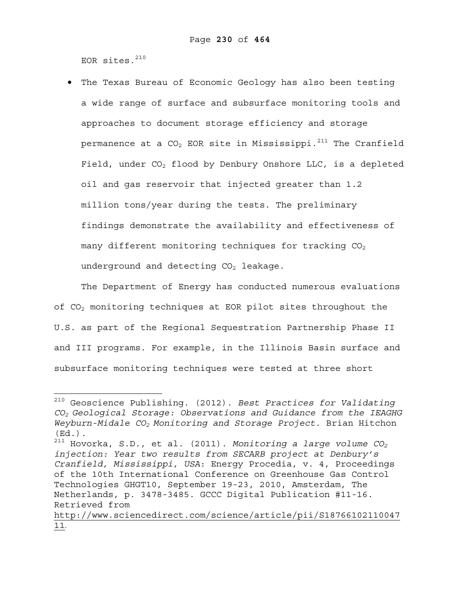EOR sites. $210$ 

 $\overline{a}$ 

• The Texas Bureau of Economic Geology has also been testing a wide range of surface and subsurface monitoring tools and approaches to document storage efficiency and storage permanence at a  $CO<sub>2</sub>$  EOR site in Mississippi.<sup>211</sup> The Cranfield Field, under  $CO<sub>2</sub>$  flood by Denbury Onshore LLC, is a depleted oil and gas reservoir that injected greater than 1.2 million tons/year during the tests. The preliminary findings demonstrate the availability and effectiveness of many different monitoring techniques for tracking  $CO<sub>2</sub>$ underground and detecting  $CO<sub>2</sub>$  leakage.

The Department of Energy has conducted numerous evaluations of CO2 monitoring techniques at EOR pilot sites throughout the U.S. as part of the Regional Sequestration Partnership Phase II and III programs. For example, in the Illinois Basin surface and subsurface monitoring techniques were tested at three short

<sup>210</sup> Geoscience Publishing. (2012). *Best Practices for Validating CO2 Geological Storage: Observations and Guidance from the IEAGHG Weyburn-Midale CO2 Monitoring and Storage Project*. Brian Hitchon (Ed.).

 $^{211}$  Hovorka, S.D., et al. (2011). *Monitoring a large volume CO*<sub>2</sub> *injection: Year two results from SECARB project at Denbury's Cranfield, Mississippi, USA*: Energy Procedia, v. 4, Proceedings of the 10th International Conference on Greenhouse Gas Control Technologies GHGT10, September 19-23, 2010, Amsterdam, The Netherlands, p. 3478-3485. GCCC Digital Publication #11-16. Retrieved from

http://www.sciencedirect.com/science/article/pii/S18766102110047 11.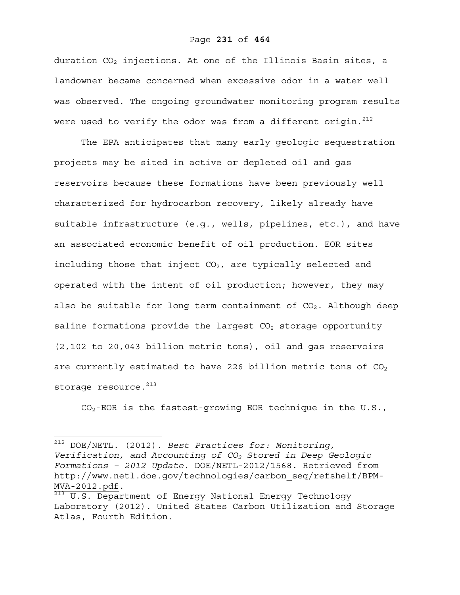#### Page **231** of **464**

duration  $CO<sub>2</sub>$  injections. At one of the Illinois Basin sites, a landowner became concerned when excessive odor in a water well was observed. The ongoing groundwater monitoring program results were used to verify the odor was from a different origin.  $212$ 

The EPA anticipates that many early geologic sequestration projects may be sited in active or depleted oil and gas reservoirs because these formations have been previously well characterized for hydrocarbon recovery, likely already have suitable infrastructure (e.g., wells, pipelines, etc.), and have an associated economic benefit of oil production. EOR sites including those that inject  $CO<sub>2</sub>$ , are typically selected and operated with the intent of oil production; however, they may also be suitable for long term containment of  $CO<sub>2</sub>$ . Although deep saline formations provide the largest  $CO<sub>2</sub>$  storage opportunity (2,102 to 20,043 billion metric tons), oil and gas reservoirs are currently estimated to have 226 billion metric tons of  $CO<sub>2</sub>$ storage resource.<sup>213</sup>

 $CO<sub>2</sub>$ -EOR is the fastest-growing EOR technique in the U.S.,

<sup>212</sup> DOE/NETL. (2012). *Best Practices for: Monitoring, Verification, and Accounting of CO2 Stored in Deep Geologic Formations – 2012 Update*. DOE/NETL-2012/1568. Retrieved from http://www.netl.doe.gov/technologies/carbon\_seq/refshelf/BPM-<u>MVA-2012.pdf</u>.<br><sup>213</sup> U.S. Department of Energy National Energy Technology

Laboratory (2012). United States Carbon Utilization and Storage Atlas, Fourth Edition.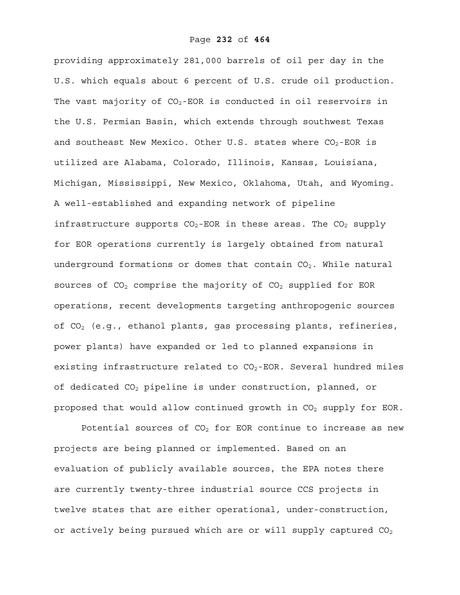providing approximately 281,000 barrels of oil per day in the U.S. which equals about 6 percent of U.S. crude oil production. The vast majority of  $CO<sub>2</sub>$ -EOR is conducted in oil reservoirs in the U.S. Permian Basin, which extends through southwest Texas and southeast New Mexico. Other U.S. states where  $CO_2$ -EOR is utilized are Alabama, Colorado, Illinois, Kansas, Louisiana, Michigan, Mississippi, New Mexico, Oklahoma, Utah, and Wyoming. A well-established and expanding network of pipeline infrastructure supports  $CO_2$ -EOR in these areas. The  $CO_2$  supply for EOR operations currently is largely obtained from natural underground formations or domes that contain  $CO<sub>2</sub>$ . While natural sources of  $CO<sub>2</sub>$  comprise the majority of  $CO<sub>2</sub>$  supplied for EOR operations, recent developments targeting anthropogenic sources of  $CO<sub>2</sub>$  (e.g., ethanol plants, gas processing plants, refineries, power plants) have expanded or led to planned expansions in existing infrastructure related to  $CO<sub>2</sub>$ -EOR. Several hundred miles of dedicated CO<sub>2</sub> pipeline is under construction, planned, or proposed that would allow continued growth in  $CO<sub>2</sub>$  supply for EOR.

Potential sources of  $CO<sub>2</sub>$  for EOR continue to increase as new projects are being planned or implemented. Based on an evaluation of publicly available sources, the EPA notes there are currently twenty-three industrial source CCS projects in twelve states that are either operational, under-construction, or actively being pursued which are or will supply captured  $CO<sub>2</sub>$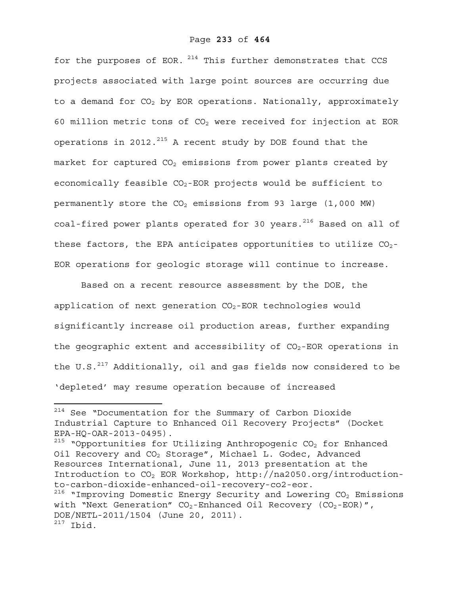for the purposes of EOR.  $214$  This further demonstrates that CCS projects associated with large point sources are occurring due to a demand for  $CO<sub>2</sub>$  by EOR operations. Nationally, approximately 60 million metric tons of  $CO<sub>2</sub>$  were received for injection at EOR operations in 2012.<sup>215</sup> A recent study by DOE found that the market for captured  $CO<sub>2</sub>$  emissions from power plants created by economically feasible  $CO_2$ -EOR projects would be sufficient to permanently store the  $CO<sub>2</sub>$  emissions from 93 large (1,000 MW) coal-fired power plants operated for 30 years.<sup>216</sup> Based on all of these factors, the EPA anticipates opportunities to utilize  $CO<sub>2</sub>$ -EOR operations for geologic storage will continue to increase.

Based on a recent resource assessment by the DOE, the application of next generation  $CO_2$ -EOR technologies would significantly increase oil production areas, further expanding the geographic extent and accessibility of  $CO<sub>2</sub>$ -EOR operations in the U.S. $^{217}$  Additionally, oil and gas fields now considered to be 'depleted' may resume operation because of increased

<sup>&</sup>lt;sup>214</sup> See "Documentation for the Summary of Carbon Dioxide Industrial Capture to Enhanced Oil Recovery Projects" (Docket EPA-HQ-OAR-2013-0495).

 $215$  "Opportunities for Utilizing Anthropogenic CO<sub>2</sub> for Enhanced Oil Recovery and  $CO<sub>2</sub>$  Storage", Michael L. Godec, Advanced Resources International, June 11, 2013 presentation at the Introduction to CO2 EOR Workshop, http://na2050.org/introductionto-carbon-dioxide-enhanced-oil-recovery-co2-eor.

 $216$  "Improving Domestic Energy Security and Lowering CO<sub>2</sub> Emissions with "Next Generation"  $CO_2$ -Enhanced Oil Recovery ( $CO_2$ -EOR)", DOE/NETL-2011/1504 (June 20, 2011).  $217$  Ibid.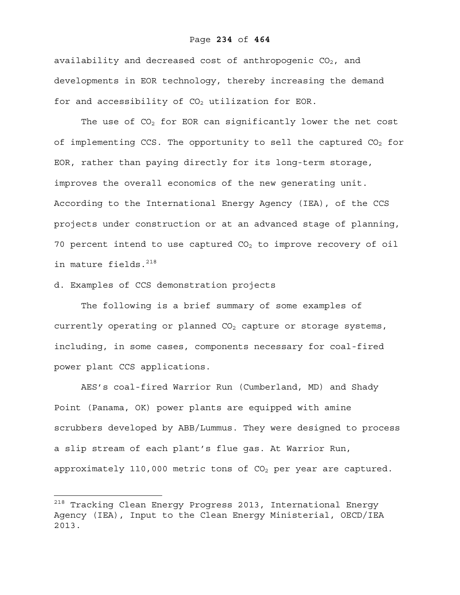#### Page **234** of **464**

availability and decreased cost of anthropogenic  $CO<sub>2</sub>$ , and developments in EOR technology, thereby increasing the demand for and accessibility of  $CO<sub>2</sub>$  utilization for EOR.

The use of  $CO<sub>2</sub>$  for EOR can significantly lower the net cost of implementing CCS. The opportunity to sell the captured  $CO<sub>2</sub>$  for EOR, rather than paying directly for its long-term storage, improves the overall economics of the new generating unit. According to the International Energy Agency (IEA), of the CCS projects under construction or at an advanced stage of planning, 70 percent intend to use captured  $CO<sub>2</sub>$  to improve recovery of oil in mature fields.<sup>218</sup>

d. Examples of CCS demonstration projects

 $\overline{a}$ 

The following is a brief summary of some examples of currently operating or planned  $CO<sub>2</sub>$  capture or storage systems, including, in some cases, components necessary for coal-fired power plant CCS applications.

AES's coal-fired Warrior Run (Cumberland, MD) and Shady Point (Panama, OK) power plants are equipped with amine scrubbers developed by ABB/Lummus. They were designed to process a slip stream of each plant's flue gas. At Warrior Run, approximately 110,000 metric tons of  $CO<sub>2</sub>$  per year are captured.

 $^{218}$  Tracking Clean Energy Progress 2013, International Energy Agency (IEA), Input to the Clean Energy Ministerial, OECD/IEA 2013.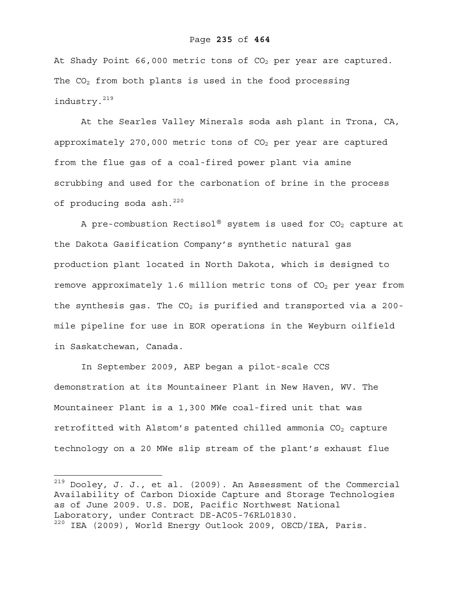#### Page **235** of **464**

At Shady Point 66,000 metric tons of  $CO<sub>2</sub>$  per year are captured. The  $CO<sub>2</sub>$  from both plants is used in the food processing industry.219

At the Searles Valley Minerals soda ash plant in Trona, CA, approximately 270,000 metric tons of  $CO<sub>2</sub>$  per year are captured from the flue gas of a coal-fired power plant via amine scrubbing and used for the carbonation of brine in the process of producing soda ash. $^{220}$ 

A pre-combustion Rectisol® system is used for  $CO<sub>2</sub>$  capture at the Dakota Gasification Company's synthetic natural gas production plant located in North Dakota, which is designed to remove approximately 1.6 million metric tons of  $CO<sub>2</sub>$  per year from the synthesis gas. The  $CO<sub>2</sub>$  is purified and transported via a 200mile pipeline for use in EOR operations in the Weyburn oilfield in Saskatchewan, Canada.

In September 2009, AEP began a pilot-scale CCS demonstration at its Mountaineer Plant in New Haven, WV. The Mountaineer Plant is a 1,300 MWe coal-fired unit that was retrofitted with Alstom's patented chilled ammonia  $CO<sub>2</sub>$  capture technology on a 20 MWe slip stream of the plant's exhaust flue

1

 $^{219}$  Dooley, J. J., et al. (2009). An Assessment of the Commercial Availability of Carbon Dioxide Capture and Storage Technologies as of June 2009. U.S. DOE, Pacific Northwest National Laboratory, under Contract DE-AC05-76RL01830. 220 IEA (2009), World Energy Outlook 2009, OECD/IEA, Paris.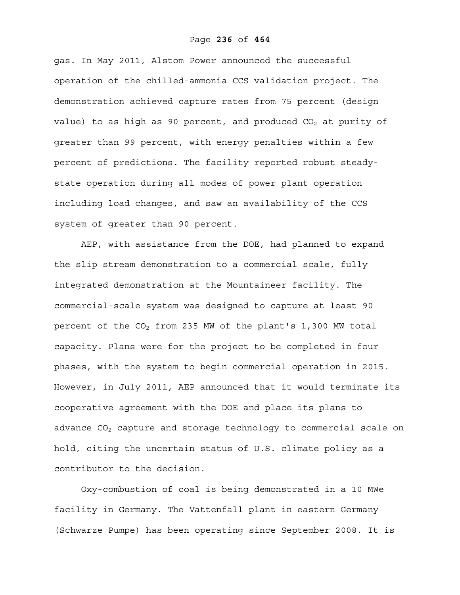gas. In May 2011, Alstom Power announced the successful operation of the chilled-ammonia CCS validation project. The demonstration achieved capture rates from 75 percent (design value) to as high as 90 percent, and produced  $CO<sub>2</sub>$  at purity of greater than 99 percent, with energy penalties within a few percent of predictions. The facility reported robust steadystate operation during all modes of power plant operation including load changes, and saw an availability of the CCS system of greater than 90 percent.

AEP, with assistance from the DOE, had planned to expand the slip stream demonstration to a commercial scale, fully integrated demonstration at the Mountaineer facility. The commercial-scale system was designed to capture at least 90 percent of the  $CO<sub>2</sub>$  from 235 MW of the plant's 1,300 MW total capacity. Plans were for the project to be completed in four phases, with the system to begin commercial operation in 2015. However, in July 2011, AEP announced that it would terminate its cooperative agreement with the DOE and place its plans to advance  $CO<sub>2</sub>$  capture and storage technology to commercial scale on hold, citing the uncertain status of U.S. climate policy as a contributor to the decision.

Oxy-combustion of coal is being demonstrated in a 10 MWe facility in Germany. The Vattenfall plant in eastern Germany (Schwarze Pumpe) has been operating since September 2008. It is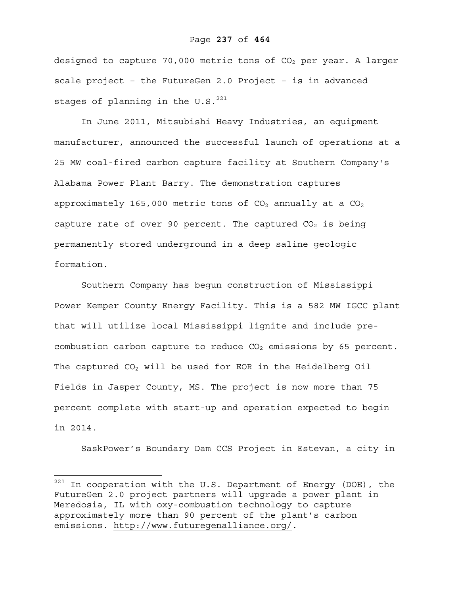#### Page **237** of **464**

designed to capture 70,000 metric tons of  $CO<sub>2</sub>$  per year. A larger scale project – the FutureGen 2.0 Project – is in advanced stages of planning in the U.S. $^{221}$ 

In June 2011, Mitsubishi Heavy Industries, an equipment manufacturer, announced the successful launch of operations at a 25 MW coal-fired carbon capture facility at Southern Company's Alabama Power Plant Barry. The demonstration captures approximately 165,000 metric tons of  $CO<sub>2</sub>$  annually at a  $CO<sub>2</sub>$ capture rate of over 90 percent. The captured  $CO<sub>2</sub>$  is being permanently stored underground in a deep saline geologic formation.

Southern Company has begun construction of Mississippi Power Kemper County Energy Facility. This is a 582 MW IGCC plant that will utilize local Mississippi lignite and include precombustion carbon capture to reduce  $CO<sub>2</sub>$  emissions by 65 percent. The captured  $CO<sub>2</sub>$  will be used for EOR in the Heidelberg Oil Fields in Jasper County, MS. The project is now more than 75 percent complete with start-up and operation expected to begin in 2014.

SaskPower's Boundary Dam CCS Project in Estevan, a city in

 $^{221}$  In cooperation with the U.S. Department of Energy (DOE), the FutureGen 2.0 project partners will upgrade a power plant in Meredosia, IL with oxy-combustion technology to capture approximately more than 90 percent of the plant's carbon emissions. http://www.futuregenalliance.org/.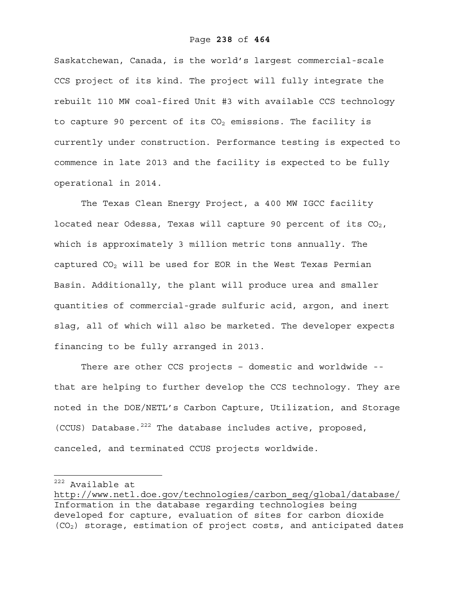Saskatchewan, Canada, is the world's largest commercial-scale CCS project of its kind. The project will fully integrate the rebuilt 110 MW coal-fired Unit #3 with available CCS technology to capture 90 percent of its  $CO<sub>2</sub>$  emissions. The facility is currently under construction. Performance testing is expected to commence in late 2013 and the facility is expected to be fully operational in 2014.

The Texas Clean Energy Project, a 400 MW IGCC facility located near Odessa, Texas will capture 90 percent of its  $CO<sub>2</sub>$ , which is approximately 3 million metric tons annually. The captured  $CO<sub>2</sub>$  will be used for EOR in the West Texas Permian Basin. Additionally, the plant will produce urea and smaller quantities of commercial-grade sulfuric acid, argon, and inert slag, all of which will also be marketed. The developer expects financing to be fully arranged in 2013.

There are other CCS projects – domestic and worldwide - that are helping to further develop the CCS technology. They are noted in the DOE/NETL's Carbon Capture, Utilization, and Storage (CCUS) Database. $^{222}$  The database includes active, proposed, canceled, and terminated CCUS projects worldwide.

222 Available at

http://www.netl.doe.gov/technologies/carbon\_seq/global/database/ Information in the database regarding technologies being developed for capture, evaluation of sites for carbon dioxide (CO2) storage, estimation of project costs, and anticipated dates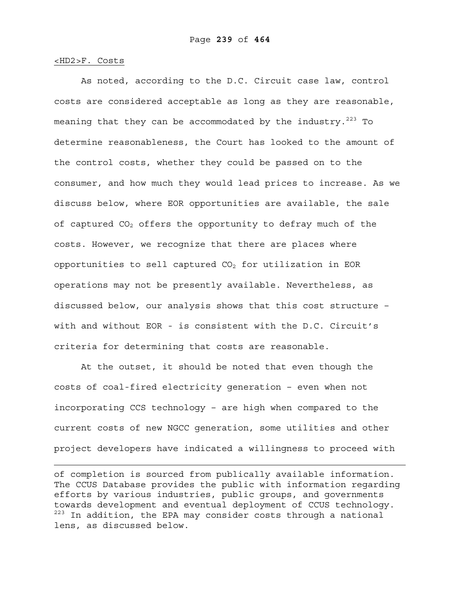#### <HD2>F. Costs

1

As noted, according to the D.C. Circuit case law, control costs are considered acceptable as long as they are reasonable, meaning that they can be accommodated by the industry.<sup>223</sup> To determine reasonableness, the Court has looked to the amount of the control costs, whether they could be passed on to the consumer, and how much they would lead prices to increase. As we discuss below, where EOR opportunities are available, the sale of captured  $CO<sub>2</sub>$  offers the opportunity to defray much of the costs. However, we recognize that there are places where opportunities to sell captured  $CO<sub>2</sub>$  for utilization in EOR operations may not be presently available. Nevertheless, as discussed below, our analysis shows that this cost structure – with and without EOR - is consistent with the D.C. Circuit's criteria for determining that costs are reasonable.

At the outset, it should be noted that even though the costs of coal-fired electricity generation – even when not incorporating CCS technology – are high when compared to the current costs of new NGCC generation, some utilities and other project developers have indicated a willingness to proceed with

of completion is sourced from publically available information. The CCUS Database provides the public with information regarding efforts by various industries, public groups, and governments towards development and eventual deployment of CCUS technology.  $223$  In addition, the EPA may consider costs through a national lens, as discussed below.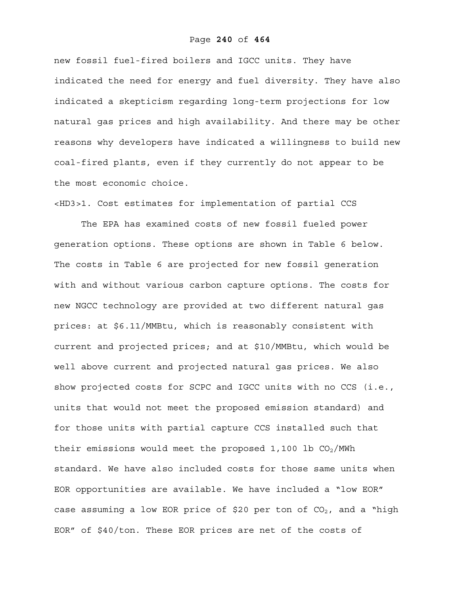#### Page **240** of **464**

new fossil fuel-fired boilers and IGCC units. They have indicated the need for energy and fuel diversity. They have also indicated a skepticism regarding long-term projections for low natural gas prices and high availability. And there may be other reasons why developers have indicated a willingness to build new coal-fired plants, even if they currently do not appear to be the most economic choice.

<HD3>1. Cost estimates for implementation of partial CCS

The EPA has examined costs of new fossil fueled power generation options. These options are shown in Table 6 below. The costs in Table 6 are projected for new fossil generation with and without various carbon capture options. The costs for new NGCC technology are provided at two different natural gas prices: at \$6.11/MMBtu, which is reasonably consistent with current and projected prices; and at \$10/MMBtu, which would be well above current and projected natural gas prices. We also show projected costs for SCPC and IGCC units with no CCS (i.e., units that would not meet the proposed emission standard) and for those units with partial capture CCS installed such that their emissions would meet the proposed 1,100 lb  $CO<sub>2</sub>/MWh$ standard. We have also included costs for those same units when EOR opportunities are available. We have included a "low EOR" case assuming a low EOR price of \$20 per ton of  $CO<sub>2</sub>$ , and a "high EOR" of \$40/ton. These EOR prices are net of the costs of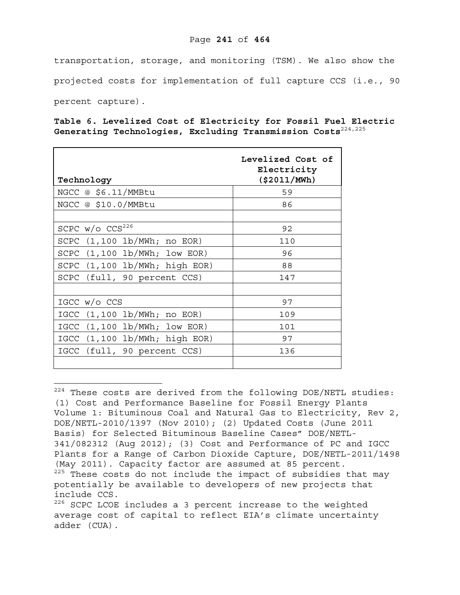# Page **241** of **464**

transportation, storage, and monitoring (TSM). We also show the projected costs for implementation of full capture CCS (i.e., 90 percent capture).

**Table 6. Levelized Cost of Electricity for Fossil Fuel Electric Generating Technologies, Excluding Transmission Costs**224,225

| Technology                                              | Levelized Cost of<br>Electricity<br>( \$2011/MWh) |
|---------------------------------------------------------|---------------------------------------------------|
| NGCC @ \$6.11/MMBtu                                     | 59                                                |
| NGCC @ \$10.0/MMBtu                                     | 86                                                |
|                                                         |                                                   |
| SCPC $w/o$ CCS <sup>226</sup>                           | 92                                                |
| $(1,100 \text{ lb}/\text{MWh}; \text{no EOR})$<br>SCPC  | 110                                               |
| SCPC $(1, 100 \text{ lb}/\text{MWh}; \text{low EOR})$   | 96                                                |
| SCPC (1,100 lb/MWh; high EOR)                           | 88                                                |
| SCPC (full, 90 percent CCS)                             | 147                                               |
|                                                         |                                                   |
| IGCC w/o CCS                                            | 97                                                |
| $(1,100 \text{ lb}/\text{MWh}; \text{ no EOR})$<br>IGCC | 109                                               |
| $IGCC$ $(1, 100 lb/MWh; low EOR)$                       | 101                                               |
| IGCC (1,100 lb/MWh; high EOR)                           | 97                                                |
| IGCC (full, 90 percent CCS)                             | 136                                               |
|                                                         |                                                   |

 $224$  These costs are derived from the following DOE/NETL studies: (1) Cost and Performance Baseline for Fossil Energy Plants Volume 1: Bituminous Coal and Natural Gas to Electricity, Rev 2, DOE/NETL-2010/1397 (Nov 2010); (2) Updated Costs (June 2011 Basis) for Selected Bituminous Baseline Cases" DOE/NETL-341/082312 (Aug 2012); (3) Cost and Performance of PC and IGCC Plants for a Range of Carbon Dioxide Capture, DOE/NETL-2011/1498 (May 2011). Capacity factor are assumed at 85 percent. <sup>225</sup> These costs do not include the impact of subsidies that may potentially be available to developers of new projects that include CCS. <sup>226</sup> SCPC LCOE includes a 3 percent increase to the weighted average cost of capital to reflect EIA's climate uncertainty

adder (CUA).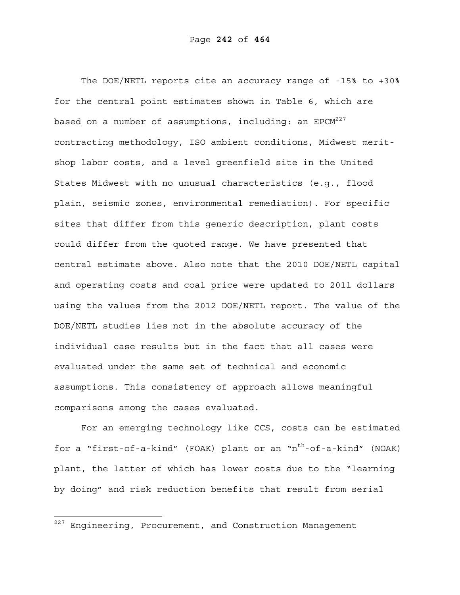The DOE/NETL reports cite an accuracy range of -15% to +30% for the central point estimates shown in Table 6, which are based on a number of assumptions, including: an  $EPCM^{227}$ contracting methodology, ISO ambient conditions, Midwest meritshop labor costs, and a level greenfield site in the United States Midwest with no unusual characteristics (e.g., flood plain, seismic zones, environmental remediation). For specific sites that differ from this generic description, plant costs could differ from the quoted range. We have presented that central estimate above. Also note that the 2010 DOE/NETL capital and operating costs and coal price were updated to 2011 dollars using the values from the 2012 DOE/NETL report. The value of the DOE/NETL studies lies not in the absolute accuracy of the individual case results but in the fact that all cases were evaluated under the same set of technical and economic assumptions. This consistency of approach allows meaningful comparisons among the cases evaluated.

For an emerging technology like CCS, costs can be estimated for a "first-of-a-kind" (FOAK) plant or an " $n<sup>th</sup>$ -of-a-kind" (NOAK) plant, the latter of which has lower costs due to the "learning by doing" and risk reduction benefits that result from serial

 $^{227}$  Engineering, Procurement, and Construction Management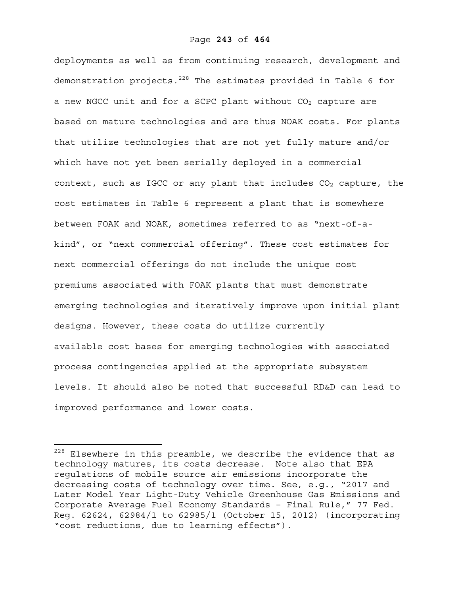deployments as well as from continuing research, development and demonstration projects. $228$  The estimates provided in Table 6 for a new NGCC unit and for a SCPC plant without  $CO<sub>2</sub>$  capture are based on mature technologies and are thus NOAK costs. For plants that utilize technologies that are not yet fully mature and/or which have not yet been serially deployed in a commercial context, such as IGCC or any plant that includes  $CO<sub>2</sub>$  capture, the cost estimates in Table 6 represent a plant that is somewhere between FOAK and NOAK, sometimes referred to as "next-of-akind", or "next commercial offering". These cost estimates for next commercial offerings do not include the unique cost premiums associated with FOAK plants that must demonstrate emerging technologies and iteratively improve upon initial plant designs. However, these costs do utilize currently available cost bases for emerging technologies with associated process contingencies applied at the appropriate subsystem levels. It should also be noted that successful RD&D can lead to improved performance and lower costs.

 $228$  Elsewhere in this preamble, we describe the evidence that as technology matures, its costs decrease. Note also that EPA regulations of mobile source air emissions incorporate the decreasing costs of technology over time. See, e.g., "2017 and Later Model Year Light-Duty Vehicle Greenhouse Gas Emissions and Corporate Average Fuel Economy Standards – Final Rule," 77 Fed. Reg. 62624, 62984/1 to 62985/1 (October 15, 2012) (incorporating "cost reductions, due to learning effects").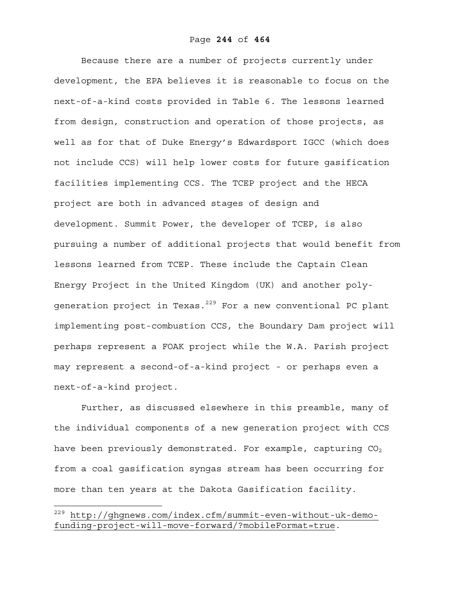Because there are a number of projects currently under development, the EPA believes it is reasonable to focus on the next-of-a-kind costs provided in Table 6. The lessons learned from design, construction and operation of those projects, as well as for that of Duke Energy's Edwardsport IGCC (which does not include CCS) will help lower costs for future gasification facilities implementing CCS. The TCEP project and the HECA project are both in advanced stages of design and development. Summit Power, the developer of TCEP, is also pursuing a number of additional projects that would benefit from lessons learned from TCEP. These include the Captain Clean Energy Project in the United Kingdom (UK) and another polygeneration project in Texas. $229$  For a new conventional PC plant implementing post-combustion CCS, the Boundary Dam project will perhaps represent a FOAK project while the W.A. Parish project may represent a second-of-a-kind project - or perhaps even a next-of-a-kind project.

Further, as discussed elsewhere in this preamble, many of the individual components of a new generation project with CCS have been previously demonstrated. For example, capturing  $CO<sub>2</sub>$ from a coal gasification syngas stream has been occurring for more than ten years at the Dakota Gasification facility.

1

<sup>&</sup>lt;sup>229</sup> http://ghgnews.com/index.cfm/summit-even-without-uk-demofunding-project-will-move-forward/?mobileFormat=true.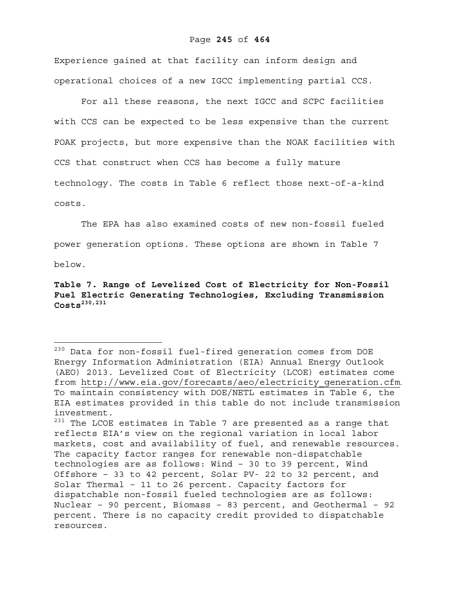Experience gained at that facility can inform design and operational choices of a new IGCC implementing partial CCS.

For all these reasons, the next IGCC and SCPC facilities with CCS can be expected to be less expensive than the current FOAK projects, but more expensive than the NOAK facilities with CCS that construct when CCS has become a fully mature technology. The costs in Table 6 reflect those next-of-a-kind costs.

The EPA has also examined costs of new non-fossil fueled power generation options. These options are shown in Table 7

below.

 $\overline{a}$ 

# **Table 7. Range of Levelized Cost of Electricity for Non-Fossil Fuel Electric Generating Technologies, Excluding Transmission Costs230,231**

<sup>&</sup>lt;sup>230</sup> Data for non-fossil fuel-fired generation comes from DOE Energy Information Administration (EIA) Annual Energy Outlook (AEO) 2013. Levelized Cost of Electricity (LCOE) estimates come from http://www.eia.gov/forecasts/aeo/electricity\_generation.cfm. To maintain consistency with DOE/NETL estimates in Table 6, the EIA estimates provided in this table do not include transmission investment.

 $231$  The LCOE estimates in Table 7 are presented as a range that reflects EIA's view on the regional variation in local labor markets, cost and availability of fuel, and renewable resources. The capacity factor ranges for renewable non-dispatchable technologies are as follows: Wind – 30 to 39 percent, Wind Offshore – 33 to 42 percent, Solar PV- 22 to 32 percent, and Solar Thermal – 11 to 26 percent. Capacity factors for dispatchable non-fossil fueled technologies are as follows: Nuclear – 90 percent, Biomass – 83 percent, and Geothermal – 92 percent. There is no capacity credit provided to dispatchable resources.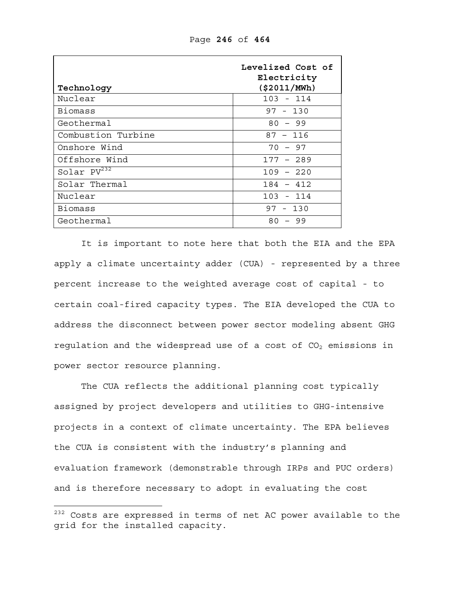| Technology         | Levelized Cost of<br>Electricity<br>( \$2011/MWh) |
|--------------------|---------------------------------------------------|
| Nuclear            | $103 - 114$                                       |
| Biomass            | $97 - 130$                                        |
| Geothermal         | $80 - 99$                                         |
| Combustion Turbine | $87 - 116$                                        |
| Onshore Wind       | $70 - 97$                                         |
| Offshore Wind      | $177 - 289$                                       |
| Solar $PV^{232}$   | $109 - 220$                                       |
| Solar Thermal      | $184 - 412$                                       |
| Nuclear            | $103 - 114$                                       |
| <b>Biomass</b>     | $97 - 130$                                        |
| Geothermal         | $80 - 99$                                         |

Page **246** of **464**

It is important to note here that both the EIA and the EPA apply a climate uncertainty adder (CUA) - represented by a three percent increase to the weighted average cost of capital - to certain coal-fired capacity types. The EIA developed the CUA to address the disconnect between power sector modeling absent GHG regulation and the widespread use of a cost of  $CO<sub>2</sub>$  emissions in power sector resource planning.

The CUA reflects the additional planning cost typically assigned by project developers and utilities to GHG-intensive projects in a context of climate uncertainty. The EPA believes the CUA is consistent with the industry's planning and evaluation framework (demonstrable through IRPs and PUC orders) and is therefore necessary to adopt in evaluating the cost

 $^{232}$  Costs are expressed in terms of net AC power available to the grid for the installed capacity.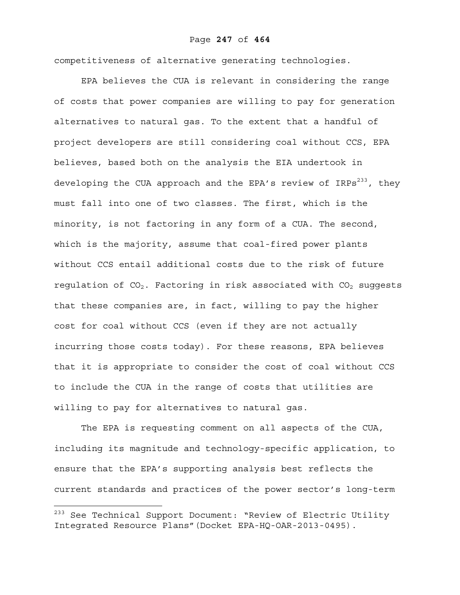#### Page **247** of **464**

competitiveness of alternative generating technologies.

EPA believes the CUA is relevant in considering the range of costs that power companies are willing to pay for generation alternatives to natural gas. To the extent that a handful of project developers are still considering coal without CCS, EPA believes, based both on the analysis the EIA undertook in developing the CUA approach and the EPA's review of  $IRPs<sup>233</sup>$ , they must fall into one of two classes. The first, which is the minority, is not factoring in any form of a CUA. The second, which is the majority, assume that coal-fired power plants without CCS entail additional costs due to the risk of future regulation of  $CO<sub>2</sub>$ . Factoring in risk associated with  $CO<sub>2</sub>$  suggests that these companies are, in fact, willing to pay the higher cost for coal without CCS (even if they are not actually incurring those costs today). For these reasons, EPA believes that it is appropriate to consider the cost of coal without CCS to include the CUA in the range of costs that utilities are willing to pay for alternatives to natural gas.

The EPA is requesting comment on all aspects of the CUA, including its magnitude and technology-specific application, to ensure that the EPA's supporting analysis best reflects the current standards and practices of the power sector's long-term

1

<sup>&</sup>lt;sup>233</sup> See Technical Support Document: "Review of Electric Utility Integrated Resource Plans"(Docket EPA-HQ-OAR-2013-0495).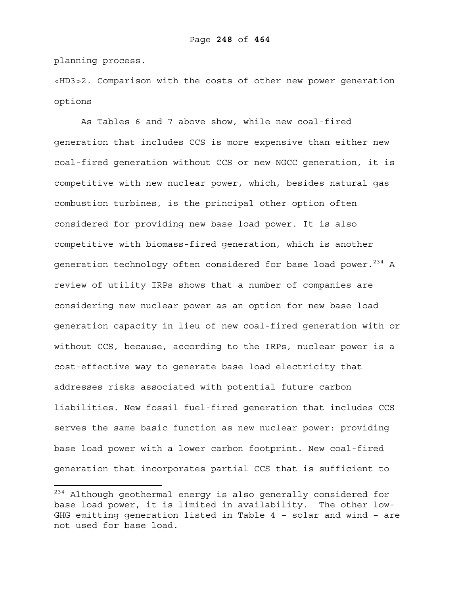planning process.

 $\overline{a}$ 

<HD3>2. Comparison with the costs of other new power generation options

As Tables 6 and 7 above show, while new coal-fired generation that includes CCS is more expensive than either new coal-fired generation without CCS or new NGCC generation, it is competitive with new nuclear power, which, besides natural gas combustion turbines, is the principal other option often considered for providing new base load power. It is also competitive with biomass-fired generation, which is another generation technology often considered for base load power. $234$  A review of utility IRPs shows that a number of companies are considering new nuclear power as an option for new base load generation capacity in lieu of new coal-fired generation with or without CCS, because, according to the IRPs, nuclear power is a cost-effective way to generate base load electricity that addresses risks associated with potential future carbon liabilities. New fossil fuel-fired generation that includes CCS serves the same basic function as new nuclear power: providing base load power with a lower carbon footprint. New coal-fired generation that incorporates partial CCS that is sufficient to

 $234$  Although geothermal energy is also generally considered for base load power, it is limited in availability. The other low-GHG emitting generation listed in Table 4 – solar and wind – are not used for base load.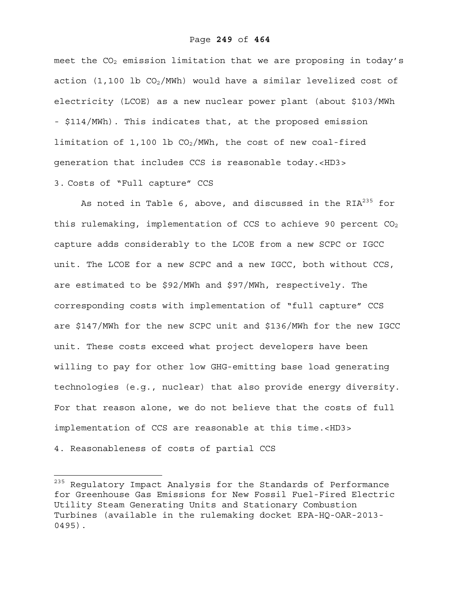meet the  $CO<sub>2</sub>$  emission limitation that we are proposing in today's action (1,100 lb  $CO<sub>2</sub>/MWh$ ) would have a similar levelized cost of electricity (LCOE) as a new nuclear power plant (about \$103/MWh - \$114/MWh). This indicates that, at the proposed emission limitation of 1,100 lb  $CO<sub>2</sub>/MWh$ , the cost of new coal-fired generation that includes CCS is reasonable today.<HD3>

# 3. Costs of "Full capture" CCS

As noted in Table 6, above, and discussed in the  $RIA^{235}$  for this rulemaking, implementation of CCS to achieve 90 percent  $CO<sub>2</sub>$ capture adds considerably to the LCOE from a new SCPC or IGCC unit. The LCOE for a new SCPC and a new IGCC, both without CCS, are estimated to be \$92/MWh and \$97/MWh, respectively. The corresponding costs with implementation of "full capture" CCS are \$147/MWh for the new SCPC unit and \$136/MWh for the new IGCC unit. These costs exceed what project developers have been willing to pay for other low GHG-emitting base load generating technologies (e.g., nuclear) that also provide energy diversity. For that reason alone, we do not believe that the costs of full implementation of CCS are reasonable at this time.<HD3>

4. Reasonableness of costs of partial CCS

<sup>&</sup>lt;sup>235</sup> Regulatory Impact Analysis for the Standards of Performance for Greenhouse Gas Emissions for New Fossil Fuel-Fired Electric Utility Steam Generating Units and Stationary Combustion Turbines (available in the rulemaking docket EPA-HQ-OAR-2013- 0495).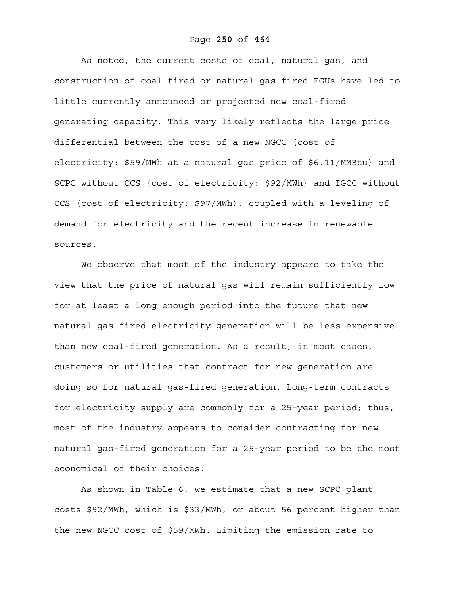#### Page **250** of **464**

As noted, the current costs of coal, natural gas, and construction of coal-fired or natural gas-fired EGUs have led to little currently announced or projected new coal-fired generating capacity. This very likely reflects the large price differential between the cost of a new NGCC (cost of electricity: \$59/MWh at a natural gas price of \$6.11/MMBtu) and SCPC without CCS (cost of electricity: \$92/MWh) and IGCC without CCS (cost of electricity: \$97/MWh), coupled with a leveling of demand for electricity and the recent increase in renewable sources.

We observe that most of the industry appears to take the view that the price of natural gas will remain sufficiently low for at least a long enough period into the future that new natural-gas fired electricity generation will be less expensive than new coal-fired generation. As a result, in most cases, customers or utilities that contract for new generation are doing so for natural gas-fired generation. Long-term contracts for electricity supply are commonly for a 25-year period; thus, most of the industry appears to consider contracting for new natural gas-fired generation for a 25-year period to be the most economical of their choices.

As shown in Table 6, we estimate that a new SCPC plant costs \$92/MWh, which is \$33/MWh, or about 56 percent higher than the new NGCC cost of \$59/MWh. Limiting the emission rate to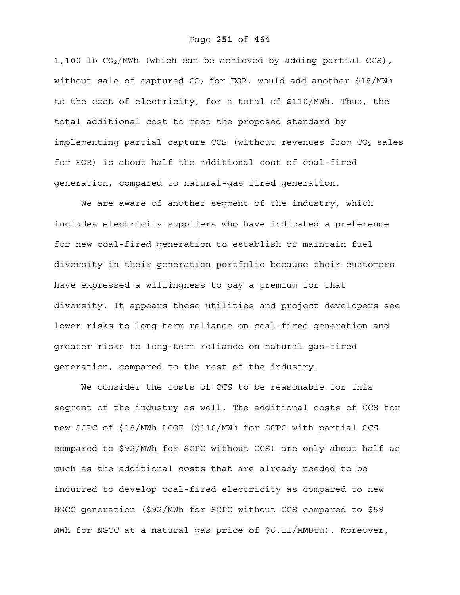#### Page **251** of **464**

1,100 lb  $CO<sub>2</sub>/MWh$  (which can be achieved by adding partial CCS), without sale of captured  $CO<sub>2</sub>$  for EOR, would add another \$18/MWh to the cost of electricity, for a total of \$110/MWh. Thus, the total additional cost to meet the proposed standard by implementing partial capture CCS (without revenues from CO<sub>2</sub> sales for EOR) is about half the additional cost of coal-fired generation, compared to natural-gas fired generation.

We are aware of another segment of the industry, which includes electricity suppliers who have indicated a preference for new coal-fired generation to establish or maintain fuel diversity in their generation portfolio because their customers have expressed a willingness to pay a premium for that diversity. It appears these utilities and project developers see lower risks to long-term reliance on coal-fired generation and greater risks to long-term reliance on natural gas-fired generation, compared to the rest of the industry.

We consider the costs of CCS to be reasonable for this segment of the industry as well. The additional costs of CCS for new SCPC of \$18/MWh LCOE (\$110/MWh for SCPC with partial CCS compared to \$92/MWh for SCPC without CCS) are only about half as much as the additional costs that are already needed to be incurred to develop coal-fired electricity as compared to new NGCC generation (\$92/MWh for SCPC without CCS compared to \$59 MWh for NGCC at a natural gas price of \$6.11/MMBtu). Moreover,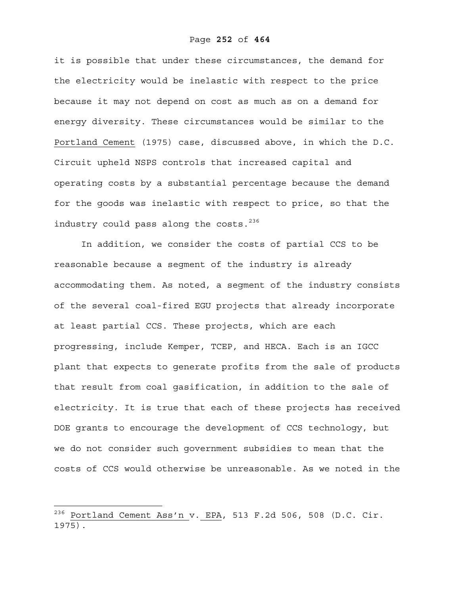it is possible that under these circumstances, the demand for the electricity would be inelastic with respect to the price because it may not depend on cost as much as on a demand for energy diversity. These circumstances would be similar to the Portland Cement (1975) case, discussed above, in which the D.C. Circuit upheld NSPS controls that increased capital and operating costs by a substantial percentage because the demand for the goods was inelastic with respect to price, so that the industry could pass along the costs.<sup>236</sup>

In addition, we consider the costs of partial CCS to be reasonable because a segment of the industry is already accommodating them. As noted, a segment of the industry consists of the several coal-fired EGU projects that already incorporate at least partial CCS. These projects, which are each progressing, include Kemper, TCEP, and HECA. Each is an IGCC plant that expects to generate profits from the sale of products that result from coal gasification, in addition to the sale of electricity. It is true that each of these projects has received DOE grants to encourage the development of CCS technology, but we do not consider such government subsidies to mean that the costs of CCS would otherwise be unreasonable. As we noted in the

 $^{236}$  Portland Cement Ass'n v. EPA, 513 F.2d 506, 508 (D.C. Cir. 1975).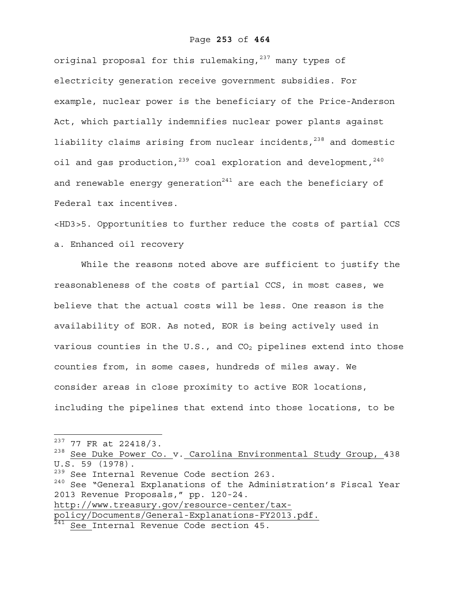## Page **253** of **464**

original proposal for this rulemaking,  $237$  many types of electricity generation receive government subsidies. For example, nuclear power is the beneficiary of the Price-Anderson Act, which partially indemnifies nuclear power plants against liability claims arising from nuclear incidents,<sup>238</sup> and domestic oil and gas production,  $239$  coal exploration and development,  $240$ and renewable energy generation $241$  are each the beneficiary of Federal tax incentives.

<HD3>5. Opportunities to further reduce the costs of partial CCS a. Enhanced oil recovery

While the reasons noted above are sufficient to justify the reasonableness of the costs of partial CCS, in most cases, we believe that the actual costs will be less. One reason is the availability of EOR. As noted, EOR is being actively used in various counties in the U.S., and  $CO<sub>2</sub>$  pipelines extend into those counties from, in some cases, hundreds of miles away. We consider areas in close proximity to active EOR locations, including the pipelines that extend into those locations, to be

 $\overline{a}$ 

 $237$  77 FR at 22418/3.

<sup>&</sup>lt;sup>238</sup> See Duke Power Co. v. Carolina Environmental Study Group, 438  $U.S. 59 (1978)$ .

<sup>&</sup>lt;sup>239</sup> See Internal Revenue Code section 263.

<sup>240</sup> See "General Explanations of the Administration's Fiscal Year 2013 Revenue Proposals," pp. 120-24. http://www.treasury.gov/resource-center/tax-

policy/Documents/General-Explanations-FY2013.pdf.

<sup>241</sup> See Internal Revenue Code section 45.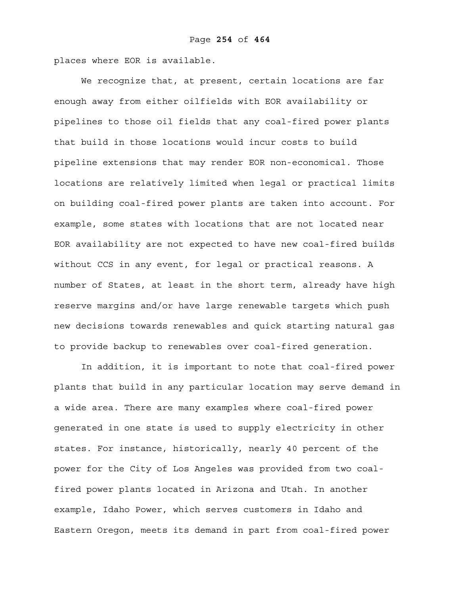places where EOR is available.

We recognize that, at present, certain locations are far enough away from either oilfields with EOR availability or pipelines to those oil fields that any coal-fired power plants that build in those locations would incur costs to build pipeline extensions that may render EOR non-economical. Those locations are relatively limited when legal or practical limits on building coal-fired power plants are taken into account. For example, some states with locations that are not located near EOR availability are not expected to have new coal-fired builds without CCS in any event, for legal or practical reasons. A number of States, at least in the short term, already have high reserve margins and/or have large renewable targets which push new decisions towards renewables and quick starting natural gas to provide backup to renewables over coal-fired generation.

In addition, it is important to note that coal-fired power plants that build in any particular location may serve demand in a wide area. There are many examples where coal-fired power generated in one state is used to supply electricity in other states. For instance, historically, nearly 40 percent of the power for the City of Los Angeles was provided from two coalfired power plants located in Arizona and Utah. In another example, Idaho Power, which serves customers in Idaho and Eastern Oregon, meets its demand in part from coal-fired power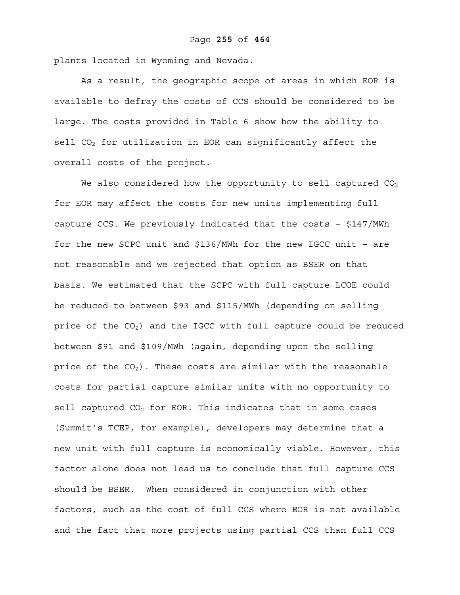plants located in Wyoming and Nevada.

As a result, the geographic scope of areas in which EOR is available to defray the costs of CCS should be considered to be large. The costs provided in Table 6 show how the ability to  $\text{sell}$  CO<sub>2</sub> for utilization in EOR can significantly affect the overall costs of the project.

We also considered how the opportunity to sell captured  $CO<sub>2</sub>$ for EOR may affect the costs for new units implementing full capture CCS. We previously indicated that the costs – \$147/MWh for the new SCPC unit and \$136/MWh for the new IGCC unit – are not reasonable and we rejected that option as BSER on that basis. We estimated that the SCPC with full capture LCOE could be reduced to between \$93 and \$115/MWh (depending on selling price of the CO<sub>2</sub>) and the IGCC with full capture could be reduced between \$91 and \$109/MWh (again, depending upon the selling price of the  $CO<sub>2</sub>$ ). These costs are similar with the reasonable costs for partial capture similar units with no opportunity to sell captured  $CO<sub>2</sub>$  for EOR. This indicates that in some cases (Summit's TCEP, for example), developers may determine that a new unit with full capture is economically viable. However, this factor alone does not lead us to conclude that full capture CCS should be BSER. When considered in conjunction with other factors, such as the cost of full CCS where EOR is not available and the fact that more projects using partial CCS than full CCS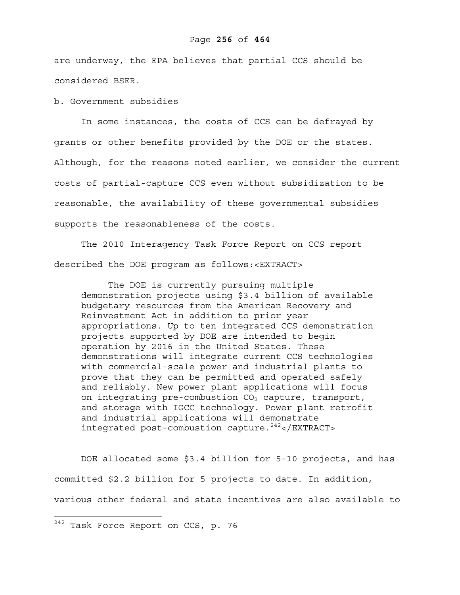## Page **256** of **464**

are underway, the EPA believes that partial CCS should be considered BSER.

b. Government subsidies

 In some instances, the costs of CCS can be defrayed by grants or other benefits provided by the DOE or the states. Although, for the reasons noted earlier, we consider the current costs of partial-capture CCS even without subsidization to be reasonable, the availability of these governmental subsidies supports the reasonableness of the costs.

 The 2010 Interagency Task Force Report on CCS report described the DOE program as follows:<EXTRACT>

The DOE is currently pursuing multiple demonstration projects using \$3.4 billion of available budgetary resources from the American Recovery and Reinvestment Act in addition to prior year appropriations. Up to ten integrated CCS demonstration projects supported by DOE are intended to begin operation by 2016 in the United States. These demonstrations will integrate current CCS technologies with commercial-scale power and industrial plants to prove that they can be permitted and operated safely and reliably. New power plant applications will focus on integrating pre-combustion  $CO<sub>2</sub>$  capture, transport, and storage with IGCC technology. Power plant retrofit and industrial applications will demonstrate integrated post-combustion capture. $242$ </EXTRACT>

DOE allocated some \$3.4 billion for 5-10 projects, and has committed \$2.2 billion for 5 projects to date. In addition, various other federal and state incentives are also available to

1

 $^{242}$  Task Force Report on CCS, p. 76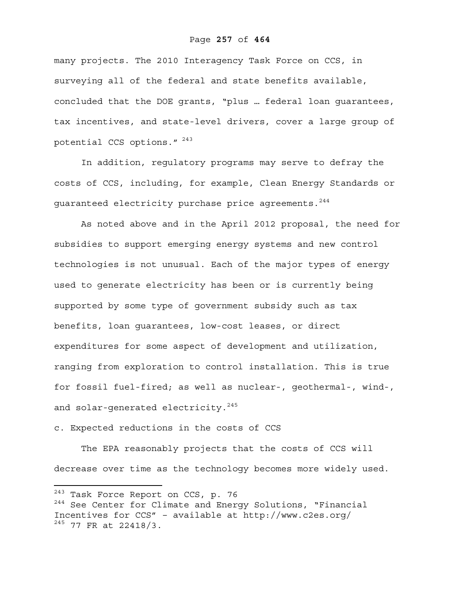## Page **257** of **464**

many projects. The 2010 Interagency Task Force on CCS, in surveying all of the federal and state benefits available, concluded that the DOE grants, "plus … federal loan guarantees, tax incentives, and state-level drivers, cover a large group of potential CCS options." 243

In addition, regulatory programs may serve to defray the costs of CCS, including, for example, Clean Energy Standards or quaranteed electricity purchase price agreements.<sup>244</sup>

As noted above and in the April 2012 proposal, the need for subsidies to support emerging energy systems and new control technologies is not unusual. Each of the major types of energy used to generate electricity has been or is currently being supported by some type of government subsidy such as tax benefits, loan guarantees, low-cost leases, or direct expenditures for some aspect of development and utilization, ranging from exploration to control installation. This is true for fossil fuel-fired; as well as nuclear-, geothermal-, wind-, and solar-generated electricity.<sup>245</sup>

# c. Expected reductions in the costs of CCS

The EPA reasonably projects that the costs of CCS will decrease over time as the technology becomes more widely used.

 $\overline{a}$ 

<sup>&</sup>lt;sup>243</sup> Task Force Report on CCS, p. 76 <sup>244</sup> See Center for Climate and Energy Solutions, "Financial Incentives for CCS" – available at http://www.c2es.org/

 $^{245}$  77 FR at 22418/3.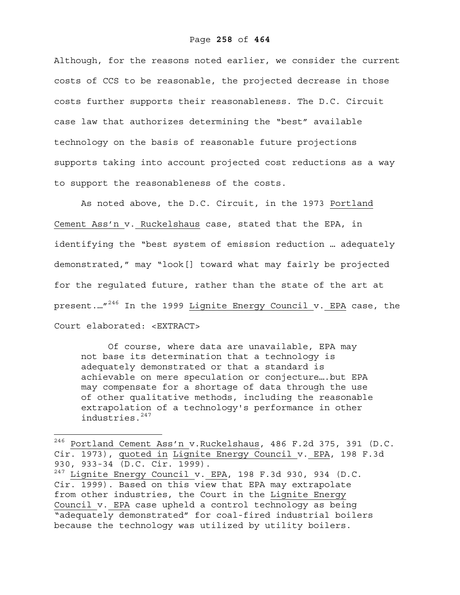Although, for the reasons noted earlier, we consider the current costs of CCS to be reasonable, the projected decrease in those costs further supports their reasonableness. The D.C. Circuit case law that authorizes determining the "best" available technology on the basis of reasonable future projections supports taking into account projected cost reductions as a way to support the reasonableness of the costs.

As noted above, the D.C. Circuit, in the 1973 Portland Cement Ass'n v. Ruckelshaus case, stated that the EPA, in identifying the "best system of emission reduction … adequately demonstrated," may "look[] toward what may fairly be projected for the regulated future, rather than the state of the art at present.…"<sup>246</sup> In the 1999 Lignite Energy Council v. EPA case, the Court elaborated: <EXTRACT>

Of course, where data are unavailable, EPA may not base its determination that a technology is adequately demonstrated or that a standard is achievable on mere speculation or conjecture….but EPA may compensate for a shortage of data through the use of other qualitative methods, including the reasonable extrapolation of a technology's performance in other industries.<sup>247</sup>

 $\overline{a}$ 

<sup>246</sup> Portland Cement Ass'n v.Ruckelshaus, 486 F.2d 375, 391 (D.C. Cir. 1973), quoted in Lignite Energy Council v. EPA, 198 F.3d 930, 933-34 (D.C. Cir. 1999).  $247$  Lignite Energy Council v. EPA, 198 F.3d 930, 934 (D.C. Cir. 1999). Based on this view that EPA may extrapolate from other industries, the Court in the Lignite Energy Council v. EPA case upheld a control technology as being "adequately demonstrated" for coal-fired industrial boilers

because the technology was utilized by utility boilers.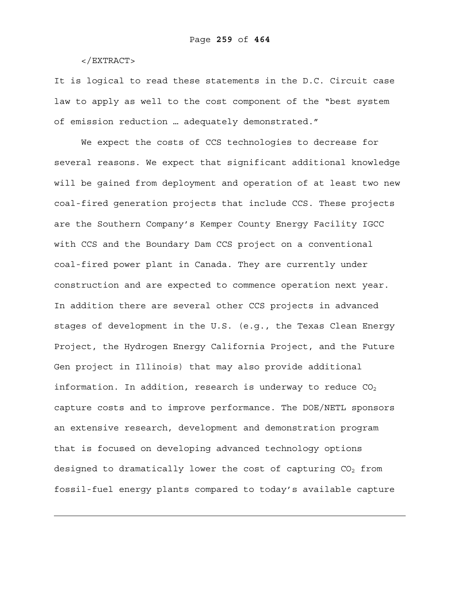</EXTRACT>

1

It is logical to read these statements in the D.C. Circuit case law to apply as well to the cost component of the "best system of emission reduction … adequately demonstrated."

We expect the costs of CCS technologies to decrease for several reasons. We expect that significant additional knowledge will be gained from deployment and operation of at least two new coal-fired generation projects that include CCS. These projects are the Southern Company's Kemper County Energy Facility IGCC with CCS and the Boundary Dam CCS project on a conventional coal-fired power plant in Canada. They are currently under construction and are expected to commence operation next year. In addition there are several other CCS projects in advanced stages of development in the U.S. (e.g., the Texas Clean Energy Project, the Hydrogen Energy California Project, and the Future Gen project in Illinois) that may also provide additional information. In addition, research is underway to reduce  $CO<sub>2</sub>$ capture costs and to improve performance. The DOE/NETL sponsors an extensive research, development and demonstration program that is focused on developing advanced technology options designed to dramatically lower the cost of capturing  $CO<sub>2</sub>$  from fossil-fuel energy plants compared to today's available capture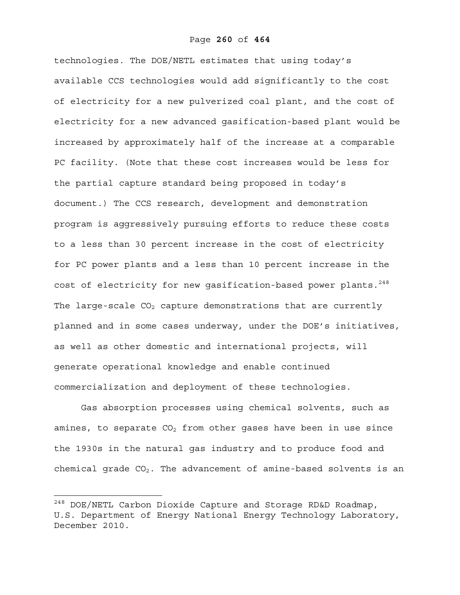## Page **260** of **464**

technologies. The DOE/NETL estimates that using today's available CCS technologies would add significantly to the cost of electricity for a new pulverized coal plant, and the cost of electricity for a new advanced gasification-based plant would be increased by approximately half of the increase at a comparable PC facility. (Note that these cost increases would be less for the partial capture standard being proposed in today's document.) The CCS research, development and demonstration program is aggressively pursuing efforts to reduce these costs to a less than 30 percent increase in the cost of electricity for PC power plants and a less than 10 percent increase in the cost of electricity for new gasification-based power plants.<sup>248</sup> The large-scale  $CO<sub>2</sub>$  capture demonstrations that are currently planned and in some cases underway, under the DOE's initiatives, as well as other domestic and international projects, will generate operational knowledge and enable continued commercialization and deployment of these technologies.

Gas absorption processes using chemical solvents, such as amines, to separate  $CO<sub>2</sub>$  from other gases have been in use since the 1930s in the natural gas industry and to produce food and chemical grade  $CO<sub>2</sub>$ . The advancement of amine-based solvents is an

1

 $^{248}$  DOE/NETL Carbon Dioxide Capture and Storage RD&D Roadmap, U.S. Department of Energy National Energy Technology Laboratory, December 2010.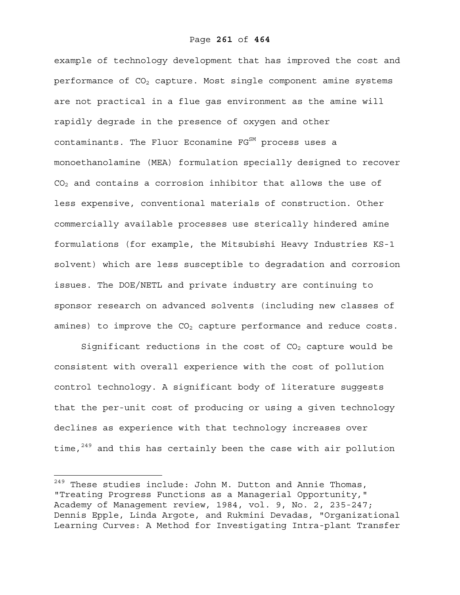example of technology development that has improved the cost and performance of  $CO<sub>2</sub>$  capture. Most single component amine systems are not practical in a flue gas environment as the amine will rapidly degrade in the presence of oxygen and other  $contaminants.$  The Fluor Econamine  $FG<sup>SM</sup>$  process uses a monoethanolamine (MEA) formulation specially designed to recover  $CO<sub>2</sub>$  and contains a corrosion inhibitor that allows the use of less expensive, conventional materials of construction. Other commercially available processes use sterically hindered amine formulations (for example, the Mitsubishi Heavy Industries KS-1 solvent) which are less susceptible to degradation and corrosion issues. The DOE/NETL and private industry are continuing to sponsor research on advanced solvents (including new classes of amines) to improve the  $CO<sub>2</sub>$  capture performance and reduce costs.

Significant reductions in the cost of  $CO<sub>2</sub>$  capture would be consistent with overall experience with the cost of pollution control technology. A significant body of literature suggests that the per-unit cost of producing or using a given technology declines as experience with that technology increases over time, $249$  and this has certainly been the case with air pollution

 $\overline{a}$ 

 $^{249}$  These studies include: John M. Dutton and Annie Thomas, "Treating Progress Functions as a Managerial Opportunity," Academy of Management review, 1984, vol. 9, No. 2, 235-247; Dennis Epple, Linda Argote, and Rukmini Devadas, "Organizational Learning Curves: A Method for Investigating Intra-plant Transfer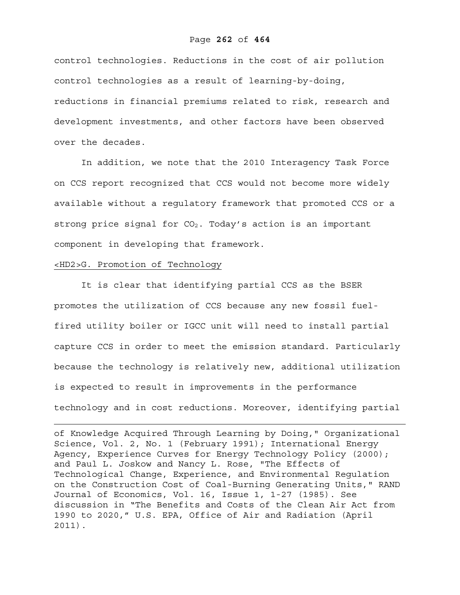## Page **262** of **464**

control technologies. Reductions in the cost of air pollution control technologies as a result of learning-by-doing, reductions in financial premiums related to risk, research and development investments, and other factors have been observed over the decades.

In addition, we note that the 2010 Interagency Task Force on CCS report recognized that CCS would not become more widely available without a regulatory framework that promoted CCS or a strong price signal for  $CO<sub>2</sub>$ . Today's action is an important component in developing that framework.

## <HD2>G. Promotion of Technology

 $\overline{a}$ 

It is clear that identifying partial CCS as the BSER promotes the utilization of CCS because any new fossil fuelfired utility boiler or IGCC unit will need to install partial capture CCS in order to meet the emission standard. Particularly because the technology is relatively new, additional utilization is expected to result in improvements in the performance technology and in cost reductions. Moreover, identifying partial

of Knowledge Acquired Through Learning by Doing," Organizational Science, Vol. 2, No. 1 (February 1991); International Energy Agency, Experience Curves for Energy Technology Policy (2000); and Paul L. Joskow and Nancy L. Rose, "The Effects of Technological Change, Experience, and Environmental Regulation on the Construction Cost of Coal-Burning Generating Units," RAND Journal of Economics, Vol. 16, Issue 1, 1-27 (1985). See discussion in "The Benefits and Costs of the Clean Air Act from 1990 to 2020," U.S. EPA, Office of Air and Radiation (April 2011).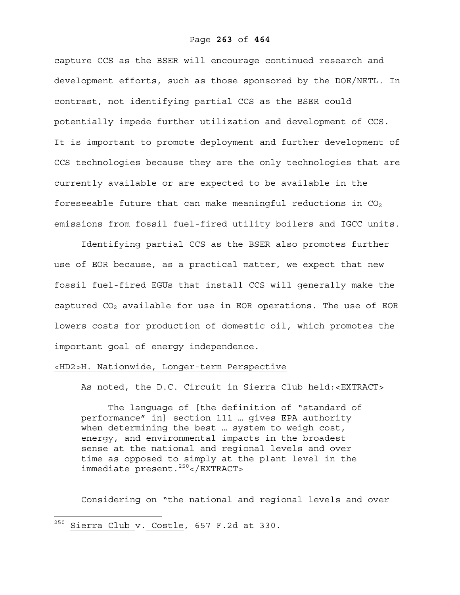capture CCS as the BSER will encourage continued research and development efforts, such as those sponsored by the DOE/NETL. In contrast, not identifying partial CCS as the BSER could potentially impede further utilization and development of CCS. It is important to promote deployment and further development of CCS technologies because they are the only technologies that are currently available or are expected to be available in the foreseeable future that can make meaningful reductions in  $CO<sub>2</sub>$ emissions from fossil fuel-fired utility boilers and IGCC units.

Identifying partial CCS as the BSER also promotes further use of EOR because, as a practical matter, we expect that new fossil fuel-fired EGUs that install CCS will generally make the captured  $CO<sub>2</sub>$  available for use in EOR operations. The use of EOR lowers costs for production of domestic oil, which promotes the important goal of energy independence.

## <HD2>H. Nationwide, Longer-term Perspective

As noted, the D.C. Circuit in Sierra Club held:<EXTRACT>

The language of [the definition of "standard of performance" in] section 111 … gives EPA authority when determining the best … system to weigh cost, energy, and environmental impacts in the broadest sense at the national and regional levels and over time as opposed to simply at the plant level in the immediate present.250</EXTRACT>

Considering on "the national and regional levels and over

 $\overline{a}$ 

 $^{250}$  Sierra Club v. Costle, 657 F.2d at 330.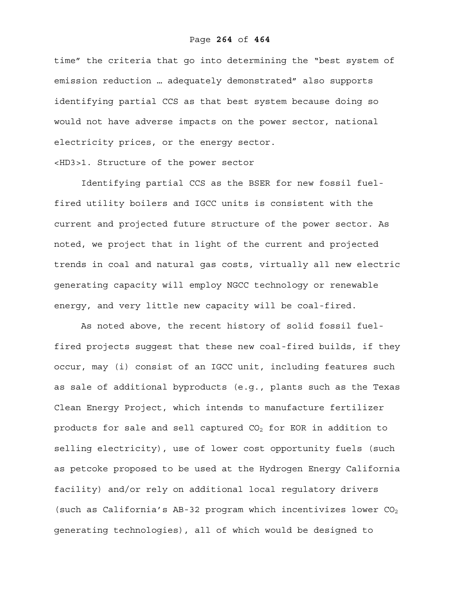## Page **264** of **464**

time" the criteria that go into determining the "best system of emission reduction … adequately demonstrated" also supports identifying partial CCS as that best system because doing so would not have adverse impacts on the power sector, national electricity prices, or the energy sector.

# <HD3>1. Structure of the power sector

Identifying partial CCS as the BSER for new fossil fuelfired utility boilers and IGCC units is consistent with the current and projected future structure of the power sector. As noted, we project that in light of the current and projected trends in coal and natural gas costs, virtually all new electric generating capacity will employ NGCC technology or renewable energy, and very little new capacity will be coal-fired.

As noted above, the recent history of solid fossil fuelfired projects suggest that these new coal-fired builds, if they occur, may (i) consist of an IGCC unit, including features such as sale of additional byproducts (e.g., plants such as the Texas Clean Energy Project, which intends to manufacture fertilizer products for sale and sell captured  $CO<sub>2</sub>$  for EOR in addition to selling electricity), use of lower cost opportunity fuels (such as petcoke proposed to be used at the Hydrogen Energy California facility) and/or rely on additional local regulatory drivers (such as California's AB-32 program which incentivizes lower  $CO<sub>2</sub>$ generating technologies), all of which would be designed to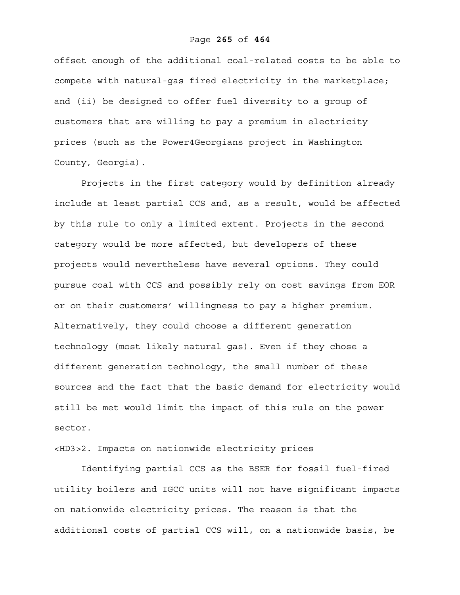## Page **265** of **464**

offset enough of the additional coal-related costs to be able to compete with natural-gas fired electricity in the marketplace; and (ii) be designed to offer fuel diversity to a group of customers that are willing to pay a premium in electricity prices (such as the Power4Georgians project in Washington County, Georgia).

Projects in the first category would by definition already include at least partial CCS and, as a result, would be affected by this rule to only a limited extent. Projects in the second category would be more affected, but developers of these projects would nevertheless have several options. They could pursue coal with CCS and possibly rely on cost savings from EOR or on their customers' willingness to pay a higher premium. Alternatively, they could choose a different generation technology (most likely natural gas). Even if they chose a different generation technology, the small number of these sources and the fact that the basic demand for electricity would still be met would limit the impact of this rule on the power sector.

<HD3>2. Impacts on nationwide electricity prices

Identifying partial CCS as the BSER for fossil fuel-fired utility boilers and IGCC units will not have significant impacts on nationwide electricity prices. The reason is that the additional costs of partial CCS will, on a nationwide basis, be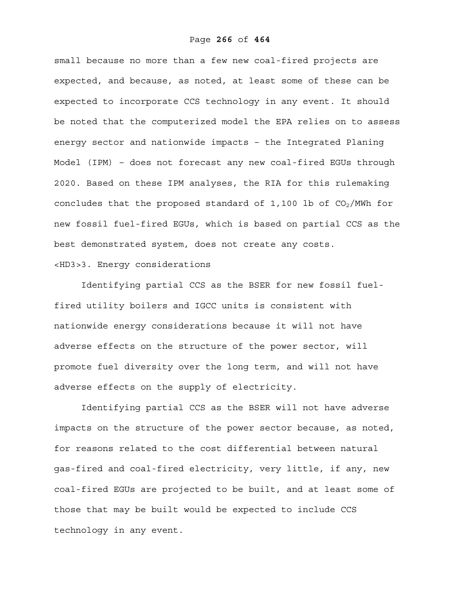small because no more than a few new coal-fired projects are expected, and because, as noted, at least some of these can be expected to incorporate CCS technology in any event. It should be noted that the computerized model the EPA relies on to assess energy sector and nationwide impacts – the Integrated Planing Model (IPM) – does not forecast any new coal-fired EGUs through 2020. Based on these IPM analyses, the RIA for this rulemaking concludes that the proposed standard of  $1,100$  lb of  $CO<sub>2</sub>/MWh$  for new fossil fuel-fired EGUs, which is based on partial CCS as the best demonstrated system, does not create any costs. <HD3>3. Energy considerations

Identifying partial CCS as the BSER for new fossil fuelfired utility boilers and IGCC units is consistent with nationwide energy considerations because it will not have adverse effects on the structure of the power sector, will promote fuel diversity over the long term, and will not have adverse effects on the supply of electricity.

Identifying partial CCS as the BSER will not have adverse impacts on the structure of the power sector because, as noted, for reasons related to the cost differential between natural gas-fired and coal-fired electricity, very little, if any, new coal-fired EGUs are projected to be built, and at least some of those that may be built would be expected to include CCS technology in any event.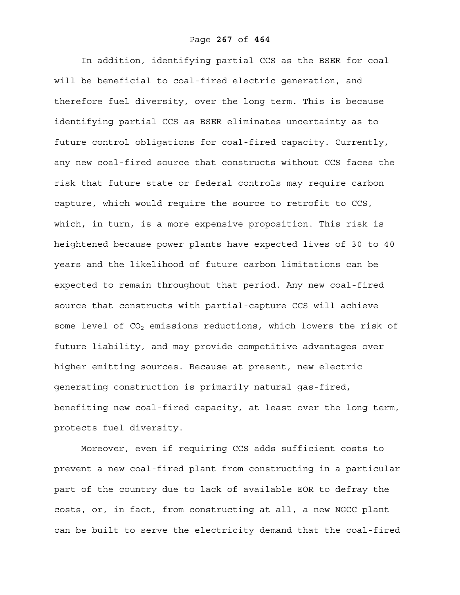In addition, identifying partial CCS as the BSER for coal will be beneficial to coal-fired electric generation, and therefore fuel diversity, over the long term. This is because identifying partial CCS as BSER eliminates uncertainty as to future control obligations for coal-fired capacity. Currently, any new coal-fired source that constructs without CCS faces the risk that future state or federal controls may require carbon capture, which would require the source to retrofit to CCS, which, in turn, is a more expensive proposition. This risk is heightened because power plants have expected lives of 30 to 40 years and the likelihood of future carbon limitations can be expected to remain throughout that period. Any new coal-fired source that constructs with partial-capture CCS will achieve some level of  $CO<sub>2</sub>$  emissions reductions, which lowers the risk of future liability, and may provide competitive advantages over higher emitting sources. Because at present, new electric generating construction is primarily natural gas-fired, benefiting new coal-fired capacity, at least over the long term, protects fuel diversity.

Moreover, even if requiring CCS adds sufficient costs to prevent a new coal-fired plant from constructing in a particular part of the country due to lack of available EOR to defray the costs, or, in fact, from constructing at all, a new NGCC plant can be built to serve the electricity demand that the coal-fired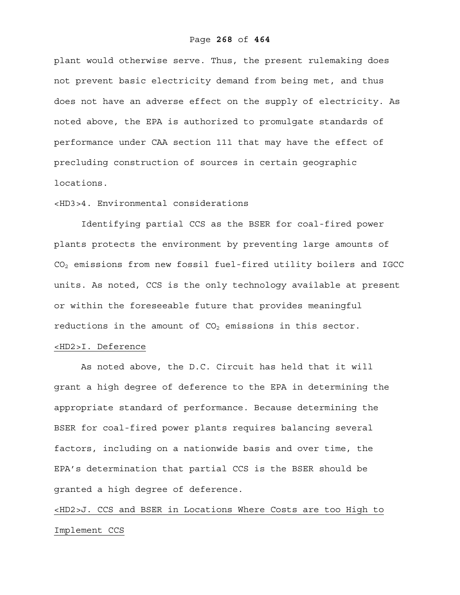## Page **268** of **464**

plant would otherwise serve. Thus, the present rulemaking does not prevent basic electricity demand from being met, and thus does not have an adverse effect on the supply of electricity. As noted above, the EPA is authorized to promulgate standards of performance under CAA section 111 that may have the effect of precluding construction of sources in certain geographic locations.

# <HD3>4. Environmental considerations

Identifying partial CCS as the BSER for coal-fired power plants protects the environment by preventing large amounts of CO2 emissions from new fossil fuel-fired utility boilers and IGCC units. As noted, CCS is the only technology available at present or within the foreseeable future that provides meaningful reductions in the amount of  $CO<sub>2</sub>$  emissions in this sector.

# <HD2>I. Deference

As noted above, the D.C. Circuit has held that it will grant a high degree of deference to the EPA in determining the appropriate standard of performance. Because determining the BSER for coal-fired power plants requires balancing several factors, including on a nationwide basis and over time, the EPA's determination that partial CCS is the BSER should be granted a high degree of deference.

<HD2>J. CCS and BSER in Locations Where Costs are too High to Implement CCS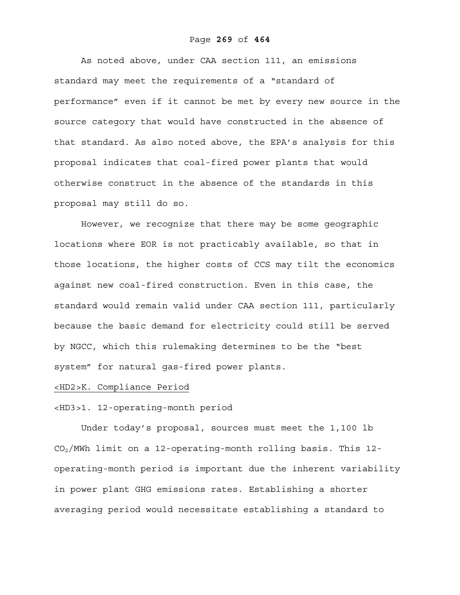## Page **269** of **464**

As noted above, under CAA section 111, an emissions standard may meet the requirements of a "standard of performance" even if it cannot be met by every new source in the source category that would have constructed in the absence of that standard. As also noted above, the EPA's analysis for this proposal indicates that coal-fired power plants that would otherwise construct in the absence of the standards in this proposal may still do so.

However, we recognize that there may be some geographic locations where EOR is not practicably available, so that in those locations, the higher costs of CCS may tilt the economics against new coal-fired construction. Even in this case, the standard would remain valid under CAA section 111, particularly because the basic demand for electricity could still be served by NGCC, which this rulemaking determines to be the "best system" for natural gas-fired power plants.

## <HD2>K. Compliance Period

## <HD3>1. 12-operating-month period

Under today's proposal, sources must meet the 1,100 lb CO2/MWh limit on a 12-operating-month rolling basis. This 12 operating-month period is important due the inherent variability in power plant GHG emissions rates. Establishing a shorter averaging period would necessitate establishing a standard to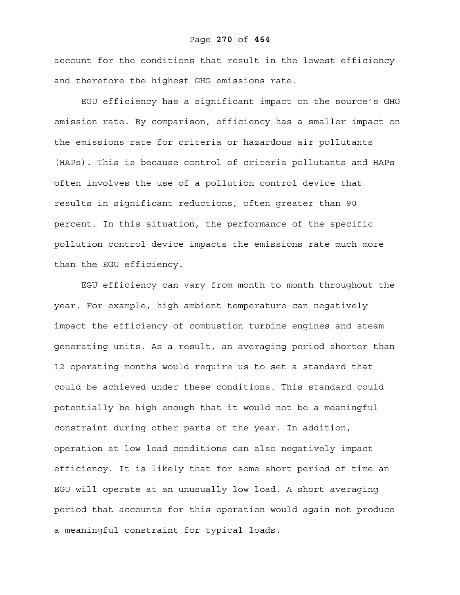## Page **270** of **464**

account for the conditions that result in the lowest efficiency and therefore the highest GHG emissions rate.

EGU efficiency has a significant impact on the source's GHG emission rate. By comparison, efficiency has a smaller impact on the emissions rate for criteria or hazardous air pollutants (HAPs). This is because control of criteria pollutants and HAPs often involves the use of a pollution control device that results in significant reductions, often greater than 90 percent. In this situation, the performance of the specific pollution control device impacts the emissions rate much more than the EGU efficiency.

EGU efficiency can vary from month to month throughout the year. For example, high ambient temperature can negatively impact the efficiency of combustion turbine engines and steam generating units. As a result, an averaging period shorter than 12 operating-months would require us to set a standard that could be achieved under these conditions. This standard could potentially be high enough that it would not be a meaningful constraint during other parts of the year. In addition, operation at low load conditions can also negatively impact efficiency. It is likely that for some short period of time an EGU will operate at an unusually low load. A short averaging period that accounts for this operation would again not produce a meaningful constraint for typical loads.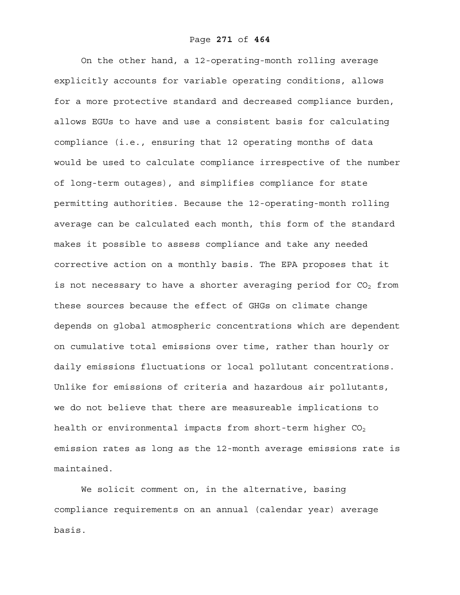On the other hand, a 12-operating-month rolling average explicitly accounts for variable operating conditions, allows for a more protective standard and decreased compliance burden, allows EGUs to have and use a consistent basis for calculating compliance (i.e., ensuring that 12 operating months of data would be used to calculate compliance irrespective of the number of long-term outages), and simplifies compliance for state permitting authorities. Because the 12-operating-month rolling average can be calculated each month, this form of the standard makes it possible to assess compliance and take any needed corrective action on a monthly basis. The EPA proposes that it is not necessary to have a shorter averaging period for  $CO<sub>2</sub>$  from these sources because the effect of GHGs on climate change depends on global atmospheric concentrations which are dependent on cumulative total emissions over time, rather than hourly or daily emissions fluctuations or local pollutant concentrations. Unlike for emissions of criteria and hazardous air pollutants, we do not believe that there are measureable implications to health or environmental impacts from short-term higher  $CO<sub>2</sub>$ emission rates as long as the 12-month average emissions rate is maintained.

We solicit comment on, in the alternative, basing compliance requirements on an annual (calendar year) average basis.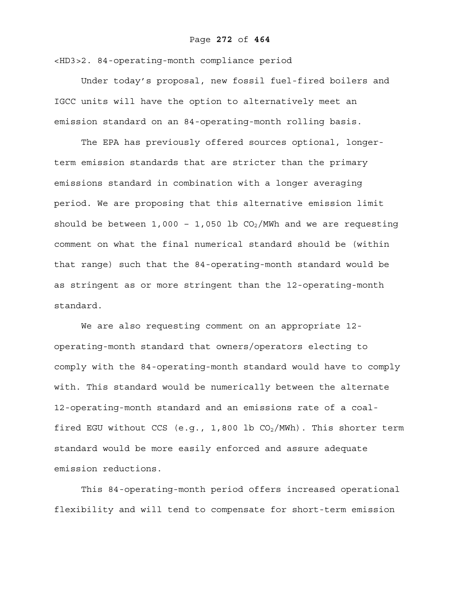## Page **272** of **464**

<HD3>2. 84-operating-month compliance period

Under today's proposal, new fossil fuel-fired boilers and IGCC units will have the option to alternatively meet an emission standard on an 84-operating-month rolling basis.

The EPA has previously offered sources optional, longerterm emission standards that are stricter than the primary emissions standard in combination with a longer averaging period. We are proposing that this alternative emission limit should be between  $1,000 - 1,050$  lb  $CO<sub>2</sub>/MWh$  and we are requesting comment on what the final numerical standard should be (within that range) such that the 84-operating-month standard would be as stringent as or more stringent than the 12-operating-month standard.

We are also requesting comment on an appropriate 12 operating-month standard that owners/operators electing to comply with the 84-operating-month standard would have to comply with. This standard would be numerically between the alternate 12-operating-month standard and an emissions rate of a coalfired EGU without CCS (e.g., 1,800 lb  $CO_2/MWh$ ). This shorter term standard would be more easily enforced and assure adequate emission reductions.

This 84-operating-month period offers increased operational flexibility and will tend to compensate for short-term emission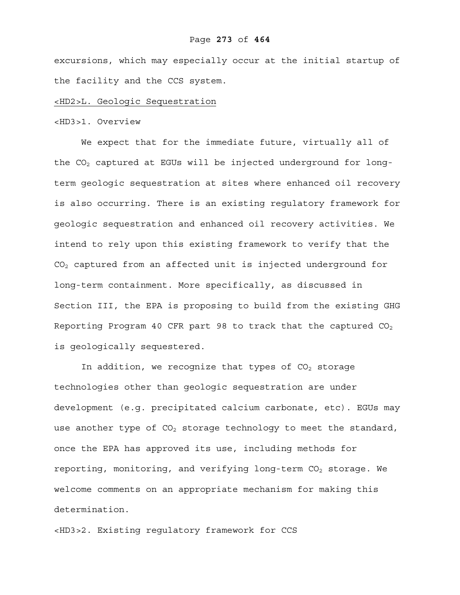excursions, which may especially occur at the initial startup of the facility and the CCS system.

## <HD2>L. Geologic Sequestration

## <HD3>1. Overview

We expect that for the immediate future, virtually all of the  $CO<sub>2</sub>$  captured at EGUs will be injected underground for longterm geologic sequestration at sites where enhanced oil recovery is also occurring. There is an existing regulatory framework for geologic sequestration and enhanced oil recovery activities. We intend to rely upon this existing framework to verify that the  $CO<sub>2</sub>$  captured from an affected unit is injected underground for long-term containment. More specifically, as discussed in Section III, the EPA is proposing to build from the existing GHG Reporting Program 40 CFR part 98 to track that the captured  $CO<sub>2</sub>$ is geologically sequestered.

In addition, we recognize that types of  $CO<sub>2</sub>$  storage technologies other than geologic sequestration are under development (e.g. precipitated calcium carbonate, etc). EGUs may use another type of  $CO<sub>2</sub>$  storage technology to meet the standard, once the EPA has approved its use, including methods for reporting, monitoring, and verifying long-term  $CO<sub>2</sub>$  storage. We welcome comments on an appropriate mechanism for making this determination.

<HD3>2. Existing regulatory framework for CCS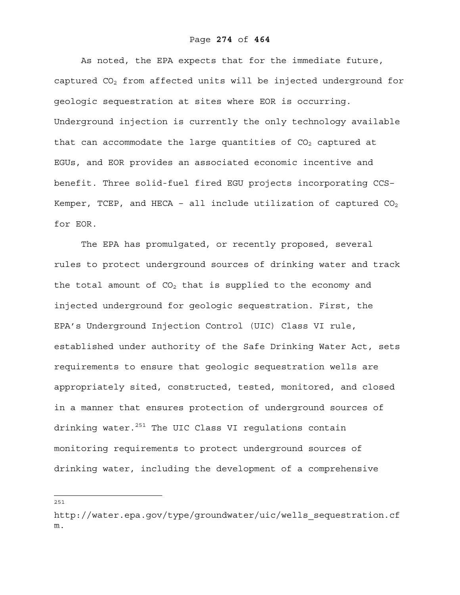As noted, the EPA expects that for the immediate future, captured  $CO<sub>2</sub>$  from affected units will be injected underground for geologic sequestration at sites where EOR is occurring. Underground injection is currently the only technology available that can accommodate the large quantities of  $CO<sub>2</sub>$  captured at EGUs, and EOR provides an associated economic incentive and benefit. Three solid-fuel fired EGU projects incorporating CCS– Kemper, TCEP, and HECA - all include utilization of captured  $CO<sub>2</sub>$ for EOR.

The EPA has promulgated, or recently proposed, several rules to protect underground sources of drinking water and track the total amount of  $CO<sub>2</sub>$  that is supplied to the economy and injected underground for geologic sequestration. First, the EPA's Underground Injection Control (UIC) Class VI rule, established under authority of the Safe Drinking Water Act, sets requirements to ensure that geologic sequestration wells are appropriately sited, constructed, tested, monitored, and closed in a manner that ensures protection of underground sources of drinking water.<sup>251</sup> The UIC Class VI regulations contain monitoring requirements to protect underground sources of drinking water, including the development of a comprehensive

——<br>251

http://water.epa.gov/type/groundwater/uic/wells\_sequestration.cf m.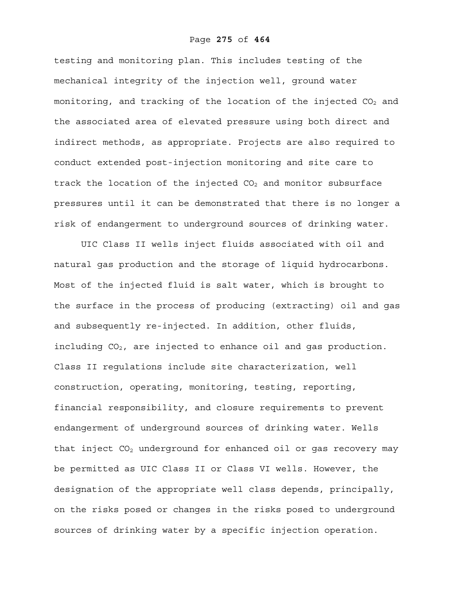## Page **275** of **464**

testing and monitoring plan. This includes testing of the mechanical integrity of the injection well, ground water monitoring, and tracking of the location of the injected  $CO<sub>2</sub>$  and the associated area of elevated pressure using both direct and indirect methods, as appropriate. Projects are also required to conduct extended post-injection monitoring and site care to track the location of the injected  $CO<sub>2</sub>$  and monitor subsurface pressures until it can be demonstrated that there is no longer a risk of endangerment to underground sources of drinking water.

UIC Class II wells inject fluids associated with oil and natural gas production and the storage of liquid hydrocarbons. Most of the injected fluid is salt water, which is brought to the surface in the process of producing (extracting) oil and gas and subsequently re-injected. In addition, other fluids, including CO<sub>2</sub>, are injected to enhance oil and gas production. Class II regulations include site characterization, well construction, operating, monitoring, testing, reporting, financial responsibility, and closure requirements to prevent endangerment of underground sources of drinking water. Wells that inject  $CO<sub>2</sub>$  underground for enhanced oil or gas recovery may be permitted as UIC Class II or Class VI wells. However, the designation of the appropriate well class depends, principally, on the risks posed or changes in the risks posed to underground sources of drinking water by a specific injection operation.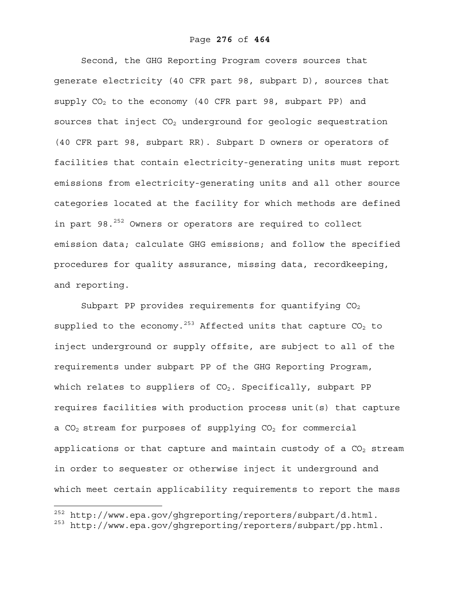Second, the GHG Reporting Program covers sources that generate electricity (40 CFR part 98, subpart D), sources that supply  $CO<sub>2</sub>$  to the economy (40 CFR part 98, subpart PP) and sources that inject  $CO<sub>2</sub>$  underground for geologic sequestration (40 CFR part 98, subpart RR). Subpart D owners or operators of facilities that contain electricity-generating units must report emissions from electricity-generating units and all other source categories located at the facility for which methods are defined in part 98. $^{252}$  Owners or operators are required to collect emission data; calculate GHG emissions; and follow the specified procedures for quality assurance, missing data, recordkeeping, and reporting.

Subpart PP provides requirements for quantifying  $CO<sub>2</sub>$ supplied to the economy.<sup>253</sup> Affected units that capture  $CO<sub>2</sub>$  to inject underground or supply offsite, are subject to all of the requirements under subpart PP of the GHG Reporting Program, which relates to suppliers of  $CO<sub>2</sub>$ . Specifically, subpart PP requires facilities with production process unit(s) that capture a  $CO<sub>2</sub>$  stream for purposes of supplying  $CO<sub>2</sub>$  for commercial applications or that capture and maintain custody of a  $CO<sub>2</sub>$  stream in order to sequester or otherwise inject it underground and which meet certain applicability requirements to report the mass

 $\overline{a}$ 

 $252$  http://www.epa.gov/ghgreporting/reporters/subpart/d.html.

<sup>253</sup> http://www.epa.gov/ghgreporting/reporters/subpart/pp.html.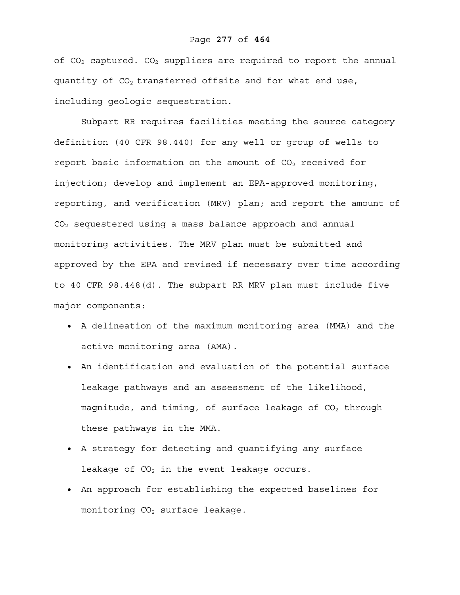# Page **277** of **464**

of  $CO<sub>2</sub>$  captured.  $CO<sub>2</sub>$  suppliers are required to report the annual quantity of  $CO<sub>2</sub>$  transferred offsite and for what end use, including geologic sequestration.

Subpart RR requires facilities meeting the source category definition (40 CFR 98.440) for any well or group of wells to report basic information on the amount of CO<sub>2</sub> received for injection; develop and implement an EPA-approved monitoring, reporting, and verification (MRV) plan; and report the amount of  $CO<sub>2</sub>$  sequestered using a mass balance approach and annual monitoring activities. The MRV plan must be submitted and approved by the EPA and revised if necessary over time according to 40 CFR 98.448(d). The subpart RR MRV plan must include five major components:

- A delineation of the maximum monitoring area (MMA) and the active monitoring area (AMA).
- An identification and evaluation of the potential surface leakage pathways and an assessment of the likelihood, magnitude, and timing, of surface leakage of  $CO<sub>2</sub>$  through these pathways in the MMA.
- A strategy for detecting and quantifying any surface leakage of  $CO<sub>2</sub>$  in the event leakage occurs.
- An approach for establishing the expected baselines for monitoring  $CO<sub>2</sub>$  surface leakage.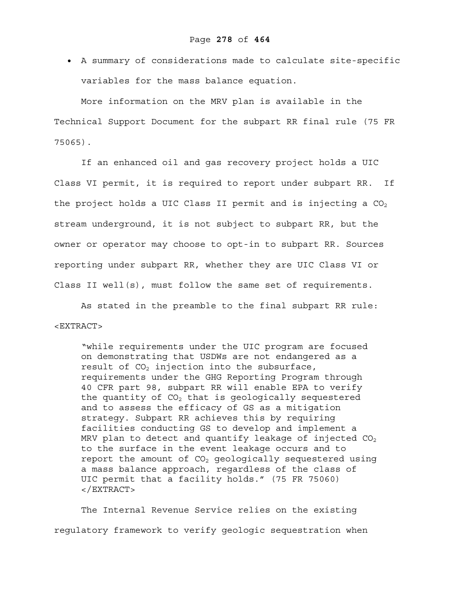• A summary of considerations made to calculate site-specific variables for the mass balance equation.

More information on the MRV plan is available in the Technical Support Document for the subpart RR final rule (75 FR 75065).

If an enhanced oil and gas recovery project holds a UIC Class VI permit, it is required to report under subpart RR. If the project holds a UIC Class II permit and is injecting a  $CO<sub>2</sub>$ stream underground, it is not subject to subpart RR, but the owner or operator may choose to opt-in to subpart RR. Sources reporting under subpart RR, whether they are UIC Class VI or Class II well(s), must follow the same set of requirements.

As stated in the preamble to the final subpart RR rule:  $<$ EXTRACT>

"while requirements under the UIC program are focused on demonstrating that USDWs are not endangered as a result of  $CO<sub>2</sub>$  injection into the subsurface, requirements under the GHG Reporting Program through 40 CFR part 98, subpart RR will enable EPA to verify the quantity of  $CO<sub>2</sub>$  that is geologically sequestered and to assess the efficacy of GS as a mitigation strategy. Subpart RR achieves this by requiring facilities conducting GS to develop and implement a MRV plan to detect and quantify leakage of injected  $CO<sub>2</sub>$ to the surface in the event leakage occurs and to report the amount of  $CO<sub>2</sub>$  geologically sequestered using a mass balance approach, regardless of the class of UIC permit that a facility holds." (75 FR 75060) </EXTRACT>

The Internal Revenue Service relies on the existing regulatory framework to verify geologic sequestration when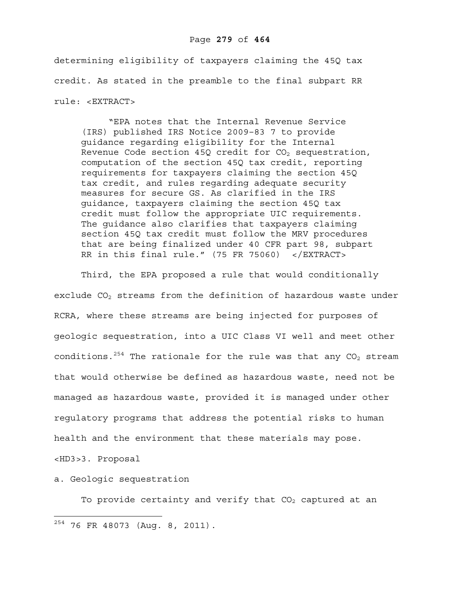## Page **279** of **464**

determining eligibility of taxpayers claiming the 45Q tax credit. As stated in the preamble to the final subpart RR rule: <EXTRACT>

"EPA notes that the Internal Revenue Service (IRS) published IRS Notice 2009–83 7 to provide guidance regarding eligibility for the Internal Revenue Code section 45Q credit for  $CO<sub>2</sub>$  sequestration, computation of the section 45Q tax credit, reporting requirements for taxpayers claiming the section 45Q tax credit, and rules regarding adequate security measures for secure GS. As clarified in the IRS guidance, taxpayers claiming the section 45Q tax credit must follow the appropriate UIC requirements. The guidance also clarifies that taxpayers claiming section 45Q tax credit must follow the MRV procedures that are being finalized under 40 CFR part 98, subpart RR in this final rule." (75 FR 75060) </EXTRACT>

Third, the EPA proposed a rule that would conditionally exclude  $CO<sub>2</sub>$  streams from the definition of hazardous waste under RCRA, where these streams are being injected for purposes of geologic sequestration, into a UIC Class VI well and meet other conditions.<sup>254</sup> The rationale for the rule was that any  $CO<sub>2</sub>$  stream that would otherwise be defined as hazardous waste, need not be managed as hazardous waste, provided it is managed under other regulatory programs that address the potential risks to human health and the environment that these materials may pose.

<HD3>3. Proposal

 $\overline{a}$ 

a. Geologic sequestration

To provide certainty and verify that  $CO<sub>2</sub>$  captured at an

 $^{254}$  76 FR 48073 (Aug. 8, 2011).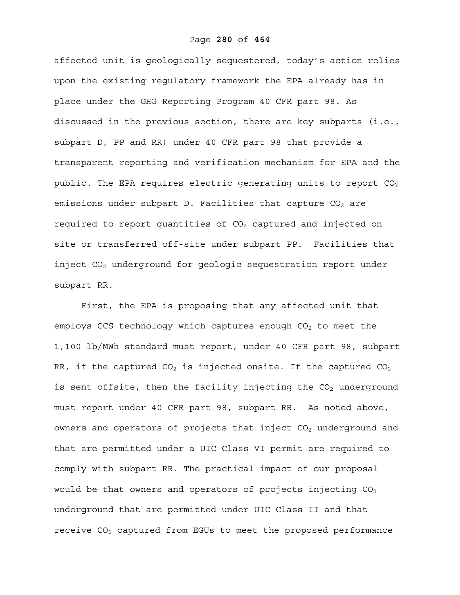affected unit is geologically sequestered, today's action relies upon the existing regulatory framework the EPA already has in place under the GHG Reporting Program 40 CFR part 98. As discussed in the previous section, there are key subparts (i.e., subpart D, PP and RR) under 40 CFR part 98 that provide a transparent reporting and verification mechanism for EPA and the public. The EPA requires electric generating units to report  $CO<sub>2</sub>$ emissions under subpart D. Facilities that capture  $CO<sub>2</sub>$  are required to report quantities of  $CO<sub>2</sub>$  captured and injected on site or transferred off-site under subpart PP. Facilities that inject  $CO<sub>2</sub>$  underground for geologic sequestration report under subpart RR.

First, the EPA is proposing that any affected unit that employs CCS technology which captures enough  $CO<sub>2</sub>$  to meet the 1,100 lb/MWh standard must report, under 40 CFR part 98, subpart RR, if the captured CO<sub>2</sub> is injected onsite. If the captured CO<sub>2</sub> is sent offsite, then the facility injecting the  $CO<sub>2</sub>$  underground must report under 40 CFR part 98, subpart RR. As noted above, owners and operators of projects that inject  $CO<sub>2</sub>$  underground and that are permitted under a UIC Class VI permit are required to comply with subpart RR. The practical impact of our proposal would be that owners and operators of projects injecting  $CO<sub>2</sub>$ underground that are permitted under UIC Class II and that receive  $CO<sub>2</sub>$  captured from EGUs to meet the proposed performance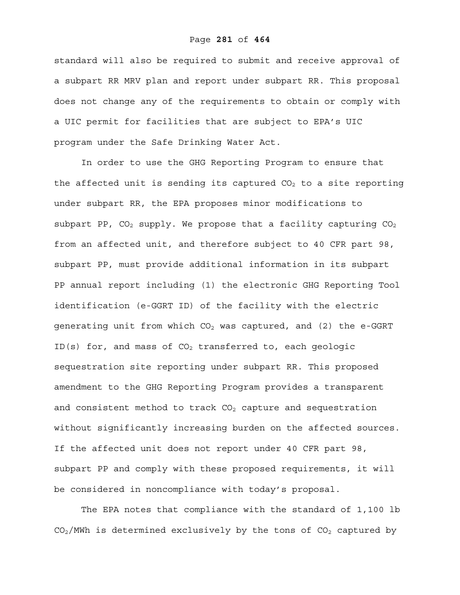## Page **281** of **464**

standard will also be required to submit and receive approval of a subpart RR MRV plan and report under subpart RR. This proposal does not change any of the requirements to obtain or comply with a UIC permit for facilities that are subject to EPA's UIC program under the Safe Drinking Water Act.

In order to use the GHG Reporting Program to ensure that the affected unit is sending its captured  $CO<sub>2</sub>$  to a site reporting under subpart RR, the EPA proposes minor modifications to subpart PP,  $CO_2$  supply. We propose that a facility capturing  $CO_2$ from an affected unit, and therefore subject to 40 CFR part 98, subpart PP, must provide additional information in its subpart PP annual report including (1) the electronic GHG Reporting Tool identification (e-GGRT ID) of the facility with the electric generating unit from which  $CO<sub>2</sub>$  was captured, and (2) the e-GGRT ID(s) for, and mass of  $CO<sub>2</sub>$  transferred to, each geologic sequestration site reporting under subpart RR. This proposed amendment to the GHG Reporting Program provides a transparent and consistent method to track  $CO<sub>2</sub>$  capture and sequestration without significantly increasing burden on the affected sources. If the affected unit does not report under 40 CFR part 98, subpart PP and comply with these proposed requirements, it will be considered in noncompliance with today's proposal.

The EPA notes that compliance with the standard of 1,100 lb  $CO<sub>2</sub>/MWh$  is determined exclusively by the tons of  $CO<sub>2</sub>$  captured by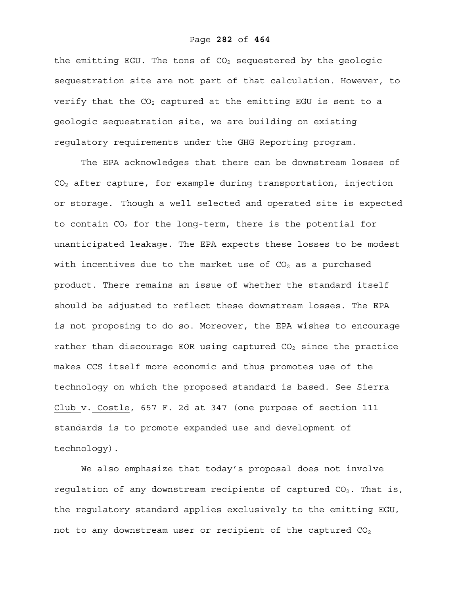#### Page **282** of **464**

the emitting EGU. The tons of  $CO<sub>2</sub>$  sequestered by the geologic sequestration site are not part of that calculation. However, to verify that the  $CO<sub>2</sub>$  captured at the emitting EGU is sent to a geologic sequestration site, we are building on existing regulatory requirements under the GHG Reporting program.

The EPA acknowledges that there can be downstream losses of CO2 after capture, for example during transportation, injection or storage. Though a well selected and operated site is expected to contain  $CO<sub>2</sub>$  for the long-term, there is the potential for unanticipated leakage. The EPA expects these losses to be modest with incentives due to the market use of  $CO<sub>2</sub>$  as a purchased product. There remains an issue of whether the standard itself should be adjusted to reflect these downstream losses. The EPA is not proposing to do so. Moreover, the EPA wishes to encourage rather than discourage EOR using captured  $CO<sub>2</sub>$  since the practice makes CCS itself more economic and thus promotes use of the technology on which the proposed standard is based. See Sierra Club v. Costle, 657 F. 2d at 347 (one purpose of section 111 standards is to promote expanded use and development of technology).

We also emphasize that today's proposal does not involve regulation of any downstream recipients of captured  $CO<sub>2</sub>$ . That is, the regulatory standard applies exclusively to the emitting EGU, not to any downstream user or recipient of the captured  $CO<sub>2</sub>$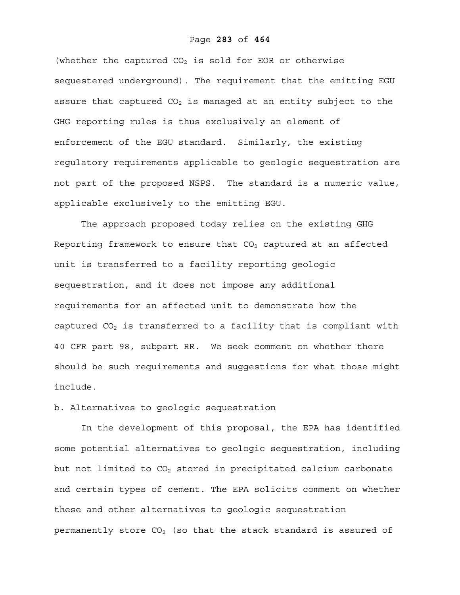## Page **283** of **464**

(whether the captured  $CO<sub>2</sub>$  is sold for EOR or otherwise sequestered underground). The requirement that the emitting EGU assure that captured  $CO<sub>2</sub>$  is managed at an entity subject to the GHG reporting rules is thus exclusively an element of enforcement of the EGU standard. Similarly, the existing regulatory requirements applicable to geologic sequestration are not part of the proposed NSPS. The standard is a numeric value, applicable exclusively to the emitting EGU.

The approach proposed today relies on the existing GHG Reporting framework to ensure that  $CO<sub>2</sub>$  captured at an affected unit is transferred to a facility reporting geologic sequestration, and it does not impose any additional requirements for an affected unit to demonstrate how the captured  $CO<sub>2</sub>$  is transferred to a facility that is compliant with 40 CFR part 98, subpart RR. We seek comment on whether there should be such requirements and suggestions for what those might include.

b. Alternatives to geologic sequestration

In the development of this proposal, the EPA has identified some potential alternatives to geologic sequestration, including but not limited to  $CO<sub>2</sub>$  stored in precipitated calcium carbonate and certain types of cement. The EPA solicits comment on whether these and other alternatives to geologic sequestration permanently store  $CO<sub>2</sub>$  (so that the stack standard is assured of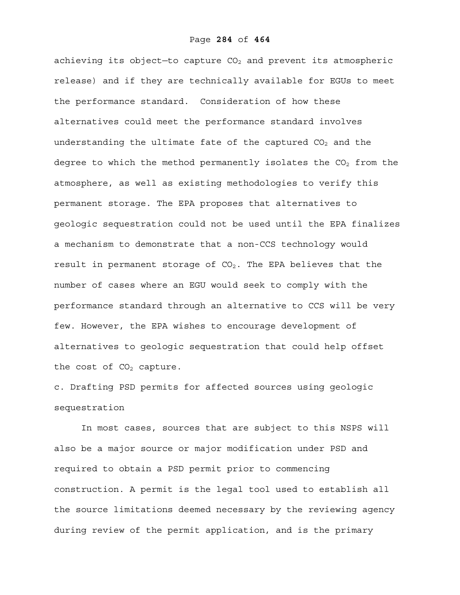achieving its object-to capture  $CO<sub>2</sub>$  and prevent its atmospheric release) and if they are technically available for EGUs to meet the performance standard. Consideration of how these alternatives could meet the performance standard involves understanding the ultimate fate of the captured  $CO<sub>2</sub>$  and the degree to which the method permanently isolates the  $CO<sub>2</sub>$  from the atmosphere, as well as existing methodologies to verify this permanent storage. The EPA proposes that alternatives to geologic sequestration could not be used until the EPA finalizes a mechanism to demonstrate that a non-CCS technology would result in permanent storage of  $CO<sub>2</sub>$ . The EPA believes that the number of cases where an EGU would seek to comply with the performance standard through an alternative to CCS will be very few. However, the EPA wishes to encourage development of alternatives to geologic sequestration that could help offset the cost of  $CO<sub>2</sub>$  capture.

c. Drafting PSD permits for affected sources using geologic sequestration

In most cases, sources that are subject to this NSPS will also be a major source or major modification under PSD and required to obtain a PSD permit prior to commencing construction. A permit is the legal tool used to establish all the source limitations deemed necessary by the reviewing agency during review of the permit application, and is the primary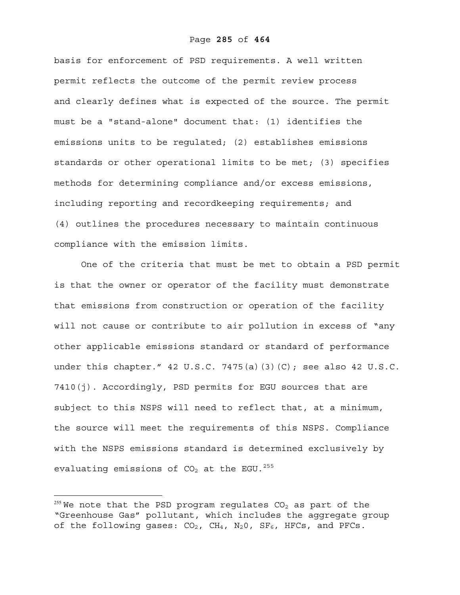# Page **285** of **464**

basis for enforcement of PSD requirements. A well written permit reflects the outcome of the permit review process and clearly defines what is expected of the source. The permit must be a "stand-alone" document that: (1) identifies the emissions units to be regulated; (2) establishes emissions standards or other operational limits to be met; (3) specifies methods for determining compliance and/or excess emissions, including reporting and recordkeeping requirements; and (4) outlines the procedures necessary to maintain continuous compliance with the emission limits.

One of the criteria that must be met to obtain a PSD permit is that the owner or operator of the facility must demonstrate that emissions from construction or operation of the facility will not cause or contribute to air pollution in excess of "any other applicable emissions standard or standard of performance under this chapter." 42 U.S.C. 7475(a)(3)(C); see also 42 U.S.C. 7410(j). Accordingly, PSD permits for EGU sources that are subject to this NSPS will need to reflect that, at a minimum, the source will meet the requirements of this NSPS. Compliance with the NSPS emissions standard is determined exclusively by evaluating emissions of  $CO<sub>2</sub>$  at the EGU.<sup>255</sup>

 $\overline{a}$ 

 $^{255}$  We note that the PSD program regulates CO<sub>2</sub> as part of the "Greenhouse Gas" pollutant, which includes the aggregate group of the following gases:  $CO<sub>2</sub>$ ,  $CH<sub>4</sub>$ ,  $N<sub>2</sub>O$ ,  $SF<sub>6</sub>$ , HFCs, and PFCs.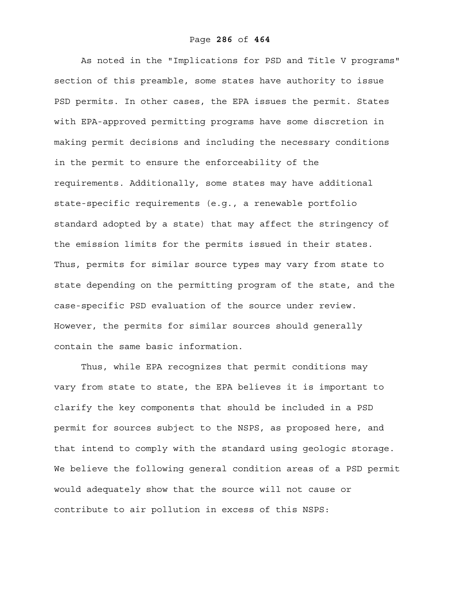As noted in the "Implications for PSD and Title V programs" section of this preamble, some states have authority to issue PSD permits. In other cases, the EPA issues the permit. States with EPA-approved permitting programs have some discretion in making permit decisions and including the necessary conditions in the permit to ensure the enforceability of the requirements. Additionally, some states may have additional state-specific requirements (e.g., a renewable portfolio standard adopted by a state) that may affect the stringency of the emission limits for the permits issued in their states. Thus, permits for similar source types may vary from state to state depending on the permitting program of the state, and the case-specific PSD evaluation of the source under review. However, the permits for similar sources should generally contain the same basic information.

Thus, while EPA recognizes that permit conditions may vary from state to state, the EPA believes it is important to clarify the key components that should be included in a PSD permit for sources subject to the NSPS, as proposed here, and that intend to comply with the standard using geologic storage. We believe the following general condition areas of a PSD permit would adequately show that the source will not cause or contribute to air pollution in excess of this NSPS: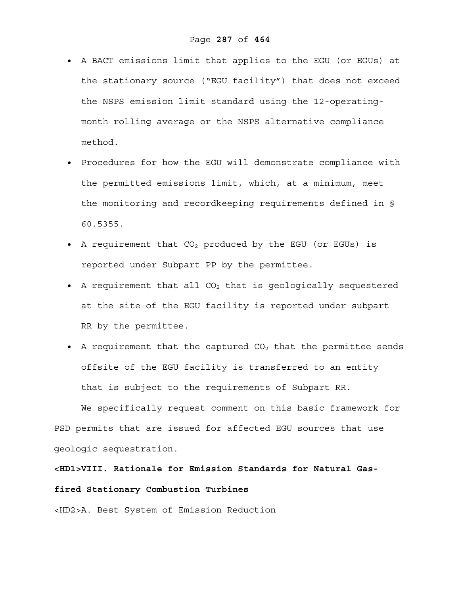- A BACT emissions limit that applies to the EGU (or EGUs) at the stationary source ("EGU facility") that does not exceed the NSPS emission limit standard using the 12-operatingmonth rolling average or the NSPS alternative compliance method.
- Procedures for how the EGU will demonstrate compliance with the permitted emissions limit, which, at a minimum, meet the monitoring and recordkeeping requirements defined in § 60.5355.
- A requirement that  $CO<sub>2</sub>$  produced by the EGU (or EGUs) is reported under Subpart PP by the permittee.
- A requirement that all  $CO<sub>2</sub>$  that is geologically sequestered at the site of the EGU facility is reported under subpart RR by the permittee.
- A requirement that the captured  $CO<sub>2</sub>$  that the permittee sends offsite of the EGU facility is transferred to an entity that is subject to the requirements of Subpart RR.

We specifically request comment on this basic framework for PSD permits that are issued for affected EGU sources that use geologic sequestration.

**<HD1>VIII. Rationale for Emission Standards for Natural Gasfired Stationary Combustion Turbines** 

# <HD2>A. Best System of Emission Reduction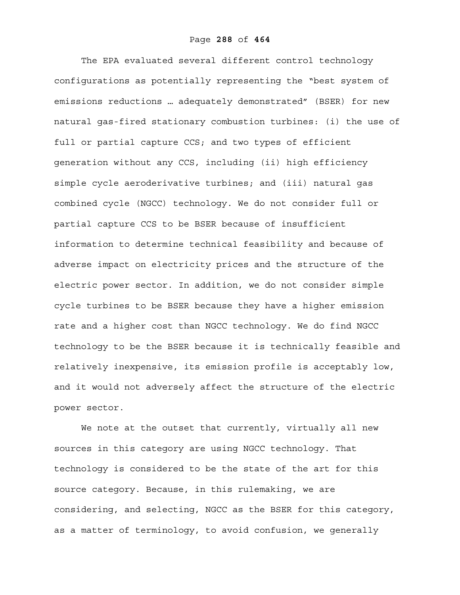The EPA evaluated several different control technology configurations as potentially representing the "best system of emissions reductions … adequately demonstrated" (BSER) for new natural gas-fired stationary combustion turbines: (i) the use of full or partial capture CCS; and two types of efficient generation without any CCS, including (ii) high efficiency simple cycle aeroderivative turbines; and (iii) natural gas combined cycle (NGCC) technology. We do not consider full or partial capture CCS to be BSER because of insufficient information to determine technical feasibility and because of adverse impact on electricity prices and the structure of the electric power sector. In addition, we do not consider simple cycle turbines to be BSER because they have a higher emission rate and a higher cost than NGCC technology. We do find NGCC technology to be the BSER because it is technically feasible and relatively inexpensive, its emission profile is acceptably low, and it would not adversely affect the structure of the electric power sector.

We note at the outset that currently, virtually all new sources in this category are using NGCC technology. That technology is considered to be the state of the art for this source category. Because, in this rulemaking, we are considering, and selecting, NGCC as the BSER for this category, as a matter of terminology, to avoid confusion, we generally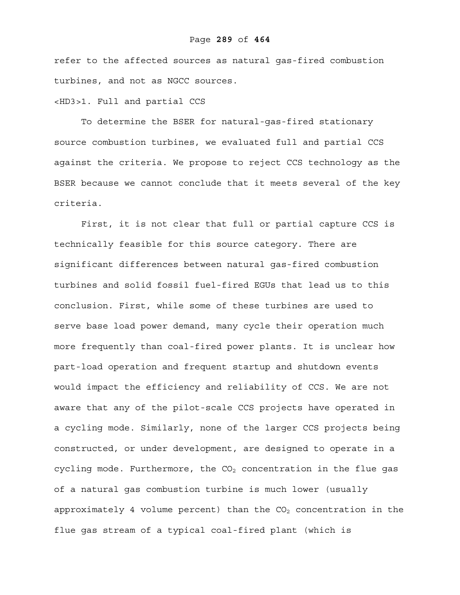refer to the affected sources as natural gas-fired combustion turbines, and not as NGCC sources.

#### <HD3>1. Full and partial CCS

To determine the BSER for natural-gas-fired stationary source combustion turbines, we evaluated full and partial CCS against the criteria. We propose to reject CCS technology as the BSER because we cannot conclude that it meets several of the key criteria.

First, it is not clear that full or partial capture CCS is technically feasible for this source category. There are significant differences between natural gas-fired combustion turbines and solid fossil fuel-fired EGUs that lead us to this conclusion. First, while some of these turbines are used to serve base load power demand, many cycle their operation much more frequently than coal-fired power plants. It is unclear how part-load operation and frequent startup and shutdown events would impact the efficiency and reliability of CCS. We are not aware that any of the pilot-scale CCS projects have operated in a cycling mode. Similarly, none of the larger CCS projects being constructed, or under development, are designed to operate in a cycling mode. Furthermore, the  $CO<sub>2</sub>$  concentration in the flue gas of a natural gas combustion turbine is much lower (usually approximately 4 volume percent) than the  $CO<sub>2</sub>$  concentration in the flue gas stream of a typical coal-fired plant (which is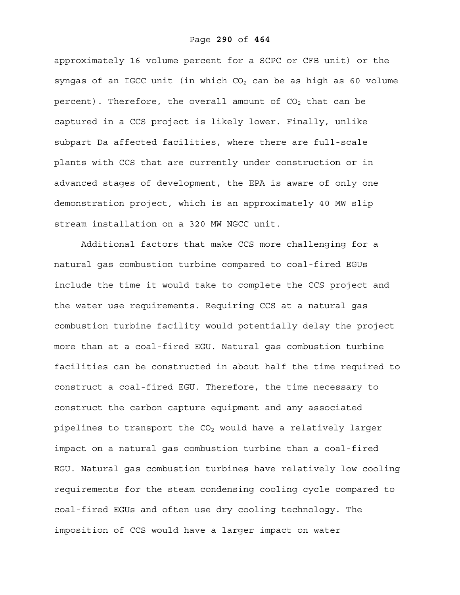approximately 16 volume percent for a SCPC or CFB unit) or the syngas of an IGCC unit (in which  $CO<sub>2</sub>$  can be as high as 60 volume percent). Therefore, the overall amount of  $CO<sub>2</sub>$  that can be captured in a CCS project is likely lower. Finally, unlike subpart Da affected facilities, where there are full-scale plants with CCS that are currently under construction or in advanced stages of development, the EPA is aware of only one demonstration project, which is an approximately 40 MW slip stream installation on a 320 MW NGCC unit.

Additional factors that make CCS more challenging for a natural gas combustion turbine compared to coal-fired EGUs include the time it would take to complete the CCS project and the water use requirements. Requiring CCS at a natural gas combustion turbine facility would potentially delay the project more than at a coal-fired EGU. Natural gas combustion turbine facilities can be constructed in about half the time required to construct a coal-fired EGU. Therefore, the time necessary to construct the carbon capture equipment and any associated pipelines to transport the  $CO<sub>2</sub>$  would have a relatively larger impact on a natural gas combustion turbine than a coal-fired EGU. Natural gas combustion turbines have relatively low cooling requirements for the steam condensing cooling cycle compared to coal-fired EGUs and often use dry cooling technology. The imposition of CCS would have a larger impact on water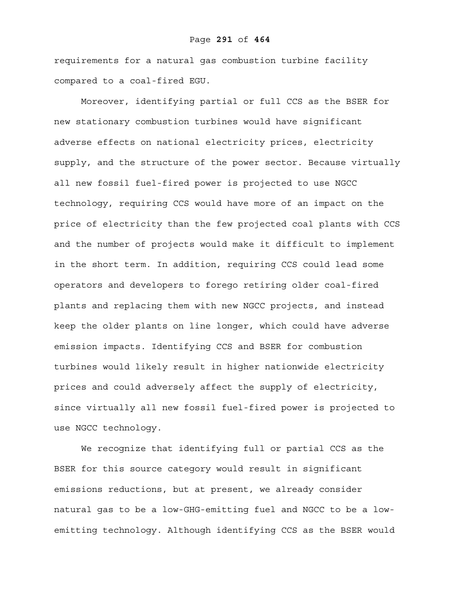requirements for a natural gas combustion turbine facility compared to a coal-fired EGU.

Moreover, identifying partial or full CCS as the BSER for new stationary combustion turbines would have significant adverse effects on national electricity prices, electricity supply, and the structure of the power sector. Because virtually all new fossil fuel-fired power is projected to use NGCC technology, requiring CCS would have more of an impact on the price of electricity than the few projected coal plants with CCS and the number of projects would make it difficult to implement in the short term. In addition, requiring CCS could lead some operators and developers to forego retiring older coal-fired plants and replacing them with new NGCC projects, and instead keep the older plants on line longer, which could have adverse emission impacts. Identifying CCS and BSER for combustion turbines would likely result in higher nationwide electricity prices and could adversely affect the supply of electricity, since virtually all new fossil fuel-fired power is projected to use NGCC technology.

We recognize that identifying full or partial CCS as the BSER for this source category would result in significant emissions reductions, but at present, we already consider natural gas to be a low-GHG-emitting fuel and NGCC to be a lowemitting technology. Although identifying CCS as the BSER would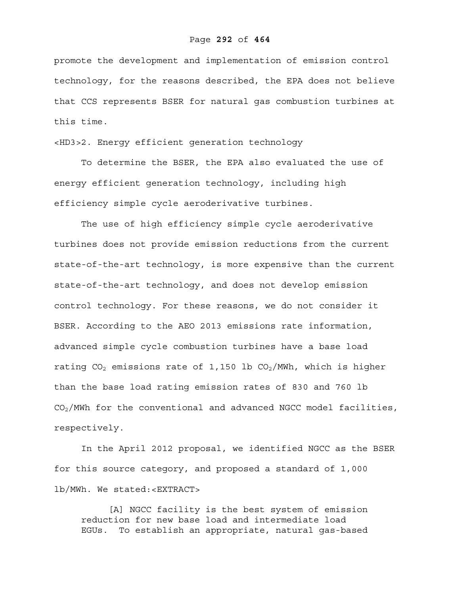promote the development and implementation of emission control technology, for the reasons described, the EPA does not believe that CCS represents BSER for natural gas combustion turbines at this time.

<HD3>2. Energy efficient generation technology

To determine the BSER, the EPA also evaluated the use of energy efficient generation technology, including high efficiency simple cycle aeroderivative turbines.

The use of high efficiency simple cycle aeroderivative turbines does not provide emission reductions from the current state-of-the-art technology, is more expensive than the current state-of-the-art technology, and does not develop emission control technology. For these reasons, we do not consider it BSER. According to the AEO 2013 emissions rate information, advanced simple cycle combustion turbines have a base load rating  $CO<sub>2</sub>$  emissions rate of 1,150 lb  $CO<sub>2</sub>/MWh$ , which is higher than the base load rating emission rates of 830 and 760 lb  $CO<sub>2</sub>/MWh$  for the conventional and advanced NGCC model facilities, respectively.

In the April 2012 proposal, we identified NGCC as the BSER for this source category, and proposed a standard of 1,000 lb/MWh. We stated:<EXTRACT>

[A] NGCC facility is the best system of emission reduction for new base load and intermediate load EGUs. To establish an appropriate, natural gas-based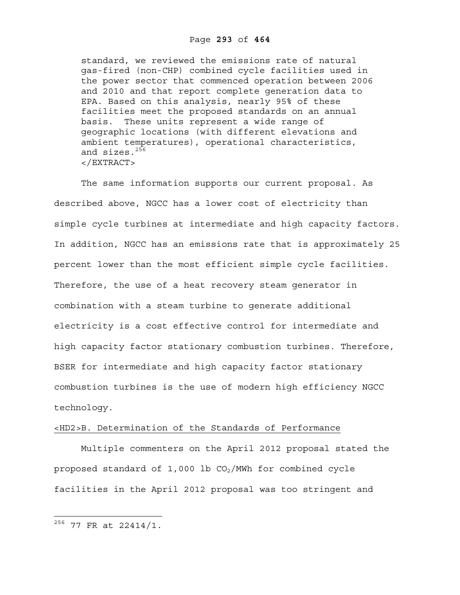standard, we reviewed the emissions rate of natural gas-fired (non-CHP) combined cycle facilities used in the power sector that commenced operation between 2006 and 2010 and that report complete generation data to EPA. Based on this analysis, nearly 95% of these facilities meet the proposed standards on an annual basis. These units represent a wide range of geographic locations (with different elevations and ambient temperatures), operational characteristics, and sizes. $256$ </EXTRACT>

The same information supports our current proposal. As described above, NGCC has a lower cost of electricity than simple cycle turbines at intermediate and high capacity factors. In addition, NGCC has an emissions rate that is approximately 25 percent lower than the most efficient simple cycle facilities. Therefore, the use of a heat recovery steam generator in combination with a steam turbine to generate additional electricity is a cost effective control for intermediate and high capacity factor stationary combustion turbines. Therefore, BSER for intermediate and high capacity factor stationary combustion turbines is the use of modern high efficiency NGCC technology.

### <HD2>B. Determination of the Standards of Performance

Multiple commenters on the April 2012 proposal stated the proposed standard of  $1,000$  lb  $CO<sub>2</sub>/MWh$  for combined cycle facilities in the April 2012 proposal was too stringent and

 $^{256}$  77 FR at 22414/1.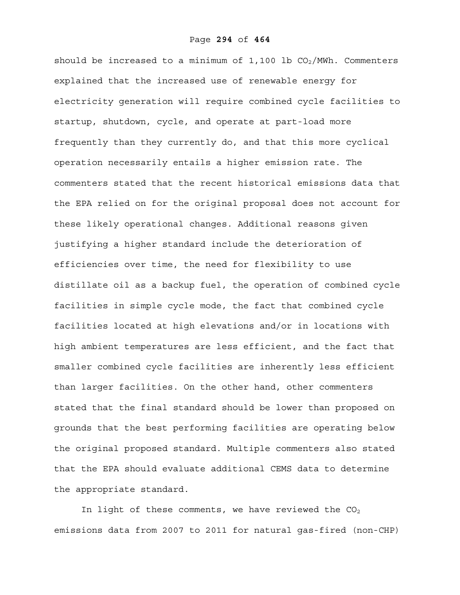should be increased to a minimum of  $1,100$  lb  $CO<sub>2</sub>/MWh$ . Commenters explained that the increased use of renewable energy for electricity generation will require combined cycle facilities to startup, shutdown, cycle, and operate at part-load more frequently than they currently do, and that this more cyclical operation necessarily entails a higher emission rate. The commenters stated that the recent historical emissions data that the EPA relied on for the original proposal does not account for these likely operational changes. Additional reasons given justifying a higher standard include the deterioration of efficiencies over time, the need for flexibility to use distillate oil as a backup fuel, the operation of combined cycle facilities in simple cycle mode, the fact that combined cycle facilities located at high elevations and/or in locations with high ambient temperatures are less efficient, and the fact that smaller combined cycle facilities are inherently less efficient than larger facilities. On the other hand, other commenters stated that the final standard should be lower than proposed on grounds that the best performing facilities are operating below the original proposed standard. Multiple commenters also stated that the EPA should evaluate additional CEMS data to determine the appropriate standard.

In light of these comments, we have reviewed the  $CO<sub>2</sub>$ emissions data from 2007 to 2011 for natural gas-fired (non-CHP)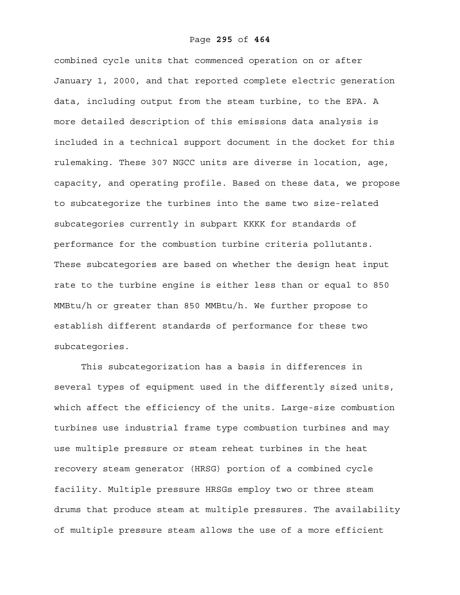combined cycle units that commenced operation on or after January 1, 2000, and that reported complete electric generation data, including output from the steam turbine, to the EPA. A more detailed description of this emissions data analysis is included in a technical support document in the docket for this rulemaking. These 307 NGCC units are diverse in location, age, capacity, and operating profile. Based on these data, we propose to subcategorize the turbines into the same two size-related subcategories currently in subpart KKKK for standards of performance for the combustion turbine criteria pollutants. These subcategories are based on whether the design heat input rate to the turbine engine is either less than or equal to 850 MMBtu/h or greater than 850 MMBtu/h. We further propose to establish different standards of performance for these two subcategories.

This subcategorization has a basis in differences in several types of equipment used in the differently sized units, which affect the efficiency of the units. Large-size combustion turbines use industrial frame type combustion turbines and may use multiple pressure or steam reheat turbines in the heat recovery steam generator (HRSG) portion of a combined cycle facility. Multiple pressure HRSGs employ two or three steam drums that produce steam at multiple pressures. The availability of multiple pressure steam allows the use of a more efficient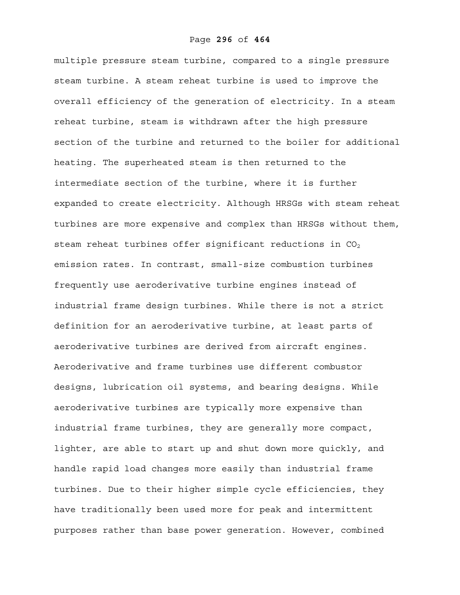multiple pressure steam turbine, compared to a single pressure steam turbine. A steam reheat turbine is used to improve the overall efficiency of the generation of electricity. In a steam reheat turbine, steam is withdrawn after the high pressure section of the turbine and returned to the boiler for additional heating. The superheated steam is then returned to the intermediate section of the turbine, where it is further expanded to create electricity. Although HRSGs with steam reheat turbines are more expensive and complex than HRSGs without them, steam reheat turbines offer significant reductions in  $CO<sub>2</sub>$ emission rates. In contrast, small-size combustion turbines frequently use aeroderivative turbine engines instead of industrial frame design turbines. While there is not a strict definition for an aeroderivative turbine, at least parts of aeroderivative turbines are derived from aircraft engines. Aeroderivative and frame turbines use different combustor designs, lubrication oil systems, and bearing designs. While aeroderivative turbines are typically more expensive than industrial frame turbines, they are generally more compact, lighter, are able to start up and shut down more quickly, and handle rapid load changes more easily than industrial frame turbines. Due to their higher simple cycle efficiencies, they have traditionally been used more for peak and intermittent purposes rather than base power generation. However, combined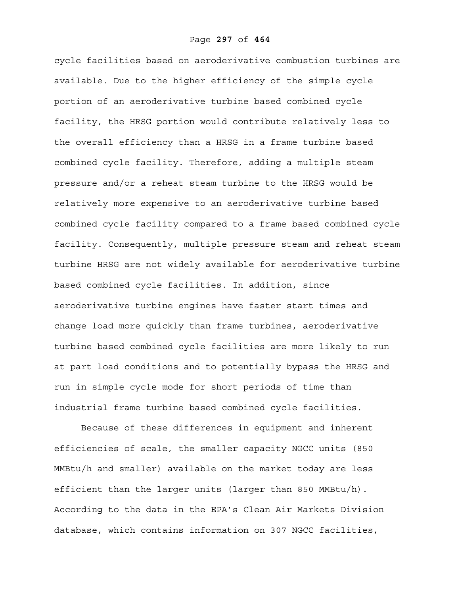cycle facilities based on aeroderivative combustion turbines are available. Due to the higher efficiency of the simple cycle portion of an aeroderivative turbine based combined cycle facility, the HRSG portion would contribute relatively less to the overall efficiency than a HRSG in a frame turbine based combined cycle facility. Therefore, adding a multiple steam pressure and/or a reheat steam turbine to the HRSG would be relatively more expensive to an aeroderivative turbine based combined cycle facility compared to a frame based combined cycle facility. Consequently, multiple pressure steam and reheat steam turbine HRSG are not widely available for aeroderivative turbine based combined cycle facilities. In addition, since aeroderivative turbine engines have faster start times and change load more quickly than frame turbines, aeroderivative turbine based combined cycle facilities are more likely to run at part load conditions and to potentially bypass the HRSG and run in simple cycle mode for short periods of time than industrial frame turbine based combined cycle facilities.

Because of these differences in equipment and inherent efficiencies of scale, the smaller capacity NGCC units (850 MMBtu/h and smaller) available on the market today are less efficient than the larger units (larger than 850 MMBtu/h). According to the data in the EPA's Clean Air Markets Division database, which contains information on 307 NGCC facilities,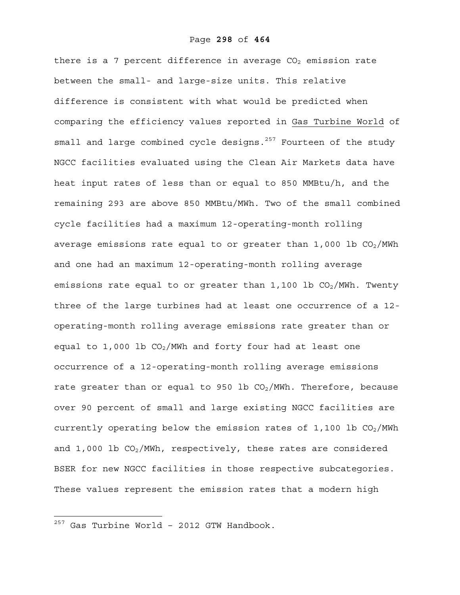there is a 7 percent difference in average  $CO<sub>2</sub>$  emission rate between the small- and large-size units. This relative difference is consistent with what would be predicted when comparing the efficiency values reported in Gas Turbine World of small and large combined cycle designs. $257$  Fourteen of the study NGCC facilities evaluated using the Clean Air Markets data have heat input rates of less than or equal to 850 MMBtu/h, and the remaining 293 are above 850 MMBtu/MWh. Two of the small combined cycle facilities had a maximum 12-operating-month rolling average emissions rate equal to or greater than  $1,000$  lb  $CO<sub>2</sub>/MWh$ and one had an maximum 12-operating-month rolling average emissions rate equal to or greater than  $1,100$  lb  $CO<sub>2</sub>/MWh$ . Twenty three of the large turbines had at least one occurrence of a 12 operating-month rolling average emissions rate greater than or equal to 1,000 lb  $CO<sub>2</sub>/MWh$  and forty four had at least one occurrence of a 12-operating-month rolling average emissions rate greater than or equal to 950 lb  $CO<sub>2</sub>/MWh$ . Therefore, because over 90 percent of small and large existing NGCC facilities are currently operating below the emission rates of 1,100 lb  $CO<sub>2</sub>/MWh$ and  $1,000$  lb  $CO<sub>2</sub>/MWh$ , respectively, these rates are considered BSER for new NGCC facilities in those respective subcategories. These values represent the emission rates that a modern high

 $257$  Gas Turbine World - 2012 GTW Handbook.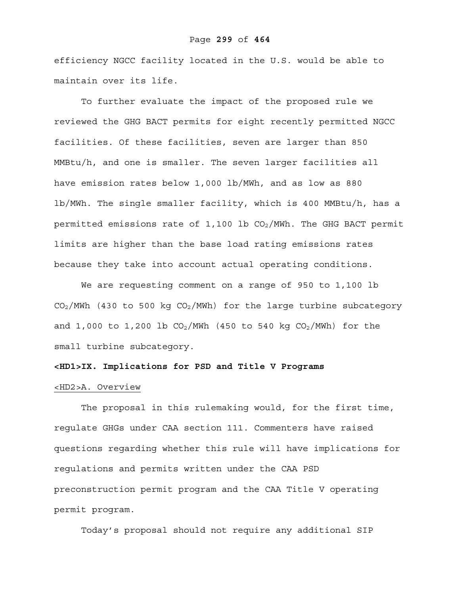#### Page **299** of **464**

efficiency NGCC facility located in the U.S. would be able to maintain over its life.

To further evaluate the impact of the proposed rule we reviewed the GHG BACT permits for eight recently permitted NGCC facilities. Of these facilities, seven are larger than 850 MMBtu/h, and one is smaller. The seven larger facilities all have emission rates below 1,000 lb/MWh, and as low as 880 lb/MWh. The single smaller facility, which is 400 MMBtu/h, has a permitted emissions rate of  $1,100$  lb  $CO<sub>2</sub>/MWh$ . The GHG BACT permit limits are higher than the base load rating emissions rates because they take into account actual operating conditions.

We are requesting comment on a range of 950 to 1,100 lb  $CO<sub>2</sub>/MWh$  (430 to 500 kg  $CO<sub>2</sub>/MWh$ ) for the large turbine subcategory and 1,000 to 1,200 lb  $CO_2/MWh$  (450 to 540 kg  $CO_2/MWh$ ) for the small turbine subcategory.

#### **<HD1>IX. Implications for PSD and Title V Programs**

## <HD2>A. Overview

The proposal in this rulemaking would, for the first time, regulate GHGs under CAA section 111. Commenters have raised questions regarding whether this rule will have implications for regulations and permits written under the CAA PSD preconstruction permit program and the CAA Title V operating permit program.

Today's proposal should not require any additional SIP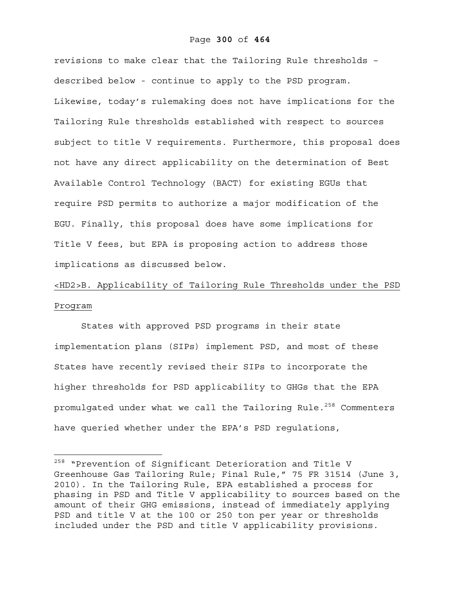#### Page **300** of **464**

revisions to make clear that the Tailoring Rule thresholds – described below - continue to apply to the PSD program. Likewise, today's rulemaking does not have implications for the Tailoring Rule thresholds established with respect to sources subject to title V requirements. Furthermore, this proposal does not have any direct applicability on the determination of Best Available Control Technology (BACT) for existing EGUs that require PSD permits to authorize a major modification of the EGU. Finally, this proposal does have some implications for Title V fees, but EPA is proposing action to address those implications as discussed below.

# <HD2>B. Applicability of Tailoring Rule Thresholds under the PSD Program

States with approved PSD programs in their state implementation plans (SIPs) implement PSD, and most of these States have recently revised their SIPs to incorporate the higher thresholds for PSD applicability to GHGs that the EPA promulgated under what we call the Tailoring Rule. $258$  Commenters have queried whether under the EPA's PSD regulations,

1

<sup>&</sup>lt;sup>258</sup> "Prevention of Significant Deterioration and Title V Greenhouse Gas Tailoring Rule; Final Rule," 75 FR 31514 (June 3, 2010). In the Tailoring Rule, EPA established a process for phasing in PSD and Title V applicability to sources based on the amount of their GHG emissions, instead of immediately applying PSD and title V at the 100 or 250 ton per year or thresholds included under the PSD and title V applicability provisions.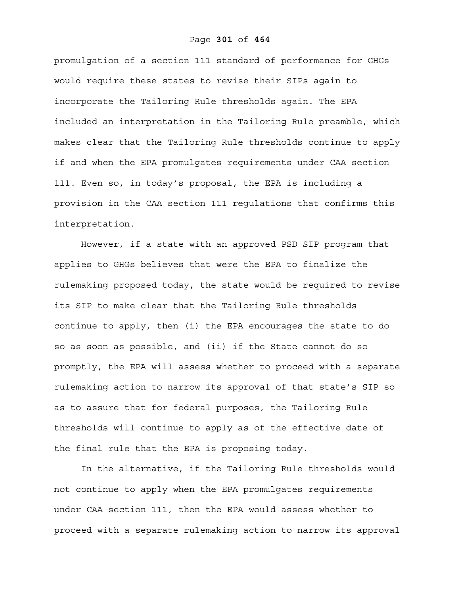#### Page **301** of **464**

promulgation of a section 111 standard of performance for GHGs would require these states to revise their SIPs again to incorporate the Tailoring Rule thresholds again. The EPA included an interpretation in the Tailoring Rule preamble, which makes clear that the Tailoring Rule thresholds continue to apply if and when the EPA promulgates requirements under CAA section 111. Even so, in today's proposal, the EPA is including a provision in the CAA section 111 regulations that confirms this interpretation.

However, if a state with an approved PSD SIP program that applies to GHGs believes that were the EPA to finalize the rulemaking proposed today, the state would be required to revise its SIP to make clear that the Tailoring Rule thresholds continue to apply, then (i) the EPA encourages the state to do so as soon as possible, and (ii) if the State cannot do so promptly, the EPA will assess whether to proceed with a separate rulemaking action to narrow its approval of that state's SIP so as to assure that for federal purposes, the Tailoring Rule thresholds will continue to apply as of the effective date of the final rule that the EPA is proposing today.

In the alternative, if the Tailoring Rule thresholds would not continue to apply when the EPA promulgates requirements under CAA section 111, then the EPA would assess whether to proceed with a separate rulemaking action to narrow its approval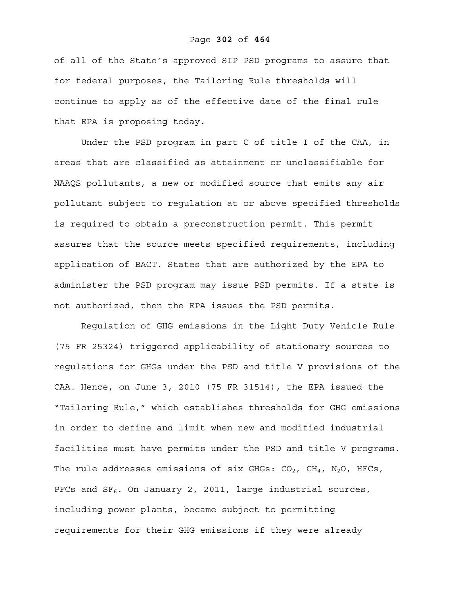#### Page **302** of **464**

of all of the State's approved SIP PSD programs to assure that for federal purposes, the Tailoring Rule thresholds will continue to apply as of the effective date of the final rule that EPA is proposing today.

Under the PSD program in part C of title I of the CAA, in areas that are classified as attainment or unclassifiable for NAAQS pollutants, a new or modified source that emits any air pollutant subject to regulation at or above specified thresholds is required to obtain a preconstruction permit. This permit assures that the source meets specified requirements, including application of BACT. States that are authorized by the EPA to administer the PSD program may issue PSD permits. If a state is not authorized, then the EPA issues the PSD permits.

 Regulation of GHG emissions in the Light Duty Vehicle Rule (75 FR 25324) triggered applicability of stationary sources to regulations for GHGs under the PSD and title V provisions of the CAA. Hence, on June 3, 2010 (75 FR 31514), the EPA issued the "Tailoring Rule," which establishes thresholds for GHG emissions in order to define and limit when new and modified industrial facilities must have permits under the PSD and title V programs. The rule addresses emissions of six GHGs:  $CO_2$ ,  $CH_4$ ,  $N_2O$ , HFCs, PFCs and  $SF_6$ . On January 2, 2011, large industrial sources, including power plants, became subject to permitting requirements for their GHG emissions if they were already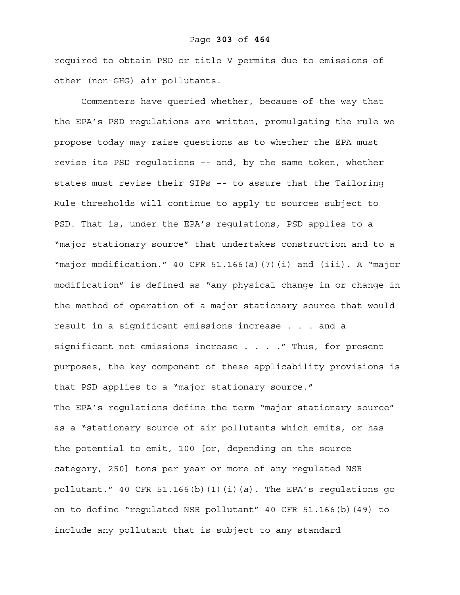#### Page **303** of **464**

required to obtain PSD or title V permits due to emissions of other (non-GHG) air pollutants.

Commenters have queried whether, because of the way that the EPA's PSD regulations are written, promulgating the rule we propose today may raise questions as to whether the EPA must revise its PSD regulations –- and, by the same token, whether states must revise their SIPs –- to assure that the Tailoring Rule thresholds will continue to apply to sources subject to PSD. That is, under the EPA's regulations, PSD applies to a "major stationary source" that undertakes construction and to a "major modification." 40 CFR 51.166(a)(7)(i) and (iii). A "major modification" is defined as "any physical change in or change in the method of operation of a major stationary source that would result in a significant emissions increase . . . and a significant net emissions increase . . . . " Thus, for present purposes, the key component of these applicability provisions is that PSD applies to a "major stationary source." The EPA's regulations define the term "major stationary source" as a "stationary source of air pollutants which emits, or has the potential to emit, 100 [or, depending on the source category, 250] tons per year or more of any regulated NSR pollutant." 40 CFR 51.166(b)(1)(i)(*a*). The EPA's regulations go on to define "regulated NSR pollutant" 40 CFR 51.166(b)(49) to include any pollutant that is subject to any standard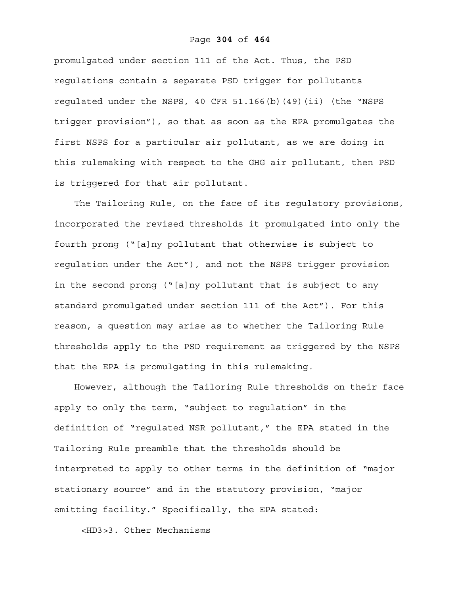#### Page **304** of **464**

promulgated under section 111 of the Act. Thus, the PSD regulations contain a separate PSD trigger for pollutants regulated under the NSPS, 40 CFR 51.166(b)(49)(ii) (the "NSPS trigger provision"), so that as soon as the EPA promulgates the first NSPS for a particular air pollutant, as we are doing in this rulemaking with respect to the GHG air pollutant, then PSD is triggered for that air pollutant.

The Tailoring Rule, on the face of its regulatory provisions, incorporated the revised thresholds it promulgated into only the fourth prong ("[a]ny pollutant that otherwise is subject to regulation under the Act"), and not the NSPS trigger provision in the second prong ("[a]ny pollutant that is subject to any standard promulgated under section 111 of the Act"). For this reason, a question may arise as to whether the Tailoring Rule thresholds apply to the PSD requirement as triggered by the NSPS that the EPA is promulgating in this rulemaking.

However, although the Tailoring Rule thresholds on their face apply to only the term, "subject to regulation" in the definition of "regulated NSR pollutant," the EPA stated in the Tailoring Rule preamble that the thresholds should be interpreted to apply to other terms in the definition of "major stationary source" and in the statutory provision, "major emitting facility." Specifically, the EPA stated:

<HD3>3. Other Mechanisms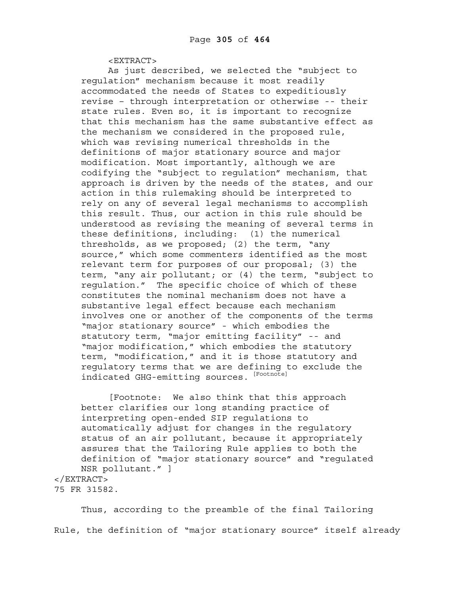<EXTRACT>

As just described, we selected the "subject to regulation" mechanism because it most readily accommodated the needs of States to expeditiously revise – through interpretation or otherwise -- their state rules. Even so, it is important to recognize that this mechanism has the same substantive effect as the mechanism we considered in the proposed rule, which was revising numerical thresholds in the definitions of major stationary source and major modification. Most importantly, although we are codifying the "subject to regulation" mechanism, that approach is driven by the needs of the states, and our action in this rulemaking should be interpreted to rely on any of several legal mechanisms to accomplish this result. Thus, our action in this rule should be understood as revising the meaning of several terms in these definitions, including: (1) the numerical thresholds, as we proposed; (2) the term, "any source," which some commenters identified as the most relevant term for purposes of our proposal; (3) the term, "any air pollutant; or (4) the term, "subject to regulation." The specific choice of which of these constitutes the nominal mechanism does not have a substantive legal effect because each mechanism involves one or another of the components of the terms "major stationary source" - which embodies the statutory term, "major emitting facility" -- and "major modification," which embodies the statutory term, "modification," and it is those statutory and regulatory terms that we are defining to exclude the indicated GHG-emitting sources. [Footnote]

[Footnote: We also think that this approach better clarifies our long standing practice of interpreting open-ended SIP regulations to automatically adjust for changes in the regulatory status of an air pollutant, because it appropriately assures that the Tailoring Rule applies to both the definition of "major stationary source" and "regulated NSR pollutant." ] </EXTRACT>

75 FR 31582.

Thus, according to the preamble of the final Tailoring Rule, the definition of "major stationary source" itself already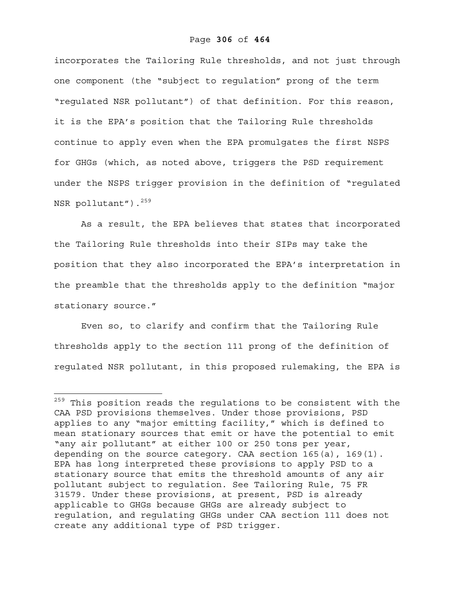incorporates the Tailoring Rule thresholds, and not just through one component (the "subject to regulation" prong of the term "regulated NSR pollutant") of that definition. For this reason, it is the EPA's position that the Tailoring Rule thresholds continue to apply even when the EPA promulgates the first NSPS for GHGs (which, as noted above, triggers the PSD requirement under the NSPS trigger provision in the definition of "regulated NSR pollutant").<sup>259</sup>

As a result, the EPA believes that states that incorporated the Tailoring Rule thresholds into their SIPs may take the position that they also incorporated the EPA's interpretation in the preamble that the thresholds apply to the definition "major stationary source."

Even so, to clarify and confirm that the Tailoring Rule thresholds apply to the section 111 prong of the definition of regulated NSR pollutant, in this proposed rulemaking, the EPA is

<sup>&</sup>lt;sup>259</sup> This position reads the regulations to be consistent with the CAA PSD provisions themselves. Under those provisions, PSD applies to any "major emitting facility," which is defined to mean stationary sources that emit or have the potential to emit "any air pollutant" at either 100 or 250 tons per year, depending on the source category. CAA section 165(a), 169(1). EPA has long interpreted these provisions to apply PSD to a stationary source that emits the threshold amounts of any air pollutant subject to regulation. See Tailoring Rule, 75 FR 31579. Under these provisions, at present, PSD is already applicable to GHGs because GHGs are already subject to regulation, and regulating GHGs under CAA section 111 does not create any additional type of PSD trigger.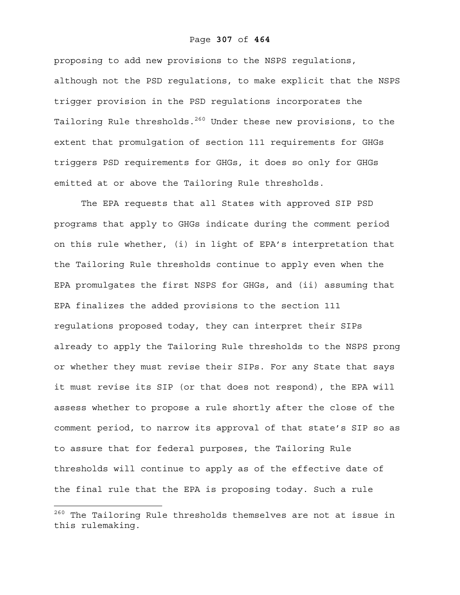#### Page **307** of **464**

proposing to add new provisions to the NSPS regulations, although not the PSD regulations, to make explicit that the NSPS trigger provision in the PSD regulations incorporates the Tailoring Rule thresholds.<sup>260</sup> Under these new provisions, to the extent that promulgation of section 111 requirements for GHGs triggers PSD requirements for GHGs, it does so only for GHGs emitted at or above the Tailoring Rule thresholds.

The EPA requests that all States with approved SIP PSD programs that apply to GHGs indicate during the comment period on this rule whether, (i) in light of EPA's interpretation that the Tailoring Rule thresholds continue to apply even when the EPA promulgates the first NSPS for GHGs, and (ii) assuming that EPA finalizes the added provisions to the section 111 regulations proposed today, they can interpret their SIPs already to apply the Tailoring Rule thresholds to the NSPS prong or whether they must revise their SIPs. For any State that says it must revise its SIP (or that does not respond), the EPA will assess whether to propose a rule shortly after the close of the comment period, to narrow its approval of that state's SIP so as to assure that for federal purposes, the Tailoring Rule thresholds will continue to apply as of the effective date of the final rule that the EPA is proposing today. Such a rule

 $^{260}$  The Tailoring Rule thresholds themselves are not at issue in this rulemaking.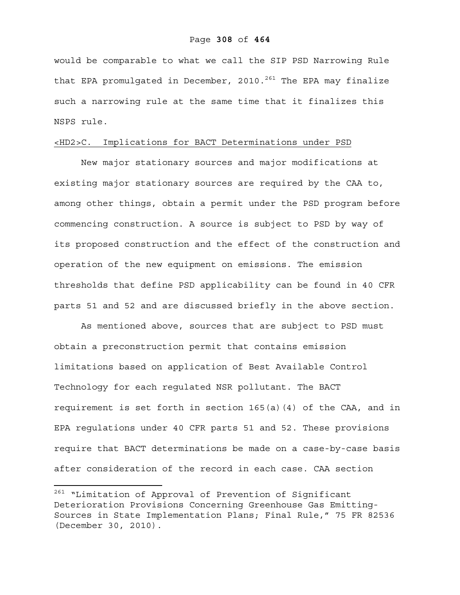would be comparable to what we call the SIP PSD Narrowing Rule that EPA promulgated in December, 2010.<sup>261</sup> The EPA may finalize such a narrowing rule at the same time that it finalizes this NSPS rule.

# <HD2>C. Implications for BACT Determinations under PSD

New major stationary sources and major modifications at existing major stationary sources are required by the CAA to, among other things, obtain a permit under the PSD program before commencing construction. A source is subject to PSD by way of its proposed construction and the effect of the construction and operation of the new equipment on emissions. The emission thresholds that define PSD applicability can be found in 40 CFR parts 51 and 52 and are discussed briefly in the above section.

As mentioned above, sources that are subject to PSD must obtain a preconstruction permit that contains emission limitations based on application of Best Available Control Technology for each regulated NSR pollutant. The BACT requirement is set forth in section 165(a)(4) of the CAA, and in EPA regulations under 40 CFR parts 51 and 52. These provisions require that BACT determinations be made on a case-by-case basis after consideration of the record in each case. CAA section

<sup>&</sup>lt;sup>261</sup> "Limitation of Approval of Prevention of Significant Deterioration Provisions Concerning Greenhouse Gas Emitting-Sources in State Implementation Plans; Final Rule," 75 FR 82536 (December 30, 2010).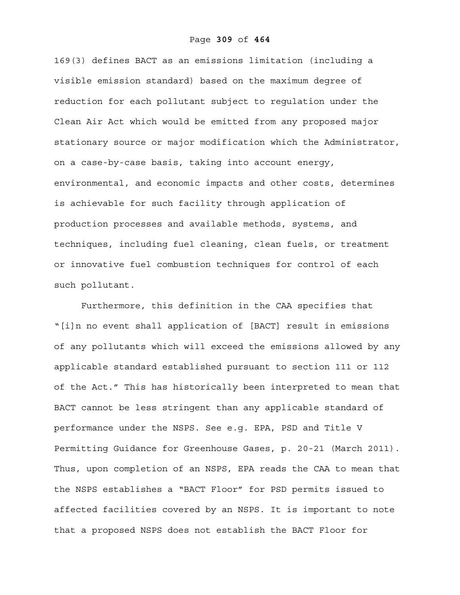169(3) defines BACT as an emissions limitation (including a visible emission standard) based on the maximum degree of reduction for each pollutant subject to regulation under the Clean Air Act which would be emitted from any proposed major stationary source or major modification which the Administrator, on a case-by-case basis, taking into account energy, environmental, and economic impacts and other costs, determines is achievable for such facility through application of production processes and available methods, systems, and techniques, including fuel cleaning, clean fuels, or treatment or innovative fuel combustion techniques for control of each such pollutant.

Furthermore, this definition in the CAA specifies that "[i]n no event shall application of [BACT] result in emissions of any pollutants which will exceed the emissions allowed by any applicable standard established pursuant to section 111 or 112 of the Act." This has historically been interpreted to mean that BACT cannot be less stringent than any applicable standard of performance under the NSPS. See e.g. EPA, PSD and Title V Permitting Guidance for Greenhouse Gases, p. 20-21 (March 2011). Thus, upon completion of an NSPS, EPA reads the CAA to mean that the NSPS establishes a "BACT Floor" for PSD permits issued to affected facilities covered by an NSPS. It is important to note that a proposed NSPS does not establish the BACT Floor for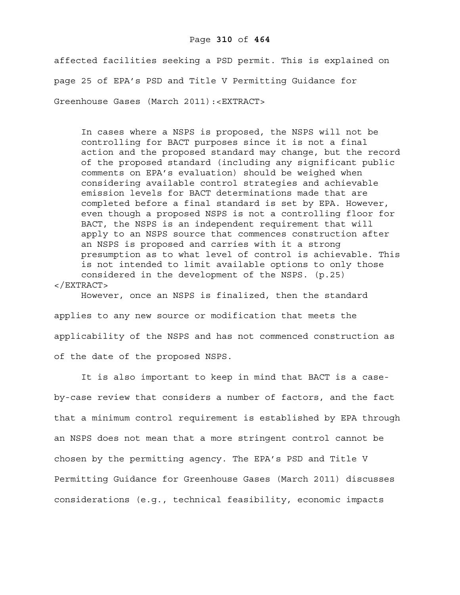#### Page **310** of **464**

affected facilities seeking a PSD permit. This is explained on page 25 of EPA's PSD and Title V Permitting Guidance for Greenhouse Gases (March 2011):<EXTRACT>

In cases where a NSPS is proposed, the NSPS will not be controlling for BACT purposes since it is not a final action and the proposed standard may change, but the record of the proposed standard (including any significant public comments on EPA's evaluation) should be weighed when considering available control strategies and achievable emission levels for BACT determinations made that are completed before a final standard is set by EPA. However, even though a proposed NSPS is not a controlling floor for BACT, the NSPS is an independent requirement that will apply to an NSPS source that commences construction after an NSPS is proposed and carries with it a strong presumption as to what level of control is achievable. This is not intended to limit available options to only those considered in the development of the NSPS. (p.25) </EXTRACT>

However, once an NSPS is finalized, then the standard applies to any new source or modification that meets the applicability of the NSPS and has not commenced construction as of the date of the proposed NSPS.

It is also important to keep in mind that BACT is a caseby-case review that considers a number of factors, and the fact that a minimum control requirement is established by EPA through an NSPS does not mean that a more stringent control cannot be chosen by the permitting agency. The EPA's PSD and Title V Permitting Guidance for Greenhouse Gases (March 2011) discusses considerations (e.g., technical feasibility, economic impacts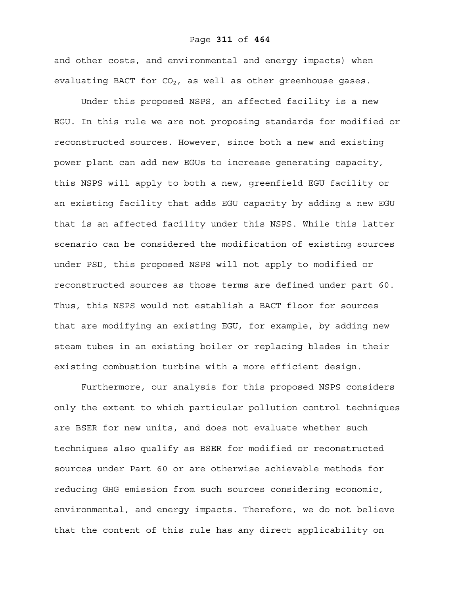#### Page **311** of **464**

and other costs, and environmental and energy impacts) when evaluating BACT for  $CO<sub>2</sub>$ , as well as other greenhouse gases.

Under this proposed NSPS, an affected facility is a new EGU. In this rule we are not proposing standards for modified or reconstructed sources. However, since both a new and existing power plant can add new EGUs to increase generating capacity, this NSPS will apply to both a new, greenfield EGU facility or an existing facility that adds EGU capacity by adding a new EGU that is an affected facility under this NSPS. While this latter scenario can be considered the modification of existing sources under PSD, this proposed NSPS will not apply to modified or reconstructed sources as those terms are defined under part 60. Thus, this NSPS would not establish a BACT floor for sources that are modifying an existing EGU, for example, by adding new steam tubes in an existing boiler or replacing blades in their existing combustion turbine with a more efficient design.

Furthermore, our analysis for this proposed NSPS considers only the extent to which particular pollution control techniques are BSER for new units, and does not evaluate whether such techniques also qualify as BSER for modified or reconstructed sources under Part 60 or are otherwise achievable methods for reducing GHG emission from such sources considering economic, environmental, and energy impacts. Therefore, we do not believe that the content of this rule has any direct applicability on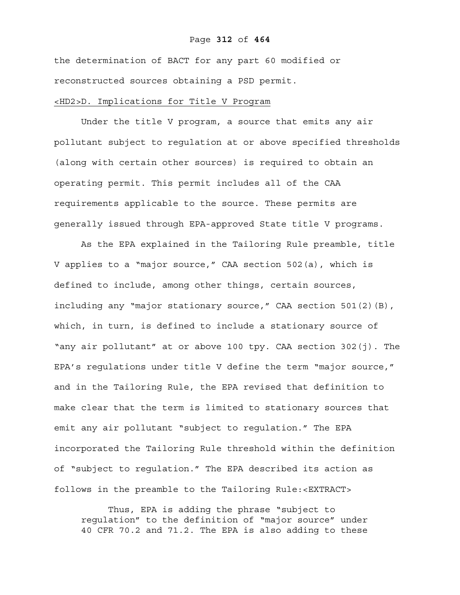#### Page **312** of **464**

the determination of BACT for any part 60 modified or reconstructed sources obtaining a PSD permit.

## <HD2>D. Implications for Title V Program

Under the title V program, a source that emits any air pollutant subject to regulation at or above specified thresholds (along with certain other sources) is required to obtain an operating permit. This permit includes all of the CAA requirements applicable to the source. These permits are generally issued through EPA-approved State title V programs.

As the EPA explained in the Tailoring Rule preamble, title V applies to a "major source," CAA section 502(a), which is defined to include, among other things, certain sources, including any "major stationary source," CAA section 501(2)(B), which, in turn, is defined to include a stationary source of "any air pollutant" at or above 100 tpy. CAA section 302(j). The EPA's regulations under title V define the term "major source," and in the Tailoring Rule, the EPA revised that definition to make clear that the term is limited to stationary sources that emit any air pollutant "subject to regulation." The EPA incorporated the Tailoring Rule threshold within the definition of "subject to regulation." The EPA described its action as follows in the preamble to the Tailoring Rule:<EXTRACT>

Thus, EPA is adding the phrase "subject to regulation" to the definition of "major source" under 40 CFR 70.2 and 71.2. The EPA is also adding to these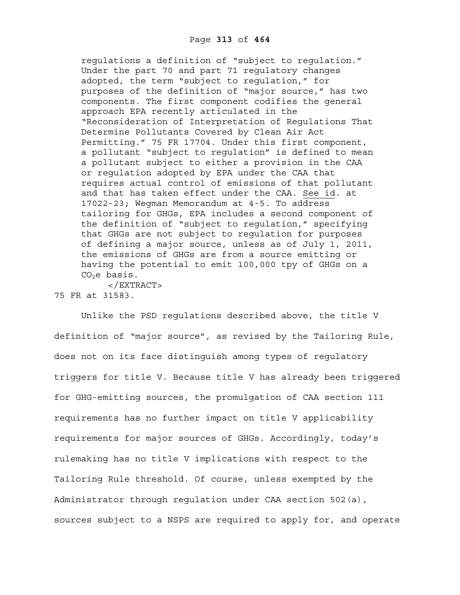regulations a definition of "subject to regulation." Under the part 70 and part 71 regulatory changes adopted, the term "subject to regulation," for purposes of the definition of "major source," has two components. The first component codifies the general approach EPA recently articulated in the "Reconsideration of Interpretation of Regulations That Determine Pollutants Covered by Clean Air Act Permitting." 75 FR 17704. Under this first component, a pollutant "subject to regulation" is defined to mean a pollutant subject to either a provision in the CAA or regulation adopted by EPA under the CAA that requires actual control of emissions of that pollutant and that has taken effect under the CAA. See id. at 17022-23; Wegman Memorandum at 4-5. To address tailoring for GHGs, EPA includes a second component of the definition of "subject to regulation," specifying that GHGs are not subject to regulation for purposes of defining a major source, unless as of July 1, 2011, the emissions of GHGs are from a source emitting or having the potential to emit 100,000 tpy of GHGs on a  $CO<sub>2</sub>e$  basis.

</EXTRACT> 75 FR at 31583.

Unlike the PSD regulations described above, the title V definition of "major source", as revised by the Tailoring Rule, does not on its face distinguish among types of regulatory triggers for title V. Because title V has already been triggered for GHG-emitting sources, the promulgation of CAA section 111 requirements has no further impact on title V applicability requirements for major sources of GHGs. Accordingly, today's rulemaking has no title V implications with respect to the Tailoring Rule threshold. Of course, unless exempted by the Administrator through regulation under CAA section 502(a), sources subject to a NSPS are required to apply for, and operate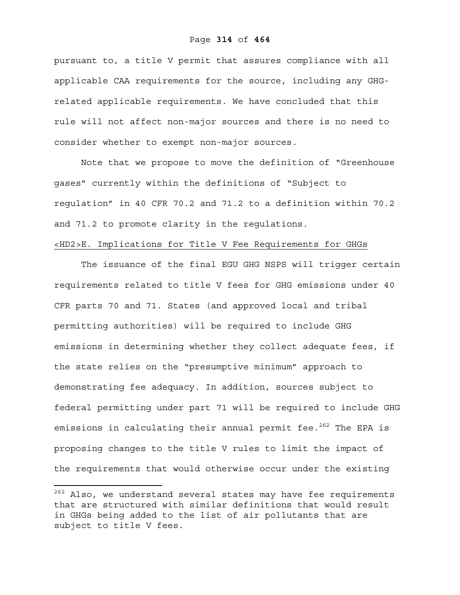pursuant to, a title V permit that assures compliance with all applicable CAA requirements for the source, including any GHGrelated applicable requirements. We have concluded that this rule will not affect non-major sources and there is no need to consider whether to exempt non-major sources.

Note that we propose to move the definition of "Greenhouse gases" currently within the definitions of "Subject to regulation" in 40 CFR 70.2 and 71.2 to a definition within 70.2 and 71.2 to promote clarity in the regulations.

# <HD2>E. Implications for Title V Fee Requirements for GHGs

The issuance of the final EGU GHG NSPS will trigger certain requirements related to title V fees for GHG emissions under 40 CFR parts 70 and 71. States (and approved local and tribal permitting authorities) will be required to include GHG emissions in determining whether they collect adequate fees, if the state relies on the "presumptive minimum" approach to demonstrating fee adequacy. In addition, sources subject to federal permitting under part 71 will be required to include GHG emissions in calculating their annual permit fee.<sup>262</sup> The EPA is proposing changes to the title V rules to limit the impact of the requirements that would otherwise occur under the existing

<sup>&</sup>lt;sup>262</sup> Also, we understand several states may have fee requirements that are structured with similar definitions that would result in GHGs being added to the list of air pollutants that are subject to title V fees.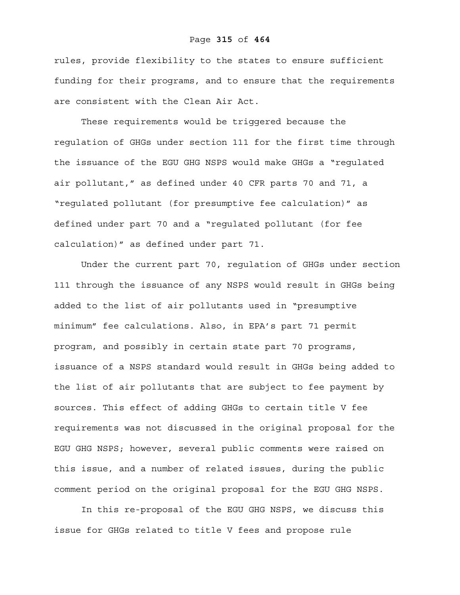#### Page **315** of **464**

rules, provide flexibility to the states to ensure sufficient funding for their programs, and to ensure that the requirements are consistent with the Clean Air Act.

These requirements would be triggered because the regulation of GHGs under section 111 for the first time through the issuance of the EGU GHG NSPS would make GHGs a "regulated air pollutant," as defined under 40 CFR parts 70 and 71, a "regulated pollutant (for presumptive fee calculation)" as defined under part 70 and a "regulated pollutant (for fee calculation)" as defined under part 71.

Under the current part 70, regulation of GHGs under section 111 through the issuance of any NSPS would result in GHGs being added to the list of air pollutants used in "presumptive minimum" fee calculations. Also, in EPA's part 71 permit program, and possibly in certain state part 70 programs, issuance of a NSPS standard would result in GHGs being added to the list of air pollutants that are subject to fee payment by sources. This effect of adding GHGs to certain title V fee requirements was not discussed in the original proposal for the EGU GHG NSPS; however, several public comments were raised on this issue, and a number of related issues, during the public comment period on the original proposal for the EGU GHG NSPS.

In this re-proposal of the EGU GHG NSPS, we discuss this issue for GHGs related to title V fees and propose rule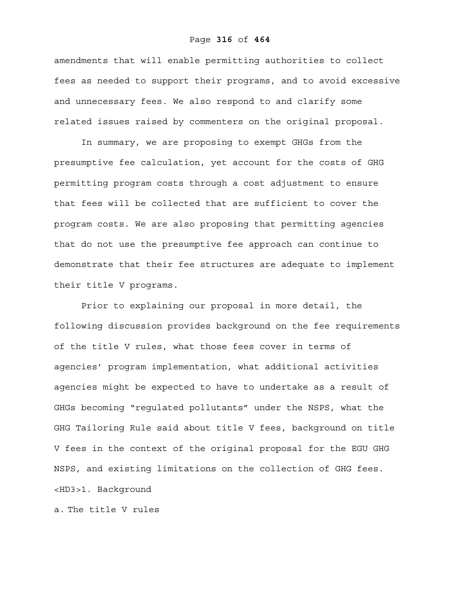#### Page **316** of **464**

amendments that will enable permitting authorities to collect fees as needed to support their programs, and to avoid excessive and unnecessary fees. We also respond to and clarify some related issues raised by commenters on the original proposal.

In summary, we are proposing to exempt GHGs from the presumptive fee calculation, yet account for the costs of GHG permitting program costs through a cost adjustment to ensure that fees will be collected that are sufficient to cover the program costs. We are also proposing that permitting agencies that do not use the presumptive fee approach can continue to demonstrate that their fee structures are adequate to implement their title V programs.

Prior to explaining our proposal in more detail, the following discussion provides background on the fee requirements of the title V rules, what those fees cover in terms of agencies' program implementation, what additional activities agencies might be expected to have to undertake as a result of GHGs becoming "regulated pollutants" under the NSPS, what the GHG Tailoring Rule said about title V fees, background on title V fees in the context of the original proposal for the EGU GHG NSPS, and existing limitations on the collection of GHG fees. <HD3>1. Background

a. The title V rules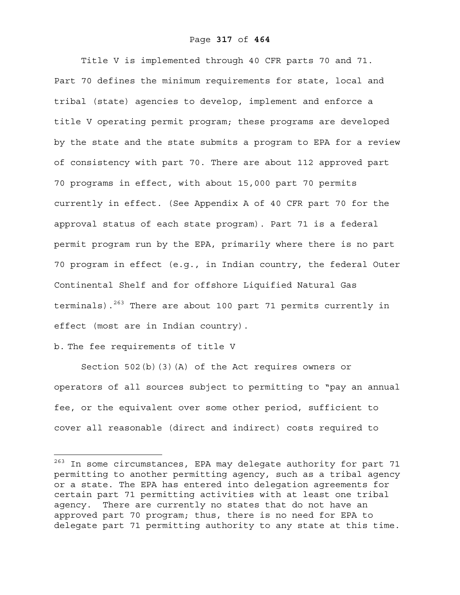#### Page **317** of **464**

Title V is implemented through 40 CFR parts 70 and 71. Part 70 defines the minimum requirements for state, local and tribal (state) agencies to develop, implement and enforce a title V operating permit program; these programs are developed by the state and the state submits a program to EPA for a review of consistency with part 70. There are about 112 approved part 70 programs in effect, with about 15,000 part 70 permits currently in effect. (See Appendix A of 40 CFR part 70 for the approval status of each state program). Part 71 is a federal permit program run by the EPA, primarily where there is no part 70 program in effect (e.g., in Indian country, the federal Outer Continental Shelf and for offshore Liquified Natural Gas terminals). $263$  There are about 100 part 71 permits currently in effect (most are in Indian country).

# b. The fee requirements of title V

 $\overline{a}$ 

Section 502(b)(3)(A) of the Act requires owners or operators of all sources subject to permitting to "pay an annual fee, or the equivalent over some other period, sufficient to cover all reasonable (direct and indirect) costs required to

<sup>&</sup>lt;sup>263</sup> In some circumstances, EPA may delegate authority for part 71 permitting to another permitting agency, such as a tribal agency or a state. The EPA has entered into delegation agreements for certain part 71 permitting activities with at least one tribal agency. There are currently no states that do not have an approved part 70 program; thus, there is no need for EPA to delegate part 71 permitting authority to any state at this time.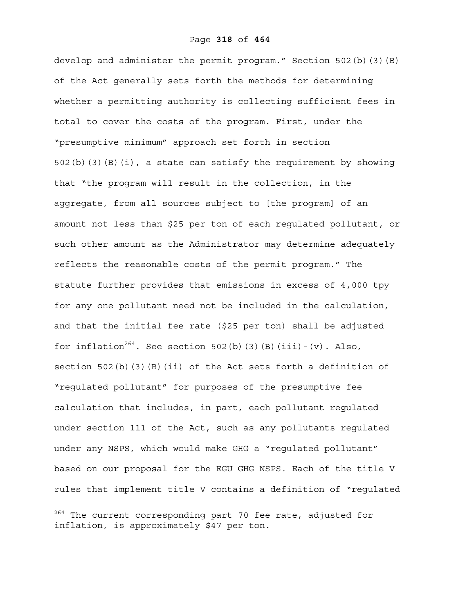develop and administer the permit program." Section 502(b)(3)(B) of the Act generally sets forth the methods for determining whether a permitting authority is collecting sufficient fees in total to cover the costs of the program. First, under the "presumptive minimum" approach set forth in section 502(b)(3)(B)(i), a state can satisfy the requirement by showing that "the program will result in the collection, in the aggregate, from all sources subject to [the program] of an amount not less than \$25 per ton of each regulated pollutant, or such other amount as the Administrator may determine adequately reflects the reasonable costs of the permit program." The statute further provides that emissions in excess of 4,000 tpy for any one pollutant need not be included in the calculation, and that the initial fee rate (\$25 per ton) shall be adjusted for inflation<sup>264</sup>. See section 502(b)(3)(B)(iii)-(v). Also, section 502(b)(3)(B)(ii) of the Act sets forth a definition of "regulated pollutant" for purposes of the presumptive fee calculation that includes, in part, each pollutant regulated under section 111 of the Act, such as any pollutants regulated under any NSPS, which would make GHG a "regulated pollutant" based on our proposal for the EGU GHG NSPS. Each of the title V rules that implement title V contains a definition of "regulated

 $^{264}$  The current corresponding part 70 fee rate, adjusted for inflation, is approximately \$47 per ton.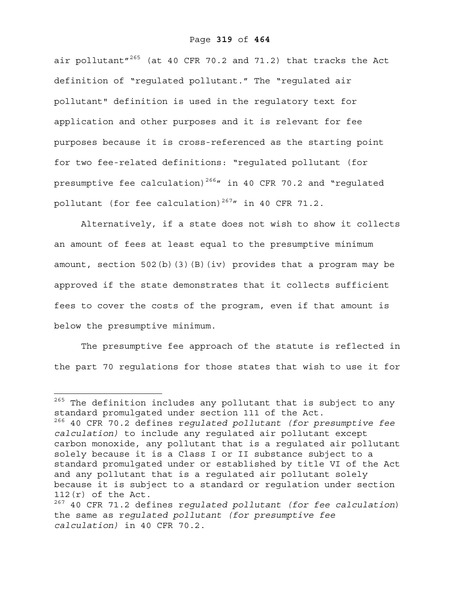#### Page **319** of **464**

air pollutant" $^{265}$  (at 40 CFR 70.2 and 71.2) that tracks the Act definition of "regulated pollutant." The "regulated air pollutant" definition is used in the regulatory text for application and other purposes and it is relevant for fee purposes because it is cross-referenced as the starting point for two fee-related definitions: "regulated pollutant (for presumptive fee calculation)<sup>266</sup> $\prime\prime$  in 40 CFR 70.2 and "regulated pollutant (for fee calculation)<sup>267</sup>" in 40 CFR 71.2.

Alternatively, if a state does not wish to show it collects an amount of fees at least equal to the presumptive minimum amount, section 502(b)(3)(B)(iv) provides that a program may be approved if the state demonstrates that it collects sufficient fees to cover the costs of the program, even if that amount is below the presumptive minimum.

The presumptive fee approach of the statute is reflected in the part 70 regulations for those states that wish to use it for

 $\overline{a}$  $^{265}$  The definition includes any pollutant that is subject to any standard promulgated under section 111 of the Act. 266 40 CFR 70.2 defines r*egulated pollutant (for presumptive fee calculation)* to include any regulated air pollutant except carbon monoxide, any pollutant that is a regulated air pollutant solely because it is a Class I or II substance subject to a standard promulgated under or established by title VI of the Act and any pollutant that is a regulated air pollutant solely because it is subject to a standard or regulation under section 112(r) of the Act. 267 40 CFR 71.2 defines r*egulated pollutant (for fee calculation*)

the same as r*egulated pollutant (for presumptive fee calculation)* in 40 CFR 70.2.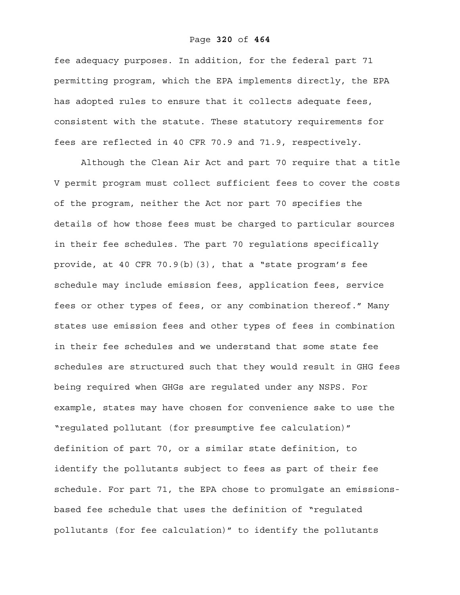#### Page **320** of **464**

fee adequacy purposes. In addition, for the federal part 71 permitting program, which the EPA implements directly, the EPA has adopted rules to ensure that it collects adequate fees, consistent with the statute. These statutory requirements for fees are reflected in 40 CFR 70.9 and 71.9, respectively.

Although the Clean Air Act and part 70 require that a title V permit program must collect sufficient fees to cover the costs of the program, neither the Act nor part 70 specifies the details of how those fees must be charged to particular sources in their fee schedules. The part 70 regulations specifically provide, at 40 CFR 70.9(b)(3), that a "state program's fee schedule may include emission fees, application fees, service fees or other types of fees, or any combination thereof." Many states use emission fees and other types of fees in combination in their fee schedules and we understand that some state fee schedules are structured such that they would result in GHG fees being required when GHGs are regulated under any NSPS. For example, states may have chosen for convenience sake to use the "regulated pollutant (for presumptive fee calculation)" definition of part 70, or a similar state definition, to identify the pollutants subject to fees as part of their fee schedule. For part 71, the EPA chose to promulgate an emissionsbased fee schedule that uses the definition of "regulated pollutants (for fee calculation)" to identify the pollutants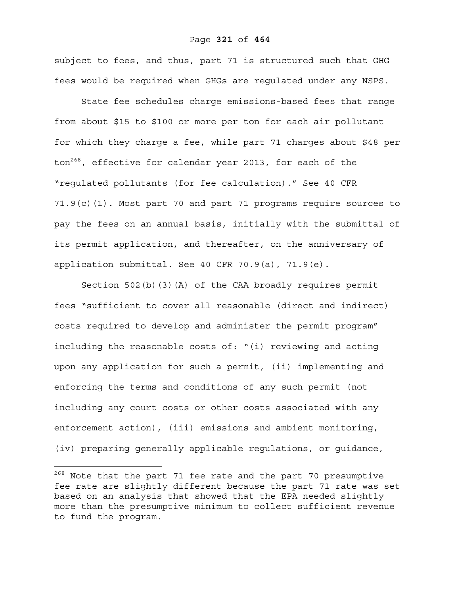#### Page **321** of **464**

subject to fees, and thus, part 71 is structured such that GHG fees would be required when GHGs are regulated under any NSPS.

State fee schedules charge emissions-based fees that range from about \$15 to \$100 or more per ton for each air pollutant for which they charge a fee, while part 71 charges about \$48 per ton<sup>268</sup>, effective for calendar year 2013, for each of the "regulated pollutants (for fee calculation)." See 40 CFR 71.9(c)(1). Most part 70 and part 71 programs require sources to pay the fees on an annual basis, initially with the submittal of its permit application, and thereafter, on the anniversary of application submittal. See 40 CFR 70.9(a), 71.9(e).

Section 502(b)(3)(A) of the CAA broadly requires permit fees "sufficient to cover all reasonable (direct and indirect) costs required to develop and administer the permit program" including the reasonable costs of: "(i) reviewing and acting upon any application for such a permit, (ii) implementing and enforcing the terms and conditions of any such permit (not including any court costs or other costs associated with any enforcement action), (iii) emissions and ambient monitoring, (iv) preparing generally applicable regulations, or guidance,

<sup>&</sup>lt;sup>268</sup> Note that the part 71 fee rate and the part 70 presumptive fee rate are slightly different because the part 71 rate was set based on an analysis that showed that the EPA needed slightly more than the presumptive minimum to collect sufficient revenue to fund the program.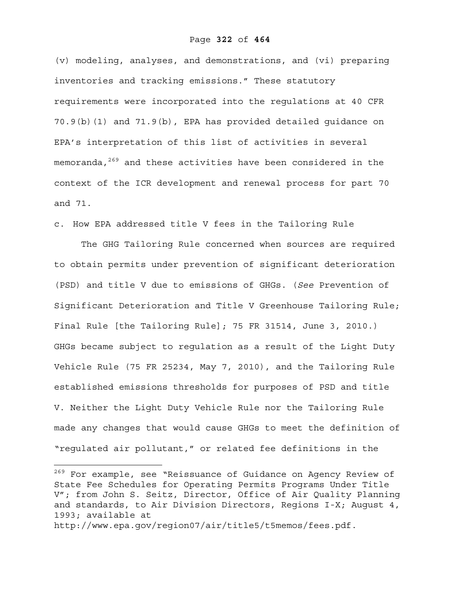#### Page **322** of **464**

(v) modeling, analyses, and demonstrations, and (vi) preparing inventories and tracking emissions." These statutory requirements were incorporated into the regulations at 40 CFR 70.9(b)(1) and 71.9(b), EPA has provided detailed guidance on EPA's interpretation of this list of activities in several memoranda,<sup>269</sup> and these activities have been considered in the context of the ICR development and renewal process for part 70 and 71.

c. How EPA addressed title V fees in the Tailoring Rule

The GHG Tailoring Rule concerned when sources are required to obtain permits under prevention of significant deterioration (PSD) and title V due to emissions of GHGs. (*See* Prevention of Significant Deterioration and Title V Greenhouse Tailoring Rule; Final Rule [the Tailoring Rule]; 75 FR 31514, June 3, 2010.) GHGs became subject to regulation as a result of the Light Duty Vehicle Rule (75 FR 25234, May 7, 2010), and the Tailoring Rule established emissions thresholds for purposes of PSD and title V. Neither the Light Duty Vehicle Rule nor the Tailoring Rule made any changes that would cause GHGs to meet the definition of "regulated air pollutant," or related fee definitions in the

1

<sup>&</sup>lt;sup>269</sup> For example, see "Reissuance of Guidance on Agency Review of State Fee Schedules for Operating Permits Programs Under Title V"; from John S. Seitz, Director, Office of Air Quality Planning and standards, to Air Division Directors, Regions I-X; August 4, 1993; available at

http://www.epa.gov/region07/air/title5/t5memos/fees.pdf.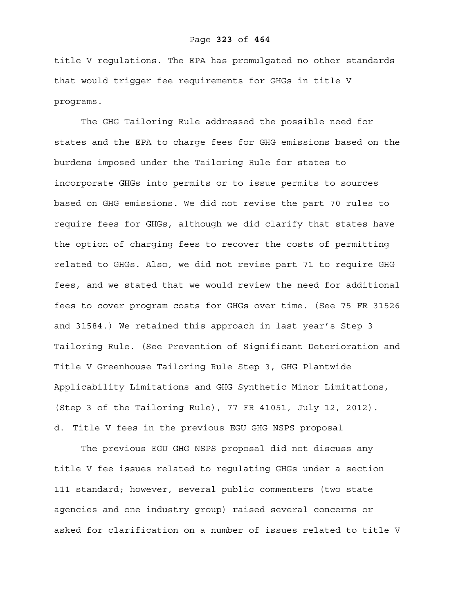title V regulations. The EPA has promulgated no other standards that would trigger fee requirements for GHGs in title V programs.

The GHG Tailoring Rule addressed the possible need for states and the EPA to charge fees for GHG emissions based on the burdens imposed under the Tailoring Rule for states to incorporate GHGs into permits or to issue permits to sources based on GHG emissions. We did not revise the part 70 rules to require fees for GHGs, although we did clarify that states have the option of charging fees to recover the costs of permitting related to GHGs. Also, we did not revise part 71 to require GHG fees, and we stated that we would review the need for additional fees to cover program costs for GHGs over time. (See 75 FR 31526 and 31584.) We retained this approach in last year's Step 3 Tailoring Rule. (See Prevention of Significant Deterioration and Title V Greenhouse Tailoring Rule Step 3, GHG Plantwide Applicability Limitations and GHG Synthetic Minor Limitations, (Step 3 of the Tailoring Rule), 77 FR 41051, July 12, 2012). d. Title V fees in the previous EGU GHG NSPS proposal

 The previous EGU GHG NSPS proposal did not discuss any title V fee issues related to regulating GHGs under a section 111 standard; however, several public commenters (two state agencies and one industry group) raised several concerns or asked for clarification on a number of issues related to title V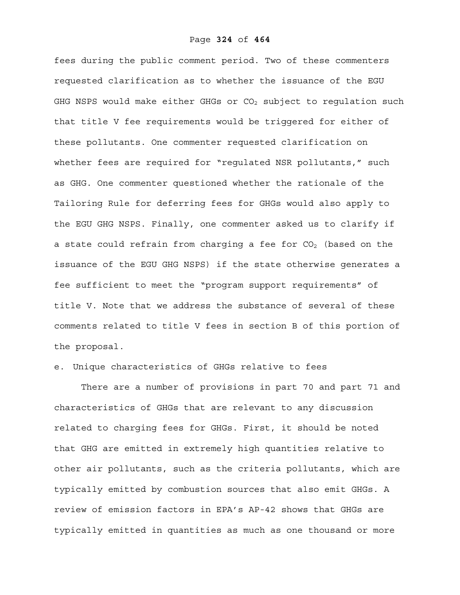fees during the public comment period. Two of these commenters requested clarification as to whether the issuance of the EGU GHG NSPS would make either GHGs or  $CO<sub>2</sub>$  subject to requlation such that title V fee requirements would be triggered for either of these pollutants. One commenter requested clarification on whether fees are required for "requlated NSR pollutants," such as GHG. One commenter questioned whether the rationale of the Tailoring Rule for deferring fees for GHGs would also apply to the EGU GHG NSPS. Finally, one commenter asked us to clarify if a state could refrain from charging a fee for  $CO<sub>2</sub>$  (based on the issuance of the EGU GHG NSPS) if the state otherwise generates a fee sufficient to meet the "program support requirements" of title V. Note that we address the substance of several of these comments related to title V fees in section B of this portion of the proposal.

## e. Unique characteristics of GHGs relative to fees

 There are a number of provisions in part 70 and part 71 and characteristics of GHGs that are relevant to any discussion related to charging fees for GHGs. First, it should be noted that GHG are emitted in extremely high quantities relative to other air pollutants, such as the criteria pollutants, which are typically emitted by combustion sources that also emit GHGs. A review of emission factors in EPA's AP-42 shows that GHGs are typically emitted in quantities as much as one thousand or more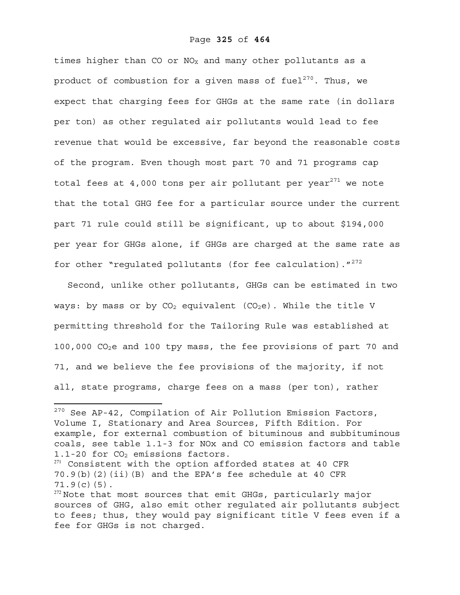times higher than CO or  $NO<sub>X</sub>$  and many other pollutants as a product of combustion for a given mass of fuel<sup>270</sup>. Thus, we expect that charging fees for GHGs at the same rate (in dollars per ton) as other regulated air pollutants would lead to fee revenue that would be excessive, far beyond the reasonable costs of the program. Even though most part 70 and 71 programs cap total fees at  $4,000$  tons per air pollutant per year<sup>271</sup> we note that the total GHG fee for a particular source under the current part 71 rule could still be significant, up to about \$194,000 per year for GHGs alone, if GHGs are charged at the same rate as for other "regulated pollutants (for fee calculation)."<sup>272</sup>

Second, unlike other pollutants, GHGs can be estimated in two ways: by mass or by  $CO<sub>2</sub>$  equivalent ( $CO<sub>2</sub>e$ ). While the title V permitting threshold for the Tailoring Rule was established at 100,000 CO2e and 100 tpy mass, the fee provisions of part 70 and 71, and we believe the fee provisions of the majority, if not all, state programs, charge fees on a mass (per ton), rather

 $270$  See AP-42, Compilation of Air Pollution Emission Factors, Volume I, Stationary and Area Sources, Fifth Edition. For example, for external combustion of bituminous and subbituminous coals, see table 1.1-3 for NOx and CO emission factors and table 1.1-20 for  $CO<sub>2</sub>$  emissions factors.

<sup>&</sup>lt;sup>271</sup> Consistent with the option afforded states at 40 CFR 70.9(b)(2)(ii)(B) and the EPA's fee schedule at 40 CFR 71.9(c)(5).

<sup>&</sup>lt;sup>272</sup> Note that most sources that emit GHGs, particularly major sources of GHG, also emit other regulated air pollutants subject to fees; thus, they would pay significant title V fees even if a fee for GHGs is not charged.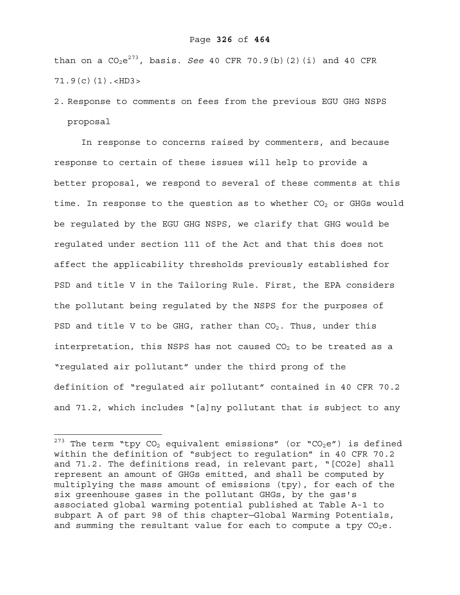#### Page **326** of **464**

than on a  $CO_2e^{273}$ , basis. *See* 40 CFR 70.9(b)(2)(i) and 40 CFR  $71.9(c)(1)$ .<HD3>

2. Response to comments on fees from the previous EGU GHG NSPS proposal

In response to concerns raised by commenters, and because response to certain of these issues will help to provide a better proposal, we respond to several of these comments at this time. In response to the question as to whether  $CO<sub>2</sub>$  or GHGs would be regulated by the EGU GHG NSPS, we clarify that GHG would be regulated under section 111 of the Act and that this does not affect the applicability thresholds previously established for PSD and title V in the Tailoring Rule. First, the EPA considers the pollutant being regulated by the NSPS for the purposes of PSD and title V to be GHG, rather than  $CO<sub>2</sub>$ . Thus, under this interpretation, this NSPS has not caused  $CO<sub>2</sub>$  to be treated as a "regulated air pollutant" under the third prong of the definition of "regulated air pollutant" contained in 40 CFR 70.2 and 71.2, which includes "[a]ny pollutant that is subject to any

1

<sup>&</sup>lt;sup>273</sup> The term "tpy CO<sub>2</sub> equivalent emissions" (or "CO<sub>2</sub>e") is defined within the definition of "subject to regulation" in 40 CFR 70.2 and 71.2. The definitions read, in relevant part, "[CO2e] shall represent an amount of GHGs emitted, and shall be computed by multiplying the mass amount of emissions (tpy), for each of the six greenhouse gases in the pollutant GHGs, by the gas's associated global warming potential published at Table A-1 to subpart A of part 98 of this chapter—Global Warming Potentials, and summing the resultant value for each to compute a tpy  $CO_2e$ .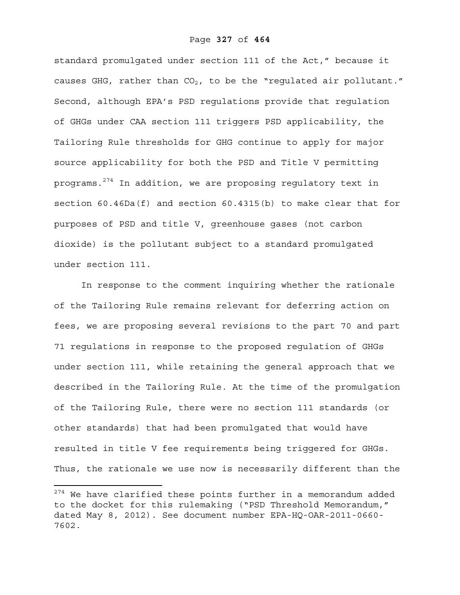standard promulgated under section 111 of the Act," because it causes GHG, rather than  $CO<sub>2</sub>$ , to be the "regulated air pollutant." Second, although EPA's PSD regulations provide that regulation of GHGs under CAA section 111 triggers PSD applicability, the Tailoring Rule thresholds for GHG continue to apply for major source applicability for both the PSD and Title V permitting programs.<sup>274</sup> In addition, we are proposing regulatory text in section 60.46Da(f) and section 60.4315(b) to make clear that for purposes of PSD and title V, greenhouse gases (not carbon dioxide) is the pollutant subject to a standard promulgated under section 111.

In response to the comment inquiring whether the rationale of the Tailoring Rule remains relevant for deferring action on fees, we are proposing several revisions to the part 70 and part 71 regulations in response to the proposed regulation of GHGs under section 111, while retaining the general approach that we described in the Tailoring Rule. At the time of the promulgation of the Tailoring Rule, there were no section 111 standards (or other standards) that had been promulgated that would have resulted in title V fee requirements being triggered for GHGs. Thus, the rationale we use now is necessarily different than the

 $274$  We have clarified these points further in a memorandum added to the docket for this rulemaking ("PSD Threshold Memorandum," dated May 8, 2012). See document number EPA-HQ-OAR-2011-0660- 7602.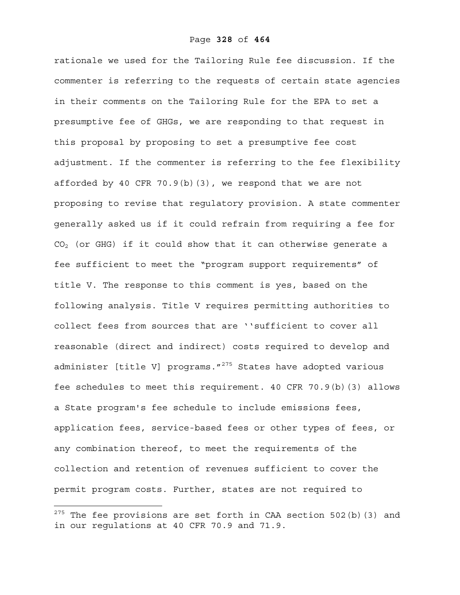rationale we used for the Tailoring Rule fee discussion. If the commenter is referring to the requests of certain state agencies in their comments on the Tailoring Rule for the EPA to set a presumptive fee of GHGs, we are responding to that request in this proposal by proposing to set a presumptive fee cost adjustment. If the commenter is referring to the fee flexibility afforded by 40 CFR 70.9(b)(3), we respond that we are not proposing to revise that regulatory provision. A state commenter generally asked us if it could refrain from requiring a fee for  $CO<sub>2</sub>$  (or GHG) if it could show that it can otherwise generate a fee sufficient to meet the "program support requirements" of title V. The response to this comment is yes, based on the following analysis. Title V requires permitting authorities to collect fees from sources that are ''sufficient to cover all reasonable (direct and indirect) costs required to develop and administer [title V] programs. $1275$  States have adopted various fee schedules to meet this requirement. 40 CFR 70.9(b)(3) allows a State program's fee schedule to include emissions fees, application fees, service-based fees or other types of fees, or any combination thereof, to meet the requirements of the collection and retention of revenues sufficient to cover the permit program costs. Further, states are not required to

 $^{275}$  The fee provisions are set forth in CAA section 502(b)(3) and in our regulations at 40 CFR 70.9 and 71.9.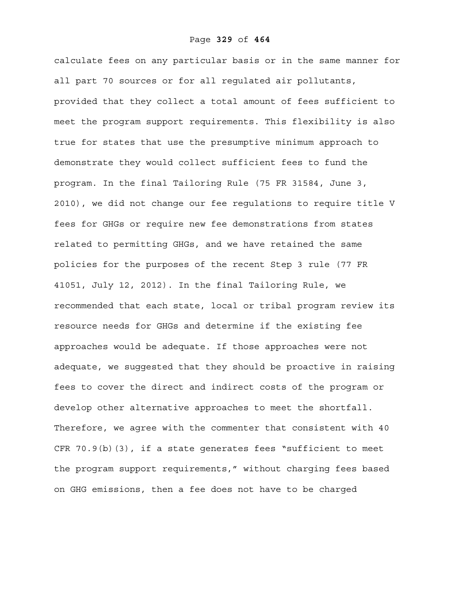calculate fees on any particular basis or in the same manner for all part 70 sources or for all regulated air pollutants, provided that they collect a total amount of fees sufficient to meet the program support requirements. This flexibility is also true for states that use the presumptive minimum approach to demonstrate they would collect sufficient fees to fund the program. In the final Tailoring Rule (75 FR 31584, June 3, 2010), we did not change our fee regulations to require title V fees for GHGs or require new fee demonstrations from states related to permitting GHGs, and we have retained the same policies for the purposes of the recent Step 3 rule (77 FR 41051, July 12, 2012). In the final Tailoring Rule, we recommended that each state, local or tribal program review its resource needs for GHGs and determine if the existing fee approaches would be adequate. If those approaches were not adequate, we suggested that they should be proactive in raising fees to cover the direct and indirect costs of the program or develop other alternative approaches to meet the shortfall. Therefore, we agree with the commenter that consistent with 40 CFR 70.9(b)(3), if a state generates fees "sufficient to meet the program support requirements," without charging fees based on GHG emissions, then a fee does not have to be charged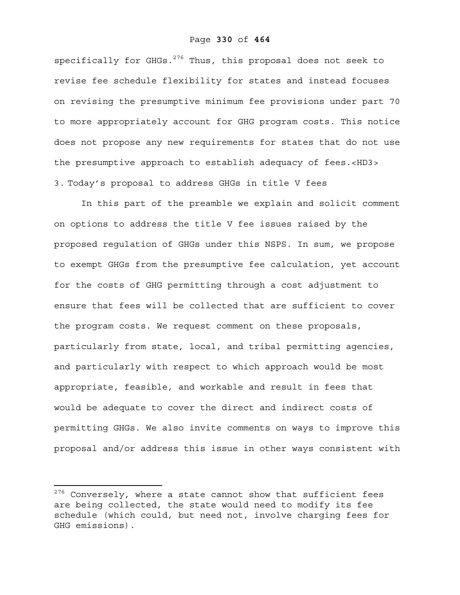#### Page **330** of **464**

specifically for GHGs.<sup>276</sup> Thus, this proposal does not seek to revise fee schedule flexibility for states and instead focuses on revising the presumptive minimum fee provisions under part 70 to more appropriately account for GHG program costs. This notice does not propose any new requirements for states that do not use the presumptive approach to establish adequacy of fees.<HD3> 3. Today's proposal to address GHGs in title V fees

In this part of the preamble we explain and solicit comment on options to address the title V fee issues raised by the proposed regulation of GHGs under this NSPS. In sum, we propose to exempt GHGs from the presumptive fee calculation, yet account for the costs of GHG permitting through a cost adjustment to ensure that fees will be collected that are sufficient to cover the program costs. We request comment on these proposals, particularly from state, local, and tribal permitting agencies, and particularly with respect to which approach would be most appropriate, feasible, and workable and result in fees that would be adequate to cover the direct and indirect costs of permitting GHGs. We also invite comments on ways to improve this proposal and/or address this issue in other ways consistent with

 $276$  Conversely, where a state cannot show that sufficient fees are being collected, the state would need to modify its fee schedule (which could, but need not, involve charging fees for GHG emissions).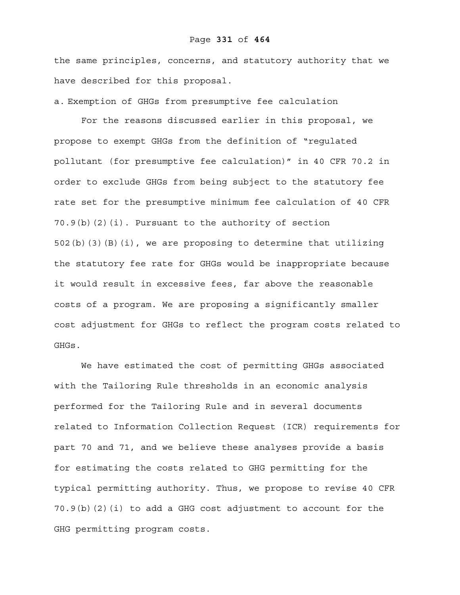#### Page **331** of **464**

the same principles, concerns, and statutory authority that we have described for this proposal.

a. Exemption of GHGs from presumptive fee calculation

 For the reasons discussed earlier in this proposal, we propose to exempt GHGs from the definition of "regulated pollutant (for presumptive fee calculation)" in 40 CFR 70.2 in order to exclude GHGs from being subject to the statutory fee rate set for the presumptive minimum fee calculation of 40 CFR 70.9(b)(2)(i). Pursuant to the authority of section 502(b)(3)(B)(i), we are proposing to determine that utilizing the statutory fee rate for GHGs would be inappropriate because it would result in excessive fees, far above the reasonable costs of a program. We are proposing a significantly smaller cost adjustment for GHGs to reflect the program costs related to GHGs.

 We have estimated the cost of permitting GHGs associated with the Tailoring Rule thresholds in an economic analysis performed for the Tailoring Rule and in several documents related to Information Collection Request (ICR) requirements for part 70 and 71, and we believe these analyses provide a basis for estimating the costs related to GHG permitting for the typical permitting authority. Thus, we propose to revise 40 CFR 70.9(b)(2)(i) to add a GHG cost adjustment to account for the GHG permitting program costs.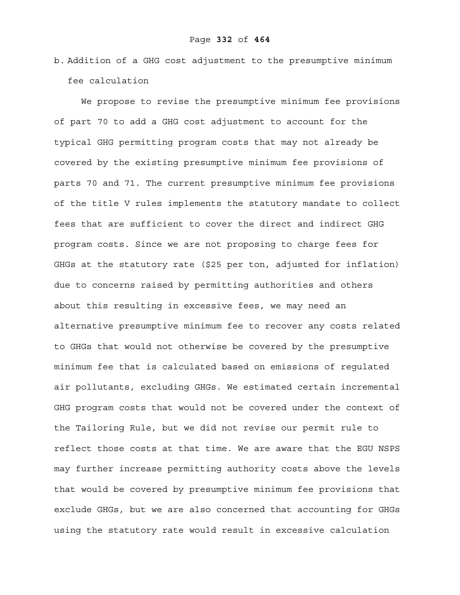b. Addition of a GHG cost adjustment to the presumptive minimum fee calculation

 We propose to revise the presumptive minimum fee provisions of part 70 to add a GHG cost adjustment to account for the typical GHG permitting program costs that may not already be covered by the existing presumptive minimum fee provisions of parts 70 and 71. The current presumptive minimum fee provisions of the title V rules implements the statutory mandate to collect fees that are sufficient to cover the direct and indirect GHG program costs. Since we are not proposing to charge fees for GHGs at the statutory rate (\$25 per ton, adjusted for inflation) due to concerns raised by permitting authorities and others about this resulting in excessive fees, we may need an alternative presumptive minimum fee to recover any costs related to GHGs that would not otherwise be covered by the presumptive minimum fee that is calculated based on emissions of regulated air pollutants, excluding GHGs. We estimated certain incremental GHG program costs that would not be covered under the context of the Tailoring Rule, but we did not revise our permit rule to reflect those costs at that time. We are aware that the EGU NSPS may further increase permitting authority costs above the levels that would be covered by presumptive minimum fee provisions that exclude GHGs, but we are also concerned that accounting for GHGs using the statutory rate would result in excessive calculation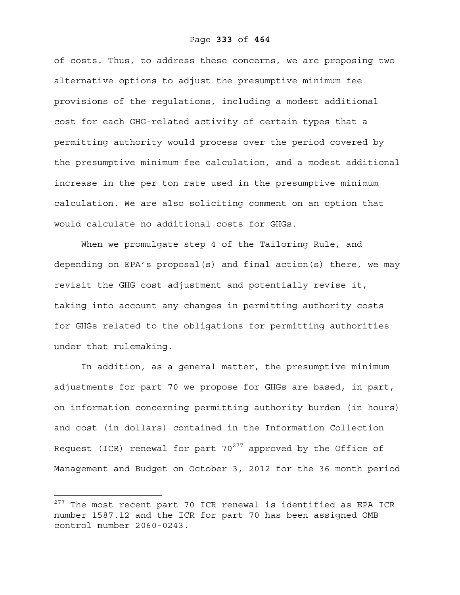of costs. Thus, to address these concerns, we are proposing two alternative options to adjust the presumptive minimum fee provisions of the regulations, including a modest additional cost for each GHG-related activity of certain types that a permitting authority would process over the period covered by the presumptive minimum fee calculation, and a modest additional increase in the per ton rate used in the presumptive minimum calculation. We are also soliciting comment on an option that would calculate no additional costs for GHGs.

When we promulgate step 4 of the Tailoring Rule, and depending on EPA's proposal(s) and final action(s) there, we may revisit the GHG cost adjustment and potentially revise it, taking into account any changes in permitting authority costs for GHGs related to the obligations for permitting authorities under that rulemaking.

In addition, as a general matter, the presumptive minimum adjustments for part 70 we propose for GHGs are based, in part, on information concerning permitting authority burden (in hours) and cost (in dollars) contained in the Information Collection Request (ICR) renewal for part  $70^{277}$  approved by the Office of Management and Budget on October 3, 2012 for the 36 month period

 $^{277}$  The most recent part 70 ICR renewal is identified as EPA ICR number 1587.12 and the ICR for part 70 has been assigned OMB control number 2060-0243.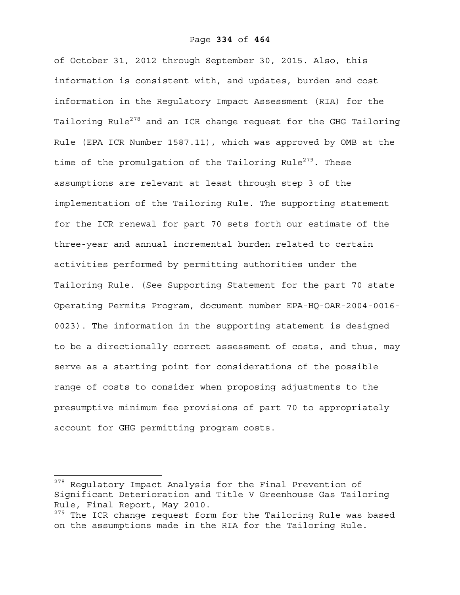of October 31, 2012 through September 30, 2015. Also, this information is consistent with, and updates, burden and cost information in the Regulatory Impact Assessment (RIA) for the Tailoring Rule<sup>278</sup> and an ICR change request for the GHG Tailoring Rule (EPA ICR Number 1587.11), which was approved by OMB at the time of the promulgation of the Tailoring Rule<sup>279</sup>. These assumptions are relevant at least through step 3 of the implementation of the Tailoring Rule. The supporting statement for the ICR renewal for part 70 sets forth our estimate of the three-year and annual incremental burden related to certain activities performed by permitting authorities under the Tailoring Rule. (See Supporting Statement for the part 70 state Operating Permits Program, document number EPA-HQ-OAR-2004-0016- 0023). The information in the supporting statement is designed to be a directionally correct assessment of costs, and thus, may serve as a starting point for considerations of the possible range of costs to consider when proposing adjustments to the presumptive minimum fee provisions of part 70 to appropriately account for GHG permitting program costs.

<sup>&</sup>lt;sup>278</sup> Regulatory Impact Analysis for the Final Prevention of Significant Deterioration and Title V Greenhouse Gas Tailoring Rule, Final Report, May 2010.

<sup>&</sup>lt;sup>279</sup> The ICR change request form for the Tailoring Rule was based on the assumptions made in the RIA for the Tailoring Rule.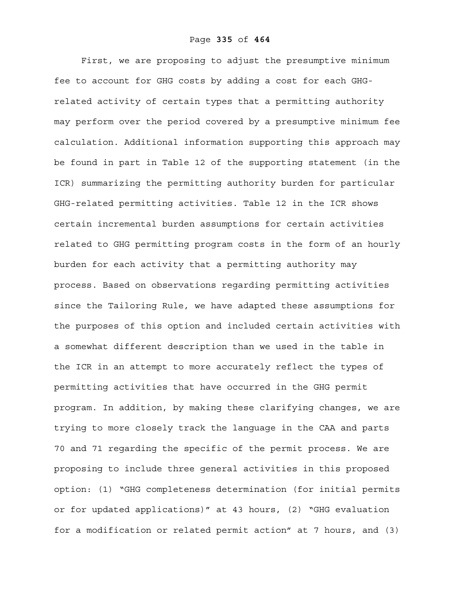First, we are proposing to adjust the presumptive minimum fee to account for GHG costs by adding a cost for each GHGrelated activity of certain types that a permitting authority may perform over the period covered by a presumptive minimum fee calculation. Additional information supporting this approach may be found in part in Table 12 of the supporting statement (in the ICR) summarizing the permitting authority burden for particular GHG-related permitting activities. Table 12 in the ICR shows certain incremental burden assumptions for certain activities related to GHG permitting program costs in the form of an hourly burden for each activity that a permitting authority may process. Based on observations regarding permitting activities since the Tailoring Rule, we have adapted these assumptions for the purposes of this option and included certain activities with a somewhat different description than we used in the table in the ICR in an attempt to more accurately reflect the types of permitting activities that have occurred in the GHG permit program. In addition, by making these clarifying changes, we are trying to more closely track the language in the CAA and parts 70 and 71 regarding the specific of the permit process. We are proposing to include three general activities in this proposed option: (1) "GHG completeness determination (for initial permits or for updated applications)" at 43 hours, (2) "GHG evaluation for a modification or related permit action" at 7 hours, and (3)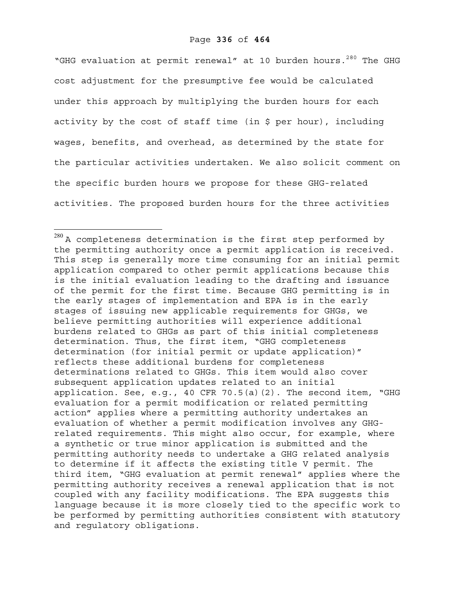"GHG evaluation at permit renewal" at 10 burden hours.<sup>280</sup> The GHG cost adjustment for the presumptive fee would be calculated under this approach by multiplying the burden hours for each activity by the cost of staff time (in \$ per hour), including wages, benefits, and overhead, as determined by the state for the particular activities undertaken. We also solicit comment on the specific burden hours we propose for these GHG-related activities. The proposed burden hours for the three activities

 $^{280}\,$ A completeness determination is the first step performed by the permitting authority once a permit application is received. This step is generally more time consuming for an initial permit application compared to other permit applications because this is the initial evaluation leading to the drafting and issuance of the permit for the first time. Because GHG permitting is in the early stages of implementation and EPA is in the early stages of issuing new applicable requirements for GHGs, we believe permitting authorities will experience additional burdens related to GHGs as part of this initial completeness determination. Thus, the first item, "GHG completeness determination (for initial permit or update application)" reflects these additional burdens for completeness determinations related to GHGs. This item would also cover subsequent application updates related to an initial application. See, e.g., 40 CFR 70.5(a)(2). The second item, "GHG evaluation for a permit modification or related permitting action" applies where a permitting authority undertakes an evaluation of whether a permit modification involves any GHGrelated requirements. This might also occur, for example, where a synthetic or true minor application is submitted and the permitting authority needs to undertake a GHG related analysis to determine if it affects the existing title V permit. The third item, "GHG evaluation at permit renewal" applies where the permitting authority receives a renewal application that is not coupled with any facility modifications. The EPA suggests this language because it is more closely tied to the specific work to be performed by permitting authorities consistent with statutory and regulatory obligations.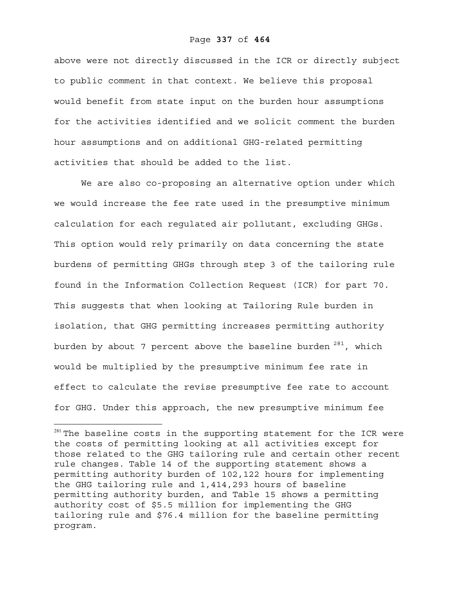#### Page **337** of **464**

above were not directly discussed in the ICR or directly subject to public comment in that context. We believe this proposal would benefit from state input on the burden hour assumptions for the activities identified and we solicit comment the burden hour assumptions and on additional GHG-related permitting activities that should be added to the list.

 We are also co-proposing an alternative option under which we would increase the fee rate used in the presumptive minimum calculation for each regulated air pollutant, excluding GHGs. This option would rely primarily on data concerning the state burdens of permitting GHGs through step 3 of the tailoring rule found in the Information Collection Request (ICR) for part 70. This suggests that when looking at Tailoring Rule burden in isolation, that GHG permitting increases permitting authority burden by about 7 percent above the baseline burden  $281$ , which would be multiplied by the presumptive minimum fee rate in effect to calculate the revise presumptive fee rate to account for GHG. Under this approach, the new presumptive minimum fee

1

 $281$  The baseline costs in the supporting statement for the ICR were the costs of permitting looking at all activities except for those related to the GHG tailoring rule and certain other recent rule changes. Table 14 of the supporting statement shows a permitting authority burden of 102,122 hours for implementing the GHG tailoring rule and 1,414,293 hours of baseline permitting authority burden, and Table 15 shows a permitting authority cost of \$5.5 million for implementing the GHG tailoring rule and \$76.4 million for the baseline permitting program.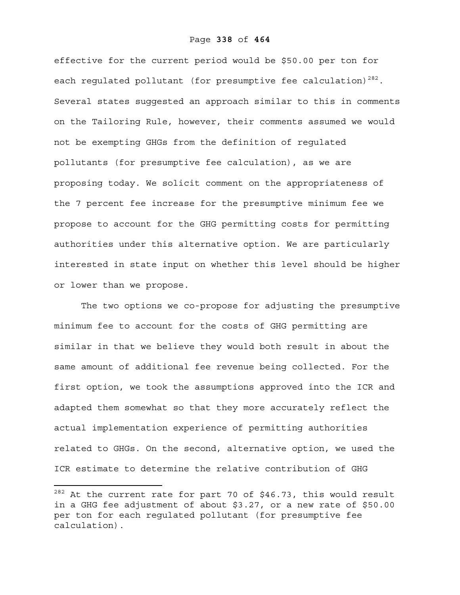effective for the current period would be \$50.00 per ton for each regulated pollutant (for presumptive fee calculation)<sup>282</sup>. Several states suggested an approach similar to this in comments on the Tailoring Rule, however, their comments assumed we would not be exempting GHGs from the definition of regulated pollutants (for presumptive fee calculation), as we are proposing today. We solicit comment on the appropriateness of the 7 percent fee increase for the presumptive minimum fee we propose to account for the GHG permitting costs for permitting authorities under this alternative option. We are particularly interested in state input on whether this level should be higher or lower than we propose.

The two options we co-propose for adjusting the presumptive minimum fee to account for the costs of GHG permitting are similar in that we believe they would both result in about the same amount of additional fee revenue being collected. For the first option, we took the assumptions approved into the ICR and adapted them somewhat so that they more accurately reflect the actual implementation experience of permitting authorities related to GHGs. On the second, alternative option, we used the ICR estimate to determine the relative contribution of GHG

<u>.</u>

 $282$  At the current rate for part 70 of \$46.73, this would result in a GHG fee adjustment of about \$3.27, or a new rate of \$50.00 per ton for each regulated pollutant (for presumptive fee calculation).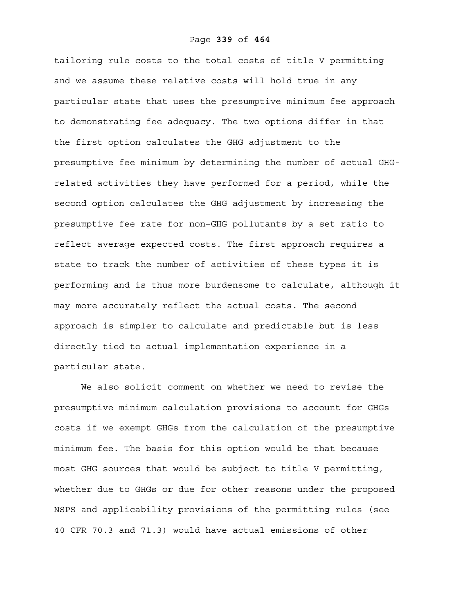#### Page **339** of **464**

tailoring rule costs to the total costs of title V permitting and we assume these relative costs will hold true in any particular state that uses the presumptive minimum fee approach to demonstrating fee adequacy. The two options differ in that the first option calculates the GHG adjustment to the presumptive fee minimum by determining the number of actual GHGrelated activities they have performed for a period, while the second option calculates the GHG adjustment by increasing the presumptive fee rate for non–GHG pollutants by a set ratio to reflect average expected costs. The first approach requires a state to track the number of activities of these types it is performing and is thus more burdensome to calculate, although it may more accurately reflect the actual costs. The second approach is simpler to calculate and predictable but is less directly tied to actual implementation experience in a particular state.

 We also solicit comment on whether we need to revise the presumptive minimum calculation provisions to account for GHGs costs if we exempt GHGs from the calculation of the presumptive minimum fee. The basis for this option would be that because most GHG sources that would be subject to title V permitting, whether due to GHGs or due for other reasons under the proposed NSPS and applicability provisions of the permitting rules (see 40 CFR 70.3 and 71.3) would have actual emissions of other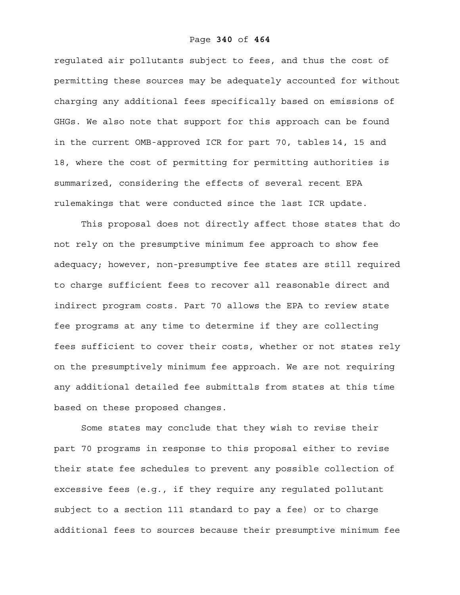regulated air pollutants subject to fees, and thus the cost of permitting these sources may be adequately accounted for without charging any additional fees specifically based on emissions of GHGs. We also note that support for this approach can be found in the current OMB-approved ICR for part 70, tables 14, 15 and 18, where the cost of permitting for permitting authorities is summarized, considering the effects of several recent EPA rulemakings that were conducted since the last ICR update.

This proposal does not directly affect those states that do not rely on the presumptive minimum fee approach to show fee adequacy; however, non-presumptive fee states are still required to charge sufficient fees to recover all reasonable direct and indirect program costs. Part 70 allows the EPA to review state fee programs at any time to determine if they are collecting fees sufficient to cover their costs, whether or not states rely on the presumptively minimum fee approach. We are not requiring any additional detailed fee submittals from states at this time based on these proposed changes.

Some states may conclude that they wish to revise their part 70 programs in response to this proposal either to revise their state fee schedules to prevent any possible collection of excessive fees (e.g., if they require any regulated pollutant subject to a section 111 standard to pay a fee) or to charge additional fees to sources because their presumptive minimum fee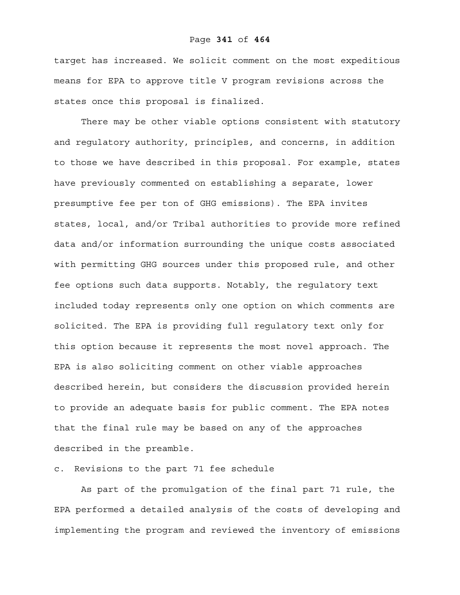target has increased. We solicit comment on the most expeditious means for EPA to approve title V program revisions across the states once this proposal is finalized.

There may be other viable options consistent with statutory and regulatory authority, principles, and concerns, in addition to those we have described in this proposal. For example, states have previously commented on establishing a separate, lower presumptive fee per ton of GHG emissions). The EPA invites states, local, and/or Tribal authorities to provide more refined data and/or information surrounding the unique costs associated with permitting GHG sources under this proposed rule, and other fee options such data supports. Notably, the regulatory text included today represents only one option on which comments are solicited. The EPA is providing full regulatory text only for this option because it represents the most novel approach. The EPA is also soliciting comment on other viable approaches described herein, but considers the discussion provided herein to provide an adequate basis for public comment. The EPA notes that the final rule may be based on any of the approaches described in the preamble.

# c. Revisions to the part 71 fee schedule

As part of the promulgation of the final part 71 rule, the EPA performed a detailed analysis of the costs of developing and implementing the program and reviewed the inventory of emissions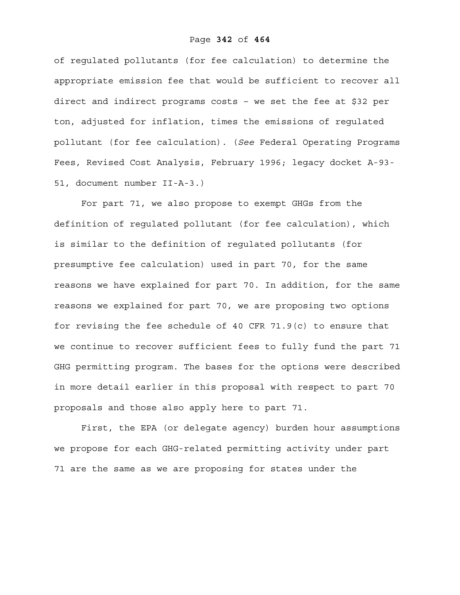of regulated pollutants (for fee calculation) to determine the appropriate emission fee that would be sufficient to recover all direct and indirect programs costs – we set the fee at \$32 per ton, adjusted for inflation, times the emissions of regulated pollutant (for fee calculation). (*See* Federal Operating Programs Fees, Revised Cost Analysis, February 1996; legacy docket A-93- 51, document number II-A-3.)

For part 71, we also propose to exempt GHGs from the definition of regulated pollutant (for fee calculation), which is similar to the definition of regulated pollutants (for presumptive fee calculation) used in part 70, for the same reasons we have explained for part 70. In addition, for the same reasons we explained for part 70, we are proposing two options for revising the fee schedule of 40 CFR 71.9(c) to ensure that we continue to recover sufficient fees to fully fund the part 71 GHG permitting program. The bases for the options were described in more detail earlier in this proposal with respect to part 70 proposals and those also apply here to part 71.

 First, the EPA (or delegate agency) burden hour assumptions we propose for each GHG-related permitting activity under part 71 are the same as we are proposing for states under the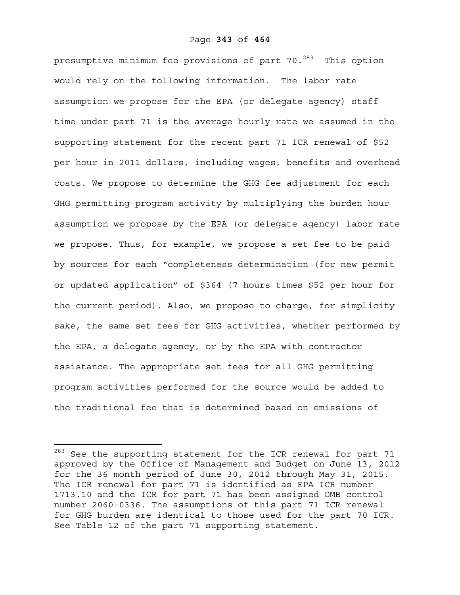presumptive minimum fee provisions of part 70.<sup>283</sup> This option would rely on the following information. The labor rate assumption we propose for the EPA (or delegate agency) staff time under part 71 is the average hourly rate we assumed in the supporting statement for the recent part 71 ICR renewal of \$52 per hour in 2011 dollars, including wages, benefits and overhead costs. We propose to determine the GHG fee adjustment for each GHG permitting program activity by multiplying the burden hour assumption we propose by the EPA (or delegate agency) labor rate we propose. Thus, for example, we propose a set fee to be paid by sources for each "completeness determination (for new permit or updated application" of \$364 (7 hours times \$52 per hour for the current period). Also, we propose to charge, for simplicity sake, the same set fees for GHG activities, whether performed by the EPA, a delegate agency, or by the EPA with contractor assistance. The appropriate set fees for all GHG permitting program activities performed for the source would be added to the traditional fee that is determined based on emissions of

<sup>&</sup>lt;sup>283</sup> See the supporting statement for the ICR renewal for part 71 approved by the Office of Management and Budget on June 13, 2012 for the 36 month period of June 30, 2012 through May 31, 2015. The ICR renewal for part 71 is identified as EPA ICR number 1713.10 and the ICR for part 71 has been assigned OMB control number 2060-0336. The assumptions of this part 71 ICR renewal for GHG burden are identical to those used for the part 70 ICR. See Table 12 of the part 71 supporting statement.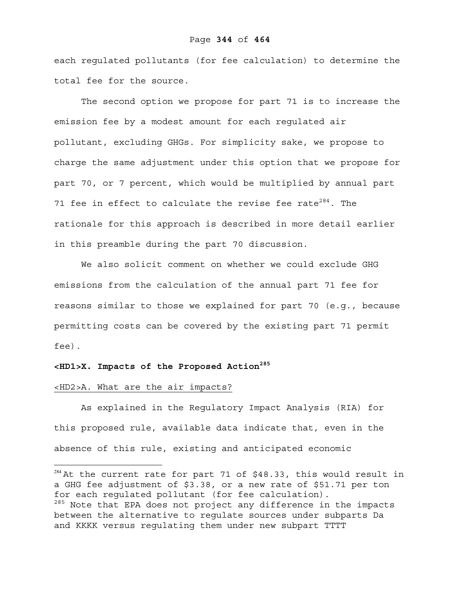#### Page **344** of **464**

each regulated pollutants (for fee calculation) to determine the total fee for the source.

 The second option we propose for part 71 is to increase the emission fee by a modest amount for each regulated air pollutant, excluding GHGs. For simplicity sake, we propose to charge the same adjustment under this option that we propose for part 70, or 7 percent, which would be multiplied by annual part 71 fee in effect to calculate the revise fee rate<sup>284</sup>. The rationale for this approach is described in more detail earlier in this preamble during the part 70 discussion.

We also solicit comment on whether we could exclude GHG emissions from the calculation of the annual part 71 fee for reasons similar to those we explained for part 70 (e.g., because permitting costs can be covered by the existing part 71 permit fee).

# **<HD1>X. Impacts of the Proposed Action285**

#### <HD2>A. What are the air impacts?

 $\overline{a}$ 

As explained in the Regulatory Impact Analysis (RIA) for this proposed rule, available data indicate that, even in the absence of this rule, existing and anticipated economic

 $284$  At the current rate for part 71 of \$48.33, this would result in a GHG fee adjustment of \$3.38, or a new rate of \$51.71 per ton for each regulated pollutant (for fee calculation). <sup>285</sup> Note that EPA does not project any difference in the impacts between the alternative to regulate sources under subparts Da and KKKK versus regulating them under new subpart TTTT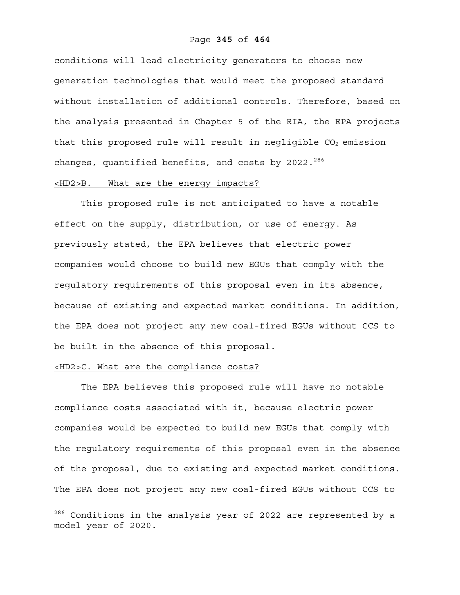#### Page **345** of **464**

conditions will lead electricity generators to choose new generation technologies that would meet the proposed standard without installation of additional controls. Therefore, based on the analysis presented in Chapter 5 of the RIA, the EPA projects that this proposed rule will result in negligible  $CO<sub>2</sub>$  emission changes, quantified benefits, and costs by 2022. $^{286}$ 

### <HD2>B. What are the energy impacts?

This proposed rule is not anticipated to have a notable effect on the supply, distribution, or use of energy. As previously stated, the EPA believes that electric power companies would choose to build new EGUs that comply with the regulatory requirements of this proposal even in its absence, because of existing and expected market conditions. In addition, the EPA does not project any new coal-fired EGUs without CCS to be built in the absence of this proposal.

# <HD2>C. What are the compliance costs?

 $\overline{a}$ 

The EPA believes this proposed rule will have no notable compliance costs associated with it, because electric power companies would be expected to build new EGUs that comply with the regulatory requirements of this proposal even in the absence of the proposal, due to existing and expected market conditions. The EPA does not project any new coal-fired EGUs without CCS to

 $^{286}$  Conditions in the analysis year of 2022 are represented by a model year of 2020.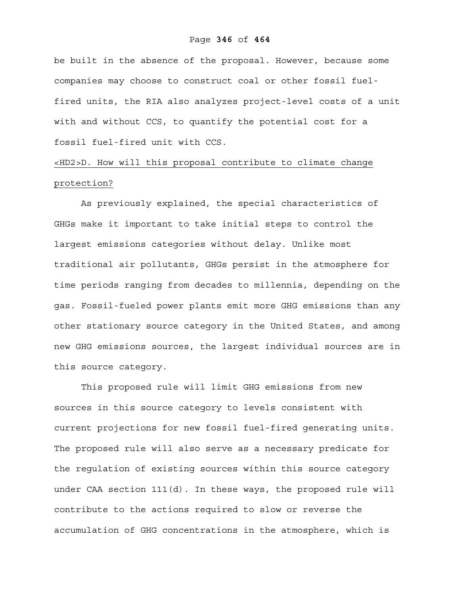#### Page **346** of **464**

be built in the absence of the proposal. However, because some companies may choose to construct coal or other fossil fuelfired units, the RIA also analyzes project-level costs of a unit with and without CCS, to quantify the potential cost for a fossil fuel-fired unit with CCS.

# <HD2>D. How will this proposal contribute to climate change protection?

As previously explained, the special characteristics of GHGs make it important to take initial steps to control the largest emissions categories without delay. Unlike most traditional air pollutants, GHGs persist in the atmosphere for time periods ranging from decades to millennia, depending on the gas. Fossil-fueled power plants emit more GHG emissions than any other stationary source category in the United States, and among new GHG emissions sources, the largest individual sources are in this source category.

This proposed rule will limit GHG emissions from new sources in this source category to levels consistent with current projections for new fossil fuel-fired generating units. The proposed rule will also serve as a necessary predicate for the regulation of existing sources within this source category under CAA section  $111(d)$ . In these ways, the proposed rule will contribute to the actions required to slow or reverse the accumulation of GHG concentrations in the atmosphere, which is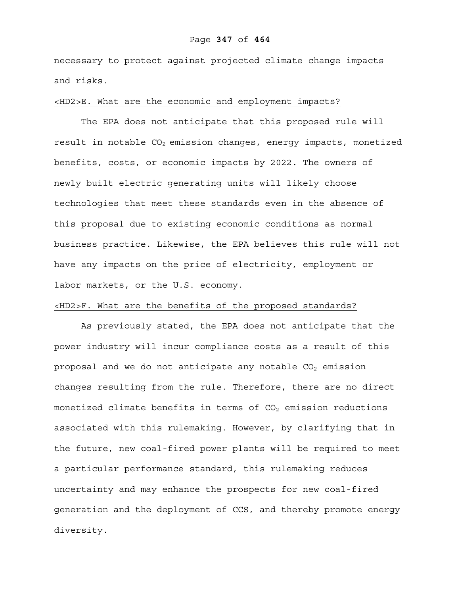#### Page **347** of **464**

necessary to protect against projected climate change impacts and risks.

#### <HD2>E. What are the economic and employment impacts?

 The EPA does not anticipate that this proposed rule will result in notable  $CO<sub>2</sub>$  emission changes, energy impacts, monetized benefits, costs, or economic impacts by 2022. The owners of newly built electric generating units will likely choose technologies that meet these standards even in the absence of this proposal due to existing economic conditions as normal business practice. Likewise, the EPA believes this rule will not have any impacts on the price of electricity, employment or labor markets, or the U.S. economy.

# <HD2>F. What are the benefits of the proposed standards?

 As previously stated, the EPA does not anticipate that the power industry will incur compliance costs as a result of this proposal and we do not anticipate any notable  $CO<sub>2</sub>$  emission changes resulting from the rule. Therefore, there are no direct monetized climate benefits in terms of  $CO<sub>2</sub>$  emission reductions associated with this rulemaking. However, by clarifying that in the future, new coal-fired power plants will be required to meet a particular performance standard, this rulemaking reduces uncertainty and may enhance the prospects for new coal-fired generation and the deployment of CCS, and thereby promote energy diversity.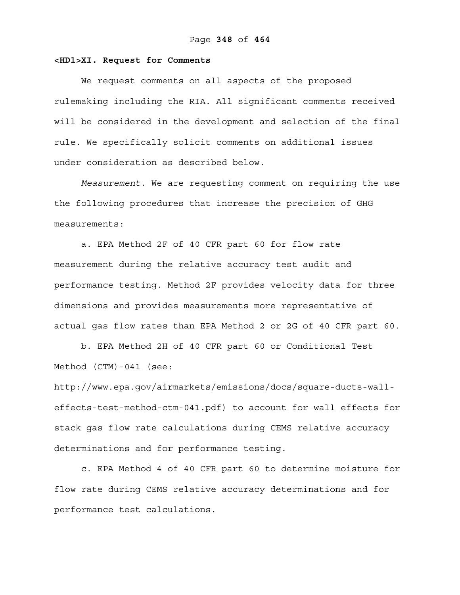#### **<HD1>XI. Request for Comments**

We request comments on all aspects of the proposed rulemaking including the RIA. All significant comments received will be considered in the development and selection of the final rule. We specifically solicit comments on additional issues under consideration as described below.

*Measurement.* We are requesting comment on requiring the use the following procedures that increase the precision of GHG measurements:

a. EPA Method 2F of 40 CFR part 60 for flow rate measurement during the relative accuracy test audit and performance testing. Method 2F provides velocity data for three dimensions and provides measurements more representative of actual gas flow rates than EPA Method 2 or 2G of 40 CFR part 60.

b. EPA Method 2H of 40 CFR part 60 or Conditional Test Method (CTM)-041 (see:

http://www.epa.gov/airmarkets/emissions/docs/square-ducts-walleffects-test-method-ctm-041.pdf) to account for wall effects for stack gas flow rate calculations during CEMS relative accuracy determinations and for performance testing.

c. EPA Method 4 of 40 CFR part 60 to determine moisture for flow rate during CEMS relative accuracy determinations and for performance test calculations.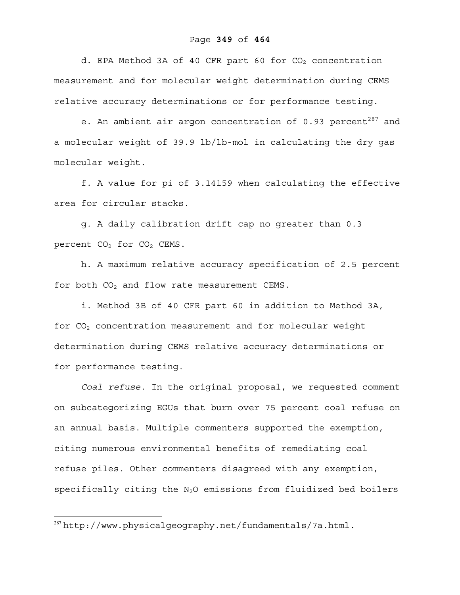d. EPA Method 3A of 40 CFR part 60 for  $CO<sub>2</sub>$  concentration measurement and for molecular weight determination during CEMS relative accuracy determinations or for performance testing.

e. An ambient air argon concentration of  $0.93$  percent<sup>287</sup> and a molecular weight of 39.9 lb/lb-mol in calculating the dry gas molecular weight.

f. A value for pi of 3.14159 when calculating the effective area for circular stacks.

g. A daily calibration drift cap no greater than 0.3 percent  $CO<sub>2</sub>$  for  $CO<sub>2</sub>$  CEMS.

h. A maximum relative accuracy specification of 2.5 percent for both  $CO<sub>2</sub>$  and flow rate measurement CEMS.

i. Method 3B of 40 CFR part 60 in addition to Method 3A, for CO<sub>2</sub> concentration measurement and for molecular weight determination during CEMS relative accuracy determinations or for performance testing.

*Coal refuse.* In the original proposal, we requested comment on subcategorizing EGUs that burn over 75 percent coal refuse on an annual basis. Multiple commenters supported the exemption, citing numerous environmental benefits of remediating coal refuse piles. Other commenters disagreed with any exemption, specifically citing the  $N_2O$  emissions from fluidized bed boilers

1

 $287$ http://www.physicalgeography.net/fundamentals/7a.html.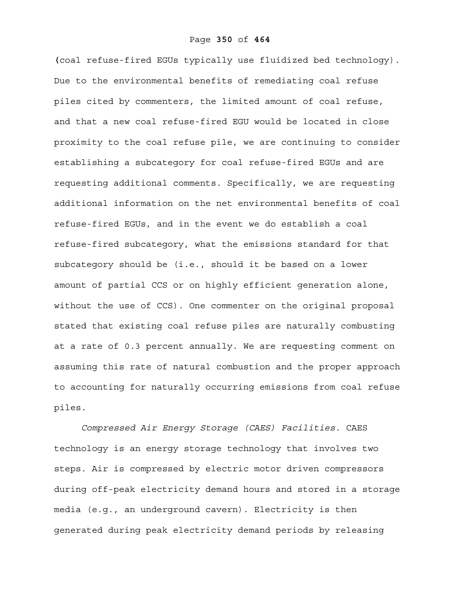**(**coal refuse-fired EGUs typically use fluidized bed technology). Due to the environmental benefits of remediating coal refuse piles cited by commenters, the limited amount of coal refuse, and that a new coal refuse-fired EGU would be located in close proximity to the coal refuse pile, we are continuing to consider establishing a subcategory for coal refuse-fired EGUs and are requesting additional comments. Specifically, we are requesting additional information on the net environmental benefits of coal refuse-fired EGUs, and in the event we do establish a coal refuse-fired subcategory, what the emissions standard for that subcategory should be (i.e., should it be based on a lower amount of partial CCS or on highly efficient generation alone, without the use of CCS). One commenter on the original proposal stated that existing coal refuse piles are naturally combusting at a rate of 0.3 percent annually. We are requesting comment on assuming this rate of natural combustion and the proper approach to accounting for naturally occurring emissions from coal refuse piles.

*Compressed Air Energy Storage (CAES) Facilities.* CAES technology is an energy storage technology that involves two steps. Air is compressed by electric motor driven compressors during off-peak electricity demand hours and stored in a storage media (e.g., an underground cavern). Electricity is then generated during peak electricity demand periods by releasing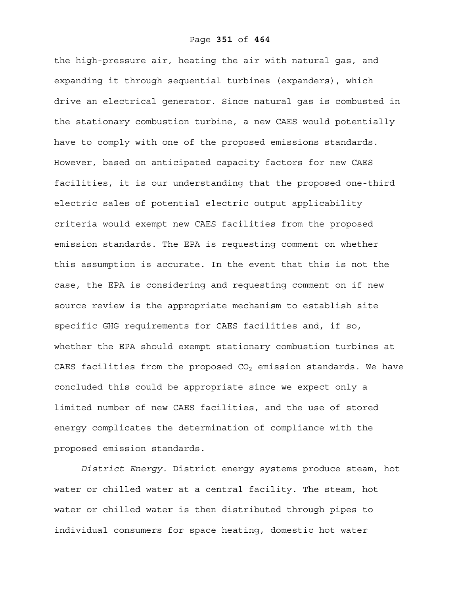the high-pressure air, heating the air with natural gas, and expanding it through sequential turbines (expanders), which drive an electrical generator. Since natural gas is combusted in the stationary combustion turbine, a new CAES would potentially have to comply with one of the proposed emissions standards. However, based on anticipated capacity factors for new CAES facilities, it is our understanding that the proposed one-third electric sales of potential electric output applicability criteria would exempt new CAES facilities from the proposed emission standards. The EPA is requesting comment on whether this assumption is accurate. In the event that this is not the case, the EPA is considering and requesting comment on if new source review is the appropriate mechanism to establish site specific GHG requirements for CAES facilities and, if so, whether the EPA should exempt stationary combustion turbines at CAES facilities from the proposed  $CO<sub>2</sub>$  emission standards. We have concluded this could be appropriate since we expect only a limited number of new CAES facilities, and the use of stored energy complicates the determination of compliance with the proposed emission standards.

*District Energy.* District energy systems produce steam, hot water or chilled water at a central facility. The steam, hot water or chilled water is then distributed through pipes to individual consumers for space heating, domestic hot water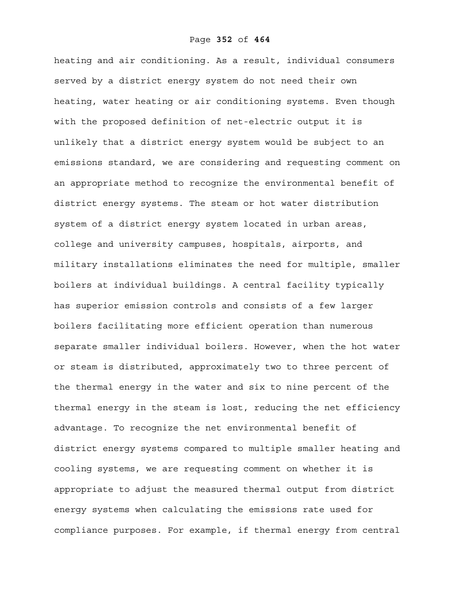heating and air conditioning. As a result, individual consumers served by a district energy system do not need their own heating, water heating or air conditioning systems. Even though with the proposed definition of net-electric output it is unlikely that a district energy system would be subject to an emissions standard, we are considering and requesting comment on an appropriate method to recognize the environmental benefit of district energy systems. The steam or hot water distribution system of a district energy system located in urban areas, college and university campuses, hospitals, airports, and military installations eliminates the need for multiple, smaller boilers at individual buildings. A central facility typically has superior emission controls and consists of a few larger boilers facilitating more efficient operation than numerous separate smaller individual boilers. However, when the hot water or steam is distributed, approximately two to three percent of the thermal energy in the water and six to nine percent of the thermal energy in the steam is lost, reducing the net efficiency advantage. To recognize the net environmental benefit of district energy systems compared to multiple smaller heating and cooling systems, we are requesting comment on whether it is appropriate to adjust the measured thermal output from district energy systems when calculating the emissions rate used for compliance purposes. For example, if thermal energy from central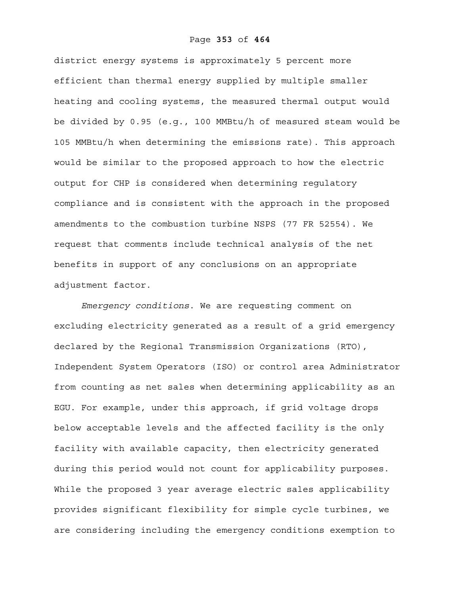#### Page **353** of **464**

district energy systems is approximately 5 percent more efficient than thermal energy supplied by multiple smaller heating and cooling systems, the measured thermal output would be divided by 0.95 (e.g., 100 MMBtu/h of measured steam would be 105 MMBtu/h when determining the emissions rate). This approach would be similar to the proposed approach to how the electric output for CHP is considered when determining regulatory compliance and is consistent with the approach in the proposed amendments to the combustion turbine NSPS (77 FR 52554). We request that comments include technical analysis of the net benefits in support of any conclusions on an appropriate adjustment factor.

*Emergency conditions*. We are requesting comment on excluding electricity generated as a result of a grid emergency declared by the Regional Transmission Organizations (RTO), Independent System Operators (ISO) or control area Administrator from counting as net sales when determining applicability as an EGU. For example, under this approach, if grid voltage drops below acceptable levels and the affected facility is the only facility with available capacity, then electricity generated during this period would not count for applicability purposes. While the proposed 3 year average electric sales applicability provides significant flexibility for simple cycle turbines, we are considering including the emergency conditions exemption to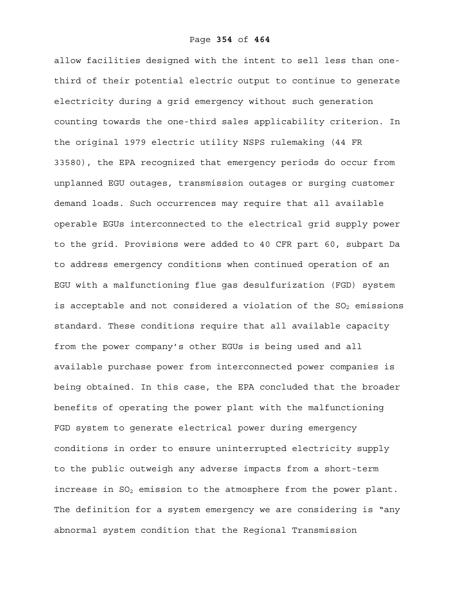allow facilities designed with the intent to sell less than onethird of their potential electric output to continue to generate electricity during a grid emergency without such generation counting towards the one-third sales applicability criterion. In the original 1979 electric utility NSPS rulemaking (44 FR 33580), the EPA recognized that emergency periods do occur from unplanned EGU outages, transmission outages or surging customer demand loads. Such occurrences may require that all available operable EGUs interconnected to the electrical grid supply power to the grid. Provisions were added to 40 CFR part 60, subpart Da to address emergency conditions when continued operation of an EGU with a malfunctioning flue gas desulfurization (FGD) system is acceptable and not considered a violation of the  $SO_2$  emissions standard. These conditions require that all available capacity from the power company's other EGUs is being used and all available purchase power from interconnected power companies is being obtained. In this case, the EPA concluded that the broader benefits of operating the power plant with the malfunctioning FGD system to generate electrical power during emergency conditions in order to ensure uninterrupted electricity supply to the public outweigh any adverse impacts from a short-term increase in  $SO_2$  emission to the atmosphere from the power plant. The definition for a system emergency we are considering is "any abnormal system condition that the Regional Transmission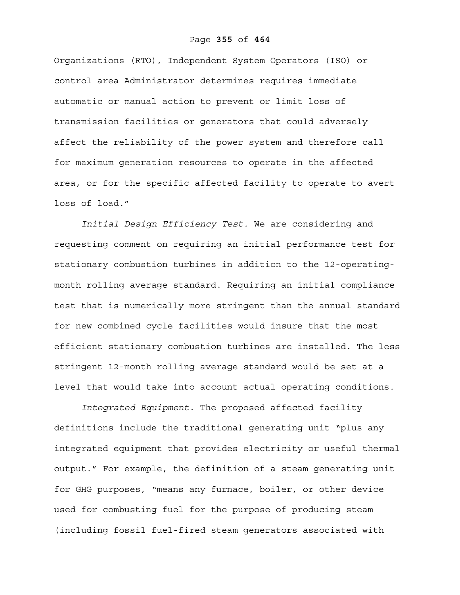#### Page **355** of **464**

Organizations (RTO), Independent System Operators (ISO) or control area Administrator determines requires immediate automatic or manual action to prevent or limit loss of transmission facilities or generators that could adversely affect the reliability of the power system and therefore call for maximum generation resources to operate in the affected area, or for the specific affected facility to operate to avert loss of load."

*Initial Design Efficiency Test.* We are considering and requesting comment on requiring an initial performance test for stationary combustion turbines in addition to the 12-operatingmonth rolling average standard. Requiring an initial compliance test that is numerically more stringent than the annual standard for new combined cycle facilities would insure that the most efficient stationary combustion turbines are installed. The less stringent 12-month rolling average standard would be set at a level that would take into account actual operating conditions.

*Integrated Equipment.* The proposed affected facility definitions include the traditional generating unit "plus any integrated equipment that provides electricity or useful thermal output." For example, the definition of a steam generating unit for GHG purposes, "means any furnace, boiler, or other device used for combusting fuel for the purpose of producing steam (including fossil fuel-fired steam generators associated with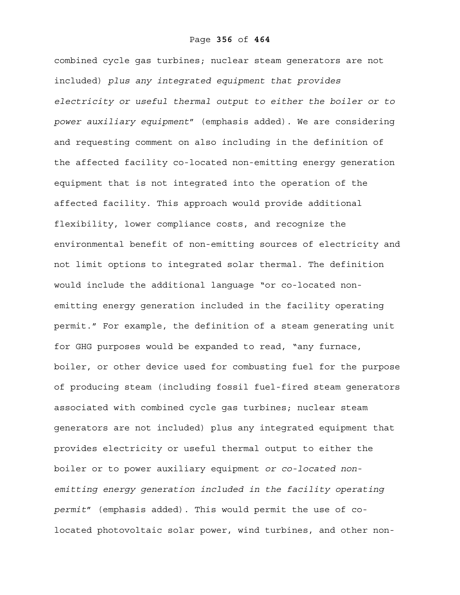combined cycle gas turbines; nuclear steam generators are not included) *plus any integrated equipment that provides electricity or useful thermal output to either the boiler or to power auxiliary equipment*" (emphasis added). We are considering and requesting comment on also including in the definition of the affected facility co-located non-emitting energy generation equipment that is not integrated into the operation of the affected facility. This approach would provide additional flexibility, lower compliance costs, and recognize the environmental benefit of non-emitting sources of electricity and not limit options to integrated solar thermal. The definition would include the additional language "or co-located nonemitting energy generation included in the facility operating permit." For example, the definition of a steam generating unit for GHG purposes would be expanded to read, "any furnace, boiler, or other device used for combusting fuel for the purpose of producing steam (including fossil fuel-fired steam generators associated with combined cycle gas turbines; nuclear steam generators are not included) plus any integrated equipment that provides electricity or useful thermal output to either the boiler or to power auxiliary equipment *or co-located nonemitting energy generation included in the facility operating permit*" (emphasis added). This would permit the use of colocated photovoltaic solar power, wind turbines, and other non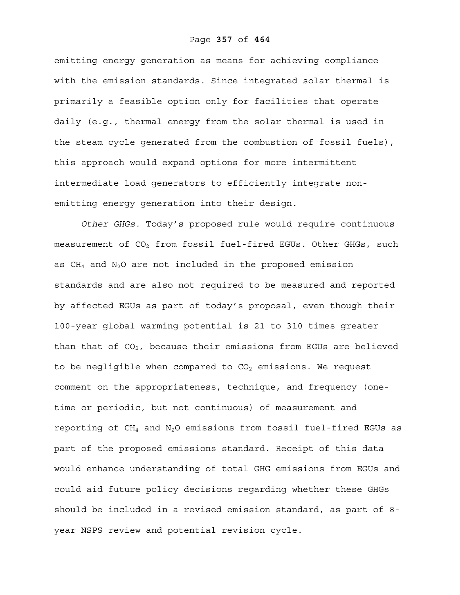emitting energy generation as means for achieving compliance with the emission standards. Since integrated solar thermal is primarily a feasible option only for facilities that operate daily (e.g., thermal energy from the solar thermal is used in the steam cycle generated from the combustion of fossil fuels), this approach would expand options for more intermittent intermediate load generators to efficiently integrate nonemitting energy generation into their design.

*Other GHGs.* Today's proposed rule would require continuous measurement of  $CO<sub>2</sub>$  from fossil fuel-fired EGUs. Other GHGs, such as  $CH_4$  and  $N_2O$  are not included in the proposed emission standards and are also not required to be measured and reported by affected EGUs as part of today's proposal, even though their 100-year global warming potential is 21 to 310 times greater than that of  $CO<sub>2</sub>$ , because their emissions from EGUs are believed to be negligible when compared to  $CO<sub>2</sub>$  emissions. We request comment on the appropriateness, technique, and frequency (onetime or periodic, but not continuous) of measurement and reporting of  $CH_4$  and  $N_2O$  emissions from fossil fuel-fired EGUs as part of the proposed emissions standard. Receipt of this data would enhance understanding of total GHG emissions from EGUs and could aid future policy decisions regarding whether these GHGs should be included in a revised emission standard, as part of 8 year NSPS review and potential revision cycle.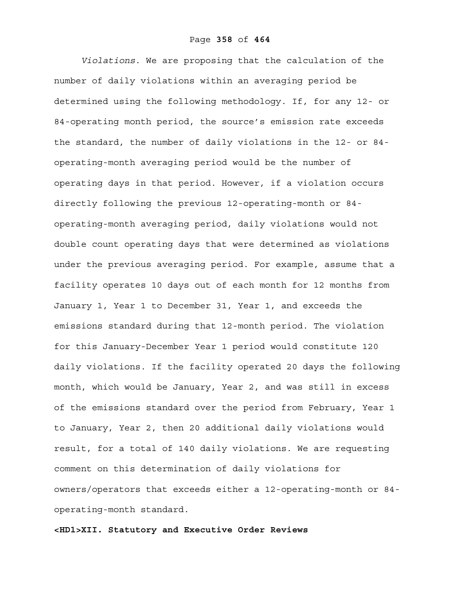*Violations*. We are proposing that the calculation of the number of daily violations within an averaging period be determined using the following methodology. If, for any 12- or 84-operating month period, the source's emission rate exceeds the standard, the number of daily violations in the 12- or 84 operating-month averaging period would be the number of operating days in that period. However, if a violation occurs directly following the previous 12-operating-month or 84 operating-month averaging period, daily violations would not double count operating days that were determined as violations under the previous averaging period. For example, assume that a facility operates 10 days out of each month for 12 months from January 1, Year 1 to December 31, Year 1, and exceeds the emissions standard during that 12-month period. The violation for this January-December Year 1 period would constitute 120 daily violations. If the facility operated 20 days the following month, which would be January, Year 2, and was still in excess of the emissions standard over the period from February, Year 1 to January, Year 2, then 20 additional daily violations would result, for a total of 140 daily violations. We are requesting comment on this determination of daily violations for owners/operators that exceeds either a 12-operating-month or 84 operating-month standard.

**<HD1>XII. Statutory and Executive Order Reviews**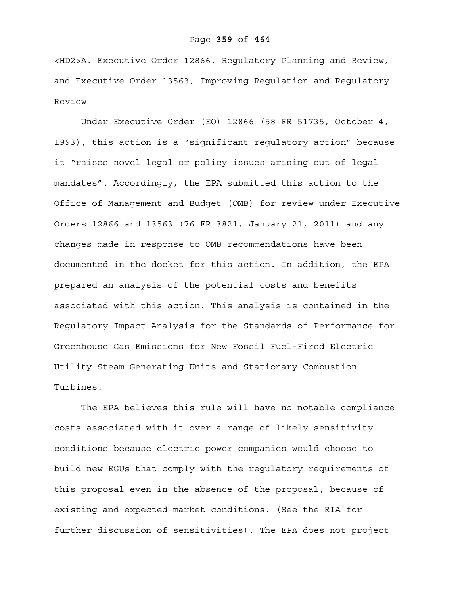#### Page **359** of **464**

<HD2>A. Executive Order 12866, Regulatory Planning and Review, and Executive Order 13563, Improving Regulation and Regulatory Review

 Under Executive Order (EO) 12866 (58 FR 51735, October 4, 1993), this action is a "significant regulatory action" because it "raises novel legal or policy issues arising out of legal mandates". Accordingly, the EPA submitted this action to the Office of Management and Budget (OMB) for review under Executive Orders 12866 and 13563 (76 FR 3821, January 21, 2011) and any changes made in response to OMB recommendations have been documented in the docket for this action. In addition, the EPA prepared an analysis of the potential costs and benefits associated with this action. This analysis is contained in the Regulatory Impact Analysis for the Standards of Performance for Greenhouse Gas Emissions for New Fossil Fuel-Fired Electric Utility Steam Generating Units and Stationary Combustion Turbines.

 The EPA believes this rule will have no notable compliance costs associated with it over a range of likely sensitivity conditions because electric power companies would choose to build new EGUs that comply with the regulatory requirements of this proposal even in the absence of the proposal, because of existing and expected market conditions. (See the RIA for further discussion of sensitivities). The EPA does not project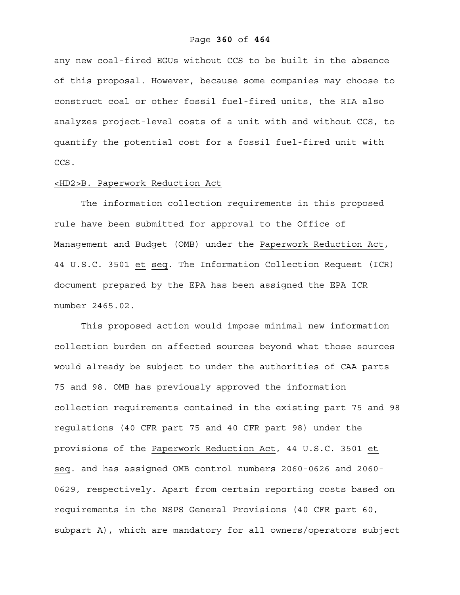#### Page **360** of **464**

any new coal-fired EGUs without CCS to be built in the absence of this proposal. However, because some companies may choose to construct coal or other fossil fuel-fired units, the RIA also analyzes project-level costs of a unit with and without CCS, to quantify the potential cost for a fossil fuel-fired unit with CCS.

### <HD2>B. Paperwork Reduction Act

 The information collection requirements in this proposed rule have been submitted for approval to the Office of Management and Budget (OMB) under the Paperwork Reduction Act, 44 U.S.C. 3501 et seq. The Information Collection Request (ICR) document prepared by the EPA has been assigned the EPA ICR number 2465.02.

 This proposed action would impose minimal new information collection burden on affected sources beyond what those sources would already be subject to under the authorities of CAA parts 75 and 98. OMB has previously approved the information collection requirements contained in the existing part 75 and 98 regulations (40 CFR part 75 and 40 CFR part 98) under the provisions of the Paperwork Reduction Act, 44 U.S.C. 3501 et seq. and has assigned OMB control numbers 2060-0626 and 2060- 0629, respectively. Apart from certain reporting costs based on requirements in the NSPS General Provisions (40 CFR part 60, subpart A), which are mandatory for all owners/operators subject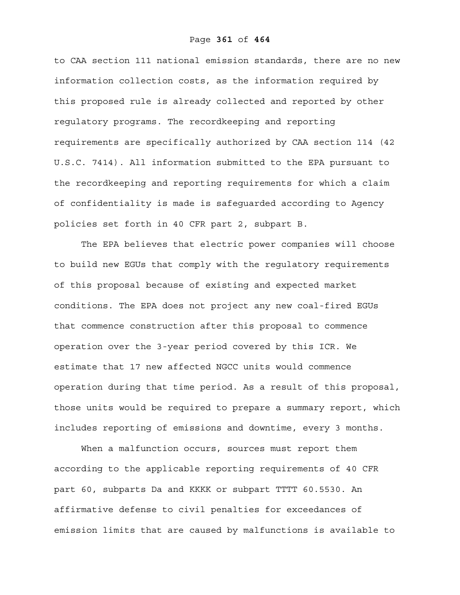to CAA section 111 national emission standards, there are no new information collection costs, as the information required by this proposed rule is already collected and reported by other regulatory programs. The recordkeeping and reporting requirements are specifically authorized by CAA section 114 (42 U.S.C. 7414). All information submitted to the EPA pursuant to the recordkeeping and reporting requirements for which a claim of confidentiality is made is safeguarded according to Agency policies set forth in 40 CFR part 2, subpart B.

The EPA believes that electric power companies will choose to build new EGUs that comply with the regulatory requirements of this proposal because of existing and expected market conditions. The EPA does not project any new coal-fired EGUs that commence construction after this proposal to commence operation over the 3-year period covered by this ICR. We estimate that 17 new affected NGCC units would commence operation during that time period. As a result of this proposal, those units would be required to prepare a summary report, which includes reporting of emissions and downtime, every 3 months.

When a malfunction occurs, sources must report them according to the applicable reporting requirements of 40 CFR part 60, subparts Da and KKKK or subpart TTTT 60.5530. An affirmative defense to civil penalties for exceedances of emission limits that are caused by malfunctions is available to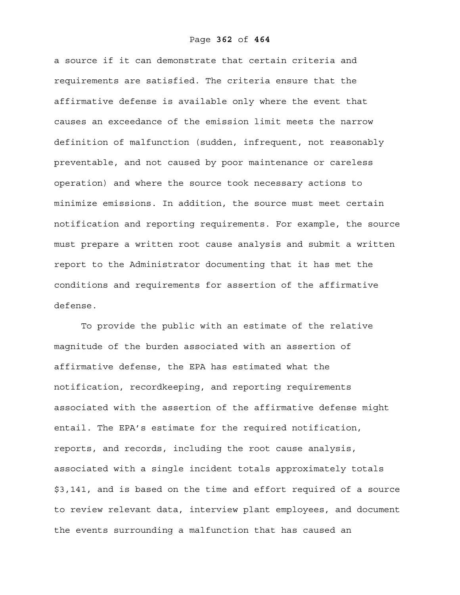a source if it can demonstrate that certain criteria and requirements are satisfied. The criteria ensure that the affirmative defense is available only where the event that causes an exceedance of the emission limit meets the narrow definition of malfunction (sudden, infrequent, not reasonably preventable, and not caused by poor maintenance or careless operation) and where the source took necessary actions to minimize emissions. In addition, the source must meet certain notification and reporting requirements. For example, the source must prepare a written root cause analysis and submit a written report to the Administrator documenting that it has met the conditions and requirements for assertion of the affirmative defense.

To provide the public with an estimate of the relative magnitude of the burden associated with an assertion of affirmative defense, the EPA has estimated what the notification, recordkeeping, and reporting requirements associated with the assertion of the affirmative defense might entail. The EPA's estimate for the required notification, reports, and records, including the root cause analysis, associated with a single incident totals approximately totals \$3,141, and is based on the time and effort required of a source to review relevant data, interview plant employees, and document the events surrounding a malfunction that has caused an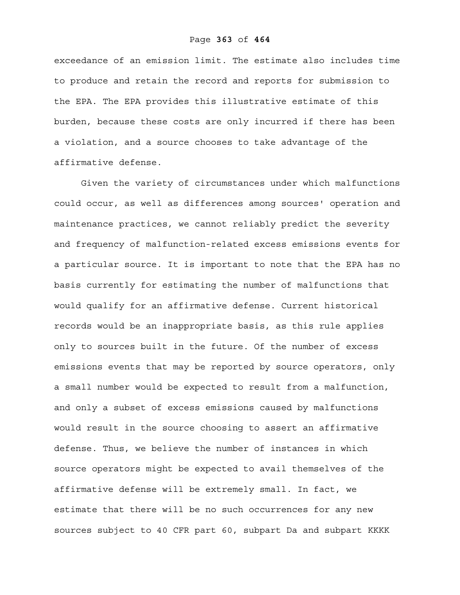# Page **363** of **464**

exceedance of an emission limit. The estimate also includes time to produce and retain the record and reports for submission to the EPA. The EPA provides this illustrative estimate of this burden, because these costs are only incurred if there has been a violation, and a source chooses to take advantage of the affirmative defense.

Given the variety of circumstances under which malfunctions could occur, as well as differences among sources' operation and maintenance practices, we cannot reliably predict the severity and frequency of malfunction-related excess emissions events for a particular source. It is important to note that the EPA has no basis currently for estimating the number of malfunctions that would qualify for an affirmative defense. Current historical records would be an inappropriate basis, as this rule applies only to sources built in the future. Of the number of excess emissions events that may be reported by source operators, only a small number would be expected to result from a malfunction, and only a subset of excess emissions caused by malfunctions would result in the source choosing to assert an affirmative defense. Thus, we believe the number of instances in which source operators might be expected to avail themselves of the affirmative defense will be extremely small. In fact, we estimate that there will be no such occurrences for any new sources subject to 40 CFR part 60, subpart Da and subpart KKKK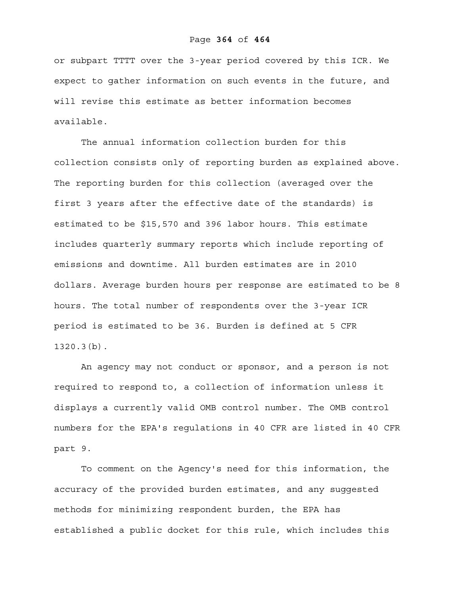or subpart TTTT over the 3-year period covered by this ICR. We expect to gather information on such events in the future, and will revise this estimate as better information becomes available.

The annual information collection burden for this collection consists only of reporting burden as explained above. The reporting burden for this collection (averaged over the first 3 years after the effective date of the standards) is estimated to be \$15,570 and 396 labor hours. This estimate includes quarterly summary reports which include reporting of emissions and downtime. All burden estimates are in 2010 dollars. Average burden hours per response are estimated to be 8 hours. The total number of respondents over the 3-year ICR period is estimated to be 36. Burden is defined at 5 CFR 1320.3(b).

An agency may not conduct or sponsor, and a person is not required to respond to, a collection of information unless it displays a currently valid OMB control number. The OMB control numbers for the EPA's regulations in 40 CFR are listed in 40 CFR part 9.

 To comment on the Agency's need for this information, the accuracy of the provided burden estimates, and any suggested methods for minimizing respondent burden, the EPA has established a public docket for this rule, which includes this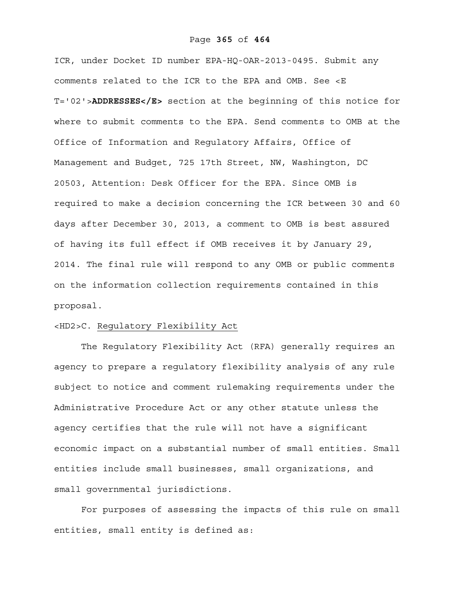## Page **365** of **464**

ICR, under Docket ID number EPA-HQ-OAR-2013-0495. Submit any comments related to the ICR to the EPA and OMB. See <E T='02'>**ADDRESSES</E>** section at the beginning of this notice for where to submit comments to the EPA. Send comments to OMB at the Office of Information and Regulatory Affairs, Office of Management and Budget, 725 17th Street, NW, Washington, DC 20503, Attention: Desk Officer for the EPA. Since OMB is required to make a decision concerning the ICR between 30 and 60 days after December 30, 2013, a comment to OMB is best assured of having its full effect if OMB receives it by January 29, 2014. The final rule will respond to any OMB or public comments on the information collection requirements contained in this proposal.

# <HD2>C. Regulatory Flexibility Act

The Regulatory Flexibility Act (RFA) generally requires an agency to prepare a regulatory flexibility analysis of any rule subject to notice and comment rulemaking requirements under the Administrative Procedure Act or any other statute unless the agency certifies that the rule will not have a significant economic impact on a substantial number of small entities. Small entities include small businesses, small organizations, and small governmental jurisdictions.

For purposes of assessing the impacts of this rule on small entities, small entity is defined as: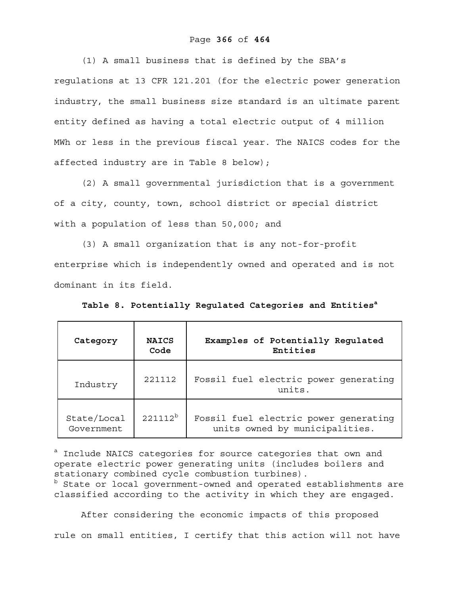# Page **366** of **464**

(1) A small business that is defined by the SBA's regulations at 13 CFR 121.201 (for the electric power generation industry, the small business size standard is an ultimate parent entity defined as having a total electric output of 4 million MWh or less in the previous fiscal year. The NAICS codes for the affected industry are in Table 8 below);

(2) A small governmental jurisdiction that is a government of a city, county, town, school district or special district with a population of less than 50,000; and

(3) A small organization that is any not-for-profit enterprise which is independently owned and operated and is not dominant in its field.

Table 8. Potentially Regulated Categories and Entities<sup>a</sup>

| Category                  | <b>NAICS</b><br>Code | Examples of Potentially Regulated<br>Entities                           |
|---------------------------|----------------------|-------------------------------------------------------------------------|
| Industry                  | 221112               | Fossil fuel electric power generating<br>units.                         |
| State/Local<br>Government | $221112^{b}$         | Fossil fuel electric power generating<br>units owned by municipalities. |

<sup>a</sup> Include NAICS categories for source categories that own and operate electric power generating units (includes boilers and stationary combined cycle combustion turbines). **b** State or local government-owned and operated establishments are classified according to the activity in which they are engaged.

After considering the economic impacts of this proposed rule on small entities, I certify that this action will not have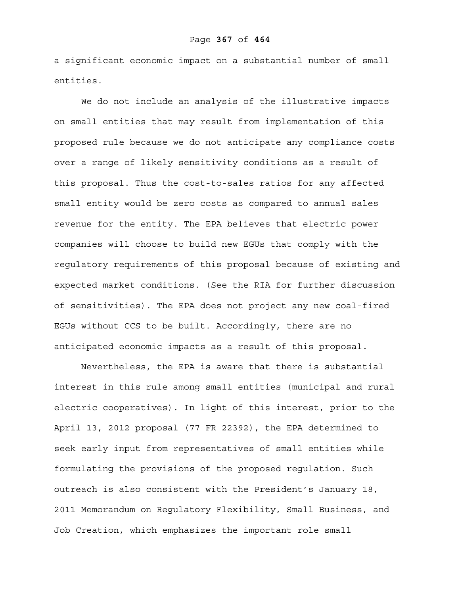a significant economic impact on a substantial number of small entities.

We do not include an analysis of the illustrative impacts on small entities that may result from implementation of this proposed rule because we do not anticipate any compliance costs over a range of likely sensitivity conditions as a result of this proposal. Thus the cost-to-sales ratios for any affected small entity would be zero costs as compared to annual sales revenue for the entity. The EPA believes that electric power companies will choose to build new EGUs that comply with the regulatory requirements of this proposal because of existing and expected market conditions. (See the RIA for further discussion of sensitivities). The EPA does not project any new coal-fired EGUs without CCS to be built. Accordingly, there are no anticipated economic impacts as a result of this proposal.

Nevertheless, the EPA is aware that there is substantial interest in this rule among small entities (municipal and rural electric cooperatives). In light of this interest, prior to the April 13, 2012 proposal (77 FR 22392), the EPA determined to seek early input from representatives of small entities while formulating the provisions of the proposed regulation. Such outreach is also consistent with the President's January 18, 2011 Memorandum on Regulatory Flexibility, Small Business, and Job Creation, which emphasizes the important role small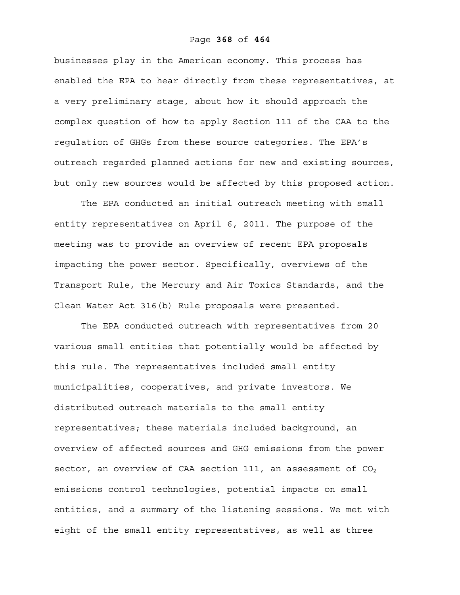businesses play in the American economy. This process has enabled the EPA to hear directly from these representatives, at a very preliminary stage, about how it should approach the complex question of how to apply Section 111 of the CAA to the regulation of GHGs from these source categories. The EPA's outreach regarded planned actions for new and existing sources, but only new sources would be affected by this proposed action.

The EPA conducted an initial outreach meeting with small entity representatives on April 6, 2011. The purpose of the meeting was to provide an overview of recent EPA proposals impacting the power sector. Specifically, overviews of the Transport Rule, the Mercury and Air Toxics Standards, and the Clean Water Act 316(b) Rule proposals were presented.

The EPA conducted outreach with representatives from 20 various small entities that potentially would be affected by this rule. The representatives included small entity municipalities, cooperatives, and private investors. We distributed outreach materials to the small entity representatives; these materials included background, an overview of affected sources and GHG emissions from the power sector, an overview of CAA section 111, an assessment of  $CO<sub>2</sub>$ emissions control technologies, potential impacts on small entities, and a summary of the listening sessions. We met with eight of the small entity representatives, as well as three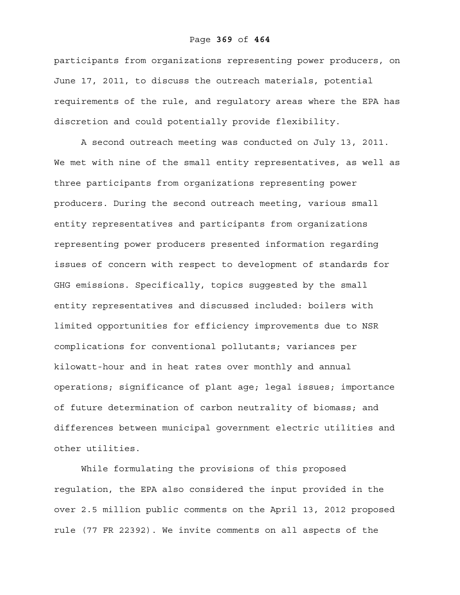#### Page **369** of **464**

participants from organizations representing power producers, on June 17, 2011, to discuss the outreach materials, potential requirements of the rule, and regulatory areas where the EPA has discretion and could potentially provide flexibility.

A second outreach meeting was conducted on July 13, 2011. We met with nine of the small entity representatives, as well as three participants from organizations representing power producers. During the second outreach meeting, various small entity representatives and participants from organizations representing power producers presented information regarding issues of concern with respect to development of standards for GHG emissions. Specifically, topics suggested by the small entity representatives and discussed included: boilers with limited opportunities for efficiency improvements due to NSR complications for conventional pollutants; variances per kilowatt-hour and in heat rates over monthly and annual operations; significance of plant age; legal issues; importance of future determination of carbon neutrality of biomass; and differences between municipal government electric utilities and other utilities.

While formulating the provisions of this proposed regulation, the EPA also considered the input provided in the over 2.5 million public comments on the April 13, 2012 proposed rule (77 FR 22392). We invite comments on all aspects of the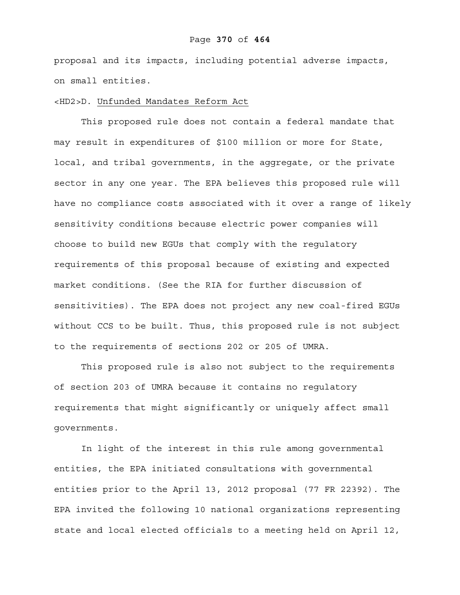# Page **370** of **464**

proposal and its impacts, including potential adverse impacts, on small entities.

# <HD2>D. Unfunded Mandates Reform Act

This proposed rule does not contain a federal mandate that may result in expenditures of \$100 million or more for State, local, and tribal governments, in the aggregate, or the private sector in any one year. The EPA believes this proposed rule will have no compliance costs associated with it over a range of likely sensitivity conditions because electric power companies will choose to build new EGUs that comply with the regulatory requirements of this proposal because of existing and expected market conditions. (See the RIA for further discussion of sensitivities). The EPA does not project any new coal-fired EGUs without CCS to be built. Thus, this proposed rule is not subject to the requirements of sections 202 or 205 of UMRA.

This proposed rule is also not subject to the requirements of section 203 of UMRA because it contains no regulatory requirements that might significantly or uniquely affect small governments.

In light of the interest in this rule among governmental entities, the EPA initiated consultations with governmental entities prior to the April 13, 2012 proposal (77 FR 22392). The EPA invited the following 10 national organizations representing state and local elected officials to a meeting held on April 12,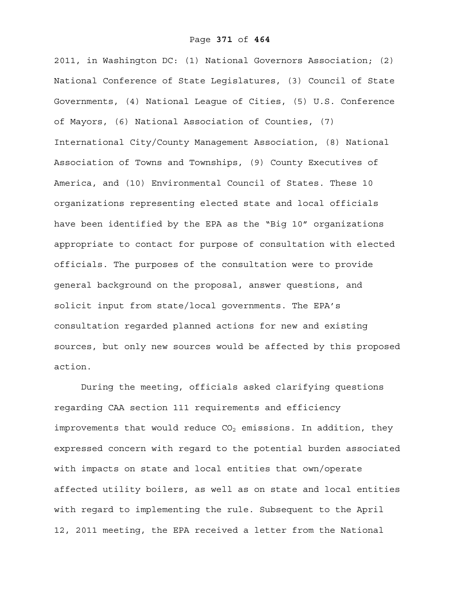2011, in Washington DC: (1) National Governors Association; (2) National Conference of State Legislatures, (3) Council of State Governments, (4) National League of Cities, (5) U.S. Conference of Mayors, (6) National Association of Counties, (7) International City/County Management Association, (8) National Association of Towns and Townships, (9) County Executives of America, and (10) Environmental Council of States. These 10 organizations representing elected state and local officials have been identified by the EPA as the "Big 10" organizations appropriate to contact for purpose of consultation with elected officials. The purposes of the consultation were to provide general background on the proposal, answer questions, and solicit input from state/local governments. The EPA's consultation regarded planned actions for new and existing sources, but only new sources would be affected by this proposed action.

During the meeting, officials asked clarifying questions regarding CAA section 111 requirements and efficiency improvements that would reduce  $CO<sub>2</sub>$  emissions. In addition, they expressed concern with regard to the potential burden associated with impacts on state and local entities that own/operate affected utility boilers, as well as on state and local entities with regard to implementing the rule. Subsequent to the April 12, 2011 meeting, the EPA received a letter from the National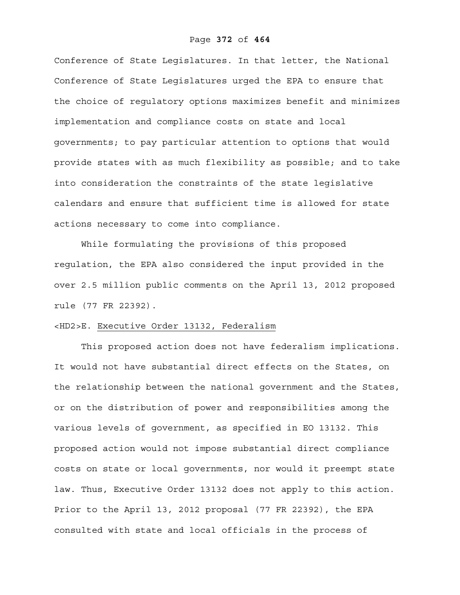Conference of State Legislatures. In that letter, the National Conference of State Legislatures urged the EPA to ensure that the choice of regulatory options maximizes benefit and minimizes implementation and compliance costs on state and local governments; to pay particular attention to options that would provide states with as much flexibility as possible; and to take into consideration the constraints of the state legislative calendars and ensure that sufficient time is allowed for state actions necessary to come into compliance.

While formulating the provisions of this proposed regulation, the EPA also considered the input provided in the over 2.5 million public comments on the April 13, 2012 proposed rule (77 FR 22392).

# <HD2>E. Executive Order 13132, Federalism

This proposed action does not have federalism implications. It would not have substantial direct effects on the States, on the relationship between the national government and the States, or on the distribution of power and responsibilities among the various levels of government, as specified in EO 13132. This proposed action would not impose substantial direct compliance costs on state or local governments, nor would it preempt state law. Thus, Executive Order 13132 does not apply to this action. Prior to the April 13, 2012 proposal (77 FR 22392), the EPA consulted with state and local officials in the process of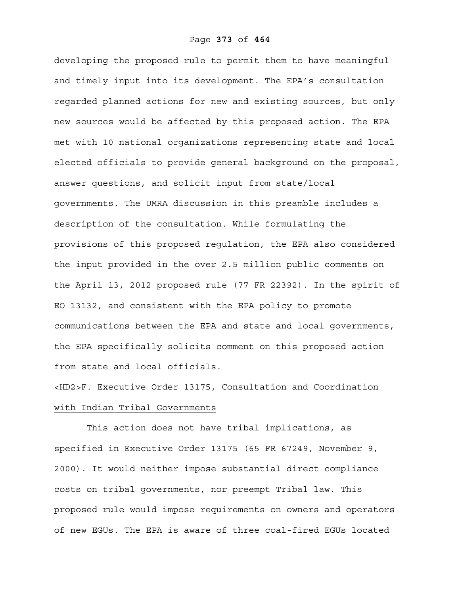developing the proposed rule to permit them to have meaningful and timely input into its development. The EPA's consultation regarded planned actions for new and existing sources, but only new sources would be affected by this proposed action. The EPA met with 10 national organizations representing state and local elected officials to provide general background on the proposal, answer questions, and solicit input from state/local governments. The UMRA discussion in this preamble includes a description of the consultation. While formulating the provisions of this proposed regulation, the EPA also considered the input provided in the over 2.5 million public comments on the April 13, 2012 proposed rule (77 FR 22392). In the spirit of EO 13132, and consistent with the EPA policy to promote communications between the EPA and state and local governments, the EPA specifically solicits comment on this proposed action from state and local officials.

# <HD2>F. Executive Order 13175, Consultation and Coordination with Indian Tribal Governments

 This action does not have tribal implications, as specified in Executive Order 13175 (65 FR 67249, November 9, 2000). It would neither impose substantial direct compliance costs on tribal governments, nor preempt Tribal law. This proposed rule would impose requirements on owners and operators of new EGUs. The EPA is aware of three coal-fired EGUs located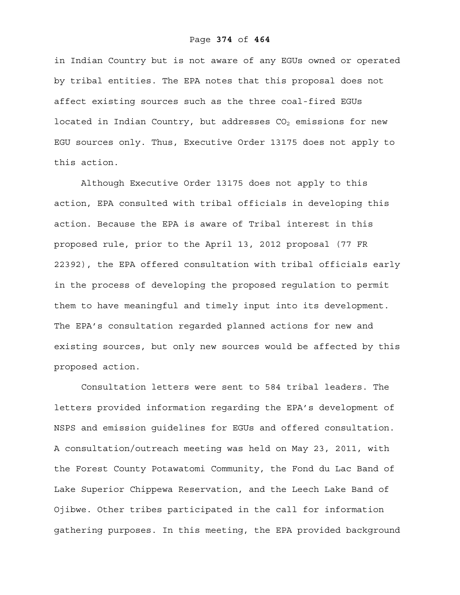# Page **374** of **464**

in Indian Country but is not aware of any EGUs owned or operated by tribal entities. The EPA notes that this proposal does not affect existing sources such as the three coal-fired EGUs located in Indian Country, but addresses  $CO<sub>2</sub>$  emissions for new EGU sources only. Thus, Executive Order 13175 does not apply to this action.

Although Executive Order 13175 does not apply to this action, EPA consulted with tribal officials in developing this action. Because the EPA is aware of Tribal interest in this proposed rule, prior to the April 13, 2012 proposal (77 FR 22392), the EPA offered consultation with tribal officials early in the process of developing the proposed regulation to permit them to have meaningful and timely input into its development. The EPA's consultation regarded planned actions for new and existing sources, but only new sources would be affected by this proposed action.

Consultation letters were sent to 584 tribal leaders. The letters provided information regarding the EPA's development of NSPS and emission guidelines for EGUs and offered consultation. A consultation/outreach meeting was held on May 23, 2011, with the Forest County Potawatomi Community, the Fond du Lac Band of Lake Superior Chippewa Reservation, and the Leech Lake Band of Ojibwe. Other tribes participated in the call for information gathering purposes. In this meeting, the EPA provided background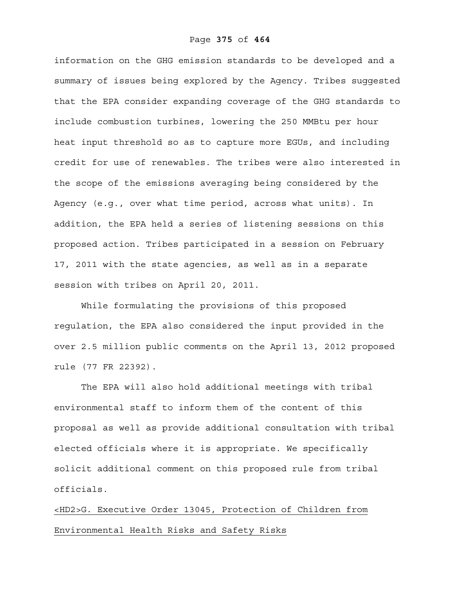information on the GHG emission standards to be developed and a summary of issues being explored by the Agency. Tribes suggested that the EPA consider expanding coverage of the GHG standards to include combustion turbines, lowering the 250 MMBtu per hour heat input threshold so as to capture more EGUs, and including credit for use of renewables. The tribes were also interested in the scope of the emissions averaging being considered by the Agency (e.g., over what time period, across what units). In addition, the EPA held a series of listening sessions on this proposed action. Tribes participated in a session on February 17, 2011 with the state agencies, as well as in a separate session with tribes on April 20, 2011.

While formulating the provisions of this proposed regulation, the EPA also considered the input provided in the over 2.5 million public comments on the April 13, 2012 proposed rule (77 FR 22392).

The EPA will also hold additional meetings with tribal environmental staff to inform them of the content of this proposal as well as provide additional consultation with tribal elected officials where it is appropriate. We specifically solicit additional comment on this proposed rule from tribal officials.

<HD2>G. Executive Order 13045, Protection of Children from Environmental Health Risks and Safety Risks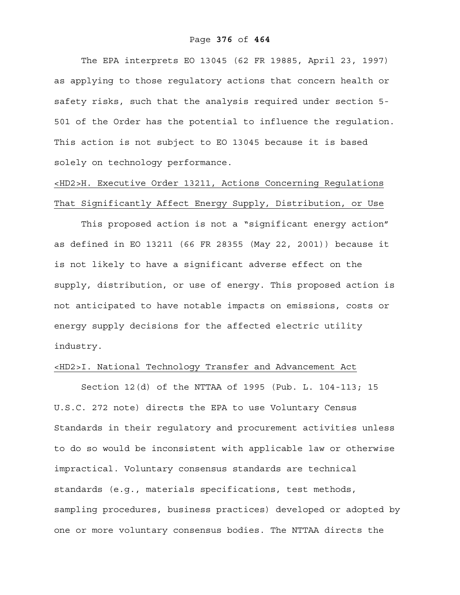# Page **376** of **464**

The EPA interprets EO 13045 (62 FR 19885, April 23, 1997) as applying to those regulatory actions that concern health or safety risks, such that the analysis required under section 5- 501 of the Order has the potential to influence the regulation. This action is not subject to EO 13045 because it is based solely on technology performance.

# <HD2>H. Executive Order 13211, Actions Concerning Regulations That Significantly Affect Energy Supply, Distribution, or Use

This proposed action is not a "significant energy action" as defined in EO 13211 (66 FR 28355 (May 22, 2001)) because it is not likely to have a significant adverse effect on the supply, distribution, or use of energy. This proposed action is not anticipated to have notable impacts on emissions, costs or energy supply decisions for the affected electric utility industry.

# <HD2>I. National Technology Transfer and Advancement Act

Section 12(d) of the NTTAA of 1995 (Pub. L. 104-113; 15 U.S.C. 272 note) directs the EPA to use Voluntary Census Standards in their regulatory and procurement activities unless to do so would be inconsistent with applicable law or otherwise impractical. Voluntary consensus standards are technical standards (e.g., materials specifications, test methods, sampling procedures, business practices) developed or adopted by one or more voluntary consensus bodies. The NTTAA directs the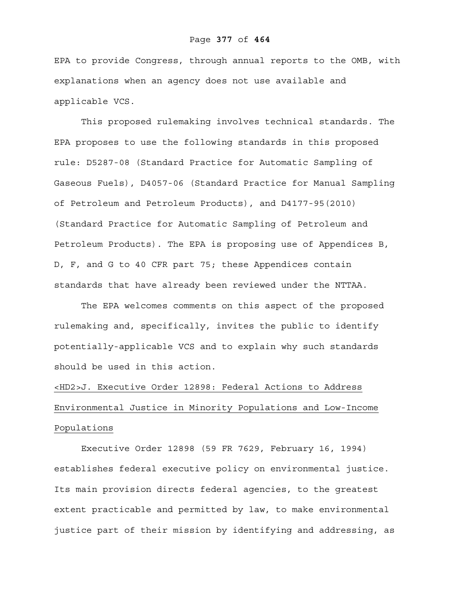# Page **377** of **464**

EPA to provide Congress, through annual reports to the OMB, with explanations when an agency does not use available and applicable VCS.

This proposed rulemaking involves technical standards. The EPA proposes to use the following standards in this proposed rule: D5287-08 (Standard Practice for Automatic Sampling of Gaseous Fuels), D4057-06 (Standard Practice for Manual Sampling of Petroleum and Petroleum Products), and D4177-95(2010) (Standard Practice for Automatic Sampling of Petroleum and Petroleum Products). The EPA is proposing use of Appendices B, D, F, and G to 40 CFR part 75; these Appendices contain standards that have already been reviewed under the NTTAA.

The EPA welcomes comments on this aspect of the proposed rulemaking and, specifically, invites the public to identify potentially-applicable VCS and to explain why such standards should be used in this action.

# <HD2>J. Executive Order 12898: Federal Actions to Address Environmental Justice in Minority Populations and Low-Income Populations

 Executive Order 12898 (59 FR 7629, February 16, 1994) establishes federal executive policy on environmental justice. Its main provision directs federal agencies, to the greatest extent practicable and permitted by law, to make environmental justice part of their mission by identifying and addressing, as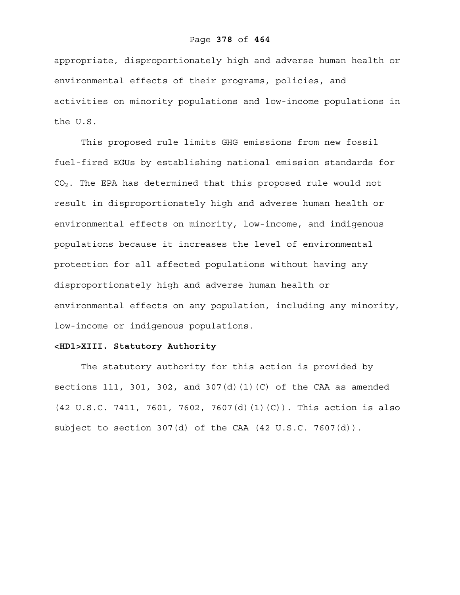# Page **378** of **464**

appropriate, disproportionately high and adverse human health or environmental effects of their programs, policies, and activities on minority populations and low-income populations in the U.S.

This proposed rule limits GHG emissions from new fossil fuel-fired EGUs by establishing national emission standards for CO2. The EPA has determined that this proposed rule would not result in disproportionately high and adverse human health or environmental effects on minority, low-income, and indigenous populations because it increases the level of environmental protection for all affected populations without having any disproportionately high and adverse human health or environmental effects on any population, including any minority, low-income or indigenous populations.

# **<HD1>XIII. Statutory Authority**

The statutory authority for this action is provided by sections 111, 301, 302, and 307 $(d)$  (1)(C) of the CAA as amended (42 U.S.C. 7411, 7601, 7602, 7607(d)(1)(C)). This action is also subject to section 307(d) of the CAA (42 U.S.C. 7607(d)).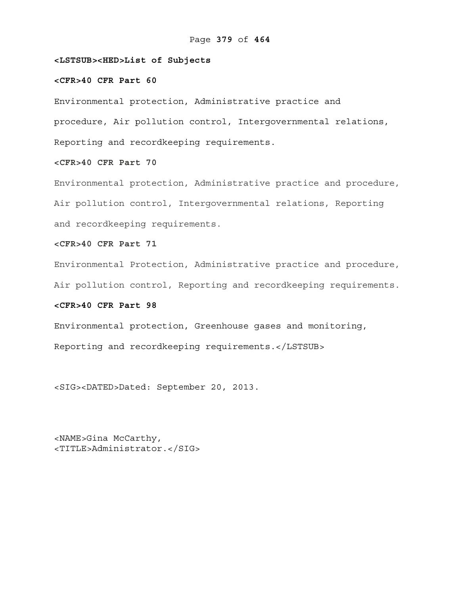# **<LSTSUB><HED>List of Subjects**

# **<CFR>40 CFR Part 60**

Environmental protection, Administrative practice and procedure, Air pollution control, Intergovernmental relations, Reporting and recordkeeping requirements.

# **<CFR>40 CFR Part 70**

Environmental protection, Administrative practice and procedure, Air pollution control, Intergovernmental relations, Reporting and recordkeeping requirements.

# **<CFR>40 CFR Part 71**

Environmental Protection, Administrative practice and procedure,

Air pollution control, Reporting and recordkeeping requirements.

# **<CFR>40 CFR Part 98**

Environmental protection, Greenhouse gases and monitoring, Reporting and recordkeeping requirements.</LSTSUB>

<SIG><DATED>Dated: September 20, 2013.

<NAME>Gina McCarthy, <TITLE>Administrator.</SIG>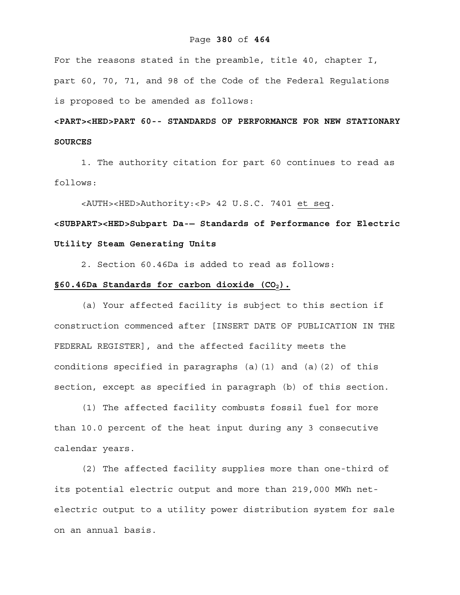## Page **380** of **464**

For the reasons stated in the preamble, title 40, chapter I, part 60, 70, 71, and 98 of the Code of the Federal Regulations is proposed to be amended as follows:

# **<PART><HED>PART 60-- STANDARDS OF PERFORMANCE FOR NEW STATIONARY SOURCES**

1. The authority citation for part 60 continues to read as follows:

<AUTH><HED>Authority:<P> 42 U.S.C. 7401 et seq.

**<SUBPART><HED>Subpart Da-— Standards of Performance for Electric Utility Steam Generating Units** 

2. Section 60.46Da is added to read as follows:

# **§60.46Da Standards for carbon dioxide (CO2).**

(a) Your affected facility is subject to this section if construction commenced after [INSERT DATE OF PUBLICATION IN THE FEDERAL REGISTER], and the affected facility meets the conditions specified in paragraphs (a)(1) and (a)(2) of this section, except as specified in paragraph (b) of this section.

(1) The affected facility combusts fossil fuel for more than 10.0 percent of the heat input during any 3 consecutive calendar years.

(2) The affected facility supplies more than one-third of its potential electric output and more than 219,000 MWh netelectric output to a utility power distribution system for sale on an annual basis.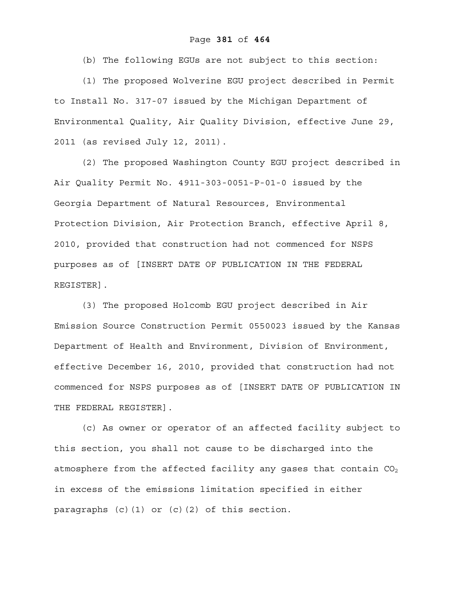(b) The following EGUs are not subject to this section:

(1) The proposed Wolverine EGU project described in Permit to Install No. 317-07 issued by the Michigan Department of Environmental Quality, Air Quality Division, effective June 29, 2011 (as revised July 12, 2011).

(2) The proposed Washington County EGU project described in Air Quality Permit No. 4911-303-0051-P-01-0 issued by the Georgia Department of Natural Resources, Environmental Protection Division, Air Protection Branch, effective April 8, 2010, provided that construction had not commenced for NSPS purposes as of [INSERT DATE OF PUBLICATION IN THE FEDERAL REGISTER].

(3) The proposed Holcomb EGU project described in Air Emission Source Construction Permit 0550023 issued by the Kansas Department of Health and Environment, Division of Environment, effective December 16, 2010, provided that construction had not commenced for NSPS purposes as of [INSERT DATE OF PUBLICATION IN THE FEDERAL REGISTER].

(c) As owner or operator of an affected facility subject to this section, you shall not cause to be discharged into the atmosphere from the affected facility any gases that contain  $CO<sub>2</sub>$ in excess of the emissions limitation specified in either paragraphs (c)(1) or (c)(2) of this section.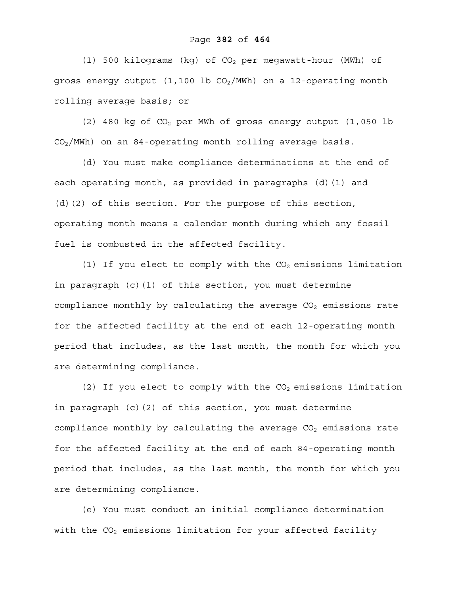(1) 500 kilograms (kg) of  $CO<sub>2</sub>$  per megawatt-hour (MWh) of gross energy output  $(1,100 \text{ lb } CO_2/\text{MWh})$  on a 12-operating month rolling average basis; or

(2) 480 kg of CO2 per MWh of gross energy output (1,050 lb  $CO<sub>2</sub>/MWh$ ) on an 84-operating month rolling average basis.

(d) You must make compliance determinations at the end of each operating month, as provided in paragraphs (d)(1) and (d)(2) of this section. For the purpose of this section, operating month means a calendar month during which any fossil fuel is combusted in the affected facility.

(1) If you elect to comply with the  $CO<sub>2</sub>$  emissions limitation in paragraph (c)(1) of this section, you must determine compliance monthly by calculating the average  $CO<sub>2</sub>$  emissions rate for the affected facility at the end of each 12-operating month period that includes, as the last month, the month for which you are determining compliance.

(2) If you elect to comply with the  $CO<sub>2</sub>$  emissions limitation in paragraph (c)(2) of this section, you must determine compliance monthly by calculating the average  $CO<sub>2</sub>$  emissions rate for the affected facility at the end of each 84-operating month period that includes, as the last month, the month for which you are determining compliance.

(e) You must conduct an initial compliance determination with the  $CO<sub>2</sub>$  emissions limitation for your affected facility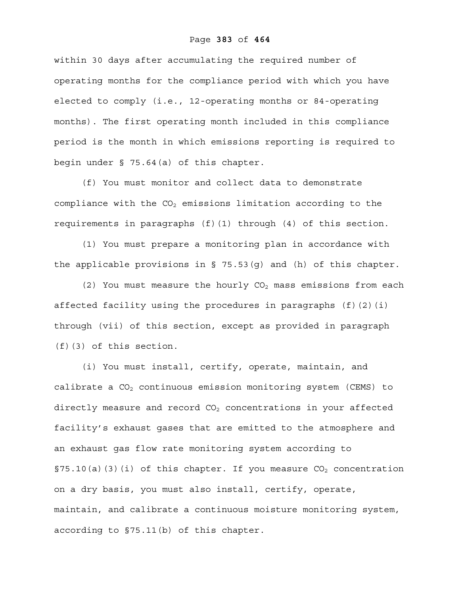# Page **383** of **464**

within 30 days after accumulating the required number of operating months for the compliance period with which you have elected to comply (i.e., 12-operating months or 84-operating months). The first operating month included in this compliance period is the month in which emissions reporting is required to begin under § 75.64(a) of this chapter.

(f) You must monitor and collect data to demonstrate compliance with the  $CO<sub>2</sub>$  emissions limitation according to the requirements in paragraphs (f)(1) through (4) of this section.

(1) You must prepare a monitoring plan in accordance with the applicable provisions in  $\S$  75.53(q) and (h) of this chapter.

(2) You must measure the hourly  $CO<sub>2</sub>$  mass emissions from each affected facility using the procedures in paragraphs (f)(2)(i) through (vii) of this section, except as provided in paragraph (f)(3) of this section.

(i) You must install, certify, operate, maintain, and calibrate a  $CO<sub>2</sub>$  continuous emission monitoring system (CEMS) to directly measure and record  $CO<sub>2</sub>$  concentrations in your affected facility's exhaust gases that are emitted to the atmosphere and an exhaust gas flow rate monitoring system according to §75.10(a)(3)(i) of this chapter. If you measure  $CO<sub>2</sub>$  concentration on a dry basis, you must also install, certify, operate, maintain, and calibrate a continuous moisture monitoring system, according to §75.11(b) of this chapter.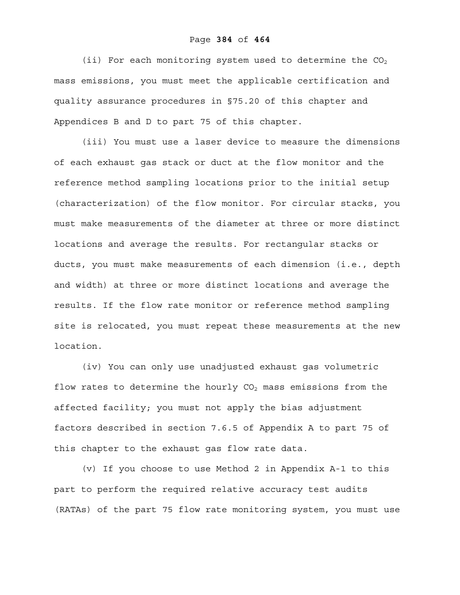(ii) For each monitoring system used to determine the  $CO<sub>2</sub>$ mass emissions, you must meet the applicable certification and quality assurance procedures in §75.20 of this chapter and Appendices B and D to part 75 of this chapter.

(iii) You must use a laser device to measure the dimensions of each exhaust gas stack or duct at the flow monitor and the reference method sampling locations prior to the initial setup (characterization) of the flow monitor. For circular stacks, you must make measurements of the diameter at three or more distinct locations and average the results. For rectangular stacks or ducts, you must make measurements of each dimension (i.e., depth and width) at three or more distinct locations and average the results. If the flow rate monitor or reference method sampling site is relocated, you must repeat these measurements at the new location.

(iv) You can only use unadjusted exhaust gas volumetric flow rates to determine the hourly  $CO<sub>2</sub>$  mass emissions from the affected facility; you must not apply the bias adjustment factors described in section 7.6.5 of Appendix A to part 75 of this chapter to the exhaust gas flow rate data.

(v) If you choose to use Method 2 in Appendix A-1 to this part to perform the required relative accuracy test audits (RATAs) of the part 75 flow rate monitoring system, you must use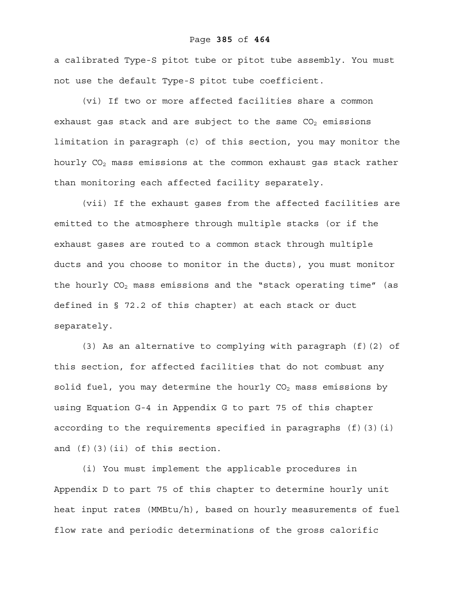## Page **385** of **464**

a calibrated Type-S pitot tube or pitot tube assembly. You must not use the default Type-S pitot tube coefficient.

(vi) If two or more affected facilities share a common exhaust gas stack and are subject to the same  $CO<sub>2</sub>$  emissions limitation in paragraph (c) of this section, you may monitor the hourly  $CO<sub>2</sub>$  mass emissions at the common exhaust gas stack rather than monitoring each affected facility separately.

(vii) If the exhaust gases from the affected facilities are emitted to the atmosphere through multiple stacks (or if the exhaust gases are routed to a common stack through multiple ducts and you choose to monitor in the ducts), you must monitor the hourly  $CO<sub>2</sub>$  mass emissions and the "stack operating time" (as defined in § 72.2 of this chapter) at each stack or duct separately.

(3) As an alternative to complying with paragraph (f)(2) of this section, for affected facilities that do not combust any solid fuel, you may determine the hourly  $CO<sub>2</sub>$  mass emissions by using Equation G-4 in Appendix G to part 75 of this chapter according to the requirements specified in paragraphs  $(f)(3)(i)$ and (f)(3)(ii) of this section.

(i) You must implement the applicable procedures in Appendix D to part 75 of this chapter to determine hourly unit heat input rates (MMBtu/h), based on hourly measurements of fuel flow rate and periodic determinations of the gross calorific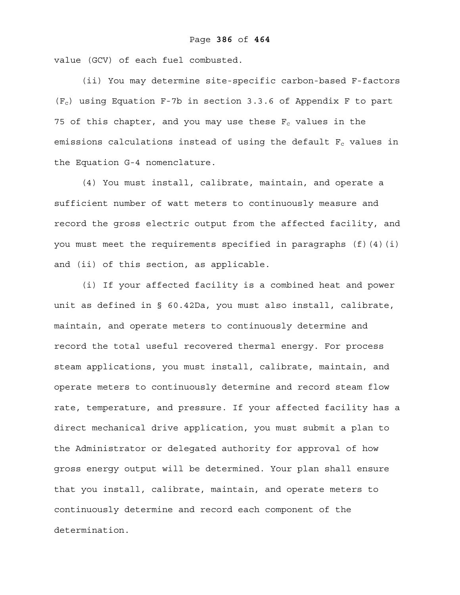value (GCV) of each fuel combusted.

(ii) You may determine site-specific carbon-based F-factors  $(F<sub>c</sub>)$  using Equation F-7b in section 3.3.6 of Appendix F to part 75 of this chapter, and you may use these  $F_c$  values in the emissions calculations instead of using the default  $F_c$  values in the Equation G-4 nomenclature.

(4) You must install, calibrate, maintain, and operate a sufficient number of watt meters to continuously measure and record the gross electric output from the affected facility, and you must meet the requirements specified in paragraphs  $(f)(4)(i)$ and (ii) of this section, as applicable.

(i) If your affected facility is a combined heat and power unit as defined in § 60.42Da, you must also install, calibrate, maintain, and operate meters to continuously determine and record the total useful recovered thermal energy. For process steam applications, you must install, calibrate, maintain, and operate meters to continuously determine and record steam flow rate, temperature, and pressure. If your affected facility has a direct mechanical drive application, you must submit a plan to the Administrator or delegated authority for approval of how gross energy output will be determined. Your plan shall ensure that you install, calibrate, maintain, and operate meters to continuously determine and record each component of the determination.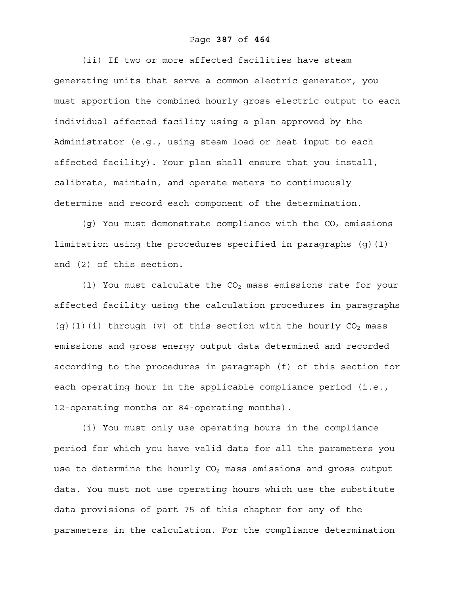## Page **387** of **464**

(ii) If two or more affected facilities have steam generating units that serve a common electric generator, you must apportion the combined hourly gross electric output to each individual affected facility using a plan approved by the Administrator (e.g., using steam load or heat input to each affected facility). Your plan shall ensure that you install, calibrate, maintain, and operate meters to continuously determine and record each component of the determination.

(q) You must demonstrate compliance with the  $CO<sub>2</sub>$  emissions limitation using the procedures specified in paragraphs  $(q)(1)$ and (2) of this section.

(1) You must calculate the  $CO<sub>2</sub>$  mass emissions rate for your affected facility using the calculation procedures in paragraphs (g)(1)(i) through (v) of this section with the hourly  $CO<sub>2</sub>$  mass emissions and gross energy output data determined and recorded according to the procedures in paragraph (f) of this section for each operating hour in the applicable compliance period (i.e., 12-operating months or 84-operating months).

(i) You must only use operating hours in the compliance period for which you have valid data for all the parameters you use to determine the hourly  $CO<sub>2</sub>$  mass emissions and gross output data. You must not use operating hours which use the substitute data provisions of part 75 of this chapter for any of the parameters in the calculation. For the compliance determination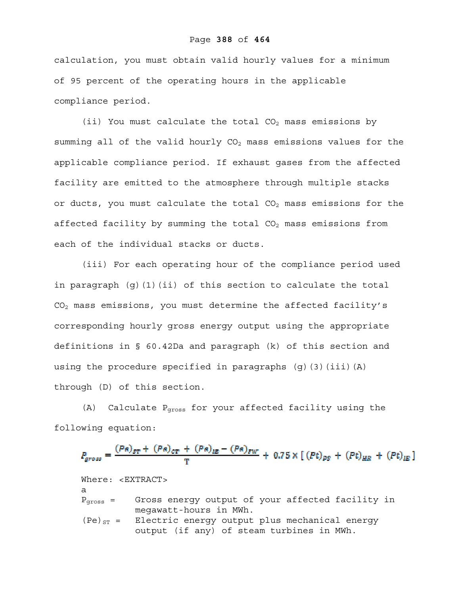# Page **388** of **464**

calculation, you must obtain valid hourly values for a minimum of 95 percent of the operating hours in the applicable compliance period.

(ii) You must calculate the total  $CO<sub>2</sub>$  mass emissions by summing all of the valid hourly  $CO<sub>2</sub>$  mass emissions values for the applicable compliance period. If exhaust gases from the affected facility are emitted to the atmosphere through multiple stacks or ducts, you must calculate the total  $CO<sub>2</sub>$  mass emissions for the affected facility by summing the total  $CO<sub>2</sub>$  mass emissions from each of the individual stacks or ducts.

(iii) For each operating hour of the compliance period used in paragraph (g)(1)(ii) of this section to calculate the total CO2 mass emissions, you must determine the affected facility's corresponding hourly gross energy output using the appropriate definitions in § 60.42Da and paragraph (k) of this section and using the procedure specified in paragraphs  $(g)$  (3)(iii)(A) through (D) of this section.

 $(A)$  Calculate  $P<sub>cross</sub>$  for your affected facility using the following equation:

$$
P_{gross} = \frac{(Pa)_{ST} + (Pa)_{CT} + (Pa)_{IE} - (Pa)_{EW}}{T} + 0.75 \times [(Pt)_{PS} + (Pt)_{HR} + (Pt)_{IE}]
$$

Where: <EXTRACT> a Pgross = Gross energy output of your affected facility in megawatt-hours in MWh.  $(Pe)_{ST}$  = Electric energy output plus mechanical energy output (if any) of steam turbines in MWh.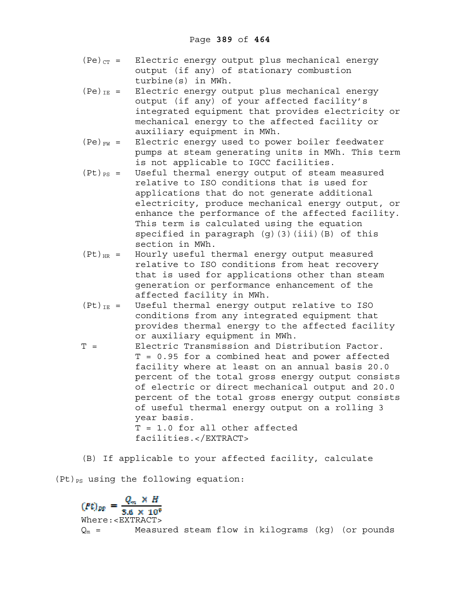- $(Pe)_{CT}$  = Electric energy output plus mechanical energy output (if any) of stationary combustion turbine(s) in MWh.
- $(Pe)_{IE}$  = Electric energy output plus mechanical energy output (if any) of your affected facility's integrated equipment that provides electricity or mechanical energy to the affected facility or auxiliary equipment in MWh.
- $(Pe)_{FW}$  = Electric energy used to power boiler feedwater pumps at steam generating units in MWh. This term is not applicable to IGCC facilities.
- $(Pt)_{PS}$  = Useful thermal energy output of steam measured relative to ISO conditions that is used for applications that do not generate additional electricity, produce mechanical energy output, or enhance the performance of the affected facility. This term is calculated using the equation specified in paragraph (g)(3)(iii)(B) of this section in MWh.
- $(Pt)_{HR}$  = Hourly useful thermal energy output measured relative to ISO conditions from heat recovery that is used for applications other than steam generation or performance enhancement of the affected facility in MWh.
- $(Pt)_{IE}$  = Useful thermal energy output relative to ISO conditions from any integrated equipment that provides thermal energy to the affected facility or auxiliary equipment in MWh.
- T = Electric Transmission and Distribution Factor. T = 0.95 for a combined heat and power affected facility where at least on an annual basis 20.0 percent of the total gross energy output consists of electric or direct mechanical output and 20.0 percent of the total gross energy output consists of useful thermal energy output on a rolling 3 year basis. T = 1.0 for all other affected facilities.</EXTRACT>
- (B) If applicable to your affected facility, calculate

 $(Pt)_{PS}$  using the following equation:

 $(Pt)_{pp} = \frac{Q_m \times H}{3.6 \times 10^9}$ Where:<EXTRACT>  $Q_m$  = Measured steam flow in kilograms (kg) (or pounds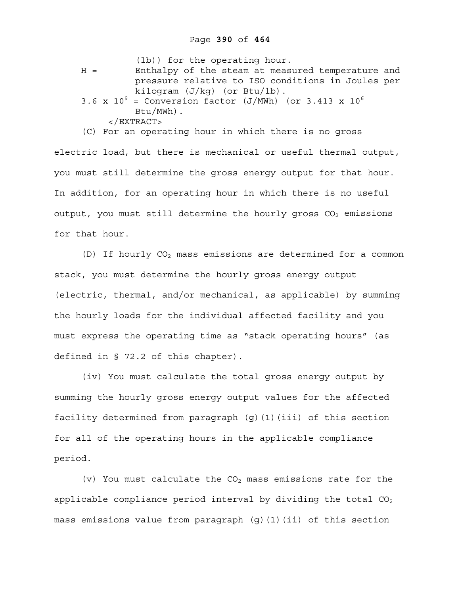|       | (lb)) for the operating hour.                               |
|-------|-------------------------------------------------------------|
| $H =$ | Enthalpy of the steam at measured temperature and           |
|       | pressure relative to ISO conditions in Joules per           |
|       | kiloqram $(J/kg)$ (or Btu/lb).                              |
|       | 3.6 x $10^9$ = Conversion factor (J/MWh) (or 3.413 x $10^6$ |
|       | $Btu/MWh)$ .                                                |
|       | $\langle$ EXTRACT>                                          |

(C) For an operating hour in which there is no gross

electric load, but there is mechanical or useful thermal output, you must still determine the gross energy output for that hour. In addition, for an operating hour in which there is no useful output, you must still determine the hourly gross  $CO<sub>2</sub>$  emissions for that hour.

(D) If hourly  $CO<sub>2</sub>$  mass emissions are determined for a common stack, you must determine the hourly gross energy output (electric, thermal, and/or mechanical, as applicable) by summing the hourly loads for the individual affected facility and you must express the operating time as "stack operating hours" (as defined in § 72.2 of this chapter).

(iv) You must calculate the total gross energy output by summing the hourly gross energy output values for the affected facility determined from paragraph (g)(1)(iii) of this section for all of the operating hours in the applicable compliance period.

(v) You must calculate the  $CO<sub>2</sub>$  mass emissions rate for the applicable compliance period interval by dividing the total  $CO<sub>2</sub>$ mass emissions value from paragraph (g)(1)(ii) of this section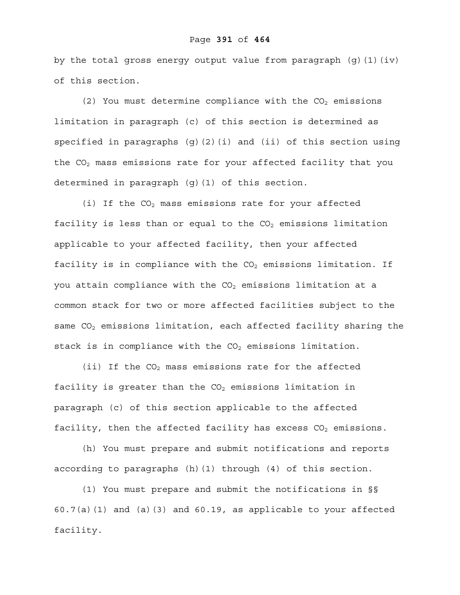#### Page **391** of **464**

by the total gross energy output value from paragraph  $(q)$   $(1)$   $(iv)$ of this section.

 $(2)$  You must determine compliance with the CO<sub>2</sub> emissions limitation in paragraph (c) of this section is determined as specified in paragraphs (g)(2)(i) and (ii) of this section using the  $CO<sub>2</sub>$  mass emissions rate for your affected facility that you determined in paragraph (g)(1) of this section.

(i) If the  $CO<sub>2</sub>$  mass emissions rate for your affected facility is less than or equal to the  $CO<sub>2</sub>$  emissions limitation applicable to your affected facility, then your affected facility is in compliance with the  $CO<sub>2</sub>$  emissions limitation. If you attain compliance with the  $CO<sub>2</sub>$  emissions limitation at a common stack for two or more affected facilities subject to the same CO<sub>2</sub> emissions limitation, each affected facility sharing the stack is in compliance with the  $CO<sub>2</sub>$  emissions limitation.

(ii) If the  $CO<sub>2</sub>$  mass emissions rate for the affected facility is greater than the  $CO<sub>2</sub>$  emissions limitation in paragraph (c) of this section applicable to the affected facility, then the affected facility has excess  $CO<sub>2</sub>$  emissions.

(h) You must prepare and submit notifications and reports according to paragraphs (h)(1) through (4) of this section.

(1) You must prepare and submit the notifications in §§  $60.7(a)(1)$  and  $(a)(3)$  and  $60.19$ , as applicable to your affected facility.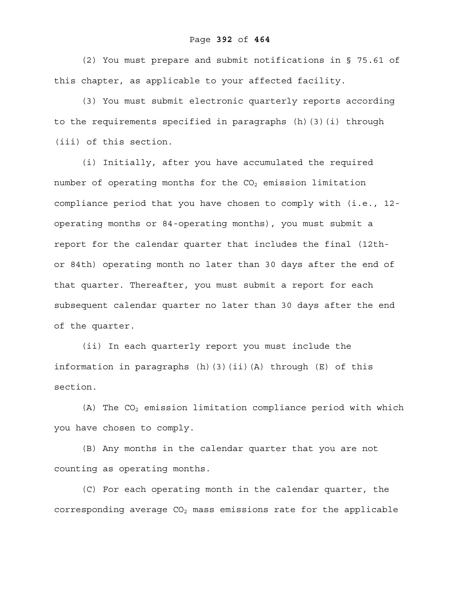# Page **392** of **464**

(2) You must prepare and submit notifications in § 75.61 of this chapter, as applicable to your affected facility.

(3) You must submit electronic quarterly reports according to the requirements specified in paragraphs (h)(3)(i) through (iii) of this section.

(i) Initially, after you have accumulated the required number of operating months for the  $CO<sub>2</sub>$  emission limitation compliance period that you have chosen to comply with (i.e., 12 operating months or 84-operating months), you must submit a report for the calendar quarter that includes the final (12thor 84th) operating month no later than 30 days after the end of that quarter. Thereafter, you must submit a report for each subsequent calendar quarter no later than 30 days after the end of the quarter.

(ii) In each quarterly report you must include the information in paragraphs (h)(3)(ii)(A) through (E) of this section.

(A) The  $CO<sub>2</sub>$  emission limitation compliance period with which you have chosen to comply.

(B) Any months in the calendar quarter that you are not counting as operating months.

(C) For each operating month in the calendar quarter, the corresponding average  $CO<sub>2</sub>$  mass emissions rate for the applicable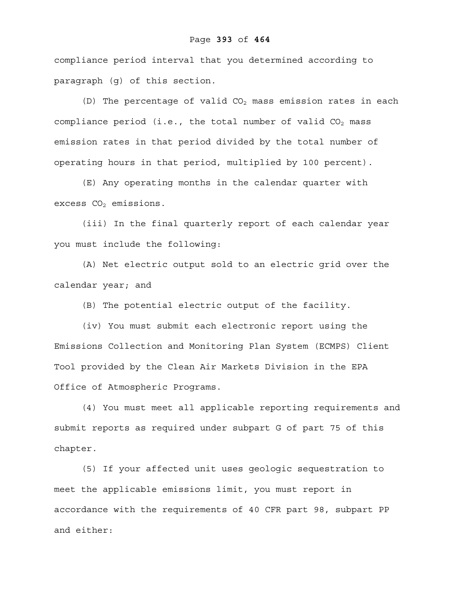# Page **393** of **464**

compliance period interval that you determined according to paragraph (g) of this section.

(D) The percentage of valid  $CO<sub>2</sub>$  mass emission rates in each compliance period (i.e., the total number of valid  $CO<sub>2</sub>$  mass emission rates in that period divided by the total number of operating hours in that period, multiplied by 100 percent).

(E) Any operating months in the calendar quarter with excess  $CO<sub>2</sub>$  emissions.

(iii) In the final quarterly report of each calendar year you must include the following:

(A) Net electric output sold to an electric grid over the calendar year; and

(B) The potential electric output of the facility.

(iv) You must submit each electronic report using the Emissions Collection and Monitoring Plan System (ECMPS) Client Tool provided by the Clean Air Markets Division in the EPA Office of Atmospheric Programs.

(4) You must meet all applicable reporting requirements and submit reports as required under subpart G of part 75 of this chapter.

(5) If your affected unit uses geologic sequestration to meet the applicable emissions limit, you must report in accordance with the requirements of 40 CFR part 98, subpart PP and either: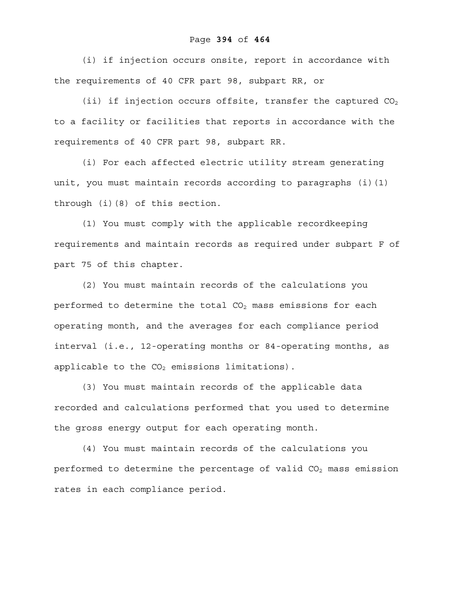# Page **394** of **464**

(i) if injection occurs onsite, report in accordance with the requirements of 40 CFR part 98, subpart RR, or

(ii) if injection occurs offsite, transfer the captured  $CO<sub>2</sub>$ to a facility or facilities that reports in accordance with the requirements of 40 CFR part 98, subpart RR.

(i) For each affected electric utility stream generating unit, you must maintain records according to paragraphs (i)(1) through (i)(8) of this section.

(1) You must comply with the applicable recordkeeping requirements and maintain records as required under subpart F of part 75 of this chapter.

(2) You must maintain records of the calculations you performed to determine the total  $CO<sub>2</sub>$  mass emissions for each operating month, and the averages for each compliance period interval (i.e., 12-operating months or 84-operating months, as applicable to the  $CO<sub>2</sub>$  emissions limitations).

(3) You must maintain records of the applicable data recorded and calculations performed that you used to determine the gross energy output for each operating month.

(4) You must maintain records of the calculations you performed to determine the percentage of valid  $CO<sub>2</sub>$  mass emission rates in each compliance period.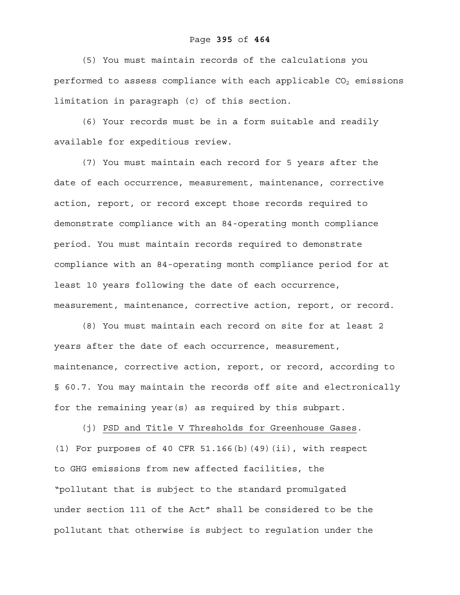## Page **395** of **464**

(5) You must maintain records of the calculations you performed to assess compliance with each applicable  $CO<sub>2</sub>$  emissions limitation in paragraph (c) of this section.

(6) Your records must be in a form suitable and readily available for expeditious review.

(7) You must maintain each record for 5 years after the date of each occurrence, measurement, maintenance, corrective action, report, or record except those records required to demonstrate compliance with an 84-operating month compliance period. You must maintain records required to demonstrate compliance with an 84-operating month compliance period for at least 10 years following the date of each occurrence, measurement, maintenance, corrective action, report, or record.

(8) You must maintain each record on site for at least 2 years after the date of each occurrence, measurement, maintenance, corrective action, report, or record, according to § 60.7. You may maintain the records off site and electronically for the remaining year(s) as required by this subpart.

(j) PSD and Title V Thresholds for Greenhouse Gases.  $(1)$  For purposes of 40 CFR 51.166 $(b)$  $(49)$  $(ii)$ , with respect to GHG emissions from new affected facilities, the "pollutant that is subject to the standard promulgated under section 111 of the Act" shall be considered to be the pollutant that otherwise is subject to regulation under the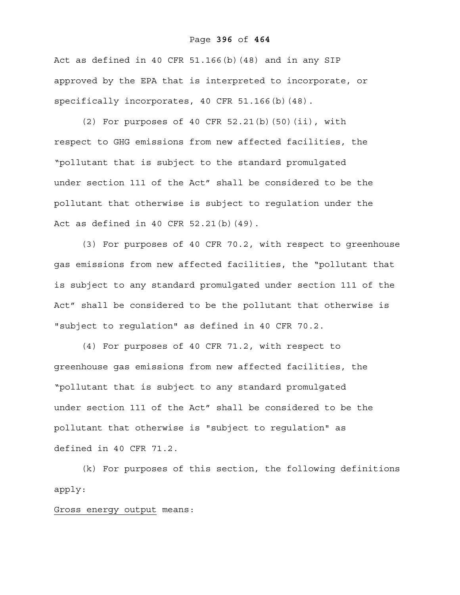#### Page **396** of **464**

Act as defined in 40 CFR 51.166(b)(48) and in any SIP approved by the EPA that is interpreted to incorporate, or specifically incorporates, 40 CFR 51.166(b)(48).

(2) For purposes of 40 CFR 52.21(b)(50)(ii), with respect to GHG emissions from new affected facilities, the "pollutant that is subject to the standard promulgated under section 111 of the Act" shall be considered to be the pollutant that otherwise is subject to regulation under the Act as defined in 40 CFR 52.21(b)(49).

(3) For purposes of 40 CFR 70.2, with respect to greenhouse gas emissions from new affected facilities, the "pollutant that is subject to any standard promulgated under section 111 of the Act" shall be considered to be the pollutant that otherwise is "subject to regulation" as defined in 40 CFR 70.2.

(4) For purposes of 40 CFR 71.2, with respect to greenhouse gas emissions from new affected facilities, the "pollutant that is subject to any standard promulgated under section 111 of the Act" shall be considered to be the pollutant that otherwise is "subject to regulation" as defined in 40 CFR 71.2.

(k) For purposes of this section, the following definitions apply:

Gross energy output means: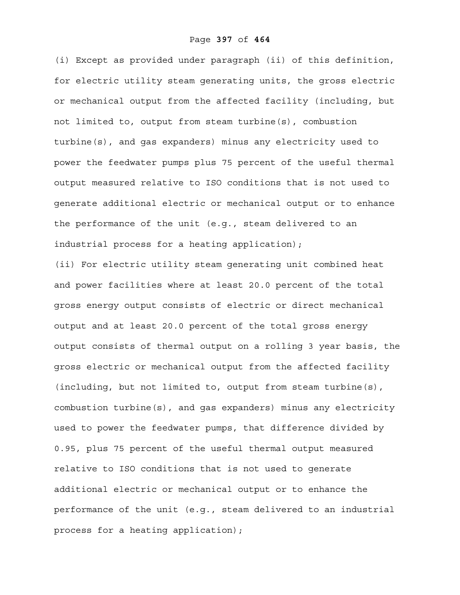(i) Except as provided under paragraph (ii) of this definition, for electric utility steam generating units, the gross electric or mechanical output from the affected facility (including, but not limited to, output from steam turbine(s), combustion turbine(s), and gas expanders) minus any electricity used to power the feedwater pumps plus 75 percent of the useful thermal output measured relative to ISO conditions that is not used to generate additional electric or mechanical output or to enhance the performance of the unit (e.g., steam delivered to an industrial process for a heating application);

(ii) For electric utility steam generating unit combined heat and power facilities where at least 20.0 percent of the total gross energy output consists of electric or direct mechanical output and at least 20.0 percent of the total gross energy output consists of thermal output on a rolling 3 year basis, the gross electric or mechanical output from the affected facility (including, but not limited to, output from steam turbine(s), combustion turbine(s), and gas expanders) minus any electricity used to power the feedwater pumps, that difference divided by 0.95, plus 75 percent of the useful thermal output measured relative to ISO conditions that is not used to generate additional electric or mechanical output or to enhance the performance of the unit (e.g., steam delivered to an industrial process for a heating application);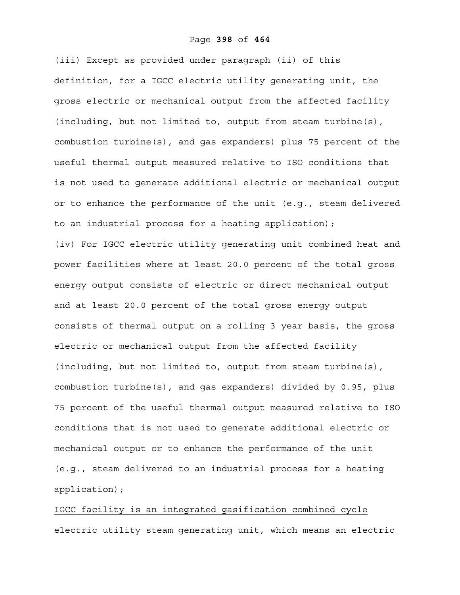#### Page **398** of **464**

(iii) Except as provided under paragraph (ii) of this definition, for a IGCC electric utility generating unit, the gross electric or mechanical output from the affected facility (including, but not limited to, output from steam turbine(s), combustion turbine(s), and gas expanders) plus 75 percent of the useful thermal output measured relative to ISO conditions that is not used to generate additional electric or mechanical output or to enhance the performance of the unit (e.g., steam delivered to an industrial process for a heating application); (iv) For IGCC electric utility generating unit combined heat and power facilities where at least 20.0 percent of the total gross energy output consists of electric or direct mechanical output and at least 20.0 percent of the total gross energy output consists of thermal output on a rolling 3 year basis, the gross electric or mechanical output from the affected facility (including, but not limited to, output from steam turbine(s), combustion turbine(s), and gas expanders) divided by 0.95, plus 75 percent of the useful thermal output measured relative to ISO conditions that is not used to generate additional electric or mechanical output or to enhance the performance of the unit (e.g., steam delivered to an industrial process for a heating application);

IGCC facility is an integrated gasification combined cycle electric utility steam generating unit, which means an electric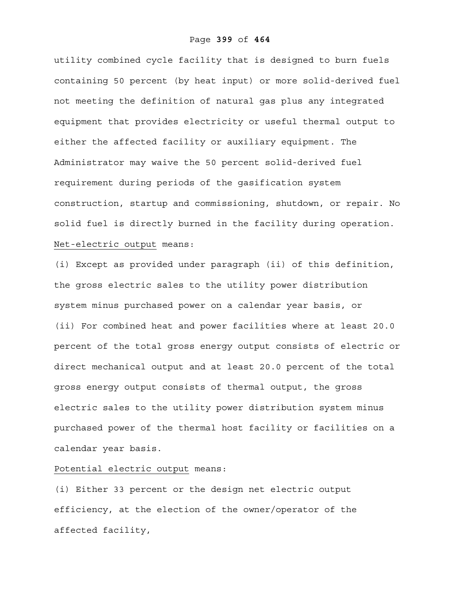utility combined cycle facility that is designed to burn fuels containing 50 percent (by heat input) or more solid-derived fuel not meeting the definition of natural gas plus any integrated equipment that provides electricity or useful thermal output to either the affected facility or auxiliary equipment. The Administrator may waive the 50 percent solid-derived fuel requirement during periods of the gasification system construction, startup and commissioning, shutdown, or repair. No solid fuel is directly burned in the facility during operation. Net-electric output means:

(i) Except as provided under paragraph (ii) of this definition, the gross electric sales to the utility power distribution system minus purchased power on a calendar year basis, or (ii) For combined heat and power facilities where at least 20.0 percent of the total gross energy output consists of electric or direct mechanical output and at least 20.0 percent of the total gross energy output consists of thermal output, the gross electric sales to the utility power distribution system minus purchased power of the thermal host facility or facilities on a calendar year basis.

## Potential electric output means:

(i) Either 33 percent or the design net electric output efficiency, at the election of the owner/operator of the affected facility,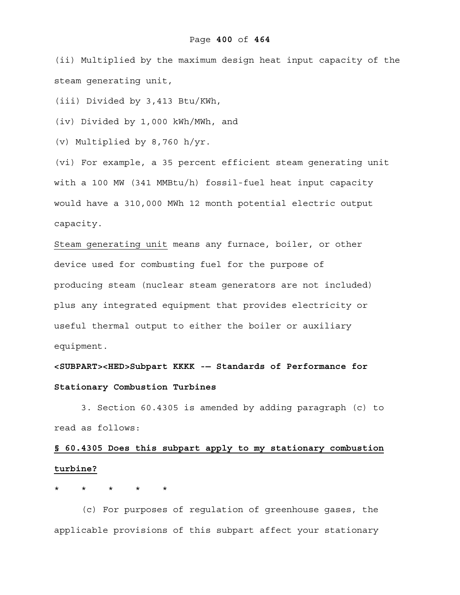#### Page **400** of **464**

(ii) Multiplied by the maximum design heat input capacity of the steam generating unit,

(iii) Divided by 3,413 Btu/KWh,

(iv) Divided by 1,000 kWh/MWh, and

(v) Multiplied by 8,760 h/yr.

(vi) For example, a 35 percent efficient steam generating unit with a 100 MW (341 MMBtu/h) fossil-fuel heat input capacity would have a 310,000 MWh 12 month potential electric output capacity.

Steam generating unit means any furnace, boiler, or other device used for combusting fuel for the purpose of producing steam (nuclear steam generators are not included) plus any integrated equipment that provides electricity or useful thermal output to either the boiler or auxiliary equipment.

**<SUBPART><HED>Subpart KKKK -— Standards of Performance for Stationary Combustion Turbines** 

 3. Section 60.4305 is amended by adding paragraph (c) to read as follows:

## **§ 60.4305 Does this subpart apply to my stationary combustion turbine?**

## \* \* \* \* \*

(c) For purposes of regulation of greenhouse gases, the applicable provisions of this subpart affect your stationary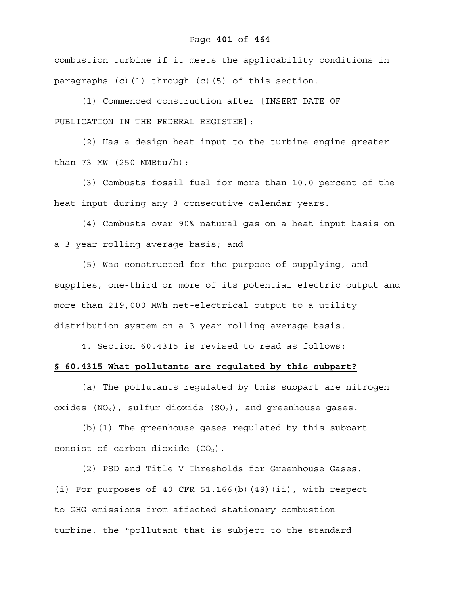#### Page **401** of **464**

combustion turbine if it meets the applicability conditions in paragraphs (c)(1) through (c)(5) of this section.

(1) Commenced construction after [INSERT DATE OF PUBLICATION IN THE FEDERAL REGISTER];

(2) Has a design heat input to the turbine engine greater than 73 MW (250 MMBtu/h);

(3) Combusts fossil fuel for more than 10.0 percent of the heat input during any 3 consecutive calendar years.

(4) Combusts over 90% natural gas on a heat input basis on a 3 year rolling average basis; and

(5) Was constructed for the purpose of supplying, and supplies, one-third or more of its potential electric output and more than 219,000 MWh net-electrical output to a utility distribution system on a 3 year rolling average basis.

4. Section 60.4315 is revised to read as follows:

#### **§ 60.4315 What pollutants are regulated by this subpart?**

(a) The pollutants regulated by this subpart are nitrogen oxides  $(NO_X)$ , sulfur dioxide  $(SO_2)$ , and greenhouse gases.

(b)(1) The greenhouse gases regulated by this subpart consist of carbon dioxide  $(CO<sub>2</sub>)$ .

(2) PSD and Title V Thresholds for Greenhouse Gases. (i) For purposes of 40 CFR 51.166(b)(49)(ii), with respect to GHG emissions from affected stationary combustion turbine, the "pollutant that is subject to the standard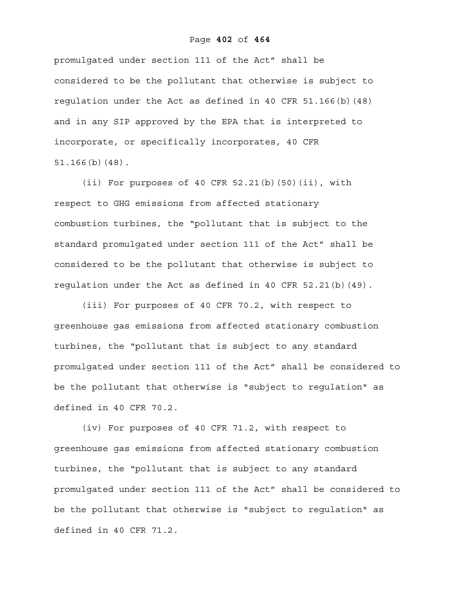#### Page **402** of **464**

promulgated under section 111 of the Act" shall be considered to be the pollutant that otherwise is subject to regulation under the Act as defined in 40 CFR 51.166(b)(48) and in any SIP approved by the EPA that is interpreted to incorporate, or specifically incorporates, 40 CFR 51.166(b)(48).

(ii) For purposes of 40 CFR 52.21(b)(50)(ii), with respect to GHG emissions from affected stationary combustion turbines, the "pollutant that is subject to the standard promulgated under section 111 of the Act" shall be considered to be the pollutant that otherwise is subject to regulation under the Act as defined in 40 CFR 52.21(b)(49).

(iii) For purposes of 40 CFR 70.2, with respect to greenhouse gas emissions from affected stationary combustion turbines, the "pollutant that is subject to any standard promulgated under section 111 of the Act" shall be considered to be the pollutant that otherwise is "subject to regulation" as defined in 40 CFR 70.2.

(iv) For purposes of 40 CFR 71.2, with respect to greenhouse gas emissions from affected stationary combustion turbines, the "pollutant that is subject to any standard promulgated under section 111 of the Act" shall be considered to be the pollutant that otherwise is "subject to regulation" as defined in 40 CFR 71.2.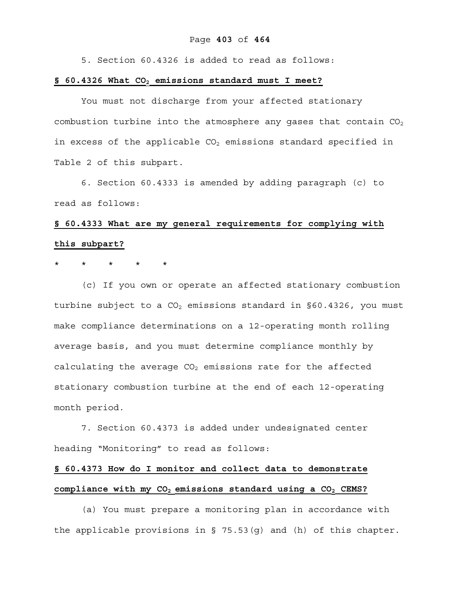#### Page **403** of **464**

5. Section 60.4326 is added to read as follows:

#### **§ 60.4326 What CO2 emissions standard must I meet?**

You must not discharge from your affected stationary combustion turbine into the atmosphere any gases that contain  $CO<sub>2</sub>$ in excess of the applicable  $CO<sub>2</sub>$  emissions standard specified in Table 2 of this subpart.

6. Section 60.4333 is amended by adding paragraph (c) to read as follows:

# **§ 60.4333 What are my general requirements for complying with this subpart?**

#### $\star$   $\star$

(c) If you own or operate an affected stationary combustion turbine subject to a  $CO<sub>2</sub>$  emissions standard in §60.4326, you must make compliance determinations on a 12-operating month rolling average basis, and you must determine compliance monthly by calculating the average  $CO<sub>2</sub>$  emissions rate for the affected stationary combustion turbine at the end of each 12-operating month period.

7. Section 60.4373 is added under undesignated center heading "Monitoring" to read as follows:

## **§ 60.4373 How do I monitor and collect data to demonstrate compliance with my CO2 emissions standard using a CO2 CEMS?**

(a) You must prepare a monitoring plan in accordance with the applicable provisions in § 75.53(g) and (h) of this chapter.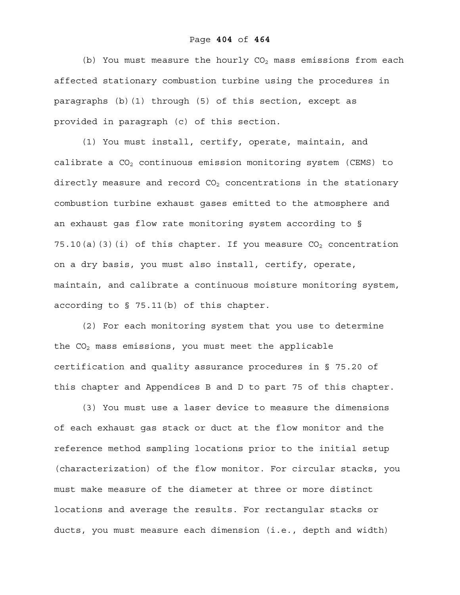(b) You must measure the hourly  $CO<sub>2</sub>$  mass emissions from each affected stationary combustion turbine using the procedures in paragraphs (b)(1) through (5) of this section, except as provided in paragraph (c) of this section.

(1) You must install, certify, operate, maintain, and calibrate a  $CO<sub>2</sub>$  continuous emission monitoring system (CEMS) to directly measure and record  $CO<sub>2</sub>$  concentrations in the stationary combustion turbine exhaust gases emitted to the atmosphere and an exhaust gas flow rate monitoring system according to § 75.10(a)(3)(i) of this chapter. If you measure  $CO<sub>2</sub>$  concentration on a dry basis, you must also install, certify, operate, maintain, and calibrate a continuous moisture monitoring system, according to § 75.11(b) of this chapter.

(2) For each monitoring system that you use to determine the  $CO<sub>2</sub>$  mass emissions, you must meet the applicable certification and quality assurance procedures in § 75.20 of this chapter and Appendices B and D to part 75 of this chapter.

(3) You must use a laser device to measure the dimensions of each exhaust gas stack or duct at the flow monitor and the reference method sampling locations prior to the initial setup (characterization) of the flow monitor. For circular stacks, you must make measure of the diameter at three or more distinct locations and average the results. For rectangular stacks or ducts, you must measure each dimension (i.e., depth and width)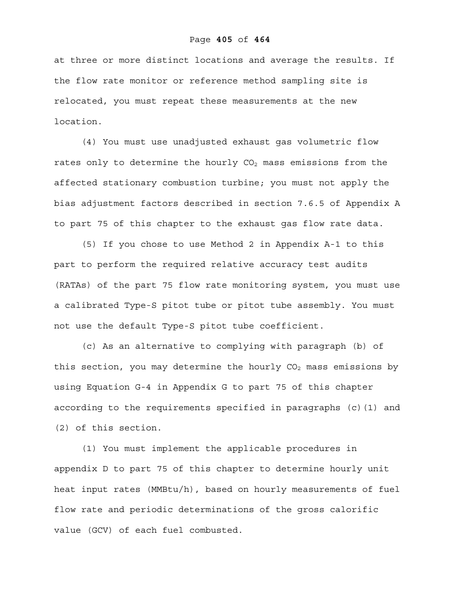#### Page **405** of **464**

at three or more distinct locations and average the results. If the flow rate monitor or reference method sampling site is relocated, you must repeat these measurements at the new location.

(4) You must use unadjusted exhaust gas volumetric flow rates only to determine the hourly  $CO<sub>2</sub>$  mass emissions from the affected stationary combustion turbine; you must not apply the bias adjustment factors described in section 7.6.5 of Appendix A to part 75 of this chapter to the exhaust gas flow rate data.

(5) If you chose to use Method 2 in Appendix A-1 to this part to perform the required relative accuracy test audits (RATAs) of the part 75 flow rate monitoring system, you must use a calibrated Type-S pitot tube or pitot tube assembly. You must not use the default Type-S pitot tube coefficient.

(c) As an alternative to complying with paragraph (b) of this section, you may determine the hourly  $CO<sub>2</sub>$  mass emissions by using Equation G-4 in Appendix G to part 75 of this chapter according to the requirements specified in paragraphs (c)(1) and (2) of this section.

(1) You must implement the applicable procedures in appendix D to part 75 of this chapter to determine hourly unit heat input rates (MMBtu/h), based on hourly measurements of fuel flow rate and periodic determinations of the gross calorific value (GCV) of each fuel combusted.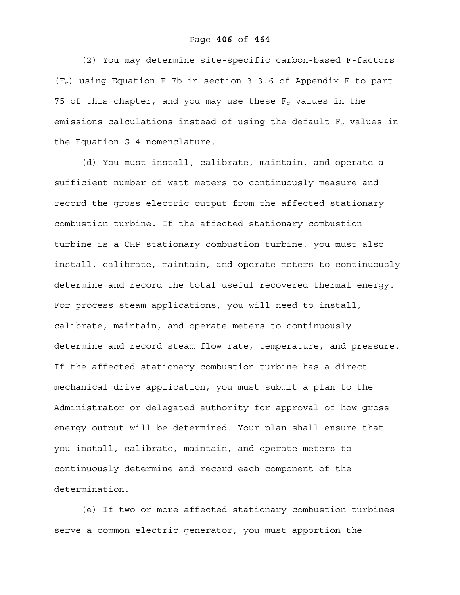(2) You may determine site-specific carbon-based F-factors  $(F_c)$  using Equation F-7b in section 3.3.6 of Appendix F to part 75 of this chapter, and you may use these  $F_c$  values in the emissions calculations instead of using the default  $F_c$  values in the Equation G-4 nomenclature.

(d) You must install, calibrate, maintain, and operate a sufficient number of watt meters to continuously measure and record the gross electric output from the affected stationary combustion turbine. If the affected stationary combustion turbine is a CHP stationary combustion turbine, you must also install, calibrate, maintain, and operate meters to continuously determine and record the total useful recovered thermal energy. For process steam applications, you will need to install, calibrate, maintain, and operate meters to continuously determine and record steam flow rate, temperature, and pressure. If the affected stationary combustion turbine has a direct mechanical drive application, you must submit a plan to the Administrator or delegated authority for approval of how gross energy output will be determined. Your plan shall ensure that you install, calibrate, maintain, and operate meters to continuously determine and record each component of the determination.

(e) If two or more affected stationary combustion turbines serve a common electric generator, you must apportion the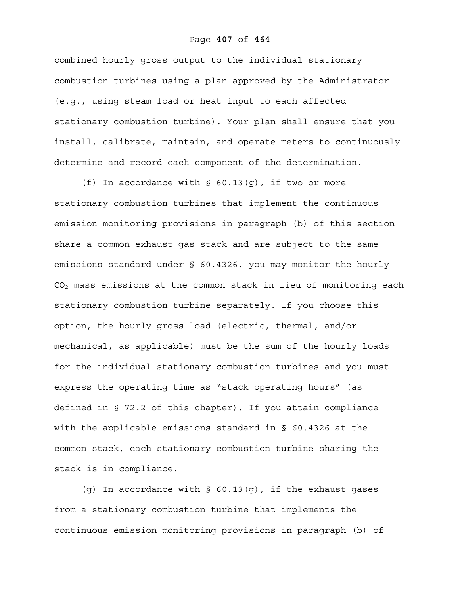#### Page **407** of **464**

combined hourly gross output to the individual stationary combustion turbines using a plan approved by the Administrator (e.g., using steam load or heat input to each affected stationary combustion turbine). Your plan shall ensure that you install, calibrate, maintain, and operate meters to continuously determine and record each component of the determination.

(f) In accordance with  $\S$  60.13(q), if two or more stationary combustion turbines that implement the continuous emission monitoring provisions in paragraph (b) of this section share a common exhaust gas stack and are subject to the same emissions standard under § 60.4326, you may monitor the hourly CO2 mass emissions at the common stack in lieu of monitoring each stationary combustion turbine separately. If you choose this option, the hourly gross load (electric, thermal, and/or mechanical, as applicable) must be the sum of the hourly loads for the individual stationary combustion turbines and you must express the operating time as "stack operating hours" (as defined in § 72.2 of this chapter). If you attain compliance with the applicable emissions standard in § 60.4326 at the common stack, each stationary combustion turbine sharing the stack is in compliance.

(g) In accordance with § 60.13(g), if the exhaust gases from a stationary combustion turbine that implements the continuous emission monitoring provisions in paragraph (b) of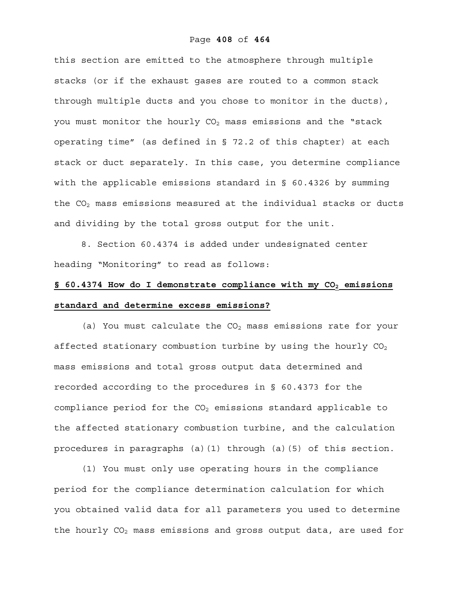this section are emitted to the atmosphere through multiple stacks (or if the exhaust gases are routed to a common stack through multiple ducts and you chose to monitor in the ducts), you must monitor the hourly  $CO<sub>2</sub>$  mass emissions and the "stack operating time" (as defined in § 72.2 of this chapter) at each stack or duct separately. In this case, you determine compliance with the applicable emissions standard in  $\S$  60.4326 by summing the  $CO<sub>2</sub>$  mass emissions measured at the individual stacks or ducts and dividing by the total gross output for the unit.

8. Section 60.4374 is added under undesignated center heading "Monitoring" to read as follows:

## § 60.4374 How do I demonstrate compliance with my CO<sub>2</sub> emissions **standard and determine excess emissions?**

(a) You must calculate the  $CO<sub>2</sub>$  mass emissions rate for your affected stationary combustion turbine by using the hourly  $CO<sub>2</sub>$ mass emissions and total gross output data determined and recorded according to the procedures in § 60.4373 for the compliance period for the  $CO<sub>2</sub>$  emissions standard applicable to the affected stationary combustion turbine, and the calculation procedures in paragraphs (a)(1) through (a)(5) of this section.

(1) You must only use operating hours in the compliance period for the compliance determination calculation for which you obtained valid data for all parameters you used to determine the hourly  $CO<sub>2</sub>$  mass emissions and gross output data, are used for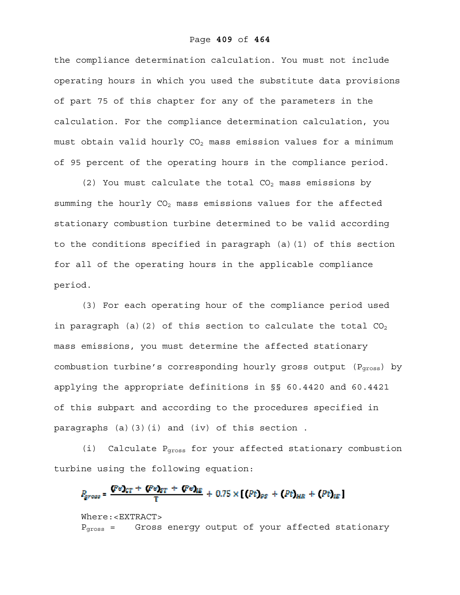the compliance determination calculation. You must not include operating hours in which you used the substitute data provisions of part 75 of this chapter for any of the parameters in the calculation. For the compliance determination calculation, you must obtain valid hourly  $CO<sub>2</sub>$  mass emission values for a minimum of 95 percent of the operating hours in the compliance period.

(2) You must calculate the total  $CO<sub>2</sub>$  mass emissions by summing the hourly  $CO<sub>2</sub>$  mass emissions values for the affected stationary combustion turbine determined to be valid according to the conditions specified in paragraph (a)(1) of this section for all of the operating hours in the applicable compliance period.

(3) For each operating hour of the compliance period used in paragraph (a)(2) of this section to calculate the total  $CO<sub>2</sub>$ mass emissions, you must determine the affected stationary combustion turbine's corresponding hourly gross output (Pgross) by applying the appropriate definitions in §§ 60.4420 and 60.4421 of this subpart and according to the procedures specified in paragraphs (a)(3)(i) and (iv) of this section .

(i) Calculate Pgross for your affected stationary combustion turbine using the following equation:

$$
P_{\text{gross}} = \frac{(\text{Pe})_{\text{CT}} + (\text{Pe})_{\text{ST}} + (\text{Pe})_{\text{HE}}}{T} + 0.75 \times [(\text{Pt})_{\text{PS}} + (\text{Pt})_{\text{HR}} + (\text{Pt})_{\text{HE}}]
$$

Where:<EXTRACT> Pgross = Gross energy output of your affected stationary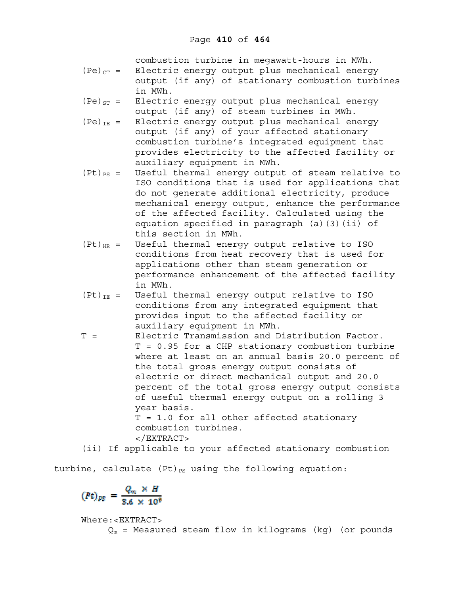combustion turbine in megawatt-hours in MWh.

- (Pe) $_{CT}$  = Electric energy output plus mechanical energy output (if any) of stationary combustion turbines in MWh.
- $(Pe)_{ST}$  = Electric energy output plus mechanical energy output (if any) of steam turbines in MWh.
- $(Pe)_{IE}$  = Electric energy output plus mechanical energy output (if any) of your affected stationary combustion turbine's integrated equipment that provides electricity to the affected facility or auxiliary equipment in MWh.
- $(Pt)_{PS}$  = Useful thermal energy output of steam relative to ISO conditions that is used for applications that do not generate additional electricity, produce mechanical energy output, enhance the performance of the affected facility. Calculated using the equation specified in paragraph (a)(3)(ii) of this section in MWh.
- $(Pt)_{HR}$  = Useful thermal energy output relative to ISO conditions from heat recovery that is used for applications other than steam generation or performance enhancement of the affected facility in MWh.
- $(PL)_{IE}$  = Useful thermal energy output relative to ISO conditions from any integrated equipment that provides input to the affected facility or auxiliary equipment in MWh.
- T = Electric Transmission and Distribution Factor. T = 0.95 for a CHP stationary combustion turbine where at least on an annual basis 20.0 percent of the total gross energy output consists of electric or direct mechanical output and 20.0 percent of the total gross energy output consists of useful thermal energy output on a rolling 3 year basis. T = 1.0 for all other affected stationary combustion turbines. </EXTRACT>

(ii) If applicable to your affected stationary combustion

turbine, calculate  $(Pt)_{PS}$  using the following equation:

$$
(Pt)_{pg} = \frac{Q_m \times H}{3.6 \times 10^9}
$$

Where:<EXTRACT>

 $Q_m$  = Measured steam flow in kilograms (kg) (or pounds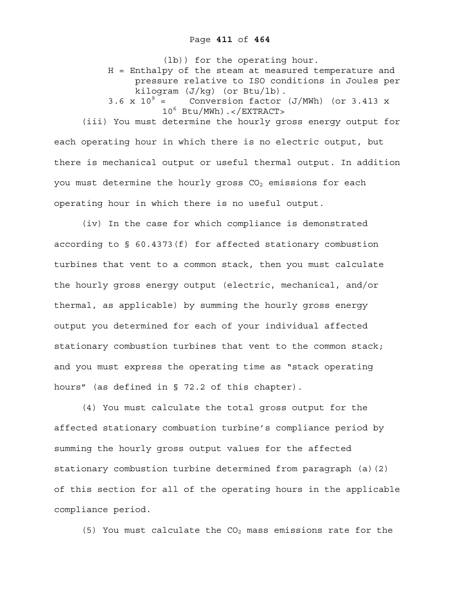(lb)) for the operating hour. H = Enthalpy of the steam at measured temperature and pressure relative to ISO conditions in Joules per kilogram (J/kg) (or Btu/lb). 3.6 x  $10^9$  = Conversion factor (J/MWh) (or 3.413 x 106 Btu/MWh).</EXTRACT> (iii) You must determine the hourly gross energy output for

each operating hour in which there is no electric output, but there is mechanical output or useful thermal output. In addition you must determine the hourly gross  $CO<sub>2</sub>$  emissions for each operating hour in which there is no useful output.

(iv) In the case for which compliance is demonstrated according to § 60.4373(f) for affected stationary combustion turbines that vent to a common stack, then you must calculate the hourly gross energy output (electric, mechanical, and/or thermal, as applicable) by summing the hourly gross energy output you determined for each of your individual affected stationary combustion turbines that vent to the common stack; and you must express the operating time as "stack operating hours" (as defined in § 72.2 of this chapter).

(4) You must calculate the total gross output for the affected stationary combustion turbine's compliance period by summing the hourly gross output values for the affected stationary combustion turbine determined from paragraph (a)(2) of this section for all of the operating hours in the applicable compliance period.

(5) You must calculate the  $CO<sub>2</sub>$  mass emissions rate for the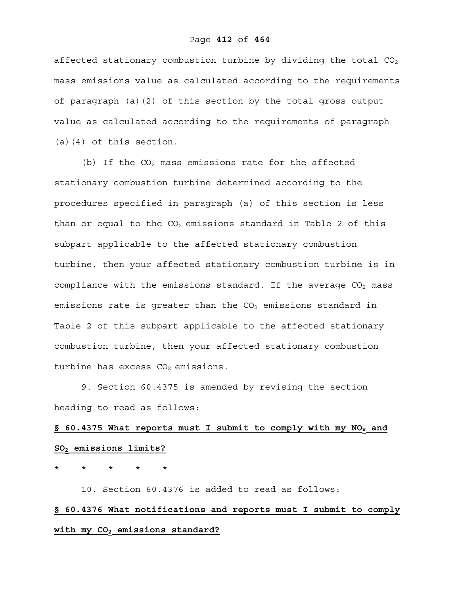#### Page **412** of **464**

affected stationary combustion turbine by dividing the total  $CO<sub>2</sub>$ mass emissions value as calculated according to the requirements of paragraph (a)(2) of this section by the total gross output value as calculated according to the requirements of paragraph (a)(4) of this section.

(b) If the  $CO<sub>2</sub>$  mass emissions rate for the affected stationary combustion turbine determined according to the procedures specified in paragraph (a) of this section is less than or equal to the  $CO<sub>2</sub>$  emissions standard in Table 2 of this subpart applicable to the affected stationary combustion turbine, then your affected stationary combustion turbine is in compliance with the emissions standard. If the average  $CO<sub>2</sub>$  mass emissions rate is greater than the  $CO<sub>2</sub>$  emissions standard in Table 2 of this subpart applicable to the affected stationary combustion turbine, then your affected stationary combustion turbine has excess  $CO<sub>2</sub>$  emissions.

9. Section 60.4375 is amended by revising the section heading to read as follows:

# **§ 60.4375 What reports must I submit to comply with my NOx and SO2 emissions limits?**

\* \* \* \* \*

10. Section 60.4376 is added to read as follows:

## **§ 60.4376 What notifications and reports must I submit to comply**  with my CO<sub>2</sub> emissions standard?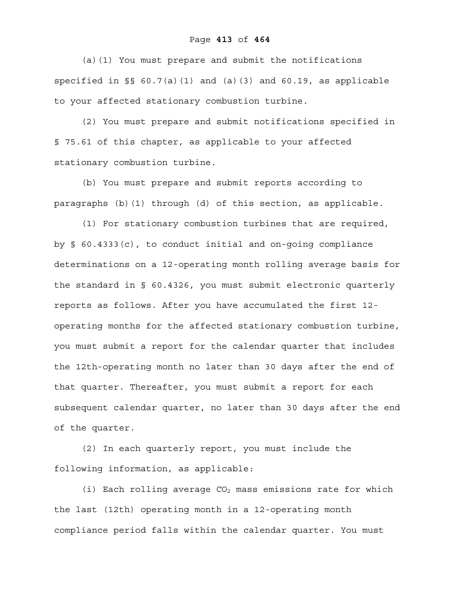(a)(1) You must prepare and submit the notifications specified in §§ 60.7(a)(1) and (a)(3) and 60.19, as applicable to your affected stationary combustion turbine.

(2) You must prepare and submit notifications specified in § 75.61 of this chapter, as applicable to your affected stationary combustion turbine.

(b) You must prepare and submit reports according to paragraphs (b)(1) through (d) of this section, as applicable.

(1) For stationary combustion turbines that are required, by § 60.4333(c), to conduct initial and on-going compliance determinations on a 12-operating month rolling average basis for the standard in § 60.4326, you must submit electronic quarterly reports as follows. After you have accumulated the first 12 operating months for the affected stationary combustion turbine, you must submit a report for the calendar quarter that includes the 12th-operating month no later than 30 days after the end of that quarter. Thereafter, you must submit a report for each subsequent calendar quarter, no later than 30 days after the end of the quarter.

(2) In each quarterly report, you must include the following information, as applicable:

(i) Each rolling average  $CO<sub>2</sub>$  mass emissions rate for which the last (12th) operating month in a 12-operating month compliance period falls within the calendar quarter. You must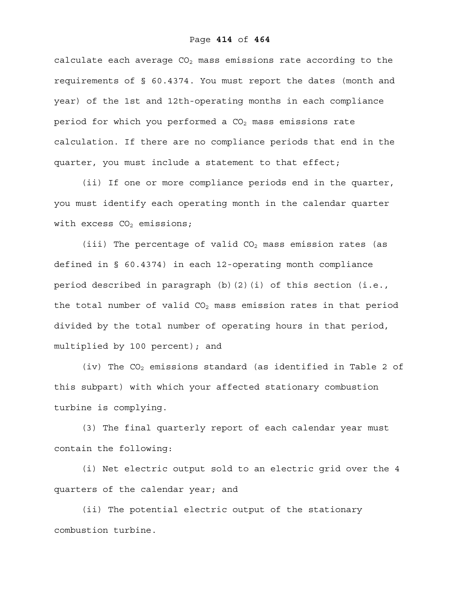calculate each average  $CO<sub>2</sub>$  mass emissions rate according to the requirements of § 60.4374. You must report the dates (month and year) of the 1st and 12th-operating months in each compliance period for which you performed a  $CO<sub>2</sub>$  mass emissions rate calculation. If there are no compliance periods that end in the quarter, you must include a statement to that effect;

(ii) If one or more compliance periods end in the quarter, you must identify each operating month in the calendar quarter with excess  $CO<sub>2</sub>$  emissions;

(iii) The percentage of valid  $CO<sub>2</sub>$  mass emission rates (as defined in § 60.4374) in each 12-operating month compliance period described in paragraph (b)(2)(i) of this section (i.e., the total number of valid  $CO<sub>2</sub>$  mass emission rates in that period divided by the total number of operating hours in that period, multiplied by 100 percent); and

(iv) The  $CO<sub>2</sub>$  emissions standard (as identified in Table 2 of this subpart) with which your affected stationary combustion turbine is complying.

(3) The final quarterly report of each calendar year must contain the following:

(i) Net electric output sold to an electric grid over the 4 quarters of the calendar year; and

(ii) The potential electric output of the stationary combustion turbine.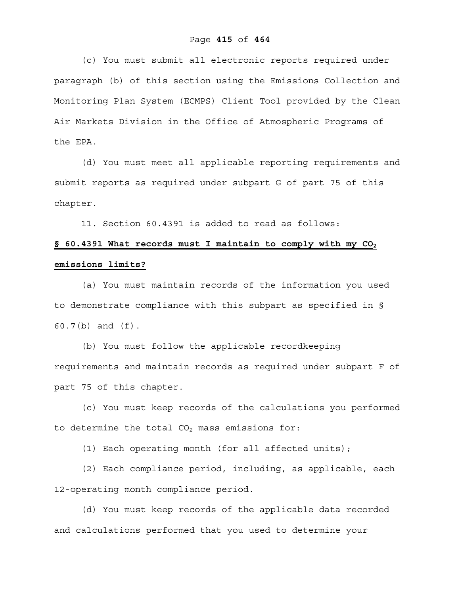## Page **415** of **464**

(c) You must submit all electronic reports required under paragraph (b) of this section using the Emissions Collection and Monitoring Plan System (ECMPS) Client Tool provided by the Clean Air Markets Division in the Office of Atmospheric Programs of the EPA.

(d) You must meet all applicable reporting requirements and submit reports as required under subpart G of part 75 of this chapter.

11. Section 60.4391 is added to read as follows:

## **§ 60.4391 What records must I maintain to comply with my CO2 emissions limits?**

 (a) You must maintain records of the information you used to demonstrate compliance with this subpart as specified in § 60.7(b) and (f).

(b) You must follow the applicable recordkeeping requirements and maintain records as required under subpart F of part 75 of this chapter.

(c) You must keep records of the calculations you performed to determine the total  $CO<sub>2</sub>$  mass emissions for:

(1) Each operating month (for all affected units);

(2) Each compliance period, including, as applicable, each 12-operating month compliance period.

(d) You must keep records of the applicable data recorded and calculations performed that you used to determine your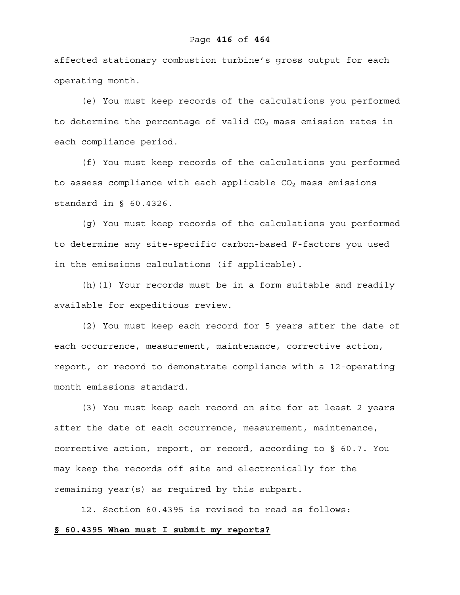#### Page **416** of **464**

affected stationary combustion turbine's gross output for each operating month.

(e) You must keep records of the calculations you performed to determine the percentage of valid  $CO<sub>2</sub>$  mass emission rates in each compliance period.

(f) You must keep records of the calculations you performed to assess compliance with each applicable  $CO<sub>2</sub>$  mass emissions standard in § 60.4326.

(g) You must keep records of the calculations you performed to determine any site-specific carbon-based F-factors you used in the emissions calculations (if applicable).

(h)(1) Your records must be in a form suitable and readily available for expeditious review.

(2) You must keep each record for 5 years after the date of each occurrence, measurement, maintenance, corrective action, report, or record to demonstrate compliance with a 12-operating month emissions standard.

(3) You must keep each record on site for at least 2 years after the date of each occurrence, measurement, maintenance, corrective action, report, or record, according to § 60.7. You may keep the records off site and electronically for the remaining year(s) as required by this subpart.

12. Section 60.4395 is revised to read as follows: **§ 60.4395 When must I submit my reports?**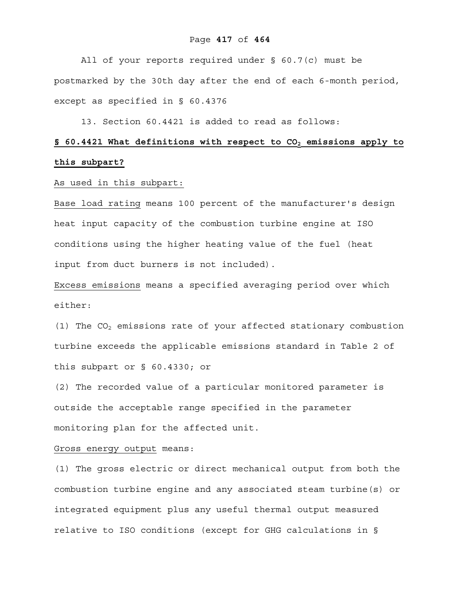## Page **417** of **464**

All of your reports required under § 60.7(c) must be postmarked by the 30th day after the end of each 6-month period, except as specified in § 60.4376

13. Section 60.4421 is added to read as follows:

## § 60.4421 What definitions with respect to CO<sub>2</sub> emissions apply to **this subpart?**

### As used in this subpart:

Base load rating means 100 percent of the manufacturer's design heat input capacity of the combustion turbine engine at ISO conditions using the higher heating value of the fuel (heat input from duct burners is not included).

Excess emissions means a specified averaging period over which either:

(1) The  $CO<sub>2</sub>$  emissions rate of your affected stationary combustion turbine exceeds the applicable emissions standard in Table 2 of this subpart or § 60.4330; or

(2) The recorded value of a particular monitored parameter is outside the acceptable range specified in the parameter monitoring plan for the affected unit.

Gross energy output means:

(1) The gross electric or direct mechanical output from both the combustion turbine engine and any associated steam turbine(s) or integrated equipment plus any useful thermal output measured relative to ISO conditions (except for GHG calculations in §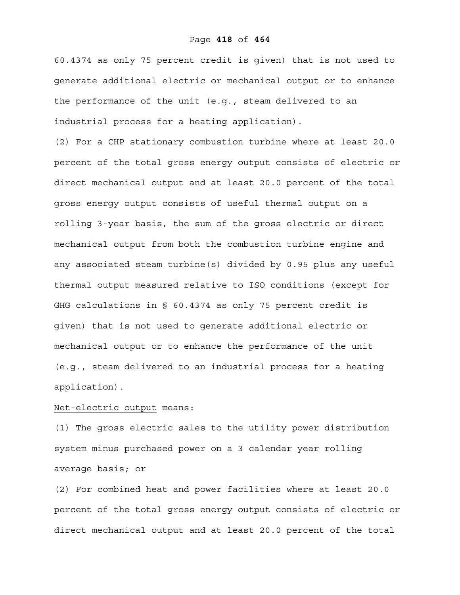60.4374 as only 75 percent credit is given) that is not used to generate additional electric or mechanical output or to enhance the performance of the unit (e.g., steam delivered to an industrial process for a heating application).

(2) For a CHP stationary combustion turbine where at least 20.0 percent of the total gross energy output consists of electric or direct mechanical output and at least 20.0 percent of the total gross energy output consists of useful thermal output on a rolling 3-year basis, the sum of the gross electric or direct mechanical output from both the combustion turbine engine and any associated steam turbine(s) divided by 0.95 plus any useful thermal output measured relative to ISO conditions (except for GHG calculations in § 60.4374 as only 75 percent credit is given) that is not used to generate additional electric or mechanical output or to enhance the performance of the unit (e.g., steam delivered to an industrial process for a heating application).

#### Net-electric output means:

(1) The gross electric sales to the utility power distribution system minus purchased power on a 3 calendar year rolling average basis; or

(2) For combined heat and power facilities where at least 20.0 percent of the total gross energy output consists of electric or direct mechanical output and at least 20.0 percent of the total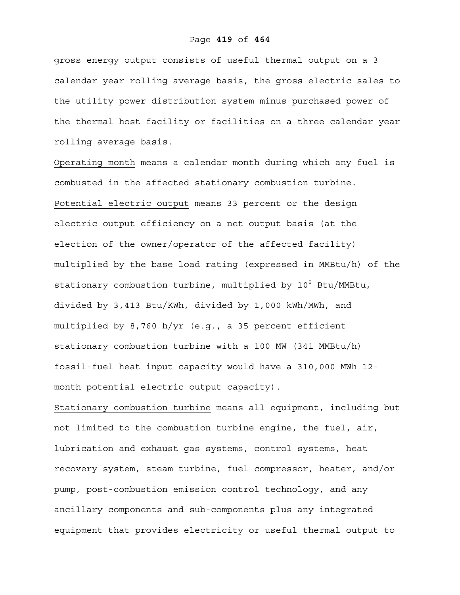gross energy output consists of useful thermal output on a 3 calendar year rolling average basis, the gross electric sales to the utility power distribution system minus purchased power of the thermal host facility or facilities on a three calendar year rolling average basis.

Operating month means a calendar month during which any fuel is combusted in the affected stationary combustion turbine. Potential electric output means 33 percent or the design electric output efficiency on a net output basis (at the election of the owner/operator of the affected facility) multiplied by the base load rating (expressed in MMBtu/h) of the stationary combustion turbine, multiplied by 10<sup>6</sup> Btu/MMBtu, divided by 3,413 Btu/KWh, divided by 1,000 kWh/MWh, and multiplied by 8,760 h/yr (e.g., a 35 percent efficient stationary combustion turbine with a 100 MW (341 MMBtu/h) fossil-fuel heat input capacity would have a 310,000 MWh 12 month potential electric output capacity).

Stationary combustion turbine means all equipment, including but not limited to the combustion turbine engine, the fuel, air, lubrication and exhaust gas systems, control systems, heat recovery system, steam turbine, fuel compressor, heater, and/or pump, post-combustion emission control technology, and any ancillary components and sub-components plus any integrated equipment that provides electricity or useful thermal output to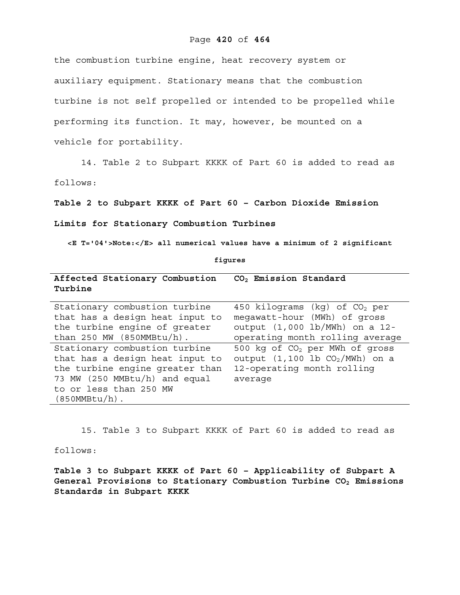#### Page **420** of **464**

the combustion turbine engine, heat recovery system or auxiliary equipment. Stationary means that the combustion turbine is not self propelled or intended to be propelled while performing its function. It may, however, be mounted on a vehicle for portability.

14. Table 2 to Subpart KKKK of Part 60 is added to read as

follows:

**Table 2 to Subpart KKKK of Part 60 – Carbon Dioxide Emission** 

**Limits for Stationary Combustion Turbines** 

**<E T='04'>Note:</E> all numerical values have a minimum of 2 significant** 

**figures** 

**Affected Stationary Combustion CO2 Emission Standard Turbine** 

| Stationary combustion turbine   | 450 kilograms (kg) of $CO2$ per            |
|---------------------------------|--------------------------------------------|
| that has a design heat input to | megawatt-hour (MWh) of gross               |
| the turbine engine of greater   | output (1,000 lb/MWh) on a 12-             |
| than $250$ MW (850MMBtu/h).     | operating month rolling average            |
| Stationary combustion turbine   | 500 kg of CO <sub>2</sub> per MWh of gross |
| that has a design heat input to | output $(1, 100$ lb $CO2/MWh)$ on a        |
| the turbine engine greater than | 12-operating month rolling                 |
| 73 MW (250 MMBtu/h) and equal   | average                                    |
| to or less than 250 MW          |                                            |
| $(850MMBtu/h)$ .                |                                            |

15. Table 3 to Subpart KKKK of Part 60 is added to read as follows:

**Table 3 to Subpart KKKK of Part 60 – Applicability of Subpart A**  General Provisions to Stationary Combustion Turbine CO<sub>2</sub> Emissions **Standards in Subpart KKKK**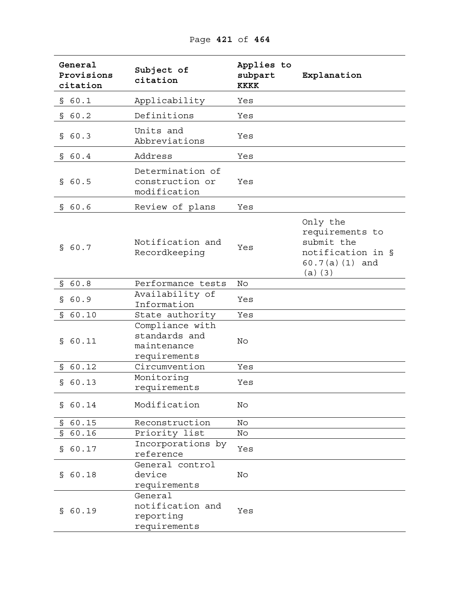**General Provisions citation Subject of citation Applies to subpart KKKK Explanation**  § 60.1 Applicability Yes § 60.2 Definitions Yes § 60.3 Units and Abbreviations Yes § 60.4 Address Yes § 60.5 Determination of construction or modification Yes § 60.6 Review of plans Yes § 60.7 Notification and Recordkeeping Yes Only the requirements to submit the notification in § 60.7(a)(1) and (a)(3) § 60.8 Performance tests No § 60.9 Availability of Information Yes § 60.10 State authority Yes § 60.11 Compliance with standards and maintenance requirements No § 60.12 Circumvention Yes § 60.13 Monitoring requirements Yes § 60.14 Modification No § 60.15 Reconstruction No § 60.16 Priority list No § 60.17 Incorporations by reference x<sub>1</sub> Yes § 60.18 General control device requirements No § 60.19 General notification and reporting requirements Yes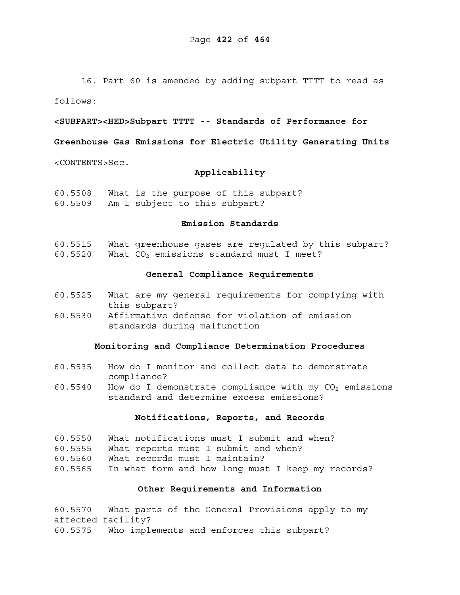16. Part 60 is amended by adding subpart TTTT to read as

follows:

#### **<SUBPART><HED>Subpart TTTT -- Standards of Performance for**

### **Greenhouse Gas Emissions for Electric Utility Generating Units**

<CONTENTS>Sec.

#### **Applicability**

60.5508 What is the purpose of this subpart? 60.5509 Am I subject to this subpart?

### **Emission Standards**

- 60.5515 What greenhouse gases are regulated by this subpart?
- 60.5520 What  $CO<sub>2</sub>$  emissions standard must I meet?

#### **General Compliance Requirements**

- 60.5525 What are my general requirements for complying with this subpart?
- 60.5530 Affirmative defense for violation of emission standards during malfunction

#### **Monitoring and Compliance Determination Procedures**

- 60.5535 How do I monitor and collect data to demonstrate compliance?
- 60.5540 How do I demonstrate compliance with my  $CO<sub>2</sub>$  emissions standard and determine excess emissions?

### **Notifications, Reports, and Records**

- 60.5550 What notifications must I submit and when?
- 60.5555 What reports must I submit and when?
- 60.5560 What records must I maintain?
- 60.5565 In what form and how long must I keep my records?

## **Other Requirements and Information**

60.5570 What parts of the General Provisions apply to my affected facility? 60.5575 Who implements and enforces this subpart?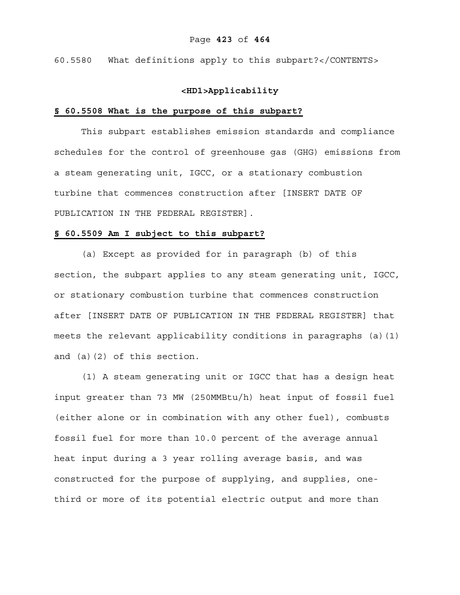60.5580 What definitions apply to this subpart?</CONTENTS>

### **<HD1>Applicability**

#### **§ 60.5508 What is the purpose of this subpart?**

This subpart establishes emission standards and compliance schedules for the control of greenhouse gas (GHG) emissions from a steam generating unit, IGCC, or a stationary combustion turbine that commences construction after [INSERT DATE OF PUBLICATION IN THE FEDERAL REGISTER].

#### **§ 60.5509 Am I subject to this subpart?**

(a) Except as provided for in paragraph (b) of this section, the subpart applies to any steam generating unit, IGCC, or stationary combustion turbine that commences construction after [INSERT DATE OF PUBLICATION IN THE FEDERAL REGISTER] that meets the relevant applicability conditions in paragraphs (a)(1) and (a)(2) of this section.

(1) A steam generating unit or IGCC that has a design heat input greater than 73 MW (250MMBtu/h) heat input of fossil fuel (either alone or in combination with any other fuel), combusts fossil fuel for more than 10.0 percent of the average annual heat input during a 3 year rolling average basis, and was constructed for the purpose of supplying, and supplies, onethird or more of its potential electric output and more than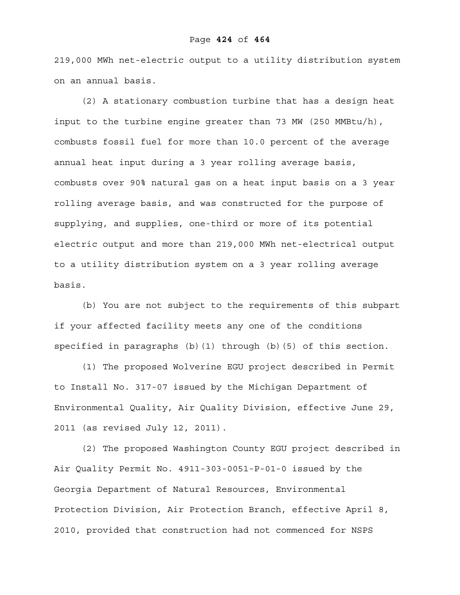#### Page **424** of **464**

219,000 MWh net-electric output to a utility distribution system on an annual basis.

(2) A stationary combustion turbine that has a design heat input to the turbine engine greater than 73 MW (250 MMBtu/h), combusts fossil fuel for more than 10.0 percent of the average annual heat input during a 3 year rolling average basis, combusts over 90% natural gas on a heat input basis on a 3 year rolling average basis, and was constructed for the purpose of supplying, and supplies, one-third or more of its potential electric output and more than 219,000 MWh net-electrical output to a utility distribution system on a 3 year rolling average basis.

(b) You are not subject to the requirements of this subpart if your affected facility meets any one of the conditions specified in paragraphs (b)(1) through (b)(5) of this section.

(1) The proposed Wolverine EGU project described in Permit to Install No. 317-07 issued by the Michigan Department of Environmental Quality, Air Quality Division, effective June 29, 2011 (as revised July 12, 2011).

(2) The proposed Washington County EGU project described in Air Quality Permit No. 4911-303-0051-P-01-0 issued by the Georgia Department of Natural Resources, Environmental Protection Division, Air Protection Branch, effective April 8, 2010, provided that construction had not commenced for NSPS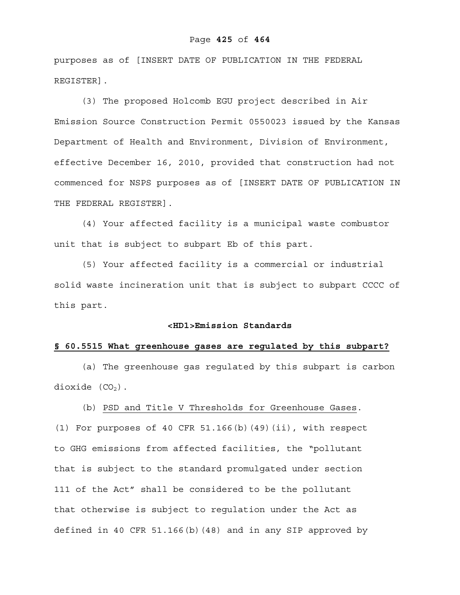#### Page **425** of **464**

purposes as of [INSERT DATE OF PUBLICATION IN THE FEDERAL REGISTER].

(3) The proposed Holcomb EGU project described in Air Emission Source Construction Permit 0550023 issued by the Kansas Department of Health and Environment, Division of Environment, effective December 16, 2010, provided that construction had not commenced for NSPS purposes as of [INSERT DATE OF PUBLICATION IN THE FEDERAL REGISTER].

(4) Your affected facility is a municipal waste combustor unit that is subject to subpart Eb of this part.

(5) Your affected facility is a commercial or industrial solid waste incineration unit that is subject to subpart CCCC of this part.

#### **<HD1>Emission Standards**

### **§ 60.5515 What greenhouse gases are regulated by this subpart?**

(a) The greenhouse gas regulated by this subpart is carbon dioxide  $(CO<sub>2</sub>)$ .

(b) PSD and Title V Thresholds for Greenhouse Gases.

(1) For purposes of 40 CFR  $51.166(b)$  (49)(ii), with respect to GHG emissions from affected facilities, the "pollutant that is subject to the standard promulgated under section 111 of the Act" shall be considered to be the pollutant that otherwise is subject to regulation under the Act as defined in 40 CFR 51.166(b)(48) and in any SIP approved by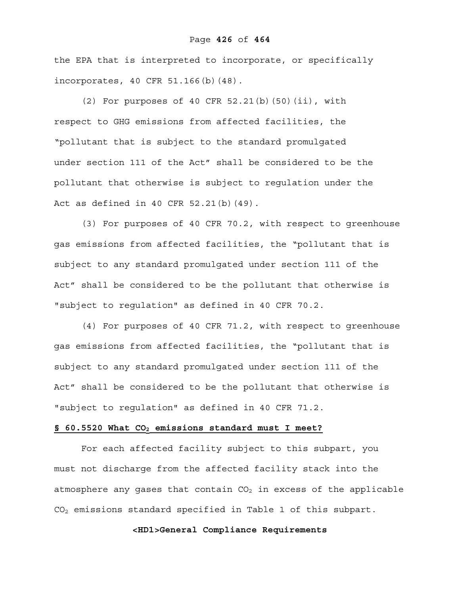#### Page **426** of **464**

the EPA that is interpreted to incorporate, or specifically incorporates, 40 CFR 51.166(b)(48).

(2) For purposes of 40 CFR  $52.21(b)$  (50)(ii), with respect to GHG emissions from affected facilities, the "pollutant that is subject to the standard promulgated under section 111 of the Act" shall be considered to be the pollutant that otherwise is subject to regulation under the Act as defined in 40 CFR 52.21(b)(49).

(3) For purposes of 40 CFR 70.2, with respect to greenhouse gas emissions from affected facilities, the "pollutant that is subject to any standard promulgated under section 111 of the Act" shall be considered to be the pollutant that otherwise is "subject to regulation" as defined in 40 CFR 70.2.

(4) For purposes of 40 CFR 71.2, with respect to greenhouse gas emissions from affected facilities, the "pollutant that is subject to any standard promulgated under section 111 of the Act" shall be considered to be the pollutant that otherwise is "subject to regulation" as defined in 40 CFR 71.2.

#### § 60.5520 What CO<sub>2</sub> emissions standard must I meet?

For each affected facility subject to this subpart, you must not discharge from the affected facility stack into the atmosphere any gases that contain  $CO<sub>2</sub>$  in excess of the applicable  $CO<sub>2</sub>$  emissions standard specified in Table 1 of this subpart.

**<HD1>General Compliance Requirements**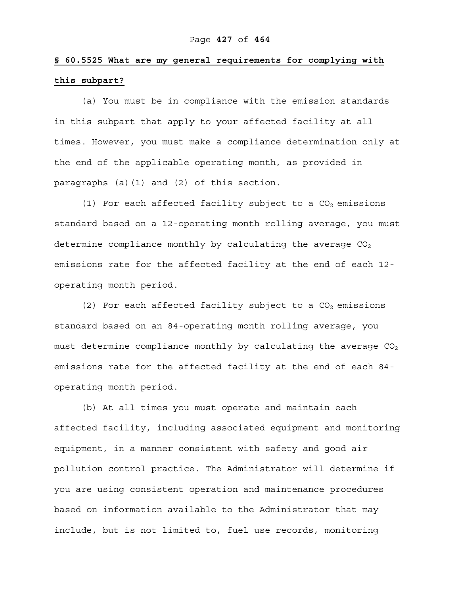## **§ 60.5525 What are my general requirements for complying with this subpart?**

(a) You must be in compliance with the emission standards in this subpart that apply to your affected facility at all times. However, you must make a compliance determination only at the end of the applicable operating month, as provided in paragraphs (a)(1) and (2) of this section.

(1) For each affected facility subject to a  $CO<sub>2</sub>$  emissions standard based on a 12-operating month rolling average, you must determine compliance monthly by calculating the average  $CO<sub>2</sub>$ emissions rate for the affected facility at the end of each 12 operating month period.

(2) For each affected facility subject to a  $CO<sub>2</sub>$  emissions standard based on an 84-operating month rolling average, you must determine compliance monthly by calculating the average  $CO<sub>2</sub>$ emissions rate for the affected facility at the end of each 84 operating month period.

(b) At all times you must operate and maintain each affected facility, including associated equipment and monitoring equipment, in a manner consistent with safety and good air pollution control practice. The Administrator will determine if you are using consistent operation and maintenance procedures based on information available to the Administrator that may include, but is not limited to, fuel use records, monitoring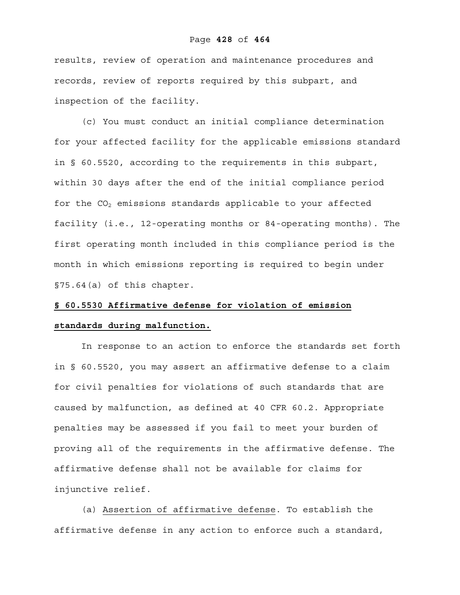#### Page **428** of **464**

results, review of operation and maintenance procedures and records, review of reports required by this subpart, and inspection of the facility.

(c) You must conduct an initial compliance determination for your affected facility for the applicable emissions standard in § 60.5520, according to the requirements in this subpart, within 30 days after the end of the initial compliance period for the  $CO<sub>2</sub>$  emissions standards applicable to your affected facility (i.e., 12-operating months or 84-operating months). The first operating month included in this compliance period is the month in which emissions reporting is required to begin under §75.64(a) of this chapter.

## **§ 60.5530 Affirmative defense for violation of emission**

## **standards during malfunction.**

In response to an action to enforce the standards set forth in § 60.5520, you may assert an affirmative defense to a claim for civil penalties for violations of such standards that are caused by malfunction, as defined at 40 CFR 60.2. Appropriate penalties may be assessed if you fail to meet your burden of proving all of the requirements in the affirmative defense. The affirmative defense shall not be available for claims for injunctive relief.

(a) Assertion of affirmative defense. To establish the affirmative defense in any action to enforce such a standard,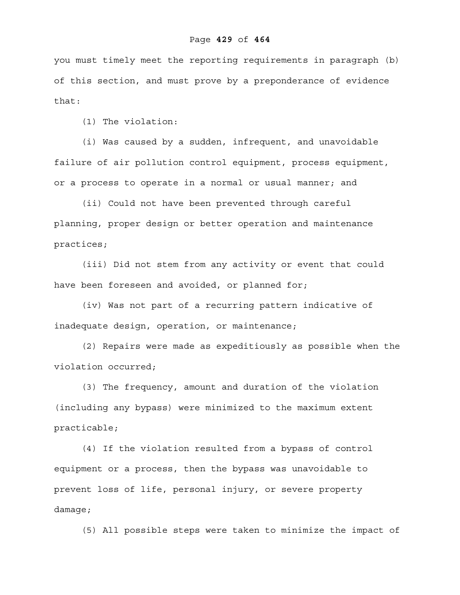you must timely meet the reporting requirements in paragraph (b) of this section, and must prove by a preponderance of evidence that:

(1) The violation:

(i) Was caused by a sudden, infrequent, and unavoidable failure of air pollution control equipment, process equipment, or a process to operate in a normal or usual manner; and

(ii) Could not have been prevented through careful planning, proper design or better operation and maintenance practices;

(iii) Did not stem from any activity or event that could have been foreseen and avoided, or planned for;

(iv) Was not part of a recurring pattern indicative of inadequate design, operation, or maintenance;

(2) Repairs were made as expeditiously as possible when the violation occurred;

(3) The frequency, amount and duration of the violation (including any bypass) were minimized to the maximum extent practicable;

(4) If the violation resulted from a bypass of control equipment or a process, then the bypass was unavoidable to prevent loss of life, personal injury, or severe property damage;

(5) All possible steps were taken to minimize the impact of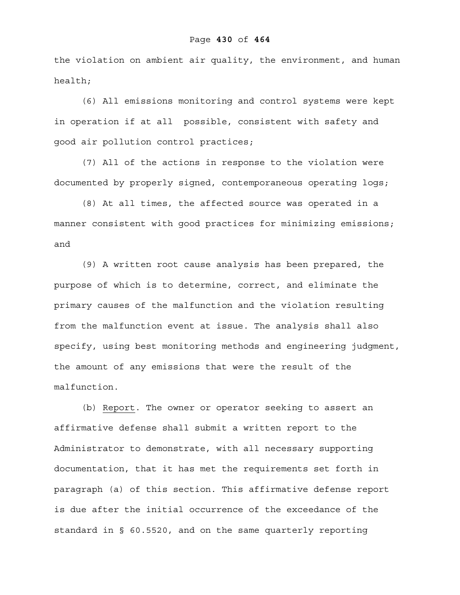the violation on ambient air quality, the environment, and human health;

(6) All emissions monitoring and control systems were kept in operation if at all possible, consistent with safety and good air pollution control practices;

(7) All of the actions in response to the violation were documented by properly signed, contemporaneous operating logs;

(8) At all times, the affected source was operated in a manner consistent with good practices for minimizing emissions; and

(9) A written root cause analysis has been prepared, the purpose of which is to determine, correct, and eliminate the primary causes of the malfunction and the violation resulting from the malfunction event at issue. The analysis shall also specify, using best monitoring methods and engineering judgment, the amount of any emissions that were the result of the malfunction.

(b) Report. The owner or operator seeking to assert an affirmative defense shall submit a written report to the Administrator to demonstrate, with all necessary supporting documentation, that it has met the requirements set forth in paragraph (a) of this section. This affirmative defense report is due after the initial occurrence of the exceedance of the standard in § 60.5520, and on the same quarterly reporting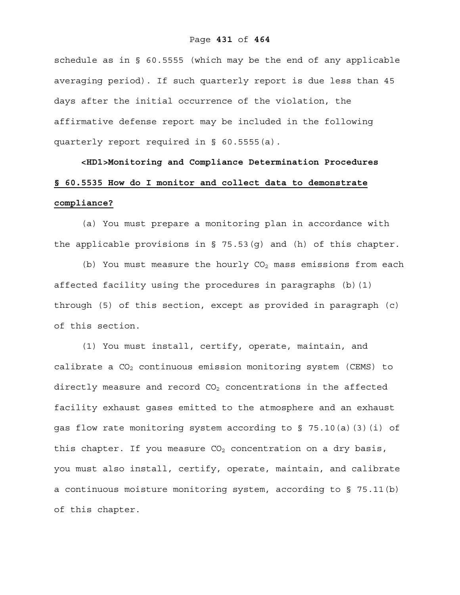#### Page **431** of **464**

schedule as in  $\S$  60.5555 (which may be the end of any applicable averaging period). If such quarterly report is due less than 45 days after the initial occurrence of the violation, the affirmative defense report may be included in the following quarterly report required in § 60.5555(a).

# **<HD1>Monitoring and Compliance Determination Procedures § 60.5535 How do I monitor and collect data to demonstrate compliance?**

(a) You must prepare a monitoring plan in accordance with the applicable provisions in § 75.53(g) and (h) of this chapter.

(b) You must measure the hourly  $CO<sub>2</sub>$  mass emissions from each affected facility using the procedures in paragraphs (b)(1) through (5) of this section, except as provided in paragraph (c) of this section.

(1) You must install, certify, operate, maintain, and calibrate a  $CO<sub>2</sub>$  continuous emission monitoring system (CEMS) to directly measure and record  $CO<sub>2</sub>$  concentrations in the affected facility exhaust gases emitted to the atmosphere and an exhaust gas flow rate monitoring system according to § 75.10(a)(3)(i) of this chapter. If you measure  $CO<sub>2</sub>$  concentration on a dry basis, you must also install, certify, operate, maintain, and calibrate a continuous moisture monitoring system, according to § 75.11(b) of this chapter.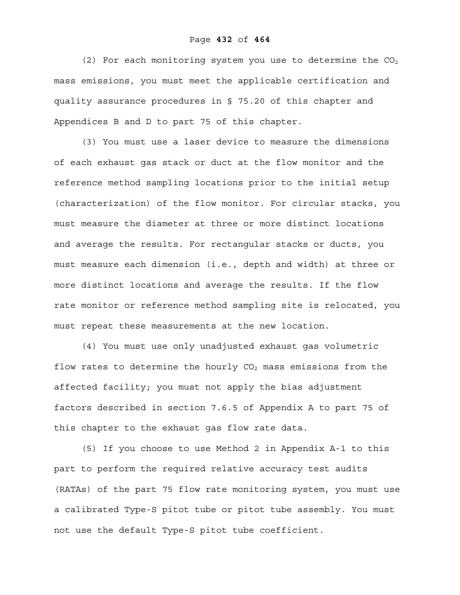(2) For each monitoring system you use to determine the  $CO<sub>2</sub>$ mass emissions, you must meet the applicable certification and quality assurance procedures in § 75.20 of this chapter and Appendices B and D to part 75 of this chapter.

(3) You must use a laser device to measure the dimensions of each exhaust gas stack or duct at the flow monitor and the reference method sampling locations prior to the initial setup (characterization) of the flow monitor. For circular stacks, you must measure the diameter at three or more distinct locations and average the results. For rectangular stacks or ducts, you must measure each dimension (i.e., depth and width) at three or more distinct locations and average the results. If the flow rate monitor or reference method sampling site is relocated, you must repeat these measurements at the new location.

(4) You must use only unadjusted exhaust gas volumetric flow rates to determine the hourly  $CO<sub>2</sub>$  mass emissions from the affected facility; you must not apply the bias adjustment factors described in section 7.6.5 of Appendix A to part 75 of this chapter to the exhaust gas flow rate data.

(5) If you choose to use Method 2 in Appendix A-1 to this part to perform the required relative accuracy test audits (RATAs) of the part 75 flow rate monitoring system, you must use a calibrated Type-S pitot tube or pitot tube assembly. You must not use the default Type-S pitot tube coefficient.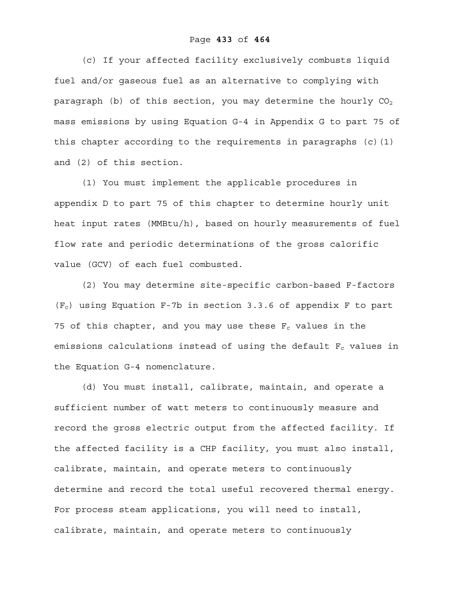#### Page **433** of **464**

(c) If your affected facility exclusively combusts liquid fuel and/or gaseous fuel as an alternative to complying with paragraph (b) of this section, you may determine the hourly  $CO<sub>2</sub>$ mass emissions by using Equation G-4 in Appendix G to part 75 of this chapter according to the requirements in paragraphs (c)(1) and (2) of this section.

(1) You must implement the applicable procedures in appendix D to part 75 of this chapter to determine hourly unit heat input rates (MMBtu/h), based on hourly measurements of fuel flow rate and periodic determinations of the gross calorific value (GCV) of each fuel combusted.

(2) You may determine site-specific carbon-based F-factors  $(F_c)$  using Equation F-7b in section 3.3.6 of appendix F to part 75 of this chapter, and you may use these  $F_c$  values in the emissions calculations instead of using the default  $F_c$  values in the Equation G-4 nomenclature.

(d) You must install, calibrate, maintain, and operate a sufficient number of watt meters to continuously measure and record the gross electric output from the affected facility. If the affected facility is a CHP facility, you must also install, calibrate, maintain, and operate meters to continuously determine and record the total useful recovered thermal energy. For process steam applications, you will need to install, calibrate, maintain, and operate meters to continuously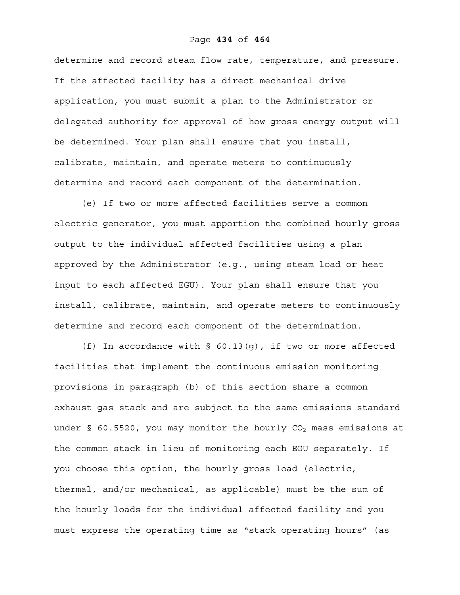#### Page **434** of **464**

determine and record steam flow rate, temperature, and pressure. If the affected facility has a direct mechanical drive application, you must submit a plan to the Administrator or delegated authority for approval of how gross energy output will be determined. Your plan shall ensure that you install, calibrate, maintain, and operate meters to continuously determine and record each component of the determination.

(e) If two or more affected facilities serve a common electric generator, you must apportion the combined hourly gross output to the individual affected facilities using a plan approved by the Administrator (e.g., using steam load or heat input to each affected EGU). Your plan shall ensure that you install, calibrate, maintain, and operate meters to continuously determine and record each component of the determination.

(f) In accordance with  $\S$  60.13(q), if two or more affected facilities that implement the continuous emission monitoring provisions in paragraph (b) of this section share a common exhaust gas stack and are subject to the same emissions standard under  $\S$  60.5520, you may monitor the hourly  $CO<sub>2</sub>$  mass emissions at the common stack in lieu of monitoring each EGU separately. If you choose this option, the hourly gross load (electric, thermal, and/or mechanical, as applicable) must be the sum of the hourly loads for the individual affected facility and you must express the operating time as "stack operating hours" (as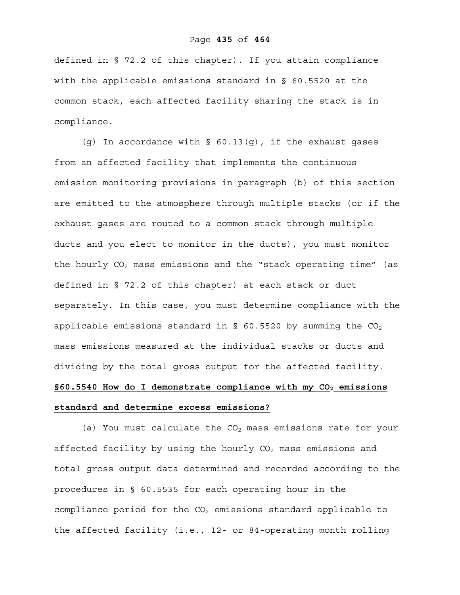#### Page **435** of **464**

defined in § 72.2 of this chapter). If you attain compliance with the applicable emissions standard in § 60.5520 at the common stack, each affected facility sharing the stack is in compliance.

(g) In accordance with  $\S$  60.13(g), if the exhaust gases from an affected facility that implements the continuous emission monitoring provisions in paragraph (b) of this section are emitted to the atmosphere through multiple stacks (or if the exhaust gases are routed to a common stack through multiple ducts and you elect to monitor in the ducts), you must monitor the hourly  $CO<sub>2</sub>$  mass emissions and the "stack operating time" (as defined in § 72.2 of this chapter) at each stack or duct separately. In this case, you must determine compliance with the applicable emissions standard in  $\S$  60.5520 by summing the  $CO<sub>2</sub>$ mass emissions measured at the individual stacks or ducts and dividing by the total gross output for the affected facility. §60.5540 How do I demonstrate compliance with my CO<sub>2</sub> emissions

## **standard and determine excess emissions?**

(a) You must calculate the  $CO<sub>2</sub>$  mass emissions rate for your affected facility by using the hourly  $CO<sub>2</sub>$  mass emissions and total gross output data determined and recorded according to the procedures in § 60.5535 for each operating hour in the compliance period for the  $CO<sub>2</sub>$  emissions standard applicable to the affected facility (i.e., 12- or 84-operating month rolling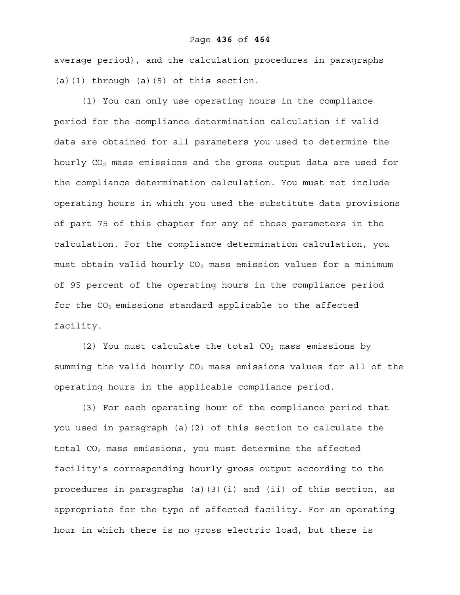average period), and the calculation procedures in paragraphs (a)(1) through (a)(5) of this section.

(1) You can only use operating hours in the compliance period for the compliance determination calculation if valid data are obtained for all parameters you used to determine the hourly  $CO<sub>2</sub>$  mass emissions and the gross output data are used for the compliance determination calculation. You must not include operating hours in which you used the substitute data provisions of part 75 of this chapter for any of those parameters in the calculation. For the compliance determination calculation, you must obtain valid hourly  $CO<sub>2</sub>$  mass emission values for a minimum of 95 percent of the operating hours in the compliance period for the  $CO<sub>2</sub>$  emissions standard applicable to the affected facility.

(2) You must calculate the total  $CO<sub>2</sub>$  mass emissions by summing the valid hourly  $CO<sub>2</sub>$  mass emissions values for all of the operating hours in the applicable compliance period.

(3) For each operating hour of the compliance period that you used in paragraph (a)(2) of this section to calculate the total CO<sub>2</sub> mass emissions, you must determine the affected facility's corresponding hourly gross output according to the procedures in paragraphs (a)(3)(i) and (ii) of this section, as appropriate for the type of affected facility. For an operating hour in which there is no gross electric load, but there is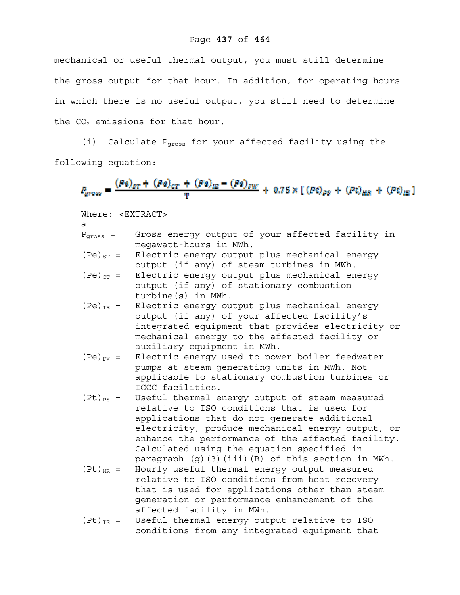mechanical or useful thermal output, you must still determine the gross output for that hour. In addition, for operating hours in which there is no useful output, you still need to determine the  $CO<sub>2</sub>$  emissions for that hour.

(i) Calculate  $P<sub>cross</sub>$  for your affected facility using the following equation:

$$
P_{gross} = \frac{(Pa)_{ET} + (Pa)_{CT} + (Pa)_{IE} - (Pa)_{EW}}{T} + 0.75 \times [(Pt)_{PS} + (Pt)_{HB} + (Pt)_{IE}]
$$

Where: <EXTRACT>

- a
- Pgross = Gross energy output of your affected facility in megawatt-hours in MWh.
- (Pe) $_{ST}$  = Electric energy output plus mechanical energy output (if any) of steam turbines in MWh.
- $(Pe)_{CT}$  = Electric energy output plus mechanical energy output (if any) of stationary combustion turbine(s) in MWh.
- $(Pe)_{IE}$  = Electric energy output plus mechanical energy output (if any) of your affected facility's integrated equipment that provides electricity or mechanical energy to the affected facility or auxiliary equipment in MWh.
- $(Pe)_{FW}$  = Electric energy used to power boiler feedwater pumps at steam generating units in MWh. Not applicable to stationary combustion turbines or IGCC facilities.
- $(Pt)_{PS}$  = Useful thermal energy output of steam measured relative to ISO conditions that is used for applications that do not generate additional electricity, produce mechanical energy output, or enhance the performance of the affected facility. Calculated using the equation specified in paragraph (g)(3)(iii)(B) of this section in MWh.
- $(Pt)_{HR}$  = Hourly useful thermal energy output measured relative to ISO conditions from heat recovery that is used for applications other than steam generation or performance enhancement of the affected facility in MWh.
- $(Pt)_{IE}$  = Useful thermal energy output relative to ISO conditions from any integrated equipment that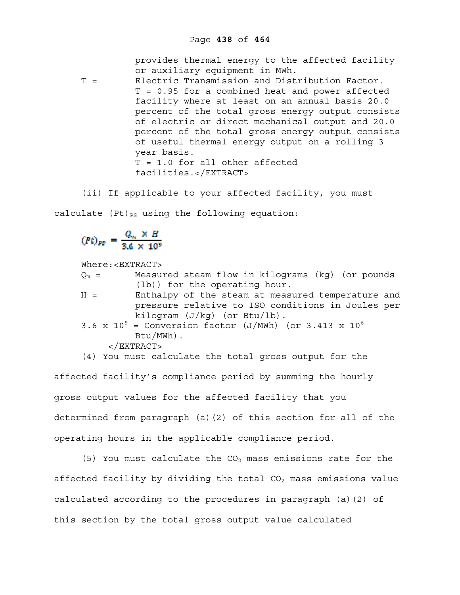provides thermal energy to the affected facility or auxiliary equipment in MWh.

- T = Electric Transmission and Distribution Factor. T = 0.95 for a combined heat and power affected facility where at least on an annual basis 20.0 percent of the total gross energy output consists of electric or direct mechanical output and 20.0 percent of the total gross energy output consists of useful thermal energy output on a rolling 3 year basis. T = 1.0 for all other affected facilities.</EXTRACT>
- (ii) If applicable to your affected facility, you must

calculate  $(Pt)_{PS}$  using the following equation:

$$
(Pt)_{PS} = \frac{Q_m \times H}{3.6 \times 10^9}
$$

Where:<EXTRACT>

| $Q_m =$ | Measured steam flow in kilograms (kg) (or pounds            |
|---------|-------------------------------------------------------------|
|         | (lb)) for the operating hour.                               |
| $H =$   | Enthalpy of the steam at measured temperature and           |
|         | pressure relative to ISO conditions in Joules per           |
|         | kilogram $(J/kg)$ (or Btu/lb).                              |
|         | 3.6 x $10^9$ = Conversion factor (J/MWh) (or 3.413 x $10^6$ |
|         | $Btu/MWh)$ .                                                |
|         | $<$ /EXTRACT>                                               |

(4) You must calculate the total gross output for the

affected facility's compliance period by summing the hourly gross output values for the affected facility that you determined from paragraph (a)(2) of this section for all of the operating hours in the applicable compliance period.

(5) You must calculate the  $CO<sub>2</sub>$  mass emissions rate for the affected facility by dividing the total  $CO<sub>2</sub>$  mass emissions value calculated according to the procedures in paragraph (a)(2) of this section by the total gross output value calculated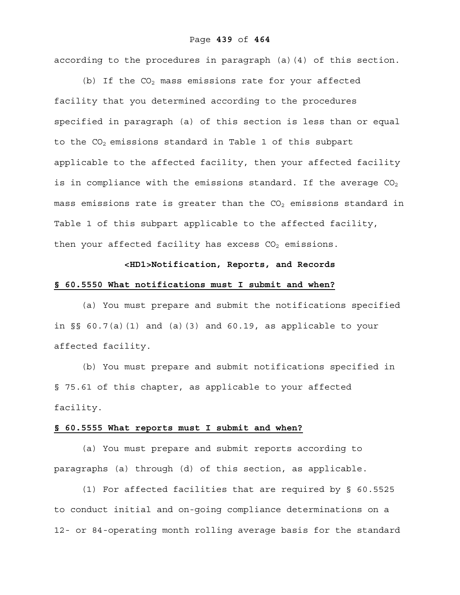#### Page **439** of **464**

according to the procedures in paragraph (a)(4) of this section.

(b) If the  $CO<sub>2</sub>$  mass emissions rate for your affected facility that you determined according to the procedures specified in paragraph (a) of this section is less than or equal to the  $CO<sub>2</sub>$  emissions standard in Table 1 of this subpart applicable to the affected facility, then your affected facility is in compliance with the emissions standard. If the average  $CO<sub>2</sub>$ mass emissions rate is greater than the  $CO<sub>2</sub>$  emissions standard in Table 1 of this subpart applicable to the affected facility, then your affected facility has excess  $CO<sub>2</sub>$  emissions.

# **<HD1>Notification, Reports, and Records**

# **§ 60.5550 What notifications must I submit and when?**

(a) You must prepare and submit the notifications specified in §§ 60.7(a)(1) and (a)(3) and 60.19, as applicable to your affected facility.

(b) You must prepare and submit notifications specified in § 75.61 of this chapter, as applicable to your affected facility.

#### **§ 60.5555 What reports must I submit and when?**

(a) You must prepare and submit reports according to paragraphs (a) through (d) of this section, as applicable.

(1) For affected facilities that are required by § 60.5525 to conduct initial and on-going compliance determinations on a 12- or 84-operating month rolling average basis for the standard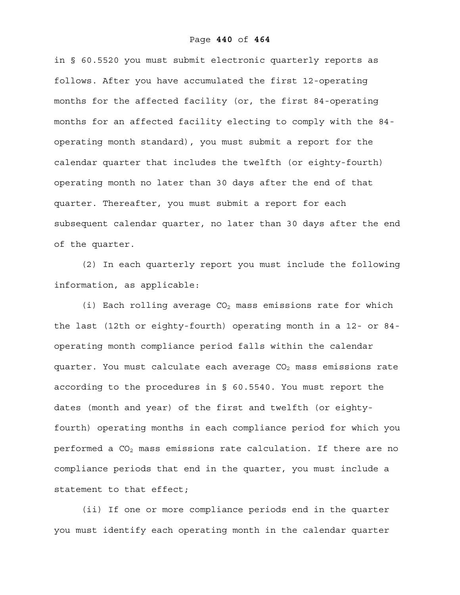in § 60.5520 you must submit electronic quarterly reports as follows. After you have accumulated the first 12-operating months for the affected facility (or, the first 84-operating months for an affected facility electing to comply with the 84 operating month standard), you must submit a report for the calendar quarter that includes the twelfth (or eighty-fourth) operating month no later than 30 days after the end of that quarter. Thereafter, you must submit a report for each subsequent calendar quarter, no later than 30 days after the end of the quarter.

(2) In each quarterly report you must include the following information, as applicable:

(i) Each rolling average  $CO<sub>2</sub>$  mass emissions rate for which the last (12th or eighty-fourth) operating month in a 12- or 84 operating month compliance period falls within the calendar quarter. You must calculate each average  $CO<sub>2</sub>$  mass emissions rate according to the procedures in § 60.5540. You must report the dates (month and year) of the first and twelfth (or eightyfourth) operating months in each compliance period for which you performed a  $CO<sub>2</sub>$  mass emissions rate calculation. If there are no compliance periods that end in the quarter, you must include a statement to that effect;

(ii) If one or more compliance periods end in the quarter you must identify each operating month in the calendar quarter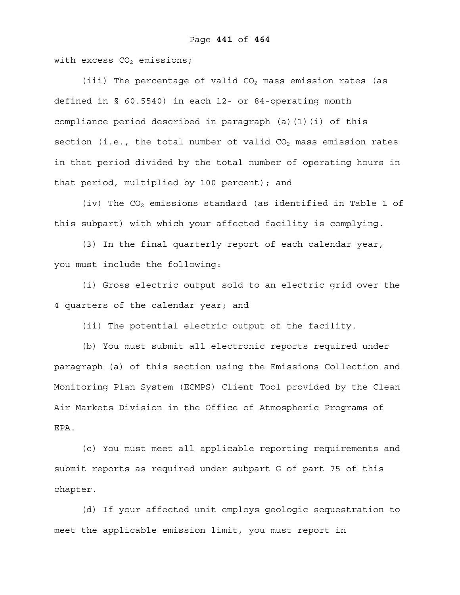with excess  $CO<sub>2</sub>$  emissions;

(iii) The percentage of valid  $CO<sub>2</sub>$  mass emission rates (as defined in § 60.5540) in each 12- or 84-operating month compliance period described in paragraph (a)(1)(i) of this section (i.e., the total number of valid  $CO<sub>2</sub>$  mass emission rates in that period divided by the total number of operating hours in that period, multiplied by 100 percent); and

(iv) The  $CO<sub>2</sub>$  emissions standard (as identified in Table 1 of this subpart) with which your affected facility is complying.

(3) In the final quarterly report of each calendar year, you must include the following:

(i) Gross electric output sold to an electric grid over the 4 quarters of the calendar year; and

(ii) The potential electric output of the facility.

(b) You must submit all electronic reports required under paragraph (a) of this section using the Emissions Collection and Monitoring Plan System (ECMPS) Client Tool provided by the Clean Air Markets Division in the Office of Atmospheric Programs of EPA.

(c) You must meet all applicable reporting requirements and submit reports as required under subpart G of part 75 of this chapter.

(d) If your affected unit employs geologic sequestration to meet the applicable emission limit, you must report in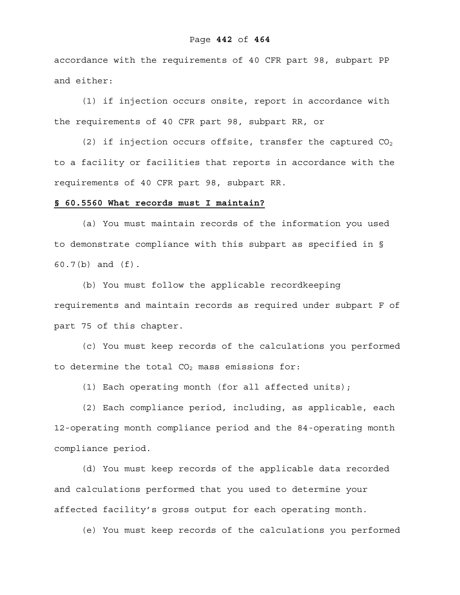#### Page **442** of **464**

accordance with the requirements of 40 CFR part 98, subpart PP and either:

(1) if injection occurs onsite, report in accordance with the requirements of 40 CFR part 98, subpart RR, or

(2) if injection occurs offsite, transfer the captured  $CO<sub>2</sub>$ to a facility or facilities that reports in accordance with the requirements of 40 CFR part 98, subpart RR.

#### **§ 60.5560 What records must I maintain?**

(a) You must maintain records of the information you used to demonstrate compliance with this subpart as specified in § 60.7(b) and (f).

(b) You must follow the applicable recordkeeping requirements and maintain records as required under subpart F of part 75 of this chapter.

(c) You must keep records of the calculations you performed to determine the total  $CO<sub>2</sub>$  mass emissions for:

(1) Each operating month (for all affected units);

(2) Each compliance period, including, as applicable, each 12-operating month compliance period and the 84-operating month compliance period.

(d) You must keep records of the applicable data recorded and calculations performed that you used to determine your affected facility's gross output for each operating month.

(e) You must keep records of the calculations you performed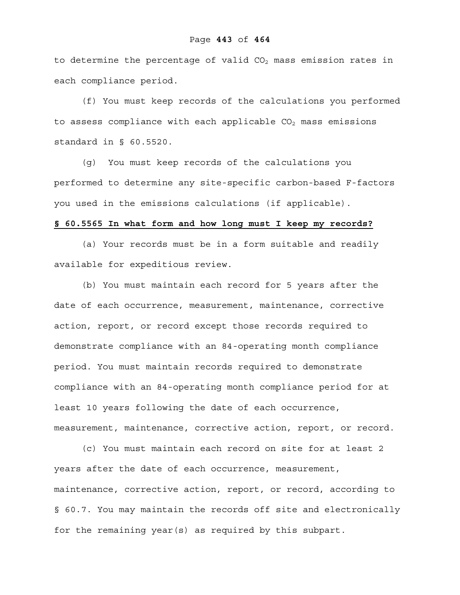#### Page **443** of **464**

to determine the percentage of valid  $CO<sub>2</sub>$  mass emission rates in each compliance period.

(f) You must keep records of the calculations you performed to assess compliance with each applicable  $CO<sub>2</sub>$  mass emissions standard in § 60.5520.

(g) You must keep records of the calculations you performed to determine any site-specific carbon-based F-factors you used in the emissions calculations (if applicable).

#### **§ 60.5565 In what form and how long must I keep my records?**

(a) Your records must be in a form suitable and readily available for expeditious review.

(b) You must maintain each record for 5 years after the date of each occurrence, measurement, maintenance, corrective action, report, or record except those records required to demonstrate compliance with an 84-operating month compliance period. You must maintain records required to demonstrate compliance with an 84-operating month compliance period for at least 10 years following the date of each occurrence, measurement, maintenance, corrective action, report, or record.

(c) You must maintain each record on site for at least 2 years after the date of each occurrence, measurement, maintenance, corrective action, report, or record, according to § 60.7. You may maintain the records off site and electronically for the remaining year(s) as required by this subpart.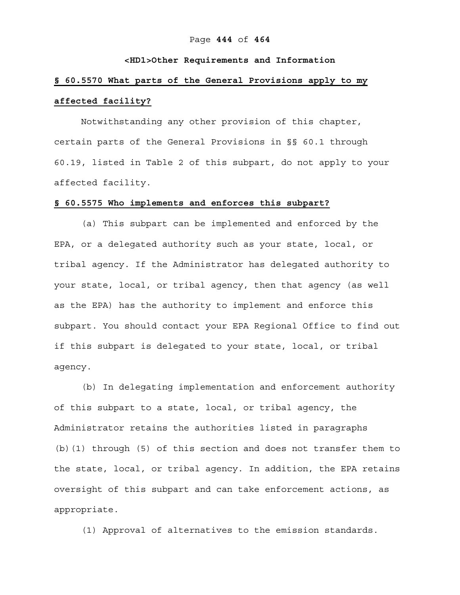#### Page **444** of **464**

#### **<HD1>Other Requirements and Information**

# **§ 60.5570 What parts of the General Provisions apply to my affected facility?**

Notwithstanding any other provision of this chapter, certain parts of the General Provisions in §§ 60.1 through 60.19, listed in Table 2 of this subpart, do not apply to your affected facility.

#### **§ 60.5575 Who implements and enforces this subpart?**

(a) This subpart can be implemented and enforced by the EPA, or a delegated authority such as your state, local, or tribal agency. If the Administrator has delegated authority to your state, local, or tribal agency, then that agency (as well as the EPA) has the authority to implement and enforce this subpart. You should contact your EPA Regional Office to find out if this subpart is delegated to your state, local, or tribal agency.

(b) In delegating implementation and enforcement authority of this subpart to a state, local, or tribal agency, the Administrator retains the authorities listed in paragraphs (b)(1) through (5) of this section and does not transfer them to the state, local, or tribal agency. In addition, the EPA retains oversight of this subpart and can take enforcement actions, as appropriate.

(1) Approval of alternatives to the emission standards.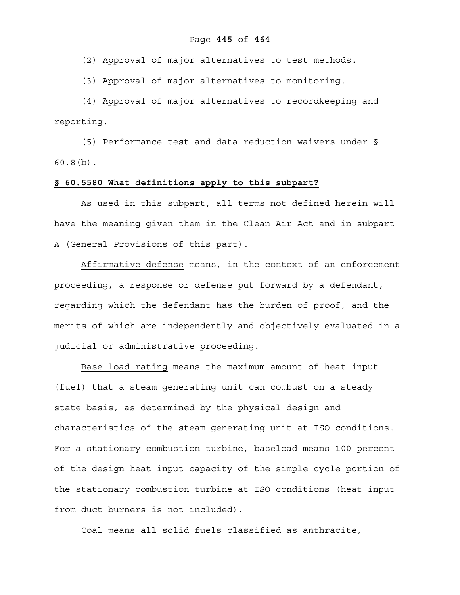(2) Approval of major alternatives to test methods.

(3) Approval of major alternatives to monitoring.

(4) Approval of major alternatives to recordkeeping and reporting.

(5) Performance test and data reduction waivers under § 60.8(b).

#### **§ 60.5580 What definitions apply to this subpart?**

As used in this subpart, all terms not defined herein will have the meaning given them in the Clean Air Act and in subpart A (General Provisions of this part).

Affirmative defense means, in the context of an enforcement proceeding, a response or defense put forward by a defendant, regarding which the defendant has the burden of proof, and the merits of which are independently and objectively evaluated in a judicial or administrative proceeding.

Base load rating means the maximum amount of heat input (fuel) that a steam generating unit can combust on a steady state basis, as determined by the physical design and characteristics of the steam generating unit at ISO conditions. For a stationary combustion turbine, baseload means 100 percent of the design heat input capacity of the simple cycle portion of the stationary combustion turbine at ISO conditions (heat input from duct burners is not included).

Coal means all solid fuels classified as anthracite,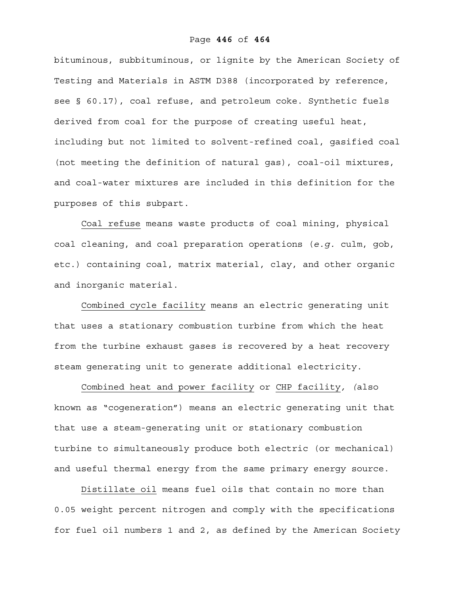bituminous, subbituminous, or lignite by the American Society of Testing and Materials in ASTM D388 (incorporated by reference, see § 60.17), coal refuse, and petroleum coke. Synthetic fuels derived from coal for the purpose of creating useful heat, including but not limited to solvent-refined coal, gasified coal (not meeting the definition of natural gas), coal-oil mixtures, and coal-water mixtures are included in this definition for the purposes of this subpart.

Coal refuse means waste products of coal mining, physical coal cleaning, and coal preparation operations (*e.g.* culm, gob, etc.) containing coal, matrix material, clay, and other organic and inorganic material.

Combined cycle facility means an electric generating unit that uses a stationary combustion turbine from which the heat from the turbine exhaust gases is recovered by a heat recovery steam generating unit to generate additional electricity.

Combined heat and power facility or CHP facility*, (*also known as "cogeneration") means an electric generating unit that that use a steam-generating unit or stationary combustion turbine to simultaneously produce both electric (or mechanical) and useful thermal energy from the same primary energy source.

Distillate oil means fuel oils that contain no more than 0.05 weight percent nitrogen and comply with the specifications for fuel oil numbers 1 and 2, as defined by the American Society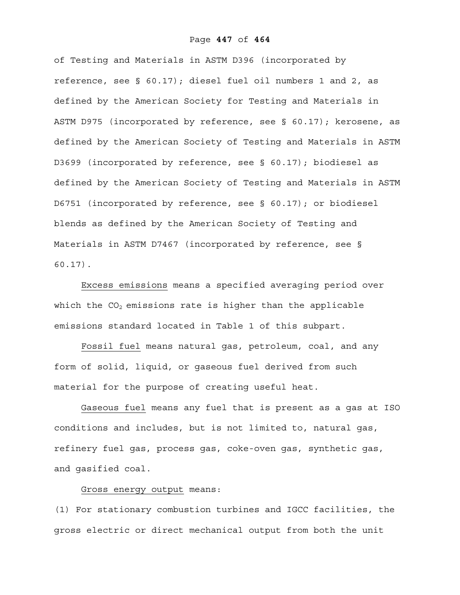#### Page **447** of **464**

of Testing and Materials in ASTM D396 (incorporated by reference, see § 60.17); diesel fuel oil numbers 1 and 2, as defined by the American Society for Testing and Materials in ASTM D975 (incorporated by reference, see § 60.17); kerosene, as defined by the American Society of Testing and Materials in ASTM D3699 (incorporated by reference, see § 60.17); biodiesel as defined by the American Society of Testing and Materials in ASTM D6751 (incorporated by reference, see § 60.17); or biodiesel blends as defined by the American Society of Testing and Materials in ASTM D7467 (incorporated by reference, see § 60.17).

Excess emissions means a specified averaging period over which the  $CO<sub>2</sub>$  emissions rate is higher than the applicable emissions standard located in Table 1 of this subpart.

Fossil fuel means natural gas, petroleum, coal, and any form of solid, liquid, or gaseous fuel derived from such material for the purpose of creating useful heat.

Gaseous fuel means any fuel that is present as a gas at ISO conditions and includes, but is not limited to, natural gas, refinery fuel gas, process gas, coke-oven gas, synthetic gas, and gasified coal.

#### Gross energy output means:

(1) For stationary combustion turbines and IGCC facilities, the gross electric or direct mechanical output from both the unit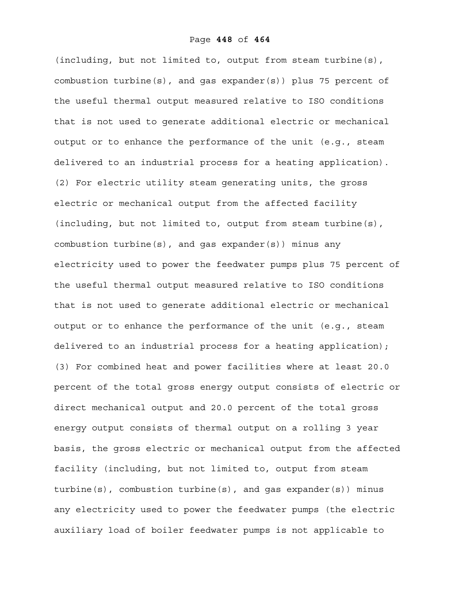(including, but not limited to, output from steam turbine(s), combustion turbine(s), and gas expander(s)) plus 75 percent of the useful thermal output measured relative to ISO conditions that is not used to generate additional electric or mechanical output or to enhance the performance of the unit (e.g., steam delivered to an industrial process for a heating application). (2) For electric utility steam generating units, the gross electric or mechanical output from the affected facility (including, but not limited to, output from steam turbine(s), combustion turbine(s), and gas expander(s)) minus any electricity used to power the feedwater pumps plus 75 percent of the useful thermal output measured relative to ISO conditions that is not used to generate additional electric or mechanical output or to enhance the performance of the unit (e.g., steam delivered to an industrial process for a heating application); (3) For combined heat and power facilities where at least 20.0 percent of the total gross energy output consists of electric or direct mechanical output and 20.0 percent of the total gross energy output consists of thermal output on a rolling 3 year basis, the gross electric or mechanical output from the affected facility (including, but not limited to, output from steam turbine(s), combustion turbine(s), and gas expander(s)) minus any electricity used to power the feedwater pumps (the electric auxiliary load of boiler feedwater pumps is not applicable to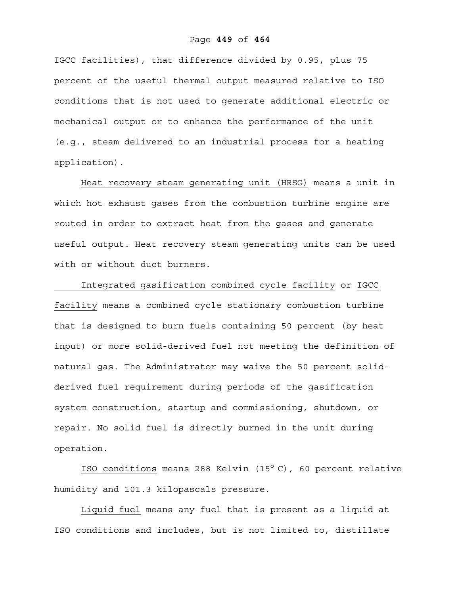#### Page **449** of **464**

IGCC facilities), that difference divided by 0.95, plus 75 percent of the useful thermal output measured relative to ISO conditions that is not used to generate additional electric or mechanical output or to enhance the performance of the unit (e.g., steam delivered to an industrial process for a heating application).

Heat recovery steam generating unit (HRSG) means a unit in which hot exhaust gases from the combustion turbine engine are routed in order to extract heat from the gases and generate useful output. Heat recovery steam generating units can be used with or without duct burners.

 Integrated gasification combined cycle facility or IGCC facility means a combined cycle stationary combustion turbine that is designed to burn fuels containing 50 percent (by heat input) or more solid-derived fuel not meeting the definition of natural gas. The Administrator may waive the 50 percent solidderived fuel requirement during periods of the gasification system construction, startup and commissioning, shutdown, or repair. No solid fuel is directly burned in the unit during operation.

ISO conditions means 288 Kelvin  $(15^{\circ} C)$ , 60 percent relative humidity and 101.3 kilopascals pressure.

Liquid fuel means any fuel that is present as a liquid at ISO conditions and includes, but is not limited to, distillate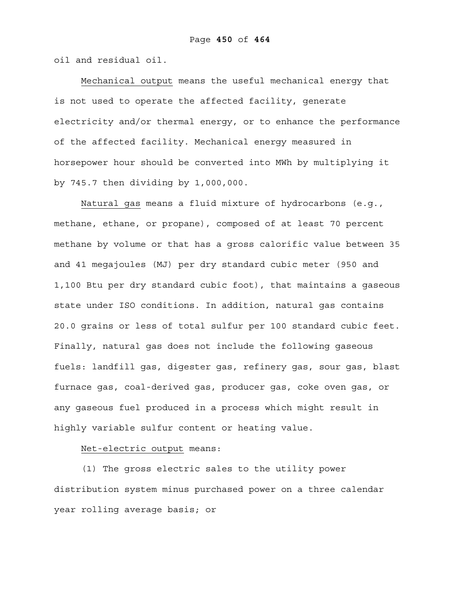oil and residual oil.

Mechanical output means the useful mechanical energy that is not used to operate the affected facility, generate electricity and/or thermal energy, or to enhance the performance of the affected facility. Mechanical energy measured in horsepower hour should be converted into MWh by multiplying it by 745.7 then dividing by 1,000,000.

Natural gas means a fluid mixture of hydrocarbons (e.g., methane, ethane, or propane), composed of at least 70 percent methane by volume or that has a gross calorific value between 35 and 41 megajoules (MJ) per dry standard cubic meter (950 and 1,100 Btu per dry standard cubic foot), that maintains a gaseous state under ISO conditions. In addition, natural gas contains 20.0 grains or less of total sulfur per 100 standard cubic feet. Finally, natural gas does not include the following gaseous fuels: landfill gas, digester gas, refinery gas, sour gas, blast furnace gas, coal-derived gas, producer gas, coke oven gas, or any gaseous fuel produced in a process which might result in highly variable sulfur content or heating value.

#### Net-electric output means:

(1) The gross electric sales to the utility power distribution system minus purchased power on a three calendar year rolling average basis; or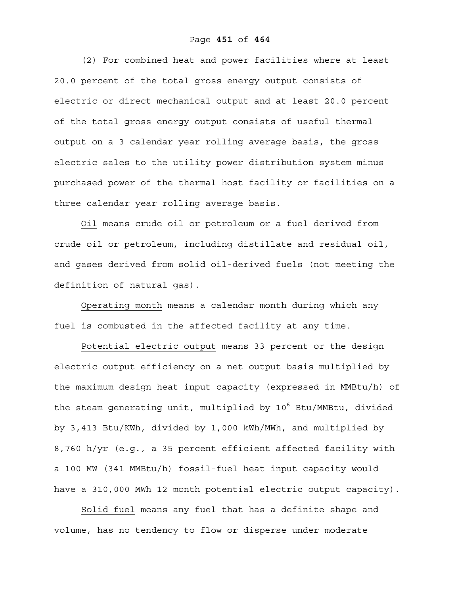#### Page **451** of **464**

(2) For combined heat and power facilities where at least 20.0 percent of the total gross energy output consists of electric or direct mechanical output and at least 20.0 percent of the total gross energy output consists of useful thermal output on a 3 calendar year rolling average basis, the gross electric sales to the utility power distribution system minus purchased power of the thermal host facility or facilities on a three calendar year rolling average basis.

Oil means crude oil or petroleum or a fuel derived from crude oil or petroleum, including distillate and residual oil, and gases derived from solid oil-derived fuels (not meeting the definition of natural gas).

Operating month means a calendar month during which any fuel is combusted in the affected facility at any time.

Potential electric output means 33 percent or the design electric output efficiency on a net output basis multiplied by the maximum design heat input capacity (expressed in MMBtu/h) of the steam generating unit, multiplied by 10<sup>6</sup> Btu/MMBtu, divided by 3,413 Btu/KWh, divided by 1,000 kWh/MWh, and multiplied by 8,760 h/yr (e.g., a 35 percent efficient affected facility with a 100 MW (341 MMBtu/h) fossil-fuel heat input capacity would have a 310,000 MWh 12 month potential electric output capacity).

Solid fuel means any fuel that has a definite shape and volume, has no tendency to flow or disperse under moderate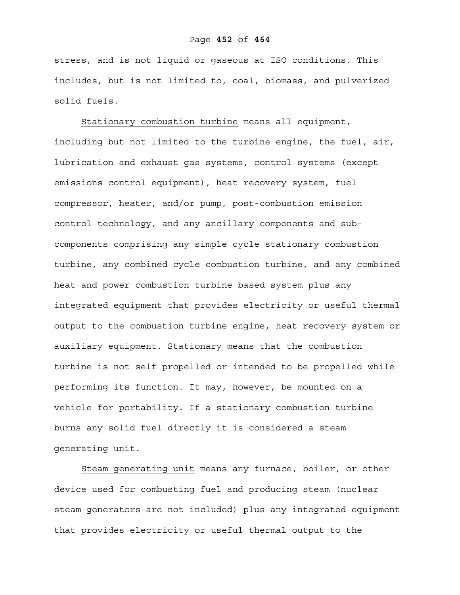stress, and is not liquid or gaseous at ISO conditions. This includes, but is not limited to, coal, biomass, and pulverized solid fuels.

Stationary combustion turbine means all equipment, including but not limited to the turbine engine, the fuel, air, lubrication and exhaust gas systems, control systems (except emissions control equipment), heat recovery system, fuel compressor, heater, and/or pump, post-combustion emission control technology, and any ancillary components and subcomponents comprising any simple cycle stationary combustion turbine, any combined cycle combustion turbine, and any combined heat and power combustion turbine based system plus any integrated equipment that provides electricity or useful thermal output to the combustion turbine engine, heat recovery system or auxiliary equipment. Stationary means that the combustion turbine is not self propelled or intended to be propelled while performing its function. It may, however, be mounted on a vehicle for portability. If a stationary combustion turbine burns any solid fuel directly it is considered a steam generating unit.

Steam generating unit means any furnace, boiler, or other device used for combusting fuel and producing steam (nuclear steam generators are not included) plus any integrated equipment that provides electricity or useful thermal output to the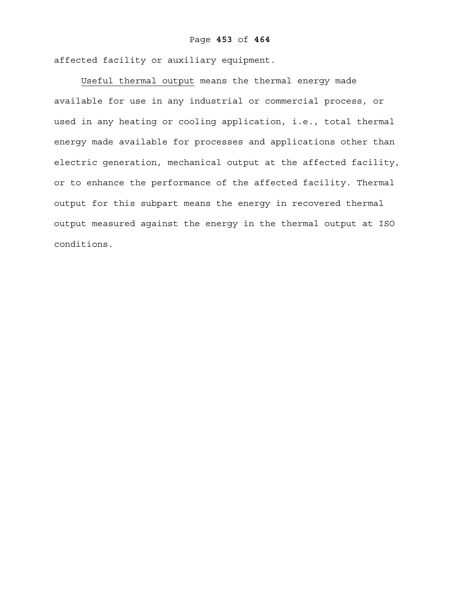affected facility or auxiliary equipment.

Useful thermal output means the thermal energy made available for use in any industrial or commercial process, or used in any heating or cooling application, i.e., total thermal energy made available for processes and applications other than electric generation, mechanical output at the affected facility, or to enhance the performance of the affected facility. Thermal output for this subpart means the energy in recovered thermal output measured against the energy in the thermal output at ISO conditions.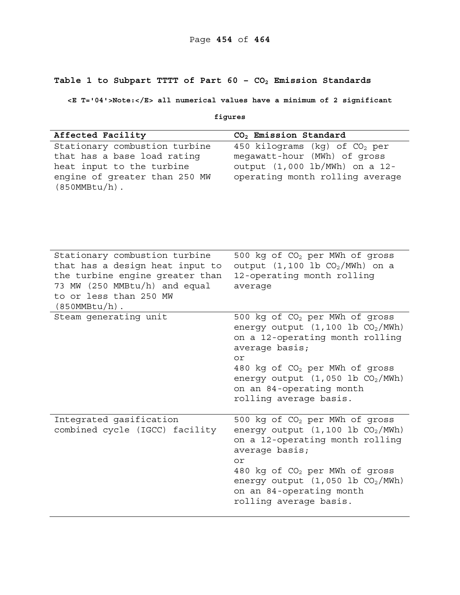# **Table 1 to Subpart TTTT of Part 60 – CO2 Emission Standards**

**<E T='04'>Note:</E> all numerical values have a minimum of 2 significant** 

|  | ۰<br>ı.<br>. .<br>ч. |
|--|----------------------|
|--|----------------------|

| Affected Facility                                                                                                                                                                  | CO <sub>2</sub> Emission Standard                                                                                                                                                                                                                                                           |  |
|------------------------------------------------------------------------------------------------------------------------------------------------------------------------------------|---------------------------------------------------------------------------------------------------------------------------------------------------------------------------------------------------------------------------------------------------------------------------------------------|--|
| Stationary combustion turbine<br>that has a base load rating<br>heat input to the turbine<br>engine of greater than 250 MW<br>$(850MMBtu/h)$ .                                     | 450 kilograms (kg) of CO <sub>2</sub> per<br>megawatt-hour (MWh) of gross<br>output (1,000 lb/MWh) on a 12-<br>operating month rolling average                                                                                                                                              |  |
| Stationary combustion turbine<br>that has a design heat input to<br>the turbine engine greater than<br>73 MW (250 MMBtu/h) and equal<br>to or less than 250 MW<br>$(850MMBtu/h)$ . | 500 kg of CO <sub>2</sub> per MWh of gross<br>output $(1, 100 \text{ lb } CO_2/\text{MWh})$ on a<br>12-operating month rolling<br>average                                                                                                                                                   |  |
| Steam generating unit                                                                                                                                                              | 500 kg of CO <sub>2</sub> per MWh of gross<br>energy output $(1, 100$ lb $CO2/MWh)$<br>on a 12-operating month rolling<br>average basis;<br>or<br>480 kg of CO <sub>2</sub> per MWh of gross<br>energy output $(1, 050$ lb $CO2/MWh)$<br>on an 84-operating month<br>rolling average basis. |  |
| Integrated gasification<br>combined cycle (IGCC) facility                                                                                                                          | 500 kg of CO <sub>2</sub> per MWh of gross<br>energy output $(1, 100$ lb $CO2/MWh)$<br>on a 12-operating month rolling<br>average basis;<br>or<br>480 kg of CO <sub>2</sub> per MWh of gross<br>energy output $(1, 050$ lb $CO2/MWh)$<br>on an 84-operating month<br>rolling average basis. |  |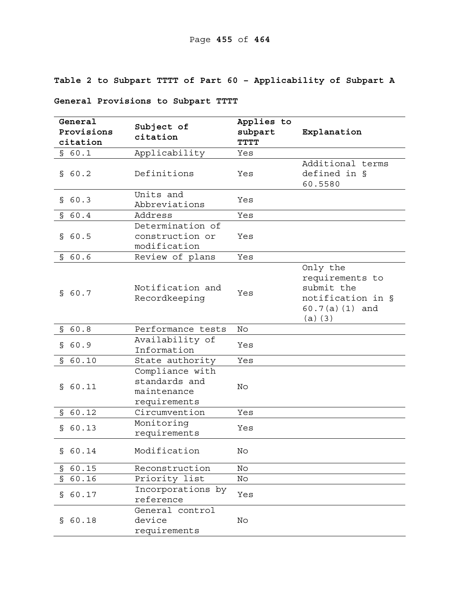# **Table 2 to Subpart TTTT of Part 60 – Applicability of Subpart A**

# **General Provisions to Subpart TTTT**

| Subject of<br>Provisions<br>subpart<br>Explanation<br>citation<br>citation<br><b>TTTT</b><br>Applicability<br>\$60.1<br>Yes<br>Additional terms<br>defined in §<br>Definitions<br>\$60.2<br>Yes<br>60.5580<br>Units and<br>\$60.3<br>Yes<br>Abbreviations<br>Address<br>\$60.4<br>Yes<br>Determination of<br>construction or<br>\$60.5<br>Yes<br>modification<br>Review of plans<br>\$60.6<br>Yes<br>Only the<br>requirements to<br>submit the<br>Notification and<br>\$60.7<br>Yes<br>notification in §<br>Recordkeeping<br>$60.7(a)(1)$ and<br>(a) (3)<br>\$60.8<br>Performance tests<br>No<br>Availability of<br>S<br>60.9<br>Yes<br>Information<br>\$60.10<br>State authority<br>Yes<br>Compliance with<br>standards and<br>60.11<br>No<br>S.<br>maintenance<br>requirements<br>\$60.12<br>Circumvention<br>Yes<br>Monitoring<br>60.13<br>Yes<br>S<br>requirements<br>Modification<br>\$60.14<br>No<br>\$60.15<br>Reconstruction<br>No | General |               | Applies to                 |  |
|--------------------------------------------------------------------------------------------------------------------------------------------------------------------------------------------------------------------------------------------------------------------------------------------------------------------------------------------------------------------------------------------------------------------------------------------------------------------------------------------------------------------------------------------------------------------------------------------------------------------------------------------------------------------------------------------------------------------------------------------------------------------------------------------------------------------------------------------------------------------------------------------------------------------------------------------|---------|---------------|----------------------------|--|
|                                                                                                                                                                                                                                                                                                                                                                                                                                                                                                                                                                                                                                                                                                                                                                                                                                                                                                                                            |         |               |                            |  |
|                                                                                                                                                                                                                                                                                                                                                                                                                                                                                                                                                                                                                                                                                                                                                                                                                                                                                                                                            |         |               |                            |  |
|                                                                                                                                                                                                                                                                                                                                                                                                                                                                                                                                                                                                                                                                                                                                                                                                                                                                                                                                            |         |               |                            |  |
|                                                                                                                                                                                                                                                                                                                                                                                                                                                                                                                                                                                                                                                                                                                                                                                                                                                                                                                                            |         |               |                            |  |
|                                                                                                                                                                                                                                                                                                                                                                                                                                                                                                                                                                                                                                                                                                                                                                                                                                                                                                                                            |         |               |                            |  |
|                                                                                                                                                                                                                                                                                                                                                                                                                                                                                                                                                                                                                                                                                                                                                                                                                                                                                                                                            |         |               |                            |  |
|                                                                                                                                                                                                                                                                                                                                                                                                                                                                                                                                                                                                                                                                                                                                                                                                                                                                                                                                            |         |               |                            |  |
|                                                                                                                                                                                                                                                                                                                                                                                                                                                                                                                                                                                                                                                                                                                                                                                                                                                                                                                                            |         |               |                            |  |
|                                                                                                                                                                                                                                                                                                                                                                                                                                                                                                                                                                                                                                                                                                                                                                                                                                                                                                                                            |         |               |                            |  |
|                                                                                                                                                                                                                                                                                                                                                                                                                                                                                                                                                                                                                                                                                                                                                                                                                                                                                                                                            |         |               |                            |  |
|                                                                                                                                                                                                                                                                                                                                                                                                                                                                                                                                                                                                                                                                                                                                                                                                                                                                                                                                            |         |               |                            |  |
|                                                                                                                                                                                                                                                                                                                                                                                                                                                                                                                                                                                                                                                                                                                                                                                                                                                                                                                                            |         |               |                            |  |
|                                                                                                                                                                                                                                                                                                                                                                                                                                                                                                                                                                                                                                                                                                                                                                                                                                                                                                                                            |         |               |                            |  |
|                                                                                                                                                                                                                                                                                                                                                                                                                                                                                                                                                                                                                                                                                                                                                                                                                                                                                                                                            |         |               |                            |  |
|                                                                                                                                                                                                                                                                                                                                                                                                                                                                                                                                                                                                                                                                                                                                                                                                                                                                                                                                            |         |               |                            |  |
|                                                                                                                                                                                                                                                                                                                                                                                                                                                                                                                                                                                                                                                                                                                                                                                                                                                                                                                                            |         |               |                            |  |
|                                                                                                                                                                                                                                                                                                                                                                                                                                                                                                                                                                                                                                                                                                                                                                                                                                                                                                                                            |         |               |                            |  |
|                                                                                                                                                                                                                                                                                                                                                                                                                                                                                                                                                                                                                                                                                                                                                                                                                                                                                                                                            |         |               |                            |  |
|                                                                                                                                                                                                                                                                                                                                                                                                                                                                                                                                                                                                                                                                                                                                                                                                                                                                                                                                            |         |               |                            |  |
|                                                                                                                                                                                                                                                                                                                                                                                                                                                                                                                                                                                                                                                                                                                                                                                                                                                                                                                                            |         |               |                            |  |
|                                                                                                                                                                                                                                                                                                                                                                                                                                                                                                                                                                                                                                                                                                                                                                                                                                                                                                                                            |         |               |                            |  |
|                                                                                                                                                                                                                                                                                                                                                                                                                                                                                                                                                                                                                                                                                                                                                                                                                                                                                                                                            |         |               |                            |  |
|                                                                                                                                                                                                                                                                                                                                                                                                                                                                                                                                                                                                                                                                                                                                                                                                                                                                                                                                            |         |               |                            |  |
|                                                                                                                                                                                                                                                                                                                                                                                                                                                                                                                                                                                                                                                                                                                                                                                                                                                                                                                                            |         |               |                            |  |
|                                                                                                                                                                                                                                                                                                                                                                                                                                                                                                                                                                                                                                                                                                                                                                                                                                                                                                                                            |         |               |                            |  |
|                                                                                                                                                                                                                                                                                                                                                                                                                                                                                                                                                                                                                                                                                                                                                                                                                                                                                                                                            |         |               |                            |  |
|                                                                                                                                                                                                                                                                                                                                                                                                                                                                                                                                                                                                                                                                                                                                                                                                                                                                                                                                            |         |               |                            |  |
|                                                                                                                                                                                                                                                                                                                                                                                                                                                                                                                                                                                                                                                                                                                                                                                                                                                                                                                                            |         |               |                            |  |
|                                                                                                                                                                                                                                                                                                                                                                                                                                                                                                                                                                                                                                                                                                                                                                                                                                                                                                                                            |         |               |                            |  |
|                                                                                                                                                                                                                                                                                                                                                                                                                                                                                                                                                                                                                                                                                                                                                                                                                                                                                                                                            |         |               |                            |  |
|                                                                                                                                                                                                                                                                                                                                                                                                                                                                                                                                                                                                                                                                                                                                                                                                                                                                                                                                            |         |               |                            |  |
|                                                                                                                                                                                                                                                                                                                                                                                                                                                                                                                                                                                                                                                                                                                                                                                                                                                                                                                                            |         |               |                            |  |
|                                                                                                                                                                                                                                                                                                                                                                                                                                                                                                                                                                                                                                                                                                                                                                                                                                                                                                                                            |         |               |                            |  |
|                                                                                                                                                                                                                                                                                                                                                                                                                                                                                                                                                                                                                                                                                                                                                                                                                                                                                                                                            |         |               |                            |  |
|                                                                                                                                                                                                                                                                                                                                                                                                                                                                                                                                                                                                                                                                                                                                                                                                                                                                                                                                            |         |               |                            |  |
|                                                                                                                                                                                                                                                                                                                                                                                                                                                                                                                                                                                                                                                                                                                                                                                                                                                                                                                                            | \$60.16 | Priority list | $\mathop{\rm No}\nolimits$ |  |
| Incorporations by<br>60.17                                                                                                                                                                                                                                                                                                                                                                                                                                                                                                                                                                                                                                                                                                                                                                                                                                                                                                                 |         |               |                            |  |
| Yes<br>S<br>reference                                                                                                                                                                                                                                                                                                                                                                                                                                                                                                                                                                                                                                                                                                                                                                                                                                                                                                                      |         |               |                            |  |
| General control                                                                                                                                                                                                                                                                                                                                                                                                                                                                                                                                                                                                                                                                                                                                                                                                                                                                                                                            |         |               |                            |  |
| device<br>60.18<br>No<br>Š.                                                                                                                                                                                                                                                                                                                                                                                                                                                                                                                                                                                                                                                                                                                                                                                                                                                                                                                |         |               |                            |  |
| requirements                                                                                                                                                                                                                                                                                                                                                                                                                                                                                                                                                                                                                                                                                                                                                                                                                                                                                                                               |         |               |                            |  |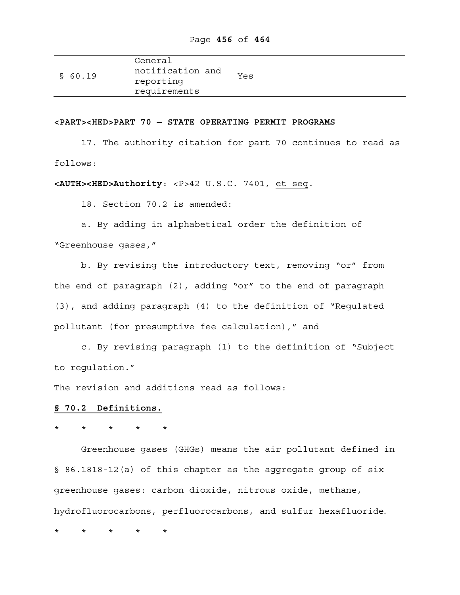|         | General          |     |
|---------|------------------|-----|
| \$60.19 | notification and | Yes |
|         | reporting        |     |
|         | requirements     |     |

#### **<PART><HED>PART 70 — STATE OPERATING PERMIT PROGRAMS**

17. The authority citation for part 70 continues to read as follows:

**<AUTH><HED>Authority**: <P>42 U.S.C. 7401, et seq.

18. Section 70.2 is amended:

a. By adding in alphabetical order the definition of "Greenhouse gases,"

 b. By revising the introductory text, removing "or" from the end of paragraph (2), adding "or" to the end of paragraph (3), and adding paragraph (4) to the definition of "Regulated pollutant (for presumptive fee calculation)," and

 c. By revising paragraph (1) to the definition of "Subject to regulation*.*"

The revision and additions read as follows:

### **§ 70.2 Definitions.**

\* \* \* \* \*

Greenhouse gases (GHGs) means the air pollutant defined in § 86.1818-12(a) of this chapter as the aggregate group of six greenhouse gases: carbon dioxide, nitrous oxide, methane, hydrofluorocarbons, perfluorocarbons, and sulfur hexafluoride.

\* \* \* \* \*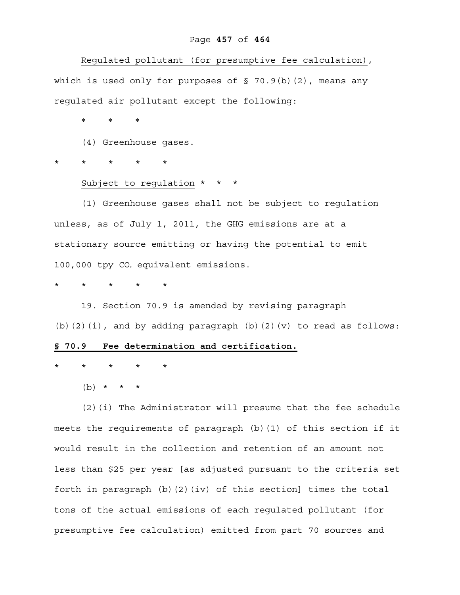#### Page **457** of **464**

Regulated pollutant (for presumptive fee calculation), which is used only for purposes of § 70.9(b)(2), means any regulated air pollutant except the following:

\* \* \*

(4) Greenhouse gases.

\* \* \* \* \*

#### Subject to regulation \* \* \*

 (1) Greenhouse gases shall not be subject to regulation unless, as of July 1, 2011, the GHG emissions are at a stationary source emitting or having the potential to emit 100,000 tpy CO<sub>2</sub> equivalent emissions.

\* \* \* \* \*

 19. Section 70.9 is amended by revising paragraph (b)(2)(i), and by adding paragraph (b)(2)(v) to read as follows: **§ 70.9 Fee determination and certification.**

\* \* \* \* \*

 $(b) * * * * *$ 

 (2)(i) The Administrator will presume that the fee schedule meets the requirements of paragraph (b)(1) of this section if it would result in the collection and retention of an amount not less than \$25 per year [as adjusted pursuant to the criteria set forth in paragraph (b)(2)(iv) of this section] times the total tons of the actual emissions of each regulated pollutant (for presumptive fee calculation) emitted from part 70 sources and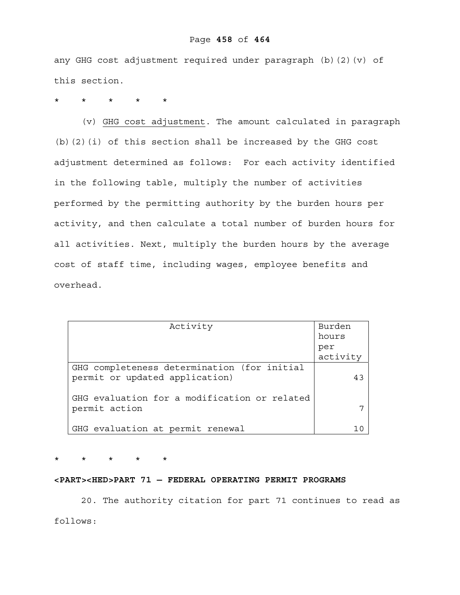# Page **458** of **464**

any GHG cost adjustment required under paragraph (b)(2)(v) of this section.

\* \* \* \* \*

(v) GHG cost adjustment. The amount calculated in paragraph (b)(2)(i) of this section shall be increased by the GHG cost adjustment determined as follows: For each activity identified in the following table, multiply the number of activities performed by the permitting authority by the burden hours per activity, and then calculate a total number of burden hours for all activities. Next, multiply the burden hours by the average cost of staff time, including wages, employee benefits and overhead.

| Activity                                     | Burden   |
|----------------------------------------------|----------|
|                                              | hours    |
|                                              | per      |
|                                              | activity |
| GHG completeness determination (for initial  |          |
| permit or updated application)               | 43       |
|                                              |          |
| GHG evaluation for a modification or related |          |
| permit action                                |          |
|                                              |          |
| GHG evaluation at permit renewal             |          |

\* \* \* \* \*

### **<PART><HED>PART 71 — FEDERAL OPERATING PERMIT PROGRAMS**

20. The authority citation for part 71 continues to read as follows: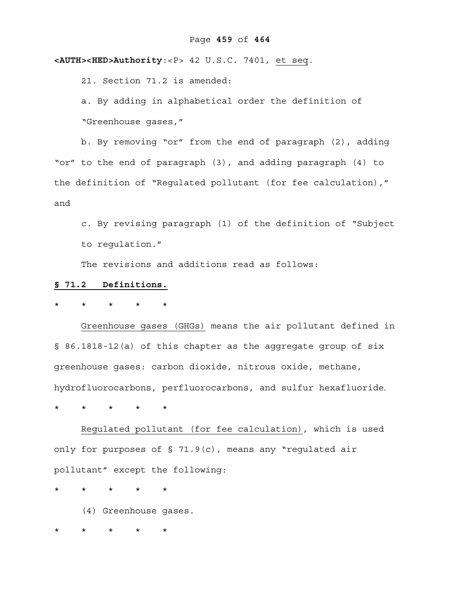**<AUTH><HED>Authority**:<P> 42 U.S.C. 7401, et seq.

21. Section 71.2 is amended:

a. By adding in alphabetical order the definition of "Greenhouse gases,"

b. By removing "or" from the end of paragraph (2), adding "or" to the end of paragraph (3), and adding paragraph (4) to the definition of "Regulated pollutant (for fee calculation)," and

c. By revising paragraph (1) of the definition of "Subject to regulation."

The revisions and additions read as follows:

#### **§ 71.2 Definitions.**

\* \* \* \* \*

Greenhouse gases (GHGs) means the air pollutant defined in § 86.1818-12(a) of this chapter as the aggregate group of six greenhouse gases: carbon dioxide, nitrous oxide, methane, hydrofluorocarbons, perfluorocarbons, and sulfur hexafluoride.

\* \* \* \* \*

Regulated pollutant (for fee calculation)*,* which is used only for purposes of § 71.9(c), means any "regulated air pollutant" except the following:

\* \* \* \* \*

(4) Greenhouse gases.

\* \* \* \* \*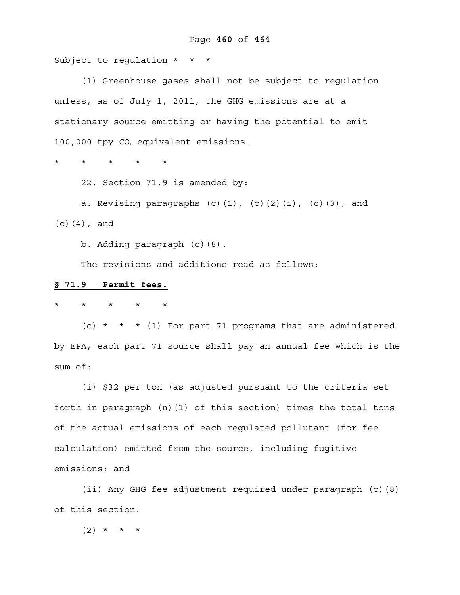Subject to regulation \* \* \*

 (1) Greenhouse gases shall not be subject to regulation unless, as of July 1, 2011, the GHG emissions are at a stationary source emitting or having the potential to emit 100,000 tpy CO<sub>2</sub> equivalent emissions.

\* \* \* \* \*

22. Section 71.9 is amended by:

a. Revising paragraphs  $(c)$   $(1)$ ,  $(c)$   $(2)$   $(i)$ ,  $(c)$   $(3)$ , and (c)(4), and

b. Adding paragraph (c)(8).

The revisions and additions read as follows:

## **§ 71.9 Permit fees.**

\* \* \* \* \*

(c) \* \* \* (1) For part 71 programs that are administered by EPA, each part 71 source shall pay an annual fee which is the sum of:

(i) \$32 per ton (as adjusted pursuant to the criteria set forth in paragraph  $(n)(1)$  of this section) times the total tons of the actual emissions of each regulated pollutant (for fee calculation) emitted from the source, including fugitive emissions; and

(ii) Any GHG fee adjustment required under paragraph (c)(8) of this section.

 $(2)$  \* \* \*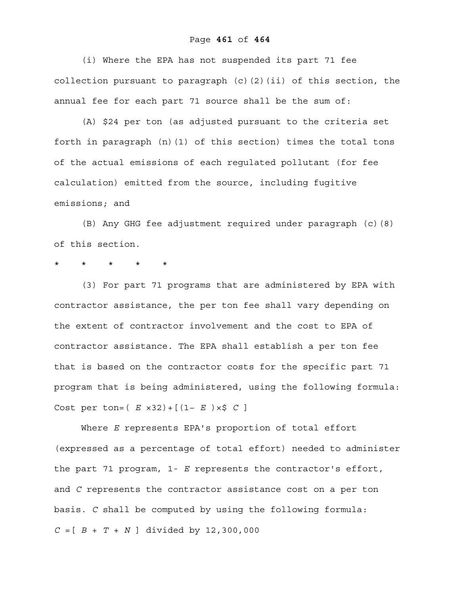#### Page **461** of **464**

(i) Where the EPA has not suspended its part 71 fee collection pursuant to paragraph  $(c)$   $(2)$   $(ii)$  of this section, the annual fee for each part 71 source shall be the sum of:

(A) \$24 per ton (as adjusted pursuant to the criteria set forth in paragraph (n)(1) of this section) times the total tons of the actual emissions of each regulated pollutant (for fee calculation) emitted from the source, including fugitive emissions; and

(B) Any GHG fee adjustment required under paragraph (c)(8) of this section.

### \* \* \* \* \*

(3) For part 71 programs that are administered by EPA with contractor assistance, the per ton fee shall vary depending on the extent of contractor involvement and the cost to EPA of contractor assistance. The EPA shall establish a per ton fee that is based on the contractor costs for the specific part 71 program that is being administered, using the following formula: Cost per ton=( *E* ×32)+[(1− *E* )×\$ *C* ]

 Where *E* represents EPA's proportion of total effort (expressed as a percentage of total effort) needed to administer the part 71 program, 1- *E* represents the contractor's effort, and *C* represents the contractor assistance cost on a per ton basis. *C* shall be computed by using the following formula: *C* =[ *B* + *T* + *N* ] divided by 12,300,000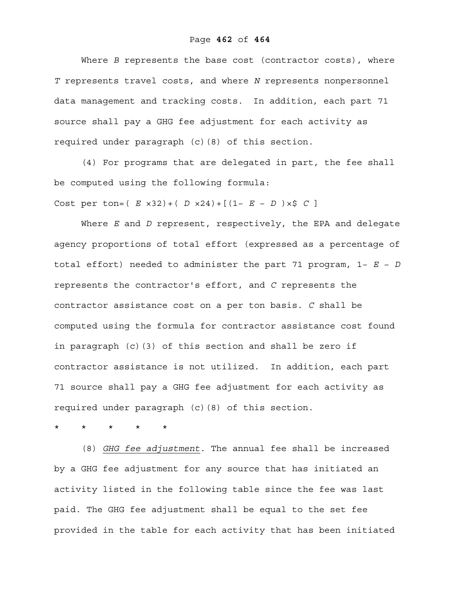Where *B* represents the base cost (contractor costs), where *T* represents travel costs, and where *N* represents nonpersonnel data management and tracking costs. In addition, each part 71 source shall pay a GHG fee adjustment for each activity as required under paragraph (c)(8) of this section.

(4) For programs that are delegated in part, the fee shall be computed using the following formula:

Cost per ton=( *E* ×32)+( *D* ×24)+[(1− *E* − *D* )×\$ *C* ]

 Where *E* and *D* represent, respectively, the EPA and delegate agency proportions of total effort (expressed as a percentage of total effort) needed to administer the part 71 program, 1− *E* − *D* represents the contractor's effort, and *C* represents the contractor assistance cost on a per ton basis. *C* shall be computed using the formula for contractor assistance cost found in paragraph (c)(3) of this section and shall be zero if contractor assistance is not utilized. In addition, each part 71 source shall pay a GHG fee adjustment for each activity as required under paragraph (c)(8) of this section.

\* \* \* \* \*

 (8) *GHG fee adjustment*. The annual fee shall be increased by a GHG fee adjustment for any source that has initiated an activity listed in the following table since the fee was last paid. The GHG fee adjustment shall be equal to the set fee provided in the table for each activity that has been initiated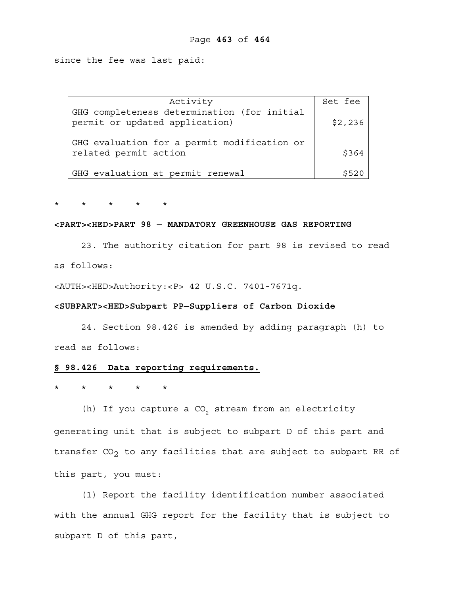since the fee was last paid:

| Activity                                                                      | Set fee |
|-------------------------------------------------------------------------------|---------|
| GHG completeness determination (for initial<br>permit or updated application) | \$2,236 |
| GHG evaluation for a permit modification or<br>related permit action          | \$364   |
| GHG evaluation at permit renewal                                              | \$520   |

\* \* \* \* \*

#### **<PART><HED>PART 98 — MANDATORY GREENHOUSE GAS REPORTING**

 23. The authority citation for part 98 is revised to read as follows:

<AUTH><HED>Authority:<P> 42 U.S.C. 7401-7671q.

#### **<SUBPART><HED>Subpart PP—Suppliers of Carbon Dioxide**

 24. Section 98.426 is amended by adding paragraph (h) to read as follows:

# **§ 98.426 Data reporting requirements.**

\* \* \* \* \*

(h) If you capture a  $CO<sub>2</sub>$  stream from an electricity generating unit that is subject to subpart D of this part and transfer  $CO<sub>2</sub>$  to any facilities that are subject to subpart RR of this part, you must:

(1) Report the facility identification number associated with the annual GHG report for the facility that is subject to subpart D of this part,